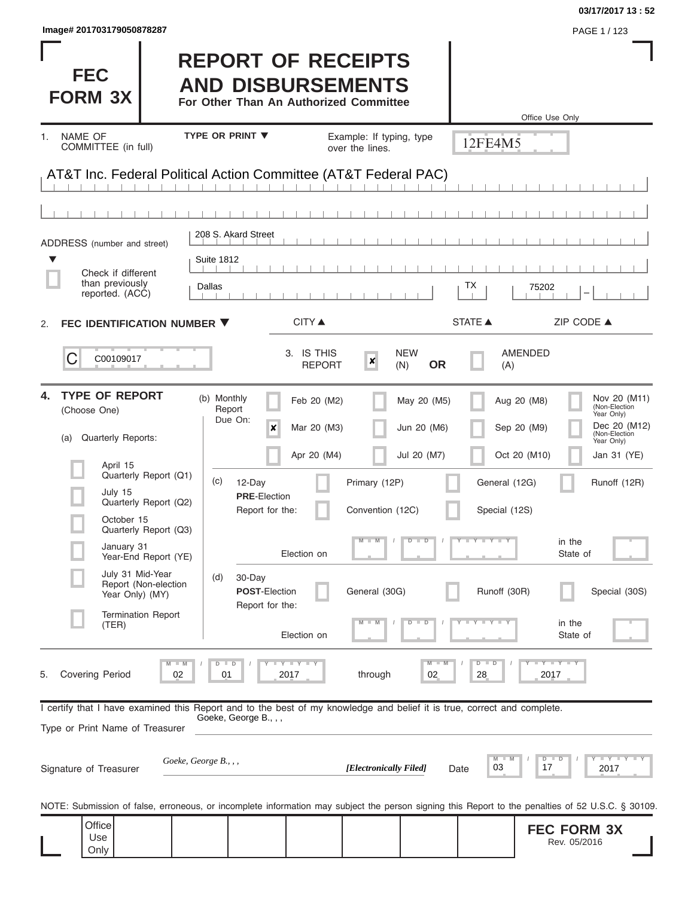| Image# 201703179050878287                                                                                                                                                                                                                                                                                                                  |                                                                                                                                                                                                                                         |                                                               |                                                                             |                                                                                                                       | PAGE 1 / 123                                                                                                                                                                           |
|--------------------------------------------------------------------------------------------------------------------------------------------------------------------------------------------------------------------------------------------------------------------------------------------------------------------------------------------|-----------------------------------------------------------------------------------------------------------------------------------------------------------------------------------------------------------------------------------------|---------------------------------------------------------------|-----------------------------------------------------------------------------|-----------------------------------------------------------------------------------------------------------------------|----------------------------------------------------------------------------------------------------------------------------------------------------------------------------------------|
| <b>FEC</b><br><b>FORM 3X</b>                                                                                                                                                                                                                                                                                                               | <b>REPORT OF RECEIPTS</b><br><b>AND DISBURSEMENTS</b><br>For Other Than An Authorized Committee                                                                                                                                         |                                                               |                                                                             |                                                                                                                       | Office Use Only                                                                                                                                                                        |
| NAME OF<br>1.<br>COMMITTEE (in full)                                                                                                                                                                                                                                                                                                       | <b>TYPE OR PRINT ▼</b>                                                                                                                                                                                                                  | Example: If typing, type<br>over the lines.                   |                                                                             | 12FE4M5                                                                                                               |                                                                                                                                                                                        |
| AT&T Inc. Federal Political Action Committee (AT&T Federal PAC)                                                                                                                                                                                                                                                                            |                                                                                                                                                                                                                                         |                                                               |                                                                             |                                                                                                                       |                                                                                                                                                                                        |
|                                                                                                                                                                                                                                                                                                                                            | 208 S. Akard Street                                                                                                                                                                                                                     |                                                               |                                                                             |                                                                                                                       |                                                                                                                                                                                        |
| ADDRESS (number and street)<br>▼                                                                                                                                                                                                                                                                                                           | <b>Suite 1812</b>                                                                                                                                                                                                                       |                                                               |                                                                             |                                                                                                                       |                                                                                                                                                                                        |
| Check if different<br>than previously<br>reported. (ACC)                                                                                                                                                                                                                                                                                   | Dallas                                                                                                                                                                                                                                  |                                                               |                                                                             | ТX                                                                                                                    | 75202                                                                                                                                                                                  |
| FEC IDENTIFICATION NUMBER ▼<br>2.                                                                                                                                                                                                                                                                                                          | <b>CITY</b> ▲                                                                                                                                                                                                                           |                                                               |                                                                             | <b>STATE ▲</b>                                                                                                        | ZIP CODE ▲                                                                                                                                                                             |
| C<br>C00109017                                                                                                                                                                                                                                                                                                                             | 3. IS THIS                                                                                                                                                                                                                              | $\boldsymbol{x}$<br><b>REPORT</b>                             | <b>NEW</b><br><b>OR</b><br>(N)                                              | <b>AMENDED</b><br>(A)                                                                                                 |                                                                                                                                                                                        |
| <b>TYPE OF REPORT</b><br>4.<br>(Choose One)<br><b>Quarterly Reports:</b><br>(a)<br>April 15<br>Quarterly Report (Q1)<br>July 15<br>Quarterly Report (Q2)<br>October 15<br>Quarterly Report (Q3)<br>January 31<br>Year-End Report (YE)<br>July 31 Mid-Year<br>Report (Non-election<br>Year Only) (MY)<br><b>Termination Report</b><br>(TER) | (b) Monthly<br>Feb 20 (M2)<br>Report<br>Due On:<br>X<br>Mar 20 (M3)<br>Apr 20 (M4)<br>(c)<br>12-Day<br><b>PRE</b> Election<br>Report for the:<br>Election on<br>(d)<br>30-Day<br><b>POST-Election</b><br>Report for the:<br>Election on | Primary (12P)<br>Convention (12C)<br>$M - M$<br>General (30G) | May 20 (M5)<br>Jun 20 (M6)<br>Jul 20 (M7)<br>$D$ $D$<br>$\overline{D}$<br>D | Aug 20 (M8)<br>Sep 20 (M9)<br>Oct 20 (M10)<br>General (12G)<br>Special (12S)<br>Y FY FY FY<br>Runoff (30R)<br>Y L Y L | Nov 20 (M11)<br>(Non-Election<br>Year Only)<br>Dec 20 (M12)<br>(Non-Election<br>Year Only)<br>Jan 31 (YE)<br>Runoff (12R)<br>in the<br>State of<br>Special (30S)<br>in the<br>State of |
| Covering Period<br>02<br>5.<br>I certify that I have examined this Report and to the best of my knowledge and belief it is true, correct and complete.                                                                                                                                                                                     | Y I Y I Y<br>D<br>$\blacksquare$<br>2017<br>01                                                                                                                                                                                          | through                                                       | $M - M$<br>02                                                               | $D$ $D$<br>28                                                                                                         | $\mathsf{L} \mathsf{Y} \mathsf{L} \mathsf{Y} \mathsf{L} \mathsf{Y}$<br>2017                                                                                                            |
| Type or Print Name of Treasurer<br>Goeke, George B., , ,<br>Signature of Treasurer                                                                                                                                                                                                                                                         | Goeke, George B., , ,                                                                                                                                                                                                                   | [Electronically Filed]                                        | Date                                                                        | $M$ $\Box$<br>03                                                                                                      | $Y + Y + Y + Y$<br>$D$ $D$<br>17<br>2017                                                                                                                                               |
| NOTE: Submission of false, erroneous, or incomplete information may subject the person signing this Report to the penalties of 52 U.S.C. § 30109.                                                                                                                                                                                          |                                                                                                                                                                                                                                         |                                                               |                                                                             |                                                                                                                       |                                                                                                                                                                                        |
| Office<br>Use<br>Only                                                                                                                                                                                                                                                                                                                      |                                                                                                                                                                                                                                         |                                                               |                                                                             |                                                                                                                       | <b>FEC FORM 3X</b><br>Rev. 05/2016                                                                                                                                                     |

**03/17/2017 13 : 52**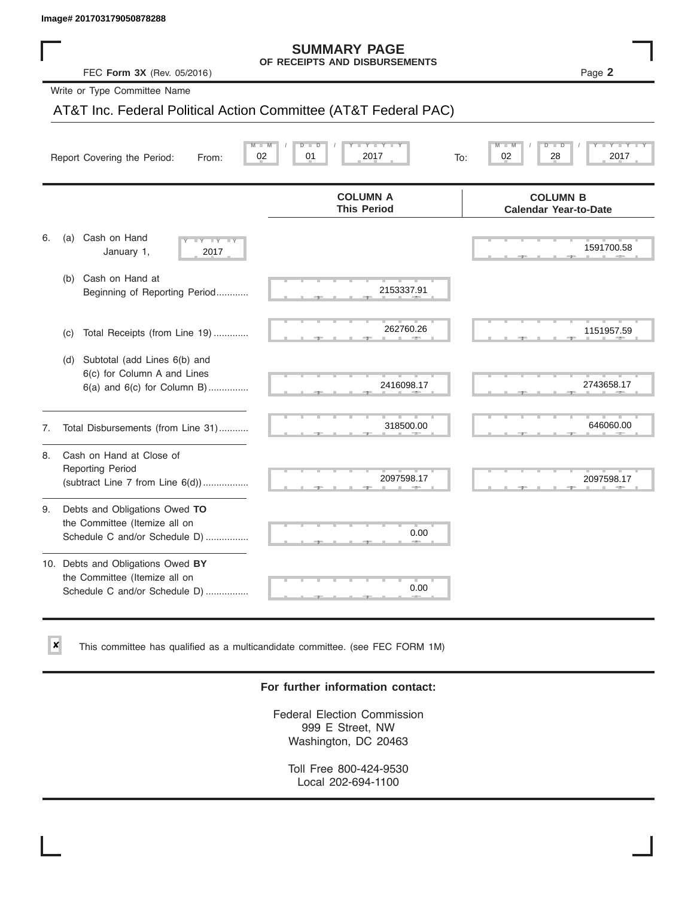✘

#### **SUMMARY PAGE OF RECEIPTS AND DISBURSEMENTS**

### AT&T Inc. Federal Political Action Committee (AT&T Federal PAC)

|    | lmage# 201703179050878288                                                                             |                                                      |                                                 |
|----|-------------------------------------------------------------------------------------------------------|------------------------------------------------------|-------------------------------------------------|
|    | FEC Form 3X (Rev. 05/2016)                                                                            | <b>SUMMARY PAGE</b><br>OF RECEIPTS AND DISBURSEMENTS | Page 2                                          |
|    | Write or Type Committee Name                                                                          |                                                      |                                                 |
|    | AT&T Inc. Federal Political Action Committee (AT&T Federal PAC)                                       |                                                      |                                                 |
|    | Report Covering the Period:<br>From:                                                                  | 01<br>2017<br>02<br>To:                              | D<br>2017<br>02<br>28                           |
|    |                                                                                                       | <b>COLUMN A</b><br><b>This Period</b>                | <b>COLUMN B</b><br><b>Calendar Year-to-Date</b> |
| 6. | Cash on Hand<br>(a)<br><b>LLY</b><br>January 1,<br>2017                                               |                                                      | 1591700.58                                      |
|    | Cash on Hand at<br>(b)<br>Beginning of Reporting Period                                               | 2153337.91                                           |                                                 |
|    | Total Receipts (from Line 19)<br>(C)                                                                  | 262760.26                                            | 1151957.59                                      |
|    | Subtotal (add Lines 6(b) and<br>(d)<br>6(c) for Column A and Lines<br>$6(a)$ and $6(c)$ for Column B) | 2416098.17                                           | 2743658.17                                      |
| 7. | Total Disbursements (from Line 31)                                                                    | 318500.00                                            | 646060.00                                       |
| 8. | Cash on Hand at Close of<br><b>Reporting Period</b><br>(subtract Line 7 from Line 6(d))               | 2097598.17                                           | 2097598.17                                      |
| 9. | Debts and Obligations Owed TO<br>the Committee (Itemize all on<br>Schedule C and/or Schedule D)       | 0.00                                                 |                                                 |
|    | 10. Debts and Obligations Owed BY<br>the Committee (Itemize all on<br>Schedule C and/or Schedule D)   | 0.00                                                 |                                                 |

This committee has qualified as a multicandidate committee. (see FEC FORM 1M)

#### **For further information contact:**

Federal Election Commission 999 E Street, NW Washington, DC 20463

Toll Free 800-424-9530 Local 202-694-1100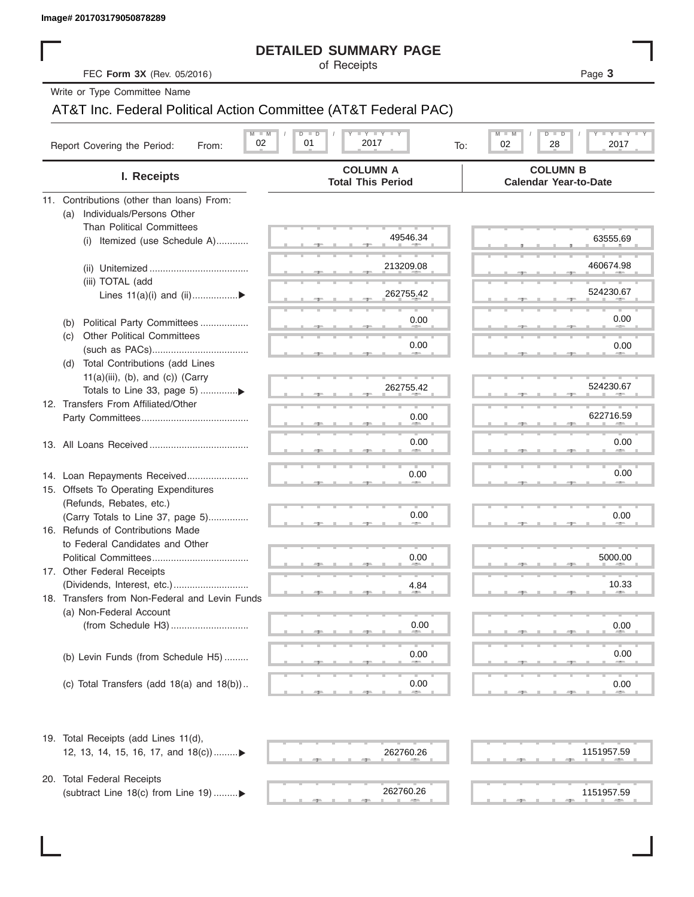| Image# 201703179050878289 |  |  |  |
|---------------------------|--|--|--|

#### **DETAILED SUMMARY PAGE**

### AT&T Inc. Federal Political Action Committee (AT&T Federal PAC)

|                                                                      | <b>DETAILED SUMMARY PAGE</b>                                    |                                                    |
|----------------------------------------------------------------------|-----------------------------------------------------------------|----------------------------------------------------|
| FEC Form 3X (Rev. 05/2016)                                           | of Receipts                                                     | Page 3                                             |
| Write or Type Committee Name                                         |                                                                 |                                                    |
|                                                                      | AT&T Inc. Federal Political Action Committee (AT&T Federal PAC) |                                                    |
|                                                                      | <b>LY LY LY</b><br>$M - M$<br>$D$ $D$                           | <b>LYLYLY</b><br>M<br>D<br>$\overline{\mathsf{D}}$ |
| Report Covering the Period:<br>From:                                 | 02<br>01<br>2017                                                | 02<br>28<br>2017<br>To:                            |
| I. Receipts                                                          | <b>COLUMN A</b><br><b>Total This Period</b>                     | <b>COLUMN B</b><br><b>Calendar Year-to-Date</b>    |
| 11. Contributions (other than loans) From:                           |                                                                 |                                                    |
| Individuals/Persons Other<br>(a)<br><b>Than Political Committees</b> |                                                                 |                                                    |
| (i) Itemized (use Schedule A)                                        | 49546.34                                                        | 63555.69                                           |
|                                                                      |                                                                 |                                                    |
|                                                                      | 213209.08                                                       | 460674.98                                          |
| (iii) TOTAL (add                                                     |                                                                 |                                                    |
| Lines $11(a)(i)$ and $(ii)$                                          | 262755.42                                                       | 524230.67                                          |
| Political Party Committees<br>(b)                                    | 0.00                                                            | 0.00                                               |
| <b>Other Political Committees</b><br>(C)                             |                                                                 |                                                    |
|                                                                      | 0.00                                                            | 0.00                                               |
| Total Contributions (add Lines<br>(d)                                |                                                                 |                                                    |
| $11(a)(iii)$ , (b), and (c)) (Carry                                  |                                                                 |                                                    |
| Totals to Line 33, page 5) ▶                                         | 262755.42                                                       | 524230.67                                          |
| 12. Transfers From Affiliated/Other                                  | 0.00                                                            | 622716.59                                          |
|                                                                      |                                                                 |                                                    |
|                                                                      | 0.00                                                            | 0.00                                               |
|                                                                      |                                                                 |                                                    |
| 14. Loan Repayments Received                                         | 0.00                                                            | 0.00                                               |
| 15. Offsets To Operating Expenditures                                |                                                                 |                                                    |
| (Refunds, Rebates, etc.)                                             |                                                                 |                                                    |
| (Carry Totals to Line 37, page 5)                                    | 0.00                                                            | 0.00                                               |
| 16. Refunds of Contributions Made<br>to Federal Candidates and Other |                                                                 |                                                    |
| Political Committees                                                 | 0.00                                                            | 5000.00                                            |
| 17. Other Federal Receipts                                           |                                                                 |                                                    |
|                                                                      | 4.84                                                            | 10.33                                              |
| 18. Transfers from Non-Federal and Levin Funds                       |                                                                 |                                                    |
| (a) Non-Federal Account                                              |                                                                 |                                                    |
|                                                                      | 0.00                                                            | 0.00                                               |
|                                                                      | 0.00                                                            | 0.00                                               |
| (b) Levin Funds (from Schedule H5)                                   |                                                                 |                                                    |
| (c) Total Transfers (add $18(a)$ and $18(b)$ )                       | 0.00                                                            | 0.00                                               |
| 19. Total Receipts (add Lines 11(d),                                 |                                                                 |                                                    |
| 12, 13, 14, 15, 16, 17, and 18(c)                                    | 262760.26                                                       | 1151957.59                                         |
|                                                                      |                                                                 |                                                    |
| 20. Total Federal Receipts                                           |                                                                 |                                                    |
| (subtract Line 18(c) from Line 19)▶                                  | 262760.26                                                       | 1151957.59                                         |

 $262760.26$   $1151957.5$ 262760.26 1151957.59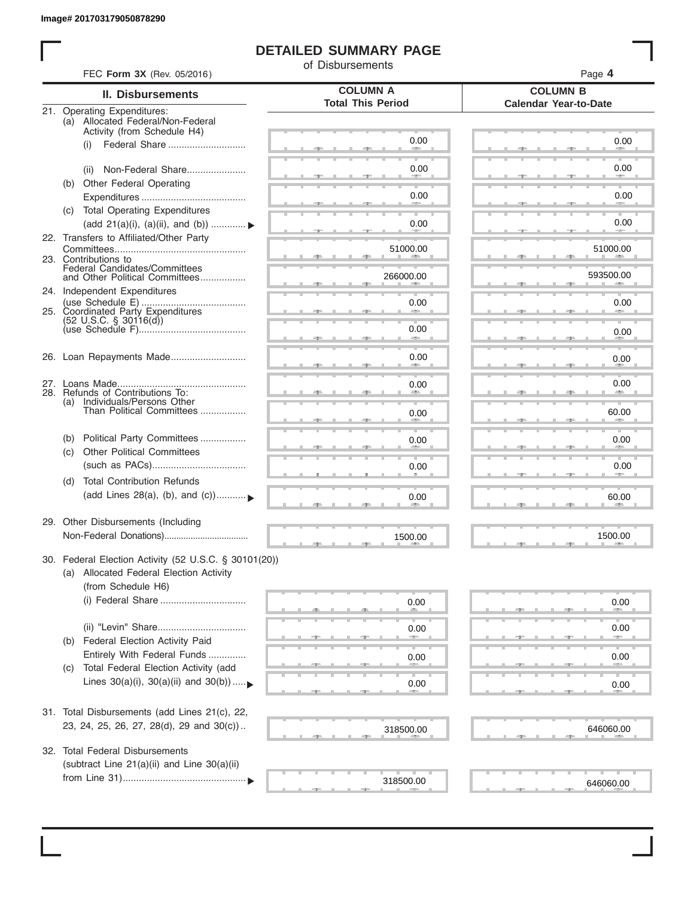I

#### **DETAILED SUMMARY PAGE**

of Disbursements

|                                                                                                 | FEC Form 3X (Rev. 05/2016)                                                                                             |                                             | Page 4                                          |  |  |  |
|-------------------------------------------------------------------------------------------------|------------------------------------------------------------------------------------------------------------------------|---------------------------------------------|-------------------------------------------------|--|--|--|
|                                                                                                 | <b>II. Disbursements</b>                                                                                               | <b>COLUMN A</b><br><b>Total This Period</b> | <b>COLUMN B</b><br><b>Calendar Year-to-Date</b> |  |  |  |
| 21. Operating Expenditures:<br>(a) Allocated Federal/Non-Federal<br>Activity (from Schedule H4) |                                                                                                                        |                                             |                                                 |  |  |  |
|                                                                                                 | (i)                                                                                                                    | 0.00                                        | 0.00                                            |  |  |  |
|                                                                                                 | Non-Federal Share<br>(ii)                                                                                              | 0.00                                        | 0.00                                            |  |  |  |
| (b)                                                                                             | Other Federal Operating                                                                                                | 0.00                                        | 0.00                                            |  |  |  |
|                                                                                                 | (c) Total Operating Expenditures<br>(add 21(a)(i), (a)(ii), and (b))                                                   | 0.00                                        | 0.00                                            |  |  |  |
|                                                                                                 | 22. Transfers to Affiliated/Other Party                                                                                |                                             |                                                 |  |  |  |
|                                                                                                 | 23. Contributions to                                                                                                   | 51000.00                                    | 51000.00                                        |  |  |  |
|                                                                                                 | Federal Candidates/Committees<br>and Other Political Committees<br>24. Independent Expenditures                        | 266000.00                                   | 593500.00                                       |  |  |  |
|                                                                                                 | 25. Coordinated Party Expenditures                                                                                     | 0.00                                        | 0.00                                            |  |  |  |
|                                                                                                 | $(52 \text{ U.S.C. }$ § 30116(d))                                                                                      | 0.00<br><b>Allen</b>                        | 0.00                                            |  |  |  |
|                                                                                                 | 26. Loan Repayments Made                                                                                               | 0.00                                        | 0.00                                            |  |  |  |
|                                                                                                 |                                                                                                                        | 0.00                                        | 0.00                                            |  |  |  |
|                                                                                                 | 28. Refunds of Contributions To:<br>(a) Individuals/Persons Other<br>Than Political Committees                         | 0.00                                        | 60.00                                           |  |  |  |
| (b)                                                                                             | Political Party Committees                                                                                             | 0.00                                        | 0.00                                            |  |  |  |
| (c)                                                                                             | <b>Other Political Committees</b>                                                                                      | 0.00                                        | 0.00                                            |  |  |  |
| (d)                                                                                             | <b>Total Contribution Refunds</b>                                                                                      |                                             |                                                 |  |  |  |
|                                                                                                 | (add Lines 28(a), (b), and (c))                                                                                        | 0.00                                        | 60.00                                           |  |  |  |
|                                                                                                 | 29. Other Disbursements (Including                                                                                     | 1500.00                                     | 1500.00                                         |  |  |  |
|                                                                                                 | 30. Federal Election Activity (52 U.S.C. § 30101(20))<br>(a) Allocated Federal Election Activity<br>(from Schedule H6) |                                             |                                                 |  |  |  |
|                                                                                                 | (i) Federal Share                                                                                                      | 0.00                                        | 0.00                                            |  |  |  |
|                                                                                                 | (ii) "Levin" Share                                                                                                     | 0.00                                        | 0.00                                            |  |  |  |
| (b)                                                                                             | Federal Election Activity Paid<br>Entirely With Federal Funds                                                          | 0.00                                        | 0.00                                            |  |  |  |
| (C)                                                                                             | Total Federal Election Activity (add<br>Lines $30(a)(i)$ , $30(a)(ii)$ and $30(b))$                                    | 0.00                                        | 0.00                                            |  |  |  |
|                                                                                                 | 31. Total Disbursements (add Lines 21(c), 22,                                                                          |                                             |                                                 |  |  |  |
|                                                                                                 | 23, 24, 25, 26, 27, 28(d), 29 and 30(c))                                                                               | 318500.00                                   | 646060.00                                       |  |  |  |
|                                                                                                 | 32. Total Federal Disbursements<br>(subtract Line 21(a)(ii) and Line 30(a)(ii)                                         |                                             |                                                 |  |  |  |
|                                                                                                 |                                                                                                                        | 318500.00                                   | 646060.00                                       |  |  |  |
|                                                                                                 |                                                                                                                        |                                             |                                                 |  |  |  |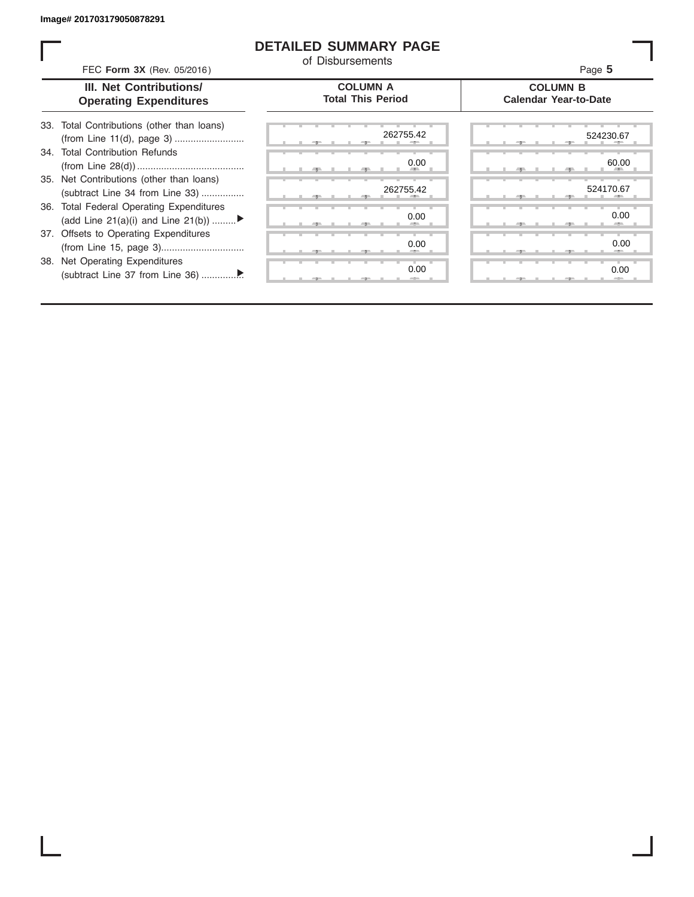I

#### **DETAILED SUMMARY PAGE**

|                                                          | FEC Form 3X (Rev. 05/2016)                                                     | of Disbursements                            | Page 5                                          |
|----------------------------------------------------------|--------------------------------------------------------------------------------|---------------------------------------------|-------------------------------------------------|
| III. Net Contributions/<br><b>Operating Expenditures</b> |                                                                                | <b>COLUMN A</b><br><b>Total This Period</b> | <b>COLUMN B</b><br><b>Calendar Year-to-Date</b> |
|                                                          | 33. Total Contributions (other than loans)<br>(from Line 11(d), page 3)        | 262755.42                                   | 524230.67                                       |
|                                                          | 34. Total Contribution Refunds                                                 | 0.00                                        | 60.00                                           |
|                                                          | 35. Net Contributions (other than loans)<br>(subtract Line 34 from Line 33)    | 262755.42                                   | 524170.67                                       |
|                                                          | 36. Total Federal Operating Expenditures<br>(add Line 21(a)(i) and Line 21(b)) | 0.00                                        | 0.00                                            |
|                                                          | 37. Offsets to Operating Expenditures                                          | 0.00                                        | 0.00                                            |
|                                                          | 38. Net Operating Expenditures                                                 | 0.00                                        | 0.00                                            |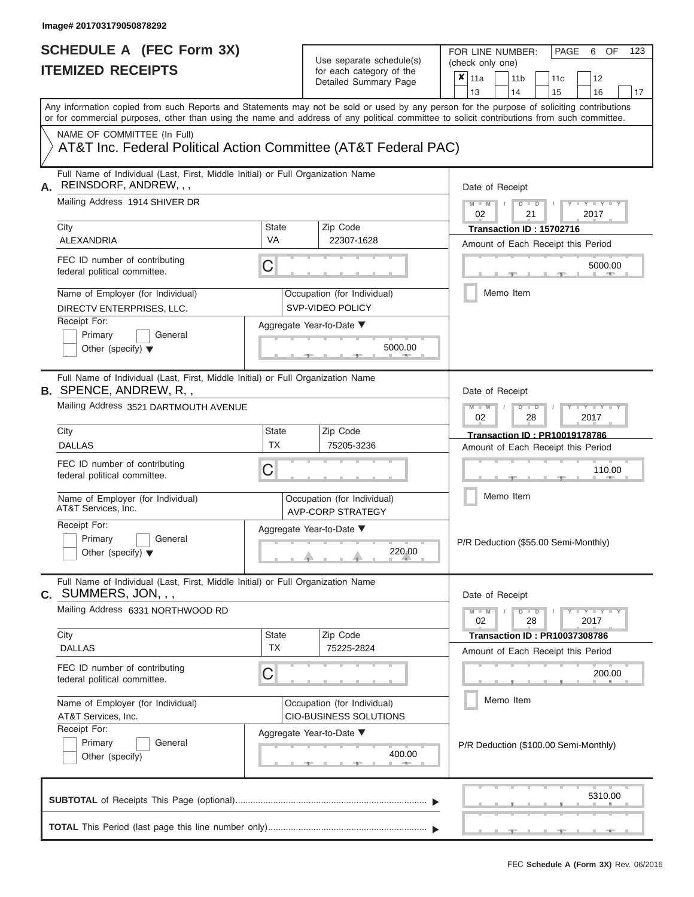FOR LINE NUMBER:<br>(check only one)

PAGE 6 OF 123

| IIEMIZEV REVEIPIJ                                                                                                                          |                                                                  | for each category of the<br>Detailed Summary Page       | $\pmb{\times}$<br>11a<br>11 <sub>b</sub><br>12<br>11c<br>13<br>14<br>15<br>16<br>17                                                       |  |  |  |  |  |  |  |  |
|--------------------------------------------------------------------------------------------------------------------------------------------|------------------------------------------------------------------|---------------------------------------------------------|-------------------------------------------------------------------------------------------------------------------------------------------|--|--|--|--|--|--|--|--|
| or for commercial purposes, other than using the name and address of any political committee to solicit contributions from such committee. |                                                                  |                                                         | Any information copied from such Reports and Statements may not be sold or used by any person for the purpose of soliciting contributions |  |  |  |  |  |  |  |  |
| NAME OF COMMITTEE (In Full)<br>AT&T Inc. Federal Political Action Committee (AT&T Federal PAC)                                             |                                                                  |                                                         |                                                                                                                                           |  |  |  |  |  |  |  |  |
| Full Name of Individual (Last, First, Middle Initial) or Full Organization Name<br>REINSDORF, ANDREW, , ,<br>А.                            |                                                                  |                                                         | Date of Receipt                                                                                                                           |  |  |  |  |  |  |  |  |
| Mailing Address 1914 SHIVER DR                                                                                                             |                                                                  |                                                         | $M - M$<br>$+Y+Y+Y$<br>$D$ $D$<br>02<br>21<br>2017                                                                                        |  |  |  |  |  |  |  |  |
| City<br>ALEXANDRIA                                                                                                                         | <b>State</b><br>VA                                               | Zip Code<br>22307-1628                                  | Transaction ID: 15702716                                                                                                                  |  |  |  |  |  |  |  |  |
| FEC ID number of contributing<br>federal political committee.                                                                              | C                                                                |                                                         | Amount of Each Receipt this Period<br>5000.00                                                                                             |  |  |  |  |  |  |  |  |
| Name of Employer (for Individual)<br>DIRECTV ENTERPRISES, LLC.                                                                             |                                                                  | Occupation (for Individual)<br><b>SVP-VIDEO POLICY</b>  | Memo Item                                                                                                                                 |  |  |  |  |  |  |  |  |
| Receipt For:<br>Primary<br>General<br>Other (specify) $\blacktriangledown$                                                                 | Aggregate Year-to-Date ▼<br>5000.00                              |                                                         |                                                                                                                                           |  |  |  |  |  |  |  |  |
| Full Name of Individual (Last, First, Middle Initial) or Full Organization Name<br><b>B. SPENCE, ANDREW, R.,</b>                           |                                                                  |                                                         | Date of Receipt                                                                                                                           |  |  |  |  |  |  |  |  |
| Mailing Address 3521 DARTMOUTH AVENUE                                                                                                      | $M - M$<br>$D$ $\Box$ $D$<br>$T - Y = T - T$<br>02<br>28<br>2017 |                                                         |                                                                                                                                           |  |  |  |  |  |  |  |  |
| City<br><b>DALLAS</b>                                                                                                                      | State<br><b>TX</b>                                               | Zip Code<br>75205-3236                                  | <b>Transaction ID: PR10019178786</b><br>Amount of Each Receipt this Period                                                                |  |  |  |  |  |  |  |  |
| FEC ID number of contributing<br>federal political committee.                                                                              | C                                                                |                                                         | 110.00                                                                                                                                    |  |  |  |  |  |  |  |  |
| Name of Employer (for Individual)<br>AT&T Services, Inc.                                                                                   |                                                                  | Occupation (for Individual)<br><b>AVP-CORP STRATEGY</b> | Memo Item                                                                                                                                 |  |  |  |  |  |  |  |  |
| Receipt For:<br>Primary<br>General<br>Other (specify) $\blacktriangledown$                                                                 | Aggregate Year-to-Date ▼<br>220.00                               |                                                         |                                                                                                                                           |  |  |  |  |  |  |  |  |
| Full Name of Individual (Last, First, Middle Initial) or Full Organization Name<br><b>c.</b> SUMMERS, JON, , ,                             |                                                                  |                                                         | Date of Receipt                                                                                                                           |  |  |  |  |  |  |  |  |
| Mailing Address 6331 NORTHWOOD RD                                                                                                          |                                                                  |                                                         | $Y - Y - Y - Y - I - Y$<br>$M - M$<br>$D$ $D$<br>02<br>28<br>2017                                                                         |  |  |  |  |  |  |  |  |
| City<br><b>DALLAS</b>                                                                                                                      | <b>State</b><br><b>TX</b>                                        | Zip Code<br>75225-2824                                  | <b>Transaction ID: PR10037308786</b>                                                                                                      |  |  |  |  |  |  |  |  |
| FEC ID number of contributing<br>federal political committee.                                                                              | С                                                                |                                                         | Amount of Each Receipt this Period<br>200.00                                                                                              |  |  |  |  |  |  |  |  |
| Name of Employer (for Individual)<br>AT&T Services, Inc.                                                                                   |                                                                  | Occupation (for Individual)<br>CIO-BUSINESS SOLUTIONS   | Memo Item                                                                                                                                 |  |  |  |  |  |  |  |  |
| Receipt For:<br>Primary<br>General<br>Other (specify)                                                                                      |                                                                  | Aggregate Year-to-Date ▼<br>400.00<br>$-400 -$          | P/R Deduction (\$100.00 Semi-Monthly)                                                                                                     |  |  |  |  |  |  |  |  |
|                                                                                                                                            |                                                                  |                                                         | 5310.00                                                                                                                                   |  |  |  |  |  |  |  |  |
|                                                                                                                                            |                                                                  |                                                         |                                                                                                                                           |  |  |  |  |  |  |  |  |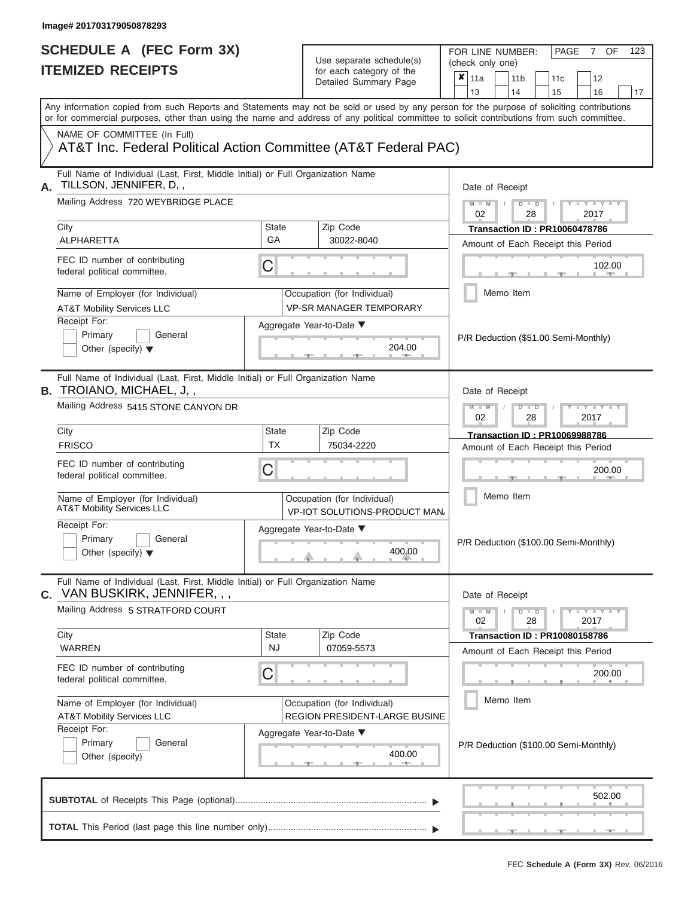| SCHEDULE A (FEC Form 3X)<br><b>ITEMIZED RECEIPTS</b>                                                                                                                                                                                                                                                                                                                                      |                                                                                 | Use separate schedule(s)<br>for each category of the<br>Detailed Summary Page | FOR LINE NUMBER:<br>PAGE<br>OF<br>123<br>7<br>(check only one)<br>$\overline{\mathbf{x}}$   11a<br>11 <sub>b</sub><br>12<br>11 <sub>c</sub><br>13<br>14<br>15<br>16<br>17 |
|-------------------------------------------------------------------------------------------------------------------------------------------------------------------------------------------------------------------------------------------------------------------------------------------------------------------------------------------------------------------------------------------|---------------------------------------------------------------------------------|-------------------------------------------------------------------------------|---------------------------------------------------------------------------------------------------------------------------------------------------------------------------|
| Any information copied from such Reports and Statements may not be sold or used by any person for the purpose of soliciting contributions<br>or for commercial purposes, other than using the name and address of any political committee to solicit contributions from such committee.<br>NAME OF COMMITTEE (In Full)<br>AT&T Inc. Federal Political Action Committee (AT&T Federal PAC) |                                                                                 |                                                                               |                                                                                                                                                                           |
| Full Name of Individual (Last, First, Middle Initial) or Full Organization Name<br>TILLSON, JENNIFER, D,,<br>А.<br>Mailing Address 720 WEYBRIDGE PLACE                                                                                                                                                                                                                                    |                                                                                 |                                                                               | Date of Receipt<br>$M - M$ /<br>$D$ $D$<br>$\mathbf{I}$ $\mathbf{Y}$ $\mathbf{I}$ $\mathbf{Y}$ $\mathbf{I}$<br>02<br>2017<br>28                                           |
| City<br>ALPHARETTA                                                                                                                                                                                                                                                                                                                                                                        | State<br>GA                                                                     | Zip Code<br>30022-8040                                                        | <b>Transaction ID: PR10060478786</b><br>Amount of Each Receipt this Period                                                                                                |
| FEC ID number of contributing<br>federal political committee.                                                                                                                                                                                                                                                                                                                             | С                                                                               |                                                                               | 102.00<br><b>Britannia</b>                                                                                                                                                |
| Name of Employer (for Individual)<br><b>AT&amp;T Mobility Services LLC</b>                                                                                                                                                                                                                                                                                                                |                                                                                 | Occupation (for Individual)<br><b>VP-SR MANAGER TEMPORARY</b>                 | Memo Item                                                                                                                                                                 |
| Receipt For:<br>Primary<br>General<br>Other (specify) $\blacktriangledown$                                                                                                                                                                                                                                                                                                                |                                                                                 | Aggregate Year-to-Date ▼<br>204.00                                            | P/R Deduction (\$51.00 Semi-Monthly)                                                                                                                                      |
| <b>B.</b> TROIANO, MICHAEL, J,,<br>Mailing Address 5415 STONE CANYON DR                                                                                                                                                                                                                                                                                                                   | Full Name of Individual (Last, First, Middle Initial) or Full Organization Name |                                                                               |                                                                                                                                                                           |
| City<br><b>FRISCO</b>                                                                                                                                                                                                                                                                                                                                                                     | <b>State</b><br><b>TX</b>                                                       | Zip Code                                                                      | 02<br>2017<br>28<br>Transaction ID: PR10069988786                                                                                                                         |
| FEC ID number of contributing<br>federal political committee.                                                                                                                                                                                                                                                                                                                             | С                                                                               | 75034-2220                                                                    | Amount of Each Receipt this Period<br>200.00                                                                                                                              |
| Name of Employer (for Individual)<br><b>AT&amp;T Mobility Services LLC</b>                                                                                                                                                                                                                                                                                                                |                                                                                 | Occupation (for Individual)<br>VP-IOT SOLUTIONS-PRODUCT MAN                   | Memo Item                                                                                                                                                                 |
| Receipt For:<br>Primary<br>General<br>Other (specify) $\blacktriangledown$                                                                                                                                                                                                                                                                                                                |                                                                                 | Aggregate Year-to-Date ▼<br>400.00                                            | P/R Deduction (\$100.00 Semi-Monthly)                                                                                                                                     |
| Full Name of Individual (Last, First, Middle Initial) or Full Organization Name<br>C. VAN BUSKIRK, JENNIFER, , ,                                                                                                                                                                                                                                                                          |                                                                                 |                                                                               | Date of Receipt                                                                                                                                                           |
| Mailing Address 5 STRATFORD COURT                                                                                                                                                                                                                                                                                                                                                         |                                                                                 |                                                                               | $M - M$<br>$D$ $D$<br>$-1$ $ Y$ $-1$ $ Y$ $-1$ $ Y$<br>28<br>2017<br>02                                                                                                   |
| City<br><b>WARREN</b>                                                                                                                                                                                                                                                                                                                                                                     | State<br><b>NJ</b>                                                              | Zip Code<br>07059-5573                                                        | <b>Transaction ID: PR10080158786</b><br>Amount of Each Receipt this Period                                                                                                |
| FEC ID number of contributing<br>federal political committee.                                                                                                                                                                                                                                                                                                                             | С                                                                               |                                                                               | 200.00                                                                                                                                                                    |
| Name of Employer (for Individual)<br><b>AT&amp;T Mobility Services LLC</b>                                                                                                                                                                                                                                                                                                                |                                                                                 | Occupation (for Individual)<br>REGION PRESIDENT-LARGE BUSINE                  | Memo Item                                                                                                                                                                 |
| Receipt For:<br>Primary<br>General<br>Other (specify)                                                                                                                                                                                                                                                                                                                                     |                                                                                 | Aggregate Year-to-Date ▼<br>400.00                                            | P/R Deduction (\$100.00 Semi-Monthly)                                                                                                                                     |
|                                                                                                                                                                                                                                                                                                                                                                                           |                                                                                 |                                                                               | 502.00                                                                                                                                                                    |
|                                                                                                                                                                                                                                                                                                                                                                                           |                                                                                 |                                                                               |                                                                                                                                                                           |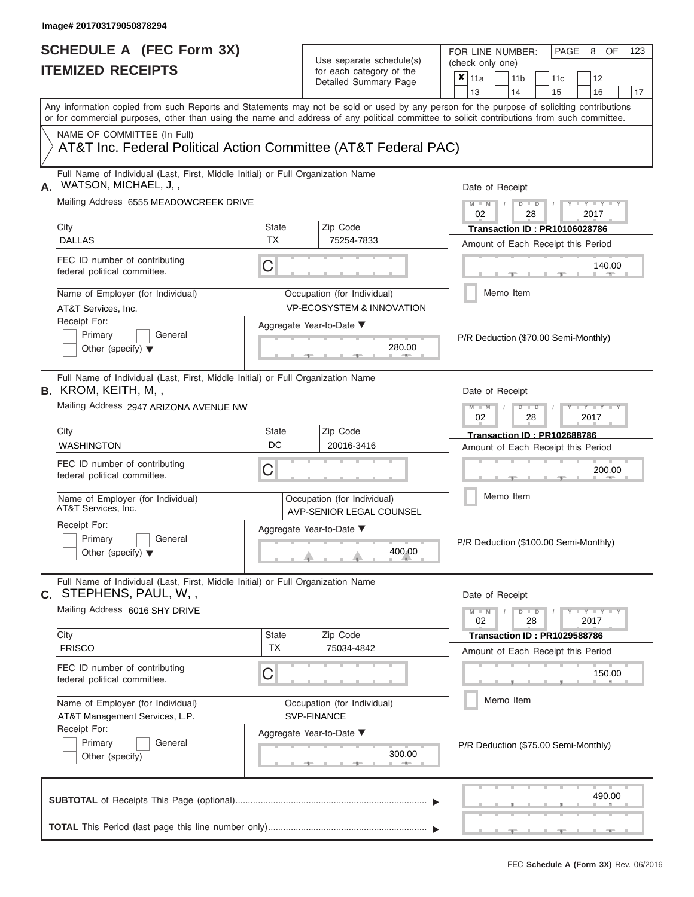FOR LINE NUMBER:<br>(check only one)

PAGE 8 OF 123

|                | IILMILLU NLVLII IJ                                                                                                                         |                           | iul caull calcyuly ul lilic<br>Detailed Summary Page                | x                                  | 11a                                        |  | 11 <sub>b</sub>      | 11c                                   |  | 12                  |    |  |  |  |
|----------------|--------------------------------------------------------------------------------------------------------------------------------------------|---------------------------|---------------------------------------------------------------------|------------------------------------|--------------------------------------------|--|----------------------|---------------------------------------|--|---------------------|----|--|--|--|
|                | Any information copied from such Reports and Statements may not be sold or used by any person for the purpose of soliciting contributions  |                           |                                                                     |                                    | 13                                         |  | 14                   | 15                                    |  | 16                  | 17 |  |  |  |
|                | or for commercial purposes, other than using the name and address of any political committee to solicit contributions from such committee. |                           |                                                                     |                                    |                                            |  |                      |                                       |  |                     |    |  |  |  |
|                | NAME OF COMMITTEE (In Full)                                                                                                                |                           |                                                                     |                                    |                                            |  |                      |                                       |  |                     |    |  |  |  |
|                | AT&T Inc. Federal Political Action Committee (AT&T Federal PAC)                                                                            |                           |                                                                     |                                    |                                            |  |                      |                                       |  |                     |    |  |  |  |
| А.             | Full Name of Individual (Last, First, Middle Initial) or Full Organization Name<br>WATSON, MICHAEL, J,,                                    |                           |                                                                     |                                    | Date of Receipt                            |  |                      |                                       |  |                     |    |  |  |  |
|                | Mailing Address 6555 MEADOWCREEK DRIVE                                                                                                     |                           |                                                                     |                                    |                                            |  | $D$ $\Box$ $D$<br>28 |                                       |  | $Y - Y - I$<br>2017 |    |  |  |  |
|                | City                                                                                                                                       | <b>State</b>              | Zip Code                                                            |                                    | 02<br><b>Transaction ID: PR10106028786</b> |  |                      |                                       |  |                     |    |  |  |  |
|                | <b>DALLAS</b>                                                                                                                              | <b>TX</b>                 | 75254-7833                                                          |                                    |                                            |  |                      | Amount of Each Receipt this Period    |  |                     |    |  |  |  |
|                | FEC ID number of contributing<br>federal political committee.                                                                              | C                         |                                                                     |                                    |                                            |  |                      |                                       |  | 140.00              |    |  |  |  |
|                | Name of Employer (for Individual)<br>AT&T Services, Inc.                                                                                   |                           | Occupation (for Individual)<br><b>VP-ECOSYSTEM &amp; INNOVATION</b> |                                    |                                            |  | Memo Item            |                                       |  |                     |    |  |  |  |
|                | Receipt For:                                                                                                                               |                           | Aggregate Year-to-Date ▼                                            |                                    |                                            |  |                      |                                       |  |                     |    |  |  |  |
|                | Primary<br>General<br>Other (specify) $\blacktriangledown$                                                                                 |                           | 280.00                                                              |                                    |                                            |  |                      | P/R Deduction (\$70.00 Semi-Monthly)  |  |                     |    |  |  |  |
|                | Full Name of Individual (Last, First, Middle Initial) or Full Organization Name<br>B. KROM, KEITH, M,,                                     |                           |                                                                     |                                    | Date of Receipt                            |  |                      |                                       |  |                     |    |  |  |  |
|                | Mailing Address 2947 ARIZONA AVENUE NW                                                                                                     |                           | $M - M$<br>$D$ $\Box$ $D$<br>$Y - Y$<br>02<br>28<br>2017            |                                    |                                            |  |                      |                                       |  |                     |    |  |  |  |
|                | City                                                                                                                                       | <b>State</b>              | Zip Code                                                            |                                    | Transaction ID: PR102688786                |  |                      |                                       |  |                     |    |  |  |  |
|                | <b>WASHINGTON</b>                                                                                                                          | DC                        | 20016-3416                                                          | Amount of Each Receipt this Period |                                            |  |                      |                                       |  |                     |    |  |  |  |
|                | FEC ID number of contributing<br>federal political committee.                                                                              | С                         |                                                                     |                                    | 200.00<br>Memo Item                        |  |                      |                                       |  |                     |    |  |  |  |
|                | Name of Employer (for Individual)<br>AT&T Services, Inc.                                                                                   |                           | Occupation (for Individual)<br>AVP-SENIOR LEGAL COUNSEL             |                                    |                                            |  |                      |                                       |  |                     |    |  |  |  |
|                | Receipt For:                                                                                                                               |                           | Aggregate Year-to-Date ▼                                            |                                    |                                            |  |                      |                                       |  |                     |    |  |  |  |
|                | Primary<br>General<br>Other (specify) $\blacktriangledown$                                                                                 |                           | 400.00                                                              |                                    |                                            |  |                      | P/R Deduction (\$100.00 Semi-Monthly) |  |                     |    |  |  |  |
| $\mathbf{C}$ . | Full Name of Individual (Last, First, Middle Initial) or Full Organization Name<br>STEPHENS, PAUL, W,,                                     |                           |                                                                     |                                    |                                            |  | Date of Receipt      |                                       |  |                     |    |  |  |  |
|                | Mailing Address 6016 SHY DRIVE                                                                                                             |                           |                                                                     |                                    | $M - M$<br>02                              |  | $D$ $D$<br>28        |                                       |  | $Y - Y - Y$<br>2017 |    |  |  |  |
|                | City<br><b>FRISCO</b>                                                                                                                      | <b>State</b><br><b>TX</b> | Zip Code<br>75034-4842                                              |                                    |                                            |  |                      | Transaction ID: PR1029588786          |  |                     |    |  |  |  |
|                |                                                                                                                                            |                           |                                                                     |                                    |                                            |  |                      | Amount of Each Receipt this Period    |  |                     |    |  |  |  |
|                | FEC ID number of contributing<br>federal political committee.                                                                              | C                         |                                                                     |                                    |                                            |  |                      |                                       |  | 150.00              |    |  |  |  |
|                | Name of Employer (for Individual)                                                                                                          |                           | Occupation (for Individual)                                         |                                    |                                            |  | Memo Item            |                                       |  |                     |    |  |  |  |
|                | AT&T Management Services, L.P.                                                                                                             |                           | SVP-FINANCE                                                         |                                    |                                            |  |                      |                                       |  |                     |    |  |  |  |
|                | Receipt For:<br>Primary<br>General<br>Other (specify)                                                                                      |                           | Aggregate Year-to-Date ▼<br>300.00<br><b>ARTISE</b>                 |                                    |                                            |  |                      | P/R Deduction (\$75.00 Semi-Monthly)  |  |                     |    |  |  |  |
|                |                                                                                                                                            |                           |                                                                     |                                    |                                            |  |                      |                                       |  | 490.00              |    |  |  |  |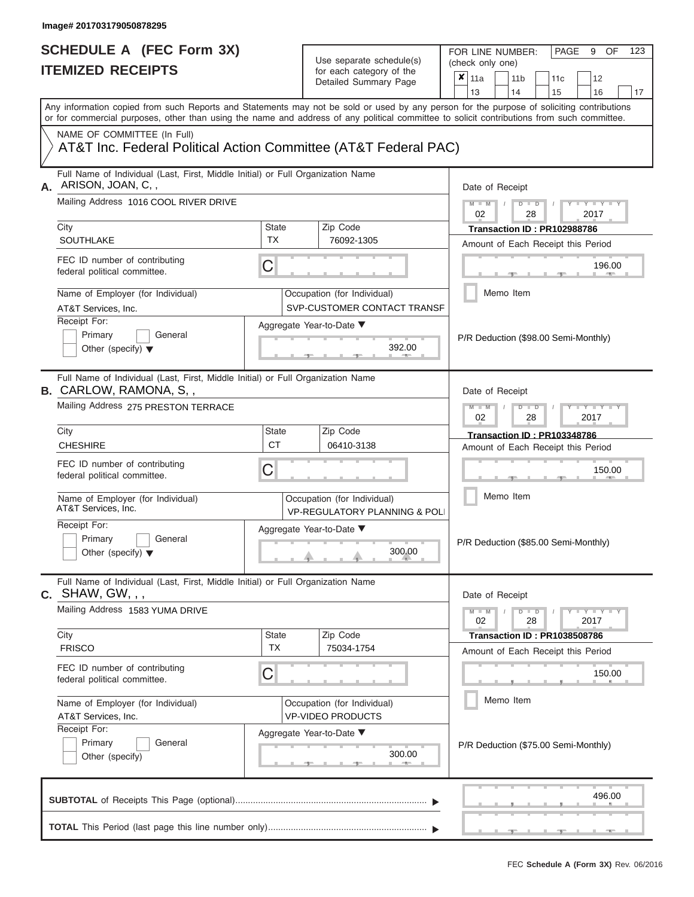FOR LINE NUMBER:<br>(check only one)

PAGE 9 OF 123

| IIEMIZED RECEIPIS                                                                                                 |                                                           | for each category of the<br>Detailed Summary Page                       | ×<br>11a<br>11 <sub>b</sub><br>12<br>11c                                                                                                                                                                                                                                                                              |  |  |  |
|-------------------------------------------------------------------------------------------------------------------|-----------------------------------------------------------|-------------------------------------------------------------------------|-----------------------------------------------------------------------------------------------------------------------------------------------------------------------------------------------------------------------------------------------------------------------------------------------------------------------|--|--|--|
|                                                                                                                   |                                                           |                                                                         | 13<br>15<br>16<br>14<br>17<br>Any information copied from such Reports and Statements may not be sold or used by any person for the purpose of soliciting contributions<br>or for commercial purposes, other than using the name and address of any political committee to solicit contributions from such committee. |  |  |  |
| NAME OF COMMITTEE (In Full)<br>AT&T Inc. Federal Political Action Committee (AT&T Federal PAC)                    |                                                           |                                                                         |                                                                                                                                                                                                                                                                                                                       |  |  |  |
| Full Name of Individual (Last, First, Middle Initial) or Full Organization Name<br>ARISON, JOAN, C,,<br>А.        |                                                           |                                                                         | Date of Receipt                                                                                                                                                                                                                                                                                                       |  |  |  |
| Mailing Address 1016 COOL RIVER DRIVE                                                                             |                                                           |                                                                         | $M - M$<br>$D$ $\Box$ $D$<br>$Y = Y$<br>02<br>28<br>2017                                                                                                                                                                                                                                                              |  |  |  |
| City                                                                                                              | <b>State</b><br><b>TX</b>                                 | Zip Code                                                                | Transaction ID: PR102988786                                                                                                                                                                                                                                                                                           |  |  |  |
| <b>SOUTHLAKE</b><br>FEC ID number of contributing<br>federal political committee.                                 | C                                                         | 76092-1305                                                              | Amount of Each Receipt this Period<br>196.00                                                                                                                                                                                                                                                                          |  |  |  |
| Name of Employer (for Individual)<br>AT&T Services, Inc.                                                          |                                                           | Occupation (for Individual)<br>SVP-CUSTOMER CONTACT TRANSF              | Memo Item                                                                                                                                                                                                                                                                                                             |  |  |  |
| Receipt For:<br>Primary<br>General<br>Other (specify) $\blacktriangledown$                                        |                                                           | Aggregate Year-to-Date ▼<br>392.00                                      | P/R Deduction (\$98.00 Semi-Monthly)                                                                                                                                                                                                                                                                                  |  |  |  |
| Full Name of Individual (Last, First, Middle Initial) or Full Organization Name<br><b>B.</b> CARLOW, RAMONA, S, , |                                                           |                                                                         | Date of Receipt                                                                                                                                                                                                                                                                                                       |  |  |  |
| Mailing Address 275 PRESTON TERRACE                                                                               | $M - M$<br>$D - D$<br>$T - Y = T - T$<br>02<br>28<br>2017 |                                                                         |                                                                                                                                                                                                                                                                                                                       |  |  |  |
| City<br><b>CHESHIRE</b>                                                                                           | State<br><b>CT</b>                                        | Zip Code<br>06410-3138                                                  | <b>Transaction ID: PR103348786</b><br>Amount of Each Receipt this Period                                                                                                                                                                                                                                              |  |  |  |
| FEC ID number of contributing<br>federal political committee.                                                     | C                                                         |                                                                         | 150.00                                                                                                                                                                                                                                                                                                                |  |  |  |
| Name of Employer (for Individual)<br>AT&T Services, Inc.                                                          |                                                           | Occupation (for Individual)<br><b>VP-REGULATORY PLANNING &amp; POLI</b> | Memo Item                                                                                                                                                                                                                                                                                                             |  |  |  |
| Receipt For:<br>Primary<br>General<br>Other (specify) $\blacktriangledown$                                        |                                                           | Aggregate Year-to-Date ▼<br>300.00                                      | P/R Deduction (\$85.00 Semi-Monthly)                                                                                                                                                                                                                                                                                  |  |  |  |
| Full Name of Individual (Last, First, Middle Initial) or Full Organization Name<br>$c.$ SHAW, GW, , ,             |                                                           |                                                                         | Date of Receipt                                                                                                                                                                                                                                                                                                       |  |  |  |
| Mailing Address 1583 YUMA DRIVE                                                                                   |                                                           |                                                                         | $Y - Y - Y$<br>$M - M$<br>$D$ $\Box$ $D$<br>28<br>2017<br>02                                                                                                                                                                                                                                                          |  |  |  |
| City<br><b>FRISCO</b>                                                                                             | <b>State</b><br><b>TX</b>                                 | Zip Code<br>75034-1754                                                  | <b>Transaction ID: PR1038508786</b>                                                                                                                                                                                                                                                                                   |  |  |  |
| FEC ID number of contributing<br>federal political committee.                                                     | C                                                         |                                                                         | Amount of Each Receipt this Period<br>150.00                                                                                                                                                                                                                                                                          |  |  |  |
| Name of Employer (for Individual)<br>AT&T Services, Inc.                                                          |                                                           | Occupation (for Individual)<br><b>VP-VIDEO PRODUCTS</b>                 | Memo Item                                                                                                                                                                                                                                                                                                             |  |  |  |
| Receipt For:<br>Primary<br>General<br>Other (specify)                                                             |                                                           | Aggregate Year-to-Date ▼<br>300.00<br><b>ARCHITECT</b>                  | P/R Deduction (\$75.00 Semi-Monthly)                                                                                                                                                                                                                                                                                  |  |  |  |
|                                                                                                                   |                                                           |                                                                         | 496.00                                                                                                                                                                                                                                                                                                                |  |  |  |
|                                                                                                                   |                                                           |                                                                         |                                                                                                                                                                                                                                                                                                                       |  |  |  |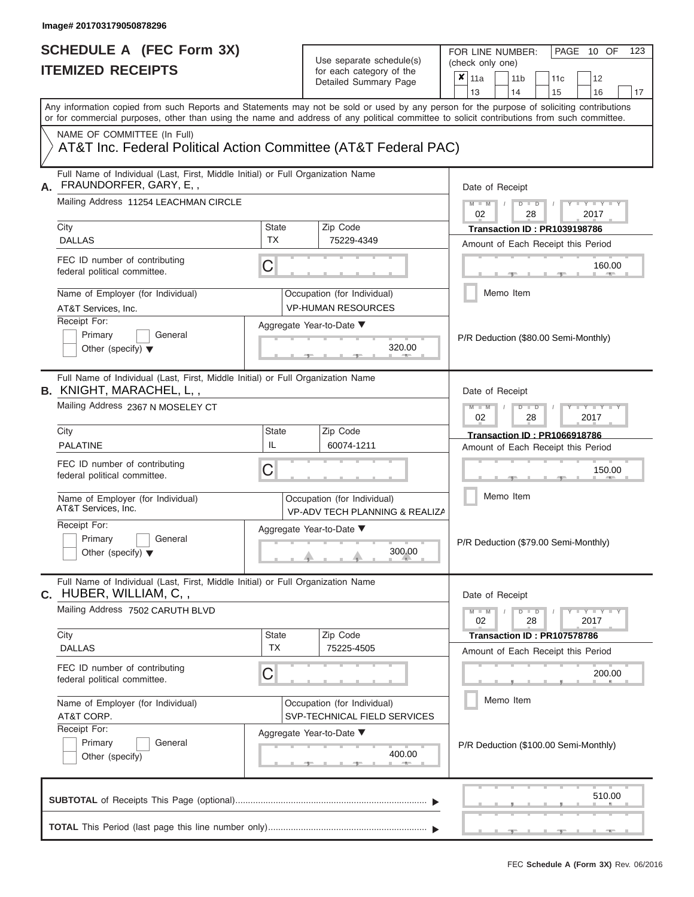FOR LINE NUMBER:<br>(check only one)

PAGE 10 OF 123

|    | IIEMIZED RECEIPIS                                                                                                                                                                                                                                                                       |                                                                          |  | for each category of the<br>Detailed Summary Page           |  | ×<br>11a<br>13                      |                                                               | 11 <sub>b</sub><br>14                |                      | 11c<br>15                           | 12<br>16                              | 17 |  |  |  |
|----|-----------------------------------------------------------------------------------------------------------------------------------------------------------------------------------------------------------------------------------------------------------------------------------------|--------------------------------------------------------------------------|--|-------------------------------------------------------------|--|-------------------------------------|---------------------------------------------------------------|--------------------------------------|----------------------|-------------------------------------|---------------------------------------|----|--|--|--|
|    | Any information copied from such Reports and Statements may not be sold or used by any person for the purpose of soliciting contributions<br>or for commercial purposes, other than using the name and address of any political committee to solicit contributions from such committee. |                                                                          |  |                                                             |  |                                     |                                                               |                                      |                      |                                     |                                       |    |  |  |  |
|    | NAME OF COMMITTEE (In Full)<br>AT&T Inc. Federal Political Action Committee (AT&T Federal PAC)                                                                                                                                                                                          |                                                                          |  |                                                             |  |                                     |                                                               |                                      |                      |                                     |                                       |    |  |  |  |
| А. | Full Name of Individual (Last, First, Middle Initial) or Full Organization Name<br>FRAUNDORFER, GARY, E,,                                                                                                                                                                               |                                                                          |  |                                                             |  | Date of Receipt                     |                                                               |                                      |                      |                                     |                                       |    |  |  |  |
|    | Mailing Address 11254 LEACHMAN CIRCLE                                                                                                                                                                                                                                                   |                                                                          |  |                                                             |  | $M - M$<br>02                       |                                                               |                                      | $D$ $\Box$ $D$<br>28 |                                     | $Y = Y$<br>2017                       |    |  |  |  |
|    | City<br><b>DALLAS</b>                                                                                                                                                                                                                                                                   | <b>State</b><br><b>TX</b>                                                |  | Zip Code<br>75229-4349                                      |  | <b>Transaction ID: PR1039198786</b> |                                                               |                                      |                      |                                     |                                       |    |  |  |  |
|    |                                                                                                                                                                                                                                                                                         |                                                                          |  |                                                             |  |                                     |                                                               |                                      |                      |                                     | Amount of Each Receipt this Period    |    |  |  |  |
|    | FEC ID number of contributing<br>federal political committee.                                                                                                                                                                                                                           | C                                                                        |  |                                                             |  |                                     |                                                               |                                      |                      |                                     | 160.00<br><b>ARTIS</b>                |    |  |  |  |
|    | Name of Employer (for Individual)<br>AT&T Services, Inc.                                                                                                                                                                                                                                |                                                                          |  | Occupation (for Individual)<br><b>VP-HUMAN RESOURCES</b>    |  |                                     |                                                               | Memo Item                            |                      |                                     |                                       |    |  |  |  |
|    | Receipt For:                                                                                                                                                                                                                                                                            |                                                                          |  | Aggregate Year-to-Date ▼                                    |  |                                     |                                                               |                                      |                      |                                     |                                       |    |  |  |  |
|    | Primary<br>General<br>320.00<br>Other (specify) $\blacktriangledown$                                                                                                                                                                                                                    |                                                                          |  |                                                             |  |                                     |                                                               | P/R Deduction (\$80.00 Semi-Monthly) |                      |                                     |                                       |    |  |  |  |
|    | Full Name of Individual (Last, First, Middle Initial) or Full Organization Name<br><b>B.</b> KNIGHT, MARACHEL, L, ,                                                                                                                                                                     |                                                                          |  |                                                             |  | Date of Receipt                     |                                                               |                                      |                      |                                     |                                       |    |  |  |  |
|    | Mailing Address 2367 N MOSELEY CT                                                                                                                                                                                                                                                       |                                                                          |  |                                                             |  |                                     | $M - M$<br>$D - D$<br>$T - Y = T - Y = T$<br>02<br>28<br>2017 |                                      |                      |                                     |                                       |    |  |  |  |
|    | City                                                                                                                                                                                                                                                                                    | State                                                                    |  | Zip Code                                                    |  |                                     |                                                               |                                      |                      | <b>Transaction ID: PR1066918786</b> |                                       |    |  |  |  |
|    | <b>PALATINE</b>                                                                                                                                                                                                                                                                         | IL<br>60074-1211                                                         |  |                                                             |  |                                     | Amount of Each Receipt this Period                            |                                      |                      |                                     |                                       |    |  |  |  |
|    | FEC ID number of contributing<br>federal political committee.                                                                                                                                                                                                                           | C                                                                        |  |                                                             |  |                                     | 150.00                                                        |                                      |                      |                                     |                                       |    |  |  |  |
|    | Name of Employer (for Individual)<br>AT&T Services, Inc.                                                                                                                                                                                                                                | Occupation (for Individual)<br><b>VP-ADV TECH PLANNING &amp; REALIZA</b> |  |                                                             |  |                                     |                                                               | Memo Item                            |                      |                                     |                                       |    |  |  |  |
|    | Receipt For:<br>Primary<br>General<br>Other (specify) $\blacktriangledown$                                                                                                                                                                                                              |                                                                          |  | Aggregate Year-to-Date ▼<br>300.00                          |  |                                     |                                                               |                                      |                      |                                     | P/R Deduction (\$79.00 Semi-Monthly)  |    |  |  |  |
|    | Full Name of Individual (Last, First, Middle Initial) or Full Organization Name<br>C. HUBER, WILLIAM, C,,                                                                                                                                                                               |                                                                          |  |                                                             |  | Date of Receipt                     |                                                               |                                      |                      |                                     |                                       |    |  |  |  |
|    | Mailing Address 7502 CARUTH BLVD                                                                                                                                                                                                                                                        |                                                                          |  |                                                             |  | $M - M$<br>02                       |                                                               |                                      | $D$ $D$<br>28        |                                     | Y L Y L Y<br>2017                     |    |  |  |  |
|    | City                                                                                                                                                                                                                                                                                    | <b>State</b>                                                             |  | Zip Code                                                    |  |                                     |                                                               |                                      |                      | Transaction ID: PR107578786         |                                       |    |  |  |  |
|    | <b>DALLAS</b>                                                                                                                                                                                                                                                                           | <b>TX</b>                                                                |  | 75225-4505                                                  |  |                                     |                                                               |                                      |                      |                                     | Amount of Each Receipt this Period    |    |  |  |  |
|    | FEC ID number of contributing<br>federal political committee.                                                                                                                                                                                                                           | C                                                                        |  |                                                             |  |                                     |                                                               |                                      |                      |                                     | 200.00                                |    |  |  |  |
|    | Name of Employer (for Individual)<br>AT&T CORP.                                                                                                                                                                                                                                         |                                                                          |  | Occupation (for Individual)<br>SVP-TECHNICAL FIELD SERVICES |  |                                     |                                                               | Memo Item                            |                      |                                     |                                       |    |  |  |  |
|    | Receipt For:                                                                                                                                                                                                                                                                            |                                                                          |  | Aggregate Year-to-Date ▼                                    |  |                                     |                                                               |                                      |                      |                                     |                                       |    |  |  |  |
|    | Primary<br>General<br>Other (specify)                                                                                                                                                                                                                                                   | 400.00<br><b>ARCHITECT</b>                                               |  |                                                             |  |                                     |                                                               |                                      |                      |                                     | P/R Deduction (\$100.00 Semi-Monthly) |    |  |  |  |
|    |                                                                                                                                                                                                                                                                                         |                                                                          |  |                                                             |  |                                     |                                                               |                                      |                      |                                     | 510.00                                |    |  |  |  |
|    |                                                                                                                                                                                                                                                                                         |                                                                          |  |                                                             |  |                                     |                                                               |                                      |                      |                                     |                                       |    |  |  |  |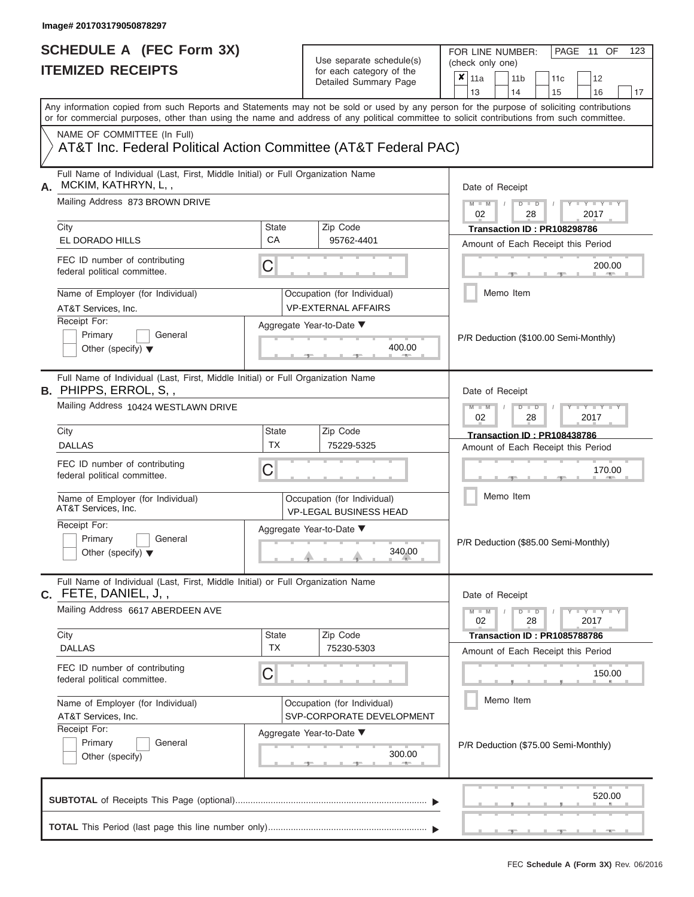FOR LINE NUMBER:<br>(check only one)

PAGE 11 OF 123

|               | II EMIZEV REVEIF I J                                                                                      |                                                                          | for each category of the                                     | $\pmb{\times}$<br>11a<br>12<br>11 <sub>b</sub><br>11 <sub>c</sub>                                                                                                                                                                                                                       |  |  |  |  |
|---------------|-----------------------------------------------------------------------------------------------------------|--------------------------------------------------------------------------|--------------------------------------------------------------|-----------------------------------------------------------------------------------------------------------------------------------------------------------------------------------------------------------------------------------------------------------------------------------------|--|--|--|--|
|               |                                                                                                           |                                                                          | Detailed Summary Page                                        | 13<br>14<br>15<br>16<br>17                                                                                                                                                                                                                                                              |  |  |  |  |
|               |                                                                                                           |                                                                          |                                                              | Any information copied from such Reports and Statements may not be sold or used by any person for the purpose of soliciting contributions<br>or for commercial purposes, other than using the name and address of any political committee to solicit contributions from such committee. |  |  |  |  |
|               | NAME OF COMMITTEE (In Full)<br>AT&T Inc. Federal Political Action Committee (AT&T Federal PAC)            |                                                                          |                                                              |                                                                                                                                                                                                                                                                                         |  |  |  |  |
| А.            | Full Name of Individual (Last, First, Middle Initial) or Full Organization Name<br>MCKIM, KATHRYN, L,,    |                                                                          |                                                              | Date of Receipt                                                                                                                                                                                                                                                                         |  |  |  |  |
|               | Mailing Address 873 BROWN DRIVE                                                                           |                                                                          |                                                              | $+Y+Y+Y$<br>$M - M$<br>$D$ $D$<br>02<br>28<br>2017                                                                                                                                                                                                                                      |  |  |  |  |
| City          |                                                                                                           | <b>State</b>                                                             | Zip Code                                                     | Transaction ID: PR108298786                                                                                                                                                                                                                                                             |  |  |  |  |
|               | EL DORADO HILLS                                                                                           | <b>CA</b>                                                                | 95762-4401                                                   | Amount of Each Receipt this Period                                                                                                                                                                                                                                                      |  |  |  |  |
|               | FEC ID number of contributing<br>federal political committee.                                             | C                                                                        |                                                              | 200.00                                                                                                                                                                                                                                                                                  |  |  |  |  |
|               | Name of Employer (for Individual)<br>AT&T Services, Inc.                                                  |                                                                          | Occupation (for Individual)<br><b>VP-EXTERNAL AFFAIRS</b>    | Memo Item                                                                                                                                                                                                                                                                               |  |  |  |  |
|               | Receipt For:<br>Aggregate Year-to-Date ▼<br>Primary<br>General<br>Other (specify) $\blacktriangledown$    | P/R Deduction (\$100.00 Semi-Monthly)                                    |                                                              |                                                                                                                                                                                                                                                                                         |  |  |  |  |
|               | Full Name of Individual (Last, First, Middle Initial) or Full Organization Name<br>B. PHIPPS, ERROL, S,,  |                                                                          |                                                              | Date of Receipt                                                                                                                                                                                                                                                                         |  |  |  |  |
|               | Mailing Address 10424 WESTLAWN DRIVE                                                                      | $M - M$<br>$T - Y = T - Y = T - Y$<br>$D$ $\Box$ $D$<br>02<br>28<br>2017 |                                                              |                                                                                                                                                                                                                                                                                         |  |  |  |  |
| City          |                                                                                                           | State                                                                    | Zip Code                                                     | Transaction ID: PR108438786                                                                                                                                                                                                                                                             |  |  |  |  |
| <b>DALLAS</b> |                                                                                                           | <b>TX</b>                                                                | 75229-5325                                                   | Amount of Each Receipt this Period                                                                                                                                                                                                                                                      |  |  |  |  |
|               | FEC ID number of contributing<br>federal political committee.                                             | 170.00                                                                   |                                                              |                                                                                                                                                                                                                                                                                         |  |  |  |  |
|               | Name of Employer (for Individual)<br>AT&T Services, Inc.                                                  |                                                                          | Occupation (for Individual)<br><b>VP-LEGAL BUSINESS HEAD</b> | Memo Item                                                                                                                                                                                                                                                                               |  |  |  |  |
|               | Receipt For:<br>Primary<br>General<br>Other (specify) $\blacktriangledown$                                |                                                                          | Aggregate Year-to-Date ▼<br>340.00                           | P/R Deduction (\$85.00 Semi-Monthly)                                                                                                                                                                                                                                                    |  |  |  |  |
|               | Full Name of Individual (Last, First, Middle Initial) or Full Organization Name<br>$C.$ FETE, DANIEL, J,, |                                                                          |                                                              | Date of Receipt                                                                                                                                                                                                                                                                         |  |  |  |  |
|               | Mailing Address 6617 ABERDEEN AVE                                                                         |                                                                          |                                                              | $Y - Y - Y - Y - Y$<br>$M - M$<br>$D$ $D$<br>02<br>28<br>2017                                                                                                                                                                                                                           |  |  |  |  |
| City          |                                                                                                           | State                                                                    | Zip Code                                                     | Transaction ID: PR1085788786                                                                                                                                                                                                                                                            |  |  |  |  |
|               | <b>DALLAS</b>                                                                                             | <b>TX</b>                                                                | 75230-5303                                                   | Amount of Each Receipt this Period                                                                                                                                                                                                                                                      |  |  |  |  |
|               | FEC ID number of contributing<br>federal political committee.                                             | C                                                                        |                                                              | 150.00                                                                                                                                                                                                                                                                                  |  |  |  |  |
|               | Name of Employer (for Individual)<br>AT&T Services, Inc.                                                  |                                                                          | Occupation (for Individual)<br>SVP-CORPORATE DEVELOPMENT     | Memo Item                                                                                                                                                                                                                                                                               |  |  |  |  |
|               | Receipt For:<br>Primary<br>General                                                                        |                                                                          | Aggregate Year-to-Date ▼<br>300.00                           | P/R Deduction (\$75.00 Semi-Monthly)                                                                                                                                                                                                                                                    |  |  |  |  |
|               | Other (specify)                                                                                           |                                                                          | <b>AND</b>                                                   |                                                                                                                                                                                                                                                                                         |  |  |  |  |
|               |                                                                                                           |                                                                          |                                                              | 520.00                                                                                                                                                                                                                                                                                  |  |  |  |  |
|               |                                                                                                           |                                                                          |                                                              |                                                                                                                                                                                                                                                                                         |  |  |  |  |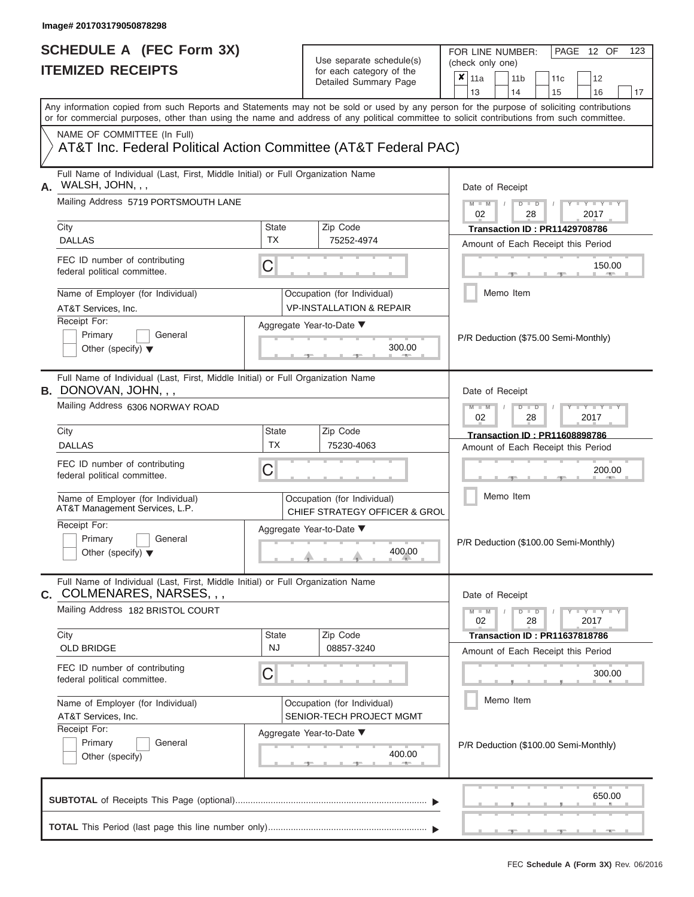# **SCHEDULE A (FEC Form 3X)**

| SCHEDULE A (FEC Form 3X)<br><b>ITEMIZED RECEIPTS</b>                                                                                                                                                                                                                                    |                                                                    | Use separate schedule(s)<br>for each category of the | FOR LINE NUMBER:<br>PAGE 12 OF<br>123<br>(check only one)                                      |
|-----------------------------------------------------------------------------------------------------------------------------------------------------------------------------------------------------------------------------------------------------------------------------------------|--------------------------------------------------------------------|------------------------------------------------------|------------------------------------------------------------------------------------------------|
|                                                                                                                                                                                                                                                                                         |                                                                    | Detailed Summary Page                                | $\boldsymbol{\mathsf{x}}$<br>11a<br>11 <sub>b</sub><br>12<br>11c<br>13<br>14<br>15<br>16<br>17 |
| Any information copied from such Reports and Statements may not be sold or used by any person for the purpose of soliciting contributions<br>or for commercial purposes, other than using the name and address of any political committee to solicit contributions from such committee. |                                                                    |                                                      |                                                                                                |
| NAME OF COMMITTEE (In Full)<br>AT&T Inc. Federal Political Action Committee (AT&T Federal PAC)                                                                                                                                                                                          |                                                                    |                                                      |                                                                                                |
| Full Name of Individual (Last, First, Middle Initial) or Full Organization Name<br>WALSH, JOHN, , ,<br>Α.                                                                                                                                                                               |                                                                    |                                                      | Date of Receipt                                                                                |
| Mailing Address 5719 PORTSMOUTH LANE<br>City                                                                                                                                                                                                                                            | Zip Code<br>State                                                  |                                                      | $M - M$ /<br>$D$ $D$<br>$T - Y = T - Y$<br>02<br>28<br>2017                                    |
| <b>DALLAS</b>                                                                                                                                                                                                                                                                           | <b>TX</b><br>75252-4974                                            |                                                      | <b>Transaction ID: PR11429708786</b><br>Amount of Each Receipt this Period                     |
| FEC ID number of contributing<br>federal political committee.                                                                                                                                                                                                                           | C                                                                  |                                                      | 150.00<br><b>CONTRACTOR</b>                                                                    |
| Name of Employer (for Individual)<br>AT&T Services, Inc.                                                                                                                                                                                                                                | Occupation (for Individual)<br><b>VP-INSTALLATION &amp; REPAIR</b> |                                                      | Memo Item                                                                                      |
| Receipt For:<br>Primary<br>General<br>Other (specify) $\blacktriangledown$                                                                                                                                                                                                              | Aggregate Year-to-Date ▼                                           | 300.00<br><b>Britannia</b>                           | P/R Deduction (\$75.00 Semi-Monthly)                                                           |
| Full Name of Individual (Last, First, Middle Initial) or Full Organization Name<br><b>B.</b> DONOVAN, JOHN, , ,                                                                                                                                                                         |                                                                    |                                                      | Date of Receipt                                                                                |
| Mailing Address 6306 NORWAY ROAD                                                                                                                                                                                                                                                        |                                                                    |                                                      | $M - M$<br>$D$ $D$<br>$T - Y = T - Y = T$<br>02<br>2017<br>28                                  |
| City<br><b>DALLAS</b>                                                                                                                                                                                                                                                                   | <b>State</b><br>Zip Code<br><b>TX</b><br>75230-4063                |                                                      | <b>Transaction ID: PR11608898786</b>                                                           |
| FEC ID number of contributing<br>federal political committee.                                                                                                                                                                                                                           | C                                                                  |                                                      | Amount of Each Receipt this Period<br>200.00                                                   |
| Name of Employer (for Individual)<br>AT&T Management Services, L.P.                                                                                                                                                                                                                     | Occupation (for Individual)                                        | CHIEF STRATEGY OFFICER & GROU                        | Memo Item                                                                                      |
| Receipt For:<br>Primary<br>General<br>Other (specify) $\blacktriangledown$                                                                                                                                                                                                              | Aggregate Year-to-Date ▼                                           | 400.00                                               | P/R Deduction (\$100.00 Semi-Monthly)                                                          |
| Full Name of Individual (Last, First, Middle Initial) or Full Organization Name<br>C. COLMENARES, NARSES, , ,                                                                                                                                                                           |                                                                    |                                                      | Date of Receipt                                                                                |
| Mailing Address 182 BRISTOL COURT                                                                                                                                                                                                                                                       |                                                                    |                                                      | $M - M$<br>$D$ $D$<br>Y - Y - Y - Y<br>02<br>28<br>2017                                        |
| City<br>OLD BRIDGE                                                                                                                                                                                                                                                                      | <b>State</b><br>Zip Code<br><b>NJ</b><br>08857-3240                |                                                      | <b>Transaction ID: PR11637818786</b><br>Amount of Each Receipt this Period                     |
| FEC ID number of contributing<br>federal political committee.                                                                                                                                                                                                                           | C                                                                  |                                                      | 300.00                                                                                         |
| Name of Employer (for Individual)<br>AT&T Services, Inc.                                                                                                                                                                                                                                | Occupation (for Individual)<br>SENIOR-TECH PROJECT MGMT            |                                                      | Memo Item                                                                                      |
| Receipt For:<br>Primary<br>General<br>Other (specify)                                                                                                                                                                                                                                   | Aggregate Year-to-Date ▼                                           | 400.00<br>$-1$                                       | P/R Deduction (\$100.00 Semi-Monthly)                                                          |
|                                                                                                                                                                                                                                                                                         |                                                                    |                                                      | 650.00                                                                                         |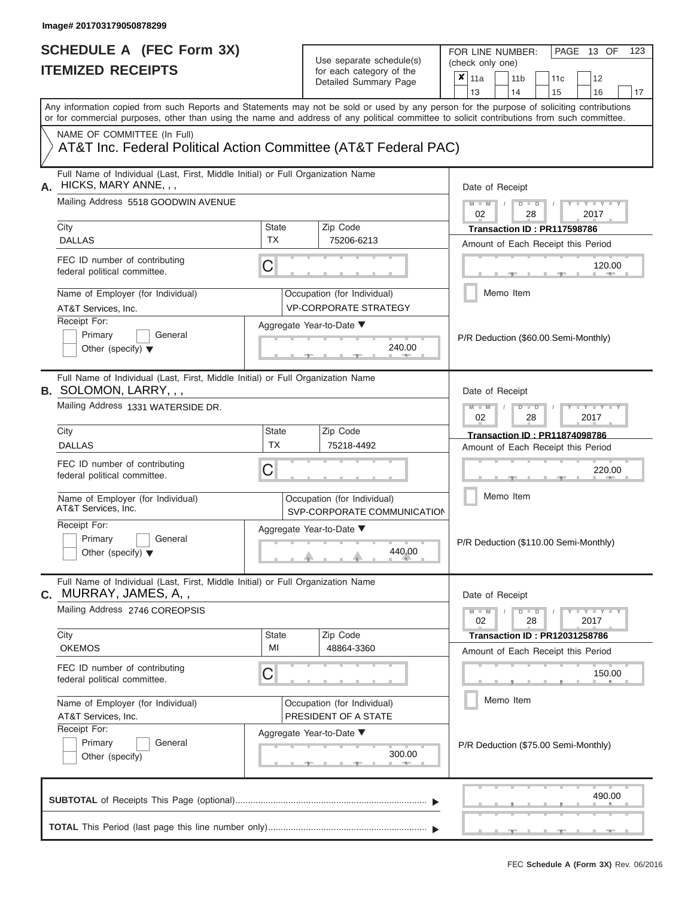| SCHEDULE A (FEC Form 3X)<br><b>ITEMIZED RECEIPTS</b>                                                                                                                                                                                                                                                                                              |                           | Use separate schedule(s)<br>for each category of the<br>Detailed Summary Page                                     | FOR LINE NUMBER:<br>PAGE 13 OF<br>123<br>(check only one)<br>$\overline{\mathbf{x}}$   11a<br>11 <sub>b</sub><br>11 <sub>c</sub><br>12<br>13<br>14<br>15<br>16<br>17                                                                    |
|---------------------------------------------------------------------------------------------------------------------------------------------------------------------------------------------------------------------------------------------------------------------------------------------------------------------------------------------------|---------------------------|-------------------------------------------------------------------------------------------------------------------|-----------------------------------------------------------------------------------------------------------------------------------------------------------------------------------------------------------------------------------------|
| Any information copied from such Reports and Statements may not be sold or used by any person for the purpose of soliciting contributions<br>or for commercial purposes, other than using the name and address of any political committee to solicit contributions from such committee.<br>NAME OF COMMITTEE (In Full)                            |                           |                                                                                                                   |                                                                                                                                                                                                                                         |
| AT&T Inc. Federal Political Action Committee (AT&T Federal PAC)                                                                                                                                                                                                                                                                                   |                           |                                                                                                                   |                                                                                                                                                                                                                                         |
| Full Name of Individual (Last, First, Middle Initial) or Full Organization Name<br>HICKS, MARY ANNE, , ,<br>А.<br>Mailing Address 5518 GOODWIN AVENUE<br>City<br><b>DALLAS</b><br>FEC ID number of contributing<br>federal political committee.<br>Name of Employer (for Individual)<br>AT&T Services, Inc.<br>Receipt For:<br>Primary<br>General | State<br><b>TX</b><br>C   | Zip Code<br>75206-6213<br>Occupation (for Individual)<br><b>VP-CORPORATE STRATEGY</b><br>Aggregate Year-to-Date ▼ | Date of Receipt<br>$M - M$ /<br>$D$ $D$<br>$\blacksquare$ $\vdash$ $\vdash$ $\vdash$ $\vdash$ $\vdash$<br>02<br>2017<br>28<br>Transaction ID: PR117598786<br>Amount of Each Receipt this Period<br>120.00<br><b>1. 400</b><br>Memo Item |
| Other (specify) $\blacktriangledown$<br>Full Name of Individual (Last, First, Middle Initial) or Full Organization Name                                                                                                                                                                                                                           |                           | 240.00                                                                                                            | P/R Deduction (\$60.00 Semi-Monthly)                                                                                                                                                                                                    |
| B. SOLOMON, LARRY, , ,<br>Mailing Address 1331 WATERSIDE DR.                                                                                                                                                                                                                                                                                      |                           |                                                                                                                   | Date of Receipt<br>$M - M$<br>$D$ $D$<br>$\blacksquare$ $\vdash$ $\vdash$ $\vdash$ $\vdash$<br>02<br>2017<br>28                                                                                                                         |
| City<br><b>DALLAS</b>                                                                                                                                                                                                                                                                                                                             | <b>State</b><br><b>TX</b> | Zip Code<br>75218-4492                                                                                            | Transaction ID: PR11874098786<br>Amount of Each Receipt this Period                                                                                                                                                                     |
| FEC ID number of contributing<br>federal political committee.                                                                                                                                                                                                                                                                                     | С                         |                                                                                                                   | 220.00                                                                                                                                                                                                                                  |
| Name of Employer (for Individual)<br>AT&T Services, Inc.                                                                                                                                                                                                                                                                                          |                           | Occupation (for Individual)<br>SVP-CORPORATE COMMUNICATION                                                        | Memo Item                                                                                                                                                                                                                               |
| Receipt For:<br>Primary<br>General<br>Other (specify) $\blacktriangledown$                                                                                                                                                                                                                                                                        |                           | Aggregate Year-to-Date ▼<br>440.00                                                                                | P/R Deduction (\$110.00 Semi-Monthly)                                                                                                                                                                                                   |
| Full Name of Individual (Last, First, Middle Initial) or Full Organization Name<br>MURRAY, JAMES, A,,<br>C.                                                                                                                                                                                                                                       |                           |                                                                                                                   | Date of Receipt                                                                                                                                                                                                                         |
| Mailing Address 2746 COREOPSIS                                                                                                                                                                                                                                                                                                                    |                           |                                                                                                                   | $M - M$<br>$D$ $D$<br>$  Y$ $  Y$ $  Y$<br>02<br>28<br>2017                                                                                                                                                                             |
| City<br><b>OKEMOS</b>                                                                                                                                                                                                                                                                                                                             | State<br>MI               | Zip Code<br>48864-3360                                                                                            | <b>Transaction ID : PR12031258786</b><br>Amount of Each Receipt this Period                                                                                                                                                             |
| FEC ID number of contributing<br>federal political committee.                                                                                                                                                                                                                                                                                     | С                         |                                                                                                                   | 150.00                                                                                                                                                                                                                                  |
| Name of Employer (for Individual)<br>AT&T Services, Inc.                                                                                                                                                                                                                                                                                          |                           | Occupation (for Individual)<br>PRESIDENT OF A STATE                                                               | Memo Item                                                                                                                                                                                                                               |
| Receipt For:<br>Primary<br>General<br>Other (specify)                                                                                                                                                                                                                                                                                             |                           | Aggregate Year-to-Date ▼<br>300.00<br>$-1$                                                                        | P/R Deduction (\$75.00 Semi-Monthly)                                                                                                                                                                                                    |
|                                                                                                                                                                                                                                                                                                                                                   |                           |                                                                                                                   | 490.00                                                                                                                                                                                                                                  |
|                                                                                                                                                                                                                                                                                                                                                   |                           |                                                                                                                   | $-40-$                                                                                                                                                                                                                                  |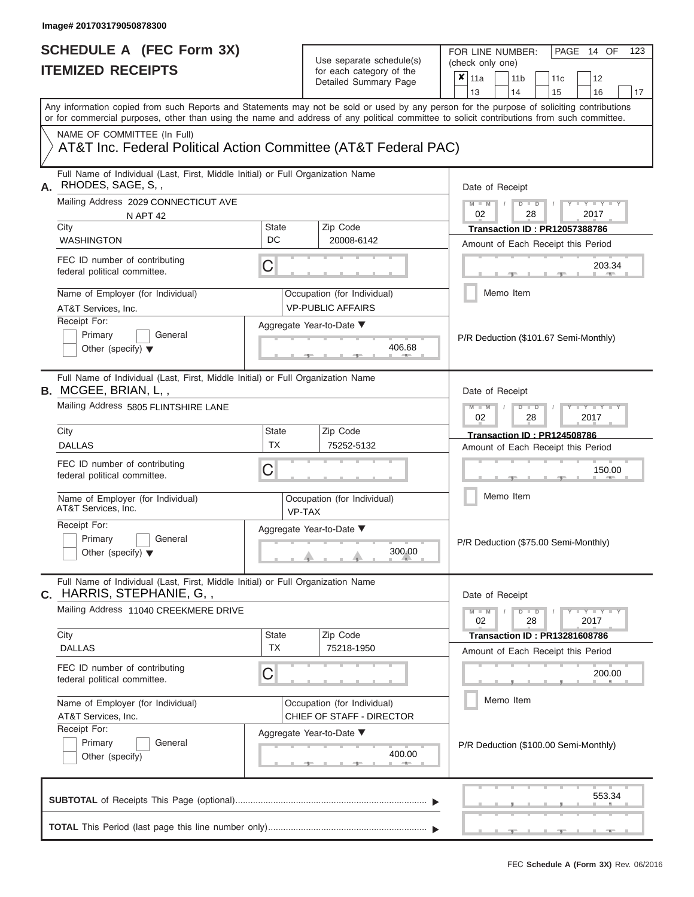| SCHEDULE A (FEC Form 3X)<br><b>ITEMIZED RECEIPTS</b>                                                                                       |                           | Use separate schedule(s)<br>for each category of the<br>Detailed Summary Page | FOR LINE NUMBER:<br>PAGE<br>14 OF<br>123<br>(check only one)<br>$\boldsymbol{\mathsf{x}}$<br>11a<br>11 <sub>b</sub><br>12<br>11c          |  |  |
|--------------------------------------------------------------------------------------------------------------------------------------------|---------------------------|-------------------------------------------------------------------------------|-------------------------------------------------------------------------------------------------------------------------------------------|--|--|
|                                                                                                                                            |                           |                                                                               | 13<br>14<br>15<br>16<br>17                                                                                                                |  |  |
| or for commercial purposes, other than using the name and address of any political committee to solicit contributions from such committee. |                           |                                                                               | Any information copied from such Reports and Statements may not be sold or used by any person for the purpose of soliciting contributions |  |  |
| NAME OF COMMITTEE (In Full)<br>AT&T Inc. Federal Political Action Committee (AT&T Federal PAC)                                             |                           |                                                                               |                                                                                                                                           |  |  |
| Full Name of Individual (Last, First, Middle Initial) or Full Organization Name<br>RHODES, SAGE, S,,<br>А.                                 |                           |                                                                               | Date of Receipt                                                                                                                           |  |  |
| Mailing Address 2029 CONNECTICUT AVE<br><b>N APT 42</b><br>City                                                                            | <b>State</b>              | Zip Code                                                                      | $M - M$ /<br>$D$ $D$<br>$T - Y = T - Y$<br>02<br>28<br>2017<br><b>Transaction ID: PR12057388786</b>                                       |  |  |
| <b>WASHINGTON</b>                                                                                                                          | DC                        | 20008-6142                                                                    | Amount of Each Receipt this Period                                                                                                        |  |  |
| FEC ID number of contributing<br>federal political committee.                                                                              | C                         |                                                                               | 203.34<br><b>CONTRACTOR</b>                                                                                                               |  |  |
| Name of Employer (for Individual)<br>AT&T Services, Inc.                                                                                   |                           | Occupation (for Individual)<br><b>VP-PUBLIC AFFAIRS</b>                       | Memo Item                                                                                                                                 |  |  |
| Receipt For:<br>Primary<br>General<br>Other (specify) $\blacktriangledown$                                                                 |                           | Aggregate Year-to-Date ▼<br>406.68<br><b>Contract Contract Contract</b>       | P/R Deduction (\$101.67 Semi-Monthly)                                                                                                     |  |  |
| Full Name of Individual (Last, First, Middle Initial) or Full Organization Name<br>B. MCGEE, BRIAN, L,,                                    |                           |                                                                               | Date of Receipt                                                                                                                           |  |  |
| Mailing Address 5805 FLINTSHIRE LANE                                                                                                       |                           |                                                                               | $M - M$<br>$D$ $D$<br>$+Y+Y+Y$<br>02<br>2017<br>28                                                                                        |  |  |
| City<br><b>DALLAS</b>                                                                                                                      | <b>State</b><br><b>TX</b> | Zip Code<br>75252-5132                                                        | Transaction ID: PR124508786<br>Amount of Each Receipt this Period                                                                         |  |  |
| FEC ID number of contributing<br>federal political committee.                                                                              | C                         |                                                                               | 150.00                                                                                                                                    |  |  |
| Name of Employer (for Individual)<br>AT&T Services, Inc.                                                                                   |                           | Occupation (for Individual)<br>VP-TAX                                         | Memo Item                                                                                                                                 |  |  |
| Receipt For:<br>Primary<br>General<br>Other (specify) $\blacktriangledown$                                                                 |                           | Aggregate Year-to-Date ▼<br>300.00                                            | P/R Deduction (\$75.00 Semi-Monthly)                                                                                                      |  |  |
| Full Name of Individual (Last, First, Middle Initial) or Full Organization Name<br>C. HARRIS, STEPHANIE, G,,                               |                           |                                                                               | Date of Receipt                                                                                                                           |  |  |
| Mailing Address 11040 CREEKMERE DRIVE<br>City                                                                                              | <b>State</b>              | Zip Code                                                                      | $M - M$<br>$D$ $D$<br>Y - Y - Y - Y<br>02<br>28<br>2017<br><b>Transaction ID: PR13281608786</b>                                           |  |  |
| <b>DALLAS</b>                                                                                                                              | <b>TX</b>                 | 75218-1950                                                                    | Amount of Each Receipt this Period                                                                                                        |  |  |
| FEC ID number of contributing<br>federal political committee.                                                                              | C                         |                                                                               | 200.00                                                                                                                                    |  |  |
| Name of Employer (for Individual)<br>AT&T Services, Inc.                                                                                   |                           | Occupation (for Individual)<br>CHIEF OF STAFF - DIRECTOR                      | Memo Item                                                                                                                                 |  |  |
| Receipt For:<br>Primary<br>General<br>Other (specify)                                                                                      |                           | Aggregate Year-to-Date ▼<br>400.00<br>$-1$                                    | P/R Deduction (\$100.00 Semi-Monthly)                                                                                                     |  |  |
|                                                                                                                                            |                           |                                                                               | 553.34                                                                                                                                    |  |  |
|                                                                                                                                            |                           |                                                                               |                                                                                                                                           |  |  |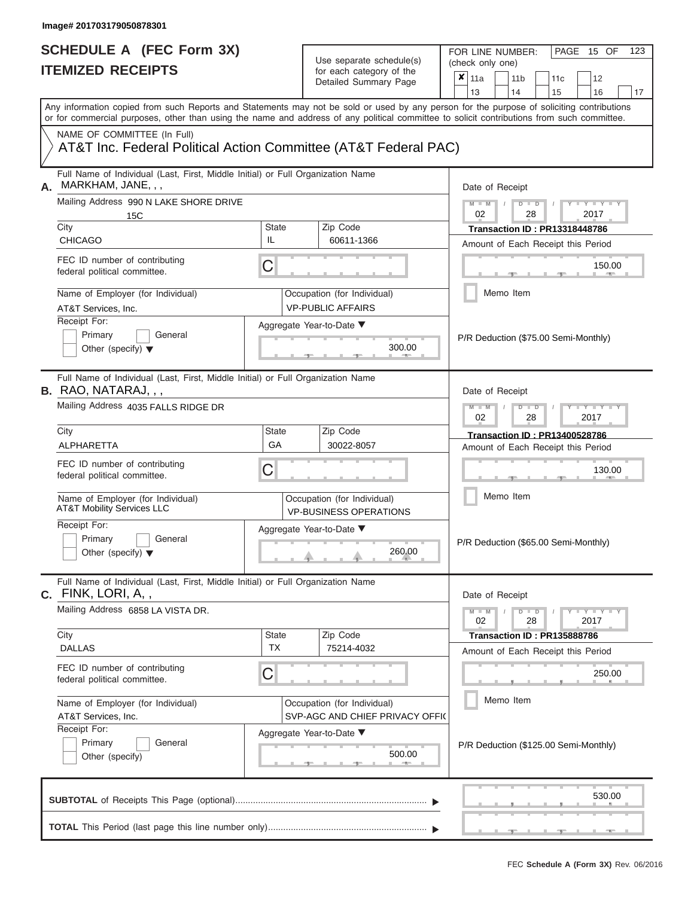| SCHEDULE A (FEC Form 3X)<br><b>ITEMIZED RECEIPTS</b>                                                                                                                                                                                                                                                                                                                                              |                    | Use separate schedule(s)<br>for each category of the<br>Detailed Summary Page                                           | FOR LINE NUMBER:<br>PAGE 15 OF<br>123<br>(check only one)<br>$\overline{\mathbf{x}}$   11a<br>11 <sub>b</sub><br>11 <sub>c</sub><br>12                                                                                                       |
|---------------------------------------------------------------------------------------------------------------------------------------------------------------------------------------------------------------------------------------------------------------------------------------------------------------------------------------------------------------------------------------------------|--------------------|-------------------------------------------------------------------------------------------------------------------------|----------------------------------------------------------------------------------------------------------------------------------------------------------------------------------------------------------------------------------------------|
| Any information copied from such Reports and Statements may not be sold or used by any person for the purpose of soliciting contributions                                                                                                                                                                                                                                                         |                    |                                                                                                                         | 13<br>14<br>15<br>16<br>17                                                                                                                                                                                                                   |
| or for commercial purposes, other than using the name and address of any political committee to solicit contributions from such committee.<br>NAME OF COMMITTEE (In Full)<br>AT&T Inc. Federal Political Action Committee (AT&T Federal PAC)                                                                                                                                                      |                    |                                                                                                                         |                                                                                                                                                                                                                                              |
| Full Name of Individual (Last, First, Middle Initial) or Full Organization Name<br>MARKHAM, JANE, , ,<br>А.<br>Mailing Address 990 N LAKE SHORE DRIVE<br>15C<br>City<br><b>CHICAGO</b><br>FEC ID number of contributing<br>federal political committee.<br>Name of Employer (for Individual)<br>AT&T Services, Inc.<br>Receipt For:<br>Primary<br>General<br>Other (specify) $\blacktriangledown$ | State<br>IL<br>C   | Zip Code<br>60611-1366<br>Occupation (for Individual)<br><b>VP-PUBLIC AFFAIRS</b><br>Aggregate Year-to-Date ▼<br>300.00 | Date of Receipt<br>$M - M$ /<br>$D$ $D$<br>$Y - Y - I$<br>02<br>28<br>2017<br><b>Transaction ID: PR13318448786</b><br>Amount of Each Receipt this Period<br>150.00<br><b>CONTRACTOR</b><br>Memo Item<br>P/R Deduction (\$75.00 Semi-Monthly) |
| Full Name of Individual (Last, First, Middle Initial) or Full Organization Name<br><b>B.</b> RAO, NATARAJ, , ,<br>Mailing Address 4035 FALLS RIDGE DR                                                                                                                                                                                                                                             |                    |                                                                                                                         | Date of Receipt<br>$M - M$<br>$D$ $D$<br>$\blacksquare$ $\vdash$ $\vdash$ $\vdash$ $\vdash$ $\vdash$ $\vdash$ $\vdash$<br>02<br>2017<br>28                                                                                                   |
| City<br>ALPHARETTA                                                                                                                                                                                                                                                                                                                                                                                | <b>State</b><br>GA | Zip Code<br>30022-8057                                                                                                  | Transaction ID: PR13400528786<br>Amount of Each Receipt this Period                                                                                                                                                                          |
| FEC ID number of contributing<br>federal political committee.                                                                                                                                                                                                                                                                                                                                     | С                  |                                                                                                                         | 130.00                                                                                                                                                                                                                                       |
| Name of Employer (for Individual)<br><b>AT&amp;T Mobility Services LLC</b>                                                                                                                                                                                                                                                                                                                        |                    | Occupation (for Individual)<br><b>VP-BUSINESS OPERATIONS</b>                                                            | Memo Item                                                                                                                                                                                                                                    |
| Receipt For:<br>Primary<br>General<br>Other (specify) $\blacktriangledown$                                                                                                                                                                                                                                                                                                                        |                    | Aggregate Year-to-Date ▼<br>260.00                                                                                      | P/R Deduction (\$65.00 Semi-Monthly)                                                                                                                                                                                                         |
| Full Name of Individual (Last, First, Middle Initial) or Full Organization Name<br>C. FINK, LORI, A,,                                                                                                                                                                                                                                                                                             |                    |                                                                                                                         | Date of Receipt                                                                                                                                                                                                                              |
| Mailing Address 6858 LA VISTA DR.                                                                                                                                                                                                                                                                                                                                                                 |                    |                                                                                                                         | $M - M$<br>$D$ $D$<br>$  Y$ $  Y$ $  Y$<br>02<br>28<br>2017                                                                                                                                                                                  |
| City<br><b>DALLAS</b>                                                                                                                                                                                                                                                                                                                                                                             | State<br><b>TX</b> | Zip Code<br>75214-4032                                                                                                  | Transaction ID: PR135888786<br>Amount of Each Receipt this Period                                                                                                                                                                            |
| FEC ID number of contributing<br>federal political committee.                                                                                                                                                                                                                                                                                                                                     | С                  |                                                                                                                         | 250.00                                                                                                                                                                                                                                       |
| Name of Employer (for Individual)<br>AT&T Services, Inc.                                                                                                                                                                                                                                                                                                                                          |                    | Occupation (for Individual)<br>SVP-AGC AND CHIEF PRIVACY OFFIC                                                          | Memo Item                                                                                                                                                                                                                                    |
| Receipt For:<br>Primary<br>General<br>Other (specify)                                                                                                                                                                                                                                                                                                                                             |                    | Aggregate Year-to-Date ▼<br>500.00<br><b>CONTRACTOR</b>                                                                 | P/R Deduction (\$125.00 Semi-Monthly)                                                                                                                                                                                                        |
|                                                                                                                                                                                                                                                                                                                                                                                                   |                    |                                                                                                                         | 530.00                                                                                                                                                                                                                                       |
|                                                                                                                                                                                                                                                                                                                                                                                                   |                    |                                                                                                                         | $-$<br>$-9$                                                                                                                                                                                                                                  |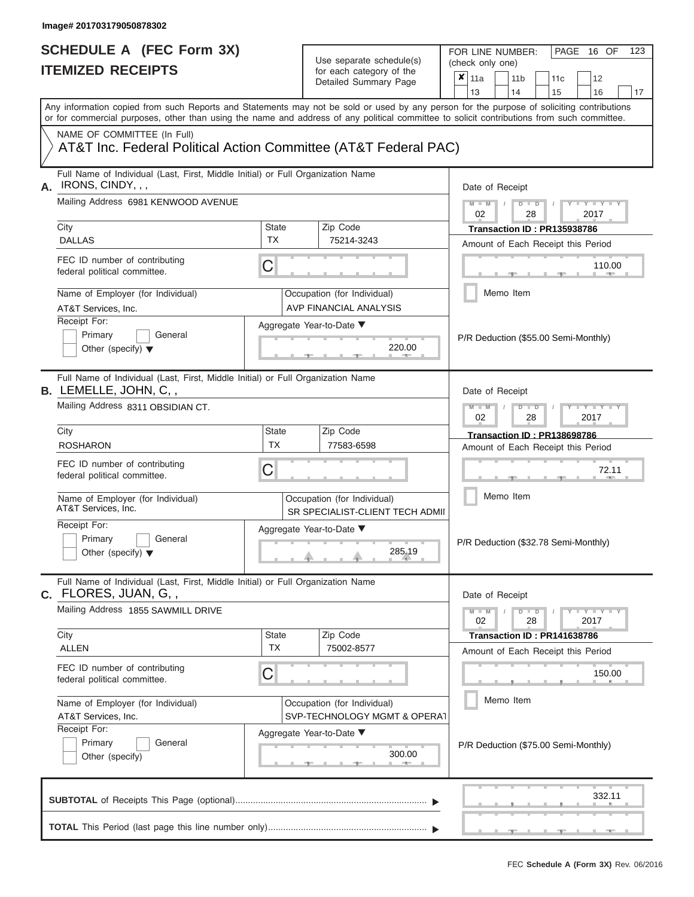| SCHEDULE A (FEC Form 3X)<br><b>ITEMIZED RECEIPTS</b>                                                                                                                                                                                                                                                                    |                           | Use separate schedule(s)<br>for each category of the<br>Detailed Summary Page                                      | FOR LINE NUMBER:<br>PAGE 16 OF<br>123<br>(check only one)<br>$\overline{\mathbf{x}}$   11a<br>11 <sub>b</sub><br>11 <sub>c</sub><br>12                                                                                                |
|-------------------------------------------------------------------------------------------------------------------------------------------------------------------------------------------------------------------------------------------------------------------------------------------------------------------------|---------------------------|--------------------------------------------------------------------------------------------------------------------|---------------------------------------------------------------------------------------------------------------------------------------------------------------------------------------------------------------------------------------|
| Any information copied from such Reports and Statements may not be sold or used by any person for the purpose of soliciting contributions<br>or for commercial purposes, other than using the name and address of any political committee to solicit contributions from such committee.                                 |                           |                                                                                                                    | 13<br>14<br>15<br>16<br>17                                                                                                                                                                                                            |
| NAME OF COMMITTEE (In Full)<br>AT&T Inc. Federal Political Action Committee (AT&T Federal PAC)                                                                                                                                                                                                                          |                           |                                                                                                                    |                                                                                                                                                                                                                                       |
| Full Name of Individual (Last, First, Middle Initial) or Full Organization Name<br>IRONS, CINDY, , ,<br>А.<br>Mailing Address 6981 KENWOOD AVENUE<br>City<br><b>DALLAS</b><br>FEC ID number of contributing<br>federal political committee.<br>Name of Employer (for Individual)<br>AT&T Services, Inc.<br>Receipt For: | State<br><b>TX</b><br>C   | Zip Code<br>75214-3243<br>Occupation (for Individual)<br><b>AVP FINANCIAL ANALYSIS</b><br>Aggregate Year-to-Date ▼ | Date of Receipt<br>$M = M$ /<br>$D$ $D$<br>$\Box$ $\Upsilon$ $\Box$ $\Upsilon$ $\Box$ $\Upsilon$<br>02<br>2017<br>28<br>Transaction ID: PR135938786<br>Amount of Each Receipt this Period<br>110.00<br><b>CONTRACTOR</b><br>Memo Item |
| Primary<br>General<br>Other (specify) $\blacktriangledown$                                                                                                                                                                                                                                                              |                           | 220.00                                                                                                             | P/R Deduction (\$55.00 Semi-Monthly)                                                                                                                                                                                                  |
| Full Name of Individual (Last, First, Middle Initial) or Full Organization Name<br><b>B.</b> LEMELLE, JOHN, C,,<br>Mailing Address 8311 OBSIDIAN CT.                                                                                                                                                                    |                           |                                                                                                                    | Date of Receipt<br>$M - M$<br>$D$ $D$<br>$+Y+Y+Y$<br>02<br>2017<br>28                                                                                                                                                                 |
| City<br><b>ROSHARON</b>                                                                                                                                                                                                                                                                                                 | <b>State</b><br><b>TX</b> | Zip Code<br>77583-6598                                                                                             | Transaction ID: PR138698786<br>Amount of Each Receipt this Period                                                                                                                                                                     |
| FEC ID number of contributing<br>federal political committee.                                                                                                                                                                                                                                                           | С                         |                                                                                                                    | 72.11                                                                                                                                                                                                                                 |
| Name of Employer (for Individual)<br>AT&T Services, Inc.                                                                                                                                                                                                                                                                |                           | Occupation (for Individual)<br>SR SPECIALIST-CLIENT TECH ADMII                                                     | Memo Item                                                                                                                                                                                                                             |
| Receipt For:<br>Primary<br>General<br>Other (specify) $\blacktriangledown$                                                                                                                                                                                                                                              |                           | Aggregate Year-to-Date ▼<br>285.19                                                                                 | P/R Deduction (\$32.78 Semi-Monthly)                                                                                                                                                                                                  |
| Full Name of Individual (Last, First, Middle Initial) or Full Organization Name<br>C. FLORES, JUAN, G,,                                                                                                                                                                                                                 |                           |                                                                                                                    | Date of Receipt                                                                                                                                                                                                                       |
| Mailing Address 1855 SAWMILL DRIVE<br>City                                                                                                                                                                                                                                                                              | State                     | Zip Code                                                                                                           | $M - M$<br>$D$ $D$<br>$  Y$ $  Y$ $  Y$<br>02<br>28<br>2017<br>Transaction ID: PR141638786                                                                                                                                            |
| <b>ALLEN</b><br>FEC ID number of contributing                                                                                                                                                                                                                                                                           | <b>TX</b>                 | 75002-8577                                                                                                         | Amount of Each Receipt this Period                                                                                                                                                                                                    |
| federal political committee.                                                                                                                                                                                                                                                                                            | С                         |                                                                                                                    | 150.00<br>Memo Item                                                                                                                                                                                                                   |
| Name of Employer (for Individual)<br>AT&T Services, Inc.<br>Receipt For:<br>Primary<br>General<br>Other (specify)                                                                                                                                                                                                       |                           | Occupation (for Individual)<br>SVP-TECHNOLOGY MGMT & OPERA1<br>Aggregate Year-to-Date ▼<br>300.00<br>--            | P/R Deduction (\$75.00 Semi-Monthly)                                                                                                                                                                                                  |
|                                                                                                                                                                                                                                                                                                                         |                           |                                                                                                                    | 332.11                                                                                                                                                                                                                                |
|                                                                                                                                                                                                                                                                                                                         |                           |                                                                                                                    | $-9$<br>$-$                                                                                                                                                                                                                           |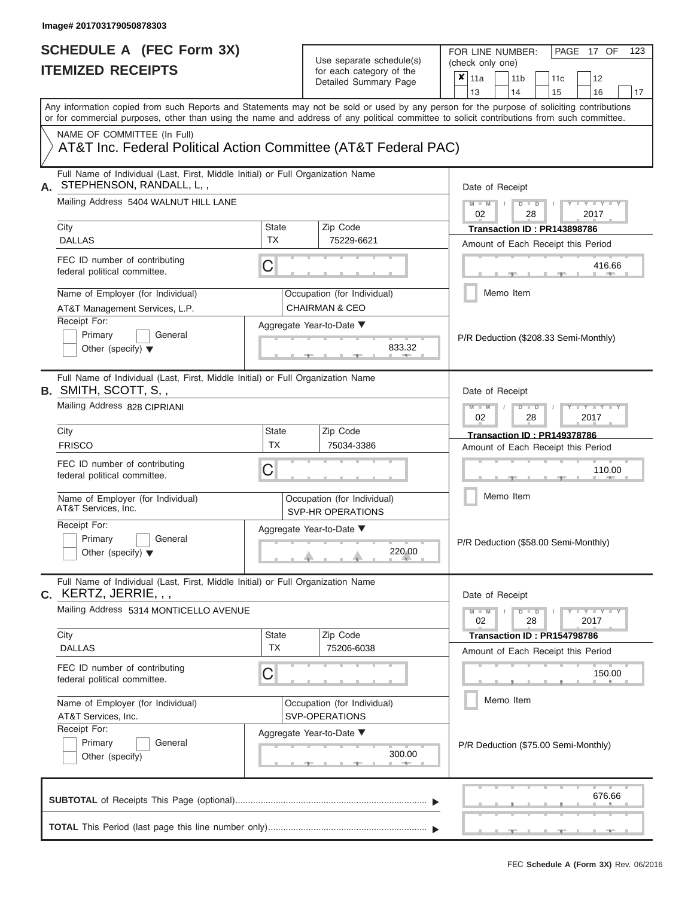# Use separate schedule(s)

FOR LINE NUMBER:<br>(check only one)

PAGE 17 OF 123

| <b>ILEMIZED REGEIPIS</b>                                                                                                                                                                                                                                                                |                    | for each category of the                                 | ×<br>11a<br>11 <sub>b</sub><br>11c<br>12                                                                          |  |  |  |
|-----------------------------------------------------------------------------------------------------------------------------------------------------------------------------------------------------------------------------------------------------------------------------------------|--------------------|----------------------------------------------------------|-------------------------------------------------------------------------------------------------------------------|--|--|--|
|                                                                                                                                                                                                                                                                                         |                    | Detailed Summary Page                                    | 13<br>14<br>15<br>16<br>17                                                                                        |  |  |  |
| Any information copied from such Reports and Statements may not be sold or used by any person for the purpose of soliciting contributions<br>or for commercial purposes, other than using the name and address of any political committee to solicit contributions from such committee. |                    |                                                          |                                                                                                                   |  |  |  |
| NAME OF COMMITTEE (In Full)                                                                                                                                                                                                                                                             |                    |                                                          |                                                                                                                   |  |  |  |
| AT&T Inc. Federal Political Action Committee (AT&T Federal PAC)                                                                                                                                                                                                                         |                    |                                                          |                                                                                                                   |  |  |  |
| Full Name of Individual (Last, First, Middle Initial) or Full Organization Name<br>STEPHENSON, RANDALL, L,,<br>А.                                                                                                                                                                       |                    |                                                          | Date of Receipt                                                                                                   |  |  |  |
| Mailing Address 5404 WALNUT HILL LANE                                                                                                                                                                                                                                                   |                    |                                                          | $M - M$<br>$D$ $\Box$ $D$<br>$\mathbf{I} = \mathbf{Y} - \mathbf{I} - \mathbf{Y} - \mathbf{I}$<br>02<br>28<br>2017 |  |  |  |
| City                                                                                                                                                                                                                                                                                    | State<br><b>TX</b> | Zip Code                                                 | Transaction ID: PR143898786                                                                                       |  |  |  |
| <b>DALLAS</b>                                                                                                                                                                                                                                                                           |                    | 75229-6621                                               | Amount of Each Receipt this Period                                                                                |  |  |  |
| FEC ID number of contributing<br>federal political committee.                                                                                                                                                                                                                           | C                  |                                                          | 416.66                                                                                                            |  |  |  |
| Name of Employer (for Individual)<br>AT&T Management Services, L.P.                                                                                                                                                                                                                     |                    | Occupation (for Individual)<br><b>CHAIRMAN &amp; CEO</b> | Memo Item                                                                                                         |  |  |  |
| Receipt For:                                                                                                                                                                                                                                                                            |                    | Aggregate Year-to-Date ▼                                 |                                                                                                                   |  |  |  |
| Primary<br>General<br>Other (specify) $\blacktriangledown$                                                                                                                                                                                                                              |                    | 833.32                                                   | P/R Deduction (\$208.33 Semi-Monthly)                                                                             |  |  |  |
| Full Name of Individual (Last, First, Middle Initial) or Full Organization Name<br><b>B.</b> SMITH, SCOTT, S,,                                                                                                                                                                          |                    |                                                          | Date of Receipt                                                                                                   |  |  |  |
| Mailing Address 828 CIPRIANI                                                                                                                                                                                                                                                            |                    |                                                          | $M - M$<br>$T - Y = T - Y = T - Y$<br>$D$ $\Box$ $D$<br>02<br>28<br>2017                                          |  |  |  |
| City                                                                                                                                                                                                                                                                                    | <b>State</b>       | Zip Code                                                 | <b>Transaction ID: PR149378786</b>                                                                                |  |  |  |
| <b>FRISCO</b>                                                                                                                                                                                                                                                                           | TX                 | 75034-3386                                               | Amount of Each Receipt this Period                                                                                |  |  |  |
| FEC ID number of contributing<br>federal political committee.                                                                                                                                                                                                                           | C                  |                                                          | 110.00                                                                                                            |  |  |  |
| Name of Employer (for Individual)<br>AT&T Services, Inc.                                                                                                                                                                                                                                |                    | Occupation (for Individual)<br><b>SVP-HR OPERATIONS</b>  | Memo Item                                                                                                         |  |  |  |
| Receipt For:<br>Primary<br>General<br>Other (specify) $\blacktriangledown$                                                                                                                                                                                                              |                    | Aggregate Year-to-Date ▼<br>220.00                       | P/R Deduction (\$58.00 Semi-Monthly)                                                                              |  |  |  |
| Full Name of Individual (Last, First, Middle Initial) or Full Organization Name<br>$C.$ KERTZ, JERRIE, , ,                                                                                                                                                                              |                    |                                                          | Date of Receipt                                                                                                   |  |  |  |
| Mailing Address 5314 MONTICELLO AVENUE                                                                                                                                                                                                                                                  |                    |                                                          | $D$ $\Box$ $D$<br>$Y - Y - Y - Y - I - Y$<br>$M - M$<br>$\sqrt{2}$<br>28<br>02<br>2017                            |  |  |  |
| City                                                                                                                                                                                                                                                                                    | State              | Zip Code                                                 | Transaction ID: PR154798786                                                                                       |  |  |  |
| <b>DALLAS</b>                                                                                                                                                                                                                                                                           | <b>TX</b>          | 75206-6038                                               | Amount of Each Receipt this Period                                                                                |  |  |  |
| FEC ID number of contributing<br>federal political committee.                                                                                                                                                                                                                           | C                  |                                                          | 150.00                                                                                                            |  |  |  |
| Name of Employer (for Individual)<br>AT&T Services, Inc.                                                                                                                                                                                                                                |                    | Occupation (for Individual)<br>SVP-OPERATIONS            | Memo Item                                                                                                         |  |  |  |
| Receipt For:                                                                                                                                                                                                                                                                            |                    | Aggregate Year-to-Date ▼                                 |                                                                                                                   |  |  |  |
| Primary<br>General<br>Other (specify)                                                                                                                                                                                                                                                   |                    | 300.00<br><b>1. 400 mm</b>                               | P/R Deduction (\$75.00 Semi-Monthly)                                                                              |  |  |  |
|                                                                                                                                                                                                                                                                                         |                    |                                                          | 676.66                                                                                                            |  |  |  |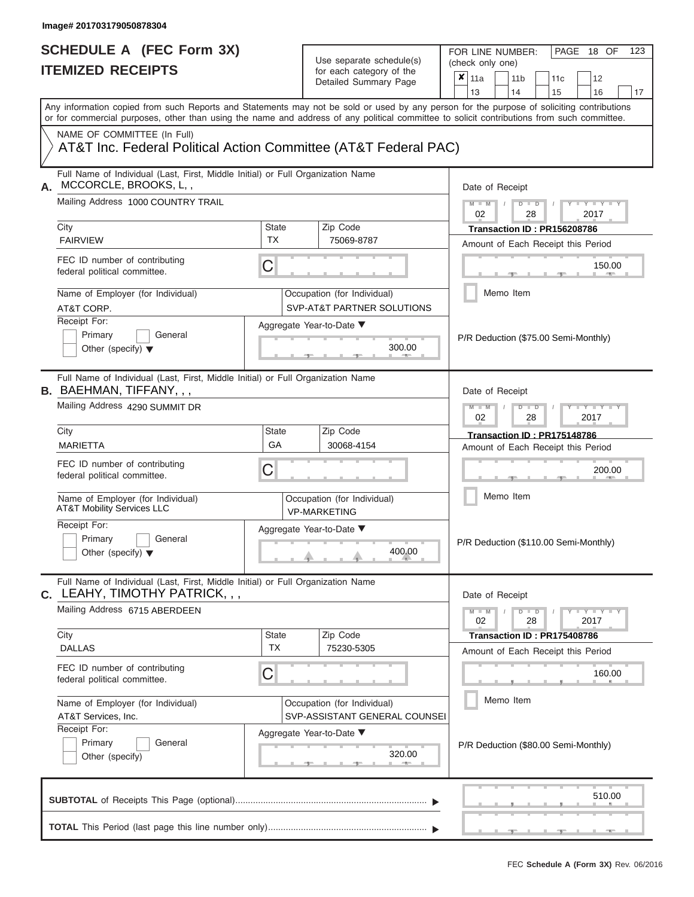| SCHEDULE A (FEC Form 3X)<br><b>ITEMIZED RECEIPTS</b>                                                                                                 |                    | Use separate schedule(s)<br>for each category of the<br>Detailed Summary Page | 123<br>FOR LINE NUMBER:<br>PAGE 18 OF<br>(check only one)<br>$\overline{\mathbf{x}}$   11a<br>11 <sub>b</sub><br>11 <sub>c</sub><br>12<br>13<br>14          |
|------------------------------------------------------------------------------------------------------------------------------------------------------|--------------------|-------------------------------------------------------------------------------|-------------------------------------------------------------------------------------------------------------------------------------------------------------|
| or for commercial purposes, other than using the name and address of any political committee to solicit contributions from such committee.           |                    |                                                                               | 15<br>16<br>17<br>Any information copied from such Reports and Statements may not be sold or used by any person for the purpose of soliciting contributions |
| NAME OF COMMITTEE (In Full)<br>AT&T Inc. Federal Political Action Committee (AT&T Federal PAC)                                                       |                    |                                                                               |                                                                                                                                                             |
| Full Name of Individual (Last, First, Middle Initial) or Full Organization Name<br>MCCORCLE, BROOKS, L,,<br>А.<br>Mailing Address 1000 COUNTRY TRAIL |                    |                                                                               | Date of Receipt<br>$M = M$ /<br>$D$ $D$<br>$\Box$ $\Upsilon$ $\Box$ $\Upsilon$ $\Box$ $\Upsilon$                                                            |
| City<br><b>FAIRVIEW</b>                                                                                                                              | State<br>TX        | Zip Code<br>75069-8787                                                        | 02<br>28<br>2017<br>Transaction ID: PR156208786<br>Amount of Each Receipt this Period                                                                       |
| FEC ID number of contributing<br>federal political committee.                                                                                        | C                  |                                                                               | 150.00<br><b>1. 400</b>                                                                                                                                     |
| Name of Employer (for Individual)<br>AT&T CORP.                                                                                                      |                    | Occupation (for Individual)<br>SVP-AT&T PARTNER SOLUTIONS                     | Memo Item                                                                                                                                                   |
| Receipt For:<br>Primary<br>General<br>Other (specify) $\blacktriangledown$                                                                           |                    | Aggregate Year-to-Date ▼<br>300.00                                            | P/R Deduction (\$75.00 Semi-Monthly)                                                                                                                        |
| Full Name of Individual (Last, First, Middle Initial) or Full Organization Name<br><b>B.</b> BAEHMAN, TIFFANY, , ,                                   |                    |                                                                               | Date of Receipt                                                                                                                                             |
| Mailing Address 4290 SUMMIT DR                                                                                                                       |                    |                                                                               | $M - M$<br>$D$ $D$<br>$+Y+Y+Y$<br>02<br>2017<br>28                                                                                                          |
| City<br><b>MARIETTA</b>                                                                                                                              | <b>State</b><br>GA | Zip Code<br>30068-4154                                                        | Transaction ID: PR175148786<br>Amount of Each Receipt this Period                                                                                           |
| FEC ID number of contributing<br>federal political committee.                                                                                        | С                  |                                                                               | 200.00                                                                                                                                                      |
| Name of Employer (for Individual)<br><b>AT&amp;T Mobility Services LLC</b>                                                                           |                    | Occupation (for Individual)<br><b>VP-MARKETING</b>                            | Memo Item                                                                                                                                                   |
| Receipt For:<br>Primary<br>General<br>Other (specify) $\blacktriangledown$                                                                           |                    | Aggregate Year-to-Date ▼<br>400.00                                            | P/R Deduction (\$110.00 Semi-Monthly)                                                                                                                       |
| Full Name of Individual (Last, First, Middle Initial) or Full Organization Name<br><b>c.</b> LEAHY, TIMOTHY PATRICK, , ,                             |                    |                                                                               | Date of Receipt                                                                                                                                             |
| Mailing Address 6715 ABERDEEN                                                                                                                        |                    |                                                                               | $M - M$<br>$D$ $D$<br>$  Y$ $  Y$ $  Y$<br>02<br>28<br>2017                                                                                                 |
| City<br><b>DALLAS</b>                                                                                                                                | State<br><b>TX</b> | Zip Code<br>75230-5305                                                        | Transaction ID: PR175408786<br>Amount of Each Receipt this Period                                                                                           |
| FEC ID number of contributing<br>federal political committee.                                                                                        | С                  |                                                                               | 160.00                                                                                                                                                      |
| Name of Employer (for Individual)<br>AT&T Services, Inc.                                                                                             |                    | Occupation (for Individual)<br>SVP-ASSISTANT GENERAL COUNSEI                  | Memo Item                                                                                                                                                   |
| Receipt For:<br>Primary<br>General<br>Other (specify)                                                                                                |                    | Aggregate Year-to-Date ▼<br>320.00<br><b>CONTRACTOR</b>                       | P/R Deduction (\$80.00 Semi-Monthly)                                                                                                                        |
|                                                                                                                                                      |                    |                                                                               | 510.00                                                                                                                                                      |
|                                                                                                                                                      |                    |                                                                               | $\mathcal{L} = \mathcal{L}(\mathcal{L})$<br>$-1$                                                                                                            |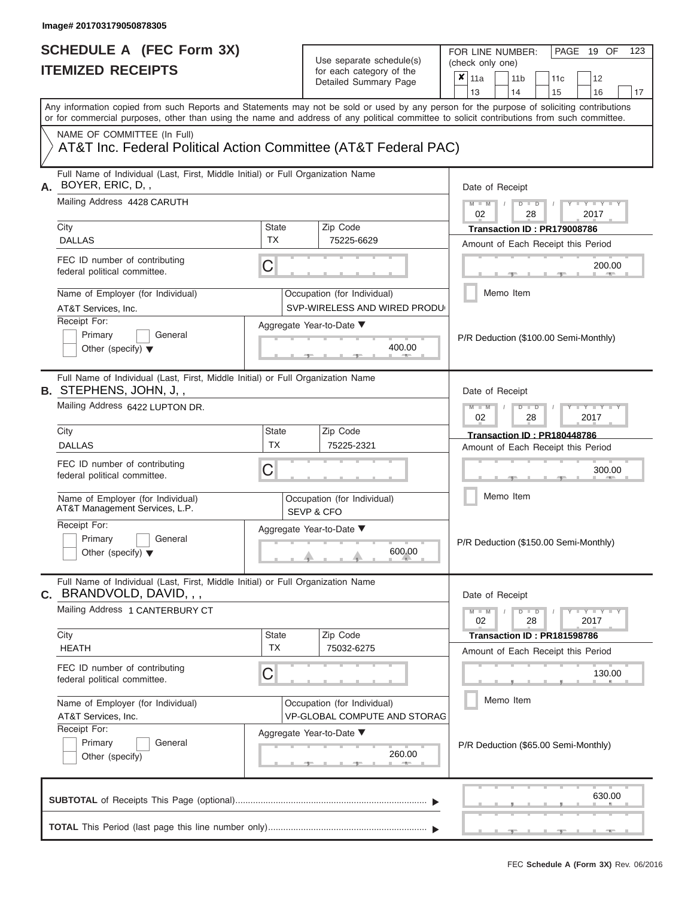# **SCHEDULE A (FEC Form 3X)**

| SCHEDULE A (FEC Form 3X)<br><b>ITEMIZED RECEIPTS</b>                                                                                       |                           | Use separate schedule(s)<br>for each category of the<br>Detailed Summary Page | 123<br>FOR LINE NUMBER:<br>PAGE 19 OF<br>(check only one)<br>$\overline{\mathbf{x}}$   11a<br>11 <sub>b</sub><br>12<br>11 <sub>c</sub>                                        |
|--------------------------------------------------------------------------------------------------------------------------------------------|---------------------------|-------------------------------------------------------------------------------|-------------------------------------------------------------------------------------------------------------------------------------------------------------------------------|
| Any information copied from such Reports and Statements may not be sold or used by any person for the purpose of soliciting contributions  |                           |                                                                               | 13<br>14<br>15<br>16<br>17                                                                                                                                                    |
| or for commercial purposes, other than using the name and address of any political committee to solicit contributions from such committee. |                           |                                                                               |                                                                                                                                                                               |
| NAME OF COMMITTEE (In Full)<br>AT&T Inc. Federal Political Action Committee (AT&T Federal PAC)                                             |                           |                                                                               |                                                                                                                                                                               |
| Full Name of Individual (Last, First, Middle Initial) or Full Organization Name<br>BOYER, ERIC, D,,<br>А.                                  |                           |                                                                               | Date of Receipt                                                                                                                                                               |
| Mailing Address 4428 CARUTH                                                                                                                |                           |                                                                               | $M = M$ /<br>$\mathbf{I} = \mathbf{Y} - \mathbf{I} - \mathbf{Y} - \mathbf{I}$<br>$D$ $D$<br>02<br>2017<br>28                                                                  |
| City<br><b>DALLAS</b>                                                                                                                      | <b>State</b><br><b>TX</b> | Zip Code<br>75225-6629                                                        | Transaction ID: PR179008786<br>Amount of Each Receipt this Period                                                                                                             |
| FEC ID number of contributing<br>federal political committee.                                                                              | C                         |                                                                               | 200.00<br><b>CONTRACTOR</b>                                                                                                                                                   |
| Name of Employer (for Individual)<br>AT&T Services, Inc.                                                                                   |                           | Occupation (for Individual)<br>SVP-WIRELESS AND WIRED PRODU                   | Memo Item                                                                                                                                                                     |
| Receipt For:<br>Primary<br>General<br>Other (specify) $\blacktriangledown$                                                                 |                           | Aggregate Year-to-Date ▼<br>400.00                                            | P/R Deduction (\$100.00 Semi-Monthly)                                                                                                                                         |
| Full Name of Individual (Last, First, Middle Initial) or Full Organization Name<br><b>B.</b> STEPHENS, JOHN, J,,                           |                           |                                                                               | Date of Receipt                                                                                                                                                               |
| Mailing Address 6422 LUPTON DR.                                                                                                            |                           |                                                                               | $M - M$<br>$D$ $D$<br>$\blacksquare \blacksquare \blacksquare \blacksquare \blacksquare \blacksquare \blacksquare \blacksquare \blacksquare \blacksquare$<br>02<br>2017<br>28 |
| City<br><b>DALLAS</b>                                                                                                                      | <b>State</b><br><b>TX</b> | Zip Code<br>75225-2321                                                        | Transaction ID: PR180448786                                                                                                                                                   |
| FEC ID number of contributing<br>federal political committee.                                                                              | С                         |                                                                               | Amount of Each Receipt this Period<br>300.00                                                                                                                                  |
| Name of Employer (for Individual)<br>AT&T Management Services, L.P.                                                                        |                           | Occupation (for Individual)<br>SEVP & CFO                                     | Memo Item                                                                                                                                                                     |
| Receipt For:<br>Primary<br>General<br>Other (specify) $\blacktriangledown$                                                                 |                           | Aggregate Year-to-Date ▼<br>600.00                                            | P/R Deduction (\$150.00 Semi-Monthly)                                                                                                                                         |
| Full Name of Individual (Last, First, Middle Initial) or Full Organization Name<br>BRANDVOLD, DAVID, , ,<br>С.                             |                           |                                                                               | Date of Receipt                                                                                                                                                               |
| Mailing Address 1 CANTERBURY CT                                                                                                            |                           |                                                                               | $M - M$<br>$D$ $D$<br>Y FYLY FY<br>02<br>28<br>2017                                                                                                                           |
| City<br><b>HEATH</b>                                                                                                                       | <b>State</b><br><b>TX</b> | Zip Code<br>75032-6275                                                        | Transaction ID: PR181598786<br>Amount of Each Receipt this Period                                                                                                             |
| FEC ID number of contributing<br>federal political committee.                                                                              | С                         |                                                                               | 130.00                                                                                                                                                                        |
| Name of Employer (for Individual)<br>AT&T Services, Inc.                                                                                   |                           | Occupation (for Individual)<br>VP-GLOBAL COMPUTE AND STORAG                   | Memo Item                                                                                                                                                                     |
| Receipt For:<br>Primary<br>General<br>Other (specify)                                                                                      |                           | Aggregate Year-to-Date ▼<br>260.00                                            | P/R Deduction (\$65.00 Semi-Monthly)                                                                                                                                          |
|                                                                                                                                            |                           |                                                                               | 630.00                                                                                                                                                                        |
|                                                                                                                                            |                           |                                                                               | $-$                                                                                                                                                                           |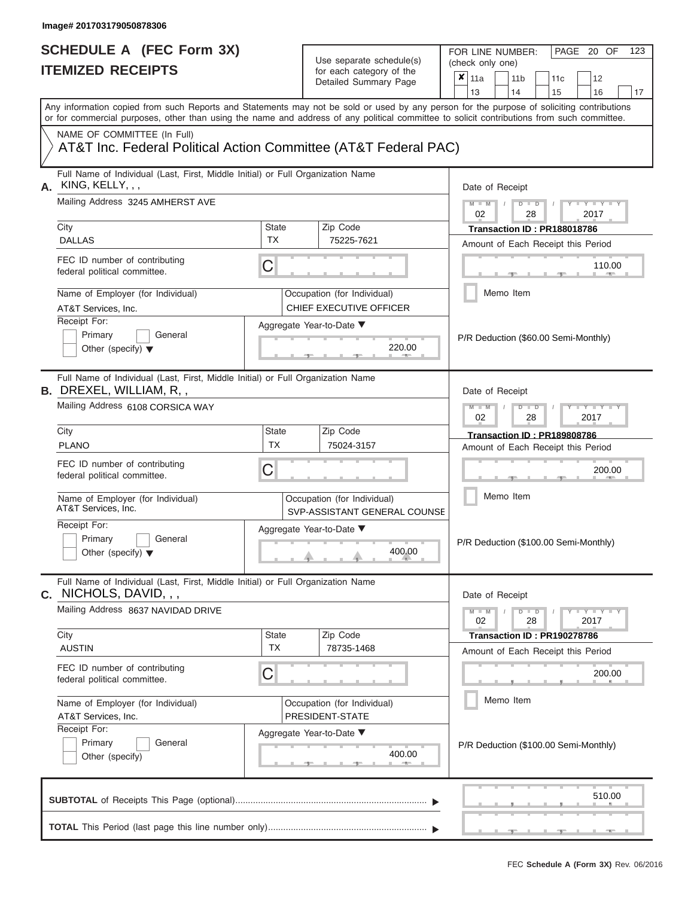# **SCHEDULE A (FEC Form 3X)**

| SCHEDULE A (FEC Form 3X)<br><b>ITEMIZED RECEIPTS</b>                                                                                                                                                                                                                                                                                                                           |                                | Use separate schedule(s)<br>for each category of the<br>Detailed Summary Page                                                 | 123<br>FOR LINE NUMBER:<br>PAGE 20 OF<br>(check only one)<br>$\overline{\mathbf{x}}$   11a<br>11 <sub>b</sub><br>12<br>11 <sub>c</sub><br>13<br>14<br>15<br>16<br>17                                                                                                                         |
|--------------------------------------------------------------------------------------------------------------------------------------------------------------------------------------------------------------------------------------------------------------------------------------------------------------------------------------------------------------------------------|--------------------------------|-------------------------------------------------------------------------------------------------------------------------------|----------------------------------------------------------------------------------------------------------------------------------------------------------------------------------------------------------------------------------------------------------------------------------------------|
| Any information copied from such Reports and Statements may not be sold or used by any person for the purpose of soliciting contributions<br>or for commercial purposes, other than using the name and address of any political committee to solicit contributions from such committee.                                                                                        |                                |                                                                                                                               |                                                                                                                                                                                                                                                                                              |
| NAME OF COMMITTEE (In Full)<br>AT&T Inc. Federal Political Action Committee (AT&T Federal PAC)                                                                                                                                                                                                                                                                                 |                                |                                                                                                                               |                                                                                                                                                                                                                                                                                              |
| Full Name of Individual (Last, First, Middle Initial) or Full Organization Name<br>A. KING, KELLY, , ,<br>Mailing Address 3245 AMHERST AVE<br>City<br><b>DALLAS</b><br>FEC ID number of contributing<br>federal political committee.<br>Name of Employer (for Individual)<br>AT&T Services, Inc.<br>Receipt For:<br>Primary<br>General<br>Other (specify) $\blacktriangledown$ | <b>State</b><br>TX<br>С        | Zip Code<br>75225-7621<br>Occupation (for Individual)<br><b>CHIEF EXECUTIVE OFFICER</b><br>Aggregate Year-to-Date ▼<br>220.00 | Date of Receipt<br>$M$ – $M$ /<br>$\mathbf{I} = \mathbf{Y} - \mathbf{I} - \mathbf{Y} - \mathbf{I}$<br>$D$ $D$<br>02<br>2017<br>28<br>Transaction ID: PR188018786<br>Amount of Each Receipt this Period<br>110.00<br><b>CONTRACTOR</b><br>Memo Item<br>P/R Deduction (\$60.00 Semi-Monthly)   |
| Full Name of Individual (Last, First, Middle Initial) or Full Organization Name<br><b>B.</b> DREXEL, WILLIAM, R, ,<br>Mailing Address 6108 CORSICA WAY<br>City<br><b>PLANO</b><br>FEC ID number of contributing<br>federal political committee.<br>Name of Employer (for Individual)                                                                                           | <b>State</b><br><b>TX</b><br>С | Zip Code<br>75024-3157<br>Occupation (for Individual)                                                                         | Date of Receipt<br>$M - M$<br>$D$ $D$<br>$\blacksquare \blacksquare \blacksquare \blacksquare \blacksquare \blacksquare \blacksquare \blacksquare \blacksquare \blacksquare$<br>02<br>2017<br>28<br>Transaction ID: PR189808786<br>Amount of Each Receipt this Period<br>200.00<br>Memo Item |
| AT&T Services, Inc.<br>Receipt For:<br>Primary<br>General<br>Other (specify) $\blacktriangledown$                                                                                                                                                                                                                                                                              |                                | SVP-ASSISTANT GENERAL COUNSE<br>Aggregate Year-to-Date ▼<br>400.00                                                            | P/R Deduction (\$100.00 Semi-Monthly)                                                                                                                                                                                                                                                        |
| Full Name of Individual (Last, First, Middle Initial) or Full Organization Name<br>$c.$ NICHOLS, DAVID, , ,<br>Mailing Address 8637 NAVIDAD DRIVE<br>City<br><b>AUSTIN</b><br>FEC ID number of contributing<br>federal political committee.<br>Name of Employer (for Individual)<br>AT&T Services, Inc.                                                                        | <b>State</b><br><b>TX</b><br>С | Zip Code<br>78735-1468<br>Occupation (for Individual)<br>PRESIDENT-STATE                                                      | Date of Receipt<br>$M - M$<br>$D$ $D$<br>$Y = Y = Y + Y$<br>02<br>28<br>2017<br>Transaction ID: PR190278786<br>Amount of Each Receipt this Period<br>200.00<br>Memo Item                                                                                                                     |
| Receipt For:<br>Primary<br>General<br>Other (specify)                                                                                                                                                                                                                                                                                                                          |                                | Aggregate Year-to-Date ▼<br>400.00                                                                                            | P/R Deduction (\$100.00 Semi-Monthly)                                                                                                                                                                                                                                                        |
|                                                                                                                                                                                                                                                                                                                                                                                |                                |                                                                                                                               | 510.00                                                                                                                                                                                                                                                                                       |
|                                                                                                                                                                                                                                                                                                                                                                                |                                |                                                                                                                               |                                                                                                                                                                                                                                                                                              |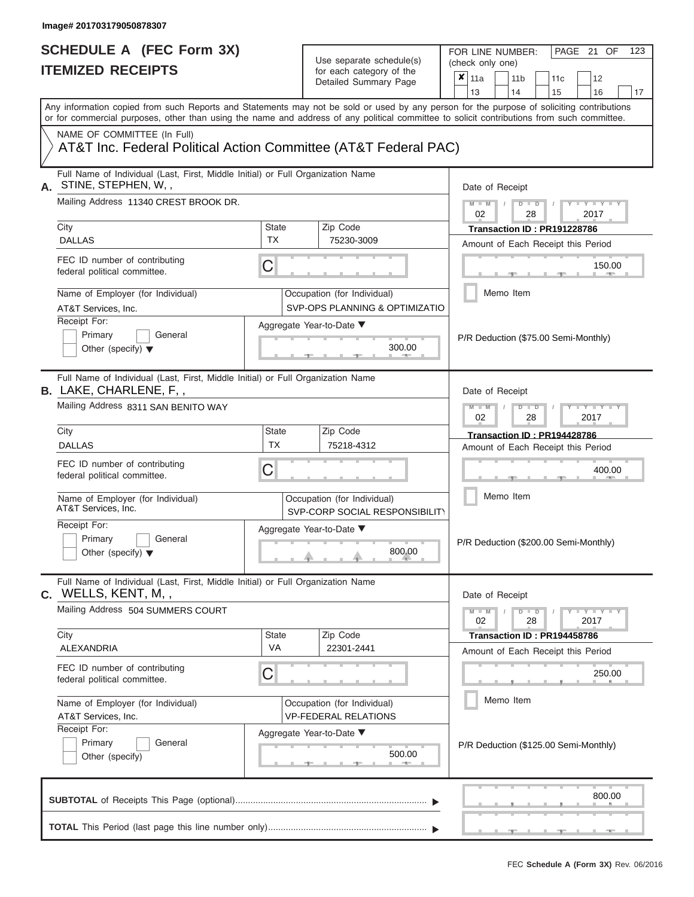FOR LINE NUMBER:<br>(check only one)

PAGE 21 OF 123

|                                                                                                                  |                                                                                                                                                                                                                                                                                         |                                                               | Detailed Summary Page                                         | x | 11a                                                              |           | 11 <sub>b</sub> |               | 11 <sub>c</sub>             | 12                                                                  |    |
|------------------------------------------------------------------------------------------------------------------|-----------------------------------------------------------------------------------------------------------------------------------------------------------------------------------------------------------------------------------------------------------------------------------------|---------------------------------------------------------------|---------------------------------------------------------------|---|------------------------------------------------------------------|-----------|-----------------|---------------|-----------------------------|---------------------------------------------------------------------|----|
|                                                                                                                  |                                                                                                                                                                                                                                                                                         |                                                               |                                                               |   | 13                                                               |           | 14              |               | 15                          | 16                                                                  | 17 |
|                                                                                                                  | Any information copied from such Reports and Statements may not be sold or used by any person for the purpose of soliciting contributions<br>or for commercial purposes, other than using the name and address of any political committee to solicit contributions from such committee. |                                                               |                                                               |   |                                                                  |           |                 |               |                             |                                                                     |    |
|                                                                                                                  | NAME OF COMMITTEE (In Full)<br>AT&T Inc. Federal Political Action Committee (AT&T Federal PAC)                                                                                                                                                                                          |                                                               |                                                               |   |                                                                  |           |                 |               |                             |                                                                     |    |
| А.                                                                                                               | Full Name of Individual (Last, First, Middle Initial) or Full Organization Name<br>STINE, STEPHEN, W,,                                                                                                                                                                                  |                                                               |                                                               |   | Date of Receipt                                                  |           |                 |               |                             |                                                                     |    |
|                                                                                                                  | Mailing Address 11340 CREST BROOK DR.                                                                                                                                                                                                                                                   |                                                               |                                                               |   | $M = M$ /<br>02                                                  |           |                 | $D$ $D$<br>28 |                             | $\blacksquare$ $\vdash$ $\vdash$ $\vdash$ $\vdash$ $\vdash$<br>2017 |    |
|                                                                                                                  | City<br><b>DALLAS</b>                                                                                                                                                                                                                                                                   | <b>State</b><br><b>TX</b>                                     | Zip Code<br>75230-3009                                        |   |                                                                  |           |                 |               | Transaction ID: PR191228786 | Amount of Each Receipt this Period                                  |    |
|                                                                                                                  | FEC ID number of contributing<br>federal political committee.                                                                                                                                                                                                                           |                                                               |                                                               |   |                                                                  |           |                 |               | 150.00<br><b>CONTRACTOR</b> |                                                                     |    |
|                                                                                                                  | Name of Employer (for Individual)<br>AT&T Services, Inc.                                                                                                                                                                                                                                | Occupation (for Individual)<br>SVP-OPS PLANNING & OPTIMIZATIO |                                                               |   |                                                                  | Memo Item |                 |               |                             |                                                                     |    |
| Receipt For:<br>Aggregate Year-to-Date ▼<br>Primary<br>General<br>300.00<br>Other (specify) $\blacktriangledown$ |                                                                                                                                                                                                                                                                                         |                                                               |                                                               |   |                                                                  |           |                 |               |                             | P/R Deduction (\$75.00 Semi-Monthly)                                |    |
|                                                                                                                  | Full Name of Individual (Last, First, Middle Initial) or Full Organization Name<br><b>B.</b> LAKE, CHARLENE, F,,                                                                                                                                                                        |                                                               |                                                               |   | Date of Receipt                                                  |           |                 |               |                             |                                                                     |    |
|                                                                                                                  | Mailing Address 8311 SAN BENITO WAY                                                                                                                                                                                                                                                     |                                                               |                                                               |   | $M - M$<br>$D$ $\Box$ $D$<br>$T - Y = T - T$<br>2017<br>02<br>28 |           |                 |               |                             |                                                                     |    |
|                                                                                                                  | City<br><b>DALLAS</b>                                                                                                                                                                                                                                                                   | <b>State</b><br>TX                                            | Zip Code<br>75218-4312                                        |   |                                                                  |           |                 |               | Transaction ID: PR194428786 | Amount of Each Receipt this Period                                  |    |
|                                                                                                                  | FEC ID number of contributing<br>federal political committee.                                                                                                                                                                                                                           | С                                                             |                                                               |   |                                                                  |           |                 |               | 400.00                      |                                                                     |    |
|                                                                                                                  | Name of Employer (for Individual)<br>AT&T Services, Inc.                                                                                                                                                                                                                                |                                                               | Occupation (for Individual)<br>SVP-CORP SOCIAL RESPONSIBILITY |   |                                                                  |           | Memo Item       |               |                             |                                                                     |    |
|                                                                                                                  | Receipt For:<br>Primary<br>General<br>Other (specify) $\blacktriangledown$                                                                                                                                                                                                              |                                                               | Aggregate Year-to-Date ▼<br>800.00                            |   |                                                                  |           |                 |               |                             | P/R Deduction (\$200.00 Semi-Monthly)                               |    |
|                                                                                                                  | Full Name of Individual (Last, First, Middle Initial) or Full Organization Name<br>C. WELLS, KENT, M,,                                                                                                                                                                                  |                                                               |                                                               |   | Date of Receipt                                                  |           |                 |               |                             |                                                                     |    |
|                                                                                                                  | Mailing Address 504 SUMMERS COURT                                                                                                                                                                                                                                                       |                                                               |                                                               |   | $M - M$<br>02                                                    |           |                 | $D$ $D$<br>28 |                             | $T - Y - T - Y - T - Y$<br>2017                                     |    |
|                                                                                                                  | City<br>ALEXANDRIA                                                                                                                                                                                                                                                                      | <b>State</b><br><b>VA</b>                                     | Zip Code<br>22301-2441                                        |   |                                                                  |           |                 |               | Transaction ID: PR194458786 |                                                                     |    |
|                                                                                                                  | FEC ID number of contributing<br>federal political committee.                                                                                                                                                                                                                           | C                                                             |                                                               |   |                                                                  |           |                 |               |                             | Amount of Each Receipt this Period<br>250.00                        |    |
|                                                                                                                  | Name of Employer (for Individual)<br>AT&T Services, Inc.                                                                                                                                                                                                                                |                                                               | Occupation (for Individual)<br><b>VP-FEDERAL RELATIONS</b>    |   |                                                                  |           | Memo Item       |               |                             |                                                                     |    |
|                                                                                                                  | Receipt For:<br>Primary<br>General<br>Other (specify)                                                                                                                                                                                                                                   |                                                               | Aggregate Year-to-Date ▼<br>500.00                            |   |                                                                  |           |                 |               |                             | P/R Deduction (\$125.00 Semi-Monthly)                               |    |
|                                                                                                                  |                                                                                                                                                                                                                                                                                         |                                                               |                                                               |   |                                                                  |           |                 |               |                             | 800.00                                                              |    |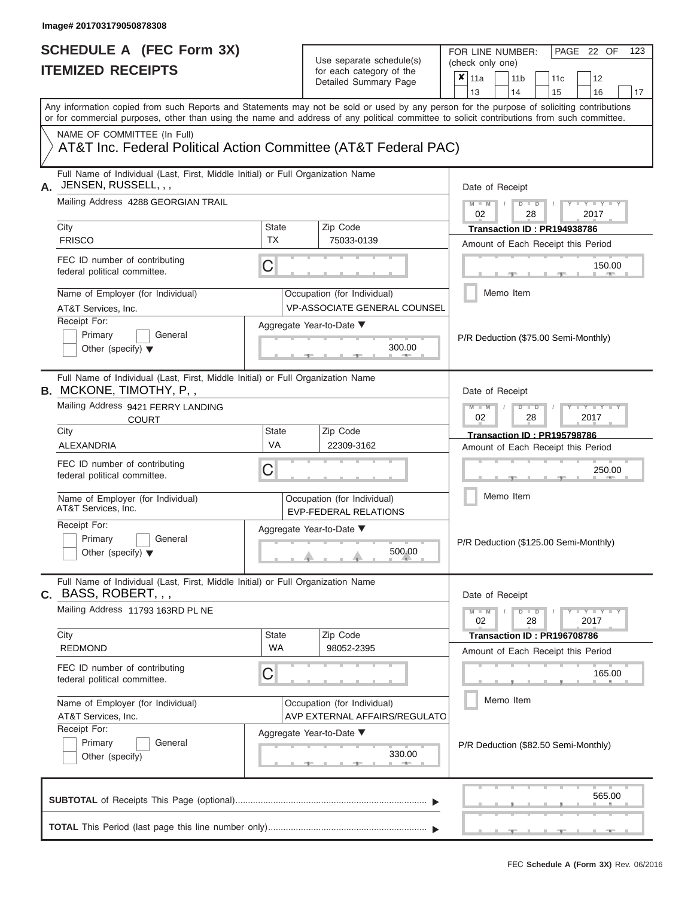FOR LINE NUMBER:<br>(check only one)

PAGE 22 OF 123

| IIEMIZED KEUEIPIS                                                                                                 |                                    | for each category of the<br>Detailed Summary Page                  | ×<br>11a<br>12<br>11 <sub>b</sub><br>11 <sub>c</sub>                                                                                                                    |  |  |
|-------------------------------------------------------------------------------------------------------------------|------------------------------------|--------------------------------------------------------------------|-------------------------------------------------------------------------------------------------------------------------------------------------------------------------|--|--|
|                                                                                                                   |                                    |                                                                    | 13<br>14<br>15<br>16<br>17<br>Any information copied from such Reports and Statements may not be sold or used by any person for the purpose of soliciting contributions |  |  |
|                                                                                                                   |                                    |                                                                    | or for commercial purposes, other than using the name and address of any political committee to solicit contributions from such committee.                              |  |  |
| NAME OF COMMITTEE (In Full)<br>AT&T Inc. Federal Political Action Committee (AT&T Federal PAC)                    |                                    |                                                                    |                                                                                                                                                                         |  |  |
| Full Name of Individual (Last, First, Middle Initial) or Full Organization Name<br>JENSEN, RUSSELL, , ,<br>А.     | Date of Receipt                    |                                                                    |                                                                                                                                                                         |  |  |
| Mailing Address 4288 GEORGIAN TRAIL                                                                               |                                    |                                                                    | $M - M$<br>$D$ $\Box$ $D$<br>$T - Y - T - Y - T - Y$<br>02<br>28<br>2017                                                                                                |  |  |
| City<br><b>FRISCO</b>                                                                                             | State<br><b>TX</b>                 | Zip Code<br>75033-0139                                             | Transaction ID: PR194938786                                                                                                                                             |  |  |
|                                                                                                                   |                                    |                                                                    | Amount of Each Receipt this Period                                                                                                                                      |  |  |
| FEC ID number of contributing<br>federal political committee.                                                     | $\mathsf C$                        |                                                                    | 150.00                                                                                                                                                                  |  |  |
| Name of Employer (for Individual)<br>AT&T Services, Inc.                                                          |                                    | Occupation (for Individual)<br><b>VP-ASSOCIATE GENERAL COUNSEL</b> | Memo Item                                                                                                                                                               |  |  |
| Receipt For:<br>Primary<br>General<br>Other (specify) $\blacktriangledown$                                        | Aggregate Year-to-Date ▼<br>300.00 | P/R Deduction (\$75.00 Semi-Monthly)                               |                                                                                                                                                                         |  |  |
| Full Name of Individual (Last, First, Middle Initial) or Full Organization Name<br><b>B.</b> MCKONE, TIMOTHY, P,, |                                    |                                                                    | Date of Receipt                                                                                                                                                         |  |  |
| <b>COURT</b>                                                                                                      | Mailing Address 9421 FERRY LANDING |                                                                    |                                                                                                                                                                         |  |  |
| City                                                                                                              | <b>State</b>                       | Zip Code                                                           | Transaction ID: PR195798786                                                                                                                                             |  |  |
| ALEXANDRIA                                                                                                        | VA                                 | 22309-3162                                                         | Amount of Each Receipt this Period                                                                                                                                      |  |  |
| FEC ID number of contributing<br>federal political committee.                                                     | C                                  |                                                                    | 250.00                                                                                                                                                                  |  |  |
| Name of Employer (for Individual)<br>AT&T Services, Inc.                                                          |                                    | Occupation (for Individual)<br><b>EVP-FEDERAL RELATIONS</b>        | Memo Item                                                                                                                                                               |  |  |
| Receipt For:<br>Primary<br>General<br>Other (specify) $\blacktriangledown$                                        |                                    | Aggregate Year-to-Date ▼<br>500.00                                 | P/R Deduction (\$125.00 Semi-Monthly)                                                                                                                                   |  |  |
| Full Name of Individual (Last, First, Middle Initial) or Full Organization Name<br><b>c.</b> BASS, ROBERT, , ,    |                                    |                                                                    | Date of Receipt                                                                                                                                                         |  |  |
| Mailing Address 11793 163RD PL NE                                                                                 |                                    |                                                                    | $Y - Y - Y - Y - I - Y$<br>$M - M$<br>$D$ $D$<br>$\sqrt{2}$<br>02<br>28<br>2017                                                                                         |  |  |
| City                                                                                                              | State                              | Zip Code                                                           | Transaction ID: PR196708786                                                                                                                                             |  |  |
| <b>REDMOND</b>                                                                                                    | <b>WA</b>                          | 98052-2395                                                         | Amount of Each Receipt this Period                                                                                                                                      |  |  |
| FEC ID number of contributing<br>federal political committee.                                                     | C                                  |                                                                    | 165.00                                                                                                                                                                  |  |  |
| Name of Employer (for Individual)<br>AT&T Services, Inc.                                                          |                                    | Occupation (for Individual)<br>AVP EXTERNAL AFFAIRS/REGULATO       | Memo Item                                                                                                                                                               |  |  |
| Receipt For:<br>Primary<br>General<br>Other (specify)                                                             |                                    | Aggregate Year-to-Date ▼<br>330.00                                 | P/R Deduction (\$82.50 Semi-Monthly)                                                                                                                                    |  |  |
|                                                                                                                   |                                    |                                                                    | 565.00                                                                                                                                                                  |  |  |
|                                                                                                                   |                                    |                                                                    |                                                                                                                                                                         |  |  |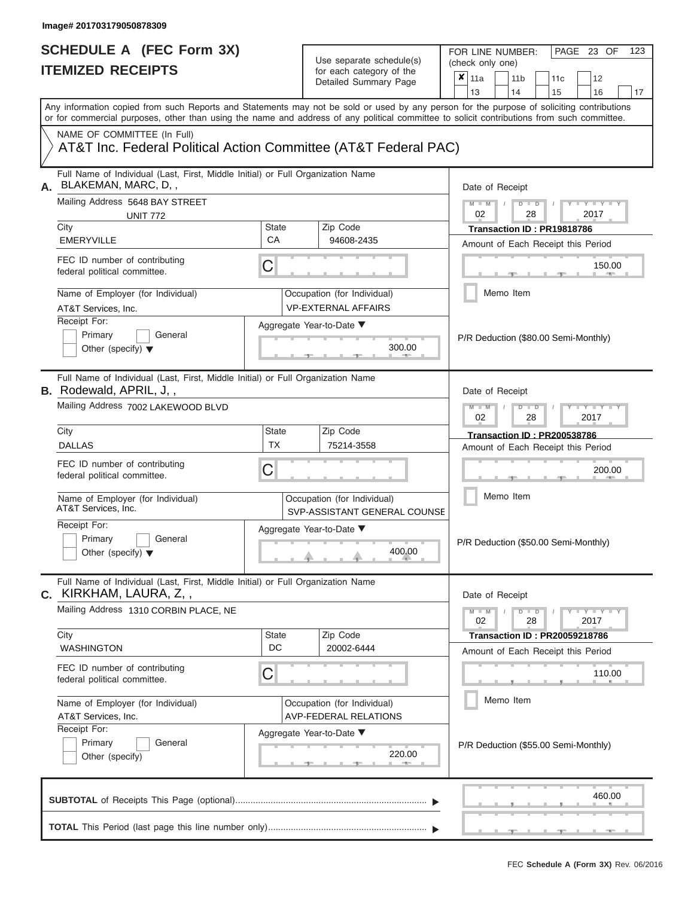FOR LINE NUMBER:<br>(check only one)

PAGE 23 OF 123

|    | IIEMIZED REGEIPIJ                                                                                                                          |                    | for each category of the<br>Detailed Summary Page           | ×<br>11a<br>11 <sub>b</sub><br>11c<br>12                                                                                                  |  |  |  |  |  |
|----|--------------------------------------------------------------------------------------------------------------------------------------------|--------------------|-------------------------------------------------------------|-------------------------------------------------------------------------------------------------------------------------------------------|--|--|--|--|--|
|    |                                                                                                                                            |                    |                                                             | 13<br>14<br>15<br>16<br>17                                                                                                                |  |  |  |  |  |
|    | or for commercial purposes, other than using the name and address of any political committee to solicit contributions from such committee. |                    |                                                             | Any information copied from such Reports and Statements may not be sold or used by any person for the purpose of soliciting contributions |  |  |  |  |  |
|    | NAME OF COMMITTEE (In Full)<br>AT&T Inc. Federal Political Action Committee (AT&T Federal PAC)                                             |                    |                                                             |                                                                                                                                           |  |  |  |  |  |
| Α. | Full Name of Individual (Last, First, Middle Initial) or Full Organization Name<br>BLAKEMAN, MARC, D,,                                     |                    |                                                             | Date of Receipt                                                                                                                           |  |  |  |  |  |
|    | Mailing Address 5648 BAY STREET<br><b>UNIT 772</b>                                                                                         | State              | Zip Code                                                    | $M - M$<br>$D$ $\Box$ $D$<br>$-1 - Y - 1 - Y - 1 - Y$<br>02<br>28<br>2017                                                                 |  |  |  |  |  |
|    | City<br><b>EMERYVILLE</b>                                                                                                                  | CA                 | 94608-2435                                                  | Transaction ID: PR19818786<br>Amount of Each Receipt this Period                                                                          |  |  |  |  |  |
|    | FEC ID number of contributing<br>federal political committee.                                                                              | C                  |                                                             | 150.00                                                                                                                                    |  |  |  |  |  |
|    | Name of Employer (for Individual)<br>AT&T Services, Inc.                                                                                   |                    | Occupation (for Individual)<br><b>VP-EXTERNAL AFFAIRS</b>   | Memo Item                                                                                                                                 |  |  |  |  |  |
|    | Receipt For:<br>Primary<br>General<br>Other (specify) $\blacktriangledown$                                                                 |                    | Aggregate Year-to-Date ▼<br>300.00                          | P/R Deduction (\$80.00 Semi-Monthly)                                                                                                      |  |  |  |  |  |
|    | Full Name of Individual (Last, First, Middle Initial) or Full Organization Name<br><b>B.</b> Rodewald, APRIL, J,,                          |                    |                                                             | Date of Receipt                                                                                                                           |  |  |  |  |  |
|    | Mailing Address 7002 LAKEWOOD BLVD                                                                                                         |                    |                                                             | $M - M$<br>$T - Y = T - Y = T$<br>$D$ $\Box$ $D$<br>28<br>2017<br>02                                                                      |  |  |  |  |  |
|    | City<br><b>DALLAS</b>                                                                                                                      | State<br><b>TX</b> | Zip Code<br>75214-3558                                      | <b>Transaction ID: PR200538786</b><br>Amount of Each Receipt this Period                                                                  |  |  |  |  |  |
|    | FEC ID number of contributing<br>federal political committee.                                                                              | С                  |                                                             | 200.00                                                                                                                                    |  |  |  |  |  |
|    | Name of Employer (for Individual)<br>AT&T Services, Inc.                                                                                   |                    | Occupation (for Individual)<br>SVP-ASSISTANT GENERAL COUNSE | Memo Item                                                                                                                                 |  |  |  |  |  |
|    | Receipt For:<br>Primary<br>General<br>Other (specify) $\blacktriangledown$                                                                 |                    | Aggregate Year-to-Date ▼<br>400.00                          | P/R Deduction (\$50.00 Semi-Monthly)                                                                                                      |  |  |  |  |  |
|    | Full Name of Individual (Last, First, Middle Initial) or Full Organization Name<br><b>C.</b> KIRKHAM, LAURA, Z,,                           |                    |                                                             | Date of Receipt                                                                                                                           |  |  |  |  |  |
|    | Mailing Address 1310 CORBIN PLACE, NE                                                                                                      |                    |                                                             | $Y - Y - Y - Y - I - Y$<br>$M - M$<br>$D$ $\Box$ $D$<br>02<br>28<br>2017                                                                  |  |  |  |  |  |
|    | City<br><b>WASHINGTON</b>                                                                                                                  | State<br>DC        | Zip Code<br>20002-6444                                      | <b>Transaction ID: PR20059218786</b>                                                                                                      |  |  |  |  |  |
|    | FEC ID number of contributing<br>federal political committee.                                                                              | C                  |                                                             | Amount of Each Receipt this Period<br>110.00<br>. .                                                                                       |  |  |  |  |  |
|    | Name of Employer (for Individual)<br>AT&T Services, Inc.                                                                                   |                    | Occupation (for Individual)<br>AVP-FEDERAL RELATIONS        | Memo Item                                                                                                                                 |  |  |  |  |  |
|    | Receipt For:<br>Primary<br>General<br>Other (specify)                                                                                      |                    | Aggregate Year-to-Date ▼<br>220.00<br><b>Review</b>         | P/R Deduction (\$55.00 Semi-Monthly)                                                                                                      |  |  |  |  |  |
|    |                                                                                                                                            |                    |                                                             | 460.00                                                                                                                                    |  |  |  |  |  |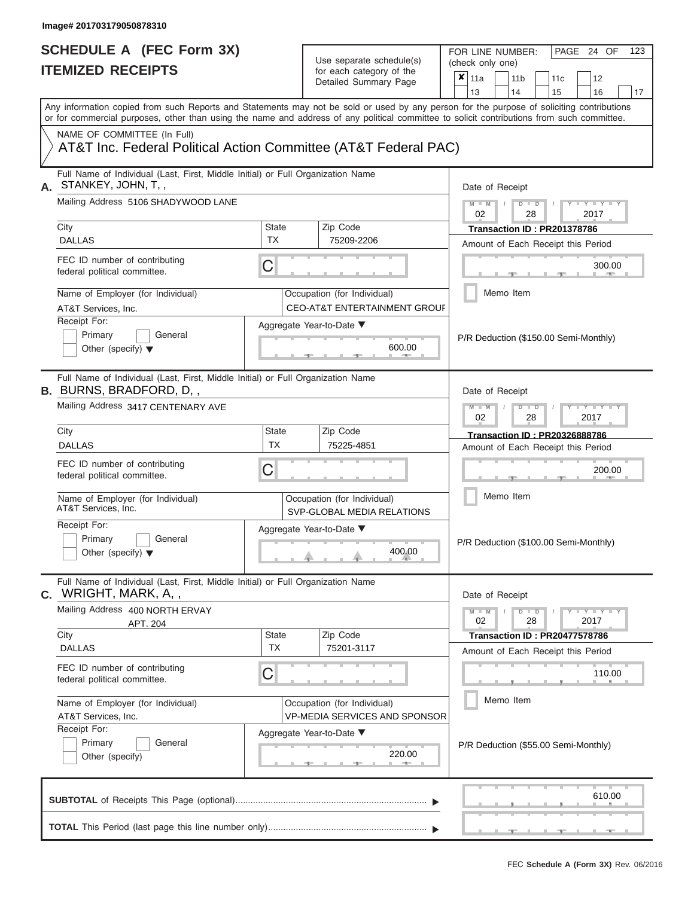| SCHEDULE A (FEC Form 3X)<br><b>ITEMIZED RECEIPTS</b>                                                                                                                                                                                                                                    |                           | Use separate schedule(s)<br>for each category of the                   | FOR LINE NUMBER:<br>PAGE 24 OF<br>123<br>(check only one)                                                                                                                                                           |
|-----------------------------------------------------------------------------------------------------------------------------------------------------------------------------------------------------------------------------------------------------------------------------------------|---------------------------|------------------------------------------------------------------------|---------------------------------------------------------------------------------------------------------------------------------------------------------------------------------------------------------------------|
|                                                                                                                                                                                                                                                                                         |                           | Detailed Summary Page                                                  | $\overline{\mathbf{x}}$   11a<br>11 <sub>b</sub><br>12<br>11 <sub>c</sub><br>13<br>14<br>15<br>16<br>17                                                                                                             |
| Any information copied from such Reports and Statements may not be sold or used by any person for the purpose of soliciting contributions<br>or for commercial purposes, other than using the name and address of any political committee to solicit contributions from such committee. |                           |                                                                        |                                                                                                                                                                                                                     |
| NAME OF COMMITTEE (In Full)<br>AT&T Inc. Federal Political Action Committee (AT&T Federal PAC)                                                                                                                                                                                          |                           |                                                                        |                                                                                                                                                                                                                     |
| Full Name of Individual (Last, First, Middle Initial) or Full Organization Name<br>STANKEY, JOHN, T,,                                                                                                                                                                                   |                           |                                                                        | Date of Receipt                                                                                                                                                                                                     |
| Mailing Address 5106 SHADYWOOD LANE                                                                                                                                                                                                                                                     |                           |                                                                        | $M - M$ /<br>$D$ $D$<br>$\frac{1}{2}$ $\frac{1}{2}$ $\frac{1}{2}$ $\frac{1}{2}$ $\frac{1}{2}$ $\frac{1}{2}$ $\frac{1}{2}$ $\frac{1}{2}$ $\frac{1}{2}$ $\frac{1}{2}$ $\frac{1}{2}$ $\frac{1}{2}$<br>02<br>2017<br>28 |
| City<br><b>DALLAS</b>                                                                                                                                                                                                                                                                   | State<br><b>TX</b>        | Zip Code<br>75209-2206                                                 | Transaction ID: PR201378786<br>Amount of Each Receipt this Period                                                                                                                                                   |
| FEC ID number of contributing<br>federal political committee.                                                                                                                                                                                                                           | C                         |                                                                        | 300.00<br><b>Britannia</b>                                                                                                                                                                                          |
| Name of Employer (for Individual)<br>AT&T Services, Inc.                                                                                                                                                                                                                                |                           | Occupation (for Individual)<br><b>CEO-AT&amp;T ENTERTAINMENT GROUF</b> | Memo Item                                                                                                                                                                                                           |
| Receipt For:<br>Primary<br>General<br>Other (specify) $\blacktriangledown$                                                                                                                                                                                                              |                           | Aggregate Year-to-Date ▼<br>600.00                                     | P/R Deduction (\$150.00 Semi-Monthly)                                                                                                                                                                               |
| Full Name of Individual (Last, First, Middle Initial) or Full Organization Name<br><b>B.</b> BURNS, BRADFORD, D,,                                                                                                                                                                       |                           |                                                                        | Date of Receipt                                                                                                                                                                                                     |
| Mailing Address 3417 CENTENARY AVE                                                                                                                                                                                                                                                      |                           |                                                                        | $M - M$<br>$D$ $D$<br>$+Y+Y+Y$<br>02<br>2017<br>28                                                                                                                                                                  |
| City<br><b>DALLAS</b>                                                                                                                                                                                                                                                                   | <b>State</b><br><b>TX</b> | Zip Code<br>75225-4851                                                 | <b>Transaction ID: PR20326888786</b><br>Amount of Each Receipt this Period                                                                                                                                          |
| FEC ID number of contributing<br>federal political committee.                                                                                                                                                                                                                           | C                         |                                                                        | 200.00                                                                                                                                                                                                              |
| Name of Employer (for Individual)<br>AT&T Services, Inc.                                                                                                                                                                                                                                |                           | Occupation (for Individual)<br>SVP-GLOBAL MEDIA RELATIONS              | Memo Item                                                                                                                                                                                                           |
| Receipt For:<br>Primary<br>General<br>Other (specify) $\blacktriangledown$                                                                                                                                                                                                              |                           | Aggregate Year-to-Date ▼<br>400.00                                     | P/R Deduction (\$100.00 Semi-Monthly)                                                                                                                                                                               |
| Full Name of Individual (Last, First, Middle Initial) or Full Organization Name<br><b>C.</b> WRIGHT, MARK, A,,                                                                                                                                                                          |                           |                                                                        | Date of Receipt                                                                                                                                                                                                     |
| Mailing Address 400 NORTH ERVAY<br>APT. 204<br>City                                                                                                                                                                                                                                     | <b>State</b>              | Zip Code                                                               | $M - M$<br>$D$ $D$<br>$Y - Y - Y - Y - Y$<br>28<br>2017<br>02<br><b>Transaction ID: PR20477578786</b>                                                                                                               |
| <b>DALLAS</b>                                                                                                                                                                                                                                                                           | <b>TX</b>                 | 75201-3117                                                             | Amount of Each Receipt this Period                                                                                                                                                                                  |
| FEC ID number of contributing<br>federal political committee.                                                                                                                                                                                                                           | C                         |                                                                        | 110.00                                                                                                                                                                                                              |
| Name of Employer (for Individual)<br>AT&T Services, Inc.                                                                                                                                                                                                                                |                           | Occupation (for Individual)<br><b>VP-MEDIA SERVICES AND SPONSOR</b>    | Memo Item                                                                                                                                                                                                           |
| Receipt For:<br>Primary<br>General<br>Other (specify)                                                                                                                                                                                                                                   |                           | Aggregate Year-to-Date ▼<br>220.00                                     | P/R Deduction (\$55.00 Semi-Monthly)                                                                                                                                                                                |
|                                                                                                                                                                                                                                                                                         |                           |                                                                        | 610.00                                                                                                                                                                                                              |
|                                                                                                                                                                                                                                                                                         |                           |                                                                        |                                                                                                                                                                                                                     |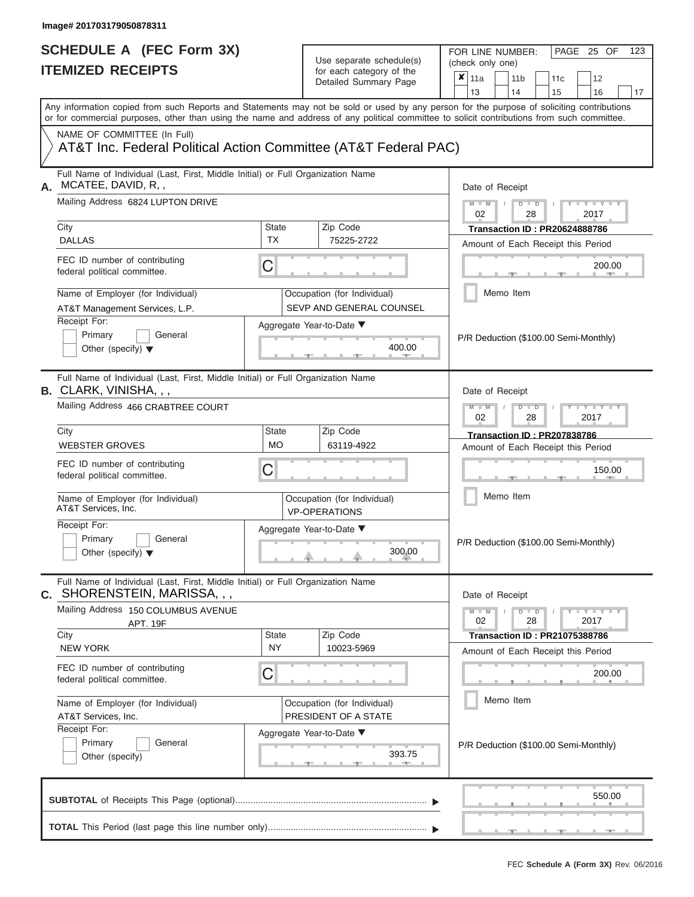FOR LINE NUMBER:<br>(check only one)

PAGE 25 OF 123

|    | IIEMIZEV REVEIFIJ                                                                                                                                                                                                                                                                       |                           | for each category of the<br>Detailed Summary Page       |                                                               | ×                           | 11a             |  | 11 <sub>b</sub> |                      | 11 <sub>c</sub>                       | 12                                    |    |  |  |  |
|----|-----------------------------------------------------------------------------------------------------------------------------------------------------------------------------------------------------------------------------------------------------------------------------------------|---------------------------|---------------------------------------------------------|---------------------------------------------------------------|-----------------------------|-----------------|--|-----------------|----------------------|---------------------------------------|---------------------------------------|----|--|--|--|
|    |                                                                                                                                                                                                                                                                                         |                           |                                                         |                                                               |                             | 13              |  | 14              |                      | 15                                    | 16                                    | 17 |  |  |  |
|    | Any information copied from such Reports and Statements may not be sold or used by any person for the purpose of soliciting contributions<br>or for commercial purposes, other than using the name and address of any political committee to solicit contributions from such committee. |                           |                                                         |                                                               |                             |                 |  |                 |                      |                                       |                                       |    |  |  |  |
|    | NAME OF COMMITTEE (In Full)<br>AT&T Inc. Federal Political Action Committee (AT&T Federal PAC)                                                                                                                                                                                          |                           |                                                         |                                                               |                             |                 |  |                 |                      |                                       |                                       |    |  |  |  |
| А. | Full Name of Individual (Last, First, Middle Initial) or Full Organization Name<br>MCATEE, DAVID, R,,                                                                                                                                                                                   |                           |                                                         |                                                               |                             | Date of Receipt |  |                 |                      |                                       |                                       |    |  |  |  |
|    | Mailing Address 6824 LUPTON DRIVE                                                                                                                                                                                                                                                       |                           |                                                         |                                                               |                             | $M - M$<br>02   |  |                 | $D$ $D$<br>28        |                                       | $Y = Y =$<br>2017                     |    |  |  |  |
|    | City                                                                                                                                                                                                                                                                                    | <b>State</b><br><b>TX</b> | Zip Code                                                |                                                               |                             |                 |  |                 |                      |                                       | <b>Transaction ID: PR20624888786</b>  |    |  |  |  |
|    | <b>DALLAS</b>                                                                                                                                                                                                                                                                           |                           | 75225-2722                                              |                                                               |                             |                 |  |                 |                      |                                       | Amount of Each Receipt this Period    |    |  |  |  |
|    | FEC ID number of contributing<br>federal political committee.                                                                                                                                                                                                                           | C                         |                                                         |                                                               | 200.00                      |                 |  |                 |                      |                                       |                                       |    |  |  |  |
|    | Name of Employer (for Individual)<br>AT&T Management Services, L.P.                                                                                                                                                                                                                     |                           | Occupation (for Individual)<br>SEVP AND GENERAL COUNSEL |                                                               |                             |                 |  | Memo Item       |                      |                                       |                                       |    |  |  |  |
|    | Receipt For:                                                                                                                                                                                                                                                                            |                           | Aggregate Year-to-Date ▼                                |                                                               |                             |                 |  |                 |                      |                                       |                                       |    |  |  |  |
|    | Primary<br>General<br>Other (specify) $\blacktriangledown$                                                                                                                                                                                                                              |                           | 400.00                                                  |                                                               |                             |                 |  |                 |                      |                                       | P/R Deduction (\$100.00 Semi-Monthly) |    |  |  |  |
|    | Full Name of Individual (Last, First, Middle Initial) or Full Organization Name<br><b>B.</b> CLARK, VINISHA, , ,                                                                                                                                                                        |                           |                                                         |                                                               |                             | Date of Receipt |  |                 |                      |                                       |                                       |    |  |  |  |
|    | Mailing Address 466 CRABTREE COURT                                                                                                                                                                                                                                                      |                           |                                                         | $M - M$<br>$T - Y = T - Y = T$<br>$D$ $D$<br>02<br>28<br>2017 |                             |                 |  |                 |                      |                                       |                                       |    |  |  |  |
|    | City                                                                                                                                                                                                                                                                                    | State                     | Zip Code<br>63119-4922                                  |                                                               | Transaction ID: PR207838786 |                 |  |                 |                      |                                       |                                       |    |  |  |  |
|    | <b>WEBSTER GROVES</b>                                                                                                                                                                                                                                                                   | <b>MO</b>                 |                                                         |                                                               |                             |                 |  |                 |                      | Amount of Each Receipt this Period    |                                       |    |  |  |  |
|    | FEC ID number of contributing<br>federal political committee.                                                                                                                                                                                                                           | С                         |                                                         |                                                               |                             |                 |  | 150.00          |                      |                                       |                                       |    |  |  |  |
|    | Name of Employer (for Individual)<br>AT&T Services, Inc.                                                                                                                                                                                                                                |                           | Occupation (for Individual)<br><b>VP-OPERATIONS</b>     |                                                               | Memo Item                   |                 |  |                 |                      |                                       |                                       |    |  |  |  |
|    | Receipt For:<br>Primary<br>General<br>Other (specify) $\blacktriangledown$                                                                                                                                                                                                              | Aggregate Year-to-Date ▼  |                                                         |                                                               |                             |                 |  |                 |                      | P/R Deduction (\$100.00 Semi-Monthly) |                                       |    |  |  |  |
|    | Full Name of Individual (Last, First, Middle Initial) or Full Organization Name<br>C. SHORENSTEIN, MARISSA, , ,                                                                                                                                                                         |                           |                                                         |                                                               |                             | Date of Receipt |  |                 |                      |                                       |                                       |    |  |  |  |
|    | Mailing Address 150 COLUMBUS AVENUE<br><b>APT. 19F</b>                                                                                                                                                                                                                                  |                           |                                                         |                                                               |                             | $M - M$<br>02   |  |                 | $D$ $\Box$ $D$<br>28 |                                       | $Y - Y - Y - Y - I - Y$<br>2017       |    |  |  |  |
|    | City                                                                                                                                                                                                                                                                                    | <b>State</b><br><b>NY</b> | Zip Code                                                |                                                               |                             |                 |  |                 |                      |                                       | <b>Transaction ID: PR21075388786</b>  |    |  |  |  |
|    | <b>NEW YORK</b>                                                                                                                                                                                                                                                                         |                           | 10023-5969                                              |                                                               |                             |                 |  |                 |                      |                                       | Amount of Each Receipt this Period    |    |  |  |  |
|    | FEC ID number of contributing<br>federal political committee.                                                                                                                                                                                                                           | C                         |                                                         |                                                               |                             |                 |  |                 |                      |                                       | 200.00                                |    |  |  |  |
|    | Name of Employer (for Individual)                                                                                                                                                                                                                                                       |                           | Occupation (for Individual)                             |                                                               |                             |                 |  | Memo Item       |                      |                                       |                                       |    |  |  |  |
|    | AT&T Services, Inc.                                                                                                                                                                                                                                                                     |                           | PRESIDENT OF A STATE                                    |                                                               |                             |                 |  |                 |                      |                                       |                                       |    |  |  |  |
|    | Receipt For:<br>Primary<br>General<br>Other (specify)                                                                                                                                                                                                                                   |                           | Aggregate Year-to-Date ▼<br>393.75                      |                                                               |                             |                 |  |                 |                      |                                       | P/R Deduction (\$100.00 Semi-Monthly) |    |  |  |  |
|    |                                                                                                                                                                                                                                                                                         |                           |                                                         |                                                               |                             |                 |  |                 |                      |                                       | 550.00                                |    |  |  |  |
|    |                                                                                                                                                                                                                                                                                         |                           |                                                         |                                                               |                             |                 |  |                 |                      |                                       |                                       |    |  |  |  |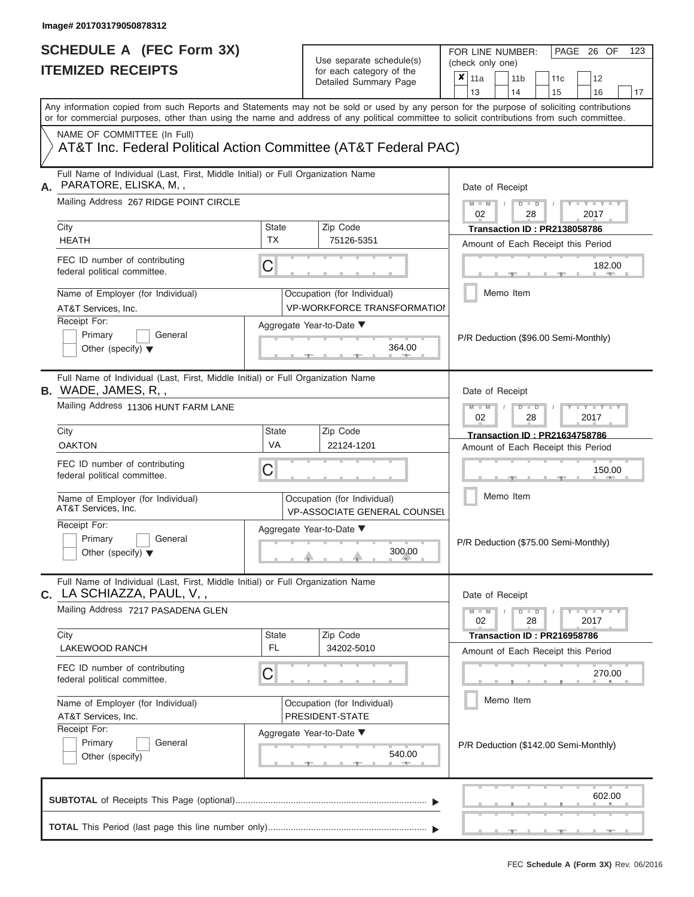# Use separate schedule(s)

| SCHEDULE A (FEC Form 3X)<br><b>ITEMIZED RECEIPTS</b>                                                                                       |                    | Use separate schedule(s)<br>for each category of the<br>Detailed Summary Page |                                                                                           |  |  |  |
|--------------------------------------------------------------------------------------------------------------------------------------------|--------------------|-------------------------------------------------------------------------------|-------------------------------------------------------------------------------------------|--|--|--|
| Any information copied from such Reports and Statements may not be sold or used by any person for the purpose of soliciting contributions  |                    |                                                                               | 13<br>14<br>15<br>16<br>17                                                                |  |  |  |
| or for commercial purposes, other than using the name and address of any political committee to solicit contributions from such committee. |                    |                                                                               |                                                                                           |  |  |  |
| NAME OF COMMITTEE (In Full)<br>AT&T Inc. Federal Political Action Committee (AT&T Federal PAC)                                             |                    |                                                                               |                                                                                           |  |  |  |
| Full Name of Individual (Last, First, Middle Initial) or Full Organization Name<br>PARATORE, ELISKA, M,,<br>Α.                             |                    |                                                                               | Date of Receipt                                                                           |  |  |  |
| Mailing Address 267 RIDGE POINT CIRCLE<br>City                                                                                             | State              | Zip Code                                                                      | $M - M$ /<br>$D$ $D$<br>Y TY T<br>02<br>28<br>2017<br><b>Transaction ID: PR2138058786</b> |  |  |  |
| <b>HEATH</b>                                                                                                                               | <b>TX</b>          | 75126-5351                                                                    | Amount of Each Receipt this Period                                                        |  |  |  |
| FEC ID number of contributing<br>federal political committee.                                                                              | C                  |                                                                               | 182.00<br><b>British Allen</b>                                                            |  |  |  |
| Name of Employer (for Individual)<br>AT&T Services, Inc.                                                                                   |                    | Occupation (for Individual)<br><b>VP-WORKFORCE TRANSFORMATION</b>             | Memo Item                                                                                 |  |  |  |
| Receipt For:<br>Primary<br>General<br>Other (specify) $\blacktriangledown$                                                                 |                    | Aggregate Year-to-Date ▼<br>364.00                                            | P/R Deduction (\$96.00 Semi-Monthly)                                                      |  |  |  |
| Full Name of Individual (Last, First, Middle Initial) or Full Organization Name<br><b>B.</b> WADE, JAMES, R,,                              |                    |                                                                               | Date of Receipt                                                                           |  |  |  |
| Mailing Address 11306 HUNT FARM LANE                                                                                                       |                    |                                                                               | $M - M$<br>$D$ $D$<br>$T - Y = T - Y = T$<br>2017<br>02<br>28                             |  |  |  |
| City<br><b>OAKTON</b>                                                                                                                      | <b>State</b><br>VA | Zip Code<br>22124-1201                                                        | <b>Transaction ID: PR21634758786</b><br>Amount of Each Receipt this Period                |  |  |  |
| FEC ID number of contributing<br>federal political committee.                                                                              | C                  |                                                                               | 150.00                                                                                    |  |  |  |
| Name of Employer (for Individual)<br>AT&T Services, Inc.                                                                                   |                    | Occupation (for Individual)<br><b>VP-ASSOCIATE GENERAL COUNSEL</b>            | Memo Item                                                                                 |  |  |  |
| Receipt For:<br>Primary<br>General<br>Other (specify) $\blacktriangledown$                                                                 |                    | Aggregate Year-to-Date ▼<br>300.00                                            | P/R Deduction (\$75.00 Semi-Monthly)                                                      |  |  |  |
| Full Name of Individual (Last, First, Middle Initial) or Full Organization Name<br>C. LA SCHIAZZA, PAUL, V,,                               |                    |                                                                               | Date of Receipt                                                                           |  |  |  |
| Mailing Address 7217 PASADENA GLEN<br>City                                                                                                 | <b>State</b>       | Zip Code                                                                      | $M - M$<br>$D$ $D$<br>Y - Y - Y - Y<br>02<br>28<br>2017                                   |  |  |  |
| LAKEWOOD RANCH                                                                                                                             | FL.                | 34202-5010                                                                    | Transaction ID: PR216958786<br>Amount of Each Receipt this Period                         |  |  |  |
| FEC ID number of contributing<br>federal political committee.                                                                              | C                  |                                                                               | 270.00                                                                                    |  |  |  |
| Name of Employer (for Individual)<br>AT&T Services, Inc.                                                                                   |                    | Occupation (for Individual)<br>PRESIDENT-STATE                                | Memo Item                                                                                 |  |  |  |
| Receipt For:<br>Primary<br>General<br>Other (specify)                                                                                      |                    | Aggregate Year-to-Date ▼<br>540.00                                            | P/R Deduction (\$142.00 Semi-Monthly)                                                     |  |  |  |
|                                                                                                                                            |                    |                                                                               | 602.00                                                                                    |  |  |  |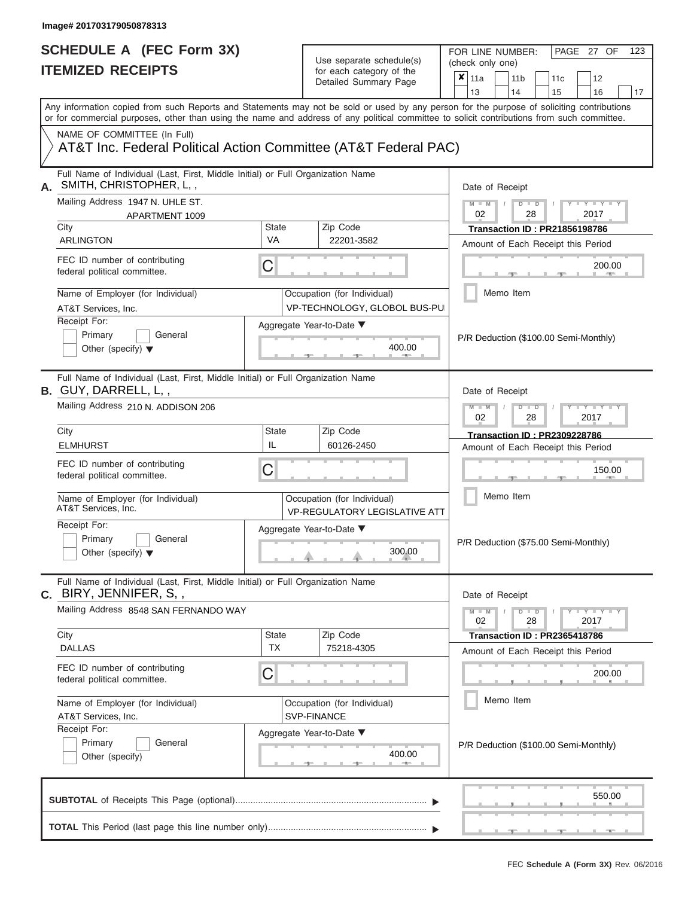| SCHEDULE A (FEC Form 3X)<br><b>ITEMIZED RECEIPTS</b>                                                                                                                                                                                                                                    |                           | Use separate schedule(s)<br>for each category of the                | FOR LINE NUMBER:<br>PAGE 27 OF<br>123<br>(check only one)<br>×<br>11a<br>11 <sub>b</sub><br>12<br>11 <sub>c</sub>                                                                                                                                                                                                                                                                                                                                                                                             |
|-----------------------------------------------------------------------------------------------------------------------------------------------------------------------------------------------------------------------------------------------------------------------------------------|---------------------------|---------------------------------------------------------------------|---------------------------------------------------------------------------------------------------------------------------------------------------------------------------------------------------------------------------------------------------------------------------------------------------------------------------------------------------------------------------------------------------------------------------------------------------------------------------------------------------------------|
|                                                                                                                                                                                                                                                                                         |                           | Detailed Summary Page                                               | 13<br>14<br>15<br>16<br>17                                                                                                                                                                                                                                                                                                                                                                                                                                                                                    |
| Any information copied from such Reports and Statements may not be sold or used by any person for the purpose of soliciting contributions<br>or for commercial purposes, other than using the name and address of any political committee to solicit contributions from such committee. |                           |                                                                     |                                                                                                                                                                                                                                                                                                                                                                                                                                                                                                               |
| NAME OF COMMITTEE (In Full)<br>AT&T Inc. Federal Political Action Committee (AT&T Federal PAC)                                                                                                                                                                                          |                           |                                                                     |                                                                                                                                                                                                                                                                                                                                                                                                                                                                                                               |
| Full Name of Individual (Last, First, Middle Initial) or Full Organization Name<br>SMITH, CHRISTOPHER, L,,                                                                                                                                                                              |                           |                                                                     | Date of Receipt                                                                                                                                                                                                                                                                                                                                                                                                                                                                                               |
| Mailing Address 1947 N. UHLE ST.<br>APARTMENT 1009                                                                                                                                                                                                                                      |                           |                                                                     | $M - M$ /<br>$D$ $D$<br>$\begin{array}{c c c c c c} \hline \multicolumn{3}{c }{\mathsf{I}} & \multicolumn{3}{c}{\mathsf{Y}} & \multicolumn{3}{c}{\mathsf{I}} & \multicolumn{3}{c}{\mathsf{Y}} & \multicolumn{3}{c}{\mathsf{I}} & \multicolumn{3}{c}{\mathsf{Y}} & \multicolumn{3}{c}{\mathsf{I}} & \multicolumn{3}{c}{\mathsf{Y}} & \multicolumn{3}{c}{\mathsf{I}} & \multicolumn{3}{c}{\mathsf{Y}} & \multicolumn{3}{c}{\mathsf{I}} & \multicolumn{3}{c}{\mathsf{Y}} & \multicolumn{3}{$<br>02<br>28<br>2017 |
| City<br><b>ARLINGTON</b>                                                                                                                                                                                                                                                                | <b>State</b><br>VA        | Zip Code<br>22201-3582                                              | <b>Transaction ID: PR21856198786</b><br>Amount of Each Receipt this Period                                                                                                                                                                                                                                                                                                                                                                                                                                    |
| FEC ID number of contributing<br>federal political committee.                                                                                                                                                                                                                           | C                         |                                                                     | 200.00<br><b>CONTRACTOR</b>                                                                                                                                                                                                                                                                                                                                                                                                                                                                                   |
| Name of Employer (for Individual)<br>AT&T Services, Inc.                                                                                                                                                                                                                                |                           | Occupation (for Individual)<br>VP-TECHNOLOGY, GLOBOL BUS-PUI        | Memo Item                                                                                                                                                                                                                                                                                                                                                                                                                                                                                                     |
| Receipt For:<br>Primary<br>General<br>Other (specify) $\blacktriangledown$                                                                                                                                                                                                              |                           | Aggregate Year-to-Date ▼<br>400.00                                  | P/R Deduction (\$100.00 Semi-Monthly)                                                                                                                                                                                                                                                                                                                                                                                                                                                                         |
| Full Name of Individual (Last, First, Middle Initial) or Full Organization Name<br><b>B.</b> GUY, DARRELL, L,,<br>Mailing Address 210 N. ADDISON 206                                                                                                                                    |                           |                                                                     | Date of Receipt<br>$M - M$<br>$D$ $\Box$ $D$<br>$+Y + Y + Y$                                                                                                                                                                                                                                                                                                                                                                                                                                                  |
|                                                                                                                                                                                                                                                                                         |                           |                                                                     | 2017<br>02<br>28                                                                                                                                                                                                                                                                                                                                                                                                                                                                                              |
| City<br><b>ELMHURST</b>                                                                                                                                                                                                                                                                 | <b>State</b><br>IL        | Zip Code<br>60126-2450                                              | <b>Transaction ID: PR2309228786</b><br>Amount of Each Receipt this Period                                                                                                                                                                                                                                                                                                                                                                                                                                     |
| FEC ID number of contributing<br>federal political committee.                                                                                                                                                                                                                           | C                         |                                                                     | 150.00                                                                                                                                                                                                                                                                                                                                                                                                                                                                                                        |
| Name of Employer (for Individual)<br>AT&T Services, Inc.                                                                                                                                                                                                                                |                           | Occupation (for Individual)<br><b>VP-REGULATORY LEGISLATIVE ATT</b> | Memo Item                                                                                                                                                                                                                                                                                                                                                                                                                                                                                                     |
| Receipt For:<br>Primary<br>General<br>Other (specify) $\blacktriangledown$                                                                                                                                                                                                              |                           | Aggregate Year-to-Date ▼<br>300.00                                  | P/R Deduction (\$75.00 Semi-Monthly)                                                                                                                                                                                                                                                                                                                                                                                                                                                                          |
| Full Name of Individual (Last, First, Middle Initial) or Full Organization Name<br>C. BIRY, JENNIFER, S,,                                                                                                                                                                               |                           |                                                                     | Date of Receipt                                                                                                                                                                                                                                                                                                                                                                                                                                                                                               |
| Mailing Address 8548 SAN FERNANDO WAY                                                                                                                                                                                                                                                   |                           |                                                                     | $M - M$<br>$D$ $D$<br>$-1 - Y - 1 - Y - 1 - Y$<br>02<br>28<br>2017                                                                                                                                                                                                                                                                                                                                                                                                                                            |
| City<br><b>DALLAS</b>                                                                                                                                                                                                                                                                   | <b>State</b><br><b>TX</b> | Zip Code<br>75218-4305                                              | Transaction ID: PR2365418786<br>Amount of Each Receipt this Period                                                                                                                                                                                                                                                                                                                                                                                                                                            |
| FEC ID number of contributing<br>federal political committee.                                                                                                                                                                                                                           | C                         |                                                                     | 200.00                                                                                                                                                                                                                                                                                                                                                                                                                                                                                                        |
| Name of Employer (for Individual)<br>AT&T Services, Inc.                                                                                                                                                                                                                                |                           | Occupation (for Individual)<br><b>SVP-FINANCE</b>                   | Memo Item                                                                                                                                                                                                                                                                                                                                                                                                                                                                                                     |
| Receipt For:<br>Primary<br>General<br>Other (specify)                                                                                                                                                                                                                                   |                           | Aggregate Year-to-Date ▼<br>400.00<br>$-1$                          | P/R Deduction (\$100.00 Semi-Monthly)                                                                                                                                                                                                                                                                                                                                                                                                                                                                         |
|                                                                                                                                                                                                                                                                                         |                           |                                                                     | 550.00                                                                                                                                                                                                                                                                                                                                                                                                                                                                                                        |
|                                                                                                                                                                                                                                                                                         |                           |                                                                     | $-9$<br>$ -$                                                                                                                                                                                                                                                                                                                                                                                                                                                                                                  |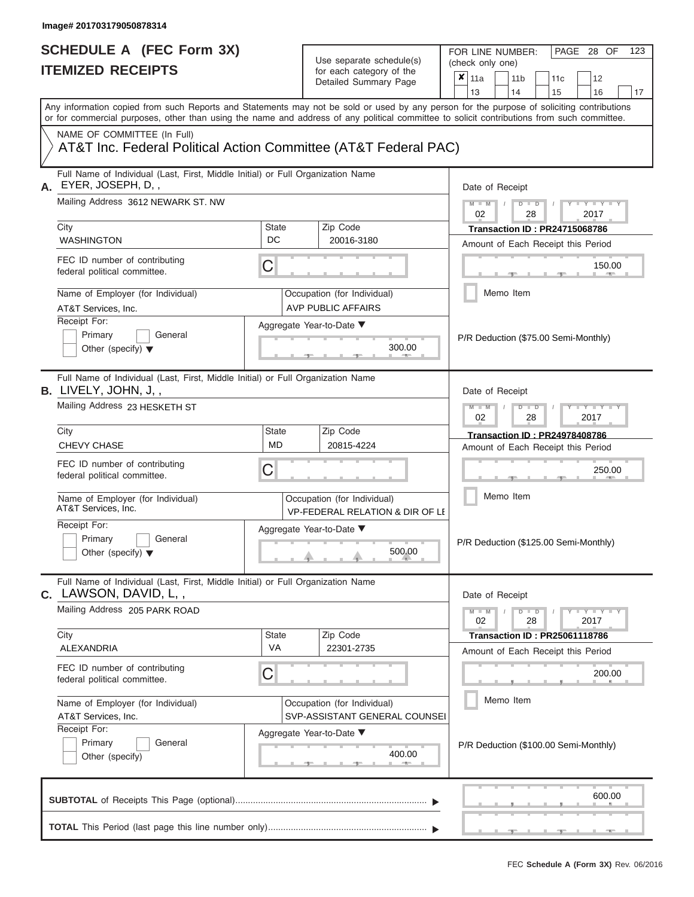| <b>ITEMIZED RECEIPTS</b><br>Any information copied from such Reports and Statements may not be sold or used by any person for the purpose of soliciting contributions<br>or for commercial purposes, other than using the name and address of any political committee to solicit contributions from such committee.<br>NAME OF COMMITTEE (In Full)<br>AT&T Inc. Federal Political Action Committee (AT&T Federal PAC) | for each category of the<br>Detailed Summary Page              | $\boldsymbol{\mathsf{x}}$<br>11a<br>11 <sub>b</sub><br>12<br>11c<br>13<br>14<br>15<br>16<br>17                                          |
|-----------------------------------------------------------------------------------------------------------------------------------------------------------------------------------------------------------------------------------------------------------------------------------------------------------------------------------------------------------------------------------------------------------------------|----------------------------------------------------------------|-----------------------------------------------------------------------------------------------------------------------------------------|
|                                                                                                                                                                                                                                                                                                                                                                                                                       |                                                                |                                                                                                                                         |
|                                                                                                                                                                                                                                                                                                                                                                                                                       |                                                                |                                                                                                                                         |
|                                                                                                                                                                                                                                                                                                                                                                                                                       |                                                                |                                                                                                                                         |
| Full Name of Individual (Last, First, Middle Initial) or Full Organization Name<br>EYER, JOSEPH, D,,<br>Α.                                                                                                                                                                                                                                                                                                            |                                                                | Date of Receipt                                                                                                                         |
| Mailing Address 3612 NEWARK ST. NW<br>City                                                                                                                                                                                                                                                                                                                                                                            | Zip Code<br>State                                              | $M - M$ /<br>$D$ $D$<br>$\mathbf{y}$ $\mathbf{y}$ $\mathbf{y}$ $\mathbf{y}$<br>02<br>28<br>2017<br><b>Transaction ID: PR24715068786</b> |
| <b>WASHINGTON</b>                                                                                                                                                                                                                                                                                                                                                                                                     | DC<br>20016-3180                                               | Amount of Each Receipt this Period                                                                                                      |
| FEC ID number of contributing<br>federal political committee.                                                                                                                                                                                                                                                                                                                                                         | C                                                              | 150.00<br><b>Contract Contract</b>                                                                                                      |
| Name of Employer (for Individual)<br>AT&T Services, Inc.                                                                                                                                                                                                                                                                                                                                                              | Occupation (for Individual)<br><b>AVP PUBLIC AFFAIRS</b>       | Memo Item                                                                                                                               |
| Receipt For:<br>Primary<br>General<br>Other (specify) $\blacktriangledown$                                                                                                                                                                                                                                                                                                                                            | Aggregate Year-to-Date ▼<br>300.00<br><b>CONTRACTOR</b>        | P/R Deduction (\$75.00 Semi-Monthly)                                                                                                    |
| Full Name of Individual (Last, First, Middle Initial) or Full Organization Name<br>B. LIVELY, JOHN, J,,<br>Mailing Address 23 HESKETH ST                                                                                                                                                                                                                                                                              |                                                                | Date of Receipt<br>$M - M$<br>$D$ $D$<br>$T - Y = T - Y = T$                                                                            |
| City                                                                                                                                                                                                                                                                                                                                                                                                                  | <b>State</b><br>Zip Code                                       | 02<br>2017<br>28<br><b>Transaction ID: PR24978408786</b>                                                                                |
| <b>CHEVY CHASE</b>                                                                                                                                                                                                                                                                                                                                                                                                    | <b>MD</b><br>20815-4224                                        | Amount of Each Receipt this Period                                                                                                      |
| FEC ID number of contributing<br>federal political committee.                                                                                                                                                                                                                                                                                                                                                         | C                                                              | 250.00                                                                                                                                  |
| Name of Employer (for Individual)<br>AT&T Services, Inc.                                                                                                                                                                                                                                                                                                                                                              | Occupation (for Individual)<br>VP-FEDERAL RELATION & DIR OF LI | Memo Item                                                                                                                               |
| Receipt For:<br>Primary<br>General<br>Other (specify) $\blacktriangledown$                                                                                                                                                                                                                                                                                                                                            | Aggregate Year-to-Date ▼<br>500.00                             | P/R Deduction (\$125.00 Semi-Monthly)                                                                                                   |
| Full Name of Individual (Last, First, Middle Initial) or Full Organization Name<br><b>C.</b> LAWSON, DAVID, L,,                                                                                                                                                                                                                                                                                                       |                                                                | Date of Receipt                                                                                                                         |
| Mailing Address 205 PARK ROAD<br>City                                                                                                                                                                                                                                                                                                                                                                                 | Zip Code<br><b>State</b>                                       | $M - M$<br>$D$ $D$<br>$Y - Y - Y - Y - Y$<br>02<br>28<br>2017                                                                           |
| ALEXANDRIA                                                                                                                                                                                                                                                                                                                                                                                                            | <b>VA</b><br>22301-2735                                        | <b>Transaction ID: PR25061118786</b><br>Amount of Each Receipt this Period                                                              |
| FEC ID number of contributing<br>federal political committee.                                                                                                                                                                                                                                                                                                                                                         | C                                                              | 200.00                                                                                                                                  |
| Name of Employer (for Individual)<br>AT&T Services, Inc.                                                                                                                                                                                                                                                                                                                                                              | Occupation (for Individual)<br>SVP-ASSISTANT GENERAL COUNSEI   | Memo Item                                                                                                                               |
| Receipt For:<br>Primary<br>General<br>Other (specify)                                                                                                                                                                                                                                                                                                                                                                 | Aggregate Year-to-Date ▼<br>400.00<br>$-1$                     | P/R Deduction (\$100.00 Semi-Monthly)                                                                                                   |
|                                                                                                                                                                                                                                                                                                                                                                                                                       |                                                                | 600.00                                                                                                                                  |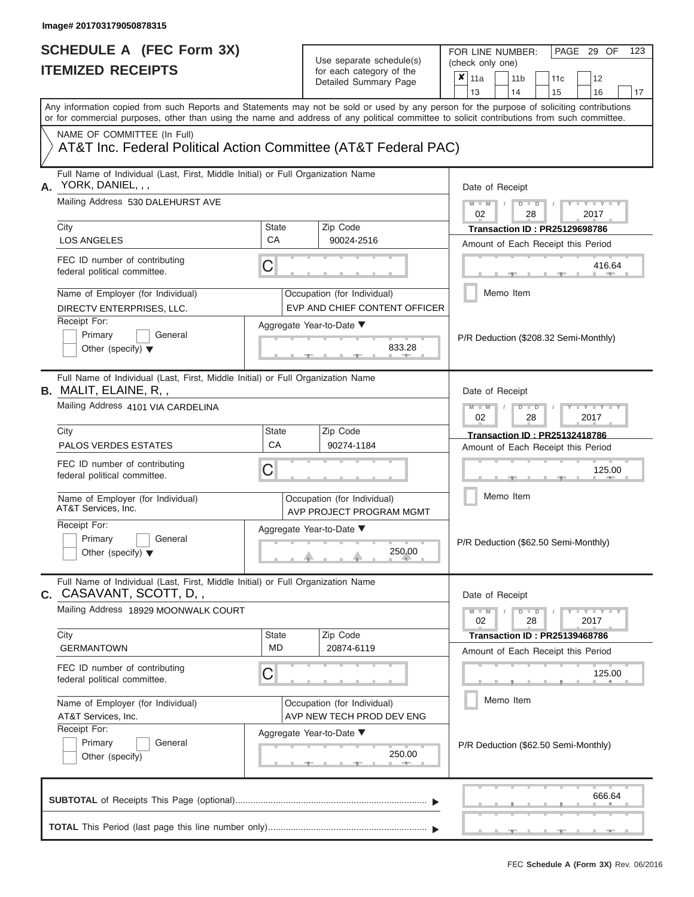FOR LINE NUMBER:<br>(check only one)

PAGE 29 OF 123

| <b>IIEMIZED REGEIPIS</b>                                                                                                                                                                                                                                                                |                                                          | for each category of the |                                                              |   |                                                                      |           | 11 <sub>b</sub>                      |                      | 11c                                   |  | 12                  |        |
|-----------------------------------------------------------------------------------------------------------------------------------------------------------------------------------------------------------------------------------------------------------------------------------------|----------------------------------------------------------|--------------------------|--------------------------------------------------------------|---|----------------------------------------------------------------------|-----------|--------------------------------------|----------------------|---------------------------------------|--|---------------------|--------|
|                                                                                                                                                                                                                                                                                         |                                                          |                          | Detailed Summary Page                                        | × | 11a<br>13                                                            |           | 14                                   |                      | 15                                    |  | 16                  | 17     |
| Any information copied from such Reports and Statements may not be sold or used by any person for the purpose of soliciting contributions<br>or for commercial purposes, other than using the name and address of any political committee to solicit contributions from such committee. |                                                          |                          |                                                              |   |                                                                      |           |                                      |                      |                                       |  |                     |        |
| NAME OF COMMITTEE (In Full)<br>AT&T Inc. Federal Political Action Committee (AT&T Federal PAC)                                                                                                                                                                                          |                                                          |                          |                                                              |   |                                                                      |           |                                      |                      |                                       |  |                     |        |
| Full Name of Individual (Last, First, Middle Initial) or Full Organization Name<br>A. YORK, DANIEL, , ,                                                                                                                                                                                 |                                                          |                          |                                                              |   | Date of Receipt                                                      |           |                                      |                      |                                       |  |                     |        |
| Mailing Address 530 DALEHURST AVE                                                                                                                                                                                                                                                       |                                                          |                          |                                                              |   | $M - M$<br>02                                                        |           |                                      | $D$ $\Box$ $D$<br>28 |                                       |  | $Y = Y$<br>2017     |        |
| City                                                                                                                                                                                                                                                                                    | <b>State</b>                                             |                          | Zip Code                                                     |   |                                                                      |           |                                      |                      | <b>Transaction ID: PR25129698786</b>  |  |                     |        |
| <b>LOS ANGELES</b>                                                                                                                                                                                                                                                                      | CA                                                       |                          | 90024-2516                                                   |   |                                                                      |           |                                      |                      | Amount of Each Receipt this Period    |  |                     |        |
| FEC ID number of contributing<br>federal political committee.                                                                                                                                                                                                                           | C                                                        |                          |                                                              |   |                                                                      |           |                                      |                      |                                       |  | 416.64              |        |
| Name of Employer (for Individual)<br>DIRECTV ENTERPRISES, LLC.                                                                                                                                                                                                                          |                                                          |                          | Occupation (for Individual)<br>EVP AND CHIEF CONTENT OFFICER |   |                                                                      | Memo Item |                                      |                      |                                       |  |                     |        |
| Receipt For:<br>Primary<br>General<br>Other (specify) $\blacktriangledown$                                                                                                                                                                                                              |                                                          |                          | Aggregate Year-to-Date ▼<br>833.28                           |   |                                                                      |           |                                      |                      | P/R Deduction (\$208.32 Semi-Monthly) |  |                     |        |
| Full Name of Individual (Last, First, Middle Initial) or Full Organization Name<br><b>B.</b> MALIT, ELAINE, R,,                                                                                                                                                                         |                                                          |                          |                                                              |   | Date of Receipt                                                      |           |                                      |                      |                                       |  |                     |        |
| Mailing Address 4101 VIA CARDELINA                                                                                                                                                                                                                                                      |                                                          |                          |                                                              |   | $M - M$<br>$T - Y = T - Y = T$<br>$D$ $\Box$ $D$<br>02<br>28<br>2017 |           |                                      |                      |                                       |  |                     |        |
| City                                                                                                                                                                                                                                                                                    | <b>State</b>                                             |                          | Zip Code                                                     |   |                                                                      |           |                                      |                      | <b>Transaction ID: PR25132418786</b>  |  |                     |        |
| <b>PALOS VERDES ESTATES</b>                                                                                                                                                                                                                                                             | CA                                                       |                          | 90274-1184                                                   |   | Amount of Each Receipt this Period                                   |           |                                      |                      |                                       |  |                     |        |
| FEC ID number of contributing<br>federal political committee.                                                                                                                                                                                                                           | С                                                        |                          |                                                              |   | 125.00                                                               |           |                                      |                      |                                       |  |                     |        |
| Name of Employer (for Individual)<br>AT&T Services, Inc.                                                                                                                                                                                                                                |                                                          |                          | Occupation (for Individual)<br>AVP PROJECT PROGRAM MGMT      |   | Memo Item                                                            |           |                                      |                      |                                       |  |                     |        |
| Receipt For:<br>Primary<br>General<br>Other (specify) $\blacktriangledown$                                                                                                                                                                                                              | Aggregate Year-to-Date ▼                                 |                          |                                                              |   |                                                                      |           | P/R Deduction (\$62.50 Semi-Monthly) |                      |                                       |  |                     |        |
| Full Name of Individual (Last, First, Middle Initial) or Full Organization Name<br>C. CASAVANT, SCOTT, D,,                                                                                                                                                                              |                                                          |                          |                                                              |   | Date of Receipt                                                      |           |                                      |                      |                                       |  |                     |        |
| Mailing Address 18929 MOONWALK COURT                                                                                                                                                                                                                                                    |                                                          |                          |                                                              |   | $M - M$<br>02                                                        |           |                                      | $D$ $\Box$ $D$<br>28 |                                       |  | $Y - Y - Y$<br>2017 |        |
| City<br><b>GERMANTOWN</b>                                                                                                                                                                                                                                                               | <b>State</b><br><b>MD</b>                                |                          | Zip Code<br>20874-6119                                       |   |                                                                      |           |                                      |                      | <b>Transaction ID: PR25139468786</b>  |  |                     |        |
|                                                                                                                                                                                                                                                                                         |                                                          |                          |                                                              |   |                                                                      |           |                                      |                      | Amount of Each Receipt this Period    |  |                     |        |
| FEC ID number of contributing<br>federal political committee.                                                                                                                                                                                                                           | С                                                        |                          |                                                              |   | 125.00                                                               |           |                                      |                      |                                       |  |                     |        |
| Name of Employer (for Individual)<br>AT&T Services, Inc.                                                                                                                                                                                                                                | Occupation (for Individual)<br>AVP NEW TECH PROD DEV ENG |                          |                                                              |   |                                                                      | Memo Item |                                      |                      |                                       |  |                     |        |
| Receipt For:<br>Primary<br>General<br>Other (specify)                                                                                                                                                                                                                                   |                                                          |                          | Aggregate Year-to-Date ▼<br>250.00<br><b>AND</b>             |   |                                                                      |           |                                      |                      | P/R Deduction (\$62.50 Semi-Monthly)  |  |                     |        |
|                                                                                                                                                                                                                                                                                         |                                                          |                          |                                                              |   |                                                                      |           |                                      |                      |                                       |  |                     | 666.64 |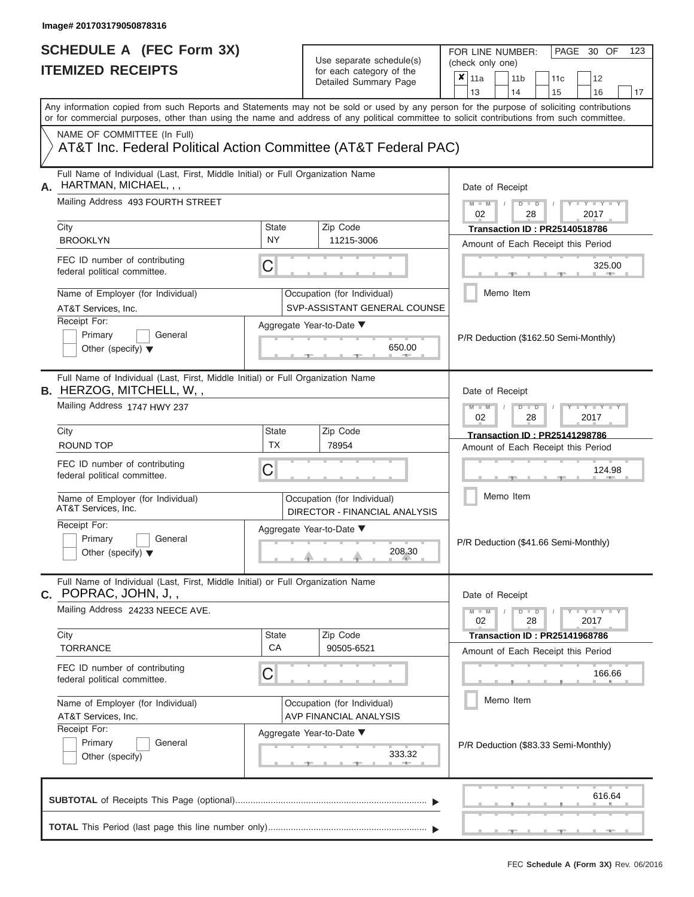|    | SCHEDULE A (FEC Form 3X)<br><b>ITEMIZED RECEIPTS</b>                                                                                                                                                                                                                                    |                          | Use separate schedule(s)<br>for each category of the<br>Detailed Summary Page                     | FOR LINE NUMBER:<br>PAGE 30 OF<br>123<br>(check only one)<br>$\overline{\mathbf{x}}$   11a<br>11 <sub>b</sub><br>12<br>11c<br>13<br>14<br>15<br>16<br>17                  |
|----|-----------------------------------------------------------------------------------------------------------------------------------------------------------------------------------------------------------------------------------------------------------------------------------------|--------------------------|---------------------------------------------------------------------------------------------------|---------------------------------------------------------------------------------------------------------------------------------------------------------------------------|
|    | Any information copied from such Reports and Statements may not be sold or used by any person for the purpose of soliciting contributions<br>or for commercial purposes, other than using the name and address of any political committee to solicit contributions from such committee. |                          |                                                                                                   |                                                                                                                                                                           |
|    | NAME OF COMMITTEE (In Full)<br>AT&T Inc. Federal Political Action Committee (AT&T Federal PAC)                                                                                                                                                                                          |                          |                                                                                                   |                                                                                                                                                                           |
| А. | Full Name of Individual (Last, First, Middle Initial) or Full Organization Name<br>HARTMAN, MICHAEL, , ,<br>Mailing Address 493 FOURTH STREET<br>City<br><b>BROOKLYN</b><br>FEC ID number of contributing                                                                               | <b>State</b><br>NY.<br>C | Zip Code<br>11215-3006                                                                            | Date of Receipt<br>$M - M$<br>$D$ $D$<br>$Y - Y - Y$<br>02<br>2017<br>28<br><b>Transaction ID: PR25140518786</b><br>Amount of Each Receipt this Period<br>325.00          |
|    | federal political committee.<br>Name of Employer (for Individual)<br>AT&T Services, Inc.<br>Receipt For:<br>Primary<br>General<br>Other (specify) $\blacktriangledown$                                                                                                                  |                          | Occupation (for Individual)<br>SVP-ASSISTANT GENERAL COUNSE<br>Aggregate Year-to-Date ▼<br>650.00 | <b>British Allen</b><br>Memo Item<br>P/R Deduction (\$162.50 Semi-Monthly)                                                                                                |
|    | Full Name of Individual (Last, First, Middle Initial) or Full Organization Name<br><b>B.</b> HERZOG, MITCHELL, W,,<br>Mailing Address 1747 HWY 237                                                                                                                                      |                          |                                                                                                   | Date of Receipt<br>$M - M$<br>$D$ $\Box$ $D$<br>$\blacksquare \blacksquare \mathsf{Y} \blacksquare \blacksquare \mathsf{Y} \blacksquare \blacksquare$<br>2017<br>02<br>28 |
|    | City<br>ROUND TOP                                                                                                                                                                                                                                                                       | State<br><b>TX</b>       | Zip Code<br>78954                                                                                 | <b>Transaction ID: PR25141298786</b><br>Amount of Each Receipt this Period                                                                                                |
|    | FEC ID number of contributing<br>federal political committee.<br>Name of Employer (for Individual)<br>AT&T Services, Inc.                                                                                                                                                               | С                        | Occupation (for Individual)<br>DIRECTOR - FINANCIAL ANALYSIS                                      | 124.98<br>Memo Item                                                                                                                                                       |
|    | Receipt For:<br>Primary<br>General<br>Other (specify) $\blacktriangledown$                                                                                                                                                                                                              |                          | Aggregate Year-to-Date ▼<br>208.30                                                                | P/R Deduction (\$41.66 Semi-Monthly)                                                                                                                                      |
|    | Full Name of Individual (Last, First, Middle Initial) or Full Organization Name<br><b>C.</b> POPRAC, JOHN, J, ,<br>Mailing Address 24233 NEECE AVE.                                                                                                                                     |                          |                                                                                                   | Date of Receipt<br>$M - M$<br>$D$ $D$<br>$T - Y = Y - T Y$<br>28<br>02<br>2017                                                                                            |
|    | City<br><b>TORRANCE</b>                                                                                                                                                                                                                                                                 | State<br>CA              | Zip Code<br>90505-6521                                                                            | <b>Transaction ID: PR25141968786</b><br>Amount of Each Receipt this Period                                                                                                |
|    | FEC ID number of contributing<br>federal political committee.                                                                                                                                                                                                                           | С                        |                                                                                                   | 166.66                                                                                                                                                                    |
|    | Name of Employer (for Individual)<br>AT&T Services, Inc.<br>Receipt For:<br>Primary<br>General                                                                                                                                                                                          |                          | Occupation (for Individual)<br><b>AVP FINANCIAL ANALYSIS</b><br>Aggregate Year-to-Date ▼          | Memo Item<br>P/R Deduction (\$83.33 Semi-Monthly)                                                                                                                         |
|    | Other (specify)                                                                                                                                                                                                                                                                         |                          | 333.32                                                                                            | 616.64                                                                                                                                                                    |
|    |                                                                                                                                                                                                                                                                                         |                          |                                                                                                   |                                                                                                                                                                           |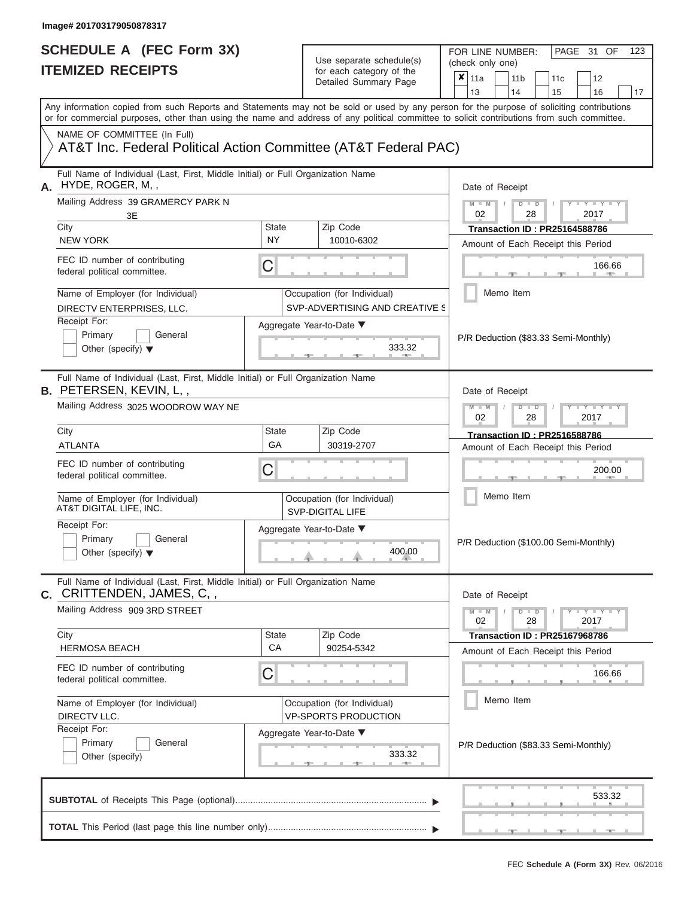| SCHEDULE A (FEC Form 3X)<br><b>ITEMIZED RECEIPTS</b>                                                                                                                                                                                                                                                                   |                    | Use separate schedule(s)<br>for each category of the<br>Detailed Summary Page | FOR LINE NUMBER:<br>PAGE 31 OF<br>123<br>(check only one)<br>×<br>11a<br>11 <sub>b</sub><br>12<br>11 <sub>c</sub>                                                                                                                                                                                                                                                                                                                                                                                                                                       |
|------------------------------------------------------------------------------------------------------------------------------------------------------------------------------------------------------------------------------------------------------------------------------------------------------------------------|--------------------|-------------------------------------------------------------------------------|---------------------------------------------------------------------------------------------------------------------------------------------------------------------------------------------------------------------------------------------------------------------------------------------------------------------------------------------------------------------------------------------------------------------------------------------------------------------------------------------------------------------------------------------------------|
| Any information copied from such Reports and Statements may not be sold or used by any person for the purpose of soliciting contributions<br>or for commercial purposes, other than using the name and address of any political committee to solicit contributions from such committee.<br>NAME OF COMMITTEE (In Full) |                    |                                                                               | 13<br>14<br>15<br>16<br>17                                                                                                                                                                                                                                                                                                                                                                                                                                                                                                                              |
| AT&T Inc. Federal Political Action Committee (AT&T Federal PAC)                                                                                                                                                                                                                                                        |                    |                                                                               |                                                                                                                                                                                                                                                                                                                                                                                                                                                                                                                                                         |
| Full Name of Individual (Last, First, Middle Initial) or Full Organization Name<br>HYDE, ROGER, M,,                                                                                                                                                                                                                    |                    |                                                                               | Date of Receipt                                                                                                                                                                                                                                                                                                                                                                                                                                                                                                                                         |
| Mailing Address 39 GRAMERCY PARK N<br>3E<br>City                                                                                                                                                                                                                                                                       | <b>State</b>       | Zip Code                                                                      | $M$ – $M$ /<br>$D$ $D$<br>$\begin{array}{c c c c c c} \hline \multicolumn{3}{c }{\mathsf{I}} & \multicolumn{3}{c}{\mathsf{Y}} & \multicolumn{3}{c}{\mathsf{I}} & \multicolumn{3}{c}{\mathsf{Y}} & \multicolumn{3}{c}{\mathsf{I}} & \multicolumn{3}{c}{\mathsf{Y}} & \multicolumn{3}{c}{\mathsf{I}} & \multicolumn{3}{c}{\mathsf{Y}} & \multicolumn{3}{c}{\mathsf{I}} & \multicolumn{3}{c}{\mathsf{Y}} & \multicolumn{3}{c}{\mathsf{I}} & \multicolumn{3}{c}{\mathsf{Y}} & \multicolumn{3}{$<br>02<br>2017<br>28<br><b>Transaction ID: PR25164588786</b> |
| <b>NEW YORK</b>                                                                                                                                                                                                                                                                                                        | <b>NY</b>          | 10010-6302                                                                    | Amount of Each Receipt this Period                                                                                                                                                                                                                                                                                                                                                                                                                                                                                                                      |
| FEC ID number of contributing<br>federal political committee.                                                                                                                                                                                                                                                          | C                  |                                                                               | 166.66<br><b>CONTRACTOR</b>                                                                                                                                                                                                                                                                                                                                                                                                                                                                                                                             |
| Name of Employer (for Individual)<br>DIRECTV ENTERPRISES, LLC.                                                                                                                                                                                                                                                         |                    | Occupation (for Individual)<br>SVP-ADVERTISING AND CREATIVE S                 | Memo Item                                                                                                                                                                                                                                                                                                                                                                                                                                                                                                                                               |
| Receipt For:<br>Primary<br>General<br>Other (specify) $\blacktriangledown$                                                                                                                                                                                                                                             |                    | Aggregate Year-to-Date ▼<br>333.32                                            | P/R Deduction (\$83.33 Semi-Monthly)                                                                                                                                                                                                                                                                                                                                                                                                                                                                                                                    |
| Full Name of Individual (Last, First, Middle Initial) or Full Organization Name<br>B. PETERSEN, KEVIN, L,,<br>Mailing Address 3025 WOODROW WAY NE                                                                                                                                                                      |                    |                                                                               | Date of Receipt<br>$M - M$<br>$D$ $D$<br>$+Y + Y + Y$                                                                                                                                                                                                                                                                                                                                                                                                                                                                                                   |
| City                                                                                                                                                                                                                                                                                                                   | <b>State</b>       | Zip Code                                                                      | 2017<br>02<br>28                                                                                                                                                                                                                                                                                                                                                                                                                                                                                                                                        |
| <b>ATLANTA</b>                                                                                                                                                                                                                                                                                                         | GA                 | 30319-2707                                                                    | <b>Transaction ID: PR2516588786</b><br>Amount of Each Receipt this Period                                                                                                                                                                                                                                                                                                                                                                                                                                                                               |
| FEC ID number of contributing<br>federal political committee.                                                                                                                                                                                                                                                          | C                  |                                                                               | 200.00                                                                                                                                                                                                                                                                                                                                                                                                                                                                                                                                                  |
| Name of Employer (for Individual)<br>AT&T DIGITAL LIFE, INC.                                                                                                                                                                                                                                                           |                    | Occupation (for Individual)<br><b>SVP-DIGITAL LIFE</b>                        | Memo Item                                                                                                                                                                                                                                                                                                                                                                                                                                                                                                                                               |
| Receipt For:<br>Primary<br>General<br>Other (specify) $\blacktriangledown$                                                                                                                                                                                                                                             |                    | Aggregate Year-to-Date ▼<br>400.00                                            | P/R Deduction (\$100.00 Semi-Monthly)                                                                                                                                                                                                                                                                                                                                                                                                                                                                                                                   |
| Full Name of Individual (Last, First, Middle Initial) or Full Organization Name<br>C. CRITTENDEN, JAMES, C,,                                                                                                                                                                                                           |                    |                                                                               | Date of Receipt                                                                                                                                                                                                                                                                                                                                                                                                                                                                                                                                         |
| Mailing Address 909 3RD STREET                                                                                                                                                                                                                                                                                         |                    |                                                                               | $M - M$<br>$D$ $D$<br>$Y - Y - Y - Y - Y$<br>02<br>28<br>2017                                                                                                                                                                                                                                                                                                                                                                                                                                                                                           |
| City<br><b>HERMOSA BEACH</b>                                                                                                                                                                                                                                                                                           | <b>State</b><br>CA | Zip Code<br>90254-5342                                                        | <b>Transaction ID: PR25167968786</b><br>Amount of Each Receipt this Period                                                                                                                                                                                                                                                                                                                                                                                                                                                                              |
| FEC ID number of contributing<br>federal political committee.                                                                                                                                                                                                                                                          | C                  |                                                                               | 166.66                                                                                                                                                                                                                                                                                                                                                                                                                                                                                                                                                  |
| Name of Employer (for Individual)<br>DIRECTV LLC.                                                                                                                                                                                                                                                                      |                    | Occupation (for Individual)<br><b>VP-SPORTS PRODUCTION</b>                    | Memo Item                                                                                                                                                                                                                                                                                                                                                                                                                                                                                                                                               |
| Receipt For:<br>Primary<br>General<br>Other (specify)                                                                                                                                                                                                                                                                  |                    | Aggregate Year-to-Date ▼<br>333.32<br>-40-                                    | P/R Deduction (\$83.33 Semi-Monthly)                                                                                                                                                                                                                                                                                                                                                                                                                                                                                                                    |
|                                                                                                                                                                                                                                                                                                                        |                    |                                                                               | 533.32                                                                                                                                                                                                                                                                                                                                                                                                                                                                                                                                                  |
|                                                                                                                                                                                                                                                                                                                        |                    |                                                                               | $ -$<br><u> Andreas Andreas Andreas Andreas Andreas Andreas Andreas Andreas Andreas Andreas Andreas Andreas Andreas Andreas Andreas Andreas Andreas Andreas Andreas Andreas Andreas Andreas Andreas Andreas Andreas Andreas Andreas Andr</u>                                                                                                                                                                                                                                                                                                            |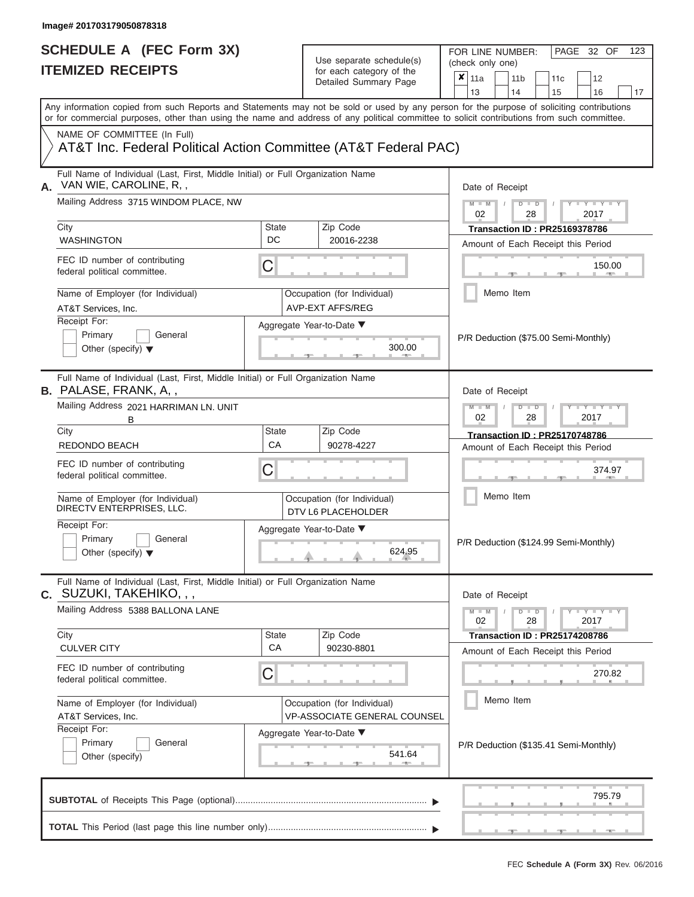FOR LINE NUMBER:<br>(check only one)

PAGE 32 OF 123

| IIEMIZEV REVEIPIJ                                                                                                  |                                        | for each category of the<br>Detailed Summary Page   | ×<br>11a<br>11 <sub>b</sub><br>11 <sub>c</sub><br>12                                                                                                                                                                                                                                    |  |  |  |  |  |  |  |
|--------------------------------------------------------------------------------------------------------------------|----------------------------------------|-----------------------------------------------------|-----------------------------------------------------------------------------------------------------------------------------------------------------------------------------------------------------------------------------------------------------------------------------------------|--|--|--|--|--|--|--|
|                                                                                                                    |                                        |                                                     | 13<br>14<br>15<br>16<br>17                                                                                                                                                                                                                                                              |  |  |  |  |  |  |  |
|                                                                                                                    |                                        |                                                     | Any information copied from such Reports and Statements may not be sold or used by any person for the purpose of soliciting contributions<br>or for commercial purposes, other than using the name and address of any political committee to solicit contributions from such committee. |  |  |  |  |  |  |  |
| NAME OF COMMITTEE (In Full)<br>AT&T Inc. Federal Political Action Committee (AT&T Federal PAC)                     |                                        |                                                     |                                                                                                                                                                                                                                                                                         |  |  |  |  |  |  |  |
| Full Name of Individual (Last, First, Middle Initial) or Full Organization Name<br>VAN WIE, CAROLINE, R,,<br>А.    |                                        |                                                     | Date of Receipt                                                                                                                                                                                                                                                                         |  |  |  |  |  |  |  |
| Mailing Address 3715 WINDOM PLACE, NW                                                                              |                                        |                                                     | $M - M$<br>$D$ $\Box$ $D$<br>$+Y+Y+Y$<br>02<br>28<br>2017                                                                                                                                                                                                                               |  |  |  |  |  |  |  |
| City<br><b>WASHINGTON</b>                                                                                          | <b>State</b><br>DC                     | Zip Code<br>20016-2238                              | <b>Transaction ID: PR25169378786</b>                                                                                                                                                                                                                                                    |  |  |  |  |  |  |  |
|                                                                                                                    |                                        |                                                     | Amount of Each Receipt this Period                                                                                                                                                                                                                                                      |  |  |  |  |  |  |  |
| FEC ID number of contributing<br>federal political committee.                                                      | C                                      |                                                     | 150.00                                                                                                                                                                                                                                                                                  |  |  |  |  |  |  |  |
| Name of Employer (for Individual)<br>AT&T Services, Inc.                                                           |                                        | Occupation (for Individual)<br>AVP-EXT AFFS/REG     | Memo Item                                                                                                                                                                                                                                                                               |  |  |  |  |  |  |  |
| Receipt For:                                                                                                       |                                        | Aggregate Year-to-Date ▼                            |                                                                                                                                                                                                                                                                                         |  |  |  |  |  |  |  |
| Primary<br>General<br>Other (specify) $\blacktriangledown$                                                         |                                        | 300.00                                              | P/R Deduction (\$75.00 Semi-Monthly)                                                                                                                                                                                                                                                    |  |  |  |  |  |  |  |
| Full Name of Individual (Last, First, Middle Initial) or Full Organization Name<br>B. PALASE, FRANK, A,,           |                                        |                                                     | Date of Receipt                                                                                                                                                                                                                                                                         |  |  |  |  |  |  |  |
| B                                                                                                                  | Mailing Address 2021 HARRIMAN LN. UNIT |                                                     |                                                                                                                                                                                                                                                                                         |  |  |  |  |  |  |  |
| City                                                                                                               | <b>State</b>                           | Zip Code                                            | <b>Transaction ID: PR25170748786</b>                                                                                                                                                                                                                                                    |  |  |  |  |  |  |  |
| <b>REDONDO BEACH</b>                                                                                               | CA                                     | 90278-4227                                          | Amount of Each Receipt this Period                                                                                                                                                                                                                                                      |  |  |  |  |  |  |  |
| FEC ID number of contributing<br>federal political committee.                                                      | С                                      |                                                     | 374.97                                                                                                                                                                                                                                                                                  |  |  |  |  |  |  |  |
| Name of Employer (for Individual)<br>DIRECTV ENTERPRISES, LLC.                                                     |                                        | Occupation (for Individual)<br>DTV L6 PLACEHOLDER   | Memo Item                                                                                                                                                                                                                                                                               |  |  |  |  |  |  |  |
| Receipt For:<br>Primary<br>General<br>Other (specify) $\blacktriangledown$                                         |                                        | Aggregate Year-to-Date ▼<br>624.95                  | P/R Deduction (\$124.99 Semi-Monthly)                                                                                                                                                                                                                                                   |  |  |  |  |  |  |  |
| Full Name of Individual (Last, First, Middle Initial) or Full Organization Name<br><b>c.</b> SUZUKI, TAKEHIKO, , , |                                        |                                                     | Date of Receipt                                                                                                                                                                                                                                                                         |  |  |  |  |  |  |  |
| Mailing Address 5388 BALLONA LANE                                                                                  |                                        |                                                     | $Y - Y - Y - Y - I - Y$<br>$M - M$<br>$D$ $D$<br>$\prime$<br>02<br>28<br>2017                                                                                                                                                                                                           |  |  |  |  |  |  |  |
| City                                                                                                               | State<br>CA                            | Zip Code                                            | <b>Transaction ID: PR25174208786</b>                                                                                                                                                                                                                                                    |  |  |  |  |  |  |  |
| <b>CULVER CITY</b>                                                                                                 |                                        | 90230-8801                                          | Amount of Each Receipt this Period                                                                                                                                                                                                                                                      |  |  |  |  |  |  |  |
| FEC ID number of contributing<br>federal political committee.                                                      | C                                      |                                                     | 270.82                                                                                                                                                                                                                                                                                  |  |  |  |  |  |  |  |
| Name of Employer (for Individual)                                                                                  |                                        | Occupation (for Individual)                         | Memo Item                                                                                                                                                                                                                                                                               |  |  |  |  |  |  |  |
| AT&T Services, Inc.                                                                                                |                                        | VP-ASSOCIATE GENERAL COUNSEL                        |                                                                                                                                                                                                                                                                                         |  |  |  |  |  |  |  |
| Receipt For:<br>Primary<br>General<br>Other (specify)                                                              |                                        | Aggregate Year-to-Date ▼<br>541.64<br><b>1. 400</b> | P/R Deduction (\$135.41 Semi-Monthly)                                                                                                                                                                                                                                                   |  |  |  |  |  |  |  |
|                                                                                                                    |                                        |                                                     | 795.79                                                                                                                                                                                                                                                                                  |  |  |  |  |  |  |  |
|                                                                                                                    |                                        |                                                     |                                                                                                                                                                                                                                                                                         |  |  |  |  |  |  |  |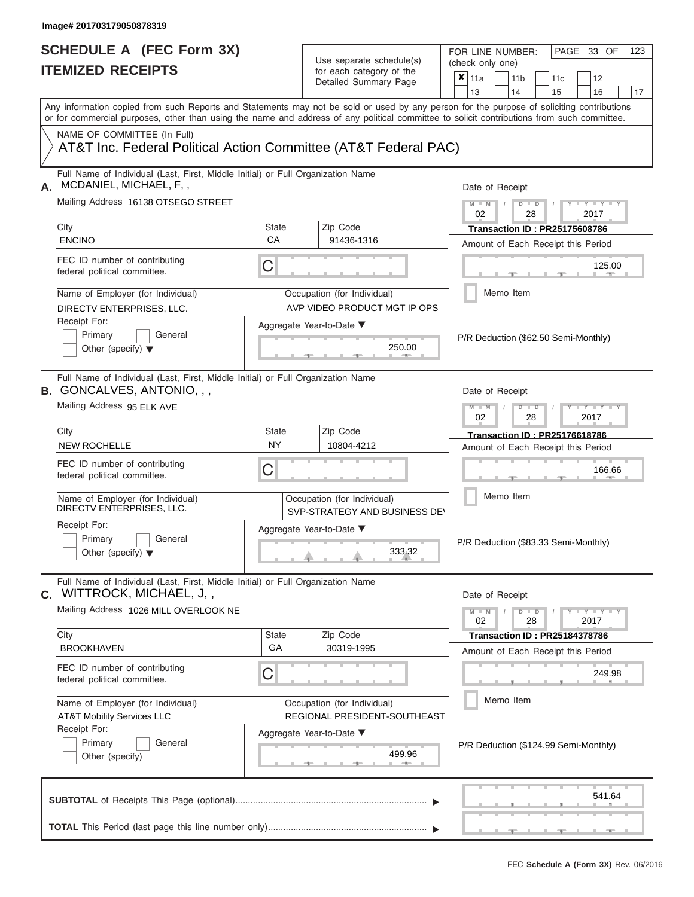| SCHEDULE A (FEC Form 3X)<br><b>ITEMIZED RECEIPTS</b>                                                                                                  |                           | Use separate schedule(s)<br>for each category of the<br>Detailed Summary Page            | FOR LINE NUMBER:<br>PAGE 33 OF<br>123<br>(check only one)<br>×<br>11a<br>12<br>11 <sub>b</sub><br>11 <sub>c</sub>                                                                                                                                                                                                                                                                                                                                                                                            |  |  |  |  |
|-------------------------------------------------------------------------------------------------------------------------------------------------------|---------------------------|------------------------------------------------------------------------------------------|--------------------------------------------------------------------------------------------------------------------------------------------------------------------------------------------------------------------------------------------------------------------------------------------------------------------------------------------------------------------------------------------------------------------------------------------------------------------------------------------------------------|--|--|--|--|
|                                                                                                                                                       |                           |                                                                                          | 13<br>14<br>15<br>16<br>17<br>Any information copied from such Reports and Statements may not be sold or used by any person for the purpose of soliciting contributions<br>or for commercial purposes, other than using the name and address of any political committee to solicit contributions from such committee.                                                                                                                                                                                        |  |  |  |  |
| NAME OF COMMITTEE (In Full)<br>AT&T Inc. Federal Political Action Committee (AT&T Federal PAC)                                                        |                           |                                                                                          |                                                                                                                                                                                                                                                                                                                                                                                                                                                                                                              |  |  |  |  |
| Full Name of Individual (Last, First, Middle Initial) or Full Organization Name<br>MCDANIEL, MICHAEL, F,,<br>Mailing Address 16138 OTSEGO STREET      |                           |                                                                                          | Date of Receipt<br>$M - M$ /<br>$D$ $D$<br>$\begin{array}{c c c c c c} \hline \multicolumn{3}{c }{\mathsf{I}} & \multicolumn{3}{c}{\mathsf{Y}} & \multicolumn{3}{c}{\mathsf{I}} & \multicolumn{3}{c}{\mathsf{Y}} & \multicolumn{3}{c}{\mathsf{I}} & \multicolumn{3}{c}{\mathsf{Y}} & \multicolumn{3}{c}{\mathsf{I}} & \multicolumn{3}{c}{\mathsf{Y}} & \multicolumn{3}{c}{\mathsf{I}} & \multicolumn{3}{c}{\mathsf{Y}} & \multicolumn{3}{c}{\mathsf{I}} & \multicolumn{3}{c}{\mathsf{Y}} & \multicolumn{3}{$ |  |  |  |  |
| City<br><b>ENCINO</b>                                                                                                                                 | <b>State</b><br>CA        | Zip Code<br>91436-1316                                                                   | 02<br>28<br>2017<br><b>Transaction ID: PR25175608786</b><br>Amount of Each Receipt this Period                                                                                                                                                                                                                                                                                                                                                                                                               |  |  |  |  |
| FEC ID number of contributing<br>federal political committee.                                                                                         | C                         |                                                                                          | 125.00<br><b>B. A. Allen</b>                                                                                                                                                                                                                                                                                                                                                                                                                                                                                 |  |  |  |  |
| Name of Employer (for Individual)<br>DIRECTV ENTERPRISES, LLC.<br>Receipt For:                                                                        |                           | Occupation (for Individual)<br>AVP VIDEO PRODUCT MGT IP OPS                              | Memo Item                                                                                                                                                                                                                                                                                                                                                                                                                                                                                                    |  |  |  |  |
| Primary<br>General<br>Other (specify) $\blacktriangledown$                                                                                            |                           | Aggregate Year-to-Date ▼<br>250.00<br><b>British Company</b>                             | P/R Deduction (\$62.50 Semi-Monthly)                                                                                                                                                                                                                                                                                                                                                                                                                                                                         |  |  |  |  |
| Full Name of Individual (Last, First, Middle Initial) or Full Organization Name<br><b>B.</b> GONCALVES, ANTONIO, , ,<br>Mailing Address 95 ELK AVE    |                           |                                                                                          | Date of Receipt<br>$M - M$<br>$D$ $\Box$ $D$<br>$T - Y = T - Y = T$                                                                                                                                                                                                                                                                                                                                                                                                                                          |  |  |  |  |
| City<br><b>NEW ROCHELLE</b>                                                                                                                           | <b>State</b><br><b>NY</b> | Zip Code<br>10804-4212                                                                   | 2017<br>02<br>28<br><b>Transaction ID: PR25176618786</b><br>Amount of Each Receipt this Period                                                                                                                                                                                                                                                                                                                                                                                                               |  |  |  |  |
| FEC ID number of contributing<br>federal political committee.                                                                                         | C                         |                                                                                          | 166.66                                                                                                                                                                                                                                                                                                                                                                                                                                                                                                       |  |  |  |  |
| Name of Employer (for Individual)<br>DIRECTV ENTERPRISES, LLC.<br>Receipt For:                                                                        |                           | Occupation (for Individual)<br>SVP-STRATEGY AND BUSINESS DEY<br>Aggregate Year-to-Date ▼ | Memo Item                                                                                                                                                                                                                                                                                                                                                                                                                                                                                                    |  |  |  |  |
| Primary<br>General<br>Other (specify) $\blacktriangledown$                                                                                            |                           | 333.32                                                                                   | P/R Deduction (\$83.33 Semi-Monthly)                                                                                                                                                                                                                                                                                                                                                                                                                                                                         |  |  |  |  |
| Full Name of Individual (Last, First, Middle Initial) or Full Organization Name<br>C. WITTROCK, MICHAEL, J,,<br>Mailing Address 1026 MILL OVERLOOK NE |                           |                                                                                          | Date of Receipt<br>$M - M$<br>$D$ $D$<br>$Y - Y - Y - Y - Y$                                                                                                                                                                                                                                                                                                                                                                                                                                                 |  |  |  |  |
| City<br><b>BROOKHAVEN</b>                                                                                                                             | <b>State</b><br>GA        | Zip Code<br>30319-1995                                                                   | 02<br>28<br>2017<br><b>Transaction ID : PR25184378786</b><br>Amount of Each Receipt this Period                                                                                                                                                                                                                                                                                                                                                                                                              |  |  |  |  |
| FEC ID number of contributing<br>federal political committee.                                                                                         | C                         |                                                                                          | 249.98                                                                                                                                                                                                                                                                                                                                                                                                                                                                                                       |  |  |  |  |
| Name of Employer (for Individual)<br><b>AT&amp;T Mobility Services LLC</b><br>Receipt For:                                                            |                           | Occupation (for Individual)<br>REGIONAL PRESIDENT-SOUTHEAST                              | Memo Item                                                                                                                                                                                                                                                                                                                                                                                                                                                                                                    |  |  |  |  |
| Primary<br>General<br>Other (specify)                                                                                                                 |                           | Aggregate Year-to-Date ▼<br>499.96<br>-40-                                               | P/R Deduction (\$124.99 Semi-Monthly)                                                                                                                                                                                                                                                                                                                                                                                                                                                                        |  |  |  |  |
|                                                                                                                                                       |                           |                                                                                          | 541.64                                                                                                                                                                                                                                                                                                                                                                                                                                                                                                       |  |  |  |  |
|                                                                                                                                                       |                           |                                                                                          |                                                                                                                                                                                                                                                                                                                                                                                                                                                                                                              |  |  |  |  |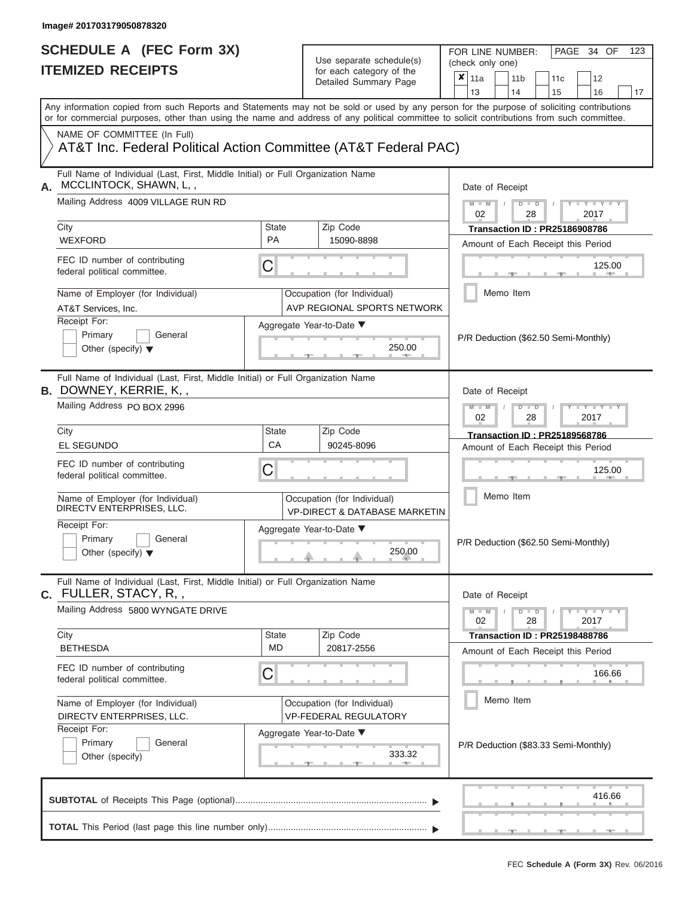FOR LINE NUMBER:<br>(check only one)

PAGE 34 OF 123

| IIEMIZEV REVEIPIJ                                                                                                                                                                                                                                                                       | for each category of the<br>Detailed Summary Page | ×                                                                       | 11a                                                       |                                                                                      | 11 <sub>b</sub> | 11c           | 12 |                                      |    |  |  |  |  |  |
|-----------------------------------------------------------------------------------------------------------------------------------------------------------------------------------------------------------------------------------------------------------------------------------------|---------------------------------------------------|-------------------------------------------------------------------------|-----------------------------------------------------------|--------------------------------------------------------------------------------------|-----------------|---------------|----|--------------------------------------|----|--|--|--|--|--|
|                                                                                                                                                                                                                                                                                         |                                                   |                                                                         |                                                           | 13                                                                                   |                 | 14            | 15 | 16                                   | 17 |  |  |  |  |  |
| Any information copied from such Reports and Statements may not be sold or used by any person for the purpose of soliciting contributions<br>or for commercial purposes, other than using the name and address of any political committee to solicit contributions from such committee. |                                                   |                                                                         |                                                           |                                                                                      |                 |               |    |                                      |    |  |  |  |  |  |
| NAME OF COMMITTEE (In Full)<br>AT&T Inc. Federal Political Action Committee (AT&T Federal PAC)                                                                                                                                                                                          |                                                   |                                                                         |                                                           |                                                                                      |                 |               |    |                                      |    |  |  |  |  |  |
| Full Name of Individual (Last, First, Middle Initial) or Full Organization Name<br>MCCLINTOCK, SHAWN, L,,<br>А.                                                                                                                                                                         |                                                   |                                                                         |                                                           | Date of Receipt                                                                      |                 |               |    |                                      |    |  |  |  |  |  |
| Mailing Address 4009 VILLAGE RUN RD                                                                                                                                                                                                                                                     |                                                   |                                                                         |                                                           | $M - M$<br>$D$ $\Box$ $D$<br>$Y - Y - Y$<br>02<br>28<br>2017                         |                 |               |    |                                      |    |  |  |  |  |  |
| City<br><b>WEXFORD</b>                                                                                                                                                                                                                                                                  | State<br><b>PA</b>                                | Zip Code<br>15090-8898                                                  |                                                           | <b>Transaction ID: PR25186908786</b><br>Amount of Each Receipt this Period<br>125.00 |                 |               |    |                                      |    |  |  |  |  |  |
| FEC ID number of contributing<br>federal political committee.                                                                                                                                                                                                                           | C                                                 |                                                                         |                                                           |                                                                                      |                 |               |    |                                      |    |  |  |  |  |  |
| Name of Employer (for Individual)<br>AT&T Services, Inc.                                                                                                                                                                                                                                |                                                   | Occupation (for Individual)<br>AVP REGIONAL SPORTS NETWORK              |                                                           |                                                                                      |                 | Memo Item     |    |                                      |    |  |  |  |  |  |
| Receipt For:<br>Primary<br>General<br>Other (specify) $\blacktriangledown$                                                                                                                                                                                                              |                                                   | Aggregate Year-to-Date ▼<br>250.00                                      |                                                           |                                                                                      |                 |               |    | P/R Deduction (\$62.50 Semi-Monthly) |    |  |  |  |  |  |
| Full Name of Individual (Last, First, Middle Initial) or Full Organization Name<br><b>B.</b> DOWNEY, KERRIE, K, ,                                                                                                                                                                       |                                                   |                                                                         | Date of Receipt                                           |                                                                                      |                 |               |    |                                      |    |  |  |  |  |  |
| Mailing Address PO BOX 2996                                                                                                                                                                                                                                                             |                                                   |                                                                         | $M - M$<br>$T - Y = T - T$<br>$D$ $D$<br>02<br>28<br>2017 |                                                                                      |                 |               |    |                                      |    |  |  |  |  |  |
| City<br><b>EL SEGUNDO</b>                                                                                                                                                                                                                                                               | State<br>CA                                       | Zip Code<br>90245-8096                                                  |                                                           | <b>Transaction ID: PR25189568786</b><br>Amount of Each Receipt this Period           |                 |               |    |                                      |    |  |  |  |  |  |
| FEC ID number of contributing<br>federal political committee.                                                                                                                                                                                                                           | С                                                 |                                                                         |                                                           |                                                                                      |                 |               |    | 125.00                               |    |  |  |  |  |  |
| Name of Employer (for Individual)<br>DIRECTV ENTERPRISES, LLC.                                                                                                                                                                                                                          |                                                   | Occupation (for Individual)<br><b>VP-DIRECT &amp; DATABASE MARKETIN</b> |                                                           |                                                                                      |                 | Memo Item     |    |                                      |    |  |  |  |  |  |
| Receipt For:<br>Primary<br>General<br>Other (specify) $\blacktriangledown$                                                                                                                                                                                                              |                                                   | Aggregate Year-to-Date ▼<br>250.00                                      |                                                           |                                                                                      |                 |               |    | P/R Deduction (\$62.50 Semi-Monthly) |    |  |  |  |  |  |
| Full Name of Individual (Last, First, Middle Initial) or Full Organization Name<br><b>c.</b> FULLER, STACY, R, ,                                                                                                                                                                        |                                                   |                                                                         |                                                           | Date of Receipt                                                                      |                 |               |    |                                      |    |  |  |  |  |  |
| Mailing Address 5800 WYNGATE DRIVE                                                                                                                                                                                                                                                      |                                                   |                                                                         |                                                           | $M - M$<br>02                                                                        |                 | $D$ $D$<br>28 |    | Y FYLY FY<br>2017                    |    |  |  |  |  |  |
| City<br><b>BETHESDA</b>                                                                                                                                                                                                                                                                 | <b>State</b><br>MD                                | Zip Code<br>20817-2556                                                  |                                                           |                                                                                      |                 |               |    | <b>Transaction ID: PR25198488786</b> |    |  |  |  |  |  |
| FEC ID number of contributing<br>federal political committee.                                                                                                                                                                                                                           | С                                                 |                                                                         |                                                           | Amount of Each Receipt this Period<br>166.66                                         |                 |               |    |                                      |    |  |  |  |  |  |
| Name of Employer (for Individual)<br>DIRECTV ENTERPRISES, LLC.                                                                                                                                                                                                                          |                                                   | Occupation (for Individual)<br>VP-FEDERAL REGULATORY                    |                                                           |                                                                                      |                 | Memo Item     |    |                                      |    |  |  |  |  |  |
| Receipt For:<br>Primary<br>General<br>Other (specify)                                                                                                                                                                                                                                   |                                                   | Aggregate Year-to-Date ▼<br>333.32<br><b>ALC: NO</b>                    |                                                           |                                                                                      |                 |               |    | P/R Deduction (\$83.33 Semi-Monthly) |    |  |  |  |  |  |
|                                                                                                                                                                                                                                                                                         |                                                   |                                                                         |                                                           |                                                                                      |                 |               |    | 416.66                               |    |  |  |  |  |  |
|                                                                                                                                                                                                                                                                                         |                                                   |                                                                         |                                                           |                                                                                      |                 |               |    |                                      |    |  |  |  |  |  |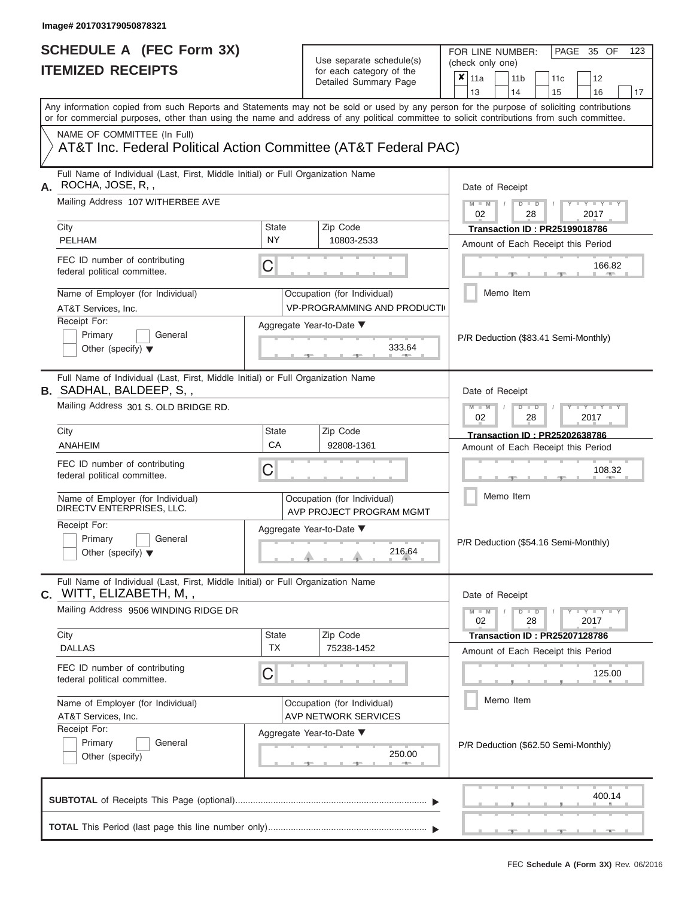FOR LINE NUMBER:<br>(check only one)

PAGE 35 OF 123

|    | <b>IIEMIZED RECEIPIS</b>                                                                                                                                                                                                                                                                |                           | for each category of the<br>Detailed Summary Page                 | ×<br>11a<br>12<br>11 b<br>11c<br>13<br>14<br>15<br>16<br>17                         |  |  |  |  |  |
|----|-----------------------------------------------------------------------------------------------------------------------------------------------------------------------------------------------------------------------------------------------------------------------------------------|---------------------------|-------------------------------------------------------------------|-------------------------------------------------------------------------------------|--|--|--|--|--|
|    | Any information copied from such Reports and Statements may not be sold or used by any person for the purpose of soliciting contributions<br>or for commercial purposes, other than using the name and address of any political committee to solicit contributions from such committee. |                           |                                                                   |                                                                                     |  |  |  |  |  |
|    | NAME OF COMMITTEE (In Full)<br>AT&T Inc. Federal Political Action Committee (AT&T Federal PAC)                                                                                                                                                                                          |                           |                                                                   |                                                                                     |  |  |  |  |  |
| А. | Full Name of Individual (Last, First, Middle Initial) or Full Organization Name<br>ROCHA, JOSE, R,,                                                                                                                                                                                     |                           |                                                                   | Date of Receipt                                                                     |  |  |  |  |  |
|    | Mailing Address 107 WITHERBEE AVE                                                                                                                                                                                                                                                       |                           |                                                                   | $M - M$<br>Y L Y L<br>$\overline{D}$<br>$\overline{\mathsf{D}}$<br>02<br>28<br>2017 |  |  |  |  |  |
|    | City<br><b>PELHAM</b>                                                                                                                                                                                                                                                                   | <b>State</b><br><b>NY</b> | Zip Code<br>10803-2533                                            | <b>Transaction ID: PR25199018786</b><br>Amount of Each Receipt this Period          |  |  |  |  |  |
|    | FEC ID number of contributing<br>federal political committee.                                                                                                                                                                                                                           | C                         |                                                                   | 166.82                                                                              |  |  |  |  |  |
|    | Name of Employer (for Individual)<br>AT&T Services, Inc.                                                                                                                                                                                                                                |                           | Occupation (for Individual)<br><b>VP-PROGRAMMING AND PRODUCTI</b> | Memo Item                                                                           |  |  |  |  |  |
|    | Receipt For:<br>Primary<br>General<br>Other (specify) $\blacktriangledown$                                                                                                                                                                                                              |                           | Aggregate Year-to-Date ▼<br>333.64                                | P/R Deduction (\$83.41 Semi-Monthly)                                                |  |  |  |  |  |
|    | Full Name of Individual (Last, First, Middle Initial) or Full Organization Name<br><b>B.</b> SADHAL, BALDEEP, S,,                                                                                                                                                                       |                           |                                                                   | Date of Receipt                                                                     |  |  |  |  |  |
|    | Mailing Address 301 S. OLD BRIDGE RD.                                                                                                                                                                                                                                                   |                           |                                                                   | Y TYT<br>W<br>$\overline{\mathbb{D}}$<br>2017<br>02<br>28                           |  |  |  |  |  |
|    | City<br>ANAHEIM                                                                                                                                                                                                                                                                         | <b>State</b><br>СA        | Zip Code<br>92808-1361                                            | <b>Transaction ID: PR25202638786</b><br>Amount of Each Receipt this Period          |  |  |  |  |  |
|    | FEC ID number of contributing<br>federal political committee.                                                                                                                                                                                                                           | C                         |                                                                   | 108.32                                                                              |  |  |  |  |  |
|    | Name of Employer (for Individual)<br>DIRECTV ENTERPRISES, LLC.                                                                                                                                                                                                                          |                           | Occupation (for Individual)<br>AVP PROJECT PROGRAM MGMT           | Memo Item                                                                           |  |  |  |  |  |
|    | Receipt For:<br>Primary<br>General<br>Other (specify) $\blacktriangledown$                                                                                                                                                                                                              |                           | Aggregate Year-to-Date ▼<br>216.64                                | P/R Deduction (\$54.16 Semi-Monthly)                                                |  |  |  |  |  |
|    | Full Name of Individual (Last, First, Middle Initial) or Full Organization Name<br>C. WITT, ELIZABETH, M,,                                                                                                                                                                              |                           |                                                                   | Date of Receipt                                                                     |  |  |  |  |  |
|    | Mailing Address 9506 WINDING RIDGE DR                                                                                                                                                                                                                                                   |                           |                                                                   | $Y - Y - Y$<br>$M - M$<br>$D$ $D$<br>28<br>2017<br>02                               |  |  |  |  |  |
|    | City<br><b>DALLAS</b>                                                                                                                                                                                                                                                                   | State<br>ТX               | Zip Code<br>75238-1452                                            | <b>Transaction ID: PR25207128786</b><br>Amount of Each Receipt this Period          |  |  |  |  |  |
|    | FEC ID number of contributing<br>federal political committee.                                                                                                                                                                                                                           | С                         |                                                                   | 125.00                                                                              |  |  |  |  |  |
|    | Name of Employer (for Individual)<br>AT&T Services, Inc.                                                                                                                                                                                                                                |                           | Occupation (for Individual)<br><b>AVP NETWORK SERVICES</b>        | Memo Item                                                                           |  |  |  |  |  |
|    | Receipt For:<br>Primary<br>General<br>Other (specify)                                                                                                                                                                                                                                   |                           | Aggregate Year-to-Date ▼<br>250.00                                | P/R Deduction (\$62.50 Semi-Monthly)                                                |  |  |  |  |  |
|    |                                                                                                                                                                                                                                                                                         |                           |                                                                   | 400.14                                                                              |  |  |  |  |  |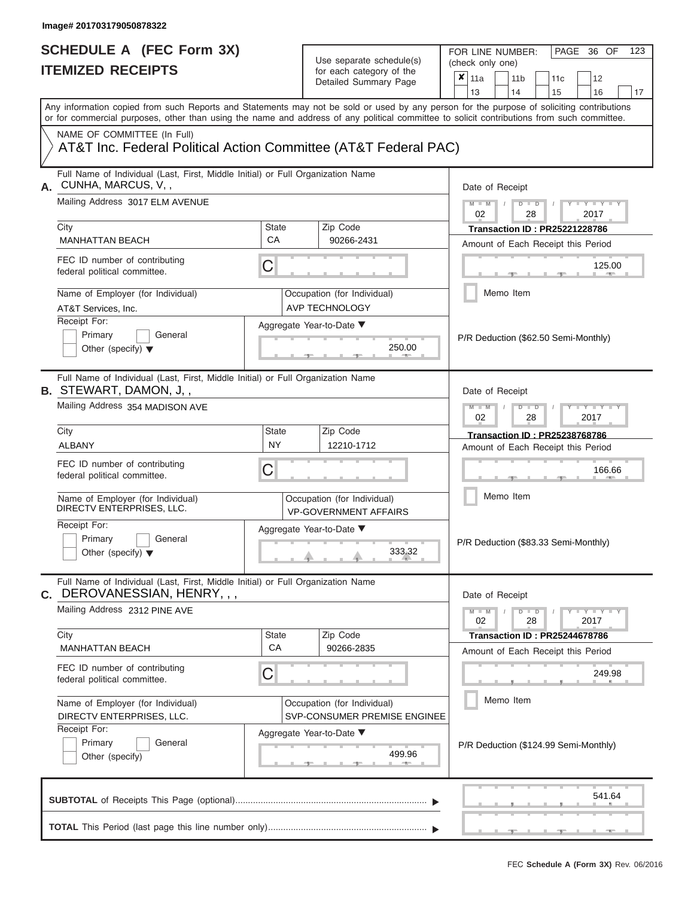| SCHEDULE A (FEC Form 3X)<br><b>ITEMIZED RECEIPTS</b>                                                             | Use separate schedule(s)<br>for each category of the<br>Detailed Summary Page | FOR LINE NUMBER:<br>PAGE 36 OF<br>123<br>(check only one)<br>$\boldsymbol{\mathsf{x}}$<br>11a<br>11 <sub>b</sub><br>12<br>11c                                                                                                                                                           |
|------------------------------------------------------------------------------------------------------------------|-------------------------------------------------------------------------------|-----------------------------------------------------------------------------------------------------------------------------------------------------------------------------------------------------------------------------------------------------------------------------------------|
|                                                                                                                  |                                                                               | 13<br>14<br>15<br>16<br>17                                                                                                                                                                                                                                                              |
|                                                                                                                  |                                                                               | Any information copied from such Reports and Statements may not be sold or used by any person for the purpose of soliciting contributions<br>or for commercial purposes, other than using the name and address of any political committee to solicit contributions from such committee. |
| NAME OF COMMITTEE (In Full)                                                                                      | AT&T Inc. Federal Political Action Committee (AT&T Federal PAC)               |                                                                                                                                                                                                                                                                                         |
| Full Name of Individual (Last, First, Middle Initial) or Full Organization Name<br>CUNHA, MARCUS, V,,            |                                                                               | Date of Receipt                                                                                                                                                                                                                                                                         |
| Mailing Address 3017 ELM AVENUE                                                                                  |                                                                               | $M - M$ /<br>$D$ $D$<br>$T - Y = T - Y$<br>02<br>28<br>2017                                                                                                                                                                                                                             |
| City<br><b>MANHATTAN BEACH</b>                                                                                   | Zip Code<br>State<br>CA<br>90266-2431                                         | <b>Transaction ID: PR25221228786</b><br>Amount of Each Receipt this Period                                                                                                                                                                                                              |
| FEC ID number of contributing<br>federal political committee.                                                    | C                                                                             | 125.00<br><b>Brita Allen</b>                                                                                                                                                                                                                                                            |
| Name of Employer (for Individual)<br>AT&T Services, Inc.                                                         | Occupation (for Individual)<br>AVP TECHNOLOGY                                 | Memo Item                                                                                                                                                                                                                                                                               |
| Receipt For:<br>Primary<br>General<br>Other (specify) $\blacktriangledown$                                       | Aggregate Year-to-Date ▼<br>250.00<br><b>Britannia</b>                        | P/R Deduction (\$62.50 Semi-Monthly)                                                                                                                                                                                                                                                    |
| Full Name of Individual (Last, First, Middle Initial) or Full Organization Name<br><b>B. STEWART, DAMON, J,,</b> |                                                                               | Date of Receipt                                                                                                                                                                                                                                                                         |
| Mailing Address 354 MADISON AVE                                                                                  |                                                                               | $M - M$<br>$D$ $D$<br>$T - Y = T - Y = T$<br>02<br>2017<br>28                                                                                                                                                                                                                           |
| City<br>ALBANY                                                                                                   | <b>State</b><br>Zip Code<br><b>NY</b><br>12210-1712                           | <b>Transaction ID: PR25238768786</b>                                                                                                                                                                                                                                                    |
| FEC ID number of contributing<br>federal political committee.                                                    | C                                                                             | Amount of Each Receipt this Period<br>166.66                                                                                                                                                                                                                                            |
| Name of Employer (for Individual)<br>DIRECTV ENTERPRISES, LLC.                                                   | Occupation (for Individual)<br><b>VP-GOVERNMENT AFFAIRS</b>                   | Memo Item                                                                                                                                                                                                                                                                               |
| Receipt For:<br>Primary<br>General<br>Other (specify) $\blacktriangledown$                                       | Aggregate Year-to-Date ▼<br>$4 \frac{333.32}{1}$                              | P/R Deduction (\$83.33 Semi-Monthly)                                                                                                                                                                                                                                                    |
| Full Name of Individual (Last, First, Middle Initial) or Full Organization Name<br>C. DEROVANESSIAN, HENRY, , ,  |                                                                               | Date of Receipt                                                                                                                                                                                                                                                                         |
| Mailing Address 2312 PINE AVE                                                                                    |                                                                               | $M - M$<br>$D$ $D$<br>$Y - Y - Y - Y - Y$<br>02<br>28<br>2017                                                                                                                                                                                                                           |
| City<br><b>MANHATTAN BEACH</b>                                                                                   | Zip Code<br>State<br>CA<br>90266-2835                                         | <b>Transaction ID: PR25244678786</b><br>Amount of Each Receipt this Period                                                                                                                                                                                                              |
| FEC ID number of contributing<br>federal political committee.                                                    | C                                                                             | 249.98                                                                                                                                                                                                                                                                                  |
| Name of Employer (for Individual)<br>DIRECTV ENTERPRISES, LLC.                                                   | Occupation (for Individual)<br>SVP-CONSUMER PREMISE ENGINEE                   | Memo Item                                                                                                                                                                                                                                                                               |
| Receipt For:<br>Primary<br>General<br>Other (specify)                                                            | Aggregate Year-to-Date ▼<br>499.96<br>$-1$                                    | P/R Deduction (\$124.99 Semi-Monthly)                                                                                                                                                                                                                                                   |
|                                                                                                                  |                                                                               | 541.64                                                                                                                                                                                                                                                                                  |
|                                                                                                                  |                                                                               |                                                                                                                                                                                                                                                                                         |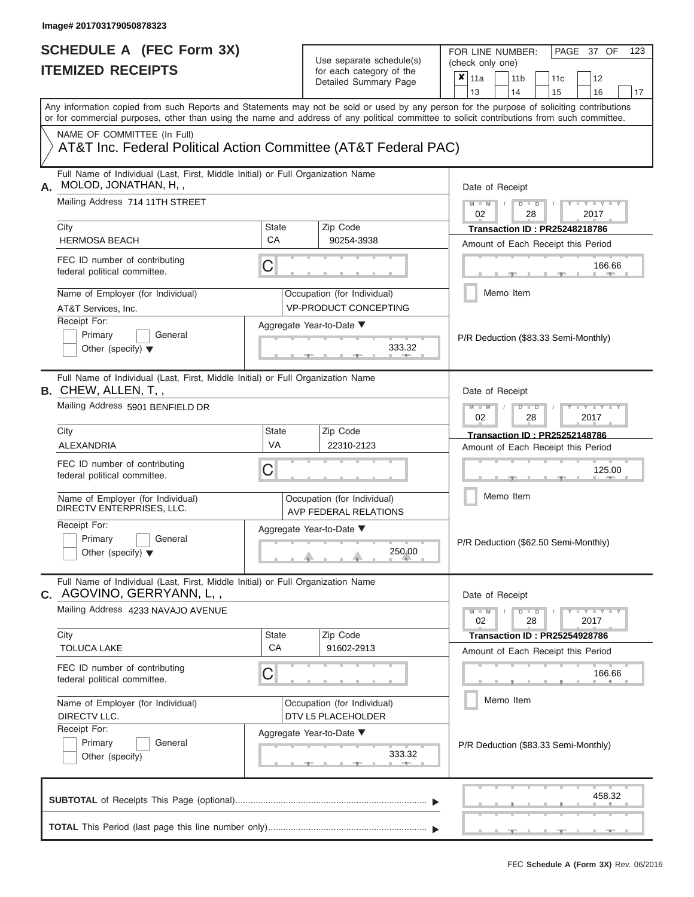| <b>ITEMIZED RECEIPTS</b>                                                                                                                          | SCHEDULE A (FEC Form 3X) | Use separate schedule(s)<br>for each category of the<br>Detailed Summary Page | 123<br>FOR LINE NUMBER:<br>PAGE 37 OF<br>(check only one)<br>$\overline{\mathbf{x}}$   11a<br>11 <sub>b</sub><br>12<br>11 <sub>c</sub>                                                                                                                                                                                |
|---------------------------------------------------------------------------------------------------------------------------------------------------|--------------------------|-------------------------------------------------------------------------------|-----------------------------------------------------------------------------------------------------------------------------------------------------------------------------------------------------------------------------------------------------------------------------------------------------------------------|
|                                                                                                                                                   |                          |                                                                               | 13<br>14<br>15<br>16<br>17<br>Any information copied from such Reports and Statements may not be sold or used by any person for the purpose of soliciting contributions<br>or for commercial purposes, other than using the name and address of any political committee to solicit contributions from such committee. |
| NAME OF COMMITTEE (In Full)<br>AT&T Inc. Federal Political Action Committee (AT&T Federal PAC)                                                    |                          |                                                                               |                                                                                                                                                                                                                                                                                                                       |
| Full Name of Individual (Last, First, Middle Initial) or Full Organization Name<br>MOLOD, JONATHAN, H,,                                           |                          |                                                                               | Date of Receipt                                                                                                                                                                                                                                                                                                       |
| Mailing Address 714 11TH STREET                                                                                                                   |                          |                                                                               | $M$ – $M$ /<br>$D$ $D$<br>$-Y - Y - Y$<br>02<br>28<br>2017                                                                                                                                                                                                                                                            |
| City<br><b>HERMOSA BEACH</b>                                                                                                                      | <b>State</b><br>CA       | Zip Code<br>90254-3938                                                        | <b>Transaction ID: PR25248218786</b><br>Amount of Each Receipt this Period                                                                                                                                                                                                                                            |
| FEC ID number of contributing<br>federal political committee.                                                                                     | C                        |                                                                               | 166.66<br><b>1. 400</b>                                                                                                                                                                                                                                                                                               |
| Name of Employer (for Individual)<br>AT&T Services, Inc.                                                                                          |                          | Occupation (for Individual)<br><b>VP-PRODUCT CONCEPTING</b>                   | Memo Item                                                                                                                                                                                                                                                                                                             |
| Receipt For:<br>Primary<br>General<br>Other (specify) $\blacktriangledown$                                                                        |                          | Aggregate Year-to-Date ▼<br>333.32                                            | P/R Deduction (\$83.33 Semi-Monthly)                                                                                                                                                                                                                                                                                  |
| Full Name of Individual (Last, First, Middle Initial) or Full Organization Name<br><b>B.</b> CHEW, ALLEN, T,,<br>Mailing Address 5901 BENFIELD DR |                          |                                                                               | Date of Receipt<br>$M - M$<br>$D$ $D$<br>$\Box$ $\Upsilon$ $\Box$ $\Upsilon$ $\Upsilon$ $\Upsilon$<br>02<br>2017<br>28                                                                                                                                                                                                |
| City                                                                                                                                              | <b>State</b>             | Zip Code                                                                      | <b>Transaction ID: PR25252148786</b>                                                                                                                                                                                                                                                                                  |
| ALEXANDRIA                                                                                                                                        | VA                       | 22310-2123                                                                    | Amount of Each Receipt this Period                                                                                                                                                                                                                                                                                    |
| FEC ID number of contributing<br>federal political committee.                                                                                     | C                        |                                                                               | 125.00                                                                                                                                                                                                                                                                                                                |
| Name of Employer (for Individual)<br>DIRECTV ENTERPRISES, LLC.                                                                                    |                          | Occupation (for Individual)<br>AVP FEDERAL RELATIONS                          | Memo Item                                                                                                                                                                                                                                                                                                             |
| Receipt For:<br>Primary<br>General<br>Other (specify) $\blacktriangledown$                                                                        |                          | Aggregate Year-to-Date ▼<br>250.00                                            | P/R Deduction (\$62.50 Semi-Monthly)                                                                                                                                                                                                                                                                                  |
| Full Name of Individual (Last, First, Middle Initial) or Full Organization Name<br>C. AGOVINO, GERRYANN, L,,                                      |                          |                                                                               | Date of Receipt                                                                                                                                                                                                                                                                                                       |
| Mailing Address 4233 NAVAJO AVENUE                                                                                                                |                          |                                                                               | $M - M$<br>$D$ $D$<br>$  Y   Y   Y$<br>28<br>2017<br>02                                                                                                                                                                                                                                                               |
| City<br><b>TOLUCA LAKE</b>                                                                                                                        | State<br><b>CA</b>       | Zip Code<br>91602-2913                                                        | <b>Transaction ID: PR25254928786</b><br>Amount of Each Receipt this Period                                                                                                                                                                                                                                            |
| FEC ID number of contributing<br>federal political committee.                                                                                     | C                        |                                                                               | 166.66                                                                                                                                                                                                                                                                                                                |
| Name of Employer (for Individual)<br>DIRECTV LLC.                                                                                                 |                          | Occupation (for Individual)<br>DTV L5 PLACEHOLDER                             | Memo Item                                                                                                                                                                                                                                                                                                             |
| Receipt For:<br>Primary<br>General<br>Other (specify)                                                                                             |                          | Aggregate Year-to-Date ▼<br>333.32                                            | P/R Deduction (\$83.33 Semi-Monthly)                                                                                                                                                                                                                                                                                  |
|                                                                                                                                                   |                          |                                                                               | 458.32                                                                                                                                                                                                                                                                                                                |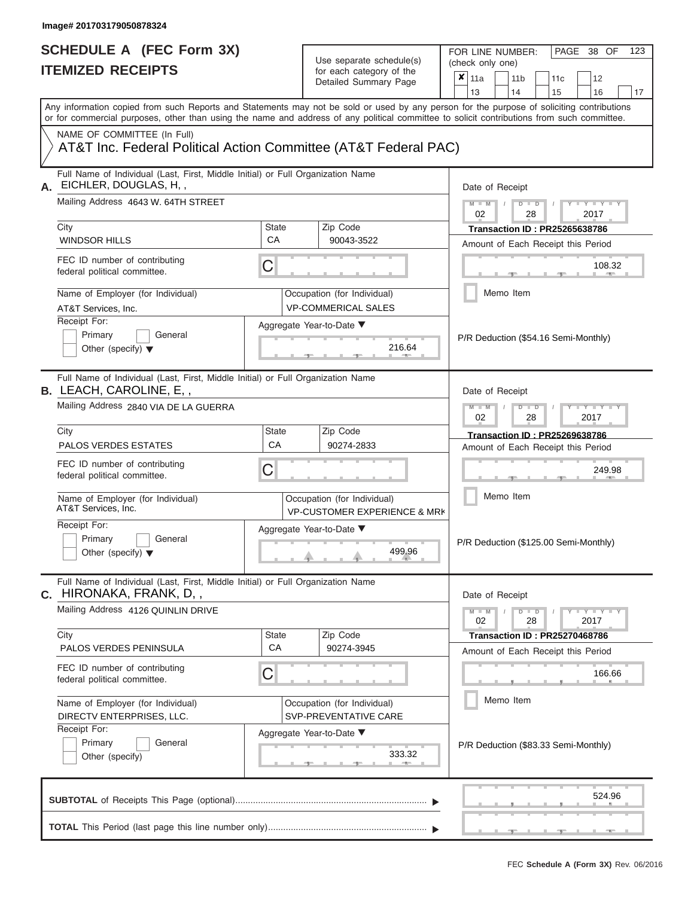FOR LINE NUMBER:<br>(check only one)

PAGE 38 OF 123

|    | II EMIZEV REVEIF I J                                                                                                                                                                                                                                                                    |                                                                          | for each category of the                                               | $\pmb{\times}$<br>11a<br>12<br>11 <sub>b</sub><br>11 <sub>c</sub>    |  |  |  |  |  |  |  |  |
|----|-----------------------------------------------------------------------------------------------------------------------------------------------------------------------------------------------------------------------------------------------------------------------------------------|--------------------------------------------------------------------------|------------------------------------------------------------------------|----------------------------------------------------------------------|--|--|--|--|--|--|--|--|
|    |                                                                                                                                                                                                                                                                                         |                                                                          | Detailed Summary Page                                                  | 13<br>14<br>15<br>16<br>17                                           |  |  |  |  |  |  |  |  |
|    | Any information copied from such Reports and Statements may not be sold or used by any person for the purpose of soliciting contributions<br>or for commercial purposes, other than using the name and address of any political committee to solicit contributions from such committee. |                                                                          |                                                                        |                                                                      |  |  |  |  |  |  |  |  |
|    | NAME OF COMMITTEE (In Full)<br>AT&T Inc. Federal Political Action Committee (AT&T Federal PAC)                                                                                                                                                                                          |                                                                          |                                                                        |                                                                      |  |  |  |  |  |  |  |  |
| А. | Full Name of Individual (Last, First, Middle Initial) or Full Organization Name<br>EICHLER, DOUGLAS, H,,                                                                                                                                                                                |                                                                          |                                                                        | Date of Receipt                                                      |  |  |  |  |  |  |  |  |
|    | Mailing Address 4643 W. 64TH STREET                                                                                                                                                                                                                                                     |                                                                          |                                                                        | $M - M$<br>$Y - Y - Y$<br>$D$ $D$<br>02<br>28<br>2017                |  |  |  |  |  |  |  |  |
|    | City                                                                                                                                                                                                                                                                                    | State                                                                    | Zip Code                                                               | <b>Transaction ID: PR25265638786</b>                                 |  |  |  |  |  |  |  |  |
|    | <b>WINDSOR HILLS</b>                                                                                                                                                                                                                                                                    | <b>CA</b>                                                                | 90043-3522                                                             | Amount of Each Receipt this Period                                   |  |  |  |  |  |  |  |  |
|    | FEC ID number of contributing<br>federal political committee.                                                                                                                                                                                                                           | C                                                                        |                                                                        | 108.32                                                               |  |  |  |  |  |  |  |  |
|    | Name of Employer (for Individual)<br>AT&T Services, Inc.                                                                                                                                                                                                                                |                                                                          | Occupation (for Individual)<br><b>VP-COMMERICAL SALES</b>              | Memo Item                                                            |  |  |  |  |  |  |  |  |
|    | Receipt For:                                                                                                                                                                                                                                                                            |                                                                          | Aggregate Year-to-Date ▼                                               |                                                                      |  |  |  |  |  |  |  |  |
|    | Primary<br>General<br>Other (specify) $\blacktriangledown$                                                                                                                                                                                                                              |                                                                          | 216.64                                                                 | P/R Deduction (\$54.16 Semi-Monthly)                                 |  |  |  |  |  |  |  |  |
|    | Full Name of Individual (Last, First, Middle Initial) or Full Organization Name<br>B. LEACH, CAROLINE, E,,                                                                                                                                                                              | Date of Receipt                                                          |                                                                        |                                                                      |  |  |  |  |  |  |  |  |
|    | Mailing Address 2840 VIA DE LA GUERRA                                                                                                                                                                                                                                                   | $M - M$<br>$T - Y = T - Y = T - Y$<br>$D$ $\Box$ $D$<br>02<br>28<br>2017 |                                                                        |                                                                      |  |  |  |  |  |  |  |  |
|    | City                                                                                                                                                                                                                                                                                    | State                                                                    | Zip Code                                                               | Transaction ID: PR25269638786                                        |  |  |  |  |  |  |  |  |
|    | <b>PALOS VERDES ESTATES</b>                                                                                                                                                                                                                                                             | CA                                                                       | 90274-2833                                                             | Amount of Each Receipt this Period                                   |  |  |  |  |  |  |  |  |
|    | FEC ID number of contributing<br>federal political committee.                                                                                                                                                                                                                           | С                                                                        |                                                                        | 249.98                                                               |  |  |  |  |  |  |  |  |
|    | Name of Employer (for Individual)<br>AT&T Services, Inc.                                                                                                                                                                                                                                |                                                                          | Occupation (for Individual)<br><b>VP-CUSTOMER EXPERIENCE &amp; MRK</b> | Memo Item                                                            |  |  |  |  |  |  |  |  |
|    | Receipt For:<br>Primary<br>General<br>Other (specify) $\blacktriangledown$                                                                                                                                                                                                              |                                                                          | Aggregate Year-to-Date ▼<br>499.96                                     | P/R Deduction (\$125.00 Semi-Monthly)                                |  |  |  |  |  |  |  |  |
|    | Full Name of Individual (Last, First, Middle Initial) or Full Organization Name<br><b>c.</b> HIRONAKA, FRANK, D, ,                                                                                                                                                                      |                                                                          |                                                                        | Date of Receipt                                                      |  |  |  |  |  |  |  |  |
|    | Mailing Address 4126 QUINLIN DRIVE                                                                                                                                                                                                                                                      |                                                                          |                                                                        | $D$ $\Box$ $D$<br>$Y - Y - Y - Y - Y$<br>$M - M$<br>02<br>28<br>2017 |  |  |  |  |  |  |  |  |
|    | City                                                                                                                                                                                                                                                                                    | State<br>CA                                                              | Zip Code                                                               | <b>Transaction ID: PR25270468786</b>                                 |  |  |  |  |  |  |  |  |
|    | PALOS VERDES PENINSULA                                                                                                                                                                                                                                                                  |                                                                          | 90274-3945                                                             | Amount of Each Receipt this Period                                   |  |  |  |  |  |  |  |  |
|    | FEC ID number of contributing<br>federal political committee.                                                                                                                                                                                                                           | C                                                                        |                                                                        | 166.66                                                               |  |  |  |  |  |  |  |  |
|    | Name of Employer (for Individual)<br>DIRECTV ENTERPRISES, LLC.                                                                                                                                                                                                                          |                                                                          | Occupation (for Individual)<br>SVP-PREVENTATIVE CARE                   | Memo Item<br>P/R Deduction (\$83.33 Semi-Monthly)                    |  |  |  |  |  |  |  |  |
|    | Receipt For:<br>Primary<br>General<br>Other (specify)                                                                                                                                                                                                                                   |                                                                          | Aggregate Year-to-Date ▼<br>333.32<br><b>ARTISE</b>                    |                                                                      |  |  |  |  |  |  |  |  |
|    |                                                                                                                                                                                                                                                                                         |                                                                          |                                                                        | 524.96                                                               |  |  |  |  |  |  |  |  |
|    |                                                                                                                                                                                                                                                                                         |                                                                          |                                                                        |                                                                      |  |  |  |  |  |  |  |  |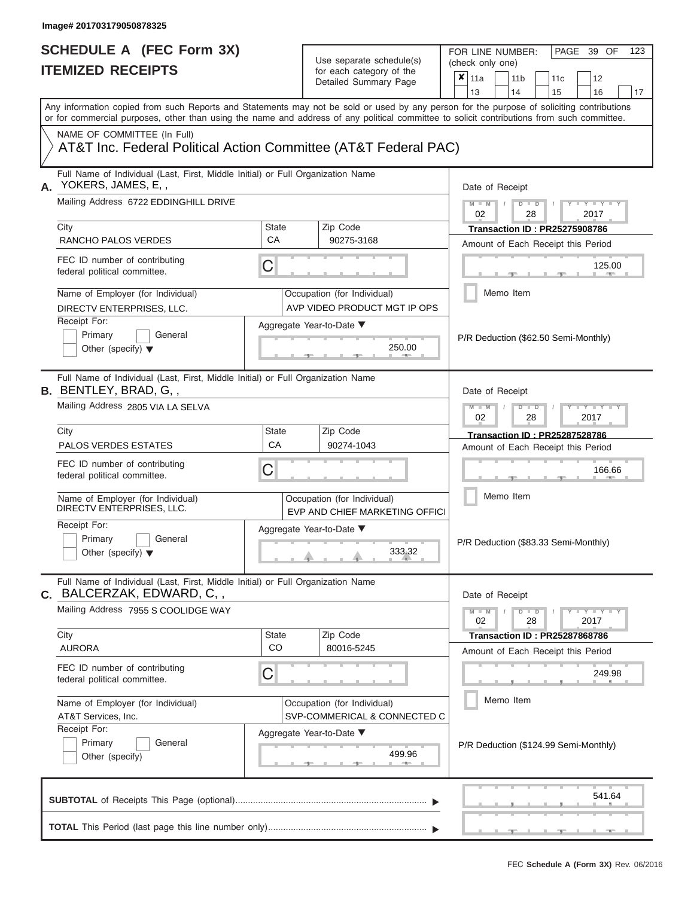# **SCHEDULE A (FEC Form 3X)**

| SCHEDULE A (FEC Form 3X)<br><b>ITEMIZED RECEIPTS</b>                                                                                                                                                                                         |                    | Use separate schedule(s)<br>for each category of the<br>Detailed Summary Page                           | FOR LINE NUMBER:<br>PAGE 39 OF<br>123<br>(check only one)<br>$\overline{\mathbf{x}}$   11a<br>11 <sub>b</sub><br>11 <sub>c</sub><br>12                   |
|----------------------------------------------------------------------------------------------------------------------------------------------------------------------------------------------------------------------------------------------|--------------------|---------------------------------------------------------------------------------------------------------|----------------------------------------------------------------------------------------------------------------------------------------------------------|
| Any information copied from such Reports and Statements may not be sold or used by any person for the purpose of soliciting contributions                                                                                                    |                    |                                                                                                         | 13<br>14<br>15<br>16<br>17                                                                                                                               |
| or for commercial purposes, other than using the name and address of any political committee to solicit contributions from such committee.<br>NAME OF COMMITTEE (In Full)<br>AT&T Inc. Federal Political Action Committee (AT&T Federal PAC) |                    |                                                                                                         |                                                                                                                                                          |
| Full Name of Individual (Last, First, Middle Initial) or Full Organization Name<br>YOKERS, JAMES, E,,<br>А.<br>Mailing Address 6722 EDDINGHILL DRIVE<br>City<br>RANCHO PALOS VERDES<br>FEC ID number of contributing                         | State<br><b>CA</b> | Zip Code<br>90275-3168                                                                                  | Date of Receipt<br>$M = M$ /<br>$D$ $D$<br>$Y - Y - I$<br>02<br>28<br>2017<br><b>Transaction ID: PR25275908786</b><br>Amount of Each Receipt this Period |
| federal political committee.<br>Name of Employer (for Individual)<br>DIRECTV ENTERPRISES, LLC.<br>Receipt For:<br>Primary<br>General<br>Other (specify) $\blacktriangledown$                                                                 | C                  | Occupation (for Individual)<br>AVP VIDEO PRODUCT MGT IP OPS<br>Aggregate Year-to-Date ▼<br>250.00       | 125.00<br><b>Brita Alberta</b><br>Memo Item<br>P/R Deduction (\$62.50 Semi-Monthly)                                                                      |
| Full Name of Individual (Last, First, Middle Initial) or Full Organization Name<br><b>B.</b> BENTLEY, BRAD, G,,<br>Mailing Address 2805 VIA LA SELVA<br>City<br><b>PALOS VERDES ESTATES</b>                                                  | State<br>CA        | Zip Code<br>90274-1043                                                                                  | Date of Receipt<br>$M - M$<br>$D$ $D$<br>$+Y+Y+Y$<br>02<br>2017<br>28<br><b>Transaction ID: PR25287528786</b><br>Amount of Each Receipt this Period      |
| FEC ID number of contributing<br>federal political committee.<br>Name of Employer (for Individual)<br>DIRECTV ENTERPRISES, LLC.                                                                                                              | С                  | Occupation (for Individual)<br>EVP AND CHIEF MARKETING OFFICI                                           | 166.66<br>Memo Item                                                                                                                                      |
| Receipt For:<br>Primary<br>General<br>Other (specify) $\blacktriangledown$                                                                                                                                                                   |                    | Aggregate Year-to-Date ▼<br>333.32                                                                      | P/R Deduction (\$83.33 Semi-Monthly)                                                                                                                     |
| Full Name of Individual (Last, First, Middle Initial) or Full Organization Name<br>BALCERZAK, EDWARD, C,,<br>С.<br>Mailing Address 7955 S COOLIDGE WAY<br>City                                                                               | State              | Zip Code                                                                                                | Date of Receipt<br>$M - M$<br>$D$ $D$<br>$  Y   Y   Y$<br>02<br>28<br>2017<br><b>Transaction ID : PR25287868786</b>                                      |
| <b>AURORA</b><br>FEC ID number of contributing<br>federal political committee.                                                                                                                                                               | <b>CO</b><br>С     | 80016-5245                                                                                              | Amount of Each Receipt this Period<br>249.98                                                                                                             |
| Name of Employer (for Individual)<br>AT&T Services, Inc.<br>Receipt For:<br>Primary<br>General<br>Other (specify)                                                                                                                            |                    | Occupation (for Individual)<br>SVP-COMMERICAL & CONNECTED C<br>Aggregate Year-to-Date ▼<br>499.96<br>-- | Memo Item<br>P/R Deduction (\$124.99 Semi-Monthly)                                                                                                       |
|                                                                                                                                                                                                                                              |                    |                                                                                                         | 541.64                                                                                                                                                   |
|                                                                                                                                                                                                                                              |                    |                                                                                                         | <b>Britannia</b>                                                                                                                                         |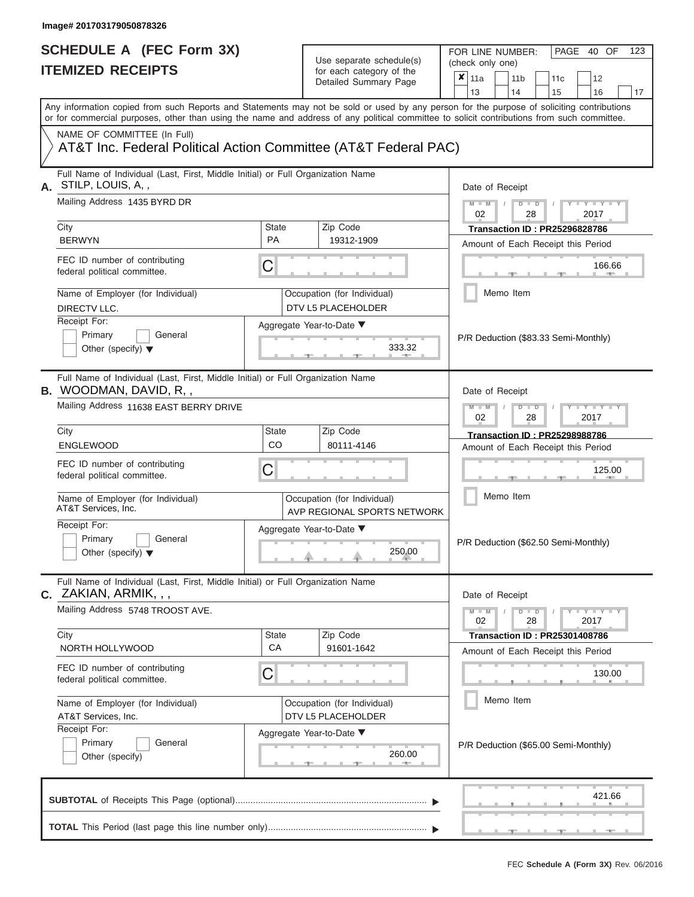|    | SCHEDULE A (FEC Form 3X)<br><b>ITEMIZED RECEIPTS</b>                                                                                                                                                                                                                                                                                                                                      |                | Use separate schedule(s)<br>for each category of the<br>Detailed Summary Page | FOR LINE NUMBER:<br>PAGE 40 OF<br>123<br>(check only one)<br>$\overline{\mathbf{x}}$   11a<br>11 <sub>b</sub><br>11 <sub>c</sub><br>12<br>13<br>14<br>15<br>16<br>17 |  |  |  |  |  |
|----|-------------------------------------------------------------------------------------------------------------------------------------------------------------------------------------------------------------------------------------------------------------------------------------------------------------------------------------------------------------------------------------------|----------------|-------------------------------------------------------------------------------|----------------------------------------------------------------------------------------------------------------------------------------------------------------------|--|--|--|--|--|
|    | Any information copied from such Reports and Statements may not be sold or used by any person for the purpose of soliciting contributions<br>or for commercial purposes, other than using the name and address of any political committee to solicit contributions from such committee.<br>NAME OF COMMITTEE (In Full)<br>AT&T Inc. Federal Political Action Committee (AT&T Federal PAC) |                |                                                                               |                                                                                                                                                                      |  |  |  |  |  |
| А. | Full Name of Individual (Last, First, Middle Initial) or Full Organization Name<br>STILP, LOUIS, A,,                                                                                                                                                                                                                                                                                      |                |                                                                               | Date of Receipt                                                                                                                                                      |  |  |  |  |  |
|    | Mailing Address 1435 BYRD DR<br>City                                                                                                                                                                                                                                                                                                                                                      | State          | Zip Code                                                                      | $M - M$<br>$D$ $D$<br>$Y - Y - I$<br>$\sqrt{2}$<br>02<br>28<br>2017<br><b>Transaction ID: PR25296828786</b>                                                          |  |  |  |  |  |
|    | <b>BERWYN</b><br>FEC ID number of contributing<br>federal political committee.                                                                                                                                                                                                                                                                                                            | <b>PA</b><br>C | 19312-1909                                                                    | Amount of Each Receipt this Period<br>166.66<br><b>COLLECTIVE</b>                                                                                                    |  |  |  |  |  |
|    | Name of Employer (for Individual)<br>DIRECTV LLC.                                                                                                                                                                                                                                                                                                                                         |                | Occupation (for Individual)<br>DTV L5 PLACEHOLDER                             | Memo Item                                                                                                                                                            |  |  |  |  |  |
|    | Receipt For:<br>Primary<br>General<br>Other (specify) $\blacktriangledown$                                                                                                                                                                                                                                                                                                                |                | Aggregate Year-to-Date ▼<br>333.32                                            | P/R Deduction (\$83.33 Semi-Monthly)                                                                                                                                 |  |  |  |  |  |
|    | Full Name of Individual (Last, First, Middle Initial) or Full Organization Name<br><b>B.</b> WOODMAN, DAVID, R,,<br>Mailing Address 11638 EAST BERRY DRIVE                                                                                                                                                                                                                                |                |                                                                               | Date of Receipt<br>$M - M$                                                                                                                                           |  |  |  |  |  |
|    |                                                                                                                                                                                                                                                                                                                                                                                           |                |                                                                               | $D$ $D$<br>$\blacksquare$ $\vdash$ $\vdash$ $\vdash$ $\vdash$<br>02<br>2017<br>28                                                                                    |  |  |  |  |  |
|    | City<br><b>ENGLEWOOD</b>                                                                                                                                                                                                                                                                                                                                                                  | State<br>CO    | Zip Code<br>80111-4146                                                        | <b>Transaction ID: PR25298988786</b><br>Amount of Each Receipt this Period                                                                                           |  |  |  |  |  |
|    | FEC ID number of contributing<br>federal political committee.                                                                                                                                                                                                                                                                                                                             | С              |                                                                               | 125.00                                                                                                                                                               |  |  |  |  |  |
|    | Name of Employer (for Individual)<br>AT&T Services, Inc.                                                                                                                                                                                                                                                                                                                                  |                | Occupation (for Individual)<br>AVP REGIONAL SPORTS NETWORK                    | Memo Item                                                                                                                                                            |  |  |  |  |  |
|    | Receipt For:<br>Primary<br>General<br>Other (specify) $\blacktriangledown$                                                                                                                                                                                                                                                                                                                |                | Aggregate Year-to-Date ▼<br>250.00                                            | P/R Deduction (\$62.50 Semi-Monthly)                                                                                                                                 |  |  |  |  |  |
|    | Full Name of Individual (Last, First, Middle Initial) or Full Organization Name<br><b>c.</b> ZAKIAN, ARMIK, , ,                                                                                                                                                                                                                                                                           |                |                                                                               | Date of Receipt                                                                                                                                                      |  |  |  |  |  |
|    | Mailing Address 5748 TROOST AVE.<br>City                                                                                                                                                                                                                                                                                                                                                  | State          | Zip Code                                                                      | $M - M$<br>$D$ $D$<br>$  Y   Y   Y$<br>02<br>28<br>2017<br><b>Transaction ID : PR25301408786</b>                                                                     |  |  |  |  |  |
|    | NORTH HOLLYWOOD                                                                                                                                                                                                                                                                                                                                                                           | CA             | 91601-1642                                                                    | Amount of Each Receipt this Period                                                                                                                                   |  |  |  |  |  |
|    | FEC ID number of contributing<br>federal political committee.                                                                                                                                                                                                                                                                                                                             | С              |                                                                               | 130.00                                                                                                                                                               |  |  |  |  |  |
|    | Name of Employer (for Individual)<br>AT&T Services, Inc.                                                                                                                                                                                                                                                                                                                                  |                | Occupation (for Individual)<br>DTV L5 PLACEHOLDER                             | Memo Item                                                                                                                                                            |  |  |  |  |  |
|    | Receipt For:<br>Primary<br>General<br>Other (specify)                                                                                                                                                                                                                                                                                                                                     |                | Aggregate Year-to-Date ▼<br>260.00<br>--                                      | P/R Deduction (\$65.00 Semi-Monthly)                                                                                                                                 |  |  |  |  |  |
|    |                                                                                                                                                                                                                                                                                                                                                                                           |                |                                                                               | 421.66                                                                                                                                                               |  |  |  |  |  |
|    |                                                                                                                                                                                                                                                                                                                                                                                           |                |                                                                               | $-1$<br><b>COLLEGE</b>                                                                                                                                               |  |  |  |  |  |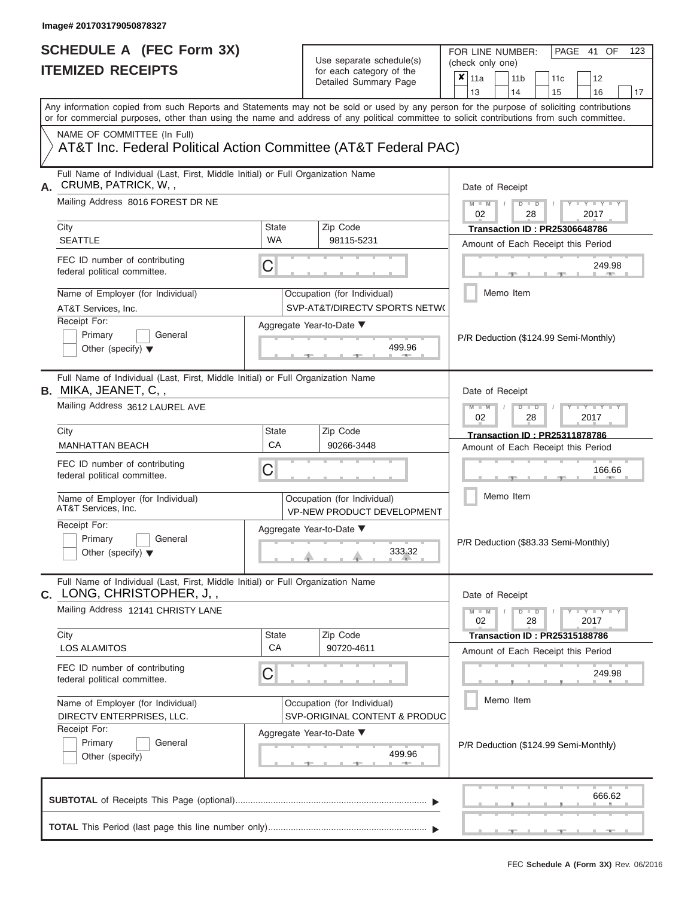FOR LINE NUMBER:<br>(check only one)

PAGE 41 OF 123

|    | IIEMILED REVEIFIJ                                                                                                                                                                                                                                                                       |                           | ior each calegory of the<br>Detailed Summary Page                | ×                                     | 11a                                               |           | 11 <sub>b</sub> |               | 11c                                                                        |      | 12                                    |    |  |
|----|-----------------------------------------------------------------------------------------------------------------------------------------------------------------------------------------------------------------------------------------------------------------------------------------|---------------------------|------------------------------------------------------------------|---------------------------------------|---------------------------------------------------|-----------|-----------------|---------------|----------------------------------------------------------------------------|------|---------------------------------------|----|--|
|    |                                                                                                                                                                                                                                                                                         |                           |                                                                  |                                       | 13                                                |           | 14              |               | 15                                                                         |      | 16                                    | 17 |  |
|    | Any information copied from such Reports and Statements may not be sold or used by any person for the purpose of soliciting contributions<br>or for commercial purposes, other than using the name and address of any political committee to solicit contributions from such committee. |                           |                                                                  |                                       |                                                   |           |                 |               |                                                                            |      |                                       |    |  |
|    | NAME OF COMMITTEE (In Full)<br>AT&T Inc. Federal Political Action Committee (AT&T Federal PAC)                                                                                                                                                                                          |                           |                                                                  |                                       |                                                   |           |                 |               |                                                                            |      |                                       |    |  |
| А. | Full Name of Individual (Last, First, Middle Initial) or Full Organization Name<br>CRUMB, PATRICK, W,,                                                                                                                                                                                  |                           | Date of Receipt                                                  |                                       |                                                   |           |                 |               |                                                                            |      |                                       |    |  |
|    | Mailing Address 8016 FOREST DR NE                                                                                                                                                                                                                                                       |                           |                                                                  |                                       | $M - M$<br>$Y = Y$<br>$D$ $D$<br>02<br>2017<br>28 |           |                 |               |                                                                            |      |                                       |    |  |
|    | City<br><b>SEATTLE</b>                                                                                                                                                                                                                                                                  | <b>State</b><br><b>WA</b> | Zip Code<br>98115-5231                                           |                                       |                                                   |           |                 |               | <b>Transaction ID: PR25306648786</b>                                       |      |                                       |    |  |
|    | FEC ID number of contributing<br>federal political committee.                                                                                                                                                                                                                           | С                         |                                                                  |                                       | Amount of Each Receipt this Period<br>249.98      |           |                 |               |                                                                            |      |                                       |    |  |
|    | Name of Employer (for Individual)<br>AT&T Services, Inc.                                                                                                                                                                                                                                |                           | Occupation (for Individual)<br>SVP-AT&T/DIRECTV SPORTS NETW(     |                                       |                                                   | Memo Item |                 |               |                                                                            |      |                                       |    |  |
|    | Receipt For:<br>Primary<br>General<br>Other (specify) $\blacktriangledown$                                                                                                                                                                                                              |                           | Aggregate Year-to-Date ▼<br>499.96                               |                                       |                                                   |           |                 |               | P/R Deduction (\$124.99 Semi-Monthly)                                      |      |                                       |    |  |
|    | Full Name of Individual (Last, First, Middle Initial) or Full Organization Name<br><b>B.</b> MIKA, JEANET, C, ,                                                                                                                                                                         |                           |                                                                  |                                       | Date of Receipt                                   |           |                 |               |                                                                            |      |                                       |    |  |
|    | Mailing Address 3612 LAUREL AVE                                                                                                                                                                                                                                                         |                           |                                                                  |                                       | $M - M$<br>02                                     |           | $\overline{D}$  | $\Box$<br>28  |                                                                            | 2017 | $Y - Y$                               |    |  |
|    | City<br><b>MANHATTAN BEACH</b>                                                                                                                                                                                                                                                          | <b>State</b><br>CA        | Zip Code<br>90266-3448                                           |                                       |                                                   |           |                 |               | <b>Transaction ID: PR25311878786</b><br>Amount of Each Receipt this Period |      |                                       |    |  |
|    | FEC ID number of contributing<br>federal political committee.                                                                                                                                                                                                                           | С                         |                                                                  |                                       | 166.66                                            |           |                 |               |                                                                            |      |                                       |    |  |
|    | Name of Employer (for Individual)<br>AT&T Services, Inc.                                                                                                                                                                                                                                |                           | Occupation (for Individual)<br><b>VP-NEW PRODUCT DEVELOPMENT</b> |                                       |                                                   | Memo Item |                 |               |                                                                            |      |                                       |    |  |
|    | Receipt For:<br>Primary<br>General<br>Other (specify) $\blacktriangledown$                                                                                                                                                                                                              |                           | Aggregate Year-to-Date ▼<br>333.32                               |                                       | P/R Deduction (\$83.33 Semi-Monthly)              |           |                 |               |                                                                            |      |                                       |    |  |
|    | Full Name of Individual (Last, First, Middle Initial) or Full Organization Name<br><b>c.</b> LONG, CHRISTOPHER, J, ,                                                                                                                                                                    |                           |                                                                  |                                       | Date of Receipt                                   |           |                 |               |                                                                            |      |                                       |    |  |
|    | Mailing Address 12141 CHRISTY LANE                                                                                                                                                                                                                                                      |                           |                                                                  |                                       | $M - M$<br>02                                     |           |                 | $D$ $D$<br>28 |                                                                            |      | $-1$ $ Y$ $-1$ $ Y$ $-1$ $ Y$<br>2017 |    |  |
|    | City<br><b>LOS ALAMITOS</b>                                                                                                                                                                                                                                                             | <b>State</b><br>CA        | Zip Code<br>90720-4611                                           |                                       |                                                   |           |                 |               | <b>Transaction ID: PR25315188786</b><br>Amount of Each Receipt this Period |      |                                       |    |  |
|    | FEC ID number of contributing<br>federal political committee.                                                                                                                                                                                                                           | C                         |                                                                  |                                       |                                                   |           |                 |               |                                                                            |      | 249.98                                |    |  |
|    | Name of Employer (for Individual)<br>DIRECTV ENTERPRISES, LLC.<br>Receipt For:                                                                                                                                                                                                          |                           | Occupation (for Individual)<br>SVP-ORIGINAL CONTENT & PRODUC     |                                       |                                                   | Memo Item |                 |               |                                                                            |      |                                       |    |  |
|    | General<br>Primary<br>Other (specify)                                                                                                                                                                                                                                                   | Aggregate Year-to-Date ▼  |                                                                  | P/R Deduction (\$124.99 Semi-Monthly) |                                                   |           |                 |               |                                                                            |      |                                       |    |  |
|    |                                                                                                                                                                                                                                                                                         |                           |                                                                  |                                       |                                                   |           |                 |               |                                                                            |      | 666.62                                |    |  |
|    |                                                                                                                                                                                                                                                                                         |                           |                                                                  |                                       |                                                   |           |                 |               |                                                                            |      |                                       |    |  |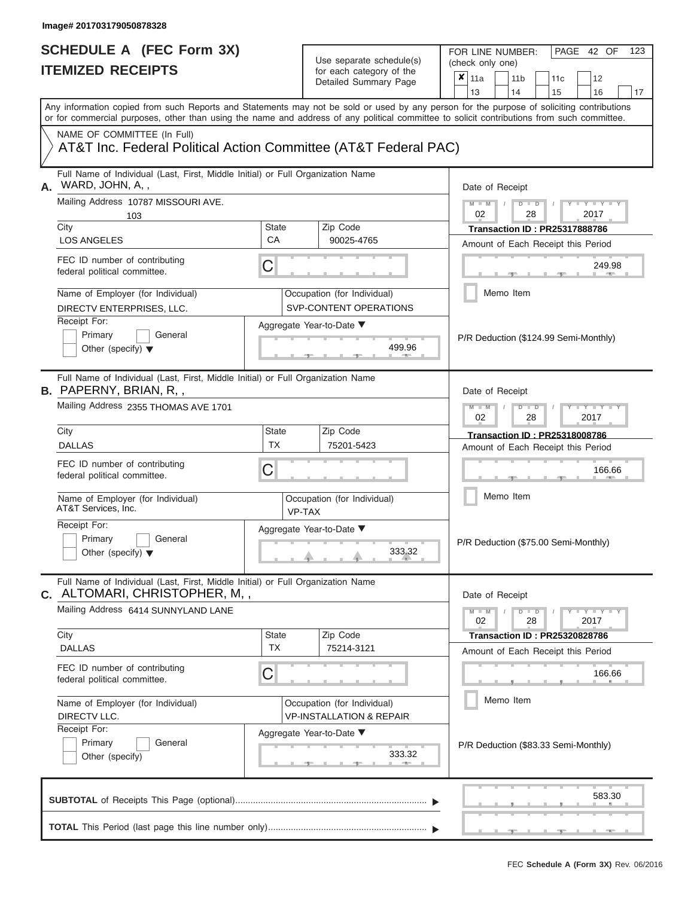| SCHEDULE A (FEC Form 3X)<br><b>ITEMIZED RECEIPTS</b>                                                                                                                      |                           | Use separate schedule(s)<br>for each category of the<br>Detailed Summary Page | FOR LINE NUMBER:<br>PAGE 42 OF<br>123<br>(check only one)<br>$\boldsymbol{\mathsf{x}}$<br>11a<br>11 <sub>b</sub><br>12<br>11c                                           |  |  |  |  |
|---------------------------------------------------------------------------------------------------------------------------------------------------------------------------|---------------------------|-------------------------------------------------------------------------------|-------------------------------------------------------------------------------------------------------------------------------------------------------------------------|--|--|--|--|
| or for commercial purposes, other than using the name and address of any political committee to solicit contributions from such committee.<br>NAME OF COMMITTEE (In Full) |                           |                                                                               | 13<br>14<br>15<br>16<br>17<br>Any information copied from such Reports and Statements may not be sold or used by any person for the purpose of soliciting contributions |  |  |  |  |
| AT&T Inc. Federal Political Action Committee (AT&T Federal PAC)                                                                                                           |                           |                                                                               |                                                                                                                                                                         |  |  |  |  |
| Full Name of Individual (Last, First, Middle Initial) or Full Organization Name<br>WARD, JOHN, A,,<br>Α.<br>Mailing Address 10787 MISSOURI AVE.                           |                           |                                                                               | Date of Receipt<br>$D$ $D$<br>$T - Y = T - Y$                                                                                                                           |  |  |  |  |
| 103<br>City                                                                                                                                                               | <b>State</b>              | Zip Code                                                                      | $M - M$ /<br>02<br>28<br>2017<br><b>Transaction ID: PR25317888786</b>                                                                                                   |  |  |  |  |
| <b>LOS ANGELES</b><br>FEC ID number of contributing<br>federal political committee.                                                                                       | CA<br>C                   | 90025-4765                                                                    | Amount of Each Receipt this Period<br>249.98                                                                                                                            |  |  |  |  |
| Name of Employer (for Individual)<br>DIRECTV ENTERPRISES, LLC.                                                                                                            |                           | Occupation (for Individual)<br>SVP-CONTENT OPERATIONS                         | <b>Brita Alberta</b><br>Memo Item                                                                                                                                       |  |  |  |  |
| Receipt For:<br>Primary<br>General<br>Other (specify) $\blacktriangledown$                                                                                                |                           | Aggregate Year-to-Date ▼<br>499.96<br><b>Contract Contract Contract</b>       | P/R Deduction (\$124.99 Semi-Monthly)                                                                                                                                   |  |  |  |  |
| Full Name of Individual (Last, First, Middle Initial) or Full Organization Name<br><b>B.</b> PAPERNY, BRIAN, R,,<br>Mailing Address 2355 THOMAS AVE 1701                  |                           |                                                                               | Date of Receipt<br>$M - M$<br>$D$ $D$<br>$\blacksquare \blacksquare Y \blacksquare \blacksquare Y \blacksquare \blacksquare$                                            |  |  |  |  |
| City<br><b>DALLAS</b>                                                                                                                                                     | <b>State</b><br><b>TX</b> | Zip Code<br>75201-5423                                                        | 02<br>2017<br>28<br><b>Transaction ID: PR25318008786</b>                                                                                                                |  |  |  |  |
| FEC ID number of contributing<br>federal political committee.                                                                                                             | C                         |                                                                               | Amount of Each Receipt this Period<br>166.66                                                                                                                            |  |  |  |  |
| Name of Employer (for Individual)<br>AT&T Services, Inc.                                                                                                                  | VP-TAX                    | Occupation (for Individual)                                                   | Memo Item                                                                                                                                                               |  |  |  |  |
| Receipt For:<br>Primary<br>General<br>Other (specify) $\blacktriangledown$                                                                                                |                           | Aggregate Year-to-Date ▼<br>$4 \frac{333.32}{1}$                              | P/R Deduction (\$75.00 Semi-Monthly)                                                                                                                                    |  |  |  |  |
| Full Name of Individual (Last, First, Middle Initial) or Full Organization Name<br>C. ALTOMARI, CHRISTOPHER, M,,                                                          |                           |                                                                               | Date of Receipt                                                                                                                                                         |  |  |  |  |
| Mailing Address 6414 SUNNYLAND LANE                                                                                                                                       |                           |                                                                               | $M - M$<br>$D$ $D$<br>$Y = Y = Y + Y$<br>02<br>28<br>2017                                                                                                               |  |  |  |  |
| City<br><b>DALLAS</b>                                                                                                                                                     | <b>State</b><br><b>TX</b> | Zip Code<br>75214-3121                                                        | <b>Transaction ID: PR25320828786</b><br>Amount of Each Receipt this Period                                                                                              |  |  |  |  |
| FEC ID number of contributing<br>federal political committee.                                                                                                             | C                         |                                                                               | 166.66                                                                                                                                                                  |  |  |  |  |
| Name of Employer (for Individual)<br>DIRECTV LLC.<br>Receipt For:                                                                                                         |                           | Occupation (for Individual)<br><b>VP-INSTALLATION &amp; REPAIR</b>            | Memo Item                                                                                                                                                               |  |  |  |  |
| Primary<br>General<br>Other (specify)                                                                                                                                     |                           | Aggregate Year-to-Date ▼<br>333.32<br>$-1$                                    | P/R Deduction (\$83.33 Semi-Monthly)                                                                                                                                    |  |  |  |  |
|                                                                                                                                                                           |                           |                                                                               | 583.30                                                                                                                                                                  |  |  |  |  |
|                                                                                                                                                                           |                           |                                                                               | ___ <del>____</del> ____ <del>___</del>                                                                                                                                 |  |  |  |  |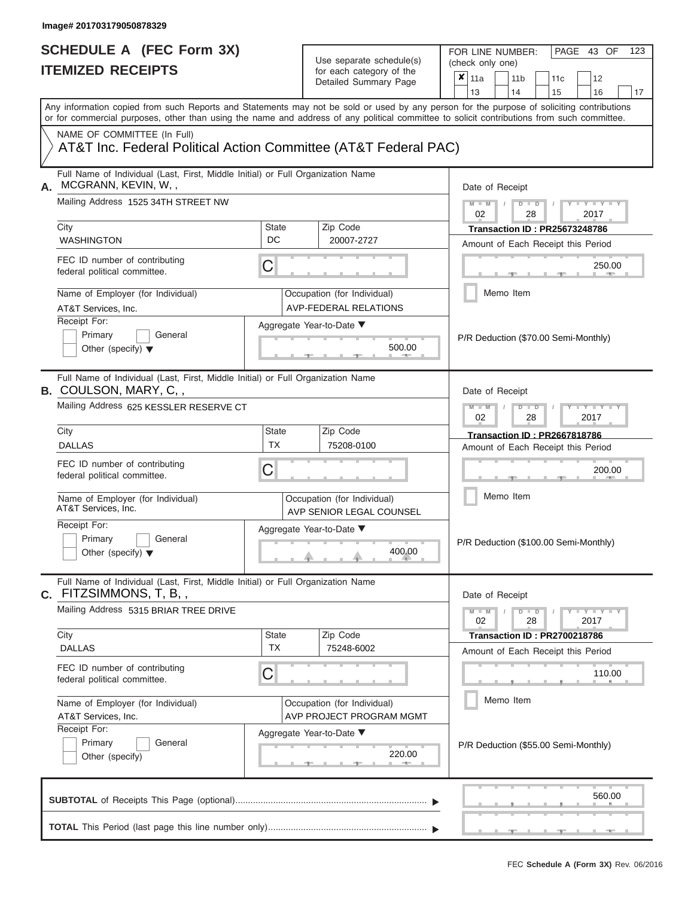| SCHEDULE A (FEC Form 3X)<br><b>ITEMIZED RECEIPTS</b>                                                            | Use separate schedule(s)<br>for each category of the            | FOR LINE NUMBER:<br>PAGE 43 OF<br>123<br>(check only one)<br>$\boldsymbol{\mathsf{x}}$                                                                                                                                                                                                  |
|-----------------------------------------------------------------------------------------------------------------|-----------------------------------------------------------------|-----------------------------------------------------------------------------------------------------------------------------------------------------------------------------------------------------------------------------------------------------------------------------------------|
|                                                                                                                 | Detailed Summary Page                                           | 11a<br>11 <sub>b</sub><br>12<br>11c<br>13<br>14<br>15<br>16<br>17                                                                                                                                                                                                                       |
|                                                                                                                 |                                                                 | Any information copied from such Reports and Statements may not be sold or used by any person for the purpose of soliciting contributions<br>or for commercial purposes, other than using the name and address of any political committee to solicit contributions from such committee. |
| NAME OF COMMITTEE (In Full)                                                                                     | AT&T Inc. Federal Political Action Committee (AT&T Federal PAC) |                                                                                                                                                                                                                                                                                         |
| Full Name of Individual (Last, First, Middle Initial) or Full Organization Name<br>MCGRANN, KEVIN, W,,<br>Α.    |                                                                 | Date of Receipt                                                                                                                                                                                                                                                                         |
| Mailing Address 1525 34TH STREET NW<br>City                                                                     | Zip Code<br><b>State</b>                                        | $M - M$ /<br>$D$ $D$<br>$T - Y = T - Y$<br>02<br>28<br>2017<br><b>Transaction ID: PR25673248786</b>                                                                                                                                                                                     |
| <b>WASHINGTON</b>                                                                                               | DC<br>20007-2727                                                | Amount of Each Receipt this Period                                                                                                                                                                                                                                                      |
| FEC ID number of contributing<br>federal political committee.                                                   | C                                                               | 250.00<br><b>CONTRACTOR</b>                                                                                                                                                                                                                                                             |
| Name of Employer (for Individual)<br>AT&T Services, Inc.                                                        | Occupation (for Individual)<br><b>AVP-FEDERAL RELATIONS</b>     | Memo Item                                                                                                                                                                                                                                                                               |
| Receipt For:<br>Primary<br>General<br>Other (specify) $\blacktriangledown$                                      | Aggregate Year-to-Date ▼<br>500.00<br><b>Britannia</b>          | P/R Deduction (\$70.00 Semi-Monthly)                                                                                                                                                                                                                                                    |
| Full Name of Individual (Last, First, Middle Initial) or Full Organization Name<br><b>B.</b> COULSON, MARY, C,, |                                                                 | Date of Receipt                                                                                                                                                                                                                                                                         |
| Mailing Address 625 KESSLER RESERVE CT                                                                          |                                                                 | $M - M$<br>$D$ $D$<br>$\blacksquare \blacksquare Y \blacksquare \blacksquare Y \blacksquare \blacksquare$<br>02<br>2017<br>28                                                                                                                                                           |
| City                                                                                                            | <b>State</b><br>Zip Code                                        | <b>Transaction ID: PR2667818786</b>                                                                                                                                                                                                                                                     |
| <b>DALLAS</b>                                                                                                   | <b>TX</b><br>75208-0100                                         | Amount of Each Receipt this Period                                                                                                                                                                                                                                                      |
| FEC ID number of contributing<br>federal political committee.                                                   | C                                                               | 200.00                                                                                                                                                                                                                                                                                  |
| Name of Employer (for Individual)<br>AT&T Services, Inc.                                                        | Occupation (for Individual)<br>AVP SENIOR LEGAL COUNSEL         | Memo Item                                                                                                                                                                                                                                                                               |
| Receipt For:<br>Primary<br>General<br>Other (specify) $\blacktriangledown$                                      | Aggregate Year-to-Date ▼<br>400.00                              | P/R Deduction (\$100.00 Semi-Monthly)                                                                                                                                                                                                                                                   |
| Full Name of Individual (Last, First, Middle Initial) or Full Organization Name<br>C. FITZSIMMONS, T, B,,       |                                                                 | Date of Receipt                                                                                                                                                                                                                                                                         |
| Mailing Address 5315 BRIAR TREE DRIVE                                                                           |                                                                 | $M - M$<br>$D$ $D$<br>Y - Y - Y - Y<br>02<br>28<br>2017                                                                                                                                                                                                                                 |
| City<br><b>DALLAS</b>                                                                                           | Zip Code<br><b>State</b><br><b>TX</b><br>75248-6002             | Transaction ID: PR2700218786<br>Amount of Each Receipt this Period                                                                                                                                                                                                                      |
| FEC ID number of contributing<br>federal political committee.                                                   | C                                                               | 110.00                                                                                                                                                                                                                                                                                  |
| Name of Employer (for Individual)<br>AT&T Services, Inc.                                                        | Occupation (for Individual)<br>AVP PROJECT PROGRAM MGMT         | Memo Item                                                                                                                                                                                                                                                                               |
| Receipt For:<br>Primary<br>General<br>Other (specify)                                                           | Aggregate Year-to-Date ▼<br>220.00<br>$-1$                      | P/R Deduction (\$55.00 Semi-Monthly)                                                                                                                                                                                                                                                    |
|                                                                                                                 |                                                                 | 560.00                                                                                                                                                                                                                                                                                  |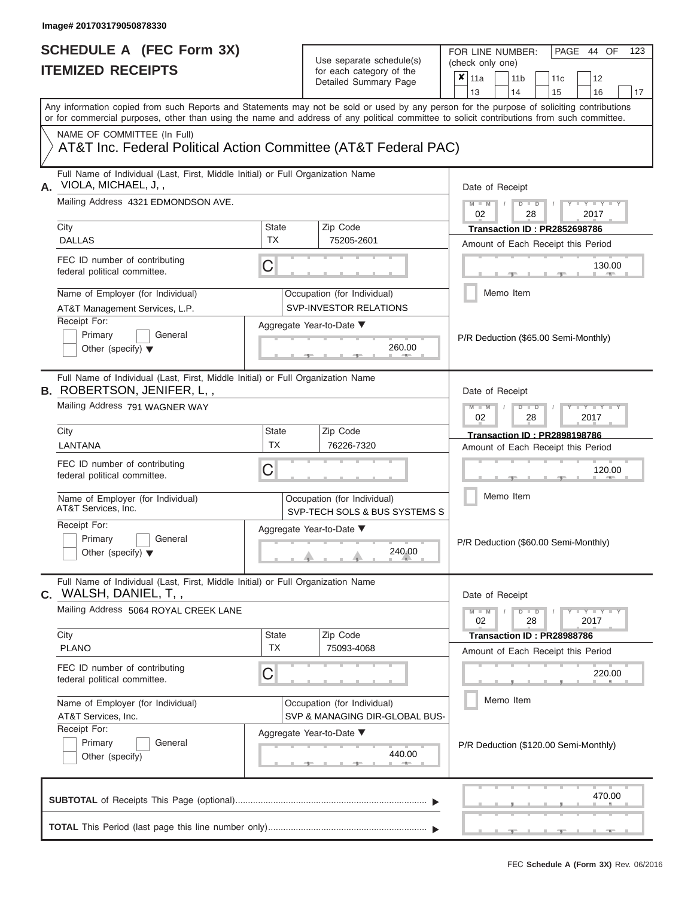| SCHEDULE A (FEC Form 3X)<br><b>ITEMIZED RECEIPTS</b>                                                                                                                                                                                                                                    |                           | Use separate schedule(s)<br>for each category of the          | FOR LINE NUMBER:<br>PAGE 44 OF<br>123<br>(check only one)<br>$\overline{\mathbf{x}}$   11a<br>11 <sub>b</sub><br>12                                                                                                 |
|-----------------------------------------------------------------------------------------------------------------------------------------------------------------------------------------------------------------------------------------------------------------------------------------|---------------------------|---------------------------------------------------------------|---------------------------------------------------------------------------------------------------------------------------------------------------------------------------------------------------------------------|
|                                                                                                                                                                                                                                                                                         |                           | Detailed Summary Page                                         | 11 <sub>c</sub><br>13<br>14<br>15<br>16<br>17                                                                                                                                                                       |
| Any information copied from such Reports and Statements may not be sold or used by any person for the purpose of soliciting contributions<br>or for commercial purposes, other than using the name and address of any political committee to solicit contributions from such committee. |                           |                                                               |                                                                                                                                                                                                                     |
| NAME OF COMMITTEE (In Full)<br>AT&T Inc. Federal Political Action Committee (AT&T Federal PAC)                                                                                                                                                                                          |                           |                                                               |                                                                                                                                                                                                                     |
| Full Name of Individual (Last, First, Middle Initial) or Full Organization Name<br>VIOLA, MICHAEL, J,,                                                                                                                                                                                  |                           |                                                               | Date of Receipt                                                                                                                                                                                                     |
| Mailing Address 4321 EDMONDSON AVE.                                                                                                                                                                                                                                                     |                           |                                                               | $M - M$ /<br>$D$ $D$<br>$\frac{1}{2}$ $\frac{1}{2}$ $\frac{1}{2}$ $\frac{1}{2}$ $\frac{1}{2}$ $\frac{1}{2}$ $\frac{1}{2}$ $\frac{1}{2}$ $\frac{1}{2}$ $\frac{1}{2}$ $\frac{1}{2}$ $\frac{1}{2}$<br>02<br>2017<br>28 |
| City<br><b>DALLAS</b>                                                                                                                                                                                                                                                                   | <b>State</b><br><b>TX</b> | Zip Code<br>75205-2601                                        | Transaction ID: PR2852698786<br>Amount of Each Receipt this Period                                                                                                                                                  |
| FEC ID number of contributing<br>federal political committee.                                                                                                                                                                                                                           | C                         |                                                               | 130.00<br><b>Britannia</b>                                                                                                                                                                                          |
| Name of Employer (for Individual)<br>AT&T Management Services, L.P.                                                                                                                                                                                                                     |                           | Occupation (for Individual)<br><b>SVP-INVESTOR RELATIONS</b>  | Memo Item                                                                                                                                                                                                           |
| Receipt For:<br>Primary<br>General<br>Other (specify) $\blacktriangledown$                                                                                                                                                                                                              |                           | Aggregate Year-to-Date ▼<br>260.00<br><b>COMMAND</b>          | P/R Deduction (\$65.00 Semi-Monthly)                                                                                                                                                                                |
| Full Name of Individual (Last, First, Middle Initial) or Full Organization Name<br><b>B.</b> ROBERTSON, JENIFER, L,,<br>Mailing Address 791 WAGNER WAY                                                                                                                                  |                           |                                                               | Date of Receipt                                                                                                                                                                                                     |
|                                                                                                                                                                                                                                                                                         |                           |                                                               | $M - M$<br>$D$ $D$<br>$+Y+Y+Y$<br>02<br>2017<br>28                                                                                                                                                                  |
| City<br>LANTANA                                                                                                                                                                                                                                                                         | <b>State</b><br><b>TX</b> | Zip Code<br>76226-7320                                        | <b>Transaction ID: PR2898198786</b><br>Amount of Each Receipt this Period                                                                                                                                           |
| FEC ID number of contributing<br>federal political committee.                                                                                                                                                                                                                           | C                         |                                                               | 120.00                                                                                                                                                                                                              |
| Name of Employer (for Individual)<br>AT&T Services, Inc.                                                                                                                                                                                                                                |                           | Occupation (for Individual)<br>SVP-TECH SOLS & BUS SYSTEMS S  | Memo Item                                                                                                                                                                                                           |
| Receipt For:<br>Primary<br>General<br>Other (specify) $\blacktriangledown$                                                                                                                                                                                                              |                           | Aggregate Year-to-Date ▼<br>$^{240.00}$                       | P/R Deduction (\$60.00 Semi-Monthly)                                                                                                                                                                                |
| Full Name of Individual (Last, First, Middle Initial) or Full Organization Name<br>$C.$ WALSH, DANIEL, T, ,                                                                                                                                                                             |                           |                                                               | Date of Receipt                                                                                                                                                                                                     |
| Mailing Address 5064 ROYAL CREEK LANE                                                                                                                                                                                                                                                   |                           |                                                               | $M - M$<br>$D$ $D$<br>$Y = Y = Y + Y$<br>28<br>02<br>2017                                                                                                                                                           |
| City<br><b>PLANO</b>                                                                                                                                                                                                                                                                    | <b>State</b><br><b>TX</b> | Zip Code<br>75093-4068                                        | Transaction ID: PR28988786<br>Amount of Each Receipt this Period                                                                                                                                                    |
| FEC ID number of contributing<br>federal political committee.                                                                                                                                                                                                                           | C                         |                                                               | 220.00                                                                                                                                                                                                              |
| Name of Employer (for Individual)<br>AT&T Services, Inc.                                                                                                                                                                                                                                |                           | Occupation (for Individual)<br>SVP & MANAGING DIR-GLOBAL BUS- | Memo Item                                                                                                                                                                                                           |
| Receipt For:<br>Primary<br>General<br>Other (specify)                                                                                                                                                                                                                                   |                           | Aggregate Year-to-Date ▼<br>440.00                            | P/R Deduction (\$120.00 Semi-Monthly)                                                                                                                                                                               |
|                                                                                                                                                                                                                                                                                         |                           |                                                               | 470.00                                                                                                                                                                                                              |
|                                                                                                                                                                                                                                                                                         |                           |                                                               | $-$<br>_________________                                                                                                                                                                                            |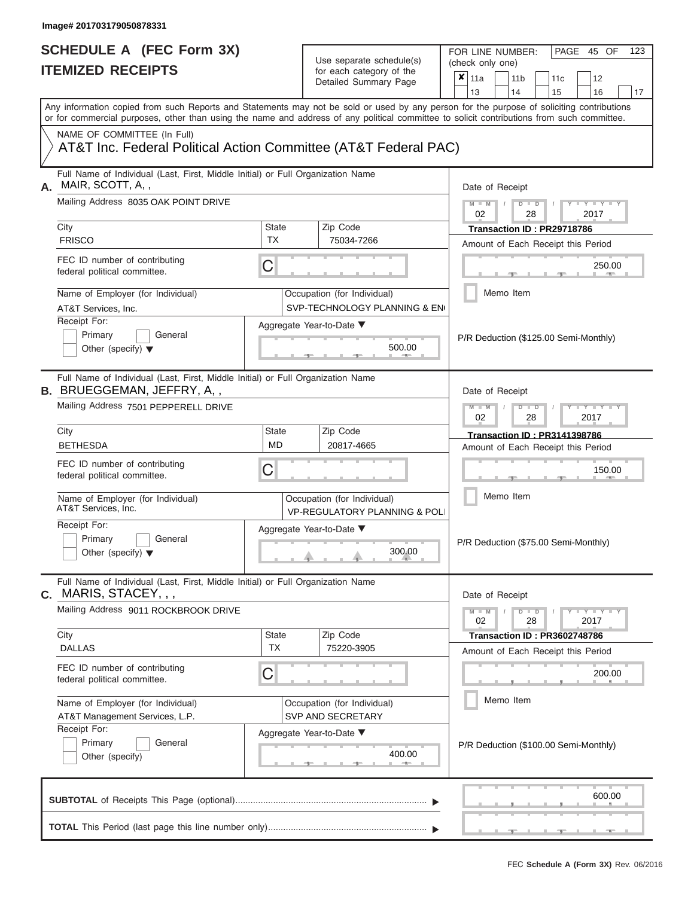FOR LINE NUMBER:<br>(check only one)

PAGE 45 OF 123

|                | IILMILLU NLVLII IV                                                                                                                                                                                                                                                                      |                                                                                 | iul cauli calcyuly ul lilic<br>Detailed Summary Page                    | x<br>12<br>11a<br>11 <sub>b</sub><br>11c                                  |  |  |  |  |  |  |  |  |  |
|----------------|-----------------------------------------------------------------------------------------------------------------------------------------------------------------------------------------------------------------------------------------------------------------------------------------|---------------------------------------------------------------------------------|-------------------------------------------------------------------------|---------------------------------------------------------------------------|--|--|--|--|--|--|--|--|--|
|                | Any information copied from such Reports and Statements may not be sold or used by any person for the purpose of soliciting contributions<br>or for commercial purposes, other than using the name and address of any political committee to solicit contributions from such committee. |                                                                                 |                                                                         | 13<br>15<br>14<br>16<br>17                                                |  |  |  |  |  |  |  |  |  |
|                | NAME OF COMMITTEE (In Full)<br>AT&T Inc. Federal Political Action Committee (AT&T Federal PAC)                                                                                                                                                                                          |                                                                                 |                                                                         |                                                                           |  |  |  |  |  |  |  |  |  |
| А.             | MAIR, SCOTT, A,,                                                                                                                                                                                                                                                                        | Full Name of Individual (Last, First, Middle Initial) or Full Organization Name |                                                                         |                                                                           |  |  |  |  |  |  |  |  |  |
|                | Mailing Address 8035 OAK POINT DRIVE                                                                                                                                                                                                                                                    |                                                                                 |                                                                         | $M - M$<br>$D$ $\Box$ $D$<br>$Y - Y - I$<br>02<br>28<br>2017              |  |  |  |  |  |  |  |  |  |
|                | City<br><b>FRISCO</b>                                                                                                                                                                                                                                                                   | <b>State</b><br><b>TX</b>                                                       | Zip Code<br>75034-7266                                                  | Transaction ID: PR29718786<br>Amount of Each Receipt this Period          |  |  |  |  |  |  |  |  |  |
|                | FEC ID number of contributing<br>federal political committee.                                                                                                                                                                                                                           | C                                                                               |                                                                         | 250.00                                                                    |  |  |  |  |  |  |  |  |  |
|                | Name of Employer (for Individual)<br>AT&T Services, Inc.                                                                                                                                                                                                                                |                                                                                 | Occupation (for Individual)<br>SVP-TECHNOLOGY PLANNING & ENG            | Memo Item                                                                 |  |  |  |  |  |  |  |  |  |
|                | Receipt For:<br>Primary<br>General<br>Other (specify) $\blacktriangledown$                                                                                                                                                                                                              |                                                                                 | Aggregate Year-to-Date ▼<br>500.00                                      | P/R Deduction (\$125.00 Semi-Monthly)                                     |  |  |  |  |  |  |  |  |  |
|                | Full Name of Individual (Last, First, Middle Initial) or Full Organization Name<br><b>B. BRUEGGEMAN, JEFFRY, A,,</b>                                                                                                                                                                    |                                                                                 |                                                                         | Date of Receipt                                                           |  |  |  |  |  |  |  |  |  |
|                | Mailing Address 7501 PEPPERELL DRIVE                                                                                                                                                                                                                                                    | $M - M$<br>$D$ $D$<br>$-Y$<br>02<br>28<br>2017                                  |                                                                         |                                                                           |  |  |  |  |  |  |  |  |  |
|                | City<br><b>BETHESDA</b>                                                                                                                                                                                                                                                                 | <b>State</b><br><b>MD</b>                                                       | Zip Code<br>20817-4665                                                  | <b>Transaction ID: PR3141398786</b><br>Amount of Each Receipt this Period |  |  |  |  |  |  |  |  |  |
|                | FEC ID number of contributing<br>federal political committee.                                                                                                                                                                                                                           | C                                                                               |                                                                         | 150.00                                                                    |  |  |  |  |  |  |  |  |  |
|                | Name of Employer (for Individual)<br>AT&T Services, Inc.                                                                                                                                                                                                                                |                                                                                 | Occupation (for Individual)<br><b>VP-REGULATORY PLANNING &amp; POLI</b> | Memo Item                                                                 |  |  |  |  |  |  |  |  |  |
|                | Receipt For:<br>Primary<br>General<br>Other (specify) $\blacktriangledown$                                                                                                                                                                                                              |                                                                                 | Aggregate Year-to-Date ▼<br>300.00                                      | P/R Deduction (\$75.00 Semi-Monthly)                                      |  |  |  |  |  |  |  |  |  |
| $\mathbf{C}$ . | Full Name of Individual (Last, First, Middle Initial) or Full Organization Name<br>MARIS, STACEY, , ,                                                                                                                                                                                   |                                                                                 |                                                                         | Date of Receipt                                                           |  |  |  |  |  |  |  |  |  |
|                | Mailing Address 9011 ROCKBROOK DRIVE                                                                                                                                                                                                                                                    |                                                                                 |                                                                         | $M - M$<br>$D$ $\Box$ $D$<br>$Y - Y - Y$<br>2017<br>02<br>28              |  |  |  |  |  |  |  |  |  |
|                | City<br><b>DALLAS</b>                                                                                                                                                                                                                                                                   | <b>State</b><br>ТX                                                              | Zip Code<br>75220-3905                                                  | Transaction ID: PR3602748786<br>Amount of Each Receipt this Period        |  |  |  |  |  |  |  |  |  |
|                | FEC ID number of contributing<br>federal political committee.                                                                                                                                                                                                                           | C                                                                               |                                                                         | 200.00                                                                    |  |  |  |  |  |  |  |  |  |
|                | Name of Employer (for Individual)<br>AT&T Management Services, L.P.                                                                                                                                                                                                                     |                                                                                 | Occupation (for Individual)<br>SVP AND SECRETARY                        | Memo Item                                                                 |  |  |  |  |  |  |  |  |  |
|                | Receipt For:<br>Primary<br>General<br>Other (specify)                                                                                                                                                                                                                                   |                                                                                 | Aggregate Year-to-Date ▼<br>400.00                                      | P/R Deduction (\$100.00 Semi-Monthly)                                     |  |  |  |  |  |  |  |  |  |
|                |                                                                                                                                                                                                                                                                                         |                                                                                 |                                                                         | 600.00                                                                    |  |  |  |  |  |  |  |  |  |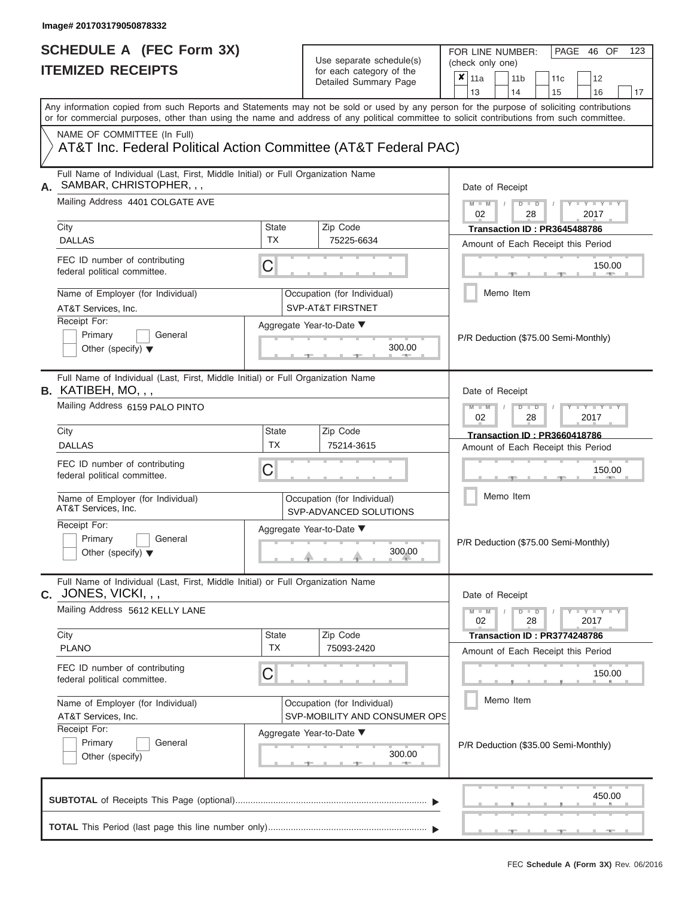FOR LINE NUMBER:<br>(check only one)

PAGE 46 OF 123

|    | IIEMIZED KEUEIPIS                                                                                                                                                                                                                                                                       |                                                                                              | for each category of the<br>Detailed Summary Page     | ×<br>12<br>11a<br>11 <sub>b</sub><br>11c                          |  |  |  |  |  |  |  |
|----|-----------------------------------------------------------------------------------------------------------------------------------------------------------------------------------------------------------------------------------------------------------------------------------------|----------------------------------------------------------------------------------------------|-------------------------------------------------------|-------------------------------------------------------------------|--|--|--|--|--|--|--|
|    |                                                                                                                                                                                                                                                                                         |                                                                                              |                                                       | 13<br>14<br>15<br>16<br>17                                        |  |  |  |  |  |  |  |
|    | Any information copied from such Reports and Statements may not be sold or used by any person for the purpose of soliciting contributions<br>or for commercial purposes, other than using the name and address of any political committee to solicit contributions from such committee. |                                                                                              |                                                       |                                                                   |  |  |  |  |  |  |  |
|    | NAME OF COMMITTEE (In Full)                                                                                                                                                                                                                                                             |                                                                                              |                                                       |                                                                   |  |  |  |  |  |  |  |
|    | AT&T Inc. Federal Political Action Committee (AT&T Federal PAC)                                                                                                                                                                                                                         |                                                                                              |                                                       |                                                                   |  |  |  |  |  |  |  |
| А. | Full Name of Individual (Last, First, Middle Initial) or Full Organization Name<br>SAMBAR, CHRISTOPHER, , ,                                                                                                                                                                             |                                                                                              |                                                       | Date of Receipt                                                   |  |  |  |  |  |  |  |
|    | Mailing Address 4401 COLGATE AVE                                                                                                                                                                                                                                                        |                                                                                              |                                                       | $M - M$<br>Y LTY LT<br>$D$ $D$<br>02<br>28<br>2017                |  |  |  |  |  |  |  |
|    | City                                                                                                                                                                                                                                                                                    | <b>State</b>                                                                                 | Zip Code                                              | Transaction ID: PR3645488786                                      |  |  |  |  |  |  |  |
|    | <b>DALLAS</b>                                                                                                                                                                                                                                                                           | <b>TX</b>                                                                                    | 75225-6634                                            | Amount of Each Receipt this Period                                |  |  |  |  |  |  |  |
|    | FEC ID number of contributing<br>federal political committee.                                                                                                                                                                                                                           | C                                                                                            |                                                       | 150.00                                                            |  |  |  |  |  |  |  |
|    | Name of Employer (for Individual)<br>AT&T Services, Inc.                                                                                                                                                                                                                                |                                                                                              | Occupation (for Individual)<br>SVP-AT&T FIRSTNET      | Memo Item                                                         |  |  |  |  |  |  |  |
|    | Receipt For:                                                                                                                                                                                                                                                                            |                                                                                              |                                                       |                                                                   |  |  |  |  |  |  |  |
|    | Primary<br>General                                                                                                                                                                                                                                                                      |                                                                                              | Aggregate Year-to-Date ▼                              | P/R Deduction (\$75.00 Semi-Monthly)                              |  |  |  |  |  |  |  |
|    | Other (specify) $\blacktriangledown$                                                                                                                                                                                                                                                    |                                                                                              | 300.00                                                |                                                                   |  |  |  |  |  |  |  |
|    | Full Name of Individual (Last, First, Middle Initial) or Full Organization Name<br>$B.$ KATIBEH, MO, , ,                                                                                                                                                                                | Date of Receipt                                                                              |                                                       |                                                                   |  |  |  |  |  |  |  |
|    | Mailing Address 6159 PALO PINTO                                                                                                                                                                                                                                                         | $M - M$<br>$\blacksquare$<br><br><br><br><br><br><br><br><br><br>$D$ $D$<br>02<br>28<br>2017 |                                                       |                                                                   |  |  |  |  |  |  |  |
|    | City                                                                                                                                                                                                                                                                                    | <b>State</b>                                                                                 | Zip Code                                              | <b>Transaction ID: PR3660418786</b>                               |  |  |  |  |  |  |  |
|    | <b>DALLAS</b>                                                                                                                                                                                                                                                                           | TX                                                                                           | 75214-3615                                            | Amount of Each Receipt this Period                                |  |  |  |  |  |  |  |
|    | FEC ID number of contributing<br>federal political committee.                                                                                                                                                                                                                           | C                                                                                            |                                                       | 150.00                                                            |  |  |  |  |  |  |  |
|    | Name of Employer (for Individual)<br>AT&T Services, Inc.                                                                                                                                                                                                                                |                                                                                              | Occupation (for Individual)<br>SVP-ADVANCED SOLUTIONS | Memo Item                                                         |  |  |  |  |  |  |  |
|    | Receipt For:<br>Primary<br>General<br>Other (specify) $\blacktriangledown$                                                                                                                                                                                                              |                                                                                              | Aggregate Year-to-Date ▼<br>300.00                    | P/R Deduction (\$75.00 Semi-Monthly)                              |  |  |  |  |  |  |  |
|    | Full Name of Individual (Last, First, Middle Initial) or Full Organization Name<br>$C.$ JONES, VICKI, , ,                                                                                                                                                                               |                                                                                              |                                                       | Date of Receipt                                                   |  |  |  |  |  |  |  |
|    | Mailing Address 5612 KELLY LANE                                                                                                                                                                                                                                                         |                                                                                              |                                                       | $Y - Y - Y - Y - I - Y$<br>$M - M$<br>$D$ $D$<br>02<br>28<br>2017 |  |  |  |  |  |  |  |
|    | City                                                                                                                                                                                                                                                                                    | <b>State</b>                                                                                 | Zip Code                                              | Transaction ID: PR3774248786                                      |  |  |  |  |  |  |  |
|    | <b>PLANO</b>                                                                                                                                                                                                                                                                            | <b>TX</b>                                                                                    | 75093-2420                                            | Amount of Each Receipt this Period                                |  |  |  |  |  |  |  |
|    | FEC ID number of contributing<br>federal political committee.                                                                                                                                                                                                                           | $\mathsf C$                                                                                  |                                                       | 150.00                                                            |  |  |  |  |  |  |  |
|    |                                                                                                                                                                                                                                                                                         |                                                                                              | Occupation (for Individual)                           | Memo Item                                                         |  |  |  |  |  |  |  |
|    | Name of Employer (for Individual)<br>AT&T Services, Inc.<br>Receipt For:                                                                                                                                                                                                                | SVP-MOBILITY AND CONSUMER OPS<br>Aggregate Year-to-Date ▼                                    |                                                       |                                                                   |  |  |  |  |  |  |  |
|    | Primary<br>General                                                                                                                                                                                                                                                                      | P/R Deduction (\$35.00 Semi-Monthly)                                                         |                                                       |                                                                   |  |  |  |  |  |  |  |
|    | Other (specify)                                                                                                                                                                                                                                                                         |                                                                                              | 300.00<br><b>1. 200 mm</b>                            |                                                                   |  |  |  |  |  |  |  |
|    |                                                                                                                                                                                                                                                                                         |                                                                                              |                                                       | 450.00                                                            |  |  |  |  |  |  |  |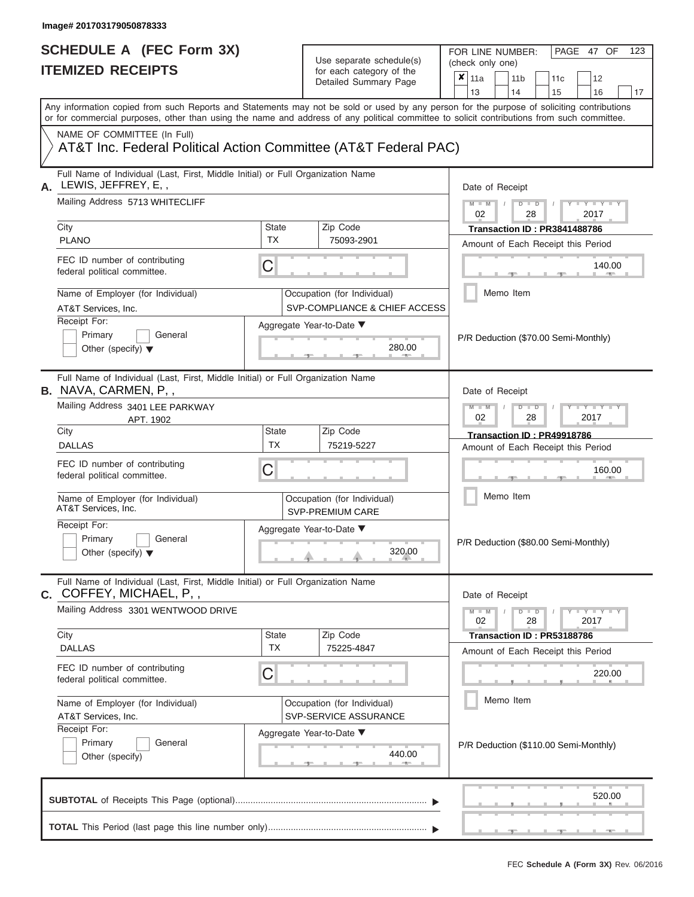FOR LINE NUMBER:<br>(check only one)

PAGE 47 OF 123

|      | IIEMILED REVEIFIJ                                                                                                                                                                                                                                                                       |                                                                                 |  | ior each calegory of the<br>Detailed Summary Page            | ×                                    | 11a                                                              |           | 11 <sub>b</sub> |               |  | 11 <sub>c</sub>            | 12                                                                 |    |  |  |  |  |  |  |
|------|-----------------------------------------------------------------------------------------------------------------------------------------------------------------------------------------------------------------------------------------------------------------------------------------|---------------------------------------------------------------------------------|--|--------------------------------------------------------------|--------------------------------------|------------------------------------------------------------------|-----------|-----------------|---------------|--|----------------------------|--------------------------------------------------------------------|----|--|--|--|--|--|--|
|      |                                                                                                                                                                                                                                                                                         |                                                                                 |  |                                                              |                                      | 13                                                               |           | 14              |               |  | 15                         | 16                                                                 | 17 |  |  |  |  |  |  |
|      | Any information copied from such Reports and Statements may not be sold or used by any person for the purpose of soliciting contributions<br>or for commercial purposes, other than using the name and address of any political committee to solicit contributions from such committee. |                                                                                 |  |                                                              |                                      |                                                                  |           |                 |               |  |                            |                                                                    |    |  |  |  |  |  |  |
|      | NAME OF COMMITTEE (In Full)<br>AT&T Inc. Federal Political Action Committee (AT&T Federal PAC)                                                                                                                                                                                          |                                                                                 |  |                                                              |                                      |                                                                  |           |                 |               |  |                            |                                                                    |    |  |  |  |  |  |  |
| А.   | LEWIS, JEFFREY, E,,                                                                                                                                                                                                                                                                     | Full Name of Individual (Last, First, Middle Initial) or Full Organization Name |  |                                                              |                                      |                                                                  |           |                 |               |  |                            | Date of Receipt                                                    |    |  |  |  |  |  |  |
|      | Mailing Address 5713 WHITECLIFF                                                                                                                                                                                                                                                         |                                                                                 |  |                                                              |                                      | $M - M$<br>$Y = Y$<br>$D$ $D$<br>02<br>28<br>2017                |           |                 |               |  |                            |                                                                    |    |  |  |  |  |  |  |
| City | <b>PLANO</b>                                                                                                                                                                                                                                                                            | State<br><b>TX</b>                                                              |  | Zip Code<br>75093-2901                                       |                                      |                                                                  |           |                 |               |  |                            | Transaction ID: PR3841488786<br>Amount of Each Receipt this Period |    |  |  |  |  |  |  |
|      | FEC ID number of contributing<br>federal political committee.                                                                                                                                                                                                                           | C                                                                               |  |                                                              |                                      | 140.00                                                           |           |                 |               |  |                            |                                                                    |    |  |  |  |  |  |  |
|      | Name of Employer (for Individual)<br>AT&T Services, Inc.                                                                                                                                                                                                                                |                                                                                 |  | Occupation (for Individual)<br>SVP-COMPLIANCE & CHIEF ACCESS |                                      |                                                                  | Memo Item |                 |               |  |                            |                                                                    |    |  |  |  |  |  |  |
|      | Receipt For:<br>Primary<br>General<br>Other (specify) $\blacktriangledown$                                                                                                                                                                                                              | Aggregate Year-to-Date ▼                                                        |  | 280.00                                                       |                                      |                                                                  |           |                 |               |  |                            | P/R Deduction (\$70.00 Semi-Monthly)                               |    |  |  |  |  |  |  |
|      | Full Name of Individual (Last, First, Middle Initial) or Full Organization Name<br><b>B.</b> NAVA, CARMEN, P,,                                                                                                                                                                          |                                                                                 |  |                                                              |                                      | Date of Receipt                                                  |           |                 |               |  |                            |                                                                    |    |  |  |  |  |  |  |
|      | Mailing Address 3401 LEE PARKWAY<br>APT. 1902                                                                                                                                                                                                                                           |                                                                                 |  | $M - M$<br>$Y = Y$<br>$D$ $D$<br>02<br>28<br>2017            |                                      |                                                                  |           |                 |               |  |                            |                                                                    |    |  |  |  |  |  |  |
| City | <b>DALLAS</b>                                                                                                                                                                                                                                                                           | State<br><b>TX</b>                                                              |  | Zip Code<br>75219-5227                                       |                                      | Transaction ID: PR49918786<br>Amount of Each Receipt this Period |           |                 |               |  |                            |                                                                    |    |  |  |  |  |  |  |
|      | FEC ID number of contributing<br>federal political committee.                                                                                                                                                                                                                           | С                                                                               |  |                                                              |                                      | 160.00                                                           |           |                 |               |  |                            |                                                                    |    |  |  |  |  |  |  |
|      | Name of Employer (for Individual)<br>AT&T Services, Inc.                                                                                                                                                                                                                                |                                                                                 |  | Occupation (for Individual)<br><b>SVP-PREMIUM CARE</b>       |                                      |                                                                  | Memo Item |                 |               |  |                            |                                                                    |    |  |  |  |  |  |  |
|      | Receipt For:<br>Primary<br>General<br>Other (specify) $\blacktriangledown$                                                                                                                                                                                                              | Aggregate Year-to-Date ▼                                                        |  | 320.00                                                       | P/R Deduction (\$80.00 Semi-Monthly) |                                                                  |           |                 |               |  |                            |                                                                    |    |  |  |  |  |  |  |
|      | Full Name of Individual (Last, First, Middle Initial) or Full Organization Name<br><b>C.</b> COFFEY, MICHAEL, P,,                                                                                                                                                                       |                                                                                 |  |                                                              |                                      | Date of Receipt                                                  |           |                 |               |  |                            |                                                                    |    |  |  |  |  |  |  |
|      | Mailing Address 3301 WENTWOOD DRIVE                                                                                                                                                                                                                                                     |                                                                                 |  |                                                              |                                      | $M - M$<br>02                                                    |           |                 | $D$ $D$<br>28 |  |                            | $Y - Y - Y - Y - Y$<br>2017                                        |    |  |  |  |  |  |  |
| City | <b>DALLAS</b>                                                                                                                                                                                                                                                                           | State<br>TX                                                                     |  | Zip Code<br>75225-4847                                       |                                      |                                                                  |           |                 |               |  | Transaction ID: PR53188786 | Amount of Each Receipt this Period                                 |    |  |  |  |  |  |  |
|      | FEC ID number of contributing<br>federal political committee.                                                                                                                                                                                                                           | C                                                                               |  |                                                              |                                      |                                                                  |           |                 |               |  |                            | 220.00                                                             |    |  |  |  |  |  |  |
|      | Name of Employer (for Individual)<br>AT&T Services, Inc.                                                                                                                                                                                                                                |                                                                                 |  | Occupation (for Individual)<br>SVP-SERVICE ASSURANCE         |                                      |                                                                  | Memo Item |                 |               |  |                            |                                                                    |    |  |  |  |  |  |  |
|      | Receipt For:<br>General<br>Primary<br>Other (specify)                                                                                                                                                                                                                                   | Aggregate Year-to-Date ▼                                                        |  | 440.00                                                       |                                      | P/R Deduction (\$110.00 Semi-Monthly)                            |           |                 |               |  |                            |                                                                    |    |  |  |  |  |  |  |
|      |                                                                                                                                                                                                                                                                                         |                                                                                 |  |                                                              |                                      |                                                                  |           |                 |               |  |                            | 520.00                                                             |    |  |  |  |  |  |  |
|      |                                                                                                                                                                                                                                                                                         |                                                                                 |  |                                                              |                                      |                                                                  |           |                 |               |  |                            |                                                                    |    |  |  |  |  |  |  |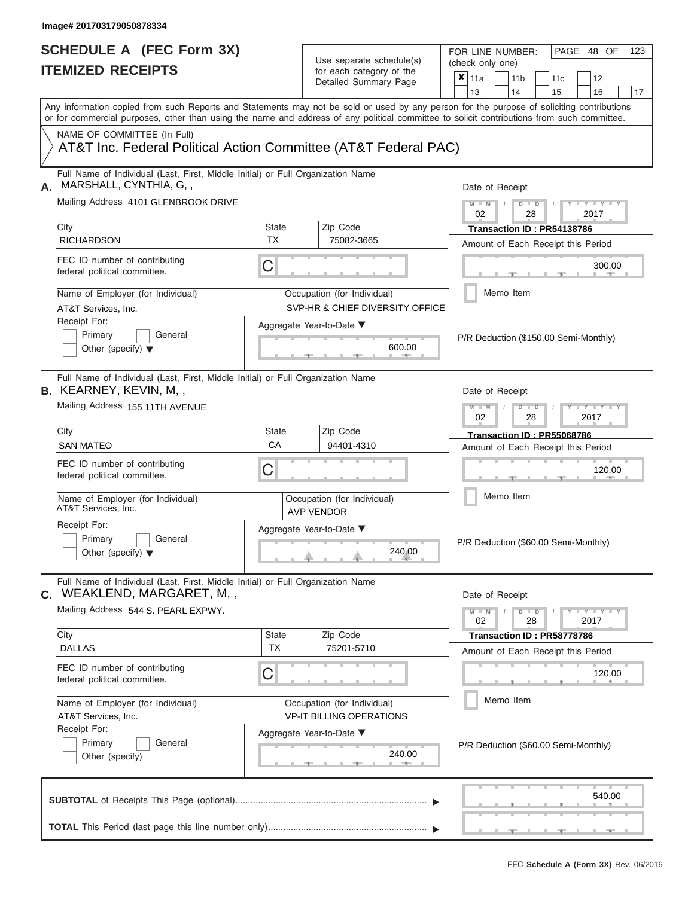FOR LINE NUMBER:<br>(check only one)

PAGE 48 OF 123

|    | IIEMIZED KEUEIPIS                                                                                                                                                                                                                                                                       |                                                        |                 | for each category of the<br>Detailed Summary Page                                            |  | ×<br>11a                                                          |  | 11 <sub>b</sub>                      |               | 11c                        | 12                                   |        |  |
|----|-----------------------------------------------------------------------------------------------------------------------------------------------------------------------------------------------------------------------------------------------------------------------------------------|--------------------------------------------------------|-----------------|----------------------------------------------------------------------------------------------|--|-------------------------------------------------------------------|--|--------------------------------------|---------------|----------------------------|--------------------------------------|--------|--|
|    |                                                                                                                                                                                                                                                                                         |                                                        |                 |                                                                                              |  | 13                                                                |  | 14                                   |               | 15                         | 16                                   | 17     |  |
|    | Any information copied from such Reports and Statements may not be sold or used by any person for the purpose of soliciting contributions<br>or for commercial purposes, other than using the name and address of any political committee to solicit contributions from such committee. |                                                        |                 |                                                                                              |  |                                                                   |  |                                      |               |                            |                                      |        |  |
|    | NAME OF COMMITTEE (In Full)                                                                                                                                                                                                                                                             |                                                        |                 |                                                                                              |  |                                                                   |  |                                      |               |                            |                                      |        |  |
|    | AT&T Inc. Federal Political Action Committee (AT&T Federal PAC)                                                                                                                                                                                                                         |                                                        |                 |                                                                                              |  |                                                                   |  |                                      |               |                            |                                      |        |  |
| А. | Full Name of Individual (Last, First, Middle Initial) or Full Organization Name<br>MARSHALL, CYNTHIA, G,,                                                                                                                                                                               |                                                        |                 |                                                                                              |  | Date of Receipt                                                   |  |                                      |               |                            |                                      |        |  |
|    | Mailing Address 4101 GLENBROOK DRIVE                                                                                                                                                                                                                                                    |                                                        |                 |                                                                                              |  | $M - M$<br>02                                                     |  |                                      | $D$ $D$<br>28 |                            | $T - Y = T - Y$<br>2017              |        |  |
|    | City<br><b>RICHARDSON</b>                                                                                                                                                                                                                                                               | <b>State</b><br><b>TX</b>                              |                 | Zip Code                                                                                     |  |                                                                   |  |                                      |               | Transaction ID: PR54138786 |                                      |        |  |
|    |                                                                                                                                                                                                                                                                                         |                                                        |                 | 75082-3665                                                                                   |  |                                                                   |  |                                      |               |                            | Amount of Each Receipt this Period   |        |  |
|    | FEC ID number of contributing<br>federal political committee.                                                                                                                                                                                                                           | C                                                      |                 |                                                                                              |  |                                                                   |  |                                      |               |                            |                                      | 300.00 |  |
|    | Name of Employer (for Individual)<br>AT&T Services, Inc.                                                                                                                                                                                                                                |                                                        |                 | Occupation (for Individual)<br>SVP-HR & CHIEF DIVERSITY OFFICE                               |  |                                                                   |  | Memo Item                            |               |                            |                                      |        |  |
|    | Receipt For:                                                                                                                                                                                                                                                                            |                                                        |                 | Aggregate Year-to-Date ▼                                                                     |  |                                                                   |  |                                      |               |                            |                                      |        |  |
|    | Primary<br>General<br>Other (specify) $\blacktriangledown$                                                                                                                                                                                                                              |                                                        |                 | 600.00                                                                                       |  | P/R Deduction (\$150.00 Semi-Monthly)                             |  |                                      |               |                            |                                      |        |  |
|    | Full Name of Individual (Last, First, Middle Initial) or Full Organization Name<br><b>B.</b> KEARNEY, KEVIN, M,,                                                                                                                                                                        |                                                        | Date of Receipt |                                                                                              |  |                                                                   |  |                                      |               |                            |                                      |        |  |
|    | Mailing Address 155 11TH AVENUE                                                                                                                                                                                                                                                         |                                                        |                 | $M - M$<br>$\blacksquare$<br><br><br><br><br><br><br><br><br><br>$D$ $D$<br>02<br>28<br>2017 |  |                                                                   |  |                                      |               |                            |                                      |        |  |
|    | City                                                                                                                                                                                                                                                                                    | <b>State</b>                                           |                 | Zip Code                                                                                     |  | Transaction ID: PR55068786                                        |  |                                      |               |                            |                                      |        |  |
|    | <b>SAN MATEO</b>                                                                                                                                                                                                                                                                        | CA                                                     |                 | 94401-4310                                                                                   |  | Amount of Each Receipt this Period                                |  |                                      |               |                            |                                      |        |  |
|    | FEC ID number of contributing<br>federal political committee.                                                                                                                                                                                                                           | C                                                      |                 |                                                                                              |  |                                                                   |  |                                      |               |                            |                                      | 120.00 |  |
|    | Name of Employer (for Individual)<br>AT&T Services, Inc.                                                                                                                                                                                                                                |                                                        |                 | Occupation (for Individual)<br><b>AVP VENDOR</b>                                             |  | Memo Item                                                         |  |                                      |               |                            |                                      |        |  |
|    | Receipt For:<br>Primary<br>General<br>Other (specify) $\blacktriangledown$                                                                                                                                                                                                              | Aggregate Year-to-Date ▼<br>240.00                     |                 |                                                                                              |  |                                                                   |  | P/R Deduction (\$60.00 Semi-Monthly) |               |                            |                                      |        |  |
|    | Full Name of Individual (Last, First, Middle Initial) or Full Organization Name<br>C. WEAKLEND, MARGARET, M,,                                                                                                                                                                           |                                                        |                 |                                                                                              |  | Date of Receipt                                                   |  |                                      |               |                            |                                      |        |  |
|    | Mailing Address 544 S. PEARL EXPWY.                                                                                                                                                                                                                                                     |                                                        |                 |                                                                                              |  | $Y - Y - Y - Y - I - Y$<br>$M - M$<br>$D$ $D$<br>02<br>28<br>2017 |  |                                      |               |                            |                                      |        |  |
|    | City                                                                                                                                                                                                                                                                                    | <b>State</b>                                           |                 | Zip Code                                                                                     |  |                                                                   |  |                                      |               | Transaction ID: PR58778786 |                                      |        |  |
|    | <b>DALLAS</b>                                                                                                                                                                                                                                                                           | <b>TX</b>                                              |                 | 75201-5710                                                                                   |  |                                                                   |  |                                      |               |                            | Amount of Each Receipt this Period   |        |  |
|    | FEC ID number of contributing<br>federal political committee.                                                                                                                                                                                                                           | $\mathsf C$                                            |                 |                                                                                              |  |                                                                   |  |                                      |               |                            |                                      | 120.00 |  |
|    | Name of Employer (for Individual)<br>AT&T Services, Inc.                                                                                                                                                                                                                                |                                                        |                 | Occupation (for Individual)<br><b>VP-IT BILLING OPERATIONS</b>                               |  |                                                                   |  | Memo Item                            |               |                            |                                      |        |  |
|    | Receipt For:<br>Primary<br>General<br>Other (specify)                                                                                                                                                                                                                                   | Aggregate Year-to-Date ▼<br>240.00<br><b>1. 400 mm</b> |                 |                                                                                              |  |                                                                   |  |                                      |               |                            | P/R Deduction (\$60.00 Semi-Monthly) |        |  |
|    |                                                                                                                                                                                                                                                                                         |                                                        |                 |                                                                                              |  |                                                                   |  |                                      |               |                            |                                      | 540.00 |  |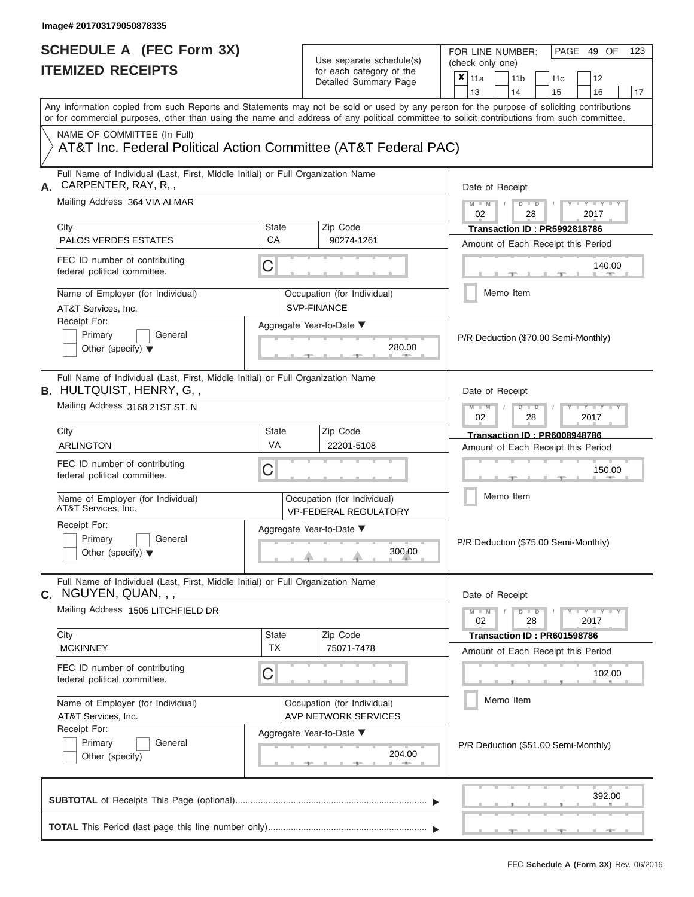| SCHEDULE A (FEC Form 3X)<br><b>ITEMIZED RECEIPTS</b>                                                               |                    | Use separate schedule(s)<br>for each category of the<br>Detailed Summary Page | 123<br>FOR LINE NUMBER:<br>PAGE 49 OF<br>(check only one)<br>$\overline{\mathbf{x}}$   11a<br>11 <sub>b</sub><br>11 <sub>c</sub><br>12<br>15<br>13<br>14<br>16<br>17                                                                                                                    |
|--------------------------------------------------------------------------------------------------------------------|--------------------|-------------------------------------------------------------------------------|-----------------------------------------------------------------------------------------------------------------------------------------------------------------------------------------------------------------------------------------------------------------------------------------|
|                                                                                                                    |                    |                                                                               | Any information copied from such Reports and Statements may not be sold or used by any person for the purpose of soliciting contributions<br>or for commercial purposes, other than using the name and address of any political committee to solicit contributions from such committee. |
| NAME OF COMMITTEE (In Full)<br>AT&T Inc. Federal Political Action Committee (AT&T Federal PAC)                     |                    |                                                                               |                                                                                                                                                                                                                                                                                         |
| Full Name of Individual (Last, First, Middle Initial) or Full Organization Name<br>CARPENTER, RAY, R,,             |                    |                                                                               | Date of Receipt                                                                                                                                                                                                                                                                         |
| Mailing Address 364 VIA ALMAR<br>City                                                                              | State              | Zip Code                                                                      | $M$ $M$ $N$<br>$D$ $D$<br>$-Y - Y - Y - Y$<br>02<br>28<br>2017<br>Transaction ID: PR5992818786                                                                                                                                                                                          |
| PALOS VERDES ESTATES                                                                                               | CA                 | 90274-1261                                                                    | Amount of Each Receipt this Period                                                                                                                                                                                                                                                      |
| FEC ID number of contributing<br>federal political committee.                                                      | С                  |                                                                               | 140.00<br><b>CONTRACTOR</b>                                                                                                                                                                                                                                                             |
| Name of Employer (for Individual)<br>AT&T Services, Inc.                                                           |                    | Occupation (for Individual)<br><b>SVP-FINANCE</b>                             | Memo Item                                                                                                                                                                                                                                                                               |
| Receipt For:<br>Primary<br>General<br>Other (specify) $\blacktriangledown$                                         |                    | Aggregate Year-to-Date ▼<br>280.00                                            | P/R Deduction (\$70.00 Semi-Monthly)                                                                                                                                                                                                                                                    |
| Full Name of Individual (Last, First, Middle Initial) or Full Organization Name<br><b>B.</b> HULTQUIST, HENRY, G,, |                    |                                                                               | Date of Receipt                                                                                                                                                                                                                                                                         |
| Mailing Address 3168 21ST ST. N                                                                                    |                    |                                                                               | $M - M$<br>$D$ $D$<br>$\Box$ $\Upsilon$ $\Box$ $\Upsilon$ $\Upsilon$ $\Upsilon$<br>02<br>2017<br>28                                                                                                                                                                                     |
| City                                                                                                               | <b>State</b>       | Zip Code                                                                      | Transaction ID: PR6008948786                                                                                                                                                                                                                                                            |
| <b>ARLINGTON</b>                                                                                                   | VA                 | 22201-5108                                                                    | Amount of Each Receipt this Period                                                                                                                                                                                                                                                      |
| FEC ID number of contributing<br>federal political committee.                                                      | С                  |                                                                               | 150.00                                                                                                                                                                                                                                                                                  |
| Name of Employer (for Individual)<br>AT&T Services, Inc.                                                           |                    | Occupation (for Individual)<br><b>VP-FEDERAL REGULATORY</b>                   | Memo Item                                                                                                                                                                                                                                                                               |
| Receipt For:<br>Primary<br>General                                                                                 |                    | Aggregate Year-to-Date ▼                                                      |                                                                                                                                                                                                                                                                                         |
| Other (specify) $\blacktriangledown$                                                                               |                    | 300.00                                                                        | P/R Deduction (\$75.00 Semi-Monthly)                                                                                                                                                                                                                                                    |
| Full Name of Individual (Last, First, Middle Initial) or Full Organization Name<br>C. NGUYEN, QUAN, , ,            |                    |                                                                               | Date of Receipt                                                                                                                                                                                                                                                                         |
| Mailing Address 1505 LITCHFIELD DR                                                                                 |                    |                                                                               | $M - M$<br>$D$ $D$<br>$  Y$ $  Y$ $  Y$<br>02<br>28<br>2017                                                                                                                                                                                                                             |
| City<br><b>MCKINNEY</b>                                                                                            | State<br><b>TX</b> | Zip Code<br>75071-7478                                                        | Transaction ID: PR601598786<br>Amount of Each Receipt this Period                                                                                                                                                                                                                       |
| FEC ID number of contributing<br>federal political committee.                                                      | С                  |                                                                               | 102.00                                                                                                                                                                                                                                                                                  |
| Name of Employer (for Individual)<br>AT&T Services, Inc.                                                           |                    | Occupation (for Individual)<br><b>AVP NETWORK SERVICES</b>                    | Memo Item                                                                                                                                                                                                                                                                               |
| Receipt For:<br>Primary<br>General<br>Other (specify)                                                              |                    | Aggregate Year-to-Date ▼<br>204.00                                            | P/R Deduction (\$51.00 Semi-Monthly)                                                                                                                                                                                                                                                    |
|                                                                                                                    |                    |                                                                               | 392.00                                                                                                                                                                                                                                                                                  |
|                                                                                                                    |                    |                                                                               |                                                                                                                                                                                                                                                                                         |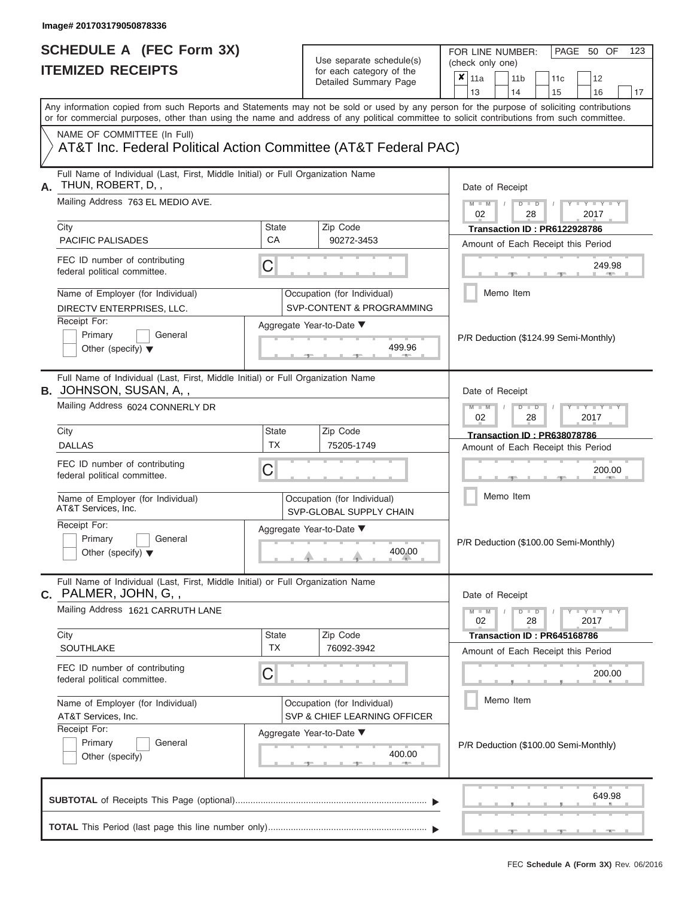| SCHEDULE A (FEC Form 3X)<br><b>ITEMIZED RECEIPTS</b>                                                                                                                                                                                                                                    |                           | Use separate schedule(s)<br>for each category of the                    | FOR LINE NUMBER:<br>PAGE 50 OF<br>123<br>(check only one)                                      |
|-----------------------------------------------------------------------------------------------------------------------------------------------------------------------------------------------------------------------------------------------------------------------------------------|---------------------------|-------------------------------------------------------------------------|------------------------------------------------------------------------------------------------|
|                                                                                                                                                                                                                                                                                         |                           | Detailed Summary Page                                                   | $\boldsymbol{\mathsf{x}}$<br>11a<br>11 <sub>b</sub><br>12<br>11c<br>13<br>14<br>15<br>16<br>17 |
| Any information copied from such Reports and Statements may not be sold or used by any person for the purpose of soliciting contributions<br>or for commercial purposes, other than using the name and address of any political committee to solicit contributions from such committee. |                           |                                                                         |                                                                                                |
| NAME OF COMMITTEE (In Full)<br>AT&T Inc. Federal Political Action Committee (AT&T Federal PAC)                                                                                                                                                                                          |                           |                                                                         |                                                                                                |
| Full Name of Individual (Last, First, Middle Initial) or Full Organization Name<br>THUN, ROBERT, D,,<br>А.                                                                                                                                                                              |                           |                                                                         | Date of Receipt                                                                                |
| Mailing Address 763 EL MEDIO AVE.<br>City                                                                                                                                                                                                                                               | <b>State</b>              | Zip Code                                                                | $M - M$ /<br>$D$ $D$<br>$T - Y = T - Y$<br>02<br>28<br>2017<br>Transaction ID: PR6122928786    |
| PACIFIC PALISADES                                                                                                                                                                                                                                                                       | CA                        | 90272-3453                                                              | Amount of Each Receipt this Period                                                             |
| FEC ID number of contributing<br>federal political committee.                                                                                                                                                                                                                           | C                         |                                                                         | 249.98<br><b>1. 200</b>                                                                        |
| Name of Employer (for Individual)<br>DIRECTV ENTERPRISES, LLC.                                                                                                                                                                                                                          |                           | Occupation (for Individual)<br><b>SVP-CONTENT &amp; PROGRAMMING</b>     | Memo Item                                                                                      |
| Receipt For:<br>Primary<br>General<br>Other (specify) $\blacktriangledown$                                                                                                                                                                                                              |                           | Aggregate Year-to-Date ▼<br>499.96<br><b>Contract Contract Contract</b> | P/R Deduction (\$124.99 Semi-Monthly)                                                          |
| Full Name of Individual (Last, First, Middle Initial) or Full Organization Name<br><b>B.</b> JOHNSON, SUSAN, A,,<br>Mailing Address 6024 CONNERLY DR                                                                                                                                    |                           |                                                                         | Date of Receipt<br>$M - M$<br>$D$ $D$<br>$+Y+Y+Y$                                              |
|                                                                                                                                                                                                                                                                                         |                           |                                                                         | 02<br>2017<br>28                                                                               |
| City<br><b>DALLAS</b>                                                                                                                                                                                                                                                                   | <b>State</b><br><b>TX</b> | Zip Code<br>75205-1749                                                  | Transaction ID: PR638078786                                                                    |
| FEC ID number of contributing<br>federal political committee.                                                                                                                                                                                                                           | C                         |                                                                         | Amount of Each Receipt this Period<br>200.00                                                   |
| Name of Employer (for Individual)<br>AT&T Services, Inc.                                                                                                                                                                                                                                |                           | Occupation (for Individual)<br>SVP-GLOBAL SUPPLY CHAIN                  | Memo Item                                                                                      |
| Receipt For:<br>Primary<br>General<br>Other (specify) $\blacktriangledown$                                                                                                                                                                                                              |                           | Aggregate Year-to-Date ▼<br>400.00                                      | P/R Deduction (\$100.00 Semi-Monthly)                                                          |
| Full Name of Individual (Last, First, Middle Initial) or Full Organization Name<br>C. PALMER, JOHN, G,,                                                                                                                                                                                 |                           |                                                                         | Date of Receipt                                                                                |
| Mailing Address 1621 CARRUTH LANE                                                                                                                                                                                                                                                       |                           |                                                                         | $M - M$<br>$D$ $D$<br>Y - Y - Y - Y<br>02<br>28<br>2017                                        |
| City<br>SOUTHLAKE                                                                                                                                                                                                                                                                       | <b>State</b><br><b>TX</b> | Zip Code<br>76092-3942                                                  | Transaction ID: PR645168786<br>Amount of Each Receipt this Period                              |
| FEC ID number of contributing<br>federal political committee.                                                                                                                                                                                                                           | C                         |                                                                         | 200.00                                                                                         |
| Name of Employer (for Individual)<br>AT&T Services, Inc.                                                                                                                                                                                                                                |                           | Occupation (for Individual)<br>SVP & CHIEF LEARNING OFFICER             | Memo Item                                                                                      |
| Receipt For:<br>Primary<br>General<br>Other (specify)                                                                                                                                                                                                                                   |                           | Aggregate Year-to-Date ▼<br>400.00<br>$-1$                              | P/R Deduction (\$100.00 Semi-Monthly)                                                          |
|                                                                                                                                                                                                                                                                                         |                           |                                                                         | 649.98                                                                                         |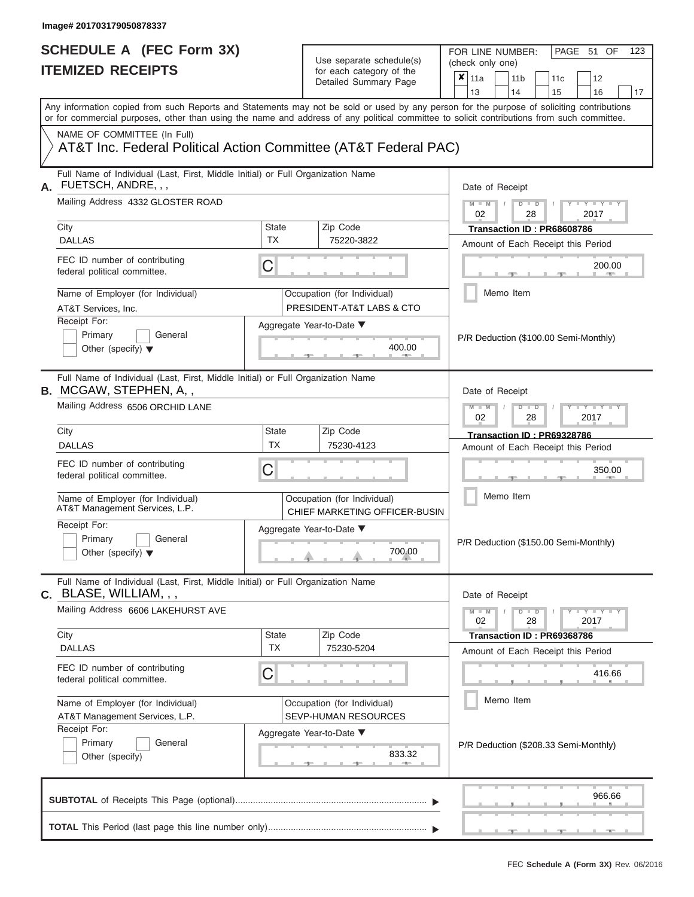FOR LINE NUMBER:<br>(check only one)

PAGE 51 OF 123

| IIEMIZED RECEIPIS                                                                                                |                           | for each category of the<br>Detailed Summary Page            | ×<br>11a<br>11 <sub>b</sub><br>12<br>11c                                                                                                                                                                                                                                                                              |  |  |  |  |
|------------------------------------------------------------------------------------------------------------------|---------------------------|--------------------------------------------------------------|-----------------------------------------------------------------------------------------------------------------------------------------------------------------------------------------------------------------------------------------------------------------------------------------------------------------------|--|--|--|--|
|                                                                                                                  |                           |                                                              | 13<br>15<br>16<br>14<br>17<br>Any information copied from such Reports and Statements may not be sold or used by any person for the purpose of soliciting contributions<br>or for commercial purposes, other than using the name and address of any political committee to solicit contributions from such committee. |  |  |  |  |
| NAME OF COMMITTEE (In Full)<br>AT&T Inc. Federal Political Action Committee (AT&T Federal PAC)                   |                           |                                                              |                                                                                                                                                                                                                                                                                                                       |  |  |  |  |
| Full Name of Individual (Last, First, Middle Initial) or Full Organization Name<br>FUETSCH, ANDRE, , ,<br>А.     |                           |                                                              | Date of Receipt                                                                                                                                                                                                                                                                                                       |  |  |  |  |
| Mailing Address 4332 GLOSTER ROAD                                                                                |                           |                                                              | $M - M$<br>$Y = Y$<br>$D$ $\Box$ $D$<br>02<br>28<br>2017                                                                                                                                                                                                                                                              |  |  |  |  |
| City<br><b>DALLAS</b>                                                                                            | <b>State</b><br><b>TX</b> | Zip Code<br>75220-3822                                       | Transaction ID: PR68608786                                                                                                                                                                                                                                                                                            |  |  |  |  |
| FEC ID number of contributing<br>federal political committee.                                                    | C                         |                                                              | Amount of Each Receipt this Period<br>200.00                                                                                                                                                                                                                                                                          |  |  |  |  |
| Name of Employer (for Individual)<br>AT&T Services, Inc.                                                         |                           | Occupation (for Individual)<br>PRESIDENT-AT&T LABS & CTO     | Memo Item                                                                                                                                                                                                                                                                                                             |  |  |  |  |
| Receipt For:<br>Primary<br>General<br>Other (specify) $\blacktriangledown$                                       |                           | Aggregate Year-to-Date ▼<br>400.00                           | P/R Deduction (\$100.00 Semi-Monthly)                                                                                                                                                                                                                                                                                 |  |  |  |  |
| Full Name of Individual (Last, First, Middle Initial) or Full Organization Name<br><b>B. MCGAW, STEPHEN, A.,</b> |                           |                                                              | Date of Receipt                                                                                                                                                                                                                                                                                                       |  |  |  |  |
| Mailing Address 6506 ORCHID LANE                                                                                 |                           |                                                              | $M - M$<br>$D - D$<br>$T - Y = T - T$<br>02<br>28<br>2017                                                                                                                                                                                                                                                             |  |  |  |  |
| City<br><b>DALLAS</b>                                                                                            | State<br>TX               | Zip Code<br>75230-4123                                       | Transaction ID: PR69328786<br>Amount of Each Receipt this Period                                                                                                                                                                                                                                                      |  |  |  |  |
| FEC ID number of contributing<br>federal political committee.                                                    | C                         |                                                              | 350.00                                                                                                                                                                                                                                                                                                                |  |  |  |  |
| Name of Employer (for Individual)<br>AT&T Management Services, L.P.                                              |                           | Occupation (for Individual)<br>CHIEF MARKETING OFFICER-BUSIN | Memo Item                                                                                                                                                                                                                                                                                                             |  |  |  |  |
| Receipt For:<br>Primary<br>General<br>Other (specify) $\blacktriangledown$                                       |                           | Aggregate Year-to-Date ▼<br>700.00                           | P/R Deduction (\$150.00 Semi-Monthly)                                                                                                                                                                                                                                                                                 |  |  |  |  |
| Full Name of Individual (Last, First, Middle Initial) or Full Organization Name<br>$C.$ BLASE, WILLIAM, , ,      |                           |                                                              | Date of Receipt                                                                                                                                                                                                                                                                                                       |  |  |  |  |
| Mailing Address 6606 LAKEHURST AVE                                                                               |                           |                                                              | $T - Y = T - Y$<br>$M - M$<br>$D$ $D$<br>28<br>2017<br>02                                                                                                                                                                                                                                                             |  |  |  |  |
| City<br><b>DALLAS</b>                                                                                            | <b>State</b><br><b>TX</b> | Zip Code<br>75230-5204                                       | Transaction ID: PR69368786                                                                                                                                                                                                                                                                                            |  |  |  |  |
| FEC ID number of contributing<br>federal political committee.                                                    | C                         |                                                              | Amount of Each Receipt this Period<br>416.66                                                                                                                                                                                                                                                                          |  |  |  |  |
| Name of Employer (for Individual)<br>AT&T Management Services, L.P.                                              |                           | Occupation (for Individual)<br>SEVP-HUMAN RESOURCES          | Memo Item                                                                                                                                                                                                                                                                                                             |  |  |  |  |
| Receipt For:<br>Primary<br>General<br>Other (specify)                                                            |                           | Aggregate Year-to-Date ▼<br>833.32<br><b>AND IN</b>          | P/R Deduction (\$208.33 Semi-Monthly)                                                                                                                                                                                                                                                                                 |  |  |  |  |
|                                                                                                                  |                           |                                                              | 966.66                                                                                                                                                                                                                                                                                                                |  |  |  |  |
|                                                                                                                  |                           |                                                              |                                                                                                                                                                                                                                                                                                                       |  |  |  |  |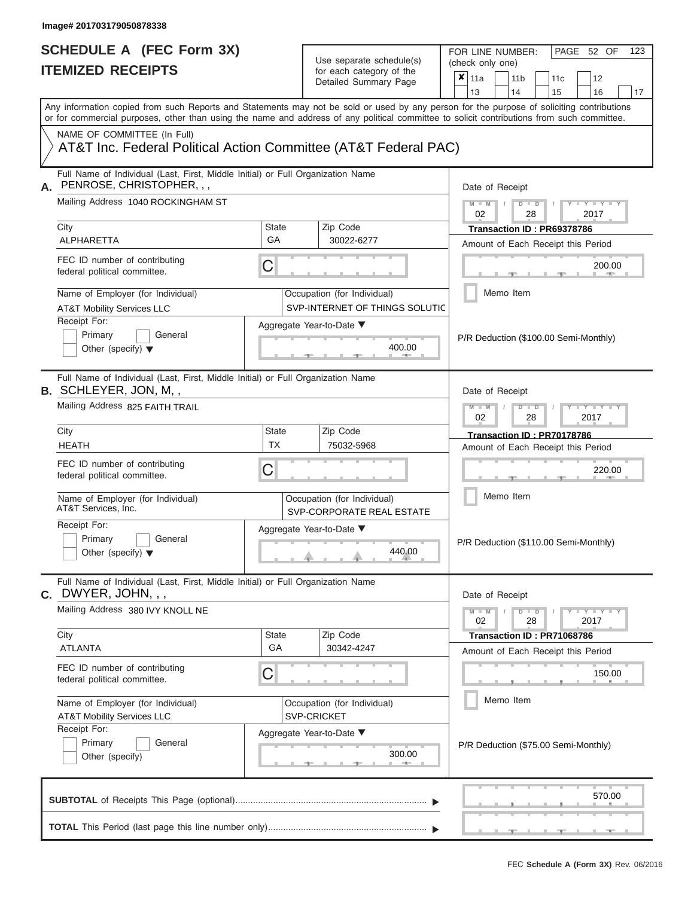FOR LINE NUMBER:<br>(check only one)

PAGE 52 OF 123

| IIEMIZED RECEIPIS                                                                                                                                                                                                                                                                       |                                                             | for each category of the<br>Detailed Summary Page             | X<br>11a<br>12<br>11 <sub>b</sub><br>11 <sub>c</sub><br>13<br>14<br>17<br>15<br>16 |  |  |  |
|-----------------------------------------------------------------------------------------------------------------------------------------------------------------------------------------------------------------------------------------------------------------------------------------|-------------------------------------------------------------|---------------------------------------------------------------|------------------------------------------------------------------------------------|--|--|--|
| Any information copied from such Reports and Statements may not be sold or used by any person for the purpose of soliciting contributions<br>or for commercial purposes, other than using the name and address of any political committee to solicit contributions from such committee. |                                                             |                                                               |                                                                                    |  |  |  |
| NAME OF COMMITTEE (In Full)<br>AT&T Inc. Federal Political Action Committee (AT&T Federal PAC)                                                                                                                                                                                          |                                                             |                                                               |                                                                                    |  |  |  |
| Full Name of Individual (Last, First, Middle Initial) or Full Organization Name<br>PENROSE, CHRISTOPHER, , ,<br>А.                                                                                                                                                                      |                                                             |                                                               | Date of Receipt                                                                    |  |  |  |
| Mailing Address 1040 ROCKINGHAM ST                                                                                                                                                                                                                                                      |                                                             |                                                               | $Y - Y$<br>$M - M$<br>$\Box$<br>ъ<br>02<br>28<br>2017                              |  |  |  |
| City<br>ALPHARETTA                                                                                                                                                                                                                                                                      | <b>State</b><br>GA                                          | Zip Code<br>30022-6277                                        | Transaction ID: PR69378786                                                         |  |  |  |
| FEC ID number of contributing<br>federal political committee.                                                                                                                                                                                                                           | $\mathsf C$                                                 |                                                               | Amount of Each Receipt this Period<br>200.00                                       |  |  |  |
| Name of Employer (for Individual)<br><b>AT&amp;T Mobility Services LLC</b>                                                                                                                                                                                                              |                                                             | Occupation (for Individual)<br>SVP-INTERNET OF THINGS SOLUTIC | Memo Item                                                                          |  |  |  |
| Receipt For:<br>Primary<br>General<br>Other (specify) $\blacktriangledown$                                                                                                                                                                                                              |                                                             | Aggregate Year-to-Date ▼<br>400.00                            | P/R Deduction (\$100.00 Semi-Monthly)                                              |  |  |  |
| Full Name of Individual (Last, First, Middle Initial) or Full Organization Name<br><b>B.</b> SCHLEYER, JON, M, ,                                                                                                                                                                        |                                                             |                                                               | Date of Receipt                                                                    |  |  |  |
| Mailing Address 825 FAITH TRAIL                                                                                                                                                                                                                                                         | $M - M$<br>Y TYT<br>$\blacksquare$<br>D<br>02<br>28<br>2017 |                                                               |                                                                                    |  |  |  |
| City<br><b>HEATH</b>                                                                                                                                                                                                                                                                    | State<br><b>TX</b>                                          | Zip Code<br>75032-5968                                        | Transaction ID: PR70178786<br>Amount of Each Receipt this Period                   |  |  |  |
| FEC ID number of contributing<br>federal political committee.                                                                                                                                                                                                                           | C                                                           |                                                               | 220.00                                                                             |  |  |  |
| Name of Employer (for Individual)<br>AT&T Services, Inc.                                                                                                                                                                                                                                |                                                             | Occupation (for Individual)<br>SVP-CORPORATE REAL ESTATE      | Memo Item                                                                          |  |  |  |
| Receipt For:<br>Primary<br>General<br>Other (specify) $\blacktriangledown$                                                                                                                                                                                                              |                                                             | Aggregate Year-to-Date ▼<br>440.00                            | P/R Deduction (\$110.00 Semi-Monthly)                                              |  |  |  |
| Full Name of Individual (Last, First, Middle Initial) or Full Organization Name<br><b>c.</b> DWYER, JOHN, , ,                                                                                                                                                                           |                                                             |                                                               | Date of Receipt                                                                    |  |  |  |
| Mailing Address 380 IVY KNOLL NE                                                                                                                                                                                                                                                        |                                                             |                                                               | $Y = Y = Y$<br>$\Box$<br>$M - M$<br>$\overline{D}$<br>02<br>28<br>2017             |  |  |  |
| City<br><b>ATLANTA</b>                                                                                                                                                                                                                                                                  | <b>State</b><br>GA                                          | Zip Code<br>30342-4247                                        | Transaction ID: PR71068786<br>Amount of Each Receipt this Period                   |  |  |  |
| FEC ID number of contributing<br>federal political committee.                                                                                                                                                                                                                           | C                                                           |                                                               | 150.00                                                                             |  |  |  |
| Name of Employer (for Individual)<br><b>AT&amp;T Mobility Services LLC</b>                                                                                                                                                                                                              |                                                             | Occupation (for Individual)<br>SVP-CRICKET                    | Memo Item                                                                          |  |  |  |
| Receipt For:<br>Primary<br>General<br>Other (specify)                                                                                                                                                                                                                                   |                                                             | Aggregate Year-to-Date ▼<br>300.00                            | P/R Deduction (\$75.00 Semi-Monthly)                                               |  |  |  |
|                                                                                                                                                                                                                                                                                         |                                                             |                                                               | 570.00                                                                             |  |  |  |
|                                                                                                                                                                                                                                                                                         |                                                             |                                                               |                                                                                    |  |  |  |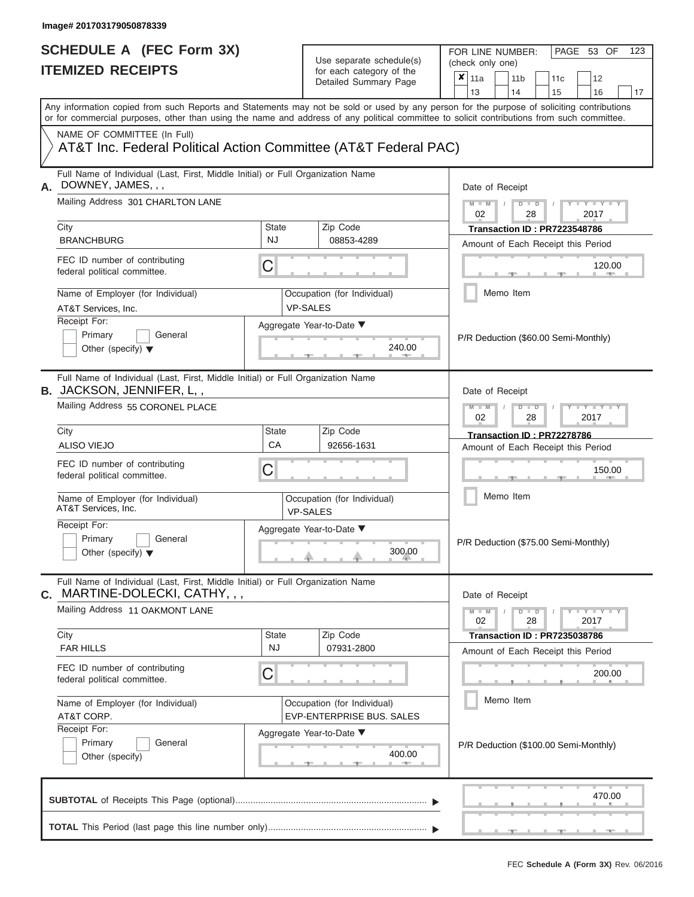| SCHEDULE A (FEC Form 3X)<br><b>ITEMIZED RECEIPTS</b>                                                                                       |                    | Use separate schedule(s)<br>for each category of the<br>Detailed Summary Page | FOR LINE NUMBER:<br>PAGE 53 OF<br>123<br>(check only one)<br>$\boldsymbol{\mathsf{x}}$<br>11a<br>11 <sub>b</sub><br>12<br>11c                   |
|--------------------------------------------------------------------------------------------------------------------------------------------|--------------------|-------------------------------------------------------------------------------|-------------------------------------------------------------------------------------------------------------------------------------------------|
| Any information copied from such Reports and Statements may not be sold or used by any person for the purpose of soliciting contributions  |                    |                                                                               | 13<br>14<br>15<br>16<br>17                                                                                                                      |
| or for commercial purposes, other than using the name and address of any political committee to solicit contributions from such committee. |                    |                                                                               |                                                                                                                                                 |
| NAME OF COMMITTEE (In Full)<br>AT&T Inc. Federal Political Action Committee (AT&T Federal PAC)                                             |                    |                                                                               |                                                                                                                                                 |
| Full Name of Individual (Last, First, Middle Initial) or Full Organization Name<br>DOWNEY, JAMES, , ,<br>Α.                                |                    |                                                                               | Date of Receipt                                                                                                                                 |
| Mailing Address 301 CHARLTON LANE<br>City                                                                                                  | <b>State</b>       | Zip Code                                                                      | $M - M$ /<br>$D$ $D$<br>$T - Y = T - Y$<br>02<br>28<br>2017<br>Transaction ID: PR7223548786                                                     |
| <b>BRANCHBURG</b>                                                                                                                          | <b>NJ</b>          | 08853-4289                                                                    | Amount of Each Receipt this Period                                                                                                              |
| FEC ID number of contributing<br>federal political committee.                                                                              | C                  |                                                                               | 120.00<br><b>CONTRACTOR</b>                                                                                                                     |
| Name of Employer (for Individual)<br>AT&T Services, Inc.                                                                                   |                    | Occupation (for Individual)<br><b>VP-SALES</b>                                | Memo Item                                                                                                                                       |
| Receipt For:<br>Primary<br>General<br>Other (specify) $\blacktriangledown$                                                                 |                    | Aggregate Year-to-Date ▼<br>240.00<br><b>CONTRACTOR</b>                       | P/R Deduction (\$60.00 Semi-Monthly)                                                                                                            |
| Full Name of Individual (Last, First, Middle Initial) or Full Organization Name<br><b>B.</b> JACKSON, JENNIFER, L,,                        |                    |                                                                               | Date of Receipt                                                                                                                                 |
| Mailing Address 55 CORONEL PLACE                                                                                                           |                    |                                                                               | $M - M$<br>$D$ $D$<br>$\blacksquare \blacksquare \mathsf{Y} \blacksquare \blacksquare \mathsf{Y} \blacksquare \blacksquare$<br>02<br>2017<br>28 |
| City<br><b>ALISO VIEJO</b>                                                                                                                 | <b>State</b><br>CA | Zip Code<br>92656-1631                                                        | Transaction ID: PR72278786<br>Amount of Each Receipt this Period                                                                                |
| FEC ID number of contributing<br>federal political committee.                                                                              | C                  |                                                                               | 150.00                                                                                                                                          |
| Name of Employer (for Individual)<br>AT&T Services, Inc.                                                                                   |                    | Occupation (for Individual)<br><b>VP-SALES</b>                                | Memo Item                                                                                                                                       |
| Receipt For:<br>Primary<br>General<br>Other (specify) $\blacktriangledown$                                                                 |                    | Aggregate Year-to-Date ▼<br>300.00                                            | P/R Deduction (\$75.00 Semi-Monthly)                                                                                                            |
| Full Name of Individual (Last, First, Middle Initial) or Full Organization Name<br>C. MARTINE-DOLECKI, CATHY, , ,                          |                    |                                                                               | Date of Receipt                                                                                                                                 |
| Mailing Address 11 OAKMONT LANE<br>City                                                                                                    | <b>State</b>       | Zip Code                                                                      | $M - M$<br>$D$ $D$<br>Y - Y - Y - Y<br>02<br>28<br>2017<br><b>Transaction ID: PR7235038786</b>                                                  |
| <b>FAR HILLS</b>                                                                                                                           | <b>NJ</b>          | 07931-2800                                                                    | Amount of Each Receipt this Period                                                                                                              |
| FEC ID number of contributing<br>federal political committee.                                                                              | C                  |                                                                               | 200.00                                                                                                                                          |
| Name of Employer (for Individual)<br>AT&T CORP.                                                                                            |                    | Occupation (for Individual)<br>EVP-ENTERPRISE BUS. SALES                      | Memo Item                                                                                                                                       |
| Receipt For:<br>Primary<br>General<br>Other (specify)                                                                                      |                    | Aggregate Year-to-Date ▼<br>400.00<br>$-1$                                    | P/R Deduction (\$100.00 Semi-Monthly)                                                                                                           |
|                                                                                                                                            |                    |                                                                               | 470.00                                                                                                                                          |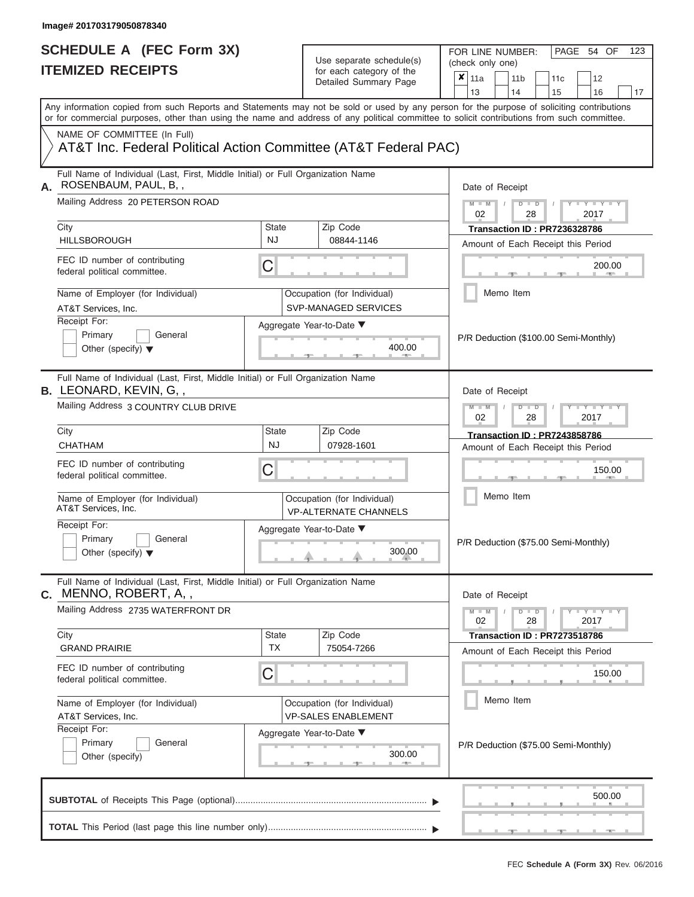FOR LINE NUMBER:<br>(check only one)

PAGE 54 OF 123

|                | IILMILLU INLVLII IV                                                                                                                                                                                                                                                                     |                           | ivi cavii valcyviy vi liic<br>Detailed Summary Page         | x                                                                                   | 11a<br>13       |  | 11 <sub>b</sub>      | 11c                                                                       |  | 12                       |    |
|----------------|-----------------------------------------------------------------------------------------------------------------------------------------------------------------------------------------------------------------------------------------------------------------------------------------|---------------------------|-------------------------------------------------------------|-------------------------------------------------------------------------------------|-----------------|--|----------------------|---------------------------------------------------------------------------|--|--------------------------|----|
|                | Any information copied from such Reports and Statements may not be sold or used by any person for the purpose of soliciting contributions<br>or for commercial purposes, other than using the name and address of any political committee to solicit contributions from such committee. |                           |                                                             |                                                                                     |                 |  | 14                   | 15                                                                        |  | 16                       | 17 |
|                | NAME OF COMMITTEE (In Full)<br>AT&T Inc. Federal Political Action Committee (AT&T Federal PAC)                                                                                                                                                                                          |                           |                                                             |                                                                                     |                 |  |                      |                                                                           |  |                          |    |
| А.             | Full Name of Individual (Last, First, Middle Initial) or Full Organization Name<br>ROSENBAUM, PAUL, B,,                                                                                                                                                                                 |                           |                                                             |                                                                                     | Date of Receipt |  |                      |                                                                           |  |                          |    |
|                | Mailing Address 20 PETERSON ROAD                                                                                                                                                                                                                                                        |                           |                                                             |                                                                                     | $M - M$<br>02   |  | $D$ $\Box$ $D$<br>28 |                                                                           |  | $-Y$<br>2017             |    |
|                | City<br><b>HILLSBOROUGH</b>                                                                                                                                                                                                                                                             | <b>State</b><br><b>NJ</b> | Zip Code<br>08844-1146                                      |                                                                                     |                 |  |                      | Transaction ID: PR7236328786<br>Amount of Each Receipt this Period        |  |                          |    |
|                | FEC ID number of contributing<br>federal political committee.                                                                                                                                                                                                                           | C                         |                                                             |                                                                                     |                 |  |                      |                                                                           |  | 200.00<br><b>AND</b>     |    |
|                | Name of Employer (for Individual)<br>AT&T Services, Inc.                                                                                                                                                                                                                                |                           | Occupation (for Individual)<br>SVP-MANAGED SERVICES         |                                                                                     |                 |  | Memo Item            |                                                                           |  |                          |    |
|                | Receipt For:<br>Primary<br>General<br>Other (specify) $\blacktriangledown$                                                                                                                                                                                                              |                           | Aggregate Year-to-Date ▼<br>400.00<br><b>CONTRACTOR</b>     | P/R Deduction (\$100.00 Semi-Monthly)                                               |                 |  |                      |                                                                           |  |                          |    |
|                | Full Name of Individual (Last, First, Middle Initial) or Full Organization Name<br><b>B. LEONARD, KEVIN, G.,</b>                                                                                                                                                                        |                           |                                                             |                                                                                     | Date of Receipt |  |                      |                                                                           |  |                          |    |
|                | Mailing Address 3 COUNTRY CLUB DRIVE                                                                                                                                                                                                                                                    | <b>State</b>              |                                                             | $M - M$<br>$D$ $D$<br>Y I Y<br>02<br>28<br>2017                                     |                 |  |                      |                                                                           |  |                          |    |
|                | City<br><b>CHATHAM</b>                                                                                                                                                                                                                                                                  | Zip Code<br>07928-1601    |                                                             | <b>Transaction ID: PR7243858786</b><br>Amount of Each Receipt this Period<br>150.00 |                 |  |                      |                                                                           |  |                          |    |
|                | FEC ID number of contributing<br>federal political committee.                                                                                                                                                                                                                           | C                         |                                                             |                                                                                     |                 |  |                      |                                                                           |  |                          |    |
|                | Name of Employer (for Individual)<br>AT&T Services, Inc.                                                                                                                                                                                                                                |                           | Occupation (for Individual)<br><b>VP-ALTERNATE CHANNELS</b> |                                                                                     | Memo Item       |  |                      |                                                                           |  |                          |    |
|                | Receipt For:<br>Primary<br>General<br>Other (specify) $\blacktriangledown$                                                                                                                                                                                                              |                           | Aggregate Year-to-Date ▼<br>300.00                          |                                                                                     |                 |  |                      | P/R Deduction (\$75.00 Semi-Monthly)                                      |  |                          |    |
| $\mathbf{C}$ . | Full Name of Individual (Last, First, Middle Initial) or Full Organization Name<br>MENNO, ROBERT, A,,                                                                                                                                                                                   |                           |                                                             |                                                                                     |                 |  | Date of Receipt      |                                                                           |  |                          |    |
|                | Mailing Address 2735 WATERFRONT DR                                                                                                                                                                                                                                                      |                           |                                                             |                                                                                     | $M - M$<br>02   |  | $D$ $D$<br>28        |                                                                           |  | $-Y - Y - Y - Y$<br>2017 |    |
|                | City<br><b>GRAND PRAIRIE</b>                                                                                                                                                                                                                                                            | State<br><b>TX</b>        | Zip Code<br>75054-7266                                      |                                                                                     |                 |  |                      | <b>Transaction ID: PR7273518786</b><br>Amount of Each Receipt this Period |  |                          |    |
|                | FEC ID number of contributing<br>federal political committee.                                                                                                                                                                                                                           | C                         |                                                             |                                                                                     |                 |  |                      |                                                                           |  | 150.00                   |    |
|                | Name of Employer (for Individual)<br>AT&T Services, Inc.                                                                                                                                                                                                                                |                           | Occupation (for Individual)<br><b>VP-SALES ENABLEMENT</b>   |                                                                                     |                 |  | Memo Item            |                                                                           |  |                          |    |
|                | Receipt For:<br>Primary<br>General<br>Other (specify)                                                                                                                                                                                                                                   |                           | Aggregate Year-to-Date ▼<br>300.00                          |                                                                                     |                 |  |                      | P/R Deduction (\$75.00 Semi-Monthly)                                      |  |                          |    |
|                |                                                                                                                                                                                                                                                                                         |                           |                                                             |                                                                                     |                 |  |                      |                                                                           |  | 500.00                   |    |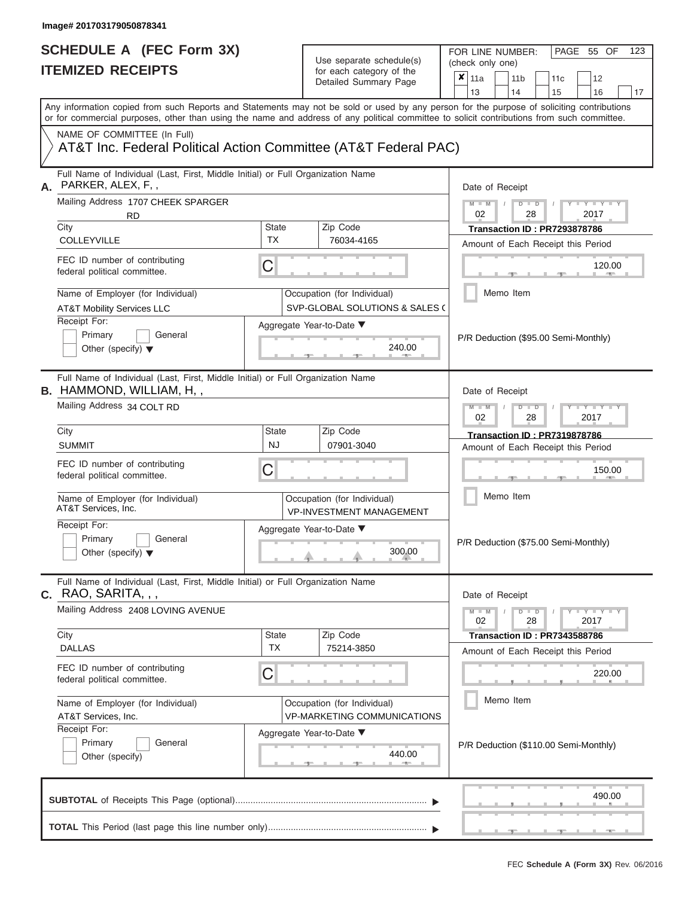| SCHEDULE A (FEC Form 3X)<br><b>ITEMIZED RECEIPTS</b>                                                                                                                                                                                                                                    |                           | Use separate schedule(s)<br>for each category of the              | FOR LINE NUMBER:<br>PAGE 55 OF<br>123<br>(check only one)<br>$\boldsymbol{\mathsf{x}}$<br>11a<br>11 <sub>b</sub><br>12<br>11c                  |
|-----------------------------------------------------------------------------------------------------------------------------------------------------------------------------------------------------------------------------------------------------------------------------------------|---------------------------|-------------------------------------------------------------------|------------------------------------------------------------------------------------------------------------------------------------------------|
|                                                                                                                                                                                                                                                                                         |                           | Detailed Summary Page                                             | 13<br>14<br>15<br>16<br>17                                                                                                                     |
| Any information copied from such Reports and Statements may not be sold or used by any person for the purpose of soliciting contributions<br>or for commercial purposes, other than using the name and address of any political committee to solicit contributions from such committee. |                           |                                                                   |                                                                                                                                                |
| NAME OF COMMITTEE (In Full)<br>AT&T Inc. Federal Political Action Committee (AT&T Federal PAC)                                                                                                                                                                                          |                           |                                                                   |                                                                                                                                                |
| Full Name of Individual (Last, First, Middle Initial) or Full Organization Name<br>PARKER, ALEX, F,,<br>Α.                                                                                                                                                                              |                           |                                                                   | Date of Receipt                                                                                                                                |
| Mailing Address 1707 CHEEK SPARGER<br><b>RD</b><br>City                                                                                                                                                                                                                                 | <b>State</b>              | Zip Code                                                          | $M - M$ /<br>$D$ $D$<br>$T - Y = T - Y$<br>02<br>28<br>2017                                                                                    |
| COLLEYVILLE                                                                                                                                                                                                                                                                             | <b>TX</b>                 | 76034-4165                                                        | Transaction ID: PR7293878786<br>Amount of Each Receipt this Period                                                                             |
| FEC ID number of contributing<br>federal political committee.                                                                                                                                                                                                                           | C                         |                                                                   | 120.00<br><b>CONTRACTOR</b>                                                                                                                    |
| Name of Employer (for Individual)<br><b>AT&amp;T Mobility Services LLC</b>                                                                                                                                                                                                              |                           | Occupation (for Individual)<br>SVP-GLOBAL SOLUTIONS & SALES (     | Memo Item                                                                                                                                      |
| Receipt For:<br>Primary<br>General<br>Other (specify) $\blacktriangledown$                                                                                                                                                                                                              |                           | Aggregate Year-to-Date ▼<br>240.00<br><b>Britannia</b>            | P/R Deduction (\$95.00 Semi-Monthly)                                                                                                           |
| Full Name of Individual (Last, First, Middle Initial) or Full Organization Name<br><b>B.</b> HAMMOND, WILLIAM, H,,<br>Mailing Address 34 COLT RD                                                                                                                                        |                           |                                                                   | Date of Receipt<br>$M - M$<br>$D$ $D$<br>$\blacksquare \blacksquare \mathsf{Y} \blacksquare \blacksquare \mathsf{Y} \blacksquare \blacksquare$ |
|                                                                                                                                                                                                                                                                                         |                           |                                                                   | 02<br>2017<br>28                                                                                                                               |
| City<br><b>SUMMIT</b>                                                                                                                                                                                                                                                                   | <b>State</b><br><b>NJ</b> | Zip Code<br>07901-3040                                            | <b>Transaction ID: PR7319878786</b><br>Amount of Each Receipt this Period                                                                      |
| FEC ID number of contributing<br>federal political committee.                                                                                                                                                                                                                           | C                         |                                                                   | 150.00                                                                                                                                         |
| Name of Employer (for Individual)<br>AT&T Services, Inc.                                                                                                                                                                                                                                |                           | Occupation (for Individual)<br><b>VP-INVESTMENT MANAGEMENT</b>    | Memo Item                                                                                                                                      |
| Receipt For:<br>Primary<br>General<br>Other (specify) $\blacktriangledown$                                                                                                                                                                                                              |                           | Aggregate Year-to-Date ▼<br>300.00                                | P/R Deduction (\$75.00 Semi-Monthly)                                                                                                           |
| Full Name of Individual (Last, First, Middle Initial) or Full Organization Name<br>$C.$ RAO, SARITA, , ,                                                                                                                                                                                |                           |                                                                   | Date of Receipt                                                                                                                                |
| Mailing Address 2408 LOVING AVENUE                                                                                                                                                                                                                                                      |                           |                                                                   | $M - M$<br>$D$ $D$<br>Y - Y - Y - Y<br>02<br>28<br>2017                                                                                        |
| City<br><b>DALLAS</b>                                                                                                                                                                                                                                                                   | <b>State</b><br><b>TX</b> | Zip Code<br>75214-3850                                            | Transaction ID: PR7343588786<br>Amount of Each Receipt this Period                                                                             |
| FEC ID number of contributing<br>federal political committee.                                                                                                                                                                                                                           | C                         |                                                                   | 220.00                                                                                                                                         |
| Name of Employer (for Individual)<br>AT&T Services, Inc.                                                                                                                                                                                                                                |                           | Occupation (for Individual)<br><b>VP-MARKETING COMMUNICATIONS</b> | Memo Item                                                                                                                                      |
| Receipt For:<br>Primary<br>General<br>Other (specify)                                                                                                                                                                                                                                   |                           | Aggregate Year-to-Date ▼<br>440.00<br>$-1$                        | P/R Deduction (\$110.00 Semi-Monthly)                                                                                                          |
|                                                                                                                                                                                                                                                                                         |                           |                                                                   | 490.00                                                                                                                                         |
|                                                                                                                                                                                                                                                                                         |                           |                                                                   |                                                                                                                                                |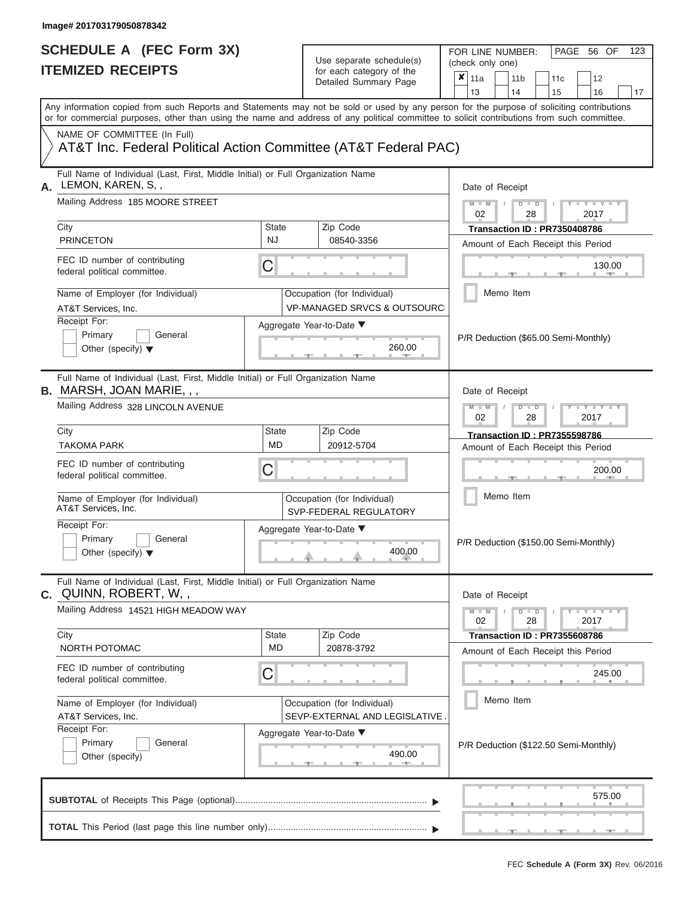FOR LINE NUMBER:<br>(check only one)

PAGE 56 OF 123

| IIEMIZEU REUEIPIJ                                                                                                                          |                                                                  | for each category of the<br>Detailed Summary Page                      | ×<br>11a<br>11 <sub>b</sub><br>12<br>11c                                                                                                  |  |  |
|--------------------------------------------------------------------------------------------------------------------------------------------|------------------------------------------------------------------|------------------------------------------------------------------------|-------------------------------------------------------------------------------------------------------------------------------------------|--|--|
|                                                                                                                                            |                                                                  |                                                                        | 13<br>14<br>17<br>15<br>16                                                                                                                |  |  |
| or for commercial purposes, other than using the name and address of any political committee to solicit contributions from such committee. |                                                                  |                                                                        | Any information copied from such Reports and Statements may not be sold or used by any person for the purpose of soliciting contributions |  |  |
| NAME OF COMMITTEE (In Full)                                                                                                                |                                                                  |                                                                        |                                                                                                                                           |  |  |
| AT&T Inc. Federal Political Action Committee (AT&T Federal PAC)                                                                            |                                                                  |                                                                        |                                                                                                                                           |  |  |
| Full Name of Individual (Last, First, Middle Initial) or Full Organization Name<br>LEMON, KAREN, S,,<br>А.                                 |                                                                  |                                                                        | Date of Receipt                                                                                                                           |  |  |
| Mailing Address 185 MOORE STREET                                                                                                           |                                                                  |                                                                        | $M - M$<br>$D$ $\Box$ $D$<br>$+Y+Y+Y$<br>02<br>28<br>2017                                                                                 |  |  |
| City                                                                                                                                       | <b>State</b>                                                     | Zip Code                                                               | Transaction ID: PR7350408786                                                                                                              |  |  |
| <b>PRINCETON</b>                                                                                                                           | <b>NJ</b>                                                        | 08540-3356                                                             | Amount of Each Receipt this Period                                                                                                        |  |  |
| FEC ID number of contributing<br>federal political committee.                                                                              | C                                                                |                                                                        | 130.00                                                                                                                                    |  |  |
| Name of Employer (for Individual)<br>AT&T Services, Inc.                                                                                   |                                                                  | Occupation (for Individual)<br><b>VP-MANAGED SRVCS &amp; OUTSOURCI</b> | Memo Item                                                                                                                                 |  |  |
| Receipt For:<br>Primary<br>General<br>Other (specify) $\blacktriangledown$                                                                 |                                                                  | Aggregate Year-to-Date ▼<br>260.00                                     | P/R Deduction (\$65.00 Semi-Monthly)                                                                                                      |  |  |
| Full Name of Individual (Last, First, Middle Initial) or Full Organization Name<br><b>B.</b> MARSH, JOAN MARIE, , ,                        |                                                                  |                                                                        | Date of Receipt                                                                                                                           |  |  |
| Mailing Address 328 LINCOLN AVENUE                                                                                                         | $M - M$<br>$T - Y = T - Y$<br>$D$ $\Box$ $D$<br>02<br>28<br>2017 |                                                                        |                                                                                                                                           |  |  |
| City                                                                                                                                       | <b>State</b>                                                     | Zip Code                                                               | <b>Transaction ID: PR7355598786</b>                                                                                                       |  |  |
| <b>TAKOMA PARK</b>                                                                                                                         | <b>MD</b>                                                        | 20912-5704                                                             | Amount of Each Receipt this Period                                                                                                        |  |  |
| FEC ID number of contributing<br>federal political committee.                                                                              | С                                                                |                                                                        | 200.00                                                                                                                                    |  |  |
| Name of Employer (for Individual)<br>AT&T Services, Inc.                                                                                   |                                                                  | Occupation (for Individual)<br>SVP-FEDERAL REGULATORY                  | Memo Item                                                                                                                                 |  |  |
| Receipt For:<br>Primary<br>General<br>Other (specify) $\blacktriangledown$                                                                 |                                                                  | Aggregate Year-to-Date ▼<br>400.00                                     | P/R Deduction (\$150.00 Semi-Monthly)                                                                                                     |  |  |
| Full Name of Individual (Last, First, Middle Initial) or Full Organization Name<br>c. QUINN, ROBERT, W,,                                   |                                                                  |                                                                        | Date of Receipt                                                                                                                           |  |  |
| Mailing Address 14521 HIGH MEADOW WAY                                                                                                      |                                                                  |                                                                        | $Y - Y - Y - Y - I - Y$<br>$M - M$<br>$D$ $D$<br>02<br>28<br>2017                                                                         |  |  |
| City                                                                                                                                       | State                                                            | Zip Code                                                               | Transaction ID: PR7355608786                                                                                                              |  |  |
| NORTH POTOMAC                                                                                                                              | MD                                                               | 20878-3792                                                             | Amount of Each Receipt this Period                                                                                                        |  |  |
| FEC ID number of contributing<br>federal political committee.                                                                              | C                                                                |                                                                        | 245.00                                                                                                                                    |  |  |
| Name of Employer (for Individual)<br>AT&T Services, Inc.                                                                                   |                                                                  | Occupation (for Individual)<br>SEVP-EXTERNAL AND LEGISLATIVE           | Memo Item                                                                                                                                 |  |  |
| Receipt For:<br>Primary<br>General<br>Other (specify)                                                                                      |                                                                  | Aggregate Year-to-Date ▼<br>490.00<br><b>CONTRACTOR</b>                | P/R Deduction (\$122.50 Semi-Monthly)                                                                                                     |  |  |
|                                                                                                                                            |                                                                  |                                                                        | 575.00                                                                                                                                    |  |  |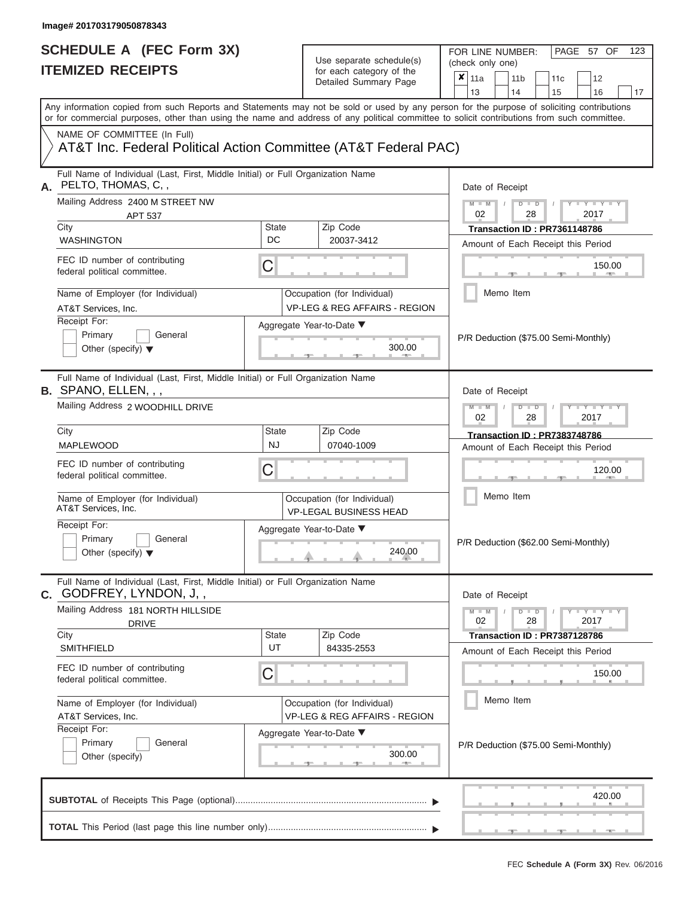FOR LINE NUMBER:<br>(check only one)

PAGE 57 OF 123

| IILMILLU RLVLIF IJ                                                                                                                                                                                                                                                                      |                    | iul each caleguly of the<br>Detailed Summary Page                                                             |                 | $x _{11a}$                                                                |           | 11 <sub>b</sub> |                                                    | 11 <sub>c</sub>              | 12                                   |    |  |  |
|-----------------------------------------------------------------------------------------------------------------------------------------------------------------------------------------------------------------------------------------------------------------------------------------|--------------------|---------------------------------------------------------------------------------------------------------------|-----------------|---------------------------------------------------------------------------|-----------|-----------------|----------------------------------------------------|------------------------------|--------------------------------------|----|--|--|
|                                                                                                                                                                                                                                                                                         |                    |                                                                                                               |                 | 13                                                                        |           | 14              |                                                    | 15                           | 16                                   | 17 |  |  |
| Any information copied from such Reports and Statements may not be sold or used by any person for the purpose of soliciting contributions<br>or for commercial purposes, other than using the name and address of any political committee to solicit contributions from such committee. |                    |                                                                                                               |                 |                                                                           |           |                 |                                                    |                              |                                      |    |  |  |
| NAME OF COMMITTEE (In Full)<br>AT&T Inc. Federal Political Action Committee (AT&T Federal PAC)                                                                                                                                                                                          |                    |                                                                                                               |                 |                                                                           |           |                 |                                                    |                              |                                      |    |  |  |
| Full Name of Individual (Last, First, Middle Initial) or Full Organization Name<br>PELTO, THOMAS, C,,<br>А.                                                                                                                                                                             |                    |                                                                                                               |                 |                                                                           |           |                 | Date of Receipt                                    |                              |                                      |    |  |  |
| Mailing Address 2400 M STREET NW<br>APT 537                                                                                                                                                                                                                                             |                    |                                                                                                               |                 | $M - M$<br>$D$ $D$<br>$\overline{\phantom{a}}$<br>02<br>28<br>2017        |           |                 |                                                    |                              |                                      |    |  |  |
| City<br><b>WASHINGTON</b>                                                                                                                                                                                                                                                               | <b>State</b><br>DC | Zip Code<br>20037-3412                                                                                        |                 | Transaction ID: PR7361148786<br>Amount of Each Receipt this Period        |           |                 |                                                    |                              |                                      |    |  |  |
| FEC ID number of contributing<br>federal political committee.                                                                                                                                                                                                                           | С                  |                                                                                                               |                 |                                                                           |           |                 |                                                    |                              | 150.00                               |    |  |  |
| Name of Employer (for Individual)<br>AT&T Services, Inc.                                                                                                                                                                                                                                |                    | Occupation (for Individual)<br><b>VP-LEG &amp; REG AFFAIRS - REGION</b>                                       |                 |                                                                           | Memo Item |                 |                                                    |                              |                                      |    |  |  |
| Receipt For:<br>Primary<br>General<br>Other (specify) $\blacktriangledown$                                                                                                                                                                                                              |                    | Aggregate Year-to-Date ▼<br>300.00                                                                            |                 | P/R Deduction (\$75.00 Semi-Monthly)                                      |           |                 |                                                    |                              |                                      |    |  |  |
| Full Name of Individual (Last, First, Middle Initial) or Full Organization Name<br><b>B.</b> SPANO, ELLEN, , ,                                                                                                                                                                          |                    |                                                                                                               | Date of Receipt |                                                                           |           |                 |                                                    |                              |                                      |    |  |  |
| Mailing Address 2 WOODHILL DRIVE                                                                                                                                                                                                                                                        |                    |                                                                                                               |                 |                                                                           |           |                 | $M - M$<br>$\Box$<br>$-Y$<br>D<br>02<br>2017<br>28 |                              |                                      |    |  |  |
| City<br><b>MAPLEWOOD</b>                                                                                                                                                                                                                                                                | State<br><b>NJ</b> | Zip Code<br>07040-1009                                                                                        |                 | <b>Transaction ID: PR7383748786</b><br>Amount of Each Receipt this Period |           |                 |                                                    |                              |                                      |    |  |  |
| FEC ID number of contributing<br>federal political committee.                                                                                                                                                                                                                           | С                  |                                                                                                               |                 | 120.00                                                                    |           |                 |                                                    |                              |                                      |    |  |  |
| Name of Employer (for Individual)<br>AT&T Services, Inc.                                                                                                                                                                                                                                |                    | Occupation (for Individual)<br><b>VP-LEGAL BUSINESS HEAD</b>                                                  |                 | Memo Item                                                                 |           |                 |                                                    |                              |                                      |    |  |  |
| Receipt For:<br>Primary<br>General<br>Other (specify) $\blacktriangledown$                                                                                                                                                                                                              |                    | Aggregate Year-to-Date ▼<br>240.00                                                                            |                 |                                                                           |           |                 |                                                    |                              | P/R Deduction (\$62.00 Semi-Monthly) |    |  |  |
| Full Name of Individual (Last, First, Middle Initial) or Full Organization Name<br>GODFREY, LYNDON, J,,<br>С.                                                                                                                                                                           |                    |                                                                                                               |                 | Date of Receipt                                                           |           |                 |                                                    |                              |                                      |    |  |  |
| Mailing Address 181 NORTH HILLSIDE<br><b>DRIVE</b>                                                                                                                                                                                                                                      |                    |                                                                                                               |                 | $M - M$<br>02                                                             |           |                 | $D$ $D$<br>28                                      |                              | $+Y+Y+Y$<br>2017                     |    |  |  |
| City<br><b>SMITHFIELD</b>                                                                                                                                                                                                                                                               | <b>State</b><br>UT | Zip Code<br>84335-2553                                                                                        |                 |                                                                           |           |                 |                                                    | Transaction ID: PR7387128786 | Amount of Each Receipt this Period   |    |  |  |
| FEC ID number of contributing<br>federal political committee.                                                                                                                                                                                                                           | C                  |                                                                                                               |                 | 150.00                                                                    |           |                 |                                                    |                              |                                      |    |  |  |
| Name of Employer (for Individual)<br>AT&T Services, Inc.                                                                                                                                                                                                                                |                    | Occupation (for Individual)<br><b>VP-LEG &amp; REG AFFAIRS - REGION</b><br>Aggregate Year-to-Date ▼<br>300.00 |                 |                                                                           |           |                 | Memo Item                                          |                              |                                      |    |  |  |
| Receipt For:<br>Primary<br>General<br>Other (specify)                                                                                                                                                                                                                                   |                    |                                                                                                               |                 |                                                                           |           |                 | P/R Deduction (\$75.00 Semi-Monthly)               |                              |                                      |    |  |  |
|                                                                                                                                                                                                                                                                                         |                    |                                                                                                               |                 |                                                                           |           |                 |                                                    |                              | 420.00                               |    |  |  |
|                                                                                                                                                                                                                                                                                         |                    |                                                                                                               |                 |                                                                           |           |                 |                                                    |                              |                                      |    |  |  |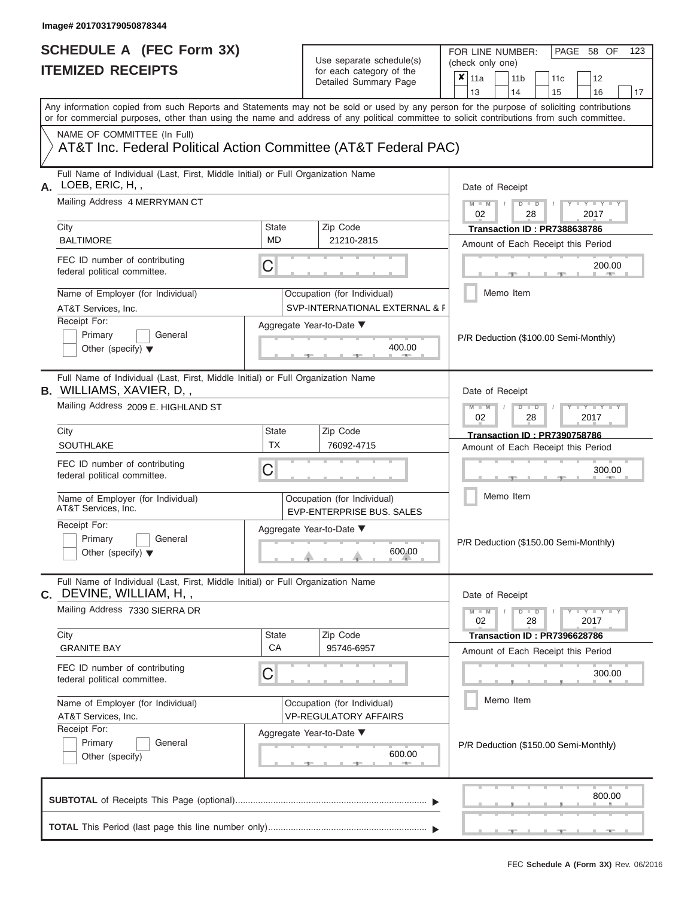|    | SCHEDULE A (FEC Form 3X)<br><b>ITEMIZED RECEIPTS</b>                                                                                                                                                                                                                                                                                                                                      |                           | Use separate schedule(s)<br>for each category of the<br>Detailed Summary Page | 123<br>FOR LINE NUMBER:<br>PAGE 58 OF<br>(check only one)<br>$\overline{\mathbf{x}}$   11a<br>11 <sub>b</sub><br>11 <sub>c</sub><br>12<br>13<br>14<br>15<br>16<br>17 |
|----|-------------------------------------------------------------------------------------------------------------------------------------------------------------------------------------------------------------------------------------------------------------------------------------------------------------------------------------------------------------------------------------------|---------------------------|-------------------------------------------------------------------------------|----------------------------------------------------------------------------------------------------------------------------------------------------------------------|
|    | Any information copied from such Reports and Statements may not be sold or used by any person for the purpose of soliciting contributions<br>or for commercial purposes, other than using the name and address of any political committee to solicit contributions from such committee.<br>NAME OF COMMITTEE (In Full)<br>AT&T Inc. Federal Political Action Committee (AT&T Federal PAC) |                           |                                                                               |                                                                                                                                                                      |
|    | Full Name of Individual (Last, First, Middle Initial) or Full Organization Name                                                                                                                                                                                                                                                                                                           |                           |                                                                               |                                                                                                                                                                      |
| А. | LOEB, ERIC, H,,<br>Mailing Address 4 MERRYMAN CT<br>City<br><b>BALTIMORE</b><br>FEC ID number of contributing                                                                                                                                                                                                                                                                             | State<br>MD.              | Zip Code<br>21210-2815                                                        | Date of Receipt<br>$M - M$ /<br>$D$ $D$<br>$Y - Y - I$<br>02<br>28<br>2017<br>Transaction ID: PR7388638786<br>Amount of Each Receipt this Period                     |
|    | federal political committee.<br>Name of Employer (for Individual)<br>AT&T Services, Inc.<br>Receipt For:                                                                                                                                                                                                                                                                                  | C                         | Occupation (for Individual)<br>SVP-INTERNATIONAL EXTERNAL & F                 | 200.00<br><b>CONTRACTOR</b><br>Memo Item                                                                                                                             |
|    | Primary<br>General<br>Other (specify) $\blacktriangledown$                                                                                                                                                                                                                                                                                                                                |                           | Aggregate Year-to-Date ▼<br>400.00                                            | P/R Deduction (\$100.00 Semi-Monthly)                                                                                                                                |
|    | Full Name of Individual (Last, First, Middle Initial) or Full Organization Name<br><b>B.</b> WILLIAMS, XAVIER, D,,<br>Mailing Address 2009 E. HIGHLAND ST                                                                                                                                                                                                                                 |                           |                                                                               | Date of Receipt<br>$M - M$<br>$D$ $D$<br>$+Y+Y+Y$<br>02<br>2017<br>28                                                                                                |
|    | City<br>SOUTHLAKE                                                                                                                                                                                                                                                                                                                                                                         | <b>State</b><br><b>TX</b> | Zip Code<br>76092-4715                                                        | <b>Transaction ID: PR7390758786</b><br>Amount of Each Receipt this Period                                                                                            |
|    | FEC ID number of contributing<br>federal political committee.                                                                                                                                                                                                                                                                                                                             | С                         |                                                                               | 300.00                                                                                                                                                               |
|    | Name of Employer (for Individual)<br>AT&T Services, Inc.                                                                                                                                                                                                                                                                                                                                  |                           | Occupation (for Individual)<br>EVP-ENTERPRISE BUS, SALES                      | Memo Item                                                                                                                                                            |
|    | Receipt For:<br>Primary<br>General<br>Other (specify) $\blacktriangledown$                                                                                                                                                                                                                                                                                                                |                           | Aggregate Year-to-Date ▼<br>600.00                                            | P/R Deduction (\$150.00 Semi-Monthly)                                                                                                                                |
|    | Full Name of Individual (Last, First, Middle Initial) or Full Organization Name<br>C. DEVINE, WILLIAM, H,,<br>Mailing Address 7330 SIERRA DR                                                                                                                                                                                                                                              |                           |                                                                               | Date of Receipt<br>$M - M$<br>$D$ $D$<br>$T$ $Y$ $Y$ $Y$ $Y$                                                                                                         |
|    | City<br><b>State</b>                                                                                                                                                                                                                                                                                                                                                                      |                           | Zip Code                                                                      | 02<br>28<br>2017<br>Transaction ID : PR7396628786                                                                                                                    |
|    | <b>GRANITE BAY</b>                                                                                                                                                                                                                                                                                                                                                                        | CA                        | 95746-6957                                                                    | Amount of Each Receipt this Period                                                                                                                                   |
|    | FEC ID number of contributing<br>С<br>federal political committee.                                                                                                                                                                                                                                                                                                                        |                           |                                                                               | 300.00                                                                                                                                                               |
|    | Name of Employer (for Individual)<br>AT&T Services, Inc.                                                                                                                                                                                                                                                                                                                                  |                           | Occupation (for Individual)<br><b>VP-REGULATORY AFFAIRS</b>                   | Memo Item                                                                                                                                                            |
|    | Receipt For:<br>Primary<br>General<br>Other (specify)                                                                                                                                                                                                                                                                                                                                     |                           | Aggregate Year-to-Date ▼<br>600.00<br>$-$                                     | P/R Deduction (\$150.00 Semi-Monthly)                                                                                                                                |
|    |                                                                                                                                                                                                                                                                                                                                                                                           |                           |                                                                               | 800.00                                                                                                                                                               |
|    |                                                                                                                                                                                                                                                                                                                                                                                           |                           |                                                                               | $-1$<br>- 1979.                                                                                                                                                      |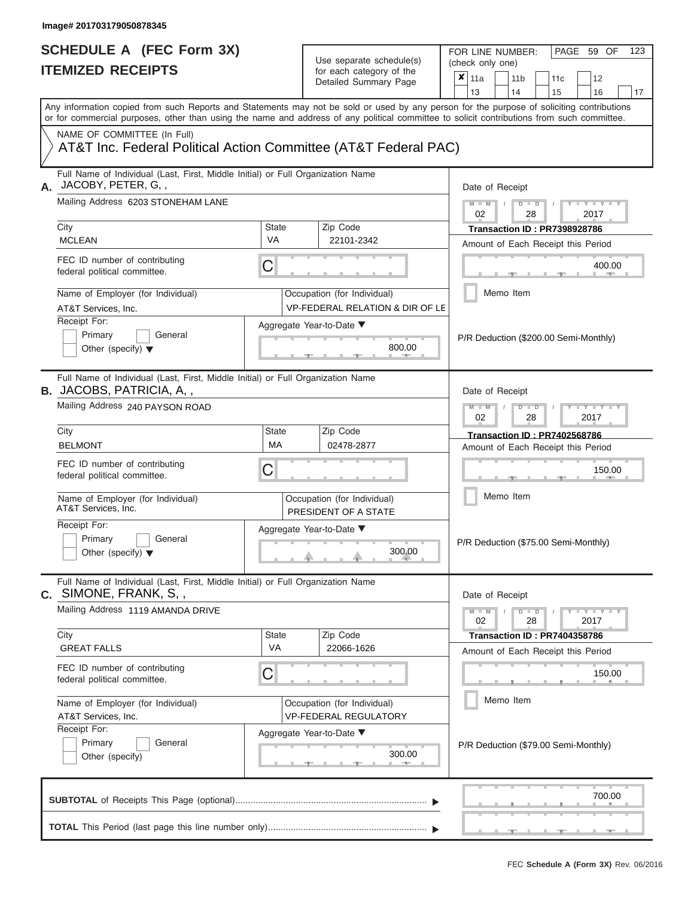FOR LINE NUMBER:<br>(check only one)

PAGE 59 OF 123

|                                                                                                                    |              | for each category of the<br>Detailed Summary Page              | ×<br>11a<br>11 <sub>b</sub><br>12<br>11c                                                                                                                                |  |  |  |  |
|--------------------------------------------------------------------------------------------------------------------|--------------|----------------------------------------------------------------|-------------------------------------------------------------------------------------------------------------------------------------------------------------------------|--|--|--|--|
|                                                                                                                    |              |                                                                | 13<br>15<br>16<br>14<br>17<br>Any information copied from such Reports and Statements may not be sold or used by any person for the purpose of soliciting contributions |  |  |  |  |
| NAME OF COMMITTEE (In Full)                                                                                        |              |                                                                | or for commercial purposes, other than using the name and address of any political committee to solicit contributions from such committee.                              |  |  |  |  |
| AT&T Inc. Federal Political Action Committee (AT&T Federal PAC)                                                    |              |                                                                |                                                                                                                                                                         |  |  |  |  |
| Full Name of Individual (Last, First, Middle Initial) or Full Organization Name<br>JACOBY, PETER, G,,              |              |                                                                | Date of Receipt                                                                                                                                                         |  |  |  |  |
| Mailing Address 6203 STONEHAM LANE                                                                                 |              |                                                                | $M - M$<br>Y I Y I<br>$D$ $D$<br>02<br>28<br>2017                                                                                                                       |  |  |  |  |
| City                                                                                                               | <b>State</b> | Zip Code                                                       | <b>Transaction ID: PR7398928786</b>                                                                                                                                     |  |  |  |  |
| <b>MCLEAN</b>                                                                                                      | <b>VA</b>    | 22101-2342                                                     | Amount of Each Receipt this Period                                                                                                                                      |  |  |  |  |
| FEC ID number of contributing<br>federal political committee.                                                      | C            |                                                                | 400.00                                                                                                                                                                  |  |  |  |  |
| Name of Employer (for Individual)<br>AT&T Services, Inc.                                                           |              | Occupation (for Individual)<br>VP-FEDERAL RELATION & DIR OF LE | Memo Item                                                                                                                                                               |  |  |  |  |
| Receipt For:<br>Primary<br>General<br>Other (specify) $\blacktriangledown$                                         |              | Aggregate Year-to-Date ▼<br>800.00                             | P/R Deduction (\$200.00 Semi-Monthly)                                                                                                                                   |  |  |  |  |
| Full Name of Individual (Last, First, Middle Initial) or Full Organization Name<br><b>B.</b> JACOBS, PATRICIA, A,, |              |                                                                | Date of Receipt                                                                                                                                                         |  |  |  |  |
| Mailing Address 240 PAYSON ROAD                                                                                    |              |                                                                | $M - M$<br>Y TYT<br>$D$ $\Box$ $D$<br>02<br>28<br>2017                                                                                                                  |  |  |  |  |
| City                                                                                                               | State        | Zip Code                                                       | <b>Transaction ID: PR7402568786</b>                                                                                                                                     |  |  |  |  |
| <b>BELMONT</b>                                                                                                     | MA           | 02478-2877                                                     | Amount of Each Receipt this Period                                                                                                                                      |  |  |  |  |
| FEC ID number of contributing<br>federal political committee.                                                      | C            |                                                                | 150.00                                                                                                                                                                  |  |  |  |  |
| Name of Employer (for Individual)<br>AT&T Services, Inc.                                                           |              | Occupation (for Individual)<br>PRESIDENT OF A STATE            | Memo Item                                                                                                                                                               |  |  |  |  |
| Receipt For:<br>Primary<br>General<br>Other (specify) $\blacktriangledown$                                         |              | Aggregate Year-to-Date ▼<br>300.00                             | P/R Deduction (\$75.00 Semi-Monthly)                                                                                                                                    |  |  |  |  |
| Full Name of Individual (Last, First, Middle Initial) or Full Organization Name<br>C. SIMONE, FRANK, S.,           |              |                                                                | Date of Receipt                                                                                                                                                         |  |  |  |  |
| Mailing Address 1119 AMANDA DRIVE                                                                                  |              |                                                                | Y I Y I Y<br>$M - M$<br>$D$ $\Box$ $D$<br>28<br>2017<br>02                                                                                                              |  |  |  |  |
| City                                                                                                               | <b>State</b> | Zip Code                                                       | Transaction ID: PR7404358786                                                                                                                                            |  |  |  |  |
| <b>GREAT FALLS</b>                                                                                                 | VA           | 22066-1626                                                     | Amount of Each Receipt this Period                                                                                                                                      |  |  |  |  |
| FEC ID number of contributing<br>federal political committee.                                                      | C            |                                                                | 150.00                                                                                                                                                                  |  |  |  |  |
| Name of Employer (for Individual)<br>AT&T Services, Inc.                                                           |              | Occupation (for Individual)<br><b>VP-FEDERAL REGULATORY</b>    | Memo Item                                                                                                                                                               |  |  |  |  |
| Receipt For:<br>Primary<br>General<br>Other (specify)                                                              |              | Aggregate Year-to-Date ▼<br>300.00<br><b>AND IN</b>            | P/R Deduction (\$79.00 Semi-Monthly)                                                                                                                                    |  |  |  |  |
|                                                                                                                    |              |                                                                | 700.00                                                                                                                                                                  |  |  |  |  |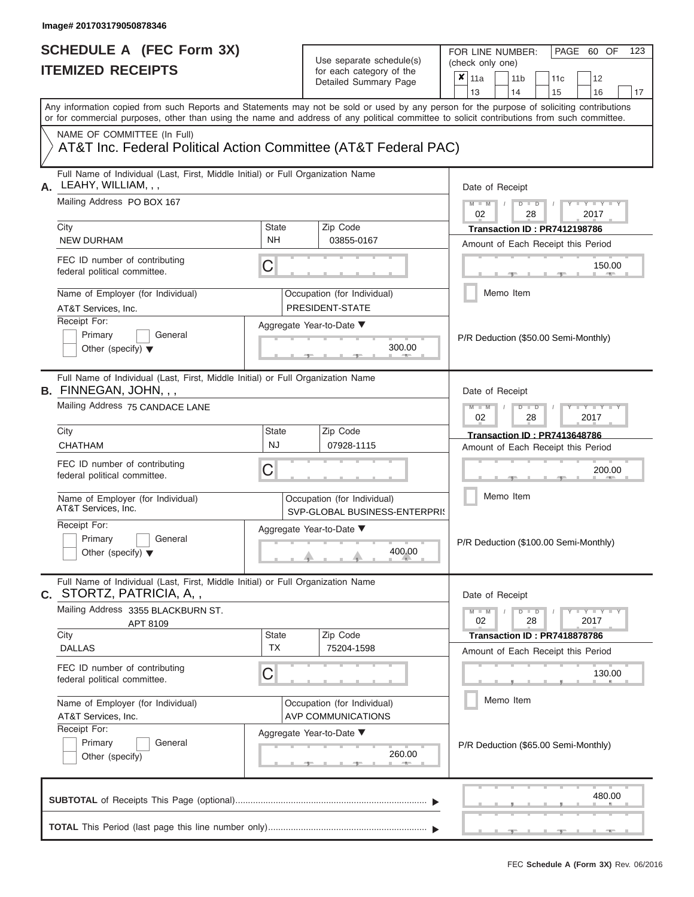| SCHEDULE A (FEC Form 3X)<br><b>ITEMIZED RECEIPTS</b>                                                                                                                                                                                                                                                                   |                                | Use separate schedule(s)<br>for each category of the<br>Detailed Summary Page                         | FOR LINE NUMBER:<br>PAGE 60 OF<br>123<br>(check only one)<br>$\overline{\mathbf{x}}$   11a<br>11 <sub>b</sub><br>11 <sub>c</sub><br>12<br>13<br>14                                       |
|------------------------------------------------------------------------------------------------------------------------------------------------------------------------------------------------------------------------------------------------------------------------------------------------------------------------|--------------------------------|-------------------------------------------------------------------------------------------------------|------------------------------------------------------------------------------------------------------------------------------------------------------------------------------------------|
| Any information copied from such Reports and Statements may not be sold or used by any person for the purpose of soliciting contributions<br>or for commercial purposes, other than using the name and address of any political committee to solicit contributions from such committee.<br>NAME OF COMMITTEE (In Full) |                                |                                                                                                       | 15<br>16<br>17                                                                                                                                                                           |
| AT&T Inc. Federal Political Action Committee (AT&T Federal PAC)                                                                                                                                                                                                                                                        |                                |                                                                                                       |                                                                                                                                                                                          |
| Full Name of Individual (Last, First, Middle Initial) or Full Organization Name<br>LEAHY, WILLIAM, , ,<br>А.<br>Mailing Address PO BOX 167<br>City<br><b>NEW DURHAM</b><br>FEC ID number of contributing<br>federal political committee.<br>Name of Employer (for Individual)                                          | State<br><b>NH</b><br>C        | Zip Code<br>03855-0167<br>Occupation (for Individual)                                                 | Date of Receipt<br>$M - M$ /<br>$D$ $D$<br>$Y - Y - I$<br>02<br>28<br>2017<br>Transaction ID: PR7412198786<br>Amount of Each Receipt this Period<br>150.00<br><b>1. 400</b><br>Memo Item |
| AT&T Services, Inc.<br>Receipt For:<br>Primary<br>General<br>Other (specify) $\blacktriangledown$                                                                                                                                                                                                                      |                                | PRESIDENT-STATE<br>Aggregate Year-to-Date ▼<br>300.00                                                 | P/R Deduction (\$50.00 Semi-Monthly)                                                                                                                                                     |
| Full Name of Individual (Last, First, Middle Initial) or Full Organization Name<br><b>B.</b> FINNEGAN, JOHN, , ,<br>Mailing Address 75 CANDACE LANE<br>City<br><b>CHATHAM</b><br>FEC ID number of contributing<br>federal political committee.                                                                         | <b>State</b><br><b>NJ</b><br>С | Zip Code<br>07928-1115                                                                                | Date of Receipt<br>$M - M$<br>$D$ $D$<br>$+Y+Y+Y$<br>02<br>2017<br>28<br><b>Transaction ID: PR7413648786</b><br>Amount of Each Receipt this Period<br>200.00<br>Memo Item                |
| Name of Employer (for Individual)<br>AT&T Services, Inc.<br>Receipt For:<br>Primary<br>General<br>Other (specify) $\blacktriangledown$                                                                                                                                                                                 |                                | Occupation (for Individual)<br>SVP-GLOBAL BUSINESS-ENTERPRIS<br>Aggregate Year-to-Date ▼<br>400.00    | P/R Deduction (\$100.00 Semi-Monthly)                                                                                                                                                    |
| Full Name of Individual (Last, First, Middle Initial) or Full Organization Name<br><b>C.</b> STORTZ, PATRICIA, A,,<br>Mailing Address 3355 BLACKBURN ST.<br>APT 8109<br>City<br><b>DALLAS</b>                                                                                                                          | Zip Code<br>State<br><b>TX</b> |                                                                                                       | Date of Receipt<br>$M - M$<br>$D$ $D$<br>$T$ $Y$ $Y$ $Y$ $Y$<br>02<br>28<br>2017<br>Transaction ID : PR7418878786                                                                        |
| FEC ID number of contributing<br>federal political committee.                                                                                                                                                                                                                                                          | С                              | 75204-1598                                                                                            | Amount of Each Receipt this Period<br>130.00                                                                                                                                             |
| Name of Employer (for Individual)<br>AT&T Services, Inc.<br>Receipt For:<br>Primary<br>General<br>Other (specify)                                                                                                                                                                                                      |                                | Occupation (for Individual)<br><b>AVP COMMUNICATIONS</b><br>Aggregate Year-to-Date ▼<br>260.00<br>$-$ | Memo Item<br>P/R Deduction (\$65.00 Semi-Monthly)                                                                                                                                        |
|                                                                                                                                                                                                                                                                                                                        |                                |                                                                                                       | 480.00                                                                                                                                                                                   |
|                                                                                                                                                                                                                                                                                                                        |                                |                                                                                                       | $-$                                                                                                                                                                                      |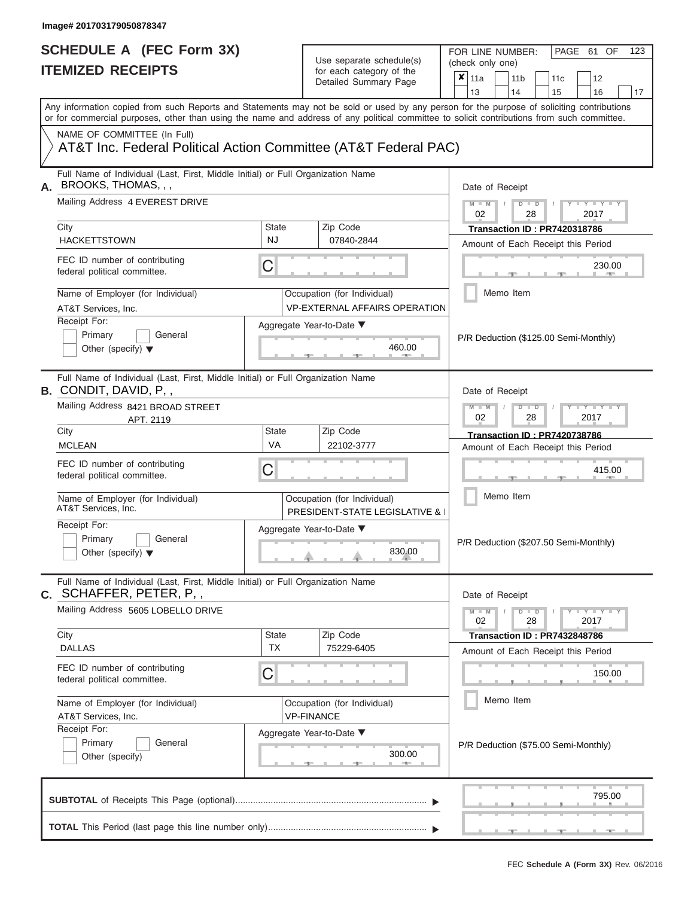|    | SCHEDULE A (FEC Form 3X)<br><b>ITEMIZED RECEIPTS</b>                                                                                                                                                                                                                                                                                                                                |                                                                                                              | Use separate schedule(s)<br>for each category of the<br>Detailed Summary Page                                                       | 123<br>FOR LINE NUMBER:<br>PAGE 61 OF<br>(check only one)<br>$\overline{\mathbf{x}}$   11a<br>11 <sub>b</sub><br>12<br>11 <sub>c</sub><br>13<br>14<br>15<br>16<br>17                                                                                                                       |
|----|-------------------------------------------------------------------------------------------------------------------------------------------------------------------------------------------------------------------------------------------------------------------------------------------------------------------------------------------------------------------------------------|--------------------------------------------------------------------------------------------------------------|-------------------------------------------------------------------------------------------------------------------------------------|--------------------------------------------------------------------------------------------------------------------------------------------------------------------------------------------------------------------------------------------------------------------------------------------|
|    | Any information copied from such Reports and Statements may not be sold or used by any person for the purpose of soliciting contributions<br>or for commercial purposes, other than using the name and address of any political committee to solicit contributions from such committee.                                                                                             |                                                                                                              |                                                                                                                                     |                                                                                                                                                                                                                                                                                            |
|    | NAME OF COMMITTEE (In Full)<br>AT&T Inc. Federal Political Action Committee (AT&T Federal PAC)                                                                                                                                                                                                                                                                                      |                                                                                                              |                                                                                                                                     |                                                                                                                                                                                                                                                                                            |
| А. | Full Name of Individual (Last, First, Middle Initial) or Full Organization Name<br>BROOKS, THOMAS, , ,<br>Mailing Address 4 EVEREST DRIVE<br>City<br><b>HACKETTSTOWN</b><br>FEC ID number of contributing<br>federal political committee.<br>Name of Employer (for Individual)<br>AT&T Services, Inc.<br>Receipt For:<br>Primary<br>General<br>Other (specify) $\blacktriangledown$ | <b>State</b><br><b>NJ</b><br>С                                                                               | Zip Code<br>07840-2844<br>Occupation (for Individual)<br><b>VP-EXTERNAL AFFAIRS OPERATION</b><br>Aggregate Year-to-Date ▼<br>460.00 | Date of Receipt<br>$M = M$ /<br>$\mathbf{I} = \mathbf{Y} - \mathbf{I} - \mathbf{Y} - \mathbf{I}$<br>$D$ $D$<br>02<br>2017<br>28<br>Transaction ID: PR7420318786<br>Amount of Each Receipt this Period<br>230.00<br><b>CONTRACTOR</b><br>Memo Item<br>P/R Deduction (\$125.00 Semi-Monthly) |
|    | Full Name of Individual (Last, First, Middle Initial) or Full Organization Name<br><b>B.</b> CONDIT, DAVID, P,,<br>Mailing Address 8421 BROAD STREET<br>APT. 2119<br>City<br><b>MCLEAN</b><br>FEC ID number of contributing<br>federal political committee.                                                                                                                         | <b>State</b><br>VA<br>С                                                                                      | Zip Code<br>22102-3777                                                                                                              | Date of Receipt<br>$M - M$<br>$D$ $D$<br>$\blacksquare \blacksquare \blacksquare \blacksquare \blacksquare \blacksquare \blacksquare \blacksquare \blacksquare \blacksquare$<br>02<br>2017<br>28<br><b>Transaction ID: PR7420738786</b><br>Amount of Each Receipt this Period<br>415.00    |
|    | Name of Employer (for Individual)<br>AT&T Services, Inc.<br>Receipt For:<br>Primary<br>General<br>Other (specify) $\blacktriangledown$                                                                                                                                                                                                                                              |                                                                                                              | Occupation (for Individual)<br><b>PRESIDENT-STATE LEGISLATIVE &amp;</b><br>Aggregate Year-to-Date ▼<br>830.00                       | Memo Item<br>P/R Deduction (\$207.50 Semi-Monthly)                                                                                                                                                                                                                                         |
|    | Full Name of Individual (Last, First, Middle Initial) or Full Organization Name<br><b>C.</b> SCHAFFER, PETER, P, ,<br>Mailing Address 5605 LOBELLO DRIVE<br>City<br><b>DALLAS</b>                                                                                                                                                                                                   | Date of Receipt<br>$M - M$<br>$D$ $D$<br>$Y = Y = Y + Y$<br>02<br>28<br>2017<br>Transaction ID: PR7432848786 |                                                                                                                                     |                                                                                                                                                                                                                                                                                            |
|    | FEC ID number of contributing<br>federal political committee.                                                                                                                                                                                                                                                                                                                       | <b>TX</b><br>С                                                                                               | 75229-6405                                                                                                                          | Amount of Each Receipt this Period<br>150.00                                                                                                                                                                                                                                               |
|    | Name of Employer (for Individual)<br>AT&T Services, Inc.<br>Receipt For:<br>Primary<br>General<br>Other (specify)                                                                                                                                                                                                                                                                   |                                                                                                              | Occupation (for Individual)<br><b>VP-FINANCE</b><br>Aggregate Year-to-Date ▼<br>300.00                                              | Memo Item<br>P/R Deduction (\$75.00 Semi-Monthly)                                                                                                                                                                                                                                          |
|    |                                                                                                                                                                                                                                                                                                                                                                                     |                                                                                                              |                                                                                                                                     | 795.00                                                                                                                                                                                                                                                                                     |
|    |                                                                                                                                                                                                                                                                                                                                                                                     |                                                                                                              |                                                                                                                                     | $-0.001$<br>$-1$                                                                                                                                                                                                                                                                           |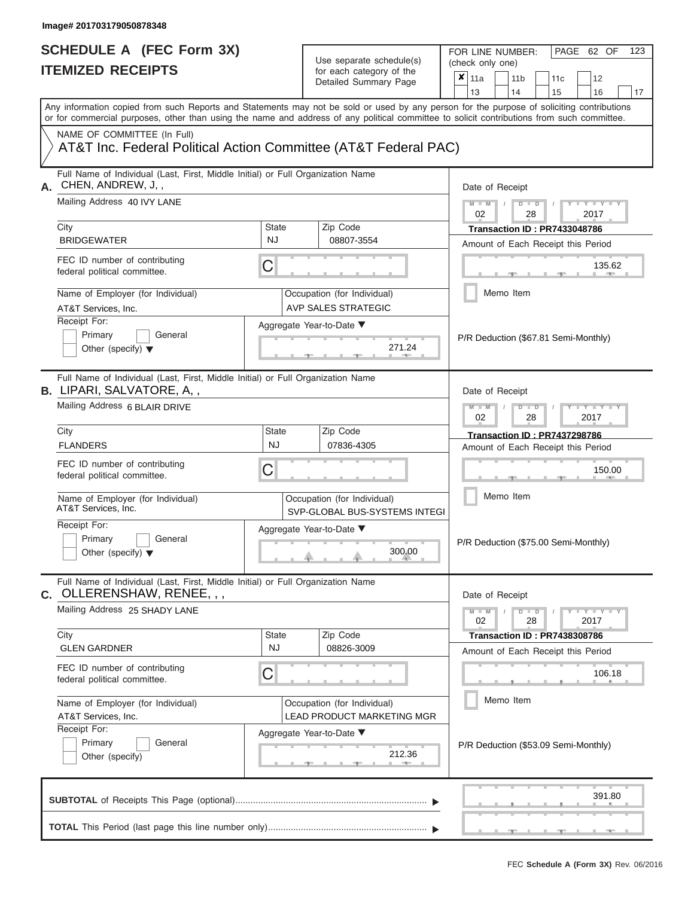# **SCHEDULE A (FEC Form 3X)**

| SCHEDULE A (FEC Form 3X)<br><b>ITEMIZED RECEIPTS</b>                                                                                                                                                                                                                                                                   |                           | Use separate schedule(s)<br>for each category of the<br>Detailed Summary Page | 123<br>FOR LINE NUMBER:<br>PAGE 62 OF<br>(check only one)<br>$\overline{\mathbf{x}}$   11a<br>11 <sub>b</sub><br>11 <sub>c</sub><br>12<br>13<br>14<br>15<br>16<br>17 |
|------------------------------------------------------------------------------------------------------------------------------------------------------------------------------------------------------------------------------------------------------------------------------------------------------------------------|---------------------------|-------------------------------------------------------------------------------|----------------------------------------------------------------------------------------------------------------------------------------------------------------------|
| Any information copied from such Reports and Statements may not be sold or used by any person for the purpose of soliciting contributions<br>or for commercial purposes, other than using the name and address of any political committee to solicit contributions from such committee.<br>NAME OF COMMITTEE (In Full) |                           |                                                                               |                                                                                                                                                                      |
| AT&T Inc. Federal Political Action Committee (AT&T Federal PAC)                                                                                                                                                                                                                                                        |                           |                                                                               |                                                                                                                                                                      |
| Full Name of Individual (Last, First, Middle Initial) or Full Organization Name<br>CHEN, ANDREW, J,,<br>А.<br>Mailing Address 40 IVY LANE<br>City                                                                                                                                                                      | State                     | Zip Code                                                                      | Date of Receipt<br>$M - M$ /<br>$D$ $D$<br>$Y - Y - I$<br>02<br>28<br>2017<br>Transaction ID: PR7433048786                                                           |
| <b>BRIDGEWATER</b><br>FEC ID number of contributing<br>federal political committee.                                                                                                                                                                                                                                    | <b>NJ</b><br>C            | 08807-3554                                                                    | Amount of Each Receipt this Period<br>135.62<br><b>Brita Alberta</b>                                                                                                 |
| Name of Employer (for Individual)<br>AT&T Services, Inc.<br>Receipt For:                                                                                                                                                                                                                                               |                           | Occupation (for Individual)<br><b>AVP SALES STRATEGIC</b>                     | Memo Item                                                                                                                                                            |
| Primary<br>General<br>Other (specify) $\blacktriangledown$                                                                                                                                                                                                                                                             |                           | Aggregate Year-to-Date ▼<br>271.24                                            | P/R Deduction (\$67.81 Semi-Monthly)                                                                                                                                 |
| Full Name of Individual (Last, First, Middle Initial) or Full Organization Name<br><b>B.</b> LIPARI, SALVATORE, A,,<br>Mailing Address 6 BLAIR DRIVE                                                                                                                                                                   |                           |                                                                               | Date of Receipt<br>$M - M$<br>$D$ $D$<br>$+Y+Y+Y$                                                                                                                    |
| City<br><b>FLANDERS</b>                                                                                                                                                                                                                                                                                                | <b>State</b><br><b>NJ</b> | Zip Code<br>07836-4305                                                        | 02<br>2017<br>28<br><b>Transaction ID: PR7437298786</b><br>Amount of Each Receipt this Period                                                                        |
| FEC ID number of contributing<br>federal political committee.                                                                                                                                                                                                                                                          | С                         |                                                                               | 150.00                                                                                                                                                               |
| Name of Employer (for Individual)<br>AT&T Services, Inc.                                                                                                                                                                                                                                                               |                           | Occupation (for Individual)<br>SVP-GLOBAL BUS-SYSTEMS INTEGI                  | Memo Item                                                                                                                                                            |
| Receipt For:<br>Primary<br>General<br>Other (specify) $\blacktriangledown$                                                                                                                                                                                                                                             |                           | Aggregate Year-to-Date ▼<br>300.00                                            | P/R Deduction (\$75.00 Semi-Monthly)                                                                                                                                 |
| Full Name of Individual (Last, First, Middle Initial) or Full Organization Name<br>C. OLLERENSHAW, RENEE, , ,                                                                                                                                                                                                          |                           |                                                                               | Date of Receipt                                                                                                                                                      |
| Mailing Address 25 SHADY LANE<br>City                                                                                                                                                                                                                                                                                  | <b>State</b>              | Zip Code                                                                      | $M - M$<br>$D$ $D$<br>$  Y$ $  Y$ $  Y$<br>02<br>28<br>2017<br>Transaction ID : PR7438308786                                                                         |
| <b>GLEN GARDNER</b><br>FEC ID number of contributing                                                                                                                                                                                                                                                                   | <b>NJ</b><br>С            | 08826-3009                                                                    | Amount of Each Receipt this Period<br>106.18                                                                                                                         |
| federal political committee.<br>Name of Employer (for Individual)<br>AT&T Services, Inc.                                                                                                                                                                                                                               |                           | Occupation (for Individual)<br><b>LEAD PRODUCT MARKETING MGR</b>              | Memo Item                                                                                                                                                            |
| Receipt For:<br>Primary<br>General<br>Other (specify)                                                                                                                                                                                                                                                                  |                           | Aggregate Year-to-Date ▼<br>212.36<br>--                                      | P/R Deduction (\$53.09 Semi-Monthly)                                                                                                                                 |
|                                                                                                                                                                                                                                                                                                                        |                           |                                                                               | 391.80                                                                                                                                                               |
|                                                                                                                                                                                                                                                                                                                        |                           |                                                                               | $ -$<br>$-9$                                                                                                                                                         |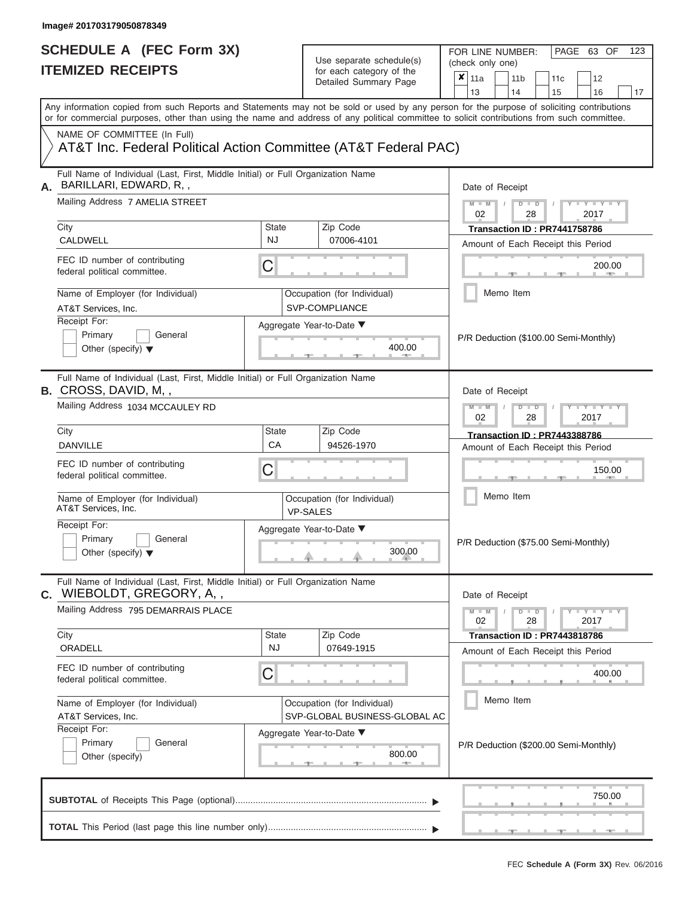| SCHEDULE A (FEC Form 3X)<br><b>ITEMIZED RECEIPTS</b>                                                                                                                                                                                                                                    |              | Use separate schedule(s)<br>for each category of the<br>Detailed Summary Page | 123<br>FOR LINE NUMBER:<br>PAGE 63 OF<br>(check only one)<br>$\overline{\mathbf{x}}$   11a<br>11 <sub>b</sub><br>12<br>11 <sub>c</sub><br>13<br>14<br>15<br>16<br>17 |
|-----------------------------------------------------------------------------------------------------------------------------------------------------------------------------------------------------------------------------------------------------------------------------------------|--------------|-------------------------------------------------------------------------------|----------------------------------------------------------------------------------------------------------------------------------------------------------------------|
| Any information copied from such Reports and Statements may not be sold or used by any person for the purpose of soliciting contributions<br>or for commercial purposes, other than using the name and address of any political committee to solicit contributions from such committee. |              |                                                                               |                                                                                                                                                                      |
| NAME OF COMMITTEE (In Full)<br>AT&T Inc. Federal Political Action Committee (AT&T Federal PAC)                                                                                                                                                                                          |              |                                                                               |                                                                                                                                                                      |
| Full Name of Individual (Last, First, Middle Initial) or Full Organization Name<br>BARILLARI, EDWARD, R,,                                                                                                                                                                               |              |                                                                               | Date of Receipt                                                                                                                                                      |
| Mailing Address 7 AMELIA STREET<br>City                                                                                                                                                                                                                                                 | <b>State</b> | Zip Code                                                                      | $M$ – $M$ /<br>$-Y - Y - Y$<br>$D$ $D$<br>02<br>28<br>2017                                                                                                           |
| CALDWELL                                                                                                                                                                                                                                                                                | <b>NJ</b>    | 07006-4101                                                                    | Transaction ID: PR7441758786<br>Amount of Each Receipt this Period                                                                                                   |
| FEC ID number of contributing<br>federal political committee.                                                                                                                                                                                                                           | C            |                                                                               | 200.00<br><b>CONTRACTOR</b>                                                                                                                                          |
| Name of Employer (for Individual)<br>AT&T Services, Inc.                                                                                                                                                                                                                                |              | Occupation (for Individual)<br>SVP-COMPLIANCE                                 | Memo Item                                                                                                                                                            |
| Receipt For:<br>Primary<br>General<br>Other (specify) $\blacktriangledown$                                                                                                                                                                                                              |              | Aggregate Year-to-Date ▼<br>400.00                                            | P/R Deduction (\$100.00 Semi-Monthly)                                                                                                                                |
| Full Name of Individual (Last, First, Middle Initial) or Full Organization Name<br><b>B.</b> CROSS, DAVID, M,,<br>Mailing Address 1034 MCCAULEY RD                                                                                                                                      |              |                                                                               | Date of Receipt<br>$M - M$<br>$D$ $D$<br>$\Box$ $\Upsilon$ $\Box$ $\Upsilon$ $\Upsilon$ $\Upsilon$<br>2017                                                           |
| City                                                                                                                                                                                                                                                                                    | <b>State</b> | Zip Code                                                                      | 02<br>28<br><b>Transaction ID: PR7443388786</b>                                                                                                                      |
| <b>DANVILLE</b>                                                                                                                                                                                                                                                                         | CA           | 94526-1970                                                                    | Amount of Each Receipt this Period                                                                                                                                   |
| FEC ID number of contributing<br>federal political committee.                                                                                                                                                                                                                           | C            |                                                                               | 150.00                                                                                                                                                               |
| Name of Employer (for Individual)<br>AT&T Services, Inc.                                                                                                                                                                                                                                |              | Occupation (for Individual)<br><b>VP-SALES</b>                                | Memo Item                                                                                                                                                            |
| Receipt For:<br>Primary<br>General<br>Other (specify) $\blacktriangledown$                                                                                                                                                                                                              |              | Aggregate Year-to-Date ▼<br>300.00                                            | P/R Deduction (\$75.00 Semi-Monthly)                                                                                                                                 |
| Full Name of Individual (Last, First, Middle Initial) or Full Organization Name<br>C. WIEBOLDT, GREGORY, A,,                                                                                                                                                                            |              |                                                                               | Date of Receipt                                                                                                                                                      |
| Mailing Address 795 DEMARRAIS PLACE<br>City                                                                                                                                                                                                                                             | <b>State</b> | Zip Code                                                                      | $M - M$<br>$D$ $D$<br>$T$ $Y$ $Y$ $Y$ $Y$<br>2017<br>02<br>28                                                                                                        |
| ORADELL                                                                                                                                                                                                                                                                                 | NJ.          | 07649-1915                                                                    | Transaction ID: PR7443818786<br>Amount of Each Receipt this Period                                                                                                   |
| FEC ID number of contributing<br>federal political committee.                                                                                                                                                                                                                           | C            |                                                                               | 400.00                                                                                                                                                               |
| Name of Employer (for Individual)<br>AT&T Services, Inc.                                                                                                                                                                                                                                |              | Occupation (for Individual)<br>SVP-GLOBAL BUSINESS-GLOBAL AC                  | Memo Item                                                                                                                                                            |
| Receipt For:<br>Primary<br>General<br>Other (specify)                                                                                                                                                                                                                                   |              | Aggregate Year-to-Date ▼<br>800.00                                            | P/R Deduction (\$200.00 Semi-Monthly)                                                                                                                                |
|                                                                                                                                                                                                                                                                                         |              |                                                                               | 750.00                                                                                                                                                               |
|                                                                                                                                                                                                                                                                                         |              |                                                                               | _________________<br><b>Contract Contract</b>                                                                                                                        |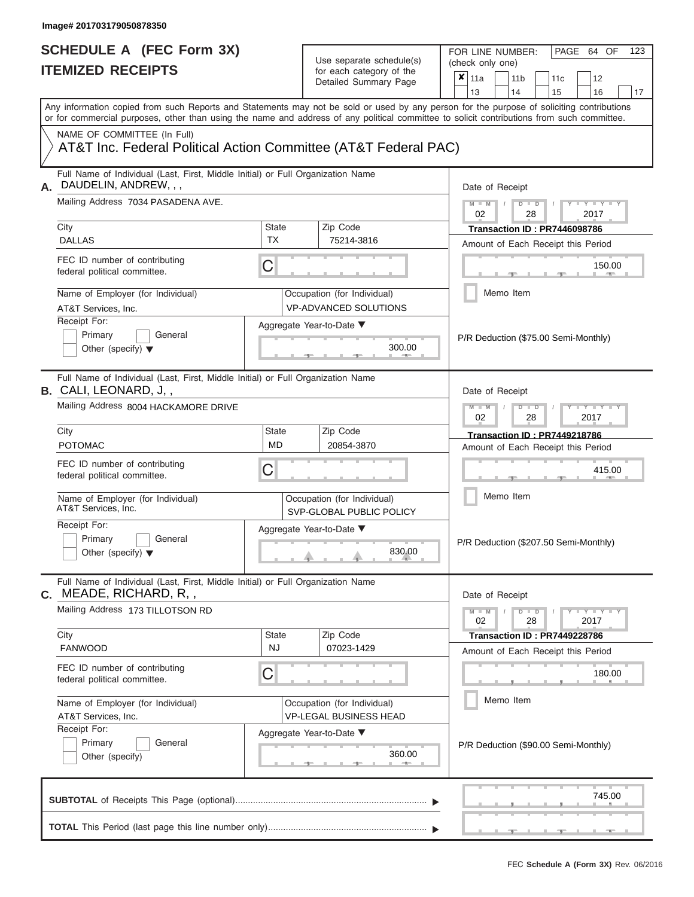FOR LINE NUMBER:<br>(check only one)

PAGE 64 OF 123

| IIEMIZEV REVEIFIJ |                                                                                                                                                                                                                                                                                         |                                                             | for each category of the<br>Detailed Summary Page | ×               | 11a |                                    | 11 <sub>b</sub>                                            |                | 11 <sub>c</sub>      | 12                                    |                                      |    |
|-------------------|-----------------------------------------------------------------------------------------------------------------------------------------------------------------------------------------------------------------------------------------------------------------------------------------|-------------------------------------------------------------|---------------------------------------------------|-----------------|-----|------------------------------------|------------------------------------------------------------|----------------|----------------------|---------------------------------------|--------------------------------------|----|
|                   |                                                                                                                                                                                                                                                                                         |                                                             |                                                   |                 |     | 13                                 |                                                            | 14             |                      | 15                                    | 16                                   | 17 |
|                   | Any information copied from such Reports and Statements may not be sold or used by any person for the purpose of soliciting contributions<br>or for commercial purposes, other than using the name and address of any political committee to solicit contributions from such committee. |                                                             |                                                   |                 |     |                                    |                                                            |                |                      |                                       |                                      |    |
|                   | NAME OF COMMITTEE (In Full)<br>AT&T Inc. Federal Political Action Committee (AT&T Federal PAC)                                                                                                                                                                                          |                                                             |                                                   |                 |     |                                    |                                                            |                |                      |                                       |                                      |    |
| А.                | Full Name of Individual (Last, First, Middle Initial) or Full Organization Name<br>DAUDELIN, ANDREW, , ,                                                                                                                                                                                |                                                             |                                                   | Date of Receipt |     |                                    |                                                            |                |                      |                                       |                                      |    |
|                   | Mailing Address 7034 PASADENA AVE.                                                                                                                                                                                                                                                      |                                                             |                                                   |                 |     |                                    | $M - M$<br>$-Y - Y - Y - Y$<br>$D$ $D$<br>02<br>28<br>2017 |                |                      |                                       |                                      |    |
|                   | City                                                                                                                                                                                                                                                                                    | <b>State</b>                                                | Zip Code                                          |                 |     |                                    |                                                            |                |                      | Transaction ID: PR7446098786          |                                      |    |
|                   | <b>DALLAS</b>                                                                                                                                                                                                                                                                           | <b>TX</b>                                                   | 75214-3816                                        |                 |     | Amount of Each Receipt this Period |                                                            |                |                      |                                       |                                      |    |
|                   | FEC ID number of contributing<br>federal political committee.                                                                                                                                                                                                                           | C                                                           |                                                   |                 |     |                                    |                                                            |                |                      |                                       | 150.00                               |    |
|                   | Name of Employer (for Individual)<br>AT&T Services, Inc.                                                                                                                                                                                                                                | Occupation (for Individual)<br><b>VP-ADVANCED SOLUTIONS</b> |                                                   |                 |     | Memo Item                          |                                                            |                |                      |                                       |                                      |    |
|                   | Receipt For:                                                                                                                                                                                                                                                                            |                                                             | Aggregate Year-to-Date ▼                          |                 |     |                                    |                                                            |                |                      |                                       |                                      |    |
|                   | Primary<br>General<br>Other (specify) $\blacktriangledown$                                                                                                                                                                                                                              |                                                             |                                                   | 300.00          |     |                                    |                                                            |                |                      |                                       | P/R Deduction (\$75.00 Semi-Monthly) |    |
|                   | Full Name of Individual (Last, First, Middle Initial) or Full Organization Name<br><b>B.</b> CALI, LEONARD, J,,                                                                                                                                                                         |                                                             |                                                   | Date of Receipt |     |                                    |                                                            |                |                      |                                       |                                      |    |
|                   | Mailing Address 8004 HACKAMORE DRIVE                                                                                                                                                                                                                                                    |                                                             |                                                   |                 |     |                                    |                                                            | $D$ $\Box$ $D$ | 28                   |                                       | $T - Y = T - Y = T$<br>2017          |    |
|                   | City                                                                                                                                                                                                                                                                                    | State                                                       | Zip Code                                          |                 |     |                                    |                                                            |                |                      | Transaction ID: PR7449218786          |                                      |    |
|                   | <b>POTOMAC</b>                                                                                                                                                                                                                                                                          | MD                                                          | 20854-3870                                        |                 |     |                                    |                                                            |                |                      |                                       | Amount of Each Receipt this Period   |    |
|                   | FEC ID number of contributing<br>federal political committee.                                                                                                                                                                                                                           | С                                                           |                                                   |                 |     |                                    |                                                            |                |                      |                                       | 415.00                               |    |
|                   | Name of Employer (for Individual)<br>AT&T Services, Inc.                                                                                                                                                                                                                                | Occupation (for Individual)<br>SVP-GLOBAL PUBLIC POLICY     |                                                   | Memo Item       |     |                                    |                                                            |                |                      |                                       |                                      |    |
|                   | Receipt For:<br>Primary<br>General<br>Other (specify) $\blacktriangledown$                                                                                                                                                                                                              |                                                             | Aggregate Year-to-Date ▼                          |                 |     |                                    |                                                            |                |                      | P/R Deduction (\$207.50 Semi-Monthly) |                                      |    |
| С.                | Full Name of Individual (Last, First, Middle Initial) or Full Organization Name<br>MEADE, RICHARD, R, ,                                                                                                                                                                                 |                                                             |                                                   |                 |     | Date of Receipt                    |                                                            |                |                      |                                       |                                      |    |
|                   | Mailing Address 173 TILLOTSON RD                                                                                                                                                                                                                                                        |                                                             |                                                   |                 |     | $M - M$<br>02                      |                                                            |                | $D$ $\Box$ $D$<br>28 | $\sqrt{ }$                            | $Y - Y - Y - Y - Y$<br>2017          |    |
|                   | City                                                                                                                                                                                                                                                                                    | State<br>NJ                                                 | Zip Code                                          |                 |     |                                    |                                                            |                |                      | Transaction ID: PR7449228786          |                                      |    |
|                   | <b>FANWOOD</b>                                                                                                                                                                                                                                                                          |                                                             | 07023-1429                                        |                 |     |                                    |                                                            |                |                      |                                       | Amount of Each Receipt this Period   |    |
|                   | FEC ID number of contributing<br>federal political committee.                                                                                                                                                                                                                           | C                                                           |                                                   |                 |     |                                    |                                                            |                |                      |                                       | 180.00                               |    |
|                   | Name of Employer (for Individual)                                                                                                                                                                                                                                                       |                                                             | Occupation (for Individual)                       |                 |     |                                    |                                                            | Memo Item      |                      |                                       |                                      |    |
|                   | AT&T Services, Inc.<br>Receipt For:                                                                                                                                                                                                                                                     |                                                             | <b>VP-LEGAL BUSINESS HEAD</b>                     |                 |     |                                    |                                                            |                |                      |                                       |                                      |    |
|                   | Primary<br>General<br>Other (specify)                                                                                                                                                                                                                                                   |                                                             | Aggregate Year-to-Date ▼                          | 360.00          |     |                                    |                                                            |                |                      |                                       | P/R Deduction (\$90.00 Semi-Monthly) |    |
|                   |                                                                                                                                                                                                                                                                                         |                                                             |                                                   |                 |     |                                    |                                                            |                |                      |                                       | 745.00                               |    |
|                   |                                                                                                                                                                                                                                                                                         |                                                             |                                                   |                 |     |                                    |                                                            |                |                      |                                       |                                      |    |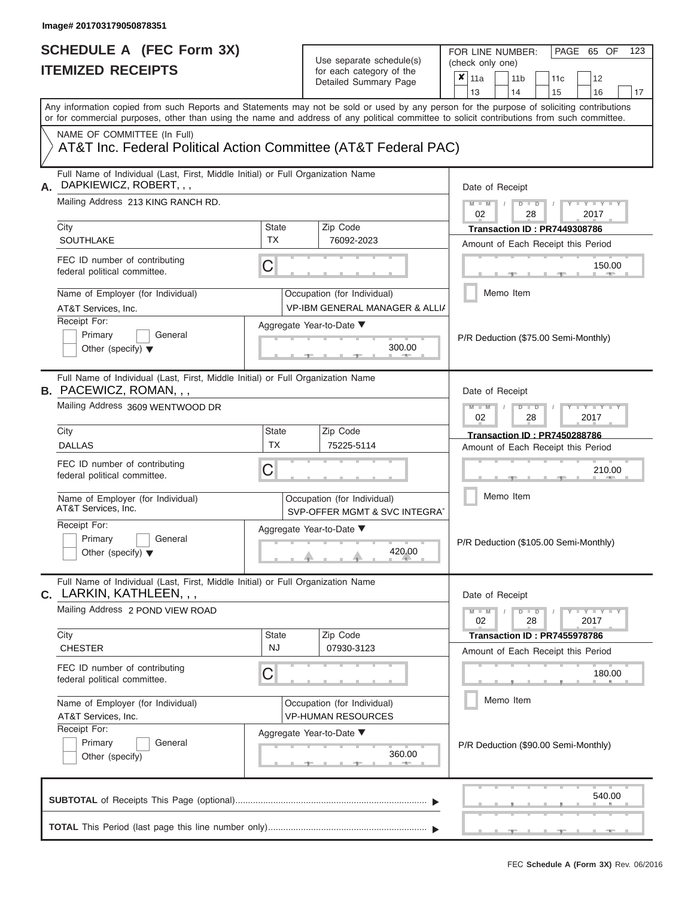FOR LINE NUMBER:<br>(check only one)

PAGE 65 OF 123

|                                                          | 11666 IVSV68 I                                                                                                                                                                                                                                                                          |                                    | ivi cacii calcyory or life<br>Detailed Summary Page                                   | x                                                     | 11a<br>13       |  | 11 <sub>b</sub><br>14 |               | 11c<br>15                                                          | 12<br>16                          |                                | 17 |
|----------------------------------------------------------|-----------------------------------------------------------------------------------------------------------------------------------------------------------------------------------------------------------------------------------------------------------------------------------------|------------------------------------|---------------------------------------------------------------------------------------|-------------------------------------------------------|-----------------|--|-----------------------|---------------|--------------------------------------------------------------------|-----------------------------------|--------------------------------|----|
|                                                          | Any information copied from such Reports and Statements may not be sold or used by any person for the purpose of soliciting contributions<br>or for commercial purposes, other than using the name and address of any political committee to solicit contributions from such committee. |                                    |                                                                                       |                                                       |                 |  |                       |               |                                                                    |                                   |                                |    |
|                                                          | NAME OF COMMITTEE (In Full)<br>AT&T Inc. Federal Political Action Committee (AT&T Federal PAC)                                                                                                                                                                                          |                                    |                                                                                       |                                                       |                 |  |                       |               |                                                                    |                                   |                                |    |
| А.                                                       | Full Name of Individual (Last, First, Middle Initial) or Full Organization Name<br>DAPKIEWICZ, ROBERT, , ,                                                                                                                                                                              |                                    |                                                                                       |                                                       | Date of Receipt |  |                       |               |                                                                    |                                   |                                |    |
|                                                          | Mailing Address 213 KING RANCH RD.                                                                                                                                                                                                                                                      |                                    |                                                                                       | $M - M$<br>$D$ $D$<br>$Y - Y - I$<br>02<br>2017<br>28 |                 |  |                       |               |                                                                    |                                   |                                |    |
|                                                          | City<br>SOUTHLAKE                                                                                                                                                                                                                                                                       | <b>State</b><br>TX                 | Zip Code<br>76092-2023                                                                |                                                       |                 |  |                       |               | Transaction ID: PR7449308786                                       |                                   |                                |    |
|                                                          | FEC ID number of contributing<br>federal political committee.                                                                                                                                                                                                                           | С                                  |                                                                                       |                                                       |                 |  |                       |               | Amount of Each Receipt this Period                                 |                                   | 150.00<br><b>Brita Alberta</b> |    |
| Name of Employer (for Individual)<br>AT&T Services, Inc. |                                                                                                                                                                                                                                                                                         |                                    | Occupation (for Individual)<br><b>VP-IBM GENERAL MANAGER &amp; ALLIA</b>              |                                                       |                 |  | Memo Item             |               |                                                                    |                                   |                                |    |
|                                                          | Receipt For:<br>Primary<br>General<br>Other (specify) $\blacktriangledown$                                                                                                                                                                                                              | Aggregate Year-to-Date ▼<br>300.00 |                                                                                       |                                                       |                 |  |                       |               | P/R Deduction (\$75.00 Semi-Monthly)                               |                                   |                                |    |
|                                                          | Full Name of Individual (Last, First, Middle Initial) or Full Organization Name<br><b>B.</b> PACEWICZ, ROMAN, , ,                                                                                                                                                                       |                                    |                                                                                       | Date of Receipt                                       |                 |  |                       |               |                                                                    |                                   |                                |    |
|                                                          | Mailing Address 3609 WENTWOOD DR                                                                                                                                                                                                                                                        |                                    | $M - M$<br>$D$ $D$<br>Y TY<br>02<br>2017<br>28<br><b>Transaction ID: PR7450288786</b> |                                                       |                 |  |                       |               |                                                                    |                                   |                                |    |
|                                                          | City<br><b>DALLAS</b>                                                                                                                                                                                                                                                                   | State<br><b>TX</b>                 | Zip Code<br>75225-5114                                                                |                                                       |                 |  |                       |               | Amount of Each Receipt this Period                                 |                                   |                                |    |
|                                                          | FEC ID number of contributing<br>federal political committee.                                                                                                                                                                                                                           | С                                  |                                                                                       |                                                       |                 |  |                       |               |                                                                    |                                   | 210.00                         |    |
|                                                          | Name of Employer (for Individual)<br>AT&T Services, Inc.                                                                                                                                                                                                                                |                                    | Occupation (for Individual)<br>SVP-OFFER MGMT & SVC INTEGRAT                          |                                                       | Memo Item       |  |                       |               |                                                                    |                                   |                                |    |
|                                                          | Receipt For:<br>Primary<br>General<br>Other (specify) $\blacktriangledown$                                                                                                                                                                                                              |                                    | Aggregate Year-to-Date ▼<br>420.00                                                    |                                                       |                 |  |                       |               | P/R Deduction (\$105.00 Semi-Monthly)                              |                                   |                                |    |
| С.                                                       | Full Name of Individual (Last, First, Middle Initial) or Full Organization Name<br>LARKIN, KATHLEEN, , ,                                                                                                                                                                                |                                    |                                                                                       |                                                       | Date of Receipt |  |                       |               |                                                                    |                                   |                                |    |
|                                                          | Mailing Address 2 POND VIEW ROAD                                                                                                                                                                                                                                                        |                                    |                                                                                       |                                                       | $M - M$<br>02   |  |                       | $D$ $D$<br>28 |                                                                    | $T-T$ $T$ $T$ $T$ $T$ $T$<br>2017 |                                |    |
|                                                          | City<br><b>CHESTER</b>                                                                                                                                                                                                                                                                  | State<br><b>NJ</b>                 | Zip Code<br>07930-3123                                                                |                                                       |                 |  |                       |               | Transaction ID: PR7455978786<br>Amount of Each Receipt this Period |                                   |                                |    |
|                                                          | FEC ID number of contributing<br>federal political committee.                                                                                                                                                                                                                           | С                                  |                                                                                       |                                                       |                 |  |                       |               |                                                                    |                                   | 180.00                         |    |
|                                                          | Name of Employer (for Individual)<br>AT&T Services, Inc.                                                                                                                                                                                                                                |                                    | Occupation (for Individual)<br><b>VP-HUMAN RESOURCES</b>                              |                                                       | Memo Item       |  |                       |               |                                                                    |                                   |                                |    |
|                                                          | Receipt For:<br>Primary<br>General<br>Other (specify)                                                                                                                                                                                                                                   |                                    | Aggregate Year-to-Date ▼<br>360.00                                                    |                                                       |                 |  |                       |               | P/R Deduction (\$90.00 Semi-Monthly)                               |                                   |                                |    |
|                                                          |                                                                                                                                                                                                                                                                                         |                                    |                                                                                       |                                                       |                 |  |                       |               |                                                                    |                                   | 540.00                         |    |
|                                                          |                                                                                                                                                                                                                                                                                         |                                    |                                                                                       |                                                       |                 |  |                       |               |                                                                    |                                   |                                |    |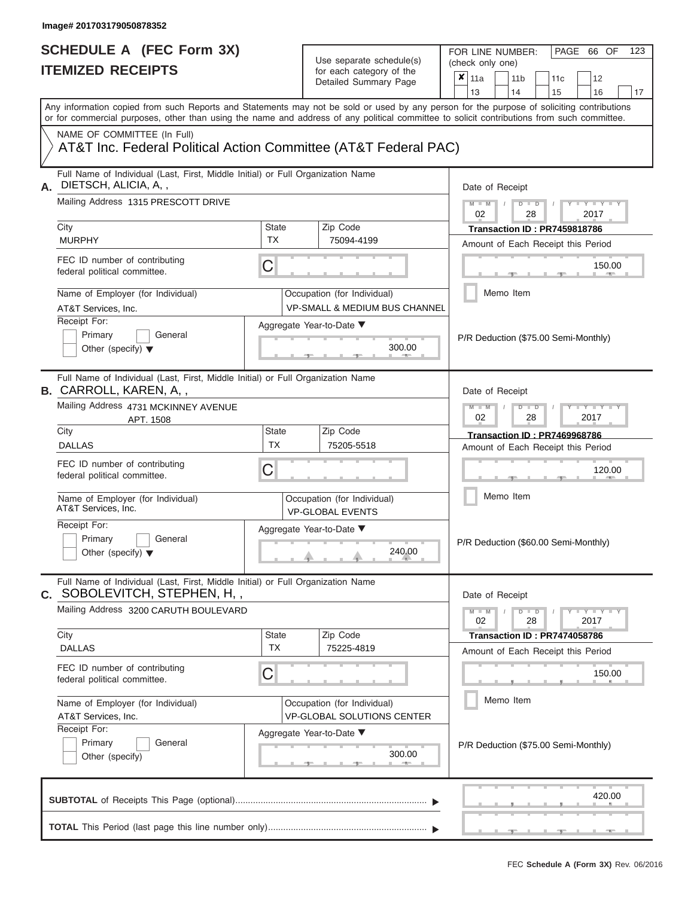FOR LINE NUMBER:<br>(check only one)

PAGE 66 OF 123

|    | IIEMIZED KEUEIPIS                                                                                                                                                                                                                                                                       |                                    |  | for each category of the<br>Detailed Summary Page                       | ×             | 11a                                |               | 11 <sub>b</sub>                     | 11c                 | 12                                    |        |
|----|-----------------------------------------------------------------------------------------------------------------------------------------------------------------------------------------------------------------------------------------------------------------------------------------|------------------------------------|--|-------------------------------------------------------------------------|---------------|------------------------------------|---------------|-------------------------------------|---------------------|---------------------------------------|--------|
|    |                                                                                                                                                                                                                                                                                         |                                    |  |                                                                         |               | 13                                 |               | 14                                  | 15                  | 16                                    | 17     |
|    | Any information copied from such Reports and Statements may not be sold or used by any person for the purpose of soliciting contributions<br>or for commercial purposes, other than using the name and address of any political committee to solicit contributions from such committee. |                                    |  |                                                                         |               |                                    |               |                                     |                     |                                       |        |
|    | NAME OF COMMITTEE (In Full)<br>AT&T Inc. Federal Political Action Committee (AT&T Federal PAC)                                                                                                                                                                                          |                                    |  |                                                                         |               |                                    |               |                                     |                     |                                       |        |
| А. | Full Name of Individual (Last, First, Middle Initial) or Full Organization Name<br>DIETSCH, ALICIA, A,,                                                                                                                                                                                 |                                    |  |                                                                         |               | Date of Receipt                    |               |                                     |                     |                                       |        |
|    | Mailing Address 1315 PRESCOTT DRIVE                                                                                                                                                                                                                                                     |                                    |  |                                                                         | $M - M$<br>02 |                                    | $D$ $D$<br>28 |                                     | $Y - Y - Y$<br>2017 |                                       |        |
|    | City                                                                                                                                                                                                                                                                                    | <b>State</b><br><b>TX</b>          |  | Zip Code                                                                |               |                                    |               | Transaction ID: PR7459818786        |                     |                                       |        |
|    | <b>MURPHY</b>                                                                                                                                                                                                                                                                           |                                    |  | 75094-4199                                                              |               |                                    |               |                                     |                     | Amount of Each Receipt this Period    |        |
|    | FEC ID number of contributing<br>federal political committee.                                                                                                                                                                                                                           | C                                  |  |                                                                         |               |                                    |               |                                     |                     |                                       | 150.00 |
|    | Name of Employer (for Individual)<br>AT&T Services, Inc.                                                                                                                                                                                                                                |                                    |  | Occupation (for Individual)<br><b>VP-SMALL &amp; MEDIUM BUS CHANNEL</b> |               |                                    |               | Memo Item                           |                     |                                       |        |
|    | Receipt For:<br>Primary<br>General<br>Other (specify) $\blacktriangledown$                                                                                                                                                                                                              | Aggregate Year-to-Date ▼<br>300.00 |  |                                                                         |               |                                    |               |                                     |                     | P/R Deduction (\$75.00 Semi-Monthly)  |        |
|    | Full Name of Individual (Last, First, Middle Initial) or Full Organization Name<br><b>B.</b> CARROLL, KAREN, A,,                                                                                                                                                                        | Date of Receipt                    |  |                                                                         |               |                                    |               |                                     |                     |                                       |        |
|    | Mailing Address 4731 MCKINNEY AVENUE<br>APT. 1508                                                                                                                                                                                                                                       |                                    |  |                                                                         |               |                                    |               | $D$ $\Box$ $D$<br>28                |                     | $T - Y = T - T$<br>2017               |        |
|    | City                                                                                                                                                                                                                                                                                    | State                              |  | Zip Code                                                                |               |                                    |               | <b>Transaction ID: PR7469968786</b> |                     |                                       |        |
|    | <b>DALLAS</b>                                                                                                                                                                                                                                                                           | TX                                 |  | 75205-5518                                                              |               | Amount of Each Receipt this Period |               |                                     |                     |                                       |        |
|    | FEC ID number of contributing<br>C<br>federal political committee.                                                                                                                                                                                                                      |                                    |  |                                                                         |               |                                    |               |                                     |                     |                                       | 120.00 |
|    | Name of Employer (for Individual)<br>AT&T Services, Inc.                                                                                                                                                                                                                                |                                    |  | Occupation (for Individual)<br><b>VP-GLOBAL EVENTS</b>                  |               | Memo Item                          |               |                                     |                     |                                       |        |
|    | Receipt For:<br>Primary<br>General<br>Other (specify) $\blacktriangledown$                                                                                                                                                                                                              |                                    |  | Aggregate Year-to-Date ▼<br>240.00                                      |               |                                    |               |                                     |                     | P/R Deduction (\$60.00 Semi-Monthly)  |        |
|    | Full Name of Individual (Last, First, Middle Initial) or Full Organization Name<br>C. SOBOLEVITCH, STEPHEN, H,,                                                                                                                                                                         |                                    |  |                                                                         |               | Date of Receipt                    |               |                                     |                     |                                       |        |
|    | Mailing Address 3200 CARUTH BOULEVARD                                                                                                                                                                                                                                                   |                                    |  |                                                                         |               | $M - M$<br>02                      |               | $D$ $D$<br>28                       |                     | $-1$ $ Y$ $-1$ $ Y$ $-1$ $ Y$<br>2017 |        |
|    | City                                                                                                                                                                                                                                                                                    | State                              |  | Zip Code                                                                |               |                                    |               | Transaction ID: PR7474058786        |                     |                                       |        |
|    | <b>DALLAS</b>                                                                                                                                                                                                                                                                           | <b>TX</b>                          |  | 75225-4819                                                              |               |                                    |               |                                     |                     | Amount of Each Receipt this Period    |        |
|    | FEC ID number of contributing<br>federal political committee.                                                                                                                                                                                                                           | C                                  |  |                                                                         |               |                                    |               |                                     |                     | 150.00                                |        |
|    | Name of Employer (for Individual)<br>AT&T Services, Inc.                                                                                                                                                                                                                                |                                    |  | Occupation (for Individual)<br>VP-GLOBAL SOLUTIONS CENTER               |               |                                    |               | Memo Item                           |                     |                                       |        |
|    | Receipt For:<br>Primary<br>General<br>Other (specify)                                                                                                                                                                                                                                   |                                    |  | Aggregate Year-to-Date ▼<br>300.00<br>1. AD 1.                          |               |                                    |               |                                     |                     | P/R Deduction (\$75.00 Semi-Monthly)  |        |
|    |                                                                                                                                                                                                                                                                                         |                                    |  |                                                                         |               |                                    |               |                                     |                     | 420.00                                |        |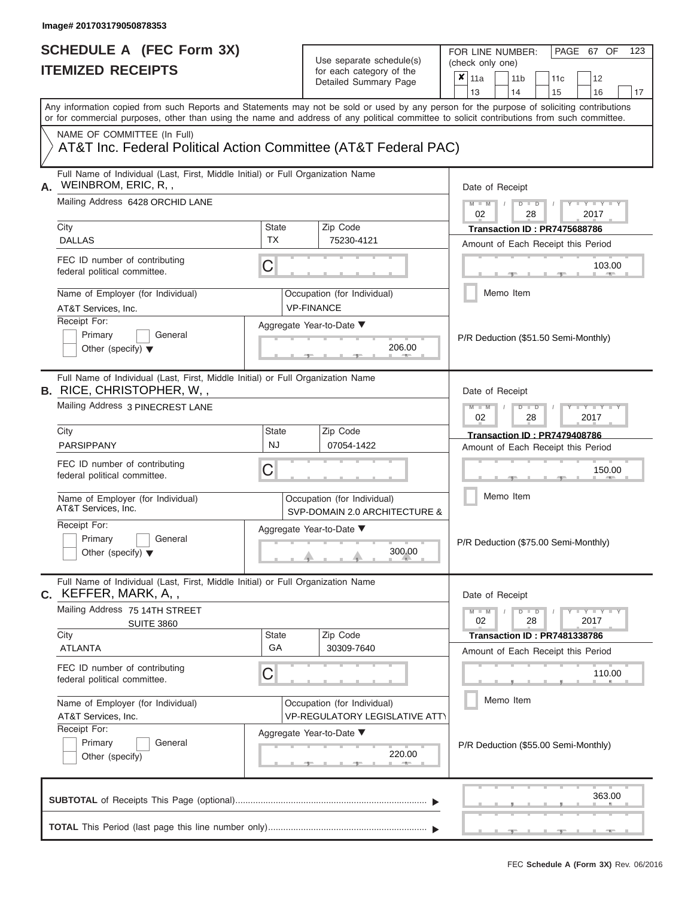FOR LINE NUMBER:<br>(check only one)

PAGE 67 OF 123

|    | 11466 INSVEIL I                                                                                                                                                                                                                                                                         |                                                                      | ivi cacii calcyory or life<br>Detailed Summary Page                                             | x                                                                   | 11a                                  |  | 11 <sub>b</sub> |               | 11 <sub>c</sub>                     | 12                                   |    |  |
|----|-----------------------------------------------------------------------------------------------------------------------------------------------------------------------------------------------------------------------------------------------------------------------------------------|----------------------------------------------------------------------|-------------------------------------------------------------------------------------------------|---------------------------------------------------------------------|--------------------------------------|--|-----------------|---------------|-------------------------------------|--------------------------------------|----|--|
|    |                                                                                                                                                                                                                                                                                         |                                                                      |                                                                                                 |                                                                     | 13                                   |  | 14              |               | 15                                  | 16                                   | 17 |  |
|    | Any information copied from such Reports and Statements may not be sold or used by any person for the purpose of soliciting contributions<br>or for commercial purposes, other than using the name and address of any political committee to solicit contributions from such committee. |                                                                      |                                                                                                 |                                                                     |                                      |  |                 |               |                                     |                                      |    |  |
|    | NAME OF COMMITTEE (In Full)                                                                                                                                                                                                                                                             |                                                                      |                                                                                                 |                                                                     |                                      |  |                 |               |                                     |                                      |    |  |
|    | AT&T Inc. Federal Political Action Committee (AT&T Federal PAC)                                                                                                                                                                                                                         |                                                                      |                                                                                                 |                                                                     |                                      |  |                 |               |                                     |                                      |    |  |
| А. | Full Name of Individual (Last, First, Middle Initial) or Full Organization Name<br>WEINBROM, ERIC, R,,                                                                                                                                                                                  |                                                                      |                                                                                                 |                                                                     | Date of Receipt                      |  |                 |               |                                     |                                      |    |  |
|    | Mailing Address 6428 ORCHID LANE                                                                                                                                                                                                                                                        |                                                                      |                                                                                                 | $M - M$<br>$D$ $D$<br>$Y - Y - I$<br>$\sqrt{2}$<br>02<br>28<br>2017 |                                      |  |                 |               |                                     |                                      |    |  |
|    | City                                                                                                                                                                                                                                                                                    | State<br><b>TX</b>                                                   | Zip Code                                                                                        | Transaction ID: PR7475688786                                        |                                      |  |                 |               |                                     |                                      |    |  |
|    | <b>DALLAS</b>                                                                                                                                                                                                                                                                           |                                                                      | 75230-4121                                                                                      |                                                                     |                                      |  |                 |               |                                     | Amount of Each Receipt this Period   |    |  |
|    | FEC ID number of contributing<br>federal political committee.                                                                                                                                                                                                                           | C                                                                    |                                                                                                 | 103.00<br><b>CONTRACTOR</b>                                         |                                      |  |                 |               |                                     |                                      |    |  |
|    | Name of Employer (for Individual)<br>AT&T Services, Inc.                                                                                                                                                                                                                                |                                                                      | Occupation (for Individual)<br><b>VP-FINANCE</b>                                                |                                                                     |                                      |  | Memo Item       |               |                                     |                                      |    |  |
|    | Receipt For:                                                                                                                                                                                                                                                                            | Aggregate Year-to-Date ▼                                             |                                                                                                 |                                                                     |                                      |  |                 |               |                                     |                                      |    |  |
|    | Primary<br>General<br>Other (specify) $\blacktriangledown$                                                                                                                                                                                                                              |                                                                      | 206.00                                                                                          |                                                                     | P/R Deduction (\$51.50 Semi-Monthly) |  |                 |               |                                     |                                      |    |  |
|    | Full Name of Individual (Last, First, Middle Initial) or Full Organization Name<br><b>B.</b> RICE, CHRISTOPHER, W,,                                                                                                                                                                     |                                                                      |                                                                                                 |                                                                     | Date of Receipt                      |  |                 |               |                                     |                                      |    |  |
|    | Mailing Address 3 PINECREST LANE                                                                                                                                                                                                                                                        |                                                                      | $M - M$<br>$D$ $D$<br>$\Box$ $\Upsilon$ $\Box$ $\Upsilon$ $\Upsilon$ $\Box$<br>02<br>2017<br>28 |                                                                     |                                      |  |                 |               |                                     |                                      |    |  |
|    | City                                                                                                                                                                                                                                                                                    | <b>State</b>                                                         | Zip Code                                                                                        |                                                                     |                                      |  |                 |               | <b>Transaction ID: PR7479408786</b> |                                      |    |  |
|    | PARSIPPANY                                                                                                                                                                                                                                                                              | <b>NJ</b>                                                            | 07054-1422                                                                                      |                                                                     |                                      |  |                 |               |                                     | Amount of Each Receipt this Period   |    |  |
|    | FEC ID number of contributing<br>federal political committee.                                                                                                                                                                                                                           | С                                                                    |                                                                                                 |                                                                     |                                      |  | 150.00          |               |                                     |                                      |    |  |
|    | Name of Employer (for Individual)<br>AT&T Services, Inc.                                                                                                                                                                                                                                |                                                                      | Occupation (for Individual)<br>SVP-DOMAIN 2.0 ARCHITECTURE &                                    |                                                                     |                                      |  | Memo Item       |               |                                     |                                      |    |  |
|    | Receipt For:<br>Primary<br>General<br>Other (specify) $\blacktriangledown$                                                                                                                                                                                                              |                                                                      | Aggregate Year-to-Date ▼<br>300.00                                                              |                                                                     |                                      |  |                 |               |                                     | P/R Deduction (\$75.00 Semi-Monthly) |    |  |
| С. | Full Name of Individual (Last, First, Middle Initial) or Full Organization Name<br>KEFFER, MARK, A, ,                                                                                                                                                                                   |                                                                      |                                                                                                 |                                                                     | Date of Receipt                      |  |                 |               |                                     |                                      |    |  |
|    | Mailing Address 75 14TH STREET<br><b>SUITE 3860</b>                                                                                                                                                                                                                                     |                                                                      |                                                                                                 |                                                                     | $M - M$<br>02                        |  |                 | $D$ $D$<br>28 |                                     | $T - Y - T - Y - T - Y$<br>2017      |    |  |
|    | City<br><b>ATLANTA</b>                                                                                                                                                                                                                                                                  | State<br>GA                                                          | Zip Code<br>30309-7640                                                                          |                                                                     |                                      |  |                 |               | <b>Transaction ID: PR7481338786</b> |                                      |    |  |
|    |                                                                                                                                                                                                                                                                                         |                                                                      |                                                                                                 |                                                                     |                                      |  |                 |               |                                     | Amount of Each Receipt this Period   |    |  |
|    | FEC ID number of contributing<br>federal political committee.                                                                                                                                                                                                                           | C                                                                    |                                                                                                 |                                                                     |                                      |  |                 |               |                                     | 110.00                               |    |  |
|    | Name of Employer (for Individual)<br>AT&T Services, Inc.                                                                                                                                                                                                                                | Occupation (for Individual)<br><b>VP-REGULATORY LEGISLATIVE ATTY</b> |                                                                                                 |                                                                     |                                      |  |                 | Memo Item     |                                     |                                      |    |  |
|    | Receipt For:                                                                                                                                                                                                                                                                            | Aggregate Year-to-Date ▼                                             |                                                                                                 |                                                                     |                                      |  |                 |               |                                     |                                      |    |  |
|    | Primary<br>General<br>Other (specify)                                                                                                                                                                                                                                                   |                                                                      | 220.00                                                                                          | P/R Deduction (\$55.00 Semi-Monthly)                                |                                      |  |                 |               |                                     |                                      |    |  |
|    |                                                                                                                                                                                                                                                                                         |                                                                      |                                                                                                 |                                                                     |                                      |  |                 |               |                                     | 363.00                               |    |  |
|    |                                                                                                                                                                                                                                                                                         |                                                                      |                                                                                                 |                                                                     |                                      |  |                 |               |                                     |                                      |    |  |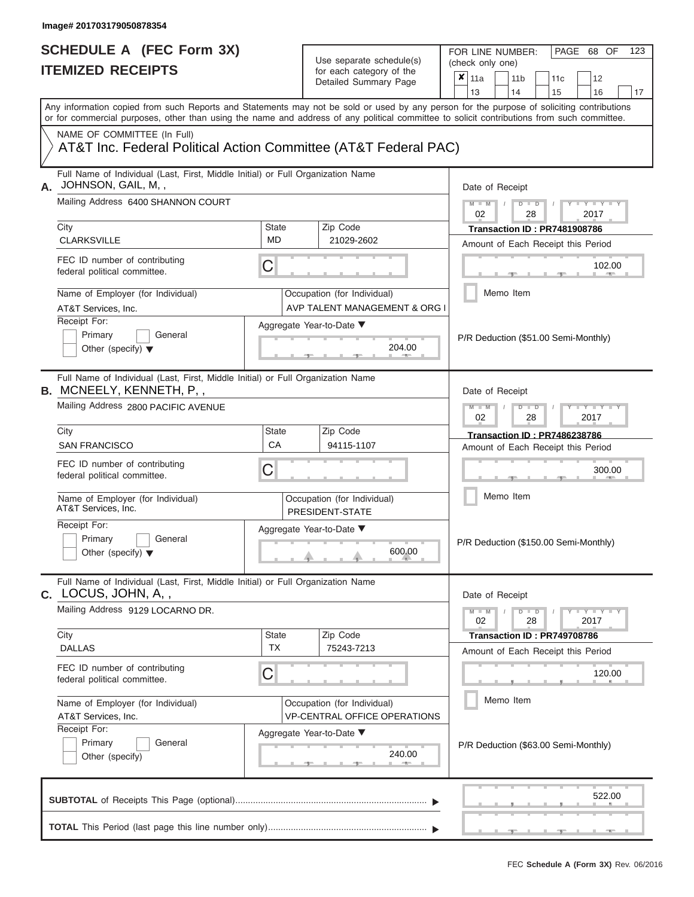| SCHEDULE A (FEC Form 3X)<br><b>ITEMIZED RECEIPTS</b>                                                                                                                                                                                                                                    |                                                                                                                                                               | Use separate schedule(s)<br>for each category of the<br>Detailed Summary Page | FOR LINE NUMBER:<br>PAGE 68 OF<br>123<br>(check only one)<br>$\overline{\mathbf{x}}$   11a<br>11 <sub>b</sub><br>11c<br>12<br>13<br>14<br>15<br>16<br>17                              |
|-----------------------------------------------------------------------------------------------------------------------------------------------------------------------------------------------------------------------------------------------------------------------------------------|---------------------------------------------------------------------------------------------------------------------------------------------------------------|-------------------------------------------------------------------------------|---------------------------------------------------------------------------------------------------------------------------------------------------------------------------------------|
| Any information copied from such Reports and Statements may not be sold or used by any person for the purpose of soliciting contributions<br>or for commercial purposes, other than using the name and address of any political committee to solicit contributions from such committee. |                                                                                                                                                               |                                                                               |                                                                                                                                                                                       |
| NAME OF COMMITTEE (In Full)<br>AT&T Inc. Federal Political Action Committee (AT&T Federal PAC)                                                                                                                                                                                          |                                                                                                                                                               |                                                                               |                                                                                                                                                                                       |
| Full Name of Individual (Last, First, Middle Initial) or Full Organization Name<br>JOHNSON, GAIL, M,,<br>А.<br>Mailing Address 6400 SHANNON COURT<br>City<br><b>CLARKSVILLE</b><br>FEC ID number of contributing<br>federal political committee.<br>Name of Employer (for Individual)   | <b>State</b><br>MD.<br>С                                                                                                                                      | Zip Code<br>21029-2602<br>Occupation (for Individual)                         | Date of Receipt<br>$M - M$<br>$D$ $D$<br>Y TY T<br>02<br>2017<br>28<br>Transaction ID: PR7481908786<br>Amount of Each Receipt this Period<br>102.00<br><b>Band Allen</b><br>Memo Item |
| AT&T Services, Inc.<br>Receipt For:<br>Primary<br>General<br>Other (specify) $\blacktriangledown$                                                                                                                                                                                       |                                                                                                                                                               | AVP TALENT MANAGEMENT & ORG I<br>Aggregate Year-to-Date ▼<br>204.00           | P/R Deduction (\$51.00 Semi-Monthly)                                                                                                                                                  |
| Full Name of Individual (Last, First, Middle Initial) or Full Organization Name<br><b>B.</b> MCNEELY, KENNETH, P,,<br>Mailing Address 2800 PACIFIC AVENUE                                                                                                                               | Date of Receipt<br>$M - M$<br>$D$ $\Box$ $D$<br>$\blacksquare$ $\blacksquare$ $\blacksquare$ $\blacksquare$ $\blacksquare$ $\blacksquare$<br>2017<br>02<br>28 |                                                                               |                                                                                                                                                                                       |
| City<br><b>SAN FRANCISCO</b>                                                                                                                                                                                                                                                            | State<br>CA                                                                                                                                                   | Zip Code<br>94115-1107                                                        | <b>Transaction ID: PR7486238786</b><br>Amount of Each Receipt this Period                                                                                                             |
| FEC ID number of contributing<br>federal political committee.                                                                                                                                                                                                                           | С                                                                                                                                                             |                                                                               | 300.00                                                                                                                                                                                |
| Name of Employer (for Individual)<br>AT&T Services, Inc.<br>Receipt For:                                                                                                                                                                                                                |                                                                                                                                                               | Occupation (for Individual)<br>PRESIDENT-STATE                                | Memo Item                                                                                                                                                                             |
| Primary<br>General<br>Other (specify) $\blacktriangledown$                                                                                                                                                                                                                              |                                                                                                                                                               | Aggregate Year-to-Date ▼<br>600.00                                            | P/R Deduction (\$150.00 Semi-Monthly)                                                                                                                                                 |
| Full Name of Individual (Last, First, Middle Initial) or Full Organization Name<br>C. LOCUS, JOHN, A,,<br>Mailing Address 9129 LOCARNO DR.                                                                                                                                              |                                                                                                                                                               |                                                                               | Date of Receipt<br>$M - M$<br>$D$ $D$<br>$T - Y = Y - T Y$                                                                                                                            |
| City                                                                                                                                                                                                                                                                                    | <b>State</b>                                                                                                                                                  | Zip Code                                                                      | 28<br>02<br>2017<br>Transaction ID: PR749708786                                                                                                                                       |
| <b>DALLAS</b><br>FEC ID number of contributing                                                                                                                                                                                                                                          | <b>TX</b>                                                                                                                                                     | 75243-7213                                                                    | Amount of Each Receipt this Period                                                                                                                                                    |
| federal political committee.<br>Name of Employer (for Individual)                                                                                                                                                                                                                       | С                                                                                                                                                             | Occupation (for Individual)                                                   | 120.00<br>Memo Item                                                                                                                                                                   |
| AT&T Services, Inc.<br>Receipt For:<br>Primary<br>General<br>Other (specify)                                                                                                                                                                                                            |                                                                                                                                                               | <b>VP-CENTRAL OFFICE OPERATIONS</b><br>Aggregate Year-to-Date ▼<br>240.00     | P/R Deduction (\$63.00 Semi-Monthly)                                                                                                                                                  |
|                                                                                                                                                                                                                                                                                         |                                                                                                                                                               |                                                                               | 522.00                                                                                                                                                                                |
|                                                                                                                                                                                                                                                                                         |                                                                                                                                                               |                                                                               |                                                                                                                                                                                       |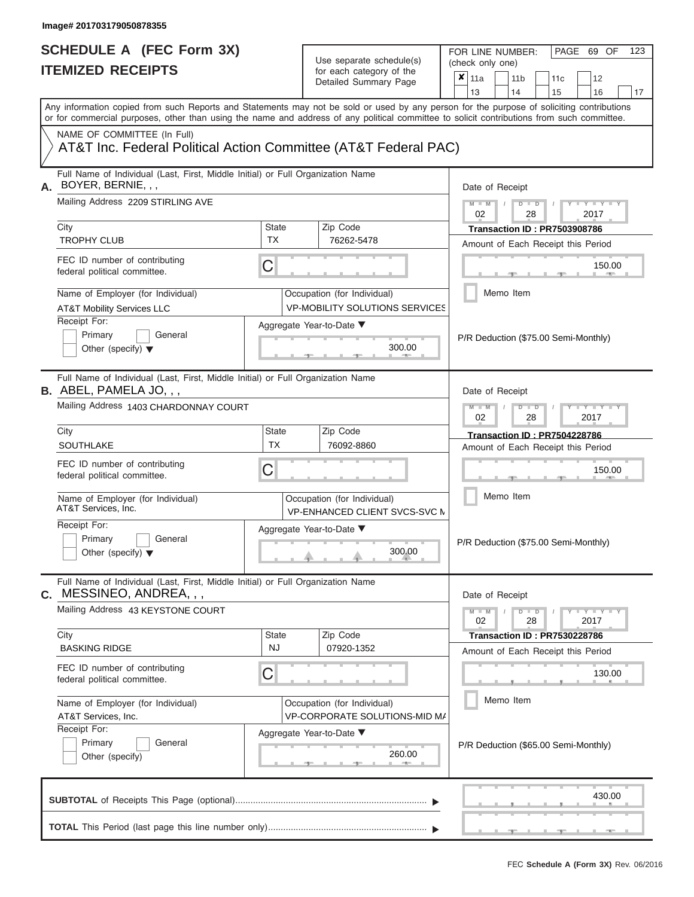FOR LINE NUMBER:<br>(check only one)

PAGE 69 OF 123

|                                                                                                                                                                                                                                                                                         |                                 | ivi vavii valvyviy vi liiv<br>Detailed Summary Page                                  |  | $x \mid$ 11a    |        | 11 <sub>b</sub> |                                                       | 11 <sub>c</sub>                     | 12                                   |    |  |  |
|-----------------------------------------------------------------------------------------------------------------------------------------------------------------------------------------------------------------------------------------------------------------------------------------|---------------------------------|--------------------------------------------------------------------------------------|--|-----------------|--------|-----------------|-------------------------------------------------------|-------------------------------------|--------------------------------------|----|--|--|
|                                                                                                                                                                                                                                                                                         |                                 |                                                                                      |  | 13              |        | 14              |                                                       | 15                                  | 16                                   | 17 |  |  |
| Any information copied from such Reports and Statements may not be sold or used by any person for the purpose of soliciting contributions<br>or for commercial purposes, other than using the name and address of any political committee to solicit contributions from such committee. |                                 |                                                                                      |  |                 |        |                 |                                                       |                                     |                                      |    |  |  |
| NAME OF COMMITTEE (In Full)<br>AT&T Inc. Federal Political Action Committee (AT&T Federal PAC)                                                                                                                                                                                          |                                 |                                                                                      |  |                 |        |                 |                                                       |                                     |                                      |    |  |  |
| Full Name of Individual (Last, First, Middle Initial) or Full Organization Name<br>BOYER, BERNIE, , ,<br>А.                                                                                                                                                                             |                                 |                                                                                      |  | Date of Receipt |        |                 |                                                       |                                     |                                      |    |  |  |
| Mailing Address 2209 STIRLING AVE                                                                                                                                                                                                                                                       |                                 |                                                                                      |  |                 |        |                 | $M - M$ /<br>$D$ $D$<br>$Y - Y -$<br>02<br>28<br>2017 |                                     |                                      |    |  |  |
| City<br><b>TROPHY CLUB</b>                                                                                                                                                                                                                                                              | <b>State</b><br>TX.             | Zip Code<br>76262-5478                                                               |  |                 |        |                 |                                                       | <b>Transaction ID: PR7503908786</b> | Amount of Each Receipt this Period   |    |  |  |
| FEC ID number of contributing<br>federal political committee.                                                                                                                                                                                                                           | C                               |                                                                                      |  |                 |        |                 |                                                       | -40-                                | 150.00<br>11. J. PROD.               |    |  |  |
| Name of Employer (for Individual)<br><b>AT&amp;T Mobility Services LLC</b>                                                                                                                                                                                                              |                                 | Occupation (for Individual)<br><b>VP-MOBILITY SOLUTIONS SERVICES</b>                 |  |                 |        | Memo Item       |                                                       |                                     |                                      |    |  |  |
| Receipt For:<br>Primary<br>General<br>Other (specify) $\blacktriangledown$                                                                                                                                                                                                              | Aggregate Year-to-Date ▼<br>-91 |                                                                                      |  |                 |        |                 | P/R Deduction (\$75.00 Semi-Monthly)                  |                                     |                                      |    |  |  |
| Full Name of Individual (Last, First, Middle Initial) or Full Organization Name<br><b>B.</b> ABEL, PAMELA JO, , ,                                                                                                                                                                       |                                 |                                                                                      |  | Date of Receipt |        |                 |                                                       |                                     |                                      |    |  |  |
| Mailing Address 1403 CHARDONNAY COURT                                                                                                                                                                                                                                                   |                                 | $M - M$<br>$D$ $D$<br>$\Box$ $\Upsilon$ $\Box$ $\Upsilon$ $\Box$<br>02<br>28<br>2017 |  |                 |        |                 |                                                       |                                     |                                      |    |  |  |
| City<br><b>SOUTHLAKE</b>                                                                                                                                                                                                                                                                | State<br><b>TX</b>              | Zip Code<br>76092-8860                                                               |  |                 |        |                 |                                                       | <b>Transaction ID: PR7504228786</b> | Amount of Each Receipt this Period   |    |  |  |
| FEC ID number of contributing<br>federal political committee.                                                                                                                                                                                                                           | С                               |                                                                                      |  |                 | 150.00 |                 |                                                       |                                     |                                      |    |  |  |
| Name of Employer (for Individual)<br>AT&T Services, Inc.                                                                                                                                                                                                                                |                                 | Occupation (for Individual)<br>VP-ENHANCED CLIENT SVCS-SVC M                         |  | Memo Item       |        |                 |                                                       |                                     |                                      |    |  |  |
| Receipt For:<br>Primary<br>General<br>Other (specify) $\blacktriangledown$                                                                                                                                                                                                              |                                 | Aggregate Year-to-Date ▼<br>300.00                                                   |  |                 |        |                 |                                                       |                                     | P/R Deduction (\$75.00 Semi-Monthly) |    |  |  |
| Full Name of Individual (Last, First, Middle Initial) or Full Organization Name<br>MESSINEO, ANDREA, , ,<br>С.                                                                                                                                                                          |                                 |                                                                                      |  | Date of Receipt |        |                 |                                                       |                                     |                                      |    |  |  |
| Mailing Address 43 KEYSTONE COURT                                                                                                                                                                                                                                                       |                                 |                                                                                      |  | $M - M$<br>02   |        |                 | $D$ $D$<br>28                                         |                                     | $+Y + Y + Y$<br>2017                 |    |  |  |
| City<br><b>BASKING RIDGE</b>                                                                                                                                                                                                                                                            | State<br>NJ                     | Zip Code<br>07920-1352                                                               |  |                 |        |                 |                                                       | Transaction ID: PR7530228786        | Amount of Each Receipt this Period   |    |  |  |
| FEC ID number of contributing<br>federal political committee.                                                                                                                                                                                                                           | С                               |                                                                                      |  |                 |        |                 |                                                       |                                     | 130.00                               |    |  |  |
| Name of Employer (for Individual)<br>AT&T Services, Inc.                                                                                                                                                                                                                                |                                 | Occupation (for Individual)<br>VP-CORPORATE SOLUTIONS-MID MA                         |  |                 |        | Memo Item       |                                                       |                                     |                                      |    |  |  |
| Receipt For:<br>Primary<br>General<br>Other (specify)                                                                                                                                                                                                                                   |                                 | Aggregate Year-to-Date ▼<br>260.00                                                   |  |                 |        |                 |                                                       |                                     | P/R Deduction (\$65.00 Semi-Monthly) |    |  |  |
|                                                                                                                                                                                                                                                                                         |                                 |                                                                                      |  |                 |        |                 |                                                       |                                     | 430.00                               |    |  |  |
|                                                                                                                                                                                                                                                                                         |                                 |                                                                                      |  |                 |        |                 |                                                       |                                     |                                      |    |  |  |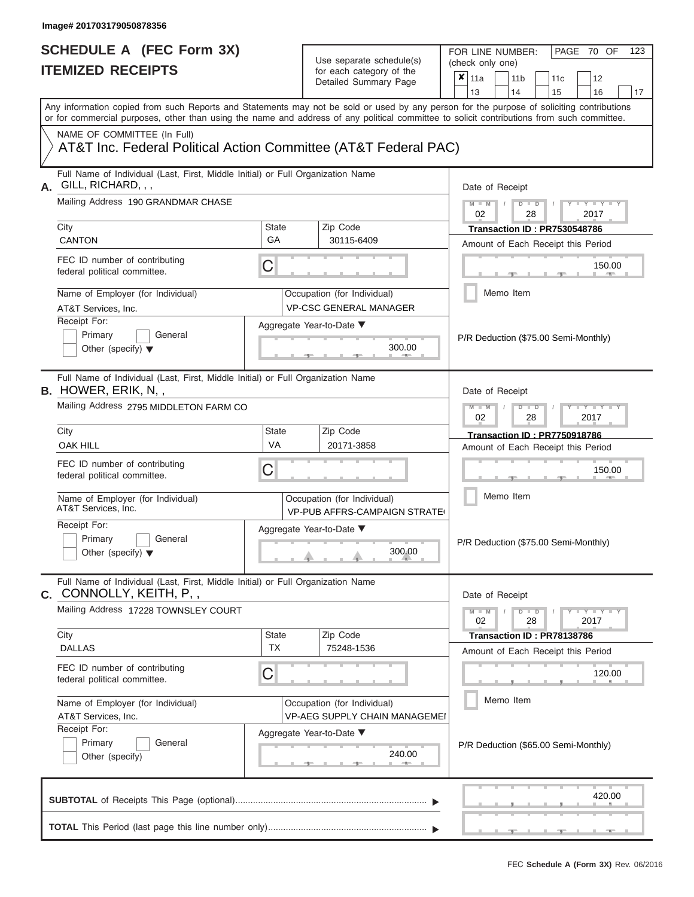# **SCHEDULE A (FEC Form 3X)**

| SCHEDULE A (FEC Form 3X)<br><b>ITEMIZED RECEIPTS</b>                                                                                                                                                                                                                                    |                    | Use separate schedule(s)<br>for each category of the<br>Detailed Summary Page | FOR LINE NUMBER:<br>PAGE 70 OF<br>123<br>(check only one)<br>$\boldsymbol{\mathsf{x}}$<br>11a<br>11 <sub>b</sub><br>12<br>11c |
|-----------------------------------------------------------------------------------------------------------------------------------------------------------------------------------------------------------------------------------------------------------------------------------------|--------------------|-------------------------------------------------------------------------------|-------------------------------------------------------------------------------------------------------------------------------|
|                                                                                                                                                                                                                                                                                         |                    |                                                                               | 13<br>14<br>15<br>16<br>17                                                                                                    |
| Any information copied from such Reports and Statements may not be sold or used by any person for the purpose of soliciting contributions<br>or for commercial purposes, other than using the name and address of any political committee to solicit contributions from such committee. |                    |                                                                               |                                                                                                                               |
| NAME OF COMMITTEE (In Full)<br>AT&T Inc. Federal Political Action Committee (AT&T Federal PAC)                                                                                                                                                                                          |                    |                                                                               |                                                                                                                               |
| Full Name of Individual (Last, First, Middle Initial) or Full Organization Name<br>GILL, RICHARD, , ,<br>А.                                                                                                                                                                             |                    |                                                                               | Date of Receipt                                                                                                               |
| Mailing Address 190 GRANDMAR CHASE<br>City                                                                                                                                                                                                                                              | <b>State</b>       | Zip Code                                                                      | $M - M$ /<br>$D$ $D$<br>$T - Y = T - Y$<br>02<br>28<br>2017<br>Transaction ID: PR7530548786                                   |
| <b>CANTON</b>                                                                                                                                                                                                                                                                           | GA                 | 30115-6409                                                                    | Amount of Each Receipt this Period                                                                                            |
| FEC ID number of contributing<br>federal political committee.                                                                                                                                                                                                                           | C                  |                                                                               | 150.00<br><b>Brita Alberta</b>                                                                                                |
| Name of Employer (for Individual)<br>AT&T Services, Inc.                                                                                                                                                                                                                                |                    | Occupation (for Individual)<br><b>VP-CSC GENERAL MANAGER</b>                  | Memo Item                                                                                                                     |
| Receipt For:<br>Primary<br>General<br>Other (specify) $\blacktriangledown$                                                                                                                                                                                                              |                    | Aggregate Year-to-Date ▼<br>300.00<br><b>CONTRACTOR</b>                       | P/R Deduction (\$75.00 Semi-Monthly)                                                                                          |
| Full Name of Individual (Last, First, Middle Initial) or Full Organization Name<br><b>B.</b> HOWER, ERIK, N,,                                                                                                                                                                           |                    |                                                                               | Date of Receipt                                                                                                               |
| Mailing Address 2795 MIDDLETON FARM CO                                                                                                                                                                                                                                                  |                    |                                                                               | $M - M$<br>$D$ $D$<br>$\blacksquare \blacksquare Y \blacksquare \blacksquare Y \blacksquare \blacksquare$<br>02<br>2017<br>28 |
| City<br><b>OAK HILL</b>                                                                                                                                                                                                                                                                 | <b>State</b><br>VA | Zip Code<br>20171-3858                                                        | <b>Transaction ID: PR7750918786</b>                                                                                           |
| FEC ID number of contributing<br>federal political committee.                                                                                                                                                                                                                           | C                  |                                                                               | Amount of Each Receipt this Period<br>150.00                                                                                  |
| Name of Employer (for Individual)<br>AT&T Services, Inc.                                                                                                                                                                                                                                |                    | Occupation (for Individual)<br><b>VP-PUB AFFRS-CAMPAIGN STRATE</b>            | Memo Item                                                                                                                     |
| Receipt For:<br>Primary<br>General<br>Other (specify) $\blacktriangledown$                                                                                                                                                                                                              |                    | Aggregate Year-to-Date ▼<br>300.00                                            | P/R Deduction (\$75.00 Semi-Monthly)                                                                                          |
| Full Name of Individual (Last, First, Middle Initial) or Full Organization Name<br>C. CONNOLLY, KEITH, P,,                                                                                                                                                                              |                    |                                                                               | Date of Receipt                                                                                                               |
| Mailing Address 17228 TOWNSLEY COURT                                                                                                                                                                                                                                                    |                    |                                                                               | $M - M$<br>$D$ $D$<br>Y - Y - Y - Y<br>02<br>28<br>2017                                                                       |
| City<br><b>DALLAS</b>                                                                                                                                                                                                                                                                   | State<br><b>TX</b> | Zip Code<br>75248-1536                                                        | Transaction ID: PR78138786<br>Amount of Each Receipt this Period                                                              |
| FEC ID number of contributing<br>federal political committee.                                                                                                                                                                                                                           | C                  |                                                                               | 120.00                                                                                                                        |
| Name of Employer (for Individual)<br>AT&T Services, Inc.                                                                                                                                                                                                                                |                    | Occupation (for Individual)<br><b>VP-AEG SUPPLY CHAIN MANAGEMEI</b>           | Memo Item                                                                                                                     |
| Receipt For:<br>Primary<br>General<br>Other (specify)                                                                                                                                                                                                                                   |                    | Aggregate Year-to-Date ▼<br>240.00<br>$-1$                                    | P/R Deduction (\$65.00 Semi-Monthly)                                                                                          |
|                                                                                                                                                                                                                                                                                         |                    |                                                                               | 420.00                                                                                                                        |
|                                                                                                                                                                                                                                                                                         |                    |                                                                               | والمتحوض المسالم الاوصاف والمنا<br><u>____</u>                                                                                |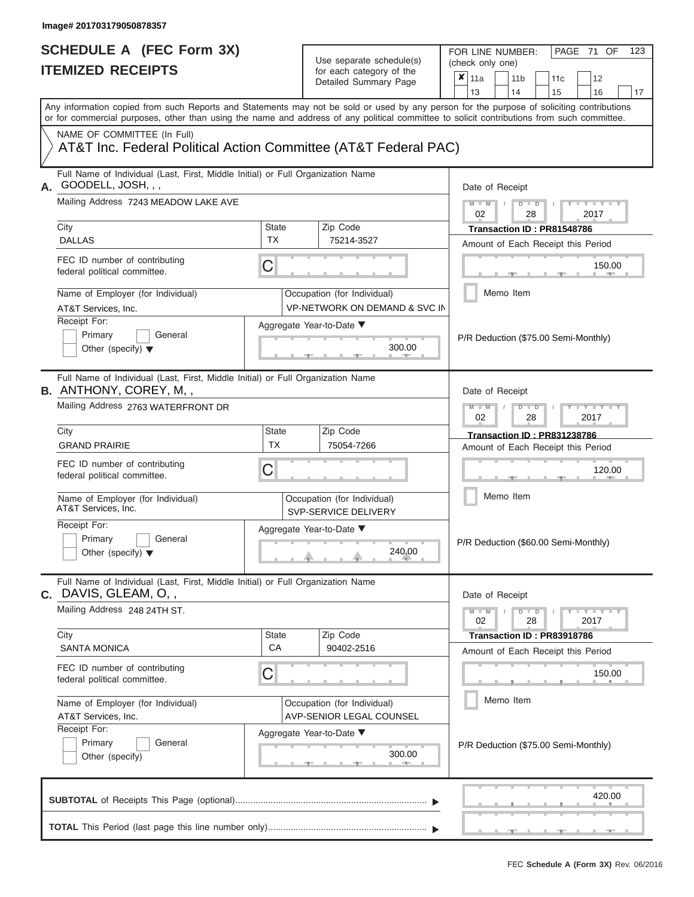| SCHEDULE A (FEC Form 3X)<br><b>ITEMIZED RECEIPTS</b>                                                                                                |                    | Use separate schedule(s)<br>for each category of the<br>Detailed Summary Page | 123<br>FOR LINE NUMBER:<br>PAGE 71 OF<br>(check only one)<br>$\overline{\mathbf{x}}$   11a<br>11 <sub>b</sub><br>11 <sub>c</sub><br>12 |
|-----------------------------------------------------------------------------------------------------------------------------------------------------|--------------------|-------------------------------------------------------------------------------|----------------------------------------------------------------------------------------------------------------------------------------|
| Any information copied from such Reports and Statements may not be sold or used by any person for the purpose of soliciting contributions           |                    |                                                                               | 13<br>14<br>15<br>16<br>17                                                                                                             |
| or for commercial purposes, other than using the name and address of any political committee to solicit contributions from such committee.          |                    |                                                                               |                                                                                                                                        |
| NAME OF COMMITTEE (In Full)<br>AT&T Inc. Federal Political Action Committee (AT&T Federal PAC)                                                      |                    |                                                                               |                                                                                                                                        |
| Full Name of Individual (Last, First, Middle Initial) or Full Organization Name<br>GOODELL, JOSH, , ,<br>А.<br>Mailing Address 7243 MEADOW LAKE AVE |                    |                                                                               | Date of Receipt<br>$M - M$ /<br>$D$ $D$<br>Y TY T                                                                                      |
|                                                                                                                                                     |                    |                                                                               | 02<br>2017<br>28                                                                                                                       |
| City<br><b>DALLAS</b>                                                                                                                               | State<br><b>TX</b> | Zip Code<br>75214-3527                                                        | Transaction ID: PR81548786<br>Amount of Each Receipt this Period                                                                       |
| FEC ID number of contributing<br>federal political committee.                                                                                       | C                  |                                                                               | 150.00<br><b>1. 400</b>                                                                                                                |
| Name of Employer (for Individual)<br>AT&T Services, Inc.                                                                                            |                    | Occupation (for Individual)<br><b>VP-NETWORK ON DEMAND &amp; SVC IN</b>       | Memo Item                                                                                                                              |
| Receipt For:<br>Primary<br>General<br>Other (specify) $\blacktriangledown$                                                                          |                    | Aggregate Year-to-Date ▼<br>300.00                                            | P/R Deduction (\$75.00 Semi-Monthly)                                                                                                   |
| Full Name of Individual (Last, First, Middle Initial) or Full Organization Name<br><b>B.</b> ANTHONY, COREY, M,,                                    |                    |                                                                               | Date of Receipt                                                                                                                        |
| Mailing Address 2763 WATERFRONT DR                                                                                                                  |                    |                                                                               | $M - M$<br>$D$ $D$<br>$+Y+Y+Y$<br>02<br>2017<br>28                                                                                     |
| City                                                                                                                                                | <b>State</b>       | Zip Code                                                                      | Transaction ID: PR831238786                                                                                                            |
| <b>GRAND PRAIRIE</b>                                                                                                                                | <b>TX</b>          | 75054-7266                                                                    | Amount of Each Receipt this Period                                                                                                     |
| FEC ID number of contributing<br>federal political committee.                                                                                       | С                  |                                                                               | 120.00                                                                                                                                 |
| Name of Employer (for Individual)<br>AT&T Services, Inc.                                                                                            |                    | Occupation (for Individual)<br>SVP-SERVICE DELIVERY                           | Memo Item                                                                                                                              |
| Receipt For:<br>Primary<br>General                                                                                                                  |                    | Aggregate Year-to-Date ▼                                                      |                                                                                                                                        |
| Other (specify) $\blacktriangledown$                                                                                                                |                    | 240.00                                                                        | P/R Deduction (\$60.00 Semi-Monthly)                                                                                                   |
| Full Name of Individual (Last, First, Middle Initial) or Full Organization Name<br>$C.$ DAVIS, GLEAM, O, ,                                          |                    |                                                                               | Date of Receipt                                                                                                                        |
| Mailing Address 248 24TH ST.                                                                                                                        |                    |                                                                               | $M - M$<br>$D$ $D$<br>$T$ $Y$ $Y$ $Y$ $Y$<br>02<br>28<br>2017                                                                          |
| City                                                                                                                                                | <b>State</b>       | Zip Code                                                                      | <b>Transaction ID: PR83918786</b>                                                                                                      |
| <b>SANTA MONICA</b>                                                                                                                                 | CA                 | 90402-2516                                                                    | Amount of Each Receipt this Period                                                                                                     |
| FEC ID number of contributing<br>federal political committee.                                                                                       | С                  |                                                                               | 150.00                                                                                                                                 |
| Name of Employer (for Individual)<br>AT&T Services, Inc.                                                                                            |                    | Occupation (for Individual)<br>AVP-SENIOR LEGAL COUNSEL                       | Memo Item                                                                                                                              |
| Receipt For:<br>Primary<br>General<br>Other (specify)                                                                                               |                    | Aggregate Year-to-Date ▼<br>300.00<br>--                                      | P/R Deduction (\$75.00 Semi-Monthly)                                                                                                   |
|                                                                                                                                                     |                    |                                                                               | 420.00                                                                                                                                 |
|                                                                                                                                                     |                    |                                                                               | ___________                                                                                                                            |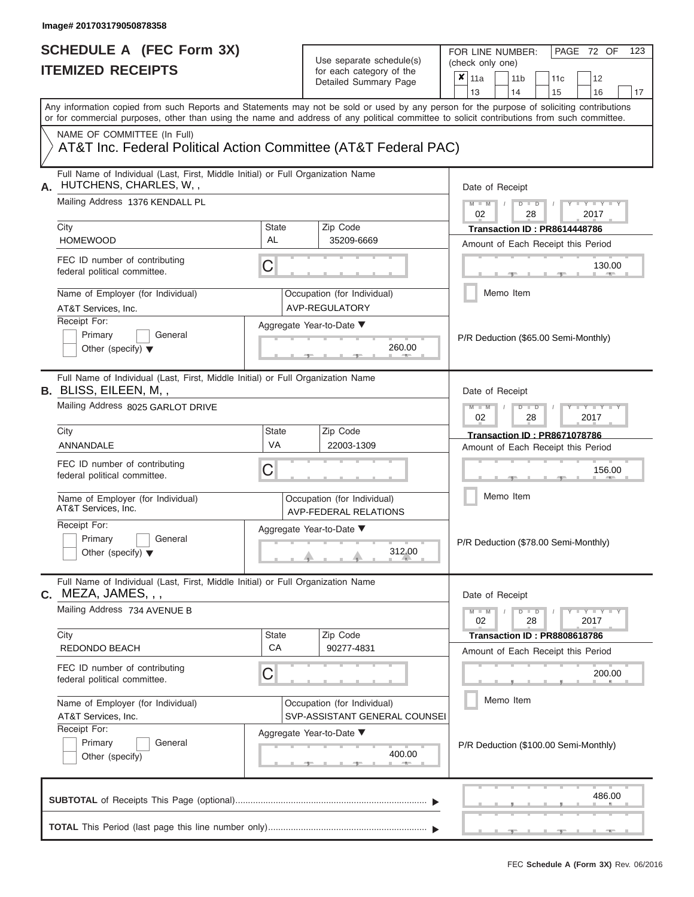# **SCHEDULE A (FEC Form 3X)**

| SCHEDULE A (FEC Form 3X)<br><b>ITEMIZED RECEIPTS</b>            |                                                                                 | Use separate schedule(s)<br>for each category of the<br>Detailed Summary Page | FOR LINE NUMBER:<br>PAGE 72 OF<br>123<br>(check only one)<br>$\overline{\mathbf{x}}$   11a<br>11 <sub>b</sub><br>12<br>11 <sub>c</sub>                                                                                                                                                                                |  |  |  |  |  |
|-----------------------------------------------------------------|---------------------------------------------------------------------------------|-------------------------------------------------------------------------------|-----------------------------------------------------------------------------------------------------------------------------------------------------------------------------------------------------------------------------------------------------------------------------------------------------------------------|--|--|--|--|--|
|                                                                 |                                                                                 |                                                                               | 13<br>14<br>15<br>16<br>17<br>Any information copied from such Reports and Statements may not be sold or used by any person for the purpose of soliciting contributions<br>or for commercial purposes, other than using the name and address of any political committee to solicit contributions from such committee. |  |  |  |  |  |
| NAME OF COMMITTEE (In Full)                                     |                                                                                 | AT&T Inc. Federal Political Action Committee (AT&T Federal PAC)               |                                                                                                                                                                                                                                                                                                                       |  |  |  |  |  |
| HUTCHENS, CHARLES, W,,                                          | Full Name of Individual (Last, First, Middle Initial) or Full Organization Name |                                                                               | Date of Receipt                                                                                                                                                                                                                                                                                                       |  |  |  |  |  |
| Mailing Address 1376 KENDALL PL<br>City                         | State                                                                           | Zip Code                                                                      | $M = M$ /<br>$D$ $D$<br>$Y - Y - Y$<br>02<br>2017<br>28<br>Transaction ID: PR8614448786                                                                                                                                                                                                                               |  |  |  |  |  |
| <b>HOMEWOOD</b>                                                 | AL                                                                              | 35209-6669                                                                    | Amount of Each Receipt this Period                                                                                                                                                                                                                                                                                    |  |  |  |  |  |
| FEC ID number of contributing<br>federal political committee.   | C                                                                               |                                                                               | 130.00<br><b>1. 200</b>                                                                                                                                                                                                                                                                                               |  |  |  |  |  |
| Name of Employer (for Individual)<br>AT&T Services, Inc.        |                                                                                 | Occupation (for Individual)<br>AVP-REGULATORY                                 | Memo Item                                                                                                                                                                                                                                                                                                             |  |  |  |  |  |
| Receipt For:<br>Primary<br>Other (specify) $\blacktriangledown$ | General                                                                         | Aggregate Year-to-Date ▼<br>260.00<br><b>Contract Contract Contract</b>       | P/R Deduction (\$65.00 Semi-Monthly)                                                                                                                                                                                                                                                                                  |  |  |  |  |  |
| B. BLISS, EILEEN, M,,                                           | Full Name of Individual (Last, First, Middle Initial) or Full Organization Name |                                                                               | Date of Receipt                                                                                                                                                                                                                                                                                                       |  |  |  |  |  |
| Mailing Address 8025 GARLOT DRIVE                               |                                                                                 |                                                                               | $M$ $M$<br>$D$ $D$<br>$\blacksquare$ $\blacksquare$ $\blacksquare$ $\blacksquare$ $\blacksquare$ $\blacksquare$<br>2017<br>02<br>28                                                                                                                                                                                   |  |  |  |  |  |
| City<br>ANNANDALE                                               | <b>State</b><br><b>VA</b>                                                       | Zip Code<br>22003-1309                                                        | <b>Transaction ID: PR8671078786</b><br>Amount of Each Receipt this Period                                                                                                                                                                                                                                             |  |  |  |  |  |
| FEC ID number of contributing<br>federal political committee.   | С                                                                               |                                                                               | 156.00                                                                                                                                                                                                                                                                                                                |  |  |  |  |  |
| Name of Employer (for Individual)<br>AT&T Services, Inc.        |                                                                                 | Occupation (for Individual)<br><b>AVP-FEDERAL RELATIONS</b>                   | Memo Item                                                                                                                                                                                                                                                                                                             |  |  |  |  |  |
| Receipt For:<br>Primary<br>Other (specify) $\blacktriangledown$ | General                                                                         | Aggregate Year-to-Date ▼<br>312.00                                            | P/R Deduction (\$78.00 Semi-Monthly)                                                                                                                                                                                                                                                                                  |  |  |  |  |  |
| C. MEZA, JAMES, , ,                                             | Full Name of Individual (Last, First, Middle Initial) or Full Organization Name |                                                                               | Date of Receipt                                                                                                                                                                                                                                                                                                       |  |  |  |  |  |
| Mailing Address 734 AVENUE B<br>City                            | <b>State</b>                                                                    | Zip Code                                                                      | $M - M$<br>$D$ $D$<br>$Y - Y - Y - Y - Y$<br>02<br>28<br>2017<br><b>Transaction ID: PR8808618786</b>                                                                                                                                                                                                                  |  |  |  |  |  |
| REDONDO BEACH                                                   | CA                                                                              | 90277-4831                                                                    | Amount of Each Receipt this Period                                                                                                                                                                                                                                                                                    |  |  |  |  |  |
| FEC ID number of contributing<br>federal political committee.   | С                                                                               |                                                                               | 200.00                                                                                                                                                                                                                                                                                                                |  |  |  |  |  |
| Name of Employer (for Individual)<br>AT&T Services, Inc.        |                                                                                 | Occupation (for Individual)<br>SVP-ASSISTANT GENERAL COUNSEI                  | Memo Item                                                                                                                                                                                                                                                                                                             |  |  |  |  |  |
| Receipt For:<br>Primary<br>Other (specify)                      | General                                                                         | Aggregate Year-to-Date ▼<br>400.00                                            | P/R Deduction (\$100.00 Semi-Monthly)                                                                                                                                                                                                                                                                                 |  |  |  |  |  |
|                                                                 |                                                                                 |                                                                               | 486.00                                                                                                                                                                                                                                                                                                                |  |  |  |  |  |
|                                                                 |                                                                                 |                                                                               |                                                                                                                                                                                                                                                                                                                       |  |  |  |  |  |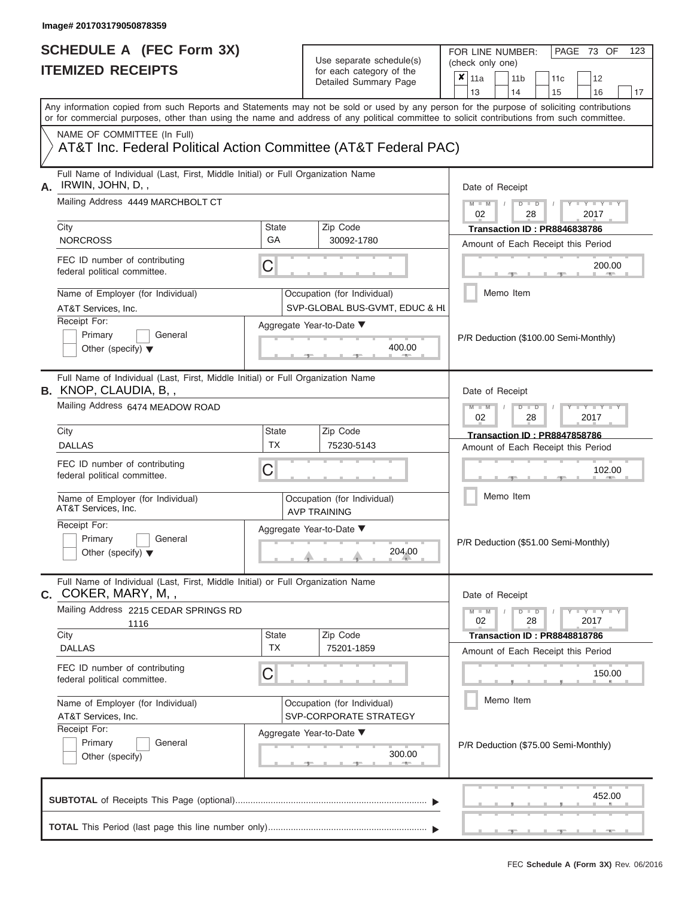FOR LINE NUMBER:<br>(check only one)

PAGE 73 OF 123

|    |                                                                                                                                                                                                                                                                                         |                                                       | babii batogory<br>Detailed Summary Page                       |                                      | $x \mid$ 11a    |  | 11 <sub>b</sub> |               | 11 <sub>c</sub>                     | 12                                    |    |
|----|-----------------------------------------------------------------------------------------------------------------------------------------------------------------------------------------------------------------------------------------------------------------------------------------|-------------------------------------------------------|---------------------------------------------------------------|--------------------------------------|-----------------|--|-----------------|---------------|-------------------------------------|---------------------------------------|----|
|    |                                                                                                                                                                                                                                                                                         |                                                       |                                                               |                                      | 13              |  | 14              |               | 15                                  | 16                                    | 17 |
|    | Any information copied from such Reports and Statements may not be sold or used by any person for the purpose of soliciting contributions<br>or for commercial purposes, other than using the name and address of any political committee to solicit contributions from such committee. |                                                       |                                                               |                                      |                 |  |                 |               |                                     |                                       |    |
|    | NAME OF COMMITTEE (In Full)                                                                                                                                                                                                                                                             |                                                       |                                                               |                                      |                 |  |                 |               |                                     |                                       |    |
|    | AT&T Inc. Federal Political Action Committee (AT&T Federal PAC)                                                                                                                                                                                                                         |                                                       |                                                               |                                      |                 |  |                 |               |                                     |                                       |    |
| А. | Full Name of Individual (Last, First, Middle Initial) or Full Organization Name<br>IRWIN, JOHN, D,,                                                                                                                                                                                     |                                                       |                                                               |                                      | Date of Receipt |  |                 |               |                                     |                                       |    |
|    | Mailing Address 4449 MARCHBOLT CT                                                                                                                                                                                                                                                       |                                                       |                                                               |                                      | $M - M$<br>02   |  |                 | $D$ $D$<br>28 |                                     | $Y - Y -$<br>2017                     |    |
|    | City                                                                                                                                                                                                                                                                                    | <b>State</b>                                          | Zip Code                                                      |                                      |                 |  |                 |               | <b>Transaction ID: PR8846838786</b> |                                       |    |
|    | <b>NORCROSS</b>                                                                                                                                                                                                                                                                         | GA                                                    | 30092-1780                                                    |                                      |                 |  |                 |               |                                     | Amount of Each Receipt this Period    |    |
|    | FEC ID number of contributing<br>federal political committee.                                                                                                                                                                                                                           | C                                                     |                                                               |                                      |                 |  |                 |               | 200.00                              |                                       |    |
|    | Name of Employer (for Individual)<br>AT&T Services, Inc.                                                                                                                                                                                                                                |                                                       | Occupation (for Individual)<br>SVP-GLOBAL BUS-GVMT, EDUC & HI |                                      |                 |  | Memo Item       |               |                                     |                                       |    |
|    | Receipt For:                                                                                                                                                                                                                                                                            |                                                       | Aggregate Year-to-Date ▼                                      |                                      |                 |  |                 |               |                                     |                                       |    |
|    | Primary<br>General<br>Other (specify) $\blacktriangledown$                                                                                                                                                                                                                              |                                                       |                                                               |                                      |                 |  |                 |               |                                     | P/R Deduction (\$100.00 Semi-Monthly) |    |
|    | Full Name of Individual (Last, First, Middle Initial) or Full Organization Name<br><b>B.</b> KNOP, CLAUDIA, B,,                                                                                                                                                                         |                                                       |                                                               | Date of Receipt                      |                 |  |                 |               |                                     |                                       |    |
|    | Mailing Address 6474 MEADOW ROAD                                                                                                                                                                                                                                                        |                                                       | $M - M$<br>$Y - Y - I$<br>$D$ $D$<br>02<br>28<br>2017         |                                      |                 |  |                 |               |                                     |                                       |    |
|    | City                                                                                                                                                                                                                                                                                    | State                                                 | Zip Code                                                      |                                      |                 |  |                 |               | <b>Transaction ID: PR8847858786</b> |                                       |    |
|    | <b>DALLAS</b>                                                                                                                                                                                                                                                                           | <b>TX</b>                                             | 75230-5143                                                    |                                      |                 |  |                 |               |                                     | Amount of Each Receipt this Period    |    |
|    | FEC ID number of contributing<br>federal political committee.                                                                                                                                                                                                                           |                                                       |                                                               |                                      |                 |  |                 | 102.00        |                                     |                                       |    |
|    | Name of Employer (for Individual)<br>AT&T Services, Inc.                                                                                                                                                                                                                                |                                                       | Occupation (for Individual)<br><b>AVP TRAINING</b>            |                                      |                 |  | Memo Item       |               |                                     |                                       |    |
|    | Receipt For:<br>Primary<br>General<br>Other (specify) $\blacktriangledown$                                                                                                                                                                                                              |                                                       | Aggregate Year-to-Date ▼<br>204.00                            |                                      |                 |  |                 |               |                                     | P/R Deduction (\$51.00 Semi-Monthly)  |    |
|    | Full Name of Individual (Last, First, Middle Initial) or Full Organization Name<br>$c.$ COKER, MARY, M, ,                                                                                                                                                                               |                                                       |                                                               |                                      | Date of Receipt |  |                 |               |                                     |                                       |    |
|    | Mailing Address 2215 CEDAR SPRINGS RD<br>1116                                                                                                                                                                                                                                           |                                                       |                                                               |                                      | $M - M$<br>02   |  |                 | $D$ $D$<br>28 |                                     | $+Y+Y+Y$<br>2017                      |    |
|    | City<br><b>DALLAS</b>                                                                                                                                                                                                                                                                   | <b>State</b><br><b>TX</b>                             | Zip Code<br>75201-1859                                        |                                      |                 |  |                 |               | Transaction ID: PR8848818786        |                                       |    |
|    |                                                                                                                                                                                                                                                                                         |                                                       |                                                               |                                      |                 |  |                 |               |                                     | Amount of Each Receipt this Period    |    |
|    | federal political committee.                                                                                                                                                                                                                                                            | FEC ID number of contributing<br>C                    |                                                               |                                      |                 |  |                 |               |                                     | 150.00                                |    |
|    | Name of Employer (for Individual)<br>AT&T Services, Inc.                                                                                                                                                                                                                                | Occupation (for Individual)<br>SVP-CORPORATE STRATEGY |                                                               |                                      |                 |  |                 |               |                                     |                                       |    |
|    | Receipt For:                                                                                                                                                                                                                                                                            | Aggregate Year-to-Date ▼                              |                                                               |                                      |                 |  |                 |               |                                     |                                       |    |
|    | Primary<br>General<br>Other (specify)                                                                                                                                                                                                                                                   |                                                       |                                                               | P/R Deduction (\$75.00 Semi-Monthly) |                 |  |                 |               |                                     |                                       |    |
|    |                                                                                                                                                                                                                                                                                         |                                                       |                                                               |                                      |                 |  |                 |               |                                     | 452.00                                |    |
|    |                                                                                                                                                                                                                                                                                         |                                                       |                                                               |                                      |                 |  |                 |               |                                     |                                       |    |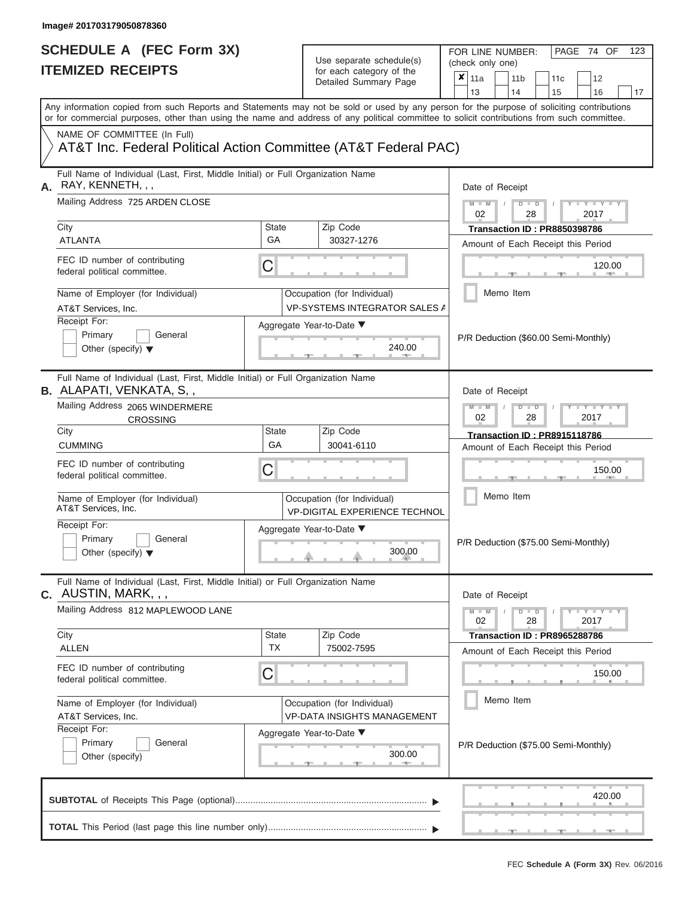FOR LINE NUMBER:<br>(check only one)

PAGE 74 OF 123

|    | IILMILLU INLVLII IV                                                                                                                                                                                                                                                                     |                    | ivi cavii valcyviy vi liic<br>Detailed Summary Page                 | x<br>11a                                                     |  | 11 <sub>b</sub> | 11c                                                                       |  | 12                   |    |  |  |
|----|-----------------------------------------------------------------------------------------------------------------------------------------------------------------------------------------------------------------------------------------------------------------------------------------|--------------------|---------------------------------------------------------------------|--------------------------------------------------------------|--|-----------------|---------------------------------------------------------------------------|--|----------------------|----|--|--|
|    |                                                                                                                                                                                                                                                                                         |                    |                                                                     | 13                                                           |  | 14              | 15                                                                        |  | 16                   | 17 |  |  |
|    | Any information copied from such Reports and Statements may not be sold or used by any person for the purpose of soliciting contributions<br>or for commercial purposes, other than using the name and address of any political committee to solicit contributions from such committee. |                    |                                                                     |                                                              |  |                 |                                                                           |  |                      |    |  |  |
|    | NAME OF COMMITTEE (In Full)<br>AT&T Inc. Federal Political Action Committee (AT&T Federal PAC)                                                                                                                                                                                          |                    |                                                                     |                                                              |  |                 |                                                                           |  |                      |    |  |  |
| А. | Full Name of Individual (Last, First, Middle Initial) or Full Organization Name<br>RAY, KENNETH, , ,                                                                                                                                                                                    |                    | Date of Receipt                                                     |                                                              |  |                 |                                                                           |  |                      |    |  |  |
|    | Mailing Address 725 ARDEN CLOSE                                                                                                                                                                                                                                                         |                    |                                                                     | $M - M$<br>$D$ $\Box$ $D$<br>$Y - Y$<br>02<br>28<br>2017     |  |                 |                                                                           |  |                      |    |  |  |
|    | City<br><b>ATLANTA</b>                                                                                                                                                                                                                                                                  | State<br>GA        | Zip Code<br>30327-1276                                              |                                                              |  |                 | <b>Transaction ID: PR8850398786</b><br>Amount of Each Receipt this Period |  |                      |    |  |  |
|    | FEC ID number of contributing<br>federal political committee.                                                                                                                                                                                                                           | C                  |                                                                     |                                                              |  |                 |                                                                           |  | 120.00<br><b>AND</b> |    |  |  |
|    | Name of Employer (for Individual)<br>AT&T Services, Inc.                                                                                                                                                                                                                                |                    | Occupation (for Individual)<br><b>VP-SYSTEMS INTEGRATOR SALES A</b> |                                                              |  | Memo Item       |                                                                           |  |                      |    |  |  |
|    | Receipt For:<br>Primary<br>General<br>Other (specify) $\blacktriangledown$                                                                                                                                                                                                              |                    | Aggregate Year-to-Date ▼<br>240.00<br><b>AND I</b>                  |                                                              |  |                 | P/R Deduction (\$60.00 Semi-Monthly)                                      |  |                      |    |  |  |
|    | Full Name of Individual (Last, First, Middle Initial) or Full Organization Name<br><b>B.</b> ALAPATI, VENKATA, S,,                                                                                                                                                                      |                    |                                                                     | Date of Receipt                                              |  |                 |                                                                           |  |                      |    |  |  |
|    | Mailing Address 2065 WINDERMERE<br><b>CROSSING</b>                                                                                                                                                                                                                                      |                    |                                                                     | $M - M$<br>$D$ $D$<br>Y I Y<br>02<br>28<br>2017              |  |                 |                                                                           |  |                      |    |  |  |
|    | City<br><b>CUMMING</b>                                                                                                                                                                                                                                                                  | State<br>GA        | Zip Code<br>30041-6110                                              |                                                              |  |                 | <b>Transaction ID: PR8915118786</b><br>Amount of Each Receipt this Period |  |                      |    |  |  |
|    | FEC ID number of contributing<br>federal political committee.                                                                                                                                                                                                                           | C                  |                                                                     | 150.00                                                       |  |                 |                                                                           |  |                      |    |  |  |
|    | Name of Employer (for Individual)<br>AT&T Services, Inc.                                                                                                                                                                                                                                |                    | Occupation (for Individual)<br><b>VP-DIGITAL EXPERIENCE TECHNOL</b> | Memo Item                                                    |  |                 |                                                                           |  |                      |    |  |  |
|    | Receipt For:<br>Primary<br>General<br>Other (specify) $\blacktriangledown$                                                                                                                                                                                                              |                    | Aggregate Year-to-Date ▼<br>300.00                                  | P/R Deduction (\$75.00 Semi-Monthly)                         |  |                 |                                                                           |  |                      |    |  |  |
|    | Full Name of Individual (Last, First, Middle Initial) or Full Organization Name<br>C. AUSTIN, MARK, , ,                                                                                                                                                                                 |                    |                                                                     | Date of Receipt                                              |  |                 |                                                                           |  |                      |    |  |  |
|    | Mailing Address 812 MAPLEWOOD LANE                                                                                                                                                                                                                                                      |                    |                                                                     | $M - M$<br>$D$ $\Box$ $D$<br>$Y - Y - I$<br>02<br>28<br>2017 |  |                 |                                                                           |  |                      |    |  |  |
|    | City<br>ALLEN                                                                                                                                                                                                                                                                           | State<br><b>TX</b> | Zip Code<br>75002-7595                                              |                                                              |  |                 | Transaction ID: PR8965288786                                              |  |                      |    |  |  |
|    | FEC ID number of contributing<br>federal political committee.                                                                                                                                                                                                                           | C                  |                                                                     | Amount of Each Receipt this Period<br>150.00                 |  |                 |                                                                           |  |                      |    |  |  |
|    | Name of Employer (for Individual)<br>AT&T Services, Inc.                                                                                                                                                                                                                                |                    | Occupation (for Individual)<br><b>VP-DATA INSIGHTS MANAGEMENT</b>   |                                                              |  | Memo Item       |                                                                           |  |                      |    |  |  |
|    | Receipt For:<br>Primary<br>General<br>Other (specify)                                                                                                                                                                                                                                   |                    | Aggregate Year-to-Date ▼<br>300.00                                  |                                                              |  |                 | P/R Deduction (\$75.00 Semi-Monthly)                                      |  |                      |    |  |  |
|    |                                                                                                                                                                                                                                                                                         |                    |                                                                     |                                                              |  |                 |                                                                           |  | 420.00               |    |  |  |
|    |                                                                                                                                                                                                                                                                                         |                    |                                                                     |                                                              |  |                 |                                                                           |  |                      |    |  |  |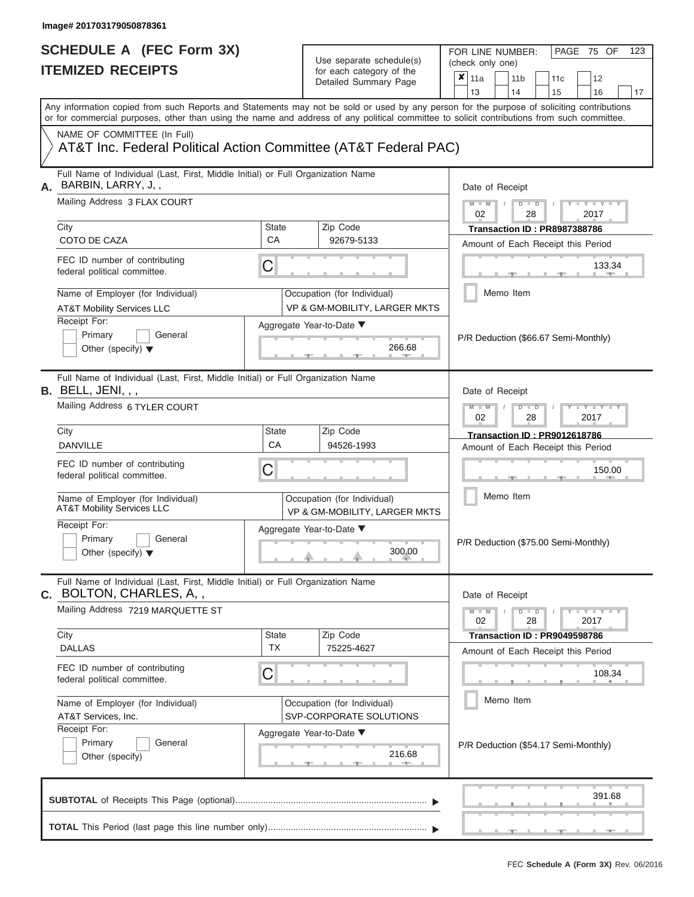# **SCHEDULE A (FEC Form 3X)**

| SCHEDULE A (FEC Form 3X)<br><b>ITEMIZED RECEIPTS</b>                                                                                                                                                                                                                                                                                                                                             |                                | Use separate schedule(s)<br>for each category of the<br>Detailed Summary Page                                                | 123<br>FOR LINE NUMBER:<br>PAGE 75 OF<br>(check only one)<br>$\overline{\mathbf{x}}$   11a<br>11 <sub>b</sub><br>12<br>11 <sub>c</sub>                                                                    |
|--------------------------------------------------------------------------------------------------------------------------------------------------------------------------------------------------------------------------------------------------------------------------------------------------------------------------------------------------------------------------------------------------|--------------------------------|------------------------------------------------------------------------------------------------------------------------------|-----------------------------------------------------------------------------------------------------------------------------------------------------------------------------------------------------------|
| Any information copied from such Reports and Statements may not be sold or used by any person for the purpose of soliciting contributions                                                                                                                                                                                                                                                        |                                |                                                                                                                              | 13<br>14<br>15<br>16<br>17                                                                                                                                                                                |
| or for commercial purposes, other than using the name and address of any political committee to solicit contributions from such committee.<br>NAME OF COMMITTEE (In Full)<br>AT&T Inc. Federal Political Action Committee (AT&T Federal PAC)                                                                                                                                                     |                                |                                                                                                                              |                                                                                                                                                                                                           |
| Full Name of Individual (Last, First, Middle Initial) or Full Organization Name<br>BARBIN, LARRY, J,,<br>А.<br>Mailing Address 3 FLAX COURT<br>City<br>COTO DE CAZA<br>FEC ID number of contributing<br>federal political committee.<br>Name of Employer (for Individual)<br><b>AT&amp;T Mobility Services LLC</b><br>Receipt For:<br>Primary<br>General<br>Other (specify) $\blacktriangledown$ | <b>State</b><br><b>CA</b><br>С | Zip Code<br>92679-5133<br>Occupation (for Individual)<br>VP & GM-MOBILITY, LARGER MKTS<br>Aggregate Year-to-Date ▼<br>266.68 | Date of Receipt<br>$M = M$ /<br>Y TYT<br>$D$ $D$<br>02<br>2017<br>28<br>Transaction ID: PR8987388786<br>Amount of Each Receipt this Period<br>133.34<br>Memo Item<br>P/R Deduction (\$66.67 Semi-Monthly) |
| Full Name of Individual (Last, First, Middle Initial) or Full Organization Name<br><b>B.</b> BELL, JENI, , ,<br>Mailing Address 6 TYLER COURT<br>City                                                                                                                                                                                                                                            | <b>State</b>                   | Zip Code                                                                                                                     | Date of Receipt<br>$M - M$<br>$\blacksquare$ $\blacksquare$ $\blacksquare$ $\blacksquare$ $\blacksquare$ $\blacksquare$<br>$D$ $D$<br>02<br>2017<br>28<br><b>Transaction ID: PR9012618786</b>             |
| <b>DANVILLE</b><br>FEC ID number of contributing<br>federal political committee.<br>Name of Employer (for Individual)<br>AT&T Mobility Services LLC                                                                                                                                                                                                                                              | CA<br>С                        | 94526-1993<br>Occupation (for Individual)<br>VP & GM-MOBILITY, LARGER MKTS                                                   | Amount of Each Receipt this Period<br>150.00<br>Memo Item                                                                                                                                                 |
| Receipt For:<br>Primary<br>General<br>Other (specify) $\blacktriangledown$                                                                                                                                                                                                                                                                                                                       |                                | Aggregate Year-to-Date ▼<br>300.00                                                                                           | P/R Deduction (\$75.00 Semi-Monthly)                                                                                                                                                                      |
| Full Name of Individual (Last, First, Middle Initial) or Full Organization Name<br>BOLTON, CHARLES, A,,<br>C.<br>Mailing Address 7219 MARQUETTE ST                                                                                                                                                                                                                                               |                                |                                                                                                                              | Date of Receipt<br>$M - M$<br>$D$ $D$<br>Y FYLY FY<br>02<br>28<br>2017                                                                                                                                    |
| City<br><b>DALLAS</b><br>FEC ID number of contributing<br>federal political committee.                                                                                                                                                                                                                                                                                                           | <b>State</b><br><b>TX</b><br>С | Zip Code<br>75225-4627                                                                                                       | Transaction ID: PR9049598786<br>Amount of Each Receipt this Period<br>108.34                                                                                                                              |
| Name of Employer (for Individual)<br>AT&T Services, Inc.<br>Receipt For:<br>Primary<br>General<br>Other (specify)                                                                                                                                                                                                                                                                                |                                | Occupation (for Individual)<br>SVP-CORPORATE SOLUTIONS<br>Aggregate Year-to-Date ▼<br>216.68                                 | Memo Item<br>P/R Deduction (\$54.17 Semi-Monthly)                                                                                                                                                         |
|                                                                                                                                                                                                                                                                                                                                                                                                  |                                |                                                                                                                              | 391.68                                                                                                                                                                                                    |
|                                                                                                                                                                                                                                                                                                                                                                                                  |                                |                                                                                                                              | <b>ALC: NO</b>                                                                                                                                                                                            |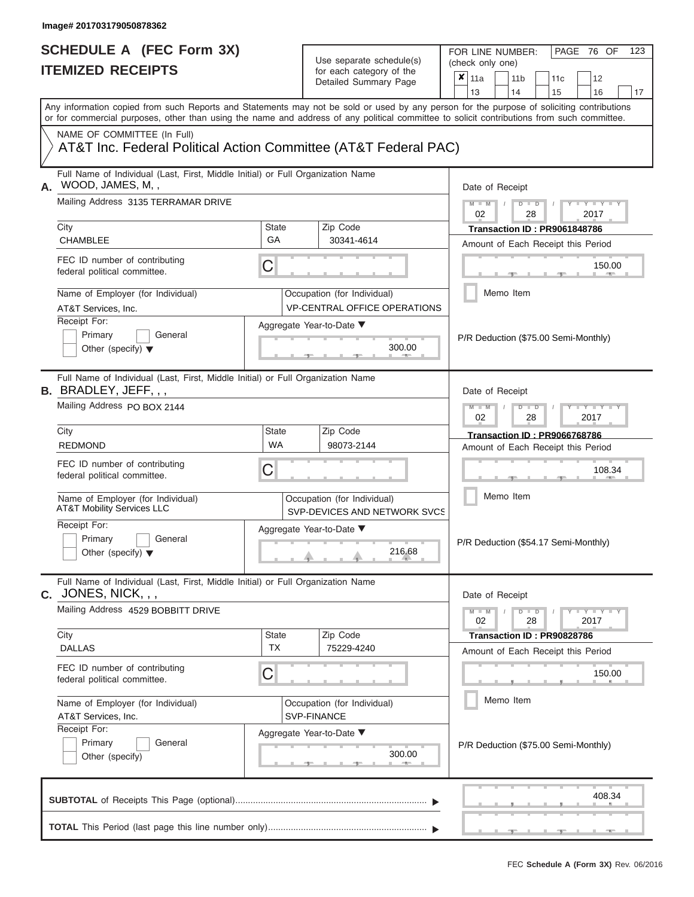# **SCHEDULE A (FEC Form 3X)**

| SCHEDULE A (FEC Form 3X)<br><b>ITEMIZED RECEIPTS</b>                                                                                                                                                                                                                                                     |                                | Use separate schedule(s)<br>for each category of the<br>Detailed Summary Page                | 123<br>FOR LINE NUMBER:<br>PAGE 76 OF<br>(check only one)<br>$\overline{\mathbf{x}}$   11a<br>11 <sub>b</sub><br>11 <sub>c</sub><br>12                                                          |
|----------------------------------------------------------------------------------------------------------------------------------------------------------------------------------------------------------------------------------------------------------------------------------------------------------|--------------------------------|----------------------------------------------------------------------------------------------|-------------------------------------------------------------------------------------------------------------------------------------------------------------------------------------------------|
| Any information copied from such Reports and Statements may not be sold or used by any person for the purpose of soliciting contributions<br>or for commercial purposes, other than using the name and address of any political committee to solicit contributions from such committee.                  |                                |                                                                                              | 13<br>14<br>15<br>16<br>17                                                                                                                                                                      |
| NAME OF COMMITTEE (In Full)<br>AT&T Inc. Federal Political Action Committee (AT&T Federal PAC)                                                                                                                                                                                                           |                                |                                                                                              |                                                                                                                                                                                                 |
| Full Name of Individual (Last, First, Middle Initial) or Full Organization Name<br>WOOD, JAMES, M,,<br>А.<br>Mailing Address 3135 TERRAMAR DRIVE<br>City<br><b>CHAMBLEE</b><br>FEC ID number of contributing<br>federal political committee.<br>Name of Employer (for Individual)<br>AT&T Services, Inc. | State<br>GA<br>C               | Zip Code<br>30341-4614<br>Occupation (for Individual)<br><b>VP-CENTRAL OFFICE OPERATIONS</b> | Date of Receipt<br>$M - M$ /<br>$D$ $D$<br>$Y - Y - I$<br>02<br>28<br>2017<br>Transaction ID: PR9061848786<br>Amount of Each Receipt this Period<br>150.00<br><b>Brita Alberta</b><br>Memo Item |
| Receipt For:<br>Primary<br>General<br>Other (specify) $\blacktriangledown$                                                                                                                                                                                                                               |                                | Aggregate Year-to-Date ▼<br>300.00                                                           | P/R Deduction (\$75.00 Semi-Monthly)                                                                                                                                                            |
| Full Name of Individual (Last, First, Middle Initial) or Full Organization Name<br><b>B.</b> BRADLEY, JEFF, , ,<br>Mailing Address PO BOX 2144<br>City<br><b>REDMOND</b><br>FEC ID number of contributing<br>federal political committee.<br>Name of Employer (for Individual)                           | <b>State</b><br><b>WA</b><br>С | Zip Code<br>98073-2144<br>Occupation (for Individual)                                        | Date of Receipt<br>$M - M$<br>$D$ $D$<br>$+Y+Y+Y$<br>02<br>2017<br>28<br><b>Transaction ID: PR9066768786</b><br>Amount of Each Receipt this Period<br>108.34<br>Memo Item                       |
| AT&T Mobility Services LLC<br>Receipt For:<br>Primary<br>General<br>Other (specify) $\blacktriangledown$                                                                                                                                                                                                 |                                | SVP-DEVICES AND NETWORK SVCS<br>Aggregate Year-to-Date ▼<br>216.68                           | P/R Deduction (\$54.17 Semi-Monthly)                                                                                                                                                            |
| Full Name of Individual (Last, First, Middle Initial) or Full Organization Name<br>c. JONES, NICK, , ,<br>Mailing Address 4529 BOBBITT DRIVE<br>City<br><b>DALLAS</b><br>FEC ID number of contributing<br>federal political committee.                                                                   | State<br><b>TX</b><br>С        | Zip Code<br>75229-4240                                                                       | Date of Receipt<br>$M - M$<br>$D$ $D$<br>$  Y   Y   Y$<br>02<br>28<br>2017<br>Transaction ID: PR90828786<br>Amount of Each Receipt this Period<br>150.00                                        |
| Name of Employer (for Individual)<br>AT&T Services, Inc.<br>Receipt For:<br>Primary<br>General<br>Other (specify)                                                                                                                                                                                        |                                | Occupation (for Individual)<br>SVP-FINANCE<br>Aggregate Year-to-Date ▼<br>300.00<br>$-$      | Memo Item<br>P/R Deduction (\$75.00 Semi-Monthly)                                                                                                                                               |
|                                                                                                                                                                                                                                                                                                          |                                |                                                                                              | 408.34                                                                                                                                                                                          |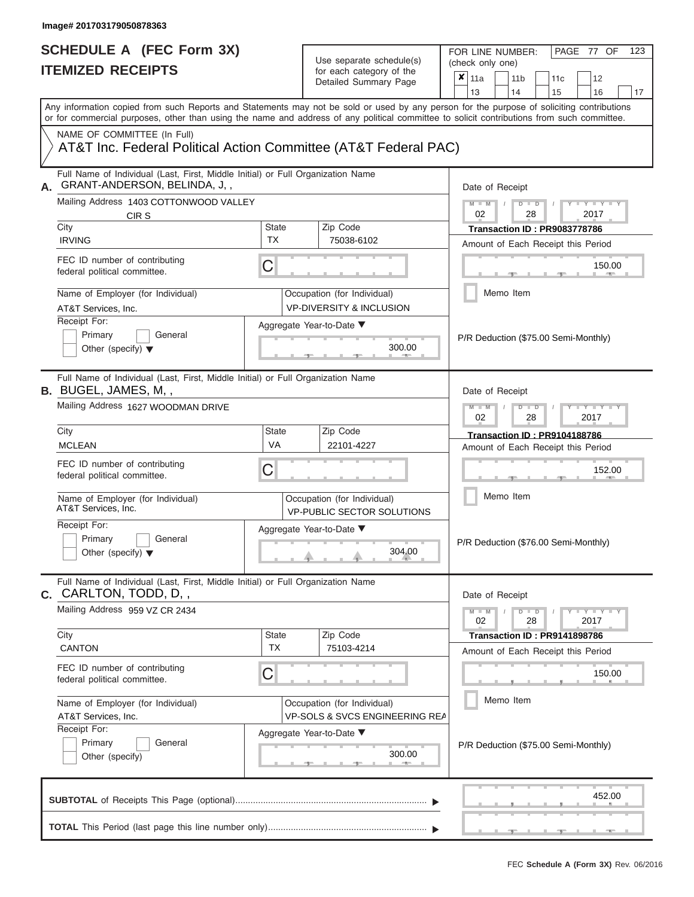| SCHEDULE A (FEC Form 3X)<br><b>ITEMIZED RECEIPTS</b>                                                                                       |                           | Use separate schedule(s)<br>for each category of the<br>Detailed Summary Page | FOR LINE NUMBER:<br>PAGE 77 OF<br>123<br>(check only one)<br>$\overline{\mathbf{x}}$   11a<br>11 <sub>b</sub><br>12<br>11 <sub>c</sub>                                                                              |
|--------------------------------------------------------------------------------------------------------------------------------------------|---------------------------|-------------------------------------------------------------------------------|---------------------------------------------------------------------------------------------------------------------------------------------------------------------------------------------------------------------|
| Any information copied from such Reports and Statements may not be sold or used by any person for the purpose of soliciting contributions  |                           |                                                                               | 13<br>14<br>15<br>16<br>17                                                                                                                                                                                          |
| or for commercial purposes, other than using the name and address of any political committee to solicit contributions from such committee. |                           |                                                                               |                                                                                                                                                                                                                     |
| NAME OF COMMITTEE (In Full)<br>AT&T Inc. Federal Political Action Committee (AT&T Federal PAC)                                             |                           |                                                                               |                                                                                                                                                                                                                     |
| Full Name of Individual (Last, First, Middle Initial) or Full Organization Name<br>GRANT-ANDERSON, BELINDA, J,,                            |                           |                                                                               | Date of Receipt                                                                                                                                                                                                     |
| Mailing Address 1403 COTTONWOOD VALLEY<br>CIR S<br>City                                                                                    | State                     | Zip Code                                                                      | $M - M$ /<br>$D$ $D$<br>$\frac{1}{2}$ $\frac{1}{2}$ $\frac{1}{2}$ $\frac{1}{2}$ $\frac{1}{2}$ $\frac{1}{2}$ $\frac{1}{2}$ $\frac{1}{2}$ $\frac{1}{2}$ $\frac{1}{2}$ $\frac{1}{2}$ $\frac{1}{2}$<br>02<br>2017<br>28 |
| <b>IRVING</b>                                                                                                                              | <b>TX</b>                 | 75038-6102                                                                    | <b>Transaction ID: PR9083778786</b><br>Amount of Each Receipt this Period                                                                                                                                           |
| FEC ID number of contributing<br>federal political committee.                                                                              | C                         |                                                                               | 150.00<br><b>Britannia</b>                                                                                                                                                                                          |
| Name of Employer (for Individual)<br>AT&T Services, Inc.                                                                                   |                           | Occupation (for Individual)<br><b>VP-DIVERSITY &amp; INCLUSION</b>            | Memo Item                                                                                                                                                                                                           |
| Receipt For:<br>Primary<br>General<br>Other (specify) $\blacktriangledown$                                                                 |                           | Aggregate Year-to-Date ▼<br>300.00                                            | P/R Deduction (\$75.00 Semi-Monthly)                                                                                                                                                                                |
| Full Name of Individual (Last, First, Middle Initial) or Full Organization Name<br>B. BUGEL, JAMES, M,,                                    |                           |                                                                               | Date of Receipt                                                                                                                                                                                                     |
| Mailing Address 1627 WOODMAN DRIVE                                                                                                         |                           |                                                                               | $M - M$<br>$D$ $D$<br>$+Y+Y+Y$<br>02<br>2017<br>28                                                                                                                                                                  |
| City<br><b>MCLEAN</b>                                                                                                                      | <b>State</b><br>VA        | Zip Code<br>22101-4227                                                        | Transaction ID: PR9104188786<br>Amount of Each Receipt this Period                                                                                                                                                  |
| FEC ID number of contributing<br>federal political committee.                                                                              | C                         |                                                                               | 152.00                                                                                                                                                                                                              |
| Name of Employer (for Individual)<br>AT&T Services, Inc.                                                                                   |                           | Occupation (for Individual)<br><b>VP-PUBLIC SECTOR SOLUTIONS</b>              | Memo Item                                                                                                                                                                                                           |
| Receipt For:<br>Primary<br>General<br>Other (specify) $\blacktriangledown$                                                                 |                           | Aggregate Year-to-Date ▼<br>304.00                                            | P/R Deduction (\$76.00 Semi-Monthly)                                                                                                                                                                                |
| Full Name of Individual (Last, First, Middle Initial) or Full Organization Name<br><b>c.</b> CARLTON, TODD, D,,                            |                           |                                                                               | Date of Receipt                                                                                                                                                                                                     |
| Mailing Address 959 VZ CR 2434                                                                                                             |                           |                                                                               | $M - M$<br>$D$ $D$<br>$Y - Y - Y - Y - Y$<br>28<br>2017<br>02                                                                                                                                                       |
| City<br><b>CANTON</b>                                                                                                                      | <b>State</b><br><b>TX</b> | Zip Code<br>75103-4214                                                        | Transaction ID: PR9141898786<br>Amount of Each Receipt this Period                                                                                                                                                  |
| FEC ID number of contributing<br>federal political committee.                                                                              | C                         |                                                                               | 150.00                                                                                                                                                                                                              |
| Name of Employer (for Individual)<br>AT&T Services, Inc.                                                                                   |                           | Occupation (for Individual)<br><b>VP-SOLS &amp; SVCS ENGINEERING REA</b>      | Memo Item                                                                                                                                                                                                           |
| Receipt For:<br>Primary<br>General<br>Other (specify)                                                                                      |                           | Aggregate Year-to-Date ▼<br>300.00                                            | P/R Deduction (\$75.00 Semi-Monthly)                                                                                                                                                                                |
|                                                                                                                                            |                           |                                                                               | 452.00                                                                                                                                                                                                              |
|                                                                                                                                            |                           |                                                                               |                                                                                                                                                                                                                     |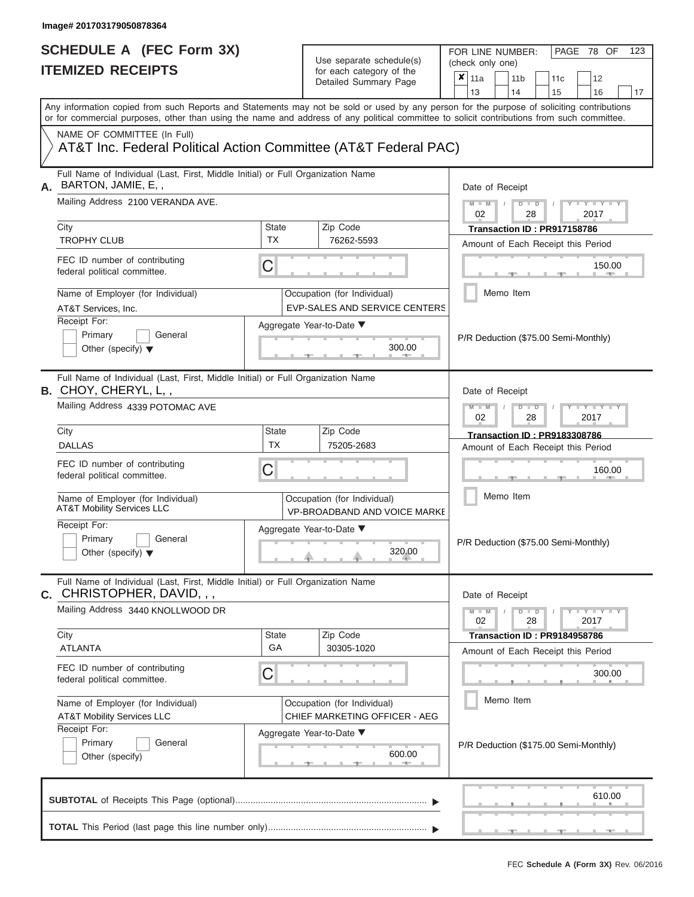FOR LINE NUMBER:<br>(check only one)

PAGE 78 OF 123

|    | IIEMIZEV REVEIFIJ                                                                                                                                                                                                                                                                       |                                                              |                                                                                                            | for each category of the<br>Detailed Summary Page                   | ×                                     | 11a                                                                                |  | 11 <sub>b</sub>                     |               | 11 <sub>c</sub>                      | 12                                   |    |  |
|----|-----------------------------------------------------------------------------------------------------------------------------------------------------------------------------------------------------------------------------------------------------------------------------------------|--------------------------------------------------------------|------------------------------------------------------------------------------------------------------------|---------------------------------------------------------------------|---------------------------------------|------------------------------------------------------------------------------------|--|-------------------------------------|---------------|--------------------------------------|--------------------------------------|----|--|
|    |                                                                                                                                                                                                                                                                                         |                                                              |                                                                                                            |                                                                     |                                       | 13                                                                                 |  | 14                                  |               | 15                                   | 16                                   | 17 |  |
|    | Any information copied from such Reports and Statements may not be sold or used by any person for the purpose of soliciting contributions<br>or for commercial purposes, other than using the name and address of any political committee to solicit contributions from such committee. |                                                              |                                                                                                            |                                                                     |                                       |                                                                                    |  |                                     |               |                                      |                                      |    |  |
|    | NAME OF COMMITTEE (In Full)<br>AT&T Inc. Federal Political Action Committee (AT&T Federal PAC)                                                                                                                                                                                          |                                                              |                                                                                                            |                                                                     |                                       |                                                                                    |  |                                     |               |                                      |                                      |    |  |
| А. | Full Name of Individual (Last, First, Middle Initial) or Full Organization Name<br>BARTON, JAMIE, E.,                                                                                                                                                                                   |                                                              |                                                                                                            |                                                                     |                                       | Date of Receipt                                                                    |  |                                     |               |                                      |                                      |    |  |
|    | Mailing Address 2100 VERANDA AVE.                                                                                                                                                                                                                                                       |                                                              |                                                                                                            |                                                                     |                                       | $M - M$<br>02                                                                      |  |                                     | $D$ $D$<br>28 |                                      | $+Y+Y+Y$<br>2017                     |    |  |
|    | City                                                                                                                                                                                                                                                                                    | State                                                        |                                                                                                            | Zip Code                                                            |                                       |                                                                                    |  |                                     |               | Transaction ID: PR917158786          |                                      |    |  |
|    | <b>TROPHY CLUB</b>                                                                                                                                                                                                                                                                      | <b>TX</b>                                                    |                                                                                                            | 76262-5593                                                          |                                       |                                                                                    |  |                                     |               |                                      | Amount of Each Receipt this Period   |    |  |
|    | FEC ID number of contributing<br>federal political committee.                                                                                                                                                                                                                           | C                                                            |                                                                                                            |                                                                     |                                       |                                                                                    |  |                                     |               |                                      | 150.00                               |    |  |
|    | Name of Employer (for Individual)<br>AT&T Services, Inc.                                                                                                                                                                                                                                |                                                              |                                                                                                            | Occupation (for Individual)<br><b>EVP-SALES AND SERVICE CENTERS</b> |                                       |                                                                                    |  | Memo Item                           |               |                                      |                                      |    |  |
|    | Receipt For:                                                                                                                                                                                                                                                                            |                                                              |                                                                                                            | Aggregate Year-to-Date ▼                                            |                                       |                                                                                    |  |                                     |               |                                      |                                      |    |  |
|    | Primary<br>General<br>Other (specify) $\blacktriangledown$                                                                                                                                                                                                                              |                                                              |                                                                                                            | 300.00                                                              |                                       |                                                                                    |  |                                     |               |                                      | P/R Deduction (\$75.00 Semi-Monthly) |    |  |
|    | Full Name of Individual (Last, First, Middle Initial) or Full Organization Name<br><b>B.</b> CHOY, CHERYL, L,,                                                                                                                                                                          |                                                              |                                                                                                            |                                                                     |                                       | Date of Receipt                                                                    |  |                                     |               |                                      |                                      |    |  |
|    | Mailing Address 4339 POTOMAC AVE                                                                                                                                                                                                                                                        |                                                              | $M - M$<br>$\mathbf{I} = \mathbf{Y} - \mathbf{I} - \mathbf{Y} - \mathbf{I}$<br>$D$ $D$<br>02<br>28<br>2017 |                                                                     |                                       |                                                                                    |  |                                     |               |                                      |                                      |    |  |
|    | City                                                                                                                                                                                                                                                                                    | State                                                        |                                                                                                            |                                                                     |                                       |                                                                                    |  | <b>Transaction ID: PR9183308786</b> |               |                                      |                                      |    |  |
|    | <b>DALLAS</b>                                                                                                                                                                                                                                                                           | <b>TX</b>                                                    | 75205-2683                                                                                                 |                                                                     |                                       |                                                                                    |  |                                     |               | Amount of Each Receipt this Period   |                                      |    |  |
|    | FEC ID number of contributing<br>federal political committee.                                                                                                                                                                                                                           | С                                                            |                                                                                                            |                                                                     |                                       |                                                                                    |  |                                     |               |                                      | 160.00                               |    |  |
|    | Name of Employer (for Individual)<br><b>AT&amp;T Mobility Services LLC</b>                                                                                                                                                                                                              |                                                              |                                                                                                            | Occupation (for Individual)<br><b>VP-BROADBAND AND VOICE MARKE</b>  |                                       |                                                                                    |  | Memo Item                           |               |                                      |                                      |    |  |
|    | Receipt For:<br>Primary<br>General<br>Other (specify) $\blacktriangledown$                                                                                                                                                                                                              |                                                              | Aggregate Year-to-Date ▼<br>320.00                                                                         |                                                                     |                                       |                                                                                    |  |                                     |               | P/R Deduction (\$75.00 Semi-Monthly) |                                      |    |  |
| С. | Full Name of Individual (Last, First, Middle Initial) or Full Organization Name<br>CHRISTOPHER, DAVID, , ,                                                                                                                                                                              |                                                              |                                                                                                            |                                                                     |                                       |                                                                                    |  | Date of Receipt                     |               |                                      |                                      |    |  |
|    | Mailing Address 3440 KNOLLWOOD DR                                                                                                                                                                                                                                                       |                                                              |                                                                                                            |                                                                     |                                       | $M - M$<br>$Y - Y - Y - Y - Y$<br>$D$ $\Box$ $D$<br>$\sqrt{ }$<br>02<br>28<br>2017 |  |                                     |               |                                      |                                      |    |  |
|    | City                                                                                                                                                                                                                                                                                    | State                                                        |                                                                                                            | Zip Code                                                            |                                       |                                                                                    |  |                                     |               | Transaction ID: PR9184958786         |                                      |    |  |
|    | <b>ATLANTA</b>                                                                                                                                                                                                                                                                          | GA                                                           |                                                                                                            | 30305-1020                                                          |                                       |                                                                                    |  |                                     |               |                                      | Amount of Each Receipt this Period   |    |  |
|    | FEC ID number of contributing<br>federal political committee.                                                                                                                                                                                                                           | C                                                            |                                                                                                            |                                                                     |                                       |                                                                                    |  |                                     |               |                                      | 300.00                               |    |  |
|    | Name of Employer (for Individual)<br><b>AT&amp;T Mobility Services LLC</b>                                                                                                                                                                                                              | Occupation (for Individual)<br>CHIEF MARKETING OFFICER - AEG |                                                                                                            |                                                                     |                                       | Memo Item                                                                          |  |                                     |               |                                      |                                      |    |  |
|    | Receipt For:<br>Primary<br>General<br>Other (specify)                                                                                                                                                                                                                                   |                                                              |                                                                                                            | Aggregate Year-to-Date ▼<br>600.00                                  | P/R Deduction (\$175.00 Semi-Monthly) |                                                                                    |  |                                     |               |                                      |                                      |    |  |
|    |                                                                                                                                                                                                                                                                                         |                                                              |                                                                                                            |                                                                     |                                       |                                                                                    |  |                                     |               |                                      | 610.00                               |    |  |
|    |                                                                                                                                                                                                                                                                                         |                                                              |                                                                                                            |                                                                     |                                       |                                                                                    |  |                                     |               |                                      |                                      |    |  |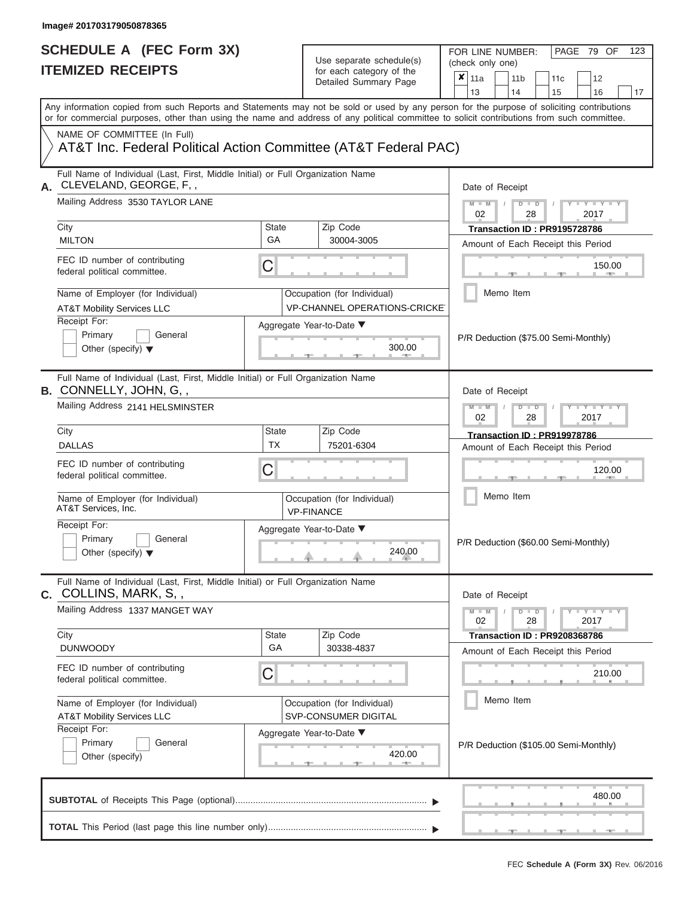FOR LINE NUMBER:<br>(check only one)

PAGE 79 OF 123

|    | IIEMIZED KEUEIPIS                                                                                                                                                                                                                                                                       |                                                                             | for each category of the<br>Detailed Summary Page                   | ×<br>11a<br>12<br>11 <sub>b</sub><br>11c<br>13<br>14<br>15<br>16<br>17                           |  |  |  |  |  |
|----|-----------------------------------------------------------------------------------------------------------------------------------------------------------------------------------------------------------------------------------------------------------------------------------------|-----------------------------------------------------------------------------|---------------------------------------------------------------------|--------------------------------------------------------------------------------------------------|--|--|--|--|--|
|    | Any information copied from such Reports and Statements may not be sold or used by any person for the purpose of soliciting contributions<br>or for commercial purposes, other than using the name and address of any political committee to solicit contributions from such committee. |                                                                             |                                                                     |                                                                                                  |  |  |  |  |  |
|    | NAME OF COMMITTEE (In Full)<br>AT&T Inc. Federal Political Action Committee (AT&T Federal PAC)                                                                                                                                                                                          |                                                                             |                                                                     |                                                                                                  |  |  |  |  |  |
| А. | Full Name of Individual (Last, First, Middle Initial) or Full Organization Name<br>CLEVELAND, GEORGE, F,,                                                                                                                                                                               |                                                                             |                                                                     | Date of Receipt                                                                                  |  |  |  |  |  |
|    | Mailing Address 3530 TAYLOR LANE<br>City                                                                                                                                                                                                                                                | <b>State</b>                                                                | Zip Code                                                            | $M - M$<br>$D$ $\Box$ $D$<br>$T - Y = T - Y$<br>02<br>28<br>2017<br>Transaction ID: PR9195728786 |  |  |  |  |  |
|    | <b>MILTON</b>                                                                                                                                                                                                                                                                           | GA                                                                          | 30004-3005                                                          | Amount of Each Receipt this Period                                                               |  |  |  |  |  |
|    | FEC ID number of contributing<br>federal political committee.                                                                                                                                                                                                                           | C                                                                           |                                                                     | 150.00                                                                                           |  |  |  |  |  |
|    | Name of Employer (for Individual)<br><b>AT&amp;T Mobility Services LLC</b>                                                                                                                                                                                                              |                                                                             | Occupation (for Individual)<br><b>VP-CHANNEL OPERATIONS-CRICKET</b> | Memo Item                                                                                        |  |  |  |  |  |
|    | Receipt For:<br>Primary<br>General<br>Other (specify) $\blacktriangledown$                                                                                                                                                                                                              |                                                                             | Aggregate Year-to-Date ▼<br>300.00                                  | P/R Deduction (\$75.00 Semi-Monthly)                                                             |  |  |  |  |  |
|    | Full Name of Individual (Last, First, Middle Initial) or Full Organization Name<br><b>B.</b> CONNELLY, JOHN, G,,                                                                                                                                                                        |                                                                             | Date of Receipt                                                     |                                                                                                  |  |  |  |  |  |
|    | Mailing Address 2141 HELSMINSTER                                                                                                                                                                                                                                                        | $M - M$<br><b>TEXT TEXT</b><br>$D$ $D$<br>02<br>28<br>2017                  |                                                                     |                                                                                                  |  |  |  |  |  |
|    | City<br><b>DALLAS</b>                                                                                                                                                                                                                                                                   | <b>State</b><br><b>TX</b>                                                   | Zip Code<br>75201-6304                                              | Transaction ID: PR919978786<br>Amount of Each Receipt this Period                                |  |  |  |  |  |
|    | FEC ID number of contributing<br>federal political committee.                                                                                                                                                                                                                           | 120.00                                                                      |                                                                     |                                                                                                  |  |  |  |  |  |
|    | Name of Employer (for Individual)<br>AT&T Services, Inc.                                                                                                                                                                                                                                |                                                                             | Occupation (for Individual)<br><b>VP-FINANCE</b>                    | Memo Item                                                                                        |  |  |  |  |  |
|    | Receipt For:<br>Primary<br>General<br>Other (specify) $\blacktriangledown$                                                                                                                                                                                                              |                                                                             | Aggregate Year-to-Date ▼<br>240.00                                  | P/R Deduction (\$60.00 Semi-Monthly)                                                             |  |  |  |  |  |
|    | Full Name of Individual (Last, First, Middle Initial) or Full Organization Name<br><b>c.</b> COLLINS, MARK, S, ,                                                                                                                                                                        |                                                                             |                                                                     | Date of Receipt                                                                                  |  |  |  |  |  |
|    | Mailing Address 1337 MANGET WAY                                                                                                                                                                                                                                                         | $Y - Y - Y - Y - Y$<br>$M - M$<br>$D$ $D$<br>$\sqrt{2}$<br>02<br>28<br>2017 |                                                                     |                                                                                                  |  |  |  |  |  |
|    | City<br><b>DUNWOODY</b>                                                                                                                                                                                                                                                                 | State<br>GA                                                                 | Zip Code<br>30338-4837                                              | <b>Transaction ID: PR9208368786</b><br>Amount of Each Receipt this Period                        |  |  |  |  |  |
|    | FEC ID number of contributing<br>federal political committee.                                                                                                                                                                                                                           | C                                                                           |                                                                     | 210.00                                                                                           |  |  |  |  |  |
|    | Name of Employer (for Individual)<br><b>AT&amp;T Mobility Services LLC</b>                                                                                                                                                                                                              |                                                                             | Occupation (for Individual)<br>SVP-CONSUMER DIGITAL                 | Memo Item                                                                                        |  |  |  |  |  |
|    | Receipt For:<br>Primary<br>General<br>Other (specify)                                                                                                                                                                                                                                   |                                                                             | Aggregate Year-to-Date ▼<br>420.00<br><b>STATE</b>                  | P/R Deduction (\$105.00 Semi-Monthly)                                                            |  |  |  |  |  |
|    |                                                                                                                                                                                                                                                                                         |                                                                             |                                                                     | 480.00                                                                                           |  |  |  |  |  |
|    |                                                                                                                                                                                                                                                                                         |                                                                             |                                                                     |                                                                                                  |  |  |  |  |  |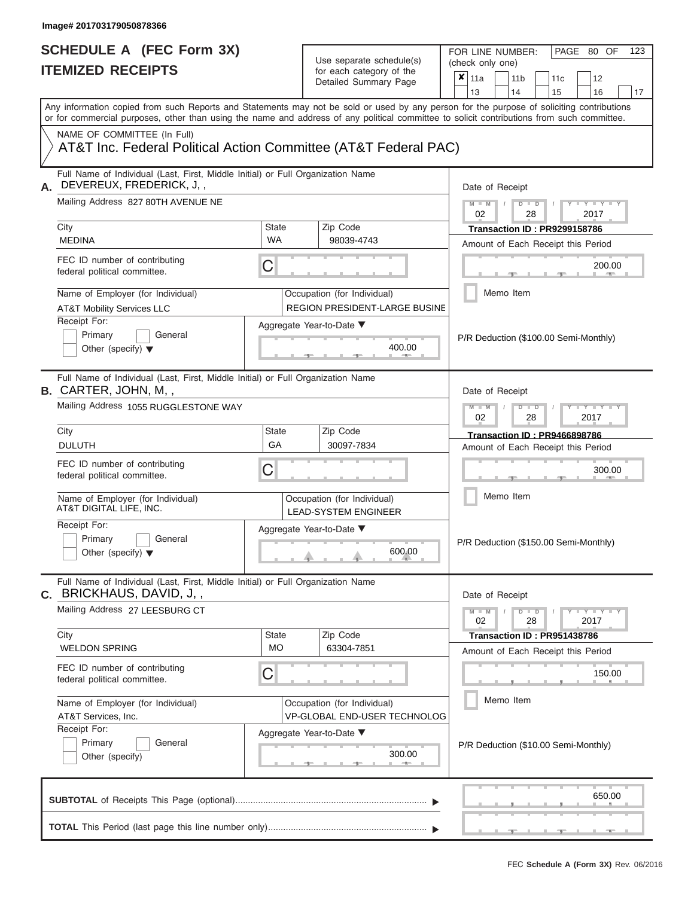FOR LINE NUMBER:<br>(check only one)

PAGE 80 OF 123

|                                                                                                                                                                                                                                                                                         |                           |  | Detailed Summary Page                                               | x | 11a                                                          |           | 11 <sub>b</sub> |               | 11c                                 |  | 12           |    |  |  |
|-----------------------------------------------------------------------------------------------------------------------------------------------------------------------------------------------------------------------------------------------------------------------------------------|---------------------------|--|---------------------------------------------------------------------|---|--------------------------------------------------------------|-----------|-----------------|---------------|-------------------------------------|--|--------------|----|--|--|
|                                                                                                                                                                                                                                                                                         |                           |  |                                                                     |   | 13                                                           |           | 14              |               | 15                                  |  | 16           | 17 |  |  |
| Any information copied from such Reports and Statements may not be sold or used by any person for the purpose of soliciting contributions<br>or for commercial purposes, other than using the name and address of any political committee to solicit contributions from such committee. |                           |  |                                                                     |   |                                                              |           |                 |               |                                     |  |              |    |  |  |
| NAME OF COMMITTEE (In Full)<br>AT&T Inc. Federal Political Action Committee (AT&T Federal PAC)                                                                                                                                                                                          |                           |  |                                                                     |   |                                                              |           |                 |               |                                     |  |              |    |  |  |
| Full Name of Individual (Last, First, Middle Initial) or Full Organization Name<br>DEVEREUX, FREDERICK, J,,                                                                                                                                                                             |                           |  |                                                                     |   | Date of Receipt                                              |           |                 |               |                                     |  |              |    |  |  |
| Mailing Address 827 80TH AVENUE NE                                                                                                                                                                                                                                                      |                           |  |                                                                     |   | $M - M$<br>$D$ $D$<br>02<br>28<br>2017                       |           |                 |               |                                     |  |              |    |  |  |
| City<br><b>MEDINA</b>                                                                                                                                                                                                                                                                   | State<br><b>WA</b>        |  | Zip Code<br>98039-4743                                              |   | Amount of Each Receipt this Period                           |           |                 |               | Transaction ID: PR9299158786        |  |              |    |  |  |
| FEC ID number of contributing<br>federal political committee.                                                                                                                                                                                                                           | С                         |  |                                                                     |   |                                                              |           |                 |               |                                     |  | 200.00       |    |  |  |
| Name of Employer (for Individual)<br><b>AT&amp;T Mobility Services LLC</b>                                                                                                                                                                                                              |                           |  | Occupation (for Individual)<br><b>REGION PRESIDENT-LARGE BUSINE</b> |   |                                                              | Memo Item |                 |               |                                     |  |              |    |  |  |
| Receipt For:<br>Primary<br>General<br>Other (specify) $\blacktriangledown$                                                                                                                                                                                                              |                           |  | Aggregate Year-to-Date ▼<br>400.00                                  |   | P/R Deduction (\$100.00 Semi-Monthly)                        |           |                 |               |                                     |  |              |    |  |  |
| Full Name of Individual (Last, First, Middle Initial) or Full Organization Name<br><b>B.</b> CARTER, JOHN, M,,                                                                                                                                                                          |                           |  |                                                                     |   | Date of Receipt                                              |           |                 |               |                                     |  |              |    |  |  |
| Mailing Address 1055 RUGGLESTONE WAY                                                                                                                                                                                                                                                    |                           |  |                                                                     |   |                                                              |           |                 | $D$ $D$<br>28 |                                     |  | $-Y$<br>2017 |    |  |  |
| City<br><b>DULUTH</b>                                                                                                                                                                                                                                                                   | <b>State</b><br>GA        |  | Zip Code<br>30097-7834                                              |   | Amount of Each Receipt this Period                           |           |                 |               | <b>Transaction ID: PR9466898786</b> |  |              |    |  |  |
| FEC ID number of contributing<br>federal political committee.                                                                                                                                                                                                                           | С                         |  |                                                                     |   |                                                              |           |                 |               |                                     |  | 300.00       |    |  |  |
| Name of Employer (for Individual)<br>AT&T DIGITAL LIFE, INC.                                                                                                                                                                                                                            |                           |  | Occupation (for Individual)<br><b>LEAD-SYSTEM ENGINEER</b>          |   |                                                              | Memo Item |                 |               |                                     |  |              |    |  |  |
| Receipt For:<br>Primary<br>General<br>Other (specify) $\blacktriangledown$                                                                                                                                                                                                              |                           |  | Aggregate Year-to-Date ▼<br>600.00                                  |   | P/R Deduction (\$150.00 Semi-Monthly)                        |           |                 |               |                                     |  |              |    |  |  |
| Full Name of Individual (Last, First, Middle Initial) or Full Organization Name<br>C. BRICKHAUS, DAVID, J,,                                                                                                                                                                             |                           |  |                                                                     |   | Date of Receipt                                              |           |                 |               |                                     |  |              |    |  |  |
| Mailing Address 27 LEESBURG CT                                                                                                                                                                                                                                                          |                           |  |                                                                     |   | $M - M$<br>$D$ $\Box$ $D$<br>$Y - Y - Y$<br>2017<br>02<br>28 |           |                 |               |                                     |  |              |    |  |  |
| City<br><b>WELDON SPRING</b>                                                                                                                                                                                                                                                            | <b>State</b><br><b>MO</b> |  | Zip Code<br>63304-7851                                              |   | Amount of Each Receipt this Period                           |           |                 |               | Transaction ID: PR951438786         |  |              |    |  |  |
| FEC ID number of contributing<br>federal political committee.                                                                                                                                                                                                                           | С                         |  |                                                                     |   |                                                              |           |                 |               |                                     |  | 150.00       |    |  |  |
| Name of Employer (for Individual)<br>AT&T Services, Inc.                                                                                                                                                                                                                                |                           |  | Occupation (for Individual)<br><b>VP-GLOBAL END-USER TECHNOLOG</b>  |   |                                                              | Memo Item |                 |               |                                     |  |              |    |  |  |
| Receipt For:<br>Primary<br>General<br>Other (specify)                                                                                                                                                                                                                                   |                           |  | Aggregate Year-to-Date ▼<br>300.00                                  |   | P/R Deduction (\$10.00 Semi-Monthly)                         |           |                 |               |                                     |  |              |    |  |  |
|                                                                                                                                                                                                                                                                                         |                           |  |                                                                     |   |                                                              |           |                 |               |                                     |  |              |    |  |  |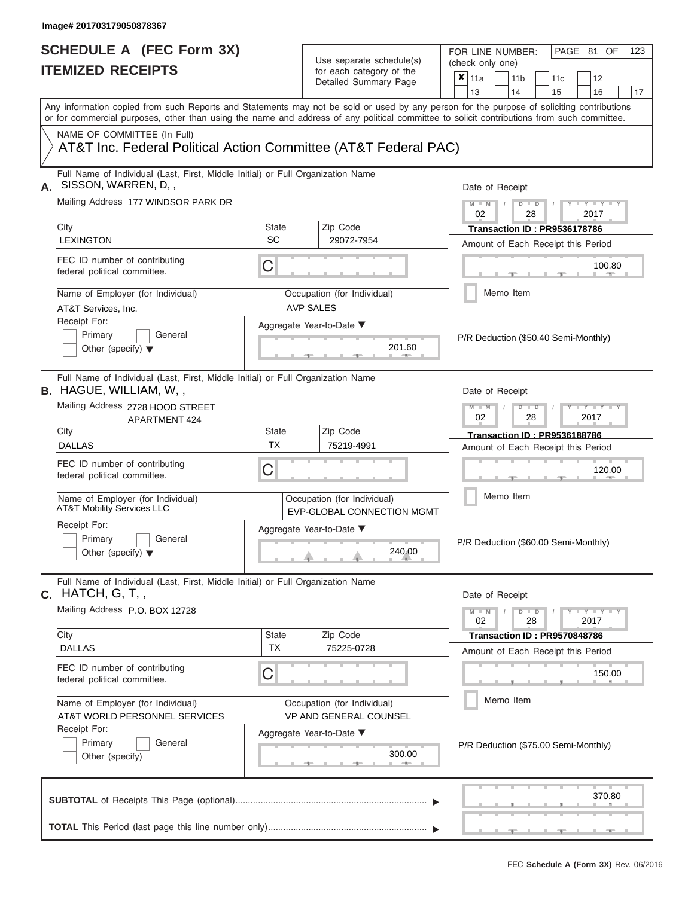FOR LINE NUMBER:<br>(check only one)

PAGE 81 OF 123

|    | IIEMIZEU REVEIFIJ                                                                                                                                                                                                                                                                       |                                         | for each category of the<br>Detailed Summary Page | ×<br>11a<br>11 <sub>b</sub><br>12<br>11c                      |
|----|-----------------------------------------------------------------------------------------------------------------------------------------------------------------------------------------------------------------------------------------------------------------------------------------|-----------------------------------------|---------------------------------------------------|---------------------------------------------------------------|
|    |                                                                                                                                                                                                                                                                                         |                                         |                                                   | 13<br>14<br>15<br>16<br>17                                    |
|    | Any information copied from such Reports and Statements may not be sold or used by any person for the purpose of soliciting contributions<br>or for commercial purposes, other than using the name and address of any political committee to solicit contributions from such committee. |                                         |                                                   |                                                               |
|    | NAME OF COMMITTEE (In Full)<br>AT&T Inc. Federal Political Action Committee (AT&T Federal PAC)                                                                                                                                                                                          |                                         |                                                   |                                                               |
| А. | Full Name of Individual (Last, First, Middle Initial) or Full Organization Name<br>SISSON, WARREN, D,,                                                                                                                                                                                  |                                         |                                                   | Date of Receipt                                               |
|    | Mailing Address 177 WINDSOR PARK DR                                                                                                                                                                                                                                                     |                                         |                                                   | $M - M$<br>$T - Y = Y - T$<br>$D$ $D$<br>02<br>28<br>2017     |
|    | City                                                                                                                                                                                                                                                                                    | <b>State</b><br>SC                      | Zip Code                                          | Transaction ID: PR9536178786                                  |
|    | <b>LEXINGTON</b>                                                                                                                                                                                                                                                                        |                                         | 29072-7954                                        | Amount of Each Receipt this Period                            |
|    | FEC ID number of contributing<br>federal political committee.                                                                                                                                                                                                                           | 100.80                                  |                                                   |                                                               |
|    | Name of Employer (for Individual)<br>AT&T Services, Inc.                                                                                                                                                                                                                                |                                         | Occupation (for Individual)<br><b>AVP SALES</b>   | Memo Item                                                     |
|    | Receipt For:                                                                                                                                                                                                                                                                            |                                         | Aggregate Year-to-Date ▼                          |                                                               |
|    | Primary<br>General<br>Other (specify) $\blacktriangledown$                                                                                                                                                                                                                              |                                         | 201.60                                            | P/R Deduction (\$50.40 Semi-Monthly)                          |
|    | Full Name of Individual (Last, First, Middle Initial) or Full Organization Name<br>$B.$ HAGUE, WILLIAM, W,,                                                                                                                                                                             |                                         |                                                   | Date of Receipt                                               |
|    | Mailing Address 2728 HOOD STREET<br>APARTMENT 424                                                                                                                                                                                                                                       |                                         |                                                   | $M - M$<br>$T - Y - T - Y - T$<br>$D$ $D$<br>02<br>28<br>2017 |
|    | City                                                                                                                                                                                                                                                                                    | State                                   | Zip Code                                          | <b>Transaction ID: PR9536188786</b>                           |
|    | <b>DALLAS</b>                                                                                                                                                                                                                                                                           | <b>TX</b>                               | 75219-4991                                        | Amount of Each Receipt this Period                            |
|    | FEC ID number of contributing<br>federal political committee.                                                                                                                                                                                                                           | 120.00                                  |                                                   |                                                               |
|    | Name of Employer (for Individual)<br><b>AT&amp;T Mobility Services LLC</b>                                                                                                                                                                                                              | Memo Item<br>EVP-GLOBAL CONNECTION MGMT |                                                   |                                                               |
|    | Receipt For:<br>Primary<br>General<br>Other (specify) $\blacktriangledown$                                                                                                                                                                                                              |                                         | Aggregate Year-to-Date ▼<br>240.00                | P/R Deduction (\$60.00 Semi-Monthly)                          |
|    | Full Name of Individual (Last, First, Middle Initial) or Full Organization Name<br><b>с.</b> НАТСН, G, T, ,                                                                                                                                                                             |                                         |                                                   | Date of Receipt                                               |
|    | Mailing Address P.O. BOX 12728                                                                                                                                                                                                                                                          |                                         |                                                   | $Y - Y - Y - Y - Y$<br>$M - M$<br>$D$ $D$<br>02<br>28<br>2017 |
|    | City                                                                                                                                                                                                                                                                                    | <b>State</b>                            | Zip Code                                          | Transaction ID: PR9570848786                                  |
|    | <b>DALLAS</b>                                                                                                                                                                                                                                                                           | <b>TX</b>                               | 75225-0728                                        | Amount of Each Receipt this Period                            |
|    | FEC ID number of contributing<br>federal political committee.                                                                                                                                                                                                                           | С                                       |                                                   | 150.00                                                        |
|    | Name of Employer (for Individual)                                                                                                                                                                                                                                                       |                                         | Occupation (for Individual)                       | Memo Item                                                     |
|    | AT&T WORLD PERSONNEL SERVICES                                                                                                                                                                                                                                                           |                                         | <b>VP AND GENERAL COUNSEL</b>                     |                                                               |
|    | Receipt For:                                                                                                                                                                                                                                                                            |                                         | Aggregate Year-to-Date ▼                          |                                                               |
|    | Primary<br>General<br>Other (specify)                                                                                                                                                                                                                                                   |                                         | 300.00<br>$-$                                     | P/R Deduction (\$75.00 Semi-Monthly)                          |
|    |                                                                                                                                                                                                                                                                                         |                                         |                                                   | 370.80                                                        |
|    |                                                                                                                                                                                                                                                                                         |                                         |                                                   |                                                               |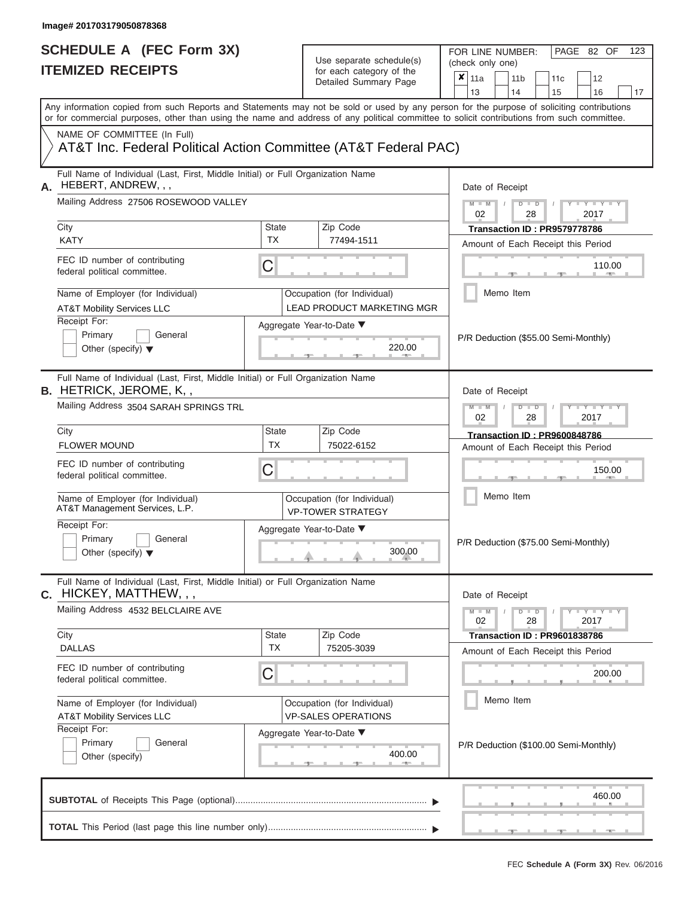| SCHEDULE A (FEC Form 3X)<br><b>ITEMIZED RECEIPTS</b>                                                                                       |                           | Use separate schedule(s)<br>for each category of the             | FOR LINE NUMBER:<br>PAGE 82 OF<br>123<br>(check only one)                                                                                 |  |  |  |  |  |
|--------------------------------------------------------------------------------------------------------------------------------------------|---------------------------|------------------------------------------------------------------|-------------------------------------------------------------------------------------------------------------------------------------------|--|--|--|--|--|
|                                                                                                                                            |                           | Detailed Summary Page                                            | $\boldsymbol{\mathsf{x}}$<br>11a<br>11 <sub>b</sub><br>12<br>11c<br>13<br>14<br>15<br>16<br>17                                            |  |  |  |  |  |
| or for commercial purposes, other than using the name and address of any political committee to solicit contributions from such committee. |                           |                                                                  | Any information copied from such Reports and Statements may not be sold or used by any person for the purpose of soliciting contributions |  |  |  |  |  |
| NAME OF COMMITTEE (In Full)<br>AT&T Inc. Federal Political Action Committee (AT&T Federal PAC)                                             |                           |                                                                  |                                                                                                                                           |  |  |  |  |  |
| Full Name of Individual (Last, First, Middle Initial) or Full Organization Name<br>HEBERT, ANDREW, , ,<br>Α.                               |                           |                                                                  | Date of Receipt                                                                                                                           |  |  |  |  |  |
| Mailing Address 27506 ROSEWOOD VALLEY<br>City                                                                                              | <b>State</b>              | Zip Code                                                         | $M - M$ /<br>$D$ $D$<br>$T - Y = T - Y$<br>02<br>28<br>2017<br>Transaction ID: PR9579778786                                               |  |  |  |  |  |
| <b>KATY</b>                                                                                                                                | <b>TX</b>                 | 77494-1511                                                       | Amount of Each Receipt this Period                                                                                                        |  |  |  |  |  |
| FEC ID number of contributing<br>federal political committee.                                                                              | C                         |                                                                  | 110.00<br><b>1. 400</b>                                                                                                                   |  |  |  |  |  |
| Name of Employer (for Individual)<br><b>AT&amp;T Mobility Services LLC</b>                                                                 |                           | Occupation (for Individual)<br><b>LEAD PRODUCT MARKETING MGR</b> | Memo Item                                                                                                                                 |  |  |  |  |  |
| Receipt For:<br>Primary<br>General<br>Other (specify) $\blacktriangledown$                                                                 |                           | Aggregate Year-to-Date ▼<br>220.00<br><b>Britannia</b>           | P/R Deduction (\$55.00 Semi-Monthly)                                                                                                      |  |  |  |  |  |
| Full Name of Individual (Last, First, Middle Initial) or Full Organization Name<br><b>B. HETRICK, JEROME, K,,</b>                          | Date of Receipt           |                                                                  |                                                                                                                                           |  |  |  |  |  |
| Mailing Address 3504 SARAH SPRINGS TRL                                                                                                     |                           |                                                                  | $M - M$<br>$D$ $D$<br>$\blacksquare \blacksquare Y \blacksquare \blacksquare Y \blacksquare \blacksquare$<br>02<br>2017<br>28             |  |  |  |  |  |
| City<br><b>FLOWER MOUND</b>                                                                                                                | <b>State</b><br><b>TX</b> | Zip Code<br>75022-6152                                           | <b>Transaction ID: PR9600848786</b>                                                                                                       |  |  |  |  |  |
| FEC ID number of contributing<br>federal political committee.                                                                              | C                         |                                                                  | Amount of Each Receipt this Period<br>150.00                                                                                              |  |  |  |  |  |
| Name of Employer (for Individual)<br>AT&T Management Services, L.P.                                                                        |                           | Occupation (for Individual)<br><b>VP-TOWER STRATEGY</b>          | Memo Item                                                                                                                                 |  |  |  |  |  |
| Receipt For:<br>Primary<br>General<br>Other (specify) $\blacktriangledown$                                                                 |                           | Aggregate Year-to-Date ▼<br>300.00                               | P/R Deduction (\$75.00 Semi-Monthly)                                                                                                      |  |  |  |  |  |
| Full Name of Individual (Last, First, Middle Initial) or Full Organization Name<br>C. HICKEY, MATTHEW, , ,                                 |                           |                                                                  | Date of Receipt                                                                                                                           |  |  |  |  |  |
| Mailing Address 4532 BELCLAIRE AVE                                                                                                         |                           |                                                                  | $M - M$<br>$D$ $D$<br>Y - Y - Y - Y<br>02<br>28<br>2017                                                                                   |  |  |  |  |  |
| City<br><b>DALLAS</b>                                                                                                                      | <b>State</b><br><b>TX</b> | Zip Code<br>75205-3039                                           | <b>Transaction ID: PR9601838786</b><br>Amount of Each Receipt this Period                                                                 |  |  |  |  |  |
| FEC ID number of contributing<br>federal political committee.                                                                              | C                         |                                                                  | 200.00                                                                                                                                    |  |  |  |  |  |
| Name of Employer (for Individual)<br><b>AT&amp;T Mobility Services LLC</b>                                                                 |                           | Occupation (for Individual)<br><b>VP-SALES OPERATIONS</b>        | Memo Item                                                                                                                                 |  |  |  |  |  |
| Receipt For:<br>Primary<br>General<br>Other (specify)                                                                                      |                           | Aggregate Year-to-Date ▼<br>400.00<br>$-1$                       | P/R Deduction (\$100.00 Semi-Monthly)                                                                                                     |  |  |  |  |  |
|                                                                                                                                            |                           |                                                                  |                                                                                                                                           |  |  |  |  |  |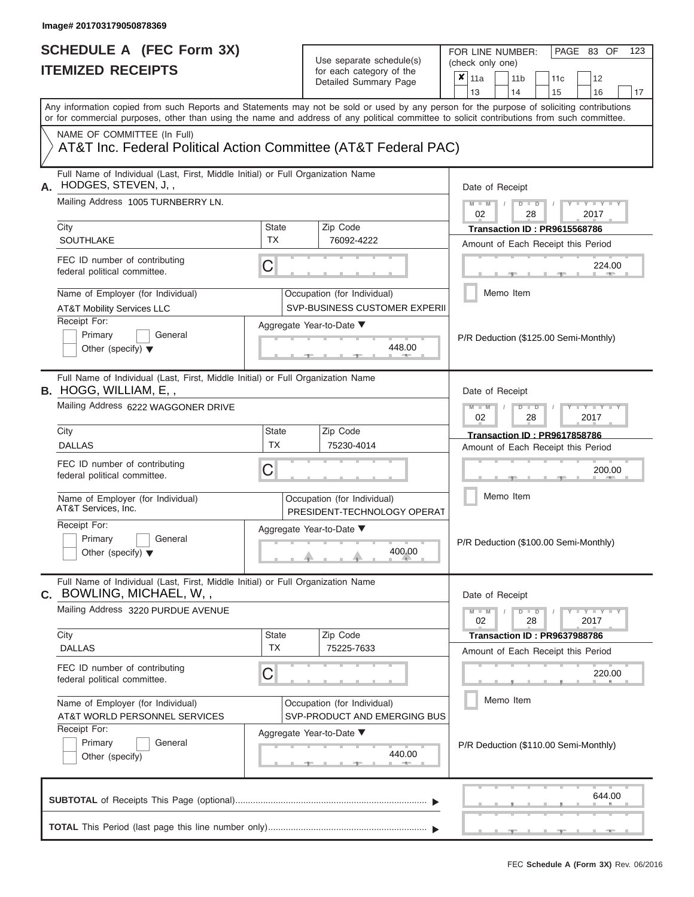FOR LINE NUMBER:<br>(check only one)

PAGE 83 OF 123

| IIEMIZED KEUEIPIS                                                                                               |                                                            | for each category of the<br>Detailed Summary Page                   | ×<br>12<br>11a<br>11 <sub>b</sub><br>11 <sub>c</sub>                                                                                                                                                                                                                                                                  |  |  |  |  |  |  |
|-----------------------------------------------------------------------------------------------------------------|------------------------------------------------------------|---------------------------------------------------------------------|-----------------------------------------------------------------------------------------------------------------------------------------------------------------------------------------------------------------------------------------------------------------------------------------------------------------------|--|--|--|--|--|--|
|                                                                                                                 |                                                            |                                                                     | 13<br>14<br>15<br>16<br>17<br>Any information copied from such Reports and Statements may not be sold or used by any person for the purpose of soliciting contributions<br>or for commercial purposes, other than using the name and address of any political committee to solicit contributions from such committee. |  |  |  |  |  |  |
| NAME OF COMMITTEE (In Full)<br>AT&T Inc. Federal Political Action Committee (AT&T Federal PAC)                  |                                                            |                                                                     |                                                                                                                                                                                                                                                                                                                       |  |  |  |  |  |  |
| Full Name of Individual (Last, First, Middle Initial) or Full Organization Name<br>HODGES, STEVEN, J,,<br>А.    |                                                            | Date of Receipt                                                     |                                                                                                                                                                                                                                                                                                                       |  |  |  |  |  |  |
| Mailing Address 1005 TURNBERRY LN.                                                                              |                                                            |                                                                     | $M - M$<br>$D$ $\Box$ $D$<br>$\mathbf{I} = \mathbf{Y} - \mathbf{I} - \mathbf{Y} - \mathbf{I}$<br>02<br>28<br>2017                                                                                                                                                                                                     |  |  |  |  |  |  |
| City<br>SOUTHLAKE                                                                                               | State<br><b>TX</b>                                         | Zip Code<br>76092-4222                                              | Transaction ID: PR9615568786                                                                                                                                                                                                                                                                                          |  |  |  |  |  |  |
| FEC ID number of contributing                                                                                   |                                                            |                                                                     | Amount of Each Receipt this Period<br>224.00                                                                                                                                                                                                                                                                          |  |  |  |  |  |  |
| federal political committee.                                                                                    | $\mathsf C$                                                |                                                                     |                                                                                                                                                                                                                                                                                                                       |  |  |  |  |  |  |
| Name of Employer (for Individual)<br><b>AT&amp;T Mobility Services LLC</b>                                      |                                                            | Occupation (for Individual)<br><b>SVP-BUSINESS CUSTOMER EXPERII</b> | Memo Item                                                                                                                                                                                                                                                                                                             |  |  |  |  |  |  |
| Receipt For:<br>Primary<br>General<br>Other (specify) $\blacktriangledown$                                      |                                                            | Aggregate Year-to-Date ▼<br>448.00                                  | P/R Deduction (\$125.00 Semi-Monthly)                                                                                                                                                                                                                                                                                 |  |  |  |  |  |  |
| Full Name of Individual (Last, First, Middle Initial) or Full Organization Name<br><b>B.</b> HOGG, WILLIAM, E,, | Date of Receipt                                            |                                                                     |                                                                                                                                                                                                                                                                                                                       |  |  |  |  |  |  |
| Mailing Address 6222 WAGGONER DRIVE                                                                             |                                                            |                                                                     | $M - M$<br>$T - Y = T - Y$<br>$D$ $D$<br>02<br>28<br>2017                                                                                                                                                                                                                                                             |  |  |  |  |  |  |
| City<br><b>DALLAS</b>                                                                                           | State<br><b>TX</b>                                         | Zip Code<br>75230-4014                                              | <b>Transaction ID: PR9617858786</b><br>Amount of Each Receipt this Period                                                                                                                                                                                                                                             |  |  |  |  |  |  |
| FEC ID number of contributing<br>federal political committee.                                                   | C                                                          |                                                                     | 200.00                                                                                                                                                                                                                                                                                                                |  |  |  |  |  |  |
| Name of Employer (for Individual)<br>AT&T Services, Inc.                                                        | Occupation (for Individual)<br>PRESIDENT-TECHNOLOGY OPERAT | Memo Item                                                           |                                                                                                                                                                                                                                                                                                                       |  |  |  |  |  |  |
| Receipt For:<br>Primary<br>General<br>Other (specify) $\blacktriangledown$                                      |                                                            | Aggregate Year-to-Date ▼<br>400.00                                  | P/R Deduction (\$100.00 Semi-Monthly)                                                                                                                                                                                                                                                                                 |  |  |  |  |  |  |
| Full Name of Individual (Last, First, Middle Initial) or Full Organization Name<br>C. BOWLING, MICHAEL, W.,     |                                                            |                                                                     | Date of Receipt                                                                                                                                                                                                                                                                                                       |  |  |  |  |  |  |
| Mailing Address 3220 PURDUE AVENUE                                                                              |                                                            |                                                                     | $-1$ $ Y$ $-1$ $ Y$ $-1$ $ Y$<br>$M - M$<br>$D$ $D$<br>Ÿ<br>$\sqrt{2}$<br>02<br>28<br>2017                                                                                                                                                                                                                            |  |  |  |  |  |  |
| City<br><b>DALLAS</b>                                                                                           | State<br><b>TX</b>                                         | Zip Code<br>75225-7633                                              | Transaction ID: PR9637988786<br>Amount of Each Receipt this Period                                                                                                                                                                                                                                                    |  |  |  |  |  |  |
| FEC ID number of contributing<br>federal political committee.                                                   | C                                                          |                                                                     | 220.00                                                                                                                                                                                                                                                                                                                |  |  |  |  |  |  |
| Name of Employer (for Individual)<br>AT&T WORLD PERSONNEL SERVICES                                              |                                                            | Occupation (for Individual)<br>SVP-PRODUCT AND EMERGING BUS         | Memo Item                                                                                                                                                                                                                                                                                                             |  |  |  |  |  |  |
| Receipt For:<br>Primary<br>General<br>Other (specify)                                                           |                                                            | Aggregate Year-to-Date ▼<br>440.00                                  | P/R Deduction (\$110.00 Semi-Monthly)                                                                                                                                                                                                                                                                                 |  |  |  |  |  |  |
|                                                                                                                 |                                                            |                                                                     | 644.00                                                                                                                                                                                                                                                                                                                |  |  |  |  |  |  |
|                                                                                                                 |                                                            |                                                                     |                                                                                                                                                                                                                                                                                                                       |  |  |  |  |  |  |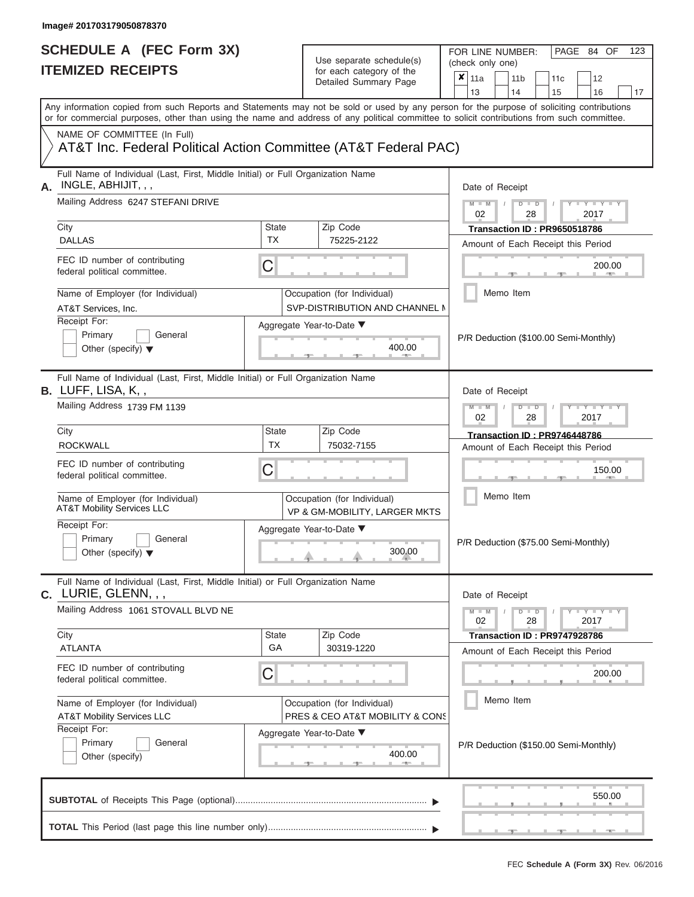| Detailed Summary Page<br>Any information copied from such Reports and Statements may not be sold or used by any person for the purpose of soliciting contributions<br>or for commercial purposes, other than using the name and address of any political committee to solicit contributions from such committee.<br>NAME OF COMMITTEE (In Full)<br>AT&T Inc. Federal Political Action Committee (AT&T Federal PAC)<br>Full Name of Individual (Last, First, Middle Initial) or Full Organization Name<br>INGLE, ABHIJIT, , ,<br>Mailing Address 6247 STEFANI DRIVE<br>City<br><b>State</b><br>Zip Code<br><b>TX</b><br><b>DALLAS</b><br>75225-2122<br>FEC ID number of contributing<br>C<br>federal political committee.<br>Name of Employer (for Individual)<br>Occupation (for Individual)<br><b>SVP-DISTRIBUTION AND CHANNEL M</b><br>AT&T Services, Inc.<br>Receipt For:<br>Aggregate Year-to-Date ▼<br>Primary<br>General<br>400.00<br>Other (specify) $\blacktriangledown$<br>Full Name of Individual (Last, First, Middle Initial) or Full Organization Name<br>B. LUFF, LISA, K,,<br>Mailing Address 1739 FM 1139<br>City<br><b>State</b><br>Zip Code<br>TX<br><b>ROCKWALL</b><br>75032-7155<br>FEC ID number of contributing<br>C<br>federal political committee.<br>Name of Employer (for Individual)<br>Occupation (for Individual)<br><b>AT&amp;T Mobility Services LLC</b><br>VP & GM-MOBILITY, LARGER MKTS<br>Receipt For:<br>Aggregate Year-to-Date ▼<br>Primary<br>General<br>300.00<br>Other (specify) $\blacktriangledown$<br>Full Name of Individual (Last, First, Middle Initial) or Full Organization Name<br>C. LURIE, GLENN, , ,<br>Mailing Address 1061 STOVALL BLVD NE<br>Zip Code<br>City<br><b>State</b><br>GA<br>30319-1220<br><b>ATLANTA</b><br>FEC ID number of contributing<br>С<br>federal political committee.<br>Name of Employer (for Individual)<br>Occupation (for Individual)<br><b>AT&amp;T Mobility Services LLC</b><br>PRES & CEO AT&T MOBILITY & CONS<br>Receipt For:<br>Aggregate Year-to-Date ▼<br>Primary<br>General<br>400.00 | FOR LINE NUMBER:<br>PAGE 84 OF<br>123<br>(check only one)<br>×<br>11a<br>11 <sub>b</sub><br>12<br>11 <sub>c</sub>                                                                                                                                                                                                                                                                                                                                                                                             |  |  |  |  |  |
|-----------------------------------------------------------------------------------------------------------------------------------------------------------------------------------------------------------------------------------------------------------------------------------------------------------------------------------------------------------------------------------------------------------------------------------------------------------------------------------------------------------------------------------------------------------------------------------------------------------------------------------------------------------------------------------------------------------------------------------------------------------------------------------------------------------------------------------------------------------------------------------------------------------------------------------------------------------------------------------------------------------------------------------------------------------------------------------------------------------------------------------------------------------------------------------------------------------------------------------------------------------------------------------------------------------------------------------------------------------------------------------------------------------------------------------------------------------------------------------------------------------------------------------------------------------------------------------------------------------------------------------------------------------------------------------------------------------------------------------------------------------------------------------------------------------------------------------------------------------------------------------------------------------------------------------------------------------------------------------------------------------------------------------------------------------------------------|---------------------------------------------------------------------------------------------------------------------------------------------------------------------------------------------------------------------------------------------------------------------------------------------------------------------------------------------------------------------------------------------------------------------------------------------------------------------------------------------------------------|--|--|--|--|--|
|                                                                                                                                                                                                                                                                                                                                                                                                                                                                                                                                                                                                                                                                                                                                                                                                                                                                                                                                                                                                                                                                                                                                                                                                                                                                                                                                                                                                                                                                                                                                                                                                                                                                                                                                                                                                                                                                                                                                                                                                                                                                             | 13<br>14<br>15<br>16<br>17                                                                                                                                                                                                                                                                                                                                                                                                                                                                                    |  |  |  |  |  |
|                                                                                                                                                                                                                                                                                                                                                                                                                                                                                                                                                                                                                                                                                                                                                                                                                                                                                                                                                                                                                                                                                                                                                                                                                                                                                                                                                                                                                                                                                                                                                                                                                                                                                                                                                                                                                                                                                                                                                                                                                                                                             |                                                                                                                                                                                                                                                                                                                                                                                                                                                                                                               |  |  |  |  |  |
|                                                                                                                                                                                                                                                                                                                                                                                                                                                                                                                                                                                                                                                                                                                                                                                                                                                                                                                                                                                                                                                                                                                                                                                                                                                                                                                                                                                                                                                                                                                                                                                                                                                                                                                                                                                                                                                                                                                                                                                                                                                                             |                                                                                                                                                                                                                                                                                                                                                                                                                                                                                                               |  |  |  |  |  |
|                                                                                                                                                                                                                                                                                                                                                                                                                                                                                                                                                                                                                                                                                                                                                                                                                                                                                                                                                                                                                                                                                                                                                                                                                                                                                                                                                                                                                                                                                                                                                                                                                                                                                                                                                                                                                                                                                                                                                                                                                                                                             | Date of Receipt                                                                                                                                                                                                                                                                                                                                                                                                                                                                                               |  |  |  |  |  |
|                                                                                                                                                                                                                                                                                                                                                                                                                                                                                                                                                                                                                                                                                                                                                                                                                                                                                                                                                                                                                                                                                                                                                                                                                                                                                                                                                                                                                                                                                                                                                                                                                                                                                                                                                                                                                                                                                                                                                                                                                                                                             | $M - M$ /<br>$D$ $D$<br>$\begin{array}{c c c c c c} \hline \multicolumn{3}{c }{\mathsf{I}} & \multicolumn{3}{c}{\mathsf{Y}} & \multicolumn{3}{c}{\mathsf{I}} & \multicolumn{3}{c}{\mathsf{Y}} & \multicolumn{3}{c}{\mathsf{I}} & \multicolumn{3}{c}{\mathsf{Y}} & \multicolumn{3}{c}{\mathsf{I}} & \multicolumn{3}{c}{\mathsf{Y}} & \multicolumn{3}{c}{\mathsf{I}} & \multicolumn{3}{c}{\mathsf{Y}} & \multicolumn{3}{c}{\mathsf{I}} & \multicolumn{3}{c}{\mathsf{Y}} & \multicolumn{3}{$<br>02<br>2017<br>28 |  |  |  |  |  |
|                                                                                                                                                                                                                                                                                                                                                                                                                                                                                                                                                                                                                                                                                                                                                                                                                                                                                                                                                                                                                                                                                                                                                                                                                                                                                                                                                                                                                                                                                                                                                                                                                                                                                                                                                                                                                                                                                                                                                                                                                                                                             | Transaction ID: PR9650518786<br>Amount of Each Receipt this Period                                                                                                                                                                                                                                                                                                                                                                                                                                            |  |  |  |  |  |
|                                                                                                                                                                                                                                                                                                                                                                                                                                                                                                                                                                                                                                                                                                                                                                                                                                                                                                                                                                                                                                                                                                                                                                                                                                                                                                                                                                                                                                                                                                                                                                                                                                                                                                                                                                                                                                                                                                                                                                                                                                                                             | 200.00<br>$1 - 400$                                                                                                                                                                                                                                                                                                                                                                                                                                                                                           |  |  |  |  |  |
|                                                                                                                                                                                                                                                                                                                                                                                                                                                                                                                                                                                                                                                                                                                                                                                                                                                                                                                                                                                                                                                                                                                                                                                                                                                                                                                                                                                                                                                                                                                                                                                                                                                                                                                                                                                                                                                                                                                                                                                                                                                                             | Memo Item                                                                                                                                                                                                                                                                                                                                                                                                                                                                                                     |  |  |  |  |  |
|                                                                                                                                                                                                                                                                                                                                                                                                                                                                                                                                                                                                                                                                                                                                                                                                                                                                                                                                                                                                                                                                                                                                                                                                                                                                                                                                                                                                                                                                                                                                                                                                                                                                                                                                                                                                                                                                                                                                                                                                                                                                             | P/R Deduction (\$100.00 Semi-Monthly)                                                                                                                                                                                                                                                                                                                                                                                                                                                                         |  |  |  |  |  |
|                                                                                                                                                                                                                                                                                                                                                                                                                                                                                                                                                                                                                                                                                                                                                                                                                                                                                                                                                                                                                                                                                                                                                                                                                                                                                                                                                                                                                                                                                                                                                                                                                                                                                                                                                                                                                                                                                                                                                                                                                                                                             | Date of Receipt<br>$M - M$<br>$D$ $\Box$ $D$<br>$+Y + Y + Y$                                                                                                                                                                                                                                                                                                                                                                                                                                                  |  |  |  |  |  |
|                                                                                                                                                                                                                                                                                                                                                                                                                                                                                                                                                                                                                                                                                                                                                                                                                                                                                                                                                                                                                                                                                                                                                                                                                                                                                                                                                                                                                                                                                                                                                                                                                                                                                                                                                                                                                                                                                                                                                                                                                                                                             | 2017<br>02<br>28<br>Transaction ID: PR9746448786                                                                                                                                                                                                                                                                                                                                                                                                                                                              |  |  |  |  |  |
|                                                                                                                                                                                                                                                                                                                                                                                                                                                                                                                                                                                                                                                                                                                                                                                                                                                                                                                                                                                                                                                                                                                                                                                                                                                                                                                                                                                                                                                                                                                                                                                                                                                                                                                                                                                                                                                                                                                                                                                                                                                                             | Amount of Each Receipt this Period                                                                                                                                                                                                                                                                                                                                                                                                                                                                            |  |  |  |  |  |
|                                                                                                                                                                                                                                                                                                                                                                                                                                                                                                                                                                                                                                                                                                                                                                                                                                                                                                                                                                                                                                                                                                                                                                                                                                                                                                                                                                                                                                                                                                                                                                                                                                                                                                                                                                                                                                                                                                                                                                                                                                                                             | 150.00                                                                                                                                                                                                                                                                                                                                                                                                                                                                                                        |  |  |  |  |  |
|                                                                                                                                                                                                                                                                                                                                                                                                                                                                                                                                                                                                                                                                                                                                                                                                                                                                                                                                                                                                                                                                                                                                                                                                                                                                                                                                                                                                                                                                                                                                                                                                                                                                                                                                                                                                                                                                                                                                                                                                                                                                             | Memo Item                                                                                                                                                                                                                                                                                                                                                                                                                                                                                                     |  |  |  |  |  |
|                                                                                                                                                                                                                                                                                                                                                                                                                                                                                                                                                                                                                                                                                                                                                                                                                                                                                                                                                                                                                                                                                                                                                                                                                                                                                                                                                                                                                                                                                                                                                                                                                                                                                                                                                                                                                                                                                                                                                                                                                                                                             | P/R Deduction (\$75.00 Semi-Monthly)                                                                                                                                                                                                                                                                                                                                                                                                                                                                          |  |  |  |  |  |
|                                                                                                                                                                                                                                                                                                                                                                                                                                                                                                                                                                                                                                                                                                                                                                                                                                                                                                                                                                                                                                                                                                                                                                                                                                                                                                                                                                                                                                                                                                                                                                                                                                                                                                                                                                                                                                                                                                                                                                                                                                                                             | Date of Receipt                                                                                                                                                                                                                                                                                                                                                                                                                                                                                               |  |  |  |  |  |
|                                                                                                                                                                                                                                                                                                                                                                                                                                                                                                                                                                                                                                                                                                                                                                                                                                                                                                                                                                                                                                                                                                                                                                                                                                                                                                                                                                                                                                                                                                                                                                                                                                                                                                                                                                                                                                                                                                                                                                                                                                                                             | $M - M$<br>$D$ $D$<br>$-1 - Y - 1 - Y - 1 - Y$<br>02<br>28<br>2017                                                                                                                                                                                                                                                                                                                                                                                                                                            |  |  |  |  |  |
|                                                                                                                                                                                                                                                                                                                                                                                                                                                                                                                                                                                                                                                                                                                                                                                                                                                                                                                                                                                                                                                                                                                                                                                                                                                                                                                                                                                                                                                                                                                                                                                                                                                                                                                                                                                                                                                                                                                                                                                                                                                                             | Transaction ID: PR9747928786<br>Amount of Each Receipt this Period                                                                                                                                                                                                                                                                                                                                                                                                                                            |  |  |  |  |  |
|                                                                                                                                                                                                                                                                                                                                                                                                                                                                                                                                                                                                                                                                                                                                                                                                                                                                                                                                                                                                                                                                                                                                                                                                                                                                                                                                                                                                                                                                                                                                                                                                                                                                                                                                                                                                                                                                                                                                                                                                                                                                             | 200.00                                                                                                                                                                                                                                                                                                                                                                                                                                                                                                        |  |  |  |  |  |
|                                                                                                                                                                                                                                                                                                                                                                                                                                                                                                                                                                                                                                                                                                                                                                                                                                                                                                                                                                                                                                                                                                                                                                                                                                                                                                                                                                                                                                                                                                                                                                                                                                                                                                                                                                                                                                                                                                                                                                                                                                                                             | Memo Item                                                                                                                                                                                                                                                                                                                                                                                                                                                                                                     |  |  |  |  |  |
| Other (specify)<br>-40-                                                                                                                                                                                                                                                                                                                                                                                                                                                                                                                                                                                                                                                                                                                                                                                                                                                                                                                                                                                                                                                                                                                                                                                                                                                                                                                                                                                                                                                                                                                                                                                                                                                                                                                                                                                                                                                                                                                                                                                                                                                     | P/R Deduction (\$150.00 Semi-Monthly)                                                                                                                                                                                                                                                                                                                                                                                                                                                                         |  |  |  |  |  |
|                                                                                                                                                                                                                                                                                                                                                                                                                                                                                                                                                                                                                                                                                                                                                                                                                                                                                                                                                                                                                                                                                                                                                                                                                                                                                                                                                                                                                                                                                                                                                                                                                                                                                                                                                                                                                                                                                                                                                                                                                                                                             | 550.00                                                                                                                                                                                                                                                                                                                                                                                                                                                                                                        |  |  |  |  |  |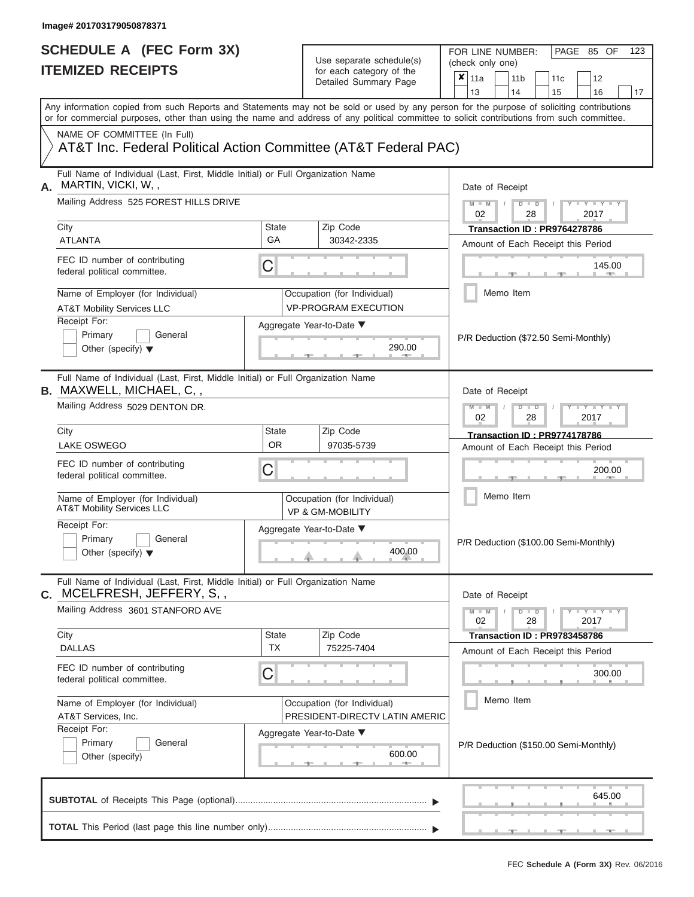# Use separate schedule(s)<br>for each category of the

FOR LINE NUMBER:<br>(check only one)

PAGE 85 OF 123

| IIEMILED REVEIFIJ                                                                                                                                                                                                                                                                       |                    | ior each calegory of the<br>Detailed Summary Page             | × | 11a             |           | 11 <sub>b</sub> |               | 11 <sub>c</sub> | 12                                                                 |    |
|-----------------------------------------------------------------------------------------------------------------------------------------------------------------------------------------------------------------------------------------------------------------------------------------|--------------------|---------------------------------------------------------------|---|-----------------|-----------|-----------------|---------------|-----------------|--------------------------------------------------------------------|----|
|                                                                                                                                                                                                                                                                                         |                    |                                                               |   | 13              |           | 14              |               | 15              | 16                                                                 | 17 |
| Any information copied from such Reports and Statements may not be sold or used by any person for the purpose of soliciting contributions<br>or for commercial purposes, other than using the name and address of any political committee to solicit contributions from such committee. |                    |                                                               |   |                 |           |                 |               |                 |                                                                    |    |
| NAME OF COMMITTEE (In Full)<br>AT&T Inc. Federal Political Action Committee (AT&T Federal PAC)                                                                                                                                                                                          |                    |                                                               |   |                 |           |                 |               |                 |                                                                    |    |
| Full Name of Individual (Last, First, Middle Initial) or Full Organization Name<br>MARTIN, VICKI, W,,<br>А.                                                                                                                                                                             |                    |                                                               |   | Date of Receipt |           |                 |               |                 |                                                                    |    |
| Mailing Address 525 FOREST HILLS DRIVE                                                                                                                                                                                                                                                  |                    |                                                               |   | $M - M$<br>02   |           |                 | $D$ $D$<br>28 |                 | $Y = Y$<br>2017                                                    |    |
| City<br><b>ATLANTA</b>                                                                                                                                                                                                                                                                  | <b>State</b><br>GA | Zip Code<br>30342-2335                                        |   |                 |           |                 |               |                 | Transaction ID: PR9764278786<br>Amount of Each Receipt this Period |    |
| FEC ID number of contributing<br>federal political committee.                                                                                                                                                                                                                           | C                  |                                                               |   |                 |           |                 |               |                 | 145.00                                                             |    |
| Name of Employer (for Individual)<br><b>AT&amp;T Mobility Services LLC</b>                                                                                                                                                                                                              |                    | Occupation (for Individual)<br><b>VP-PROGRAM EXECUTION</b>    |   |                 | Memo Item |                 |               |                 |                                                                    |    |
| Receipt For:<br>Primary<br>General<br>Other (specify) $\blacktriangledown$                                                                                                                                                                                                              |                    | Aggregate Year-to-Date ▼<br>290.00                            |   |                 |           |                 |               |                 | P/R Deduction (\$72.50 Semi-Monthly)                               |    |
| Full Name of Individual (Last, First, Middle Initial) or Full Organization Name<br><b>B.</b> MAXWELL, MICHAEL, C,,                                                                                                                                                                      |                    |                                                               |   | Date of Receipt |           |                 |               |                 |                                                                    |    |
| Mailing Address 5029 DENTON DR.                                                                                                                                                                                                                                                         |                    |                                                               |   | $M - M$<br>02   |           |                 | $D$ $D$<br>28 |                 | $Y = Y$<br>2017                                                    |    |
| City<br><b>LAKE OSWEGO</b>                                                                                                                                                                                                                                                              | State<br><b>OR</b> | Zip Code<br>97035-5739                                        |   |                 |           |                 |               |                 | Transaction ID: PR9774178786<br>Amount of Each Receipt this Period |    |
| FEC ID number of contributing<br>federal political committee.                                                                                                                                                                                                                           | С                  |                                                               |   |                 |           |                 |               |                 | 200.00                                                             |    |
| Name of Employer (for Individual)<br><b>AT&amp;T Mobility Services LLC</b>                                                                                                                                                                                                              |                    | Occupation (for Individual)<br><b>VP &amp; GM-MOBILITY</b>    |   |                 | Memo Item |                 |               |                 |                                                                    |    |
| Receipt For:<br>Primary<br>General<br>Other (specify) $\blacktriangledown$                                                                                                                                                                                                              |                    | Aggregate Year-to-Date ▼<br>400.00                            |   |                 |           |                 |               |                 | P/R Deduction (\$100.00 Semi-Monthly)                              |    |
| Full Name of Individual (Last, First, Middle Initial) or Full Organization Name<br>MCELFRESH, JEFFERY, S,,<br>С.                                                                                                                                                                        |                    |                                                               |   | Date of Receipt |           |                 |               |                 |                                                                    |    |
| Mailing Address 3601 STANFORD AVE                                                                                                                                                                                                                                                       |                    |                                                               |   | $M - M$<br>02   |           |                 | $D$ $D$<br>28 |                 | $Y - Y - Y - Y - Y$<br>2017                                        |    |
| City<br><b>DALLAS</b>                                                                                                                                                                                                                                                                   | <b>State</b><br>TX | Zip Code<br>75225-7404                                        |   |                 |           |                 |               |                 | Transaction ID: PR9783458786<br>Amount of Each Receipt this Period |    |
| FEC ID number of contributing<br>federal political committee.                                                                                                                                                                                                                           | C                  |                                                               |   |                 |           |                 |               |                 | 300.00                                                             |    |
| Name of Employer (for Individual)<br>AT&T Services, Inc.<br>Receipt For:                                                                                                                                                                                                                |                    | Occupation (for Individual)<br>PRESIDENT-DIRECTV LATIN AMERIC |   |                 | Memo Item |                 |               |                 |                                                                    |    |
| General<br>Primary<br>Other (specify)                                                                                                                                                                                                                                                   |                    | Aggregate Year-to-Date ▼<br>600.00                            |   |                 |           |                 |               |                 | P/R Deduction (\$150.00 Semi-Monthly)                              |    |
|                                                                                                                                                                                                                                                                                         |                    |                                                               |   |                 |           |                 |               |                 | 645.00                                                             |    |
|                                                                                                                                                                                                                                                                                         |                    |                                                               |   |                 |           |                 |               |                 |                                                                    |    |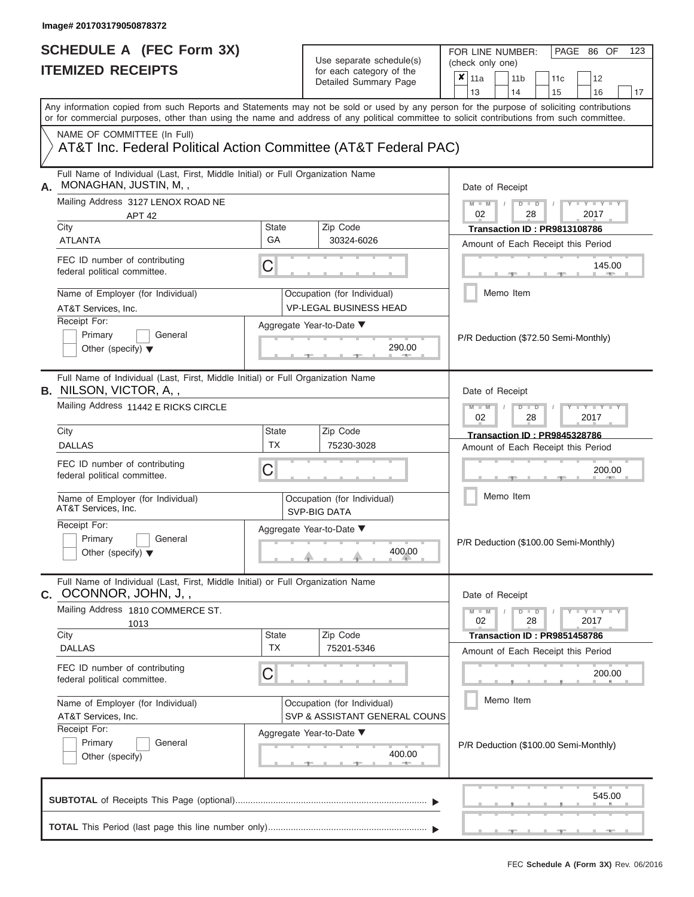| SCHEDULE A (FEC Form 3X)                                                                                                                                                                                                                                                                |                    | Use separate schedule(s)                                     | 123<br>FOR LINE NUMBER:<br>PAGE 86 OF<br>(check only one)                                                                               |
|-----------------------------------------------------------------------------------------------------------------------------------------------------------------------------------------------------------------------------------------------------------------------------------------|--------------------|--------------------------------------------------------------|-----------------------------------------------------------------------------------------------------------------------------------------|
| <b>ITEMIZED RECEIPTS</b>                                                                                                                                                                                                                                                                |                    | for each category of the<br>Detailed Summary Page            | $\boldsymbol{x}$<br>11a<br>11 <sub>b</sub><br>12<br>11 <sub>c</sub><br>13<br>14<br>15<br>16<br>17                                       |
| Any information copied from such Reports and Statements may not be sold or used by any person for the purpose of soliciting contributions<br>or for commercial purposes, other than using the name and address of any political committee to solicit contributions from such committee. |                    |                                                              |                                                                                                                                         |
| NAME OF COMMITTEE (In Full)<br>AT&T Inc. Federal Political Action Committee (AT&T Federal PAC)                                                                                                                                                                                          |                    |                                                              |                                                                                                                                         |
| Full Name of Individual (Last, First, Middle Initial) or Full Organization Name<br>MONAGHAN, JUSTIN, M,,<br>Α.                                                                                                                                                                          |                    |                                                              | Date of Receipt                                                                                                                         |
| Mailing Address 3127 LENOX ROAD NE<br>APT <sub>42</sub><br>City                                                                                                                                                                                                                         | <b>State</b>       | Zip Code                                                     | $M = M$ /<br>$D$ $D$<br>$\blacksquare$ $\vdash$ $\vdash$ $\vdash$ $\vdash$ $\vdash$<br>02<br>28<br>2017<br>Transaction ID: PR9813108786 |
| <b>ATLANTA</b>                                                                                                                                                                                                                                                                          | GA                 | 30324-6026                                                   | Amount of Each Receipt this Period                                                                                                      |
| FEC ID number of contributing<br>federal political committee.                                                                                                                                                                                                                           | C                  |                                                              | 145.00<br><b>AND</b>                                                                                                                    |
| Name of Employer (for Individual)<br>AT&T Services, Inc.                                                                                                                                                                                                                                |                    | Occupation (for Individual)<br><b>VP-LEGAL BUSINESS HEAD</b> | Memo Item                                                                                                                               |
| Receipt For:<br>Primary<br>General<br>Other (specify) $\blacktriangledown$                                                                                                                                                                                                              |                    | Aggregate Year-to-Date ▼<br>290.00<br>11. AND 11.            | P/R Deduction (\$72.50 Semi-Monthly)                                                                                                    |
| Full Name of Individual (Last, First, Middle Initial) or Full Organization Name<br><b>B.</b> NILSON, VICTOR, A,,<br>Mailing Address 11442 E RICKS CIRCLE                                                                                                                                |                    |                                                              | Date of Receipt<br>$M - M$<br>$D$ $D$<br>$T - Y = T - T$<br>02<br>2017<br>28                                                            |
| City                                                                                                                                                                                                                                                                                    | <b>State</b>       | Zip Code                                                     | <b>Transaction ID: PR9845328786</b>                                                                                                     |
| <b>DALLAS</b>                                                                                                                                                                                                                                                                           | <b>TX</b>          | 75230-3028                                                   | Amount of Each Receipt this Period                                                                                                      |
| FEC ID number of contributing<br>federal political committee.                                                                                                                                                                                                                           | C                  |                                                              | 200.00                                                                                                                                  |
| Name of Employer (for Individual)<br>AT&T Services, Inc.                                                                                                                                                                                                                                |                    | Occupation (for Individual)<br><b>SVP-BIG DATA</b>           | Memo Item                                                                                                                               |
| Receipt For:<br>Primary<br>General<br>Other (specify) $\blacktriangledown$                                                                                                                                                                                                              |                    | Aggregate Year-to-Date ▼<br>400.00                           | P/R Deduction (\$100.00 Semi-Monthly)                                                                                                   |
| Full Name of Individual (Last, First, Middle Initial) or Full Organization Name<br><b>c.</b> OCONNOR, JOHN, J,,                                                                                                                                                                         |                    |                                                              | Date of Receipt                                                                                                                         |
| Mailing Address 1810 COMMERCE ST.<br>1013                                                                                                                                                                                                                                               |                    |                                                              | $M - M$<br>$D$ $D$<br>$T - Y = T - Y - T$<br>02<br>28<br>2017                                                                           |
| City<br><b>DALLAS</b>                                                                                                                                                                                                                                                                   | State<br><b>TX</b> | Zip Code<br>75201-5346                                       | Transaction ID: PR9851458786<br>Amount of Each Receipt this Period                                                                      |
| FEC ID number of contributing<br>federal political committee.                                                                                                                                                                                                                           | C                  |                                                              | 200.00                                                                                                                                  |
| Name of Employer (for Individual)<br>AT&T Services, Inc.                                                                                                                                                                                                                                |                    | Occupation (for Individual)<br>SVP & ASSISTANT GENERAL COUNS | Memo Item                                                                                                                               |
| Receipt For:<br>Primary<br>General<br>Other (specify)                                                                                                                                                                                                                                   |                    | Aggregate Year-to-Date ▼<br>400.00<br>$-1$                   | P/R Deduction (\$100.00 Semi-Monthly)                                                                                                   |
|                                                                                                                                                                                                                                                                                         |                    |                                                              | 545.00                                                                                                                                  |
|                                                                                                                                                                                                                                                                                         |                    |                                                              | <b>Contract Contract</b>                                                                                                                |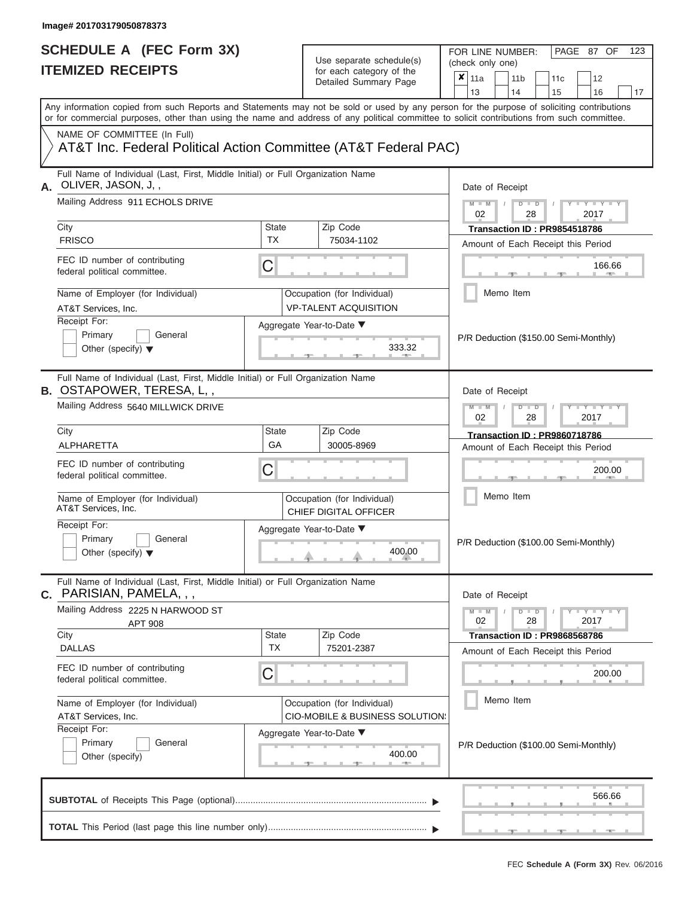FOR LINE NUMBER:<br>(check only one)

PAGE 87 OF 123

| IILMILLU INLVLII IV                                                                                                                                                                                                                                                                     |                           | ivi cavii valcyviy vi liic<br>Detailed Summary Page                       | x | 11a             | 11 <sub>b</sub>      |    | 11c                                 | 12                                                                 |    |
|-----------------------------------------------------------------------------------------------------------------------------------------------------------------------------------------------------------------------------------------------------------------------------------------|---------------------------|---------------------------------------------------------------------------|---|-----------------|----------------------|----|-------------------------------------|--------------------------------------------------------------------|----|
|                                                                                                                                                                                                                                                                                         |                           |                                                                           |   | 13              | 14                   |    | 15                                  | 16                                                                 | 17 |
| Any information copied from such Reports and Statements may not be sold or used by any person for the purpose of soliciting contributions<br>or for commercial purposes, other than using the name and address of any political committee to solicit contributions from such committee. |                           |                                                                           |   |                 |                      |    |                                     |                                                                    |    |
| NAME OF COMMITTEE (In Full)<br>AT&T Inc. Federal Political Action Committee (AT&T Federal PAC)                                                                                                                                                                                          |                           |                                                                           |   |                 |                      |    |                                     |                                                                    |    |
| Full Name of Individual (Last, First, Middle Initial) or Full Organization Name<br>OLIVER, JASON, J,,                                                                                                                                                                                   |                           |                                                                           |   | Date of Receipt |                      |    |                                     |                                                                    |    |
| Mailing Address 911 ECHOLS DRIVE                                                                                                                                                                                                                                                        |                           |                                                                           |   | $M - M$<br>02   | $D$ $D$<br>28        |    |                                     | $-1$ $  -$<br>2017                                                 |    |
| City<br><b>FRISCO</b>                                                                                                                                                                                                                                                                   | <b>State</b><br><b>TX</b> | Zip Code<br>75034-1102                                                    |   |                 |                      |    | Transaction ID: PR9854518786        | Amount of Each Receipt this Period                                 |    |
| FEC ID number of contributing<br>federal political committee.                                                                                                                                                                                                                           | C                         |                                                                           |   |                 |                      |    |                                     | 166.66<br><b>AND</b>                                               |    |
| Name of Employer (for Individual)<br>AT&T Services, Inc.                                                                                                                                                                                                                                |                           | Occupation (for Individual)<br><b>VP-TALENT ACQUISITION</b>               |   |                 | Memo Item            |    |                                     |                                                                    |    |
| Receipt For:<br>Primary<br>General<br>Other (specify) $\blacktriangledown$                                                                                                                                                                                                              |                           | Aggregate Year-to-Date ▼<br>333.32                                        |   |                 |                      |    |                                     | P/R Deduction (\$150.00 Semi-Monthly)                              |    |
| Full Name of Individual (Last, First, Middle Initial) or Full Organization Name<br><b>B. OSTAPOWER, TERESA, L,,</b>                                                                                                                                                                     |                           |                                                                           |   | Date of Receipt |                      |    |                                     |                                                                    |    |
| Mailing Address 5640 MILLWICK DRIVE                                                                                                                                                                                                                                                     |                           |                                                                           |   | $M - M$<br>02   | $D$ $\Box$ $D$<br>28 |    |                                     | $Y - Y$<br>2017                                                    |    |
| City<br>ALPHARETTA                                                                                                                                                                                                                                                                      | State<br>GA               | Zip Code<br>30005-8969                                                    |   |                 |                      |    | <b>Transaction ID: PR9860718786</b> | Amount of Each Receipt this Period                                 |    |
| FEC ID number of contributing<br>federal political committee.                                                                                                                                                                                                                           | С                         |                                                                           |   |                 |                      |    |                                     | 200.00                                                             |    |
| Name of Employer (for Individual)<br>AT&T Services, Inc.                                                                                                                                                                                                                                |                           | Occupation (for Individual)<br>CHIEF DIGITAL OFFICER                      |   |                 | Memo Item            |    |                                     |                                                                    |    |
| Receipt For:<br>Primary<br>General<br>Other (specify) $\blacktriangledown$                                                                                                                                                                                                              |                           | Aggregate Year-to-Date ▼<br>400.00                                        |   |                 |                      |    |                                     | P/R Deduction (\$100.00 Semi-Monthly)                              |    |
| Full Name of Individual (Last, First, Middle Initial) or Full Organization Name<br>PARISIAN, PAMELA, , ,<br>$\mathbf{C}$ .                                                                                                                                                              |                           |                                                                           |   | Date of Receipt |                      |    |                                     |                                                                    |    |
| Mailing Address 2225 N HARWOOD ST<br><b>APT 908</b>                                                                                                                                                                                                                                     |                           |                                                                           |   | $M - M$<br>02   | $D$ $D$              | 28 |                                     | $Y = Y + Y$<br>2017                                                |    |
| City<br><b>DALLAS</b>                                                                                                                                                                                                                                                                   | <b>State</b><br><b>TX</b> | Zip Code<br>75201-2387                                                    |   |                 |                      |    |                                     | Transaction ID: PR9868568786<br>Amount of Each Receipt this Period |    |
| FEC ID number of contributing<br>federal political committee.                                                                                                                                                                                                                           | С                         |                                                                           |   |                 |                      |    |                                     | 200.00                                                             |    |
| Name of Employer (for Individual)<br>AT&T Services, Inc.                                                                                                                                                                                                                                |                           | Occupation (for Individual)<br><b>CIO-MOBILE &amp; BUSINESS SOLUTION:</b> |   |                 | Memo Item            |    |                                     |                                                                    |    |
| Receipt For:<br>Primary<br>General<br>Other (specify)                                                                                                                                                                                                                                   |                           | Aggregate Year-to-Date ▼<br>400.00                                        |   |                 |                      |    |                                     | P/R Deduction (\$100.00 Semi-Monthly)                              |    |
|                                                                                                                                                                                                                                                                                         |                           |                                                                           |   |                 |                      |    |                                     |                                                                    |    |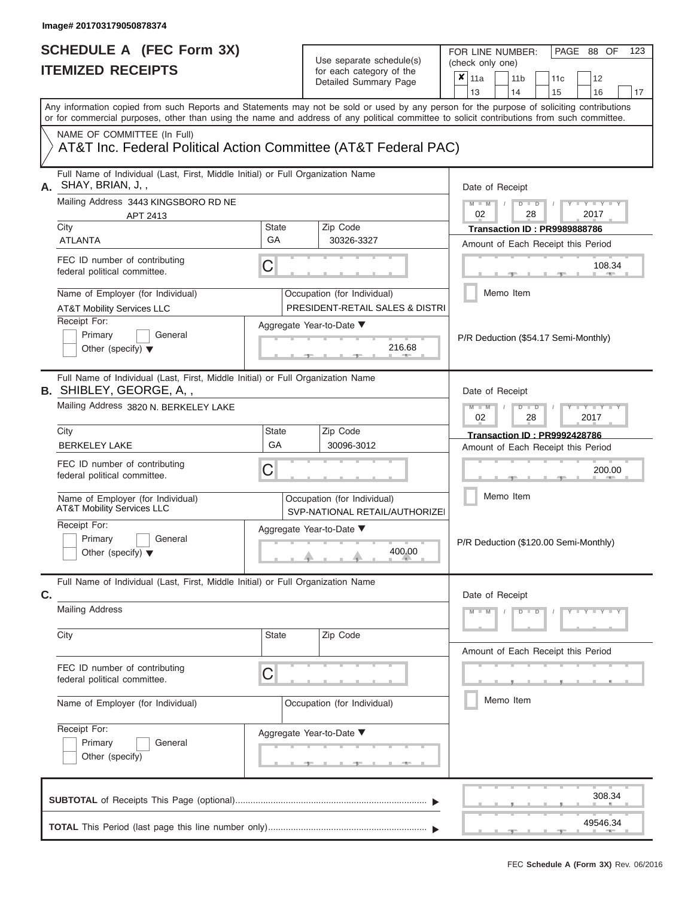|    | SCHEDULE A (FEC Form 3X)<br><b>ITEMIZED RECEIPTS</b>                                                                                                                                                                                                                                    |                    | Use separate schedule(s)<br>for each category of the           | FOR LINE NUMBER:<br>PAGE 88 OF<br>123<br>(check only one)                                                                                                                     |
|----|-----------------------------------------------------------------------------------------------------------------------------------------------------------------------------------------------------------------------------------------------------------------------------------------|--------------------|----------------------------------------------------------------|-------------------------------------------------------------------------------------------------------------------------------------------------------------------------------|
|    |                                                                                                                                                                                                                                                                                         |                    | Detailed Summary Page                                          | $\boldsymbol{x}$<br>11a<br>11 <sub>b</sub><br>11c<br>12<br>13<br>14<br>15<br>16<br>17                                                                                         |
|    | Any information copied from such Reports and Statements may not be sold or used by any person for the purpose of soliciting contributions<br>or for commercial purposes, other than using the name and address of any political committee to solicit contributions from such committee. |                    |                                                                |                                                                                                                                                                               |
|    | NAME OF COMMITTEE (In Full)<br>AT&T Inc. Federal Political Action Committee (AT&T Federal PAC)                                                                                                                                                                                          |                    |                                                                |                                                                                                                                                                               |
|    | Full Name of Individual (Last, First, Middle Initial) or Full Organization Name<br>A. SHAY, BRIAN, J,,                                                                                                                                                                                  |                    |                                                                | Date of Receipt                                                                                                                                                               |
|    | Mailing Address 3443 KINGSBORO RD NE<br>APT 2413                                                                                                                                                                                                                                        |                    |                                                                | $M - M$<br>$D$ $D$<br>$Y - Y - I$<br>02<br>2017<br>28                                                                                                                         |
|    | City<br><b>ATLANTA</b>                                                                                                                                                                                                                                                                  | <b>State</b><br>GA | Zip Code<br>30326-3327                                         | Transaction ID: PR9989888786<br>Amount of Each Receipt this Period                                                                                                            |
|    | FEC ID number of contributing<br>federal political committee.                                                                                                                                                                                                                           | С                  |                                                                | 108.34<br><b>Brita Alberta</b>                                                                                                                                                |
|    | Name of Employer (for Individual)<br><b>AT&amp;T Mobility Services LLC</b>                                                                                                                                                                                                              |                    | Occupation (for Individual)<br>PRESIDENT-RETAIL SALES & DISTRI | Memo Item                                                                                                                                                                     |
|    | Receipt For:<br>Primary<br>General<br>Other (specify) $\blacktriangledown$                                                                                                                                                                                                              |                    | Aggregate Year-to-Date ▼<br>216.68                             | P/R Deduction (\$54.17 Semi-Monthly)                                                                                                                                          |
|    | Full Name of Individual (Last, First, Middle Initial) or Full Organization Name<br><b>B.</b> SHIBLEY, GEORGE, A,,                                                                                                                                                                       |                    |                                                                | Date of Receipt                                                                                                                                                               |
|    | Mailing Address 3820 N. BERKELEY LAKE                                                                                                                                                                                                                                                   |                    |                                                                | $M - M$<br>$D$ $D$<br>$\blacksquare \blacksquare \blacksquare \blacksquare \blacksquare \blacksquare \blacksquare \blacksquare \blacksquare \blacksquare$<br>2017<br>02<br>28 |
|    | City<br><b>BERKELEY LAKE</b>                                                                                                                                                                                                                                                            | State<br>GA        | Zip Code<br>30096-3012                                         | <b>Transaction ID: PR9992428786</b><br>Amount of Each Receipt this Period                                                                                                     |
|    | FEC ID number of contributing<br>federal political committee.                                                                                                                                                                                                                           | С                  |                                                                | 200.00                                                                                                                                                                        |
|    | Name of Employer (for Individual)<br><b>AT&amp;T Mobility Services LLC</b>                                                                                                                                                                                                              |                    | Occupation (for Individual)<br>SVP-NATIONAL RETAIL/AUTHORIZEI  | Memo Item                                                                                                                                                                     |
|    | Receipt For:<br>Primary<br>General<br>Other (specify) $\blacktriangledown$                                                                                                                                                                                                              |                    | Aggregate Year-to-Date ▼<br>400.00                             | P/R Deduction (\$120.00 Semi-Monthly)                                                                                                                                         |
| C. | Full Name of Individual (Last, First, Middle Initial) or Full Organization Name                                                                                                                                                                                                         |                    |                                                                | Date of Receipt                                                                                                                                                               |
|    | <b>Mailing Address</b>                                                                                                                                                                                                                                                                  |                    |                                                                | $M - M$<br>$D$ $D$<br>Y F Y F Y F Y                                                                                                                                           |
|    | City                                                                                                                                                                                                                                                                                    | <b>State</b>       | Zip Code                                                       | Amount of Each Receipt this Period                                                                                                                                            |
|    | FEC ID number of contributing<br>federal political committee.                                                                                                                                                                                                                           | С                  |                                                                |                                                                                                                                                                               |
|    | Name of Employer (for Individual)                                                                                                                                                                                                                                                       |                    | Occupation (for Individual)                                    | Memo Item                                                                                                                                                                     |
|    | Receipt For:<br>Primary<br>General<br>Other (specify)                                                                                                                                                                                                                                   |                    | Aggregate Year-to-Date ▼<br>_______                            |                                                                                                                                                                               |
|    |                                                                                                                                                                                                                                                                                         |                    |                                                                | 308.34                                                                                                                                                                        |
|    |                                                                                                                                                                                                                                                                                         |                    |                                                                | 49546.34                                                                                                                                                                      |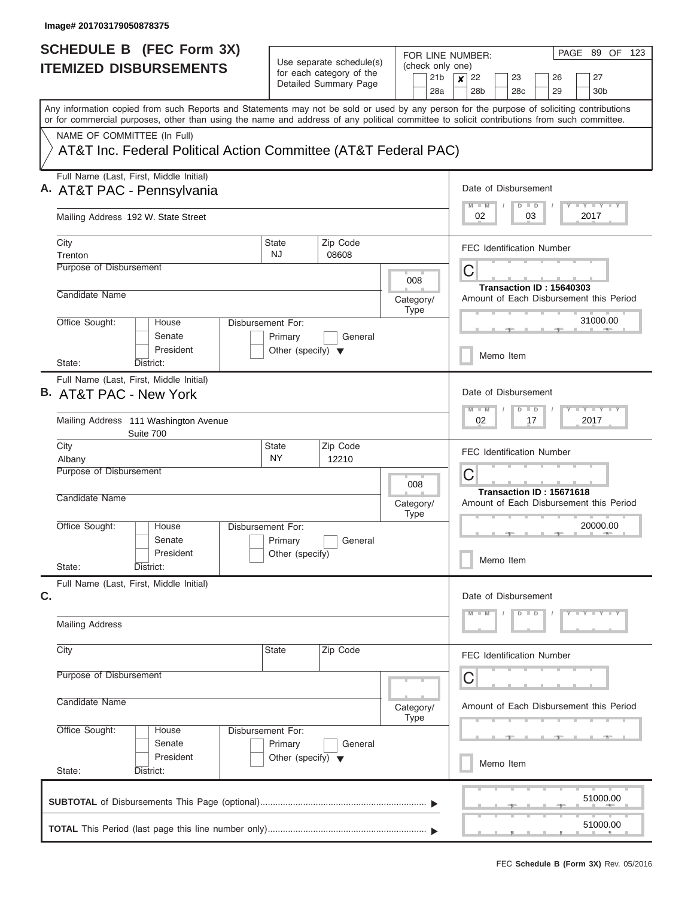| <b>SCHEDULE B</b> (FEC Form 3X)                                                                                                                                                                                                                                                         |                                                                      |                                                                               | FOR LINE NUMBER:                           | PAGE 89 OF 123                                                                             |
|-----------------------------------------------------------------------------------------------------------------------------------------------------------------------------------------------------------------------------------------------------------------------------------------|----------------------------------------------------------------------|-------------------------------------------------------------------------------|--------------------------------------------|--------------------------------------------------------------------------------------------|
| <b>ITEMIZED DISBURSEMENTS</b>                                                                                                                                                                                                                                                           |                                                                      | Use separate schedule(s)<br>for each category of the<br>Detailed Summary Page | (check only one)<br>21 <sub>b</sub><br>28a | 22<br>27<br>$\vert x \vert$<br>23<br>26<br>28 <sub>b</sub><br>28c<br>29<br>30 <sub>b</sub> |
| Any information copied from such Reports and Statements may not be sold or used by any person for the purpose of soliciting contributions<br>or for commercial purposes, other than using the name and address of any political committee to solicit contributions from such committee. |                                                                      |                                                                               |                                            |                                                                                            |
| NAME OF COMMITTEE (In Full)<br>AT&T Inc. Federal Political Action Committee (AT&T Federal PAC)                                                                                                                                                                                          |                                                                      |                                                                               |                                            |                                                                                            |
| Full Name (Last, First, Middle Initial)<br>A. AT&T PAC - Pennsylvania                                                                                                                                                                                                                   |                                                                      |                                                                               |                                            | Date of Disbursement<br>Y L Y L Y L Y<br>$D$ $D$<br>$M$ $M$                                |
| Mailing Address 192 W. State Street                                                                                                                                                                                                                                                     |                                                                      |                                                                               |                                            | 02<br>03<br>2017                                                                           |
| City<br>Trenton<br>Purpose of Disbursement                                                                                                                                                                                                                                              | <b>State</b><br><b>NJ</b>                                            | Zip Code<br>08608                                                             |                                            | <b>FEC Identification Number</b><br>C                                                      |
| Candidate Name                                                                                                                                                                                                                                                                          |                                                                      |                                                                               | 008<br>Category/<br><b>Type</b>            | Transaction ID: 15640303<br>Amount of Each Disbursement this Period                        |
| Office Sought:<br>House<br>Senate<br>President                                                                                                                                                                                                                                          | Disbursement For:<br>Primary<br>Other (specify) $\blacktriangledown$ | General                                                                       |                                            | 31000.00<br>Memo Item                                                                      |
| State:<br>District:<br>Full Name (Last, First, Middle Initial)<br>B. AT&T PAC - New York                                                                                                                                                                                                |                                                                      |                                                                               |                                            | Date of Disbursement                                                                       |
| Mailing Address 111 Washington Avenue<br>Suite 700                                                                                                                                                                                                                                      |                                                                      |                                                                               |                                            | Y FY FY FY<br>$M - M$<br>$D$ $D$<br>02<br>17<br>2017                                       |
| City<br>Albany<br>Purpose of Disbursement                                                                                                                                                                                                                                               | State<br><b>NY</b>                                                   | Zip Code<br>12210                                                             |                                            | <b>FEC Identification Number</b>                                                           |
| Candidate Name                                                                                                                                                                                                                                                                          |                                                                      |                                                                               | 008<br>Category/<br><b>Type</b>            | C<br>Transaction ID: 15671618<br>Amount of Each Disbursement this Period                   |
| Office Sought:<br>House<br>Senate<br>President<br>State:<br>District:                                                                                                                                                                                                                   | Disbursement For:<br>Primary<br>Other (specify)                      | General                                                                       |                                            | 20000.00<br>Memo Item                                                                      |
| Full Name (Last, First, Middle Initial)<br>C.                                                                                                                                                                                                                                           |                                                                      |                                                                               |                                            | Date of Disbursement                                                                       |
| <b>Mailing Address</b>                                                                                                                                                                                                                                                                  |                                                                      |                                                                               |                                            | $D$ $D$<br>$Y$ $Y$ $Y$ $Y$ $Y$<br>$M - M$                                                  |
| City                                                                                                                                                                                                                                                                                    | State                                                                | Zip Code                                                                      |                                            | <b>FEC Identification Number</b>                                                           |
| Purpose of Disbursement<br>Candidate Name                                                                                                                                                                                                                                               |                                                                      |                                                                               | Category/<br><b>Type</b>                   | C<br>Amount of Each Disbursement this Period                                               |
| Office Sought:<br>House<br>Senate<br>President                                                                                                                                                                                                                                          | Disbursement For:<br>Primary<br>Other (specify) $\blacktriangledown$ | General                                                                       |                                            |                                                                                            |
| State:<br>District:                                                                                                                                                                                                                                                                     |                                                                      |                                                                               |                                            | Memo Item                                                                                  |
|                                                                                                                                                                                                                                                                                         |                                                                      |                                                                               |                                            | 51000.00                                                                                   |
|                                                                                                                                                                                                                                                                                         |                                                                      |                                                                               |                                            | 51000.00                                                                                   |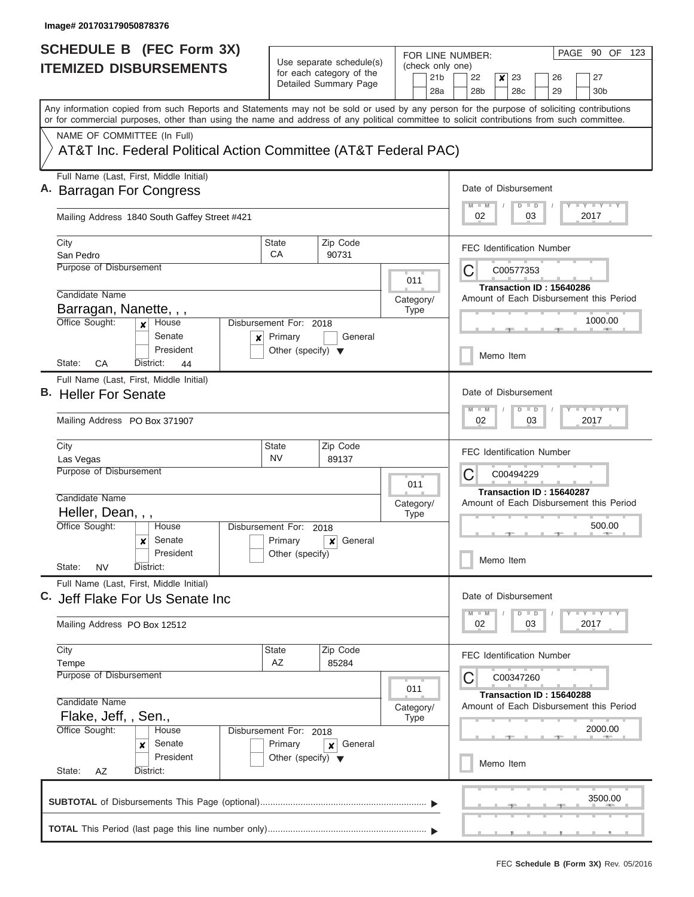| <b>SCHEDULE B</b> (FEC Form 3X)                                                                                                                                                                                                                                                         |                                                 |                                                      |                          |             |                                     | FOR LINE NUMBER:                |           |                 |               |                                  | PAGE 90 OF 123                          |  |
|-----------------------------------------------------------------------------------------------------------------------------------------------------------------------------------------------------------------------------------------------------------------------------------------|-------------------------------------------------|------------------------------------------------------|--------------------------|-------------|-------------------------------------|---------------------------------|-----------|-----------------|---------------|----------------------------------|-----------------------------------------|--|
| <b>ITEMIZED DISBURSEMENTS</b>                                                                                                                                                                                                                                                           |                                                 | Use separate schedule(s)<br>for each category of the |                          |             | (check only one)<br>21 <sub>b</sub> | 22                              |           | 23              |               | 26                               | 27                                      |  |
|                                                                                                                                                                                                                                                                                         |                                                 | Detailed Summary Page                                |                          |             | 28a                                 | 28 <sub>b</sub>                 | x         | 28 <sub>c</sub> |               | 29                               | 30b                                     |  |
| Any information copied from such Reports and Statements may not be sold or used by any person for the purpose of soliciting contributions<br>or for commercial purposes, other than using the name and address of any political committee to solicit contributions from such committee. |                                                 |                                                      |                          |             |                                     |                                 |           |                 |               |                                  |                                         |  |
| NAME OF COMMITTEE (In Full)                                                                                                                                                                                                                                                             |                                                 |                                                      |                          |             |                                     |                                 |           |                 |               |                                  |                                         |  |
| AT&T Inc. Federal Political Action Committee (AT&T Federal PAC)                                                                                                                                                                                                                         |                                                 |                                                      |                          |             |                                     |                                 |           |                 |               |                                  |                                         |  |
| Full Name (Last, First, Middle Initial)<br>A. Barragan For Congress                                                                                                                                                                                                                     |                                                 |                                                      |                          |             |                                     | Date of Disbursement            |           |                 |               |                                  |                                         |  |
| Mailing Address 1840 South Gaffey Street #421                                                                                                                                                                                                                                           |                                                 |                                                      |                          |             |                                     | $M$ $M$<br>02                   |           |                 | $D$ $D$<br>03 |                                  | <b>LY LY LY</b><br>2017                 |  |
| City<br>San Pedro                                                                                                                                                                                                                                                                       | State<br>CA                                     | Zip Code<br>90731                                    |                          |             |                                     |                                 |           |                 |               | <b>FEC Identification Number</b> |                                         |  |
| Purpose of Disbursement                                                                                                                                                                                                                                                                 |                                                 |                                                      |                          |             |                                     | C                               |           | C00577353       |               |                                  |                                         |  |
|                                                                                                                                                                                                                                                                                         |                                                 |                                                      | 011                      |             |                                     |                                 |           |                 |               | Transaction ID: 15640286         |                                         |  |
| Candidate Name                                                                                                                                                                                                                                                                          |                                                 |                                                      | Category/                |             |                                     |                                 |           |                 |               |                                  | Amount of Each Disbursement this Period |  |
| Barragan, Nanette, , ,                                                                                                                                                                                                                                                                  |                                                 |                                                      |                          | <b>Type</b> |                                     |                                 |           |                 |               |                                  |                                         |  |
| Office Sought:<br>House<br>Senate                                                                                                                                                                                                                                                       | Disbursement For: 2018                          |                                                      |                          |             |                                     |                                 |           |                 |               |                                  | 1000.00                                 |  |
| $\boldsymbol{x}$<br>President<br>State:<br>СA<br>District:                                                                                                                                                                                                                              | Primary<br>Other (specify) $\blacktriangledown$ | General                                              |                          |             |                                     |                                 | Memo Item |                 |               |                                  |                                         |  |
| 44<br>Full Name (Last, First, Middle Initial)                                                                                                                                                                                                                                           |                                                 |                                                      |                          |             |                                     |                                 |           |                 |               |                                  |                                         |  |
| B. Heller For Senate                                                                                                                                                                                                                                                                    |                                                 |                                                      |                          |             |                                     | Date of Disbursement            |           |                 |               |                                  |                                         |  |
| Mailing Address PO Box 371907                                                                                                                                                                                                                                                           |                                                 |                                                      |                          |             |                                     | $M - M$<br>02                   |           |                 | $D$ $D$<br>03 |                                  | $T - Y$ $T - Y$<br>2017                 |  |
| City<br>Las Vegas                                                                                                                                                                                                                                                                       | <b>State</b><br><b>NV</b>                       | Zip Code<br>89137                                    |                          |             |                                     |                                 |           |                 |               | <b>FEC Identification Number</b> |                                         |  |
| Purpose of Disbursement                                                                                                                                                                                                                                                                 |                                                 |                                                      |                          |             |                                     | С                               |           | C00494229       |               |                                  |                                         |  |
|                                                                                                                                                                                                                                                                                         |                                                 |                                                      |                          | 011         |                                     |                                 |           |                 |               | Transaction ID: 15640287         |                                         |  |
| Candidate Name                                                                                                                                                                                                                                                                          |                                                 |                                                      | Category/                |             |                                     |                                 |           |                 |               |                                  | Amount of Each Disbursement this Period |  |
| Heller, Dean, , ,<br>Office Sought:<br>House                                                                                                                                                                                                                                            | Disbursement For: 2018                          |                                                      | <b>Type</b>              |             |                                     |                                 |           |                 |               |                                  | 500.00                                  |  |
| Senate<br>×                                                                                                                                                                                                                                                                             | Primary                                         | General<br>x                                         |                          |             |                                     |                                 |           |                 |               |                                  |                                         |  |
| President<br>State:<br><b>NV</b><br>District:                                                                                                                                                                                                                                           | Other (specify)                                 |                                                      |                          |             |                                     |                                 | Memo Item |                 |               |                                  |                                         |  |
| Full Name (Last, First, Middle Initial)                                                                                                                                                                                                                                                 |                                                 |                                                      |                          |             |                                     |                                 |           |                 |               |                                  |                                         |  |
| C. Jeff Flake For Us Senate Inc                                                                                                                                                                                                                                                         |                                                 |                                                      |                          |             |                                     | Date of Disbursement<br>$M$ $M$ |           | $D$ $D$         |               |                                  | $T - Y$ $T - Y$ $T - Y$                 |  |
| Mailing Address PO Box 12512                                                                                                                                                                                                                                                            |                                                 |                                                      |                          |             |                                     | 02                              |           |                 | 03            |                                  | 2017                                    |  |
| City                                                                                                                                                                                                                                                                                    | State                                           | Zip Code                                             |                          |             |                                     |                                 |           |                 |               | <b>FEC Identification Number</b> |                                         |  |
| Tempe                                                                                                                                                                                                                                                                                   | AZ                                              | 85284                                                |                          |             |                                     |                                 |           |                 |               |                                  |                                         |  |
| Purpose of Disbursement                                                                                                                                                                                                                                                                 |                                                 |                                                      | 011                      |             |                                     |                                 |           | C00347260       |               |                                  |                                         |  |
| Candidate Name                                                                                                                                                                                                                                                                          |                                                 |                                                      |                          |             |                                     |                                 |           |                 |               | Transaction ID: 15640288         | Amount of Each Disbursement this Period |  |
| Flake, Jeff,, Sen.,                                                                                                                                                                                                                                                                     |                                                 |                                                      | Category/<br><b>Type</b> |             |                                     |                                 |           |                 |               |                                  |                                         |  |
| Office Sought:<br>House                                                                                                                                                                                                                                                                 | Disbursement For: 2018                          |                                                      |                          |             |                                     |                                 |           |                 |               |                                  | 2000.00                                 |  |
| Senate<br>×                                                                                                                                                                                                                                                                             | Primary                                         | General<br>×                                         |                          |             |                                     |                                 |           |                 |               |                                  |                                         |  |
| President                                                                                                                                                                                                                                                                               | Other (specify) $\blacktriangledown$            |                                                      |                          |             |                                     |                                 | Memo Item |                 |               |                                  |                                         |  |
| State:<br>AZ<br>District:                                                                                                                                                                                                                                                               |                                                 |                                                      |                          |             |                                     |                                 |           |                 |               |                                  |                                         |  |
|                                                                                                                                                                                                                                                                                         |                                                 |                                                      |                          |             |                                     |                                 |           |                 |               |                                  | 3500.00                                 |  |
|                                                                                                                                                                                                                                                                                         |                                                 |                                                      |                          |             |                                     |                                 |           |                 |               |                                  |                                         |  |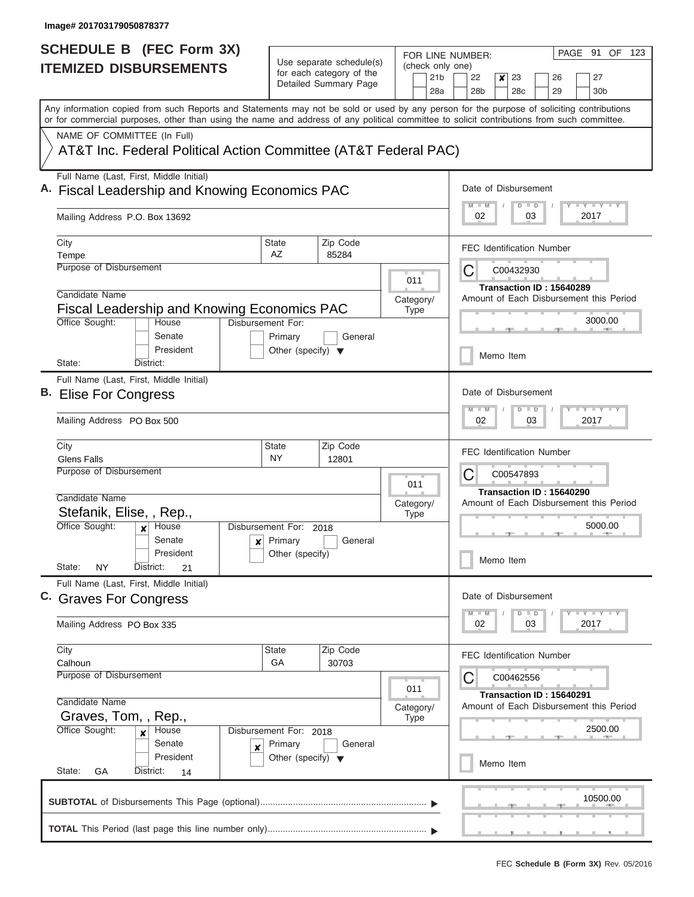| Use separate schedule(s)<br>(check only one)<br><b>ITEMIZED DISBURSEMENTS</b><br>for each category of the<br>21 <sub>b</sub><br>22<br>23<br>27<br>x<br>26<br>Detailed Summary Page<br>28a<br>28 <sub>b</sub><br>28c<br>29<br>30 <sub>b</sub><br>Any information copied from such Reports and Statements may not be sold or used by any person for the purpose of soliciting contributions<br>or for commercial purposes, other than using the name and address of any political committee to solicit contributions from such committee.<br>NAME OF COMMITTEE (In Full)<br>AT&T Inc. Federal Political Action Committee (AT&T Federal PAC)<br>Full Name (Last, First, Middle Initial)<br>Date of Disbursement<br>A. Fiscal Leadership and Knowing Economics PAC<br><b>TEY LY LY</b><br>$M$ $M$<br>$D$ $D$<br>2017<br>Mailing Address P.O. Box 13692<br>02<br>03<br>City<br><b>State</b><br>Zip Code<br><b>FEC Identification Number</b><br>AZ<br>85284<br>Tempe<br>Purpose of Disbursement<br>С<br>C00432930<br>011<br>Transaction ID: 15640289<br>Candidate Name<br>Amount of Each Disbursement this Period<br>Category/<br><b>Fiscal Leadership and Knowing Economics PAC</b><br>Type<br>3000.00<br>Office Sought:<br>Disbursement For:<br>House<br>Senate<br>Primary<br>General<br>President<br>Other (specify) $\blacktriangledown$<br>Memo Item<br>State:<br>District:<br>Full Name (Last, First, Middle Initial)<br>Date of Disbursement<br>B. Elise For Congress<br>$T - Y$ $T - Y$<br>$M - M$<br>$D$ $D$<br>2017<br>Mailing Address PO Box 500<br>02<br>03<br>City<br>Zip Code<br><b>State</b><br><b>FEC Identification Number</b><br><b>Glens Falls</b><br><b>NY</b><br>12801<br>Purpose of Disbursement<br>С<br>C00547893<br>011<br>Transaction ID: 15640290<br>Candidate Name<br>Category/<br>Amount of Each Disbursement this Period<br>Stefanik, Elise, , Rep.,<br><b>Type</b><br>Office Sought:<br>5000.00<br>Disbursement For:<br>House<br>2018<br>$\boldsymbol{x}$<br>Senate<br>$\mathbf{x}$ Primary<br>General<br>President<br>Other (specify)<br>Memo Item<br>State:<br><b>NY</b><br>District:<br>21<br>Full Name (Last, First, Middle Initial)<br>Date of Disbursement<br>C. Graves For Congress<br>$T - Y$ $T - Y$<br>$M$ $M$<br>$D$ $D$<br>2017<br>02<br>03<br>Mailing Address PO Box 335<br>Zip Code<br>City<br>State<br><b>FEC Identification Number</b><br>GA<br>30703<br>Calhoun<br><b>Purpose of Disbursement</b><br>C<br>C00462556<br>011<br><b>Transaction ID: 15640291</b><br>Candidate Name<br>Amount of Each Disbursement this Period<br>Category/<br>Graves, Tom, , Rep.,<br>Type<br>Office Sought:<br>2500.00<br>House<br>Disbursement For: 2018<br>$\mathbf{x}$<br>Senate<br>Primary<br>General<br>x<br>President<br>Other (specify) $\blacktriangledown$<br>Memo Item<br>State:<br>District:<br>GА<br>14<br>10500.00 | <b>SCHEDULE B</b> (FEC Form 3X) |  |  | PAGE 91 OF<br>123<br>FOR LINE NUMBER: |
|--------------------------------------------------------------------------------------------------------------------------------------------------------------------------------------------------------------------------------------------------------------------------------------------------------------------------------------------------------------------------------------------------------------------------------------------------------------------------------------------------------------------------------------------------------------------------------------------------------------------------------------------------------------------------------------------------------------------------------------------------------------------------------------------------------------------------------------------------------------------------------------------------------------------------------------------------------------------------------------------------------------------------------------------------------------------------------------------------------------------------------------------------------------------------------------------------------------------------------------------------------------------------------------------------------------------------------------------------------------------------------------------------------------------------------------------------------------------------------------------------------------------------------------------------------------------------------------------------------------------------------------------------------------------------------------------------------------------------------------------------------------------------------------------------------------------------------------------------------------------------------------------------------------------------------------------------------------------------------------------------------------------------------------------------------------------------------------------------------------------------------------------------------------------------------------------------------------------------------------------------------------------------------------------------------------------------------------------------------------------------------------------------------------------------------------------------------------------------------------------------------------------------------------------------------------------------------------------------------------------------------------------------------------------------------------------------------------------------------------------------------------------------------------------------------------------------------------------------------|---------------------------------|--|--|---------------------------------------|
|                                                                                                                                                                                                                                                                                                                                                                                                                                                                                                                                                                                                                                                                                                                                                                                                                                                                                                                                                                                                                                                                                                                                                                                                                                                                                                                                                                                                                                                                                                                                                                                                                                                                                                                                                                                                                                                                                                                                                                                                                                                                                                                                                                                                                                                                                                                                                                                                                                                                                                                                                                                                                                                                                                                                                                                                                                                        |                                 |  |  |                                       |
|                                                                                                                                                                                                                                                                                                                                                                                                                                                                                                                                                                                                                                                                                                                                                                                                                                                                                                                                                                                                                                                                                                                                                                                                                                                                                                                                                                                                                                                                                                                                                                                                                                                                                                                                                                                                                                                                                                                                                                                                                                                                                                                                                                                                                                                                                                                                                                                                                                                                                                                                                                                                                                                                                                                                                                                                                                                        |                                 |  |  |                                       |
|                                                                                                                                                                                                                                                                                                                                                                                                                                                                                                                                                                                                                                                                                                                                                                                                                                                                                                                                                                                                                                                                                                                                                                                                                                                                                                                                                                                                                                                                                                                                                                                                                                                                                                                                                                                                                                                                                                                                                                                                                                                                                                                                                                                                                                                                                                                                                                                                                                                                                                                                                                                                                                                                                                                                                                                                                                                        |                                 |  |  |                                       |
|                                                                                                                                                                                                                                                                                                                                                                                                                                                                                                                                                                                                                                                                                                                                                                                                                                                                                                                                                                                                                                                                                                                                                                                                                                                                                                                                                                                                                                                                                                                                                                                                                                                                                                                                                                                                                                                                                                                                                                                                                                                                                                                                                                                                                                                                                                                                                                                                                                                                                                                                                                                                                                                                                                                                                                                                                                                        |                                 |  |  |                                       |
|                                                                                                                                                                                                                                                                                                                                                                                                                                                                                                                                                                                                                                                                                                                                                                                                                                                                                                                                                                                                                                                                                                                                                                                                                                                                                                                                                                                                                                                                                                                                                                                                                                                                                                                                                                                                                                                                                                                                                                                                                                                                                                                                                                                                                                                                                                                                                                                                                                                                                                                                                                                                                                                                                                                                                                                                                                                        |                                 |  |  |                                       |
|                                                                                                                                                                                                                                                                                                                                                                                                                                                                                                                                                                                                                                                                                                                                                                                                                                                                                                                                                                                                                                                                                                                                                                                                                                                                                                                                                                                                                                                                                                                                                                                                                                                                                                                                                                                                                                                                                                                                                                                                                                                                                                                                                                                                                                                                                                                                                                                                                                                                                                                                                                                                                                                                                                                                                                                                                                                        |                                 |  |  |                                       |
|                                                                                                                                                                                                                                                                                                                                                                                                                                                                                                                                                                                                                                                                                                                                                                                                                                                                                                                                                                                                                                                                                                                                                                                                                                                                                                                                                                                                                                                                                                                                                                                                                                                                                                                                                                                                                                                                                                                                                                                                                                                                                                                                                                                                                                                                                                                                                                                                                                                                                                                                                                                                                                                                                                                                                                                                                                                        |                                 |  |  |                                       |
|                                                                                                                                                                                                                                                                                                                                                                                                                                                                                                                                                                                                                                                                                                                                                                                                                                                                                                                                                                                                                                                                                                                                                                                                                                                                                                                                                                                                                                                                                                                                                                                                                                                                                                                                                                                                                                                                                                                                                                                                                                                                                                                                                                                                                                                                                                                                                                                                                                                                                                                                                                                                                                                                                                                                                                                                                                                        |                                 |  |  |                                       |
|                                                                                                                                                                                                                                                                                                                                                                                                                                                                                                                                                                                                                                                                                                                                                                                                                                                                                                                                                                                                                                                                                                                                                                                                                                                                                                                                                                                                                                                                                                                                                                                                                                                                                                                                                                                                                                                                                                                                                                                                                                                                                                                                                                                                                                                                                                                                                                                                                                                                                                                                                                                                                                                                                                                                                                                                                                                        |                                 |  |  |                                       |
|                                                                                                                                                                                                                                                                                                                                                                                                                                                                                                                                                                                                                                                                                                                                                                                                                                                                                                                                                                                                                                                                                                                                                                                                                                                                                                                                                                                                                                                                                                                                                                                                                                                                                                                                                                                                                                                                                                                                                                                                                                                                                                                                                                                                                                                                                                                                                                                                                                                                                                                                                                                                                                                                                                                                                                                                                                                        |                                 |  |  |                                       |
|                                                                                                                                                                                                                                                                                                                                                                                                                                                                                                                                                                                                                                                                                                                                                                                                                                                                                                                                                                                                                                                                                                                                                                                                                                                                                                                                                                                                                                                                                                                                                                                                                                                                                                                                                                                                                                                                                                                                                                                                                                                                                                                                                                                                                                                                                                                                                                                                                                                                                                                                                                                                                                                                                                                                                                                                                                                        |                                 |  |  |                                       |
|                                                                                                                                                                                                                                                                                                                                                                                                                                                                                                                                                                                                                                                                                                                                                                                                                                                                                                                                                                                                                                                                                                                                                                                                                                                                                                                                                                                                                                                                                                                                                                                                                                                                                                                                                                                                                                                                                                                                                                                                                                                                                                                                                                                                                                                                                                                                                                                                                                                                                                                                                                                                                                                                                                                                                                                                                                                        |                                 |  |  |                                       |
|                                                                                                                                                                                                                                                                                                                                                                                                                                                                                                                                                                                                                                                                                                                                                                                                                                                                                                                                                                                                                                                                                                                                                                                                                                                                                                                                                                                                                                                                                                                                                                                                                                                                                                                                                                                                                                                                                                                                                                                                                                                                                                                                                                                                                                                                                                                                                                                                                                                                                                                                                                                                                                                                                                                                                                                                                                                        |                                 |  |  |                                       |
|                                                                                                                                                                                                                                                                                                                                                                                                                                                                                                                                                                                                                                                                                                                                                                                                                                                                                                                                                                                                                                                                                                                                                                                                                                                                                                                                                                                                                                                                                                                                                                                                                                                                                                                                                                                                                                                                                                                                                                                                                                                                                                                                                                                                                                                                                                                                                                                                                                                                                                                                                                                                                                                                                                                                                                                                                                                        |                                 |  |  |                                       |
|                                                                                                                                                                                                                                                                                                                                                                                                                                                                                                                                                                                                                                                                                                                                                                                                                                                                                                                                                                                                                                                                                                                                                                                                                                                                                                                                                                                                                                                                                                                                                                                                                                                                                                                                                                                                                                                                                                                                                                                                                                                                                                                                                                                                                                                                                                                                                                                                                                                                                                                                                                                                                                                                                                                                                                                                                                                        |                                 |  |  |                                       |
|                                                                                                                                                                                                                                                                                                                                                                                                                                                                                                                                                                                                                                                                                                                                                                                                                                                                                                                                                                                                                                                                                                                                                                                                                                                                                                                                                                                                                                                                                                                                                                                                                                                                                                                                                                                                                                                                                                                                                                                                                                                                                                                                                                                                                                                                                                                                                                                                                                                                                                                                                                                                                                                                                                                                                                                                                                                        |                                 |  |  |                                       |
|                                                                                                                                                                                                                                                                                                                                                                                                                                                                                                                                                                                                                                                                                                                                                                                                                                                                                                                                                                                                                                                                                                                                                                                                                                                                                                                                                                                                                                                                                                                                                                                                                                                                                                                                                                                                                                                                                                                                                                                                                                                                                                                                                                                                                                                                                                                                                                                                                                                                                                                                                                                                                                                                                                                                                                                                                                                        |                                 |  |  |                                       |
|                                                                                                                                                                                                                                                                                                                                                                                                                                                                                                                                                                                                                                                                                                                                                                                                                                                                                                                                                                                                                                                                                                                                                                                                                                                                                                                                                                                                                                                                                                                                                                                                                                                                                                                                                                                                                                                                                                                                                                                                                                                                                                                                                                                                                                                                                                                                                                                                                                                                                                                                                                                                                                                                                                                                                                                                                                                        |                                 |  |  |                                       |
|                                                                                                                                                                                                                                                                                                                                                                                                                                                                                                                                                                                                                                                                                                                                                                                                                                                                                                                                                                                                                                                                                                                                                                                                                                                                                                                                                                                                                                                                                                                                                                                                                                                                                                                                                                                                                                                                                                                                                                                                                                                                                                                                                                                                                                                                                                                                                                                                                                                                                                                                                                                                                                                                                                                                                                                                                                                        |                                 |  |  |                                       |
|                                                                                                                                                                                                                                                                                                                                                                                                                                                                                                                                                                                                                                                                                                                                                                                                                                                                                                                                                                                                                                                                                                                                                                                                                                                                                                                                                                                                                                                                                                                                                                                                                                                                                                                                                                                                                                                                                                                                                                                                                                                                                                                                                                                                                                                                                                                                                                                                                                                                                                                                                                                                                                                                                                                                                                                                                                                        |                                 |  |  |                                       |
|                                                                                                                                                                                                                                                                                                                                                                                                                                                                                                                                                                                                                                                                                                                                                                                                                                                                                                                                                                                                                                                                                                                                                                                                                                                                                                                                                                                                                                                                                                                                                                                                                                                                                                                                                                                                                                                                                                                                                                                                                                                                                                                                                                                                                                                                                                                                                                                                                                                                                                                                                                                                                                                                                                                                                                                                                                                        |                                 |  |  |                                       |
|                                                                                                                                                                                                                                                                                                                                                                                                                                                                                                                                                                                                                                                                                                                                                                                                                                                                                                                                                                                                                                                                                                                                                                                                                                                                                                                                                                                                                                                                                                                                                                                                                                                                                                                                                                                                                                                                                                                                                                                                                                                                                                                                                                                                                                                                                                                                                                                                                                                                                                                                                                                                                                                                                                                                                                                                                                                        |                                 |  |  |                                       |
|                                                                                                                                                                                                                                                                                                                                                                                                                                                                                                                                                                                                                                                                                                                                                                                                                                                                                                                                                                                                                                                                                                                                                                                                                                                                                                                                                                                                                                                                                                                                                                                                                                                                                                                                                                                                                                                                                                                                                                                                                                                                                                                                                                                                                                                                                                                                                                                                                                                                                                                                                                                                                                                                                                                                                                                                                                                        |                                 |  |  |                                       |
|                                                                                                                                                                                                                                                                                                                                                                                                                                                                                                                                                                                                                                                                                                                                                                                                                                                                                                                                                                                                                                                                                                                                                                                                                                                                                                                                                                                                                                                                                                                                                                                                                                                                                                                                                                                                                                                                                                                                                                                                                                                                                                                                                                                                                                                                                                                                                                                                                                                                                                                                                                                                                                                                                                                                                                                                                                                        |                                 |  |  |                                       |
|                                                                                                                                                                                                                                                                                                                                                                                                                                                                                                                                                                                                                                                                                                                                                                                                                                                                                                                                                                                                                                                                                                                                                                                                                                                                                                                                                                                                                                                                                                                                                                                                                                                                                                                                                                                                                                                                                                                                                                                                                                                                                                                                                                                                                                                                                                                                                                                                                                                                                                                                                                                                                                                                                                                                                                                                                                                        |                                 |  |  |                                       |
|                                                                                                                                                                                                                                                                                                                                                                                                                                                                                                                                                                                                                                                                                                                                                                                                                                                                                                                                                                                                                                                                                                                                                                                                                                                                                                                                                                                                                                                                                                                                                                                                                                                                                                                                                                                                                                                                                                                                                                                                                                                                                                                                                                                                                                                                                                                                                                                                                                                                                                                                                                                                                                                                                                                                                                                                                                                        |                                 |  |  |                                       |
|                                                                                                                                                                                                                                                                                                                                                                                                                                                                                                                                                                                                                                                                                                                                                                                                                                                                                                                                                                                                                                                                                                                                                                                                                                                                                                                                                                                                                                                                                                                                                                                                                                                                                                                                                                                                                                                                                                                                                                                                                                                                                                                                                                                                                                                                                                                                                                                                                                                                                                                                                                                                                                                                                                                                                                                                                                                        |                                 |  |  |                                       |
|                                                                                                                                                                                                                                                                                                                                                                                                                                                                                                                                                                                                                                                                                                                                                                                                                                                                                                                                                                                                                                                                                                                                                                                                                                                                                                                                                                                                                                                                                                                                                                                                                                                                                                                                                                                                                                                                                                                                                                                                                                                                                                                                                                                                                                                                                                                                                                                                                                                                                                                                                                                                                                                                                                                                                                                                                                                        |                                 |  |  |                                       |
|                                                                                                                                                                                                                                                                                                                                                                                                                                                                                                                                                                                                                                                                                                                                                                                                                                                                                                                                                                                                                                                                                                                                                                                                                                                                                                                                                                                                                                                                                                                                                                                                                                                                                                                                                                                                                                                                                                                                                                                                                                                                                                                                                                                                                                                                                                                                                                                                                                                                                                                                                                                                                                                                                                                                                                                                                                                        |                                 |  |  |                                       |
|                                                                                                                                                                                                                                                                                                                                                                                                                                                                                                                                                                                                                                                                                                                                                                                                                                                                                                                                                                                                                                                                                                                                                                                                                                                                                                                                                                                                                                                                                                                                                                                                                                                                                                                                                                                                                                                                                                                                                                                                                                                                                                                                                                                                                                                                                                                                                                                                                                                                                                                                                                                                                                                                                                                                                                                                                                                        |                                 |  |  |                                       |
|                                                                                                                                                                                                                                                                                                                                                                                                                                                                                                                                                                                                                                                                                                                                                                                                                                                                                                                                                                                                                                                                                                                                                                                                                                                                                                                                                                                                                                                                                                                                                                                                                                                                                                                                                                                                                                                                                                                                                                                                                                                                                                                                                                                                                                                                                                                                                                                                                                                                                                                                                                                                                                                                                                                                                                                                                                                        |                                 |  |  |                                       |
|                                                                                                                                                                                                                                                                                                                                                                                                                                                                                                                                                                                                                                                                                                                                                                                                                                                                                                                                                                                                                                                                                                                                                                                                                                                                                                                                                                                                                                                                                                                                                                                                                                                                                                                                                                                                                                                                                                                                                                                                                                                                                                                                                                                                                                                                                                                                                                                                                                                                                                                                                                                                                                                                                                                                                                                                                                                        |                                 |  |  |                                       |
|                                                                                                                                                                                                                                                                                                                                                                                                                                                                                                                                                                                                                                                                                                                                                                                                                                                                                                                                                                                                                                                                                                                                                                                                                                                                                                                                                                                                                                                                                                                                                                                                                                                                                                                                                                                                                                                                                                                                                                                                                                                                                                                                                                                                                                                                                                                                                                                                                                                                                                                                                                                                                                                                                                                                                                                                                                                        |                                 |  |  |                                       |
|                                                                                                                                                                                                                                                                                                                                                                                                                                                                                                                                                                                                                                                                                                                                                                                                                                                                                                                                                                                                                                                                                                                                                                                                                                                                                                                                                                                                                                                                                                                                                                                                                                                                                                                                                                                                                                                                                                                                                                                                                                                                                                                                                                                                                                                                                                                                                                                                                                                                                                                                                                                                                                                                                                                                                                                                                                                        |                                 |  |  |                                       |
|                                                                                                                                                                                                                                                                                                                                                                                                                                                                                                                                                                                                                                                                                                                                                                                                                                                                                                                                                                                                                                                                                                                                                                                                                                                                                                                                                                                                                                                                                                                                                                                                                                                                                                                                                                                                                                                                                                                                                                                                                                                                                                                                                                                                                                                                                                                                                                                                                                                                                                                                                                                                                                                                                                                                                                                                                                                        |                                 |  |  |                                       |
|                                                                                                                                                                                                                                                                                                                                                                                                                                                                                                                                                                                                                                                                                                                                                                                                                                                                                                                                                                                                                                                                                                                                                                                                                                                                                                                                                                                                                                                                                                                                                                                                                                                                                                                                                                                                                                                                                                                                                                                                                                                                                                                                                                                                                                                                                                                                                                                                                                                                                                                                                                                                                                                                                                                                                                                                                                                        |                                 |  |  |                                       |
|                                                                                                                                                                                                                                                                                                                                                                                                                                                                                                                                                                                                                                                                                                                                                                                                                                                                                                                                                                                                                                                                                                                                                                                                                                                                                                                                                                                                                                                                                                                                                                                                                                                                                                                                                                                                                                                                                                                                                                                                                                                                                                                                                                                                                                                                                                                                                                                                                                                                                                                                                                                                                                                                                                                                                                                                                                                        |                                 |  |  |                                       |
|                                                                                                                                                                                                                                                                                                                                                                                                                                                                                                                                                                                                                                                                                                                                                                                                                                                                                                                                                                                                                                                                                                                                                                                                                                                                                                                                                                                                                                                                                                                                                                                                                                                                                                                                                                                                                                                                                                                                                                                                                                                                                                                                                                                                                                                                                                                                                                                                                                                                                                                                                                                                                                                                                                                                                                                                                                                        |                                 |  |  |                                       |
|                                                                                                                                                                                                                                                                                                                                                                                                                                                                                                                                                                                                                                                                                                                                                                                                                                                                                                                                                                                                                                                                                                                                                                                                                                                                                                                                                                                                                                                                                                                                                                                                                                                                                                                                                                                                                                                                                                                                                                                                                                                                                                                                                                                                                                                                                                                                                                                                                                                                                                                                                                                                                                                                                                                                                                                                                                                        |                                 |  |  |                                       |
|                                                                                                                                                                                                                                                                                                                                                                                                                                                                                                                                                                                                                                                                                                                                                                                                                                                                                                                                                                                                                                                                                                                                                                                                                                                                                                                                                                                                                                                                                                                                                                                                                                                                                                                                                                                                                                                                                                                                                                                                                                                                                                                                                                                                                                                                                                                                                                                                                                                                                                                                                                                                                                                                                                                                                                                                                                                        |                                 |  |  |                                       |
|                                                                                                                                                                                                                                                                                                                                                                                                                                                                                                                                                                                                                                                                                                                                                                                                                                                                                                                                                                                                                                                                                                                                                                                                                                                                                                                                                                                                                                                                                                                                                                                                                                                                                                                                                                                                                                                                                                                                                                                                                                                                                                                                                                                                                                                                                                                                                                                                                                                                                                                                                                                                                                                                                                                                                                                                                                                        |                                 |  |  |                                       |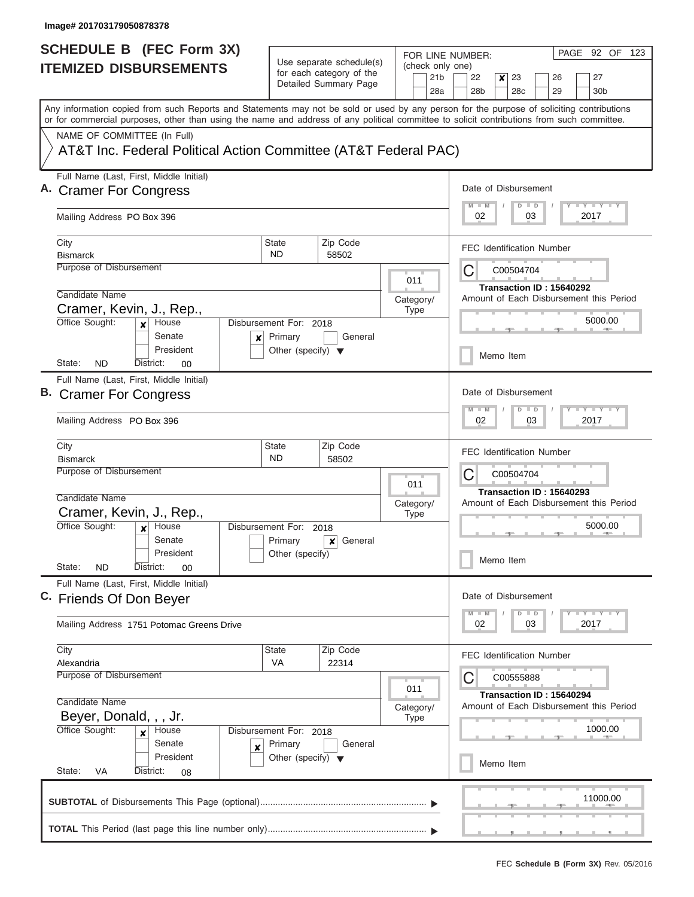| <b>SCHEDULE B (FEC Form 3X)</b>                                                                                                                                                                                                                                                         |                                      |                                                      |                          |                        | FOR LINE NUMBER:                 |                          |               |    |  |      | PAGE 92 OF 123                                            |  |
|-----------------------------------------------------------------------------------------------------------------------------------------------------------------------------------------------------------------------------------------------------------------------------------------|--------------------------------------|------------------------------------------------------|--------------------------|------------------------|----------------------------------|--------------------------|---------------|----|--|------|-----------------------------------------------------------|--|
| <b>ITEMIZED DISBURSEMENTS</b>                                                                                                                                                                                                                                                           |                                      | Use separate schedule(s)<br>for each category of the |                          | (check only one)       | 22<br>23<br>26<br>27             |                          |               |    |  |      |                                                           |  |
|                                                                                                                                                                                                                                                                                         |                                      | Detailed Summary Page                                |                          | 21 <sub>b</sub><br>28a | 28 <sub>b</sub>                  | ×<br>28 <sub>c</sub>     |               | 29 |  |      | 30 <sub>b</sub>                                           |  |
| Any information copied from such Reports and Statements may not be sold or used by any person for the purpose of soliciting contributions<br>or for commercial purposes, other than using the name and address of any political committee to solicit contributions from such committee. |                                      |                                                      |                          |                        |                                  |                          |               |    |  |      |                                                           |  |
| NAME OF COMMITTEE (In Full)                                                                                                                                                                                                                                                             |                                      |                                                      |                          |                        |                                  |                          |               |    |  |      |                                                           |  |
| AT&T Inc. Federal Political Action Committee (AT&T Federal PAC)                                                                                                                                                                                                                         |                                      |                                                      |                          |                        |                                  |                          |               |    |  |      |                                                           |  |
| Full Name (Last, First, Middle Initial)<br><b>Cramer For Congress</b>                                                                                                                                                                                                                   |                                      |                                                      |                          |                        | Date of Disbursement             |                          |               |    |  |      |                                                           |  |
| Mailing Address PO Box 396                                                                                                                                                                                                                                                              |                                      |                                                      |                          |                        | 02                               |                          | $D$ $D$<br>03 |    |  | 2017 | <b>LY LY LY</b>                                           |  |
| City<br><b>Bismarck</b>                                                                                                                                                                                                                                                                 | State<br><b>ND</b>                   | Zip Code<br>58502                                    |                          |                        | <b>FEC Identification Number</b> |                          |               |    |  |      |                                                           |  |
| <b>Purpose of Disbursement</b>                                                                                                                                                                                                                                                          |                                      |                                                      |                          |                        | C                                | C00504704                |               |    |  |      |                                                           |  |
| Candidate Name                                                                                                                                                                                                                                                                          |                                      |                                                      | 011                      |                        |                                  | Transaction ID: 15640292 |               |    |  |      |                                                           |  |
| Cramer, Kevin, J., Rep.,                                                                                                                                                                                                                                                                |                                      |                                                      | Category/<br><b>Type</b> |                        |                                  |                          |               |    |  |      | Amount of Each Disbursement this Period                   |  |
| Office Sought:<br>House<br>$\boldsymbol{x}$<br>Senate<br>×                                                                                                                                                                                                                              | Disbursement For: 2018<br>Primary    | General                                              |                          |                        |                                  |                          |               |    |  |      | 5000.00                                                   |  |
| President<br>State:<br>ND<br>District:<br>00                                                                                                                                                                                                                                            | Other (specify) $\blacktriangledown$ |                                                      |                          |                        |                                  | Memo Item                |               |    |  |      |                                                           |  |
| Full Name (Last, First, Middle Initial)                                                                                                                                                                                                                                                 |                                      |                                                      |                          |                        |                                  |                          |               |    |  |      |                                                           |  |
| <b>B.</b> Cramer For Congress                                                                                                                                                                                                                                                           |                                      |                                                      |                          |                        | Date of Disbursement<br>$M - M$  |                          | $D$ $D$       |    |  |      | $-Y - Y - I - Y$                                          |  |
| Mailing Address PO Box 396                                                                                                                                                                                                                                                              |                                      |                                                      |                          |                        | 02                               |                          | 03            |    |  | 2017 |                                                           |  |
| City<br><b>Bismarck</b>                                                                                                                                                                                                                                                                 | <b>State</b><br><b>ND</b>            | Zip Code<br>58502                                    |                          |                        | <b>FEC Identification Number</b> |                          |               |    |  |      |                                                           |  |
| Purpose of Disbursement                                                                                                                                                                                                                                                                 |                                      |                                                      |                          |                        | C                                | C00504704                |               |    |  |      |                                                           |  |
| Candidate Name                                                                                                                                                                                                                                                                          |                                      |                                                      | 011                      |                        |                                  | Transaction ID: 15640293 |               |    |  |      |                                                           |  |
| Cramer, Kevin, J., Rep.,                                                                                                                                                                                                                                                                |                                      |                                                      | Category/<br><b>Type</b> |                        |                                  |                          |               |    |  |      | Amount of Each Disbursement this Period                   |  |
| Office Sought:<br>House<br>$\boldsymbol{x}$                                                                                                                                                                                                                                             | Disbursement For: 2018               |                                                      |                          |                        |                                  |                          |               |    |  |      | 5000.00                                                   |  |
| Senate<br>President                                                                                                                                                                                                                                                                     | Primary<br>Other (specify)           | General<br>$\mathbf{x}$                              |                          |                        |                                  |                          |               |    |  |      |                                                           |  |
| State:<br>ND<br>District:<br>00                                                                                                                                                                                                                                                         |                                      |                                                      |                          |                        |                                  | Memo Item                |               |    |  |      |                                                           |  |
| Full Name (Last, First, Middle Initial)<br>C. Friends Of Don Beyer                                                                                                                                                                                                                      |                                      |                                                      |                          |                        | Date of Disbursement             |                          |               |    |  |      |                                                           |  |
| Mailing Address 1751 Potomac Greens Drive                                                                                                                                                                                                                                               |                                      |                                                      |                          |                        | $M - M$<br>02                    | $\overline{D}$           | $\Box$<br>03  |    |  | 2017 | $\Box$ $\Upsilon$ $\Box$ $\Upsilon$ $\Upsilon$ $\Upsilon$ |  |
| City                                                                                                                                                                                                                                                                                    | State                                | Zip Code                                             |                          |                        | <b>FEC Identification Number</b> |                          |               |    |  |      |                                                           |  |
| Alexandria<br>Purpose of Disbursement                                                                                                                                                                                                                                                   | VA                                   | 22314                                                |                          |                        | C                                | C00555888                |               |    |  |      |                                                           |  |
|                                                                                                                                                                                                                                                                                         |                                      |                                                      | 011                      |                        |                                  | Transaction ID: 15640294 |               |    |  |      |                                                           |  |
| Candidate Name<br>Beyer, Donald, , , Jr.                                                                                                                                                                                                                                                |                                      |                                                      | Category/<br><b>Type</b> |                        |                                  |                          |               |    |  |      | Amount of Each Disbursement this Period                   |  |
| Office Sought:<br>House<br>$\boldsymbol{x}$                                                                                                                                                                                                                                             | Disbursement For: 2018               |                                                      |                          |                        |                                  |                          |               |    |  |      | 1000.00                                                   |  |
| Senate<br>×                                                                                                                                                                                                                                                                             | Primary                              | General                                              |                          |                        |                                  |                          |               |    |  |      |                                                           |  |
| President<br>State:<br>District:<br>VA<br>08                                                                                                                                                                                                                                            | Other (specify) $\blacktriangledown$ |                                                      |                          |                        |                                  | Memo Item                |               |    |  |      |                                                           |  |
|                                                                                                                                                                                                                                                                                         |                                      |                                                      |                          |                        |                                  |                          |               |    |  |      | 11000.00                                                  |  |
|                                                                                                                                                                                                                                                                                         |                                      |                                                      |                          |                        |                                  |                          |               |    |  |      |                                                           |  |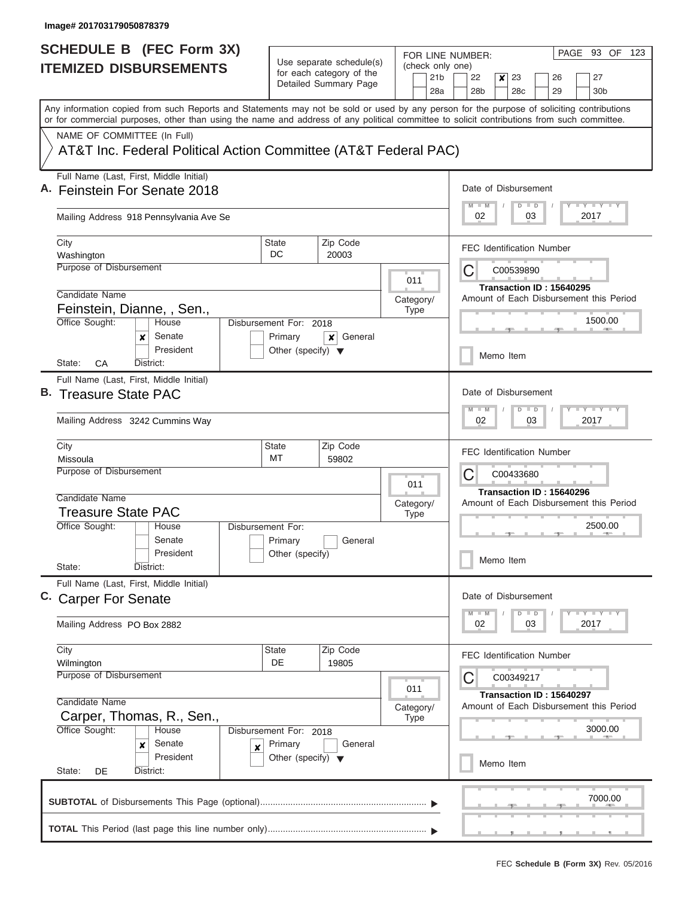| <b>SCHEDULE B (FEC Form 3X)</b>                                                                                                                                                                                                                                                         |                                                                           |                                                                               |                                            | PAGE 93 OF 123<br>FOR LINE NUMBER:                                                                                                       |
|-----------------------------------------------------------------------------------------------------------------------------------------------------------------------------------------------------------------------------------------------------------------------------------------|---------------------------------------------------------------------------|-------------------------------------------------------------------------------|--------------------------------------------|------------------------------------------------------------------------------------------------------------------------------------------|
| <b>ITEMIZED DISBURSEMENTS</b>                                                                                                                                                                                                                                                           |                                                                           | Use separate schedule(s)<br>for each category of the<br>Detailed Summary Page | (check only one)<br>21 <sub>b</sub><br>28a | 22<br>23<br>26<br>27<br>x<br>28 <sub>b</sub><br>28c<br>29<br>30 <sub>b</sub>                                                             |
| Any information copied from such Reports and Statements may not be sold or used by any person for the purpose of soliciting contributions<br>or for commercial purposes, other than using the name and address of any political committee to solicit contributions from such committee. |                                                                           |                                                                               |                                            |                                                                                                                                          |
| NAME OF COMMITTEE (In Full)<br>AT&T Inc. Federal Political Action Committee (AT&T Federal PAC)                                                                                                                                                                                          |                                                                           |                                                                               |                                            |                                                                                                                                          |
| Full Name (Last, First, Middle Initial)<br>A. Feinstein For Senate 2018                                                                                                                                                                                                                 |                                                                           |                                                                               |                                            | Date of Disbursement<br><b>LYLYLY</b><br>$M - M$<br>$\Box$<br>D                                                                          |
| Mailing Address 918 Pennsylvania Ave Se                                                                                                                                                                                                                                                 |                                                                           |                                                                               |                                            | 2017<br>02<br>03                                                                                                                         |
| City<br>Washington                                                                                                                                                                                                                                                                      | State<br>DC                                                               | Zip Code<br>20003                                                             |                                            | <b>FEC Identification Number</b>                                                                                                         |
| Purpose of Disbursement<br>Candidate Name                                                                                                                                                                                                                                               |                                                                           |                                                                               | 011                                        | С<br>C00539890<br>Transaction ID: 15640295                                                                                               |
| Feinstein, Dianne, , Sen.,<br>Office Sought:<br>House                                                                                                                                                                                                                                   | Disbursement For: 2018                                                    |                                                                               | Category/<br><b>Type</b>                   | Amount of Each Disbursement this Period<br>1500.00                                                                                       |
| Senate<br>x<br>President                                                                                                                                                                                                                                                                | Primary<br>Other (specify) $\blacktriangledown$                           | General<br>×                                                                  |                                            | Memo Item                                                                                                                                |
| State:<br>CA<br>District:<br>Full Name (Last, First, Middle Initial)<br>B. Treasure State PAC                                                                                                                                                                                           |                                                                           |                                                                               |                                            | Date of Disbursement                                                                                                                     |
| Mailing Address 3242 Cummins Way                                                                                                                                                                                                                                                        |                                                                           |                                                                               |                                            | $\mathbf{I}$ $\mathbf{Y}$ $\mathbf{I}$ $\mathbf{Y}$ $\mathbf{I}$ $\mathbf{Y}$<br>$M - M$<br>$\Box$<br>$\overline{D}$<br>2017<br>02<br>03 |
| City<br>Missoula<br>Purpose of Disbursement                                                                                                                                                                                                                                             | State<br>MT                                                               | Zip Code<br>59802                                                             |                                            | <b>FEC Identification Number</b><br>C<br>C00433680                                                                                       |
| Candidate Name<br><b>Treasure State PAC</b>                                                                                                                                                                                                                                             |                                                                           |                                                                               | 011<br>Category/<br><b>Type</b>            | Transaction ID: 15640296<br>Amount of Each Disbursement this Period                                                                      |
| Office Sought:<br>House<br>Senate<br>President                                                                                                                                                                                                                                          | Disbursement For:<br>Primary<br>Other (specify)                           | General                                                                       |                                            | 2500.00<br>Memo Item                                                                                                                     |
| State:<br>District:<br>Full Name (Last, First, Middle Initial)                                                                                                                                                                                                                          |                                                                           |                                                                               |                                            |                                                                                                                                          |
| C. Carper For Senate<br>Mailing Address PO Box 2882                                                                                                                                                                                                                                     |                                                                           |                                                                               |                                            | Date of Disbursement<br>$T - Y$ $T - Y$<br>$M$ $M$<br>$\overline{D}$<br>$\Box$<br>2017<br>02<br>03                                       |
| City                                                                                                                                                                                                                                                                                    | State                                                                     | Zip Code                                                                      |                                            | <b>FEC Identification Number</b>                                                                                                         |
| Wilmington<br>Purpose of Disbursement                                                                                                                                                                                                                                                   | DE                                                                        | 19805                                                                         | 011                                        | С<br>C00349217                                                                                                                           |
| Candidate Name<br>Carper, Thomas, R., Sen.,                                                                                                                                                                                                                                             |                                                                           |                                                                               | Category/<br><b>Type</b>                   | Transaction ID: 15640297<br>Amount of Each Disbursement this Period                                                                      |
| Office Sought:<br>House<br>Senate<br>×<br>×<br>President                                                                                                                                                                                                                                | Disbursement For: 2018<br>Primary<br>Other (specify) $\blacktriangledown$ | General                                                                       |                                            | 3000.00<br>Memo Item                                                                                                                     |
| State:<br>District:<br>DE                                                                                                                                                                                                                                                               |                                                                           |                                                                               |                                            |                                                                                                                                          |
|                                                                                                                                                                                                                                                                                         |                                                                           |                                                                               |                                            | 7000.00                                                                                                                                  |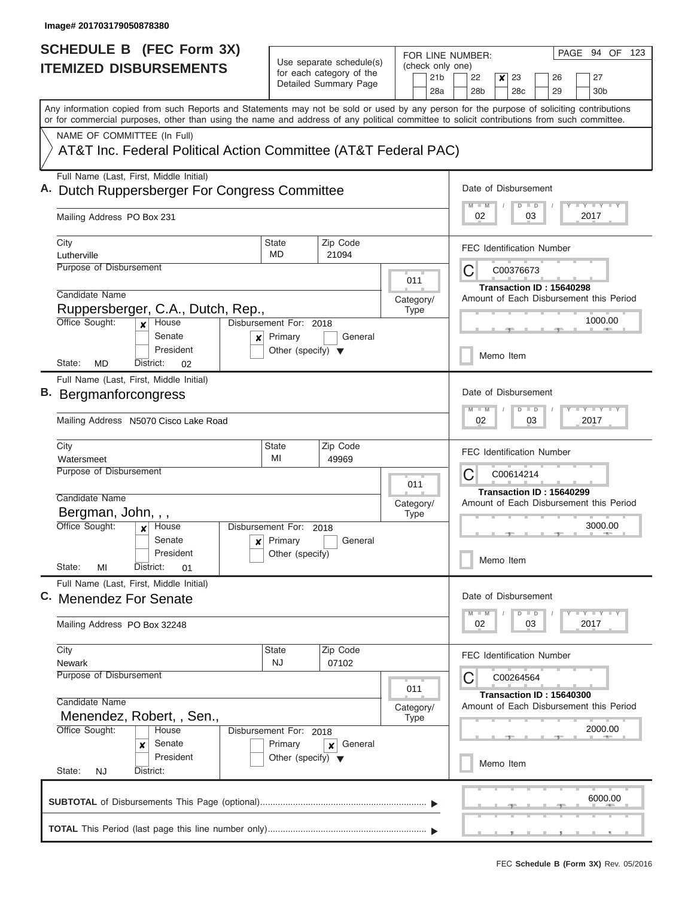| <b>SCHEDULE B</b> (FEC Form 3X)                                                                                                                                                                                                                                                         |                                                 |                                                                               |  |                  |            | PAGE 94 OF 123<br>FOR LINE NUMBER:                                                               |
|-----------------------------------------------------------------------------------------------------------------------------------------------------------------------------------------------------------------------------------------------------------------------------------------|-------------------------------------------------|-------------------------------------------------------------------------------|--|------------------|------------|--------------------------------------------------------------------------------------------------|
| <b>ITEMIZED DISBURSEMENTS</b>                                                                                                                                                                                                                                                           |                                                 | Use separate schedule(s)<br>for each category of the<br>Detailed Summary Page |  |                  | 21b<br>28a | (check only one)<br>22<br>23<br>x<br>26<br>27<br>28 <sub>b</sub><br>28c<br>29<br>30 <sub>b</sub> |
| Any information copied from such Reports and Statements may not be sold or used by any person for the purpose of soliciting contributions<br>or for commercial purposes, other than using the name and address of any political committee to solicit contributions from such committee. |                                                 |                                                                               |  |                  |            |                                                                                                  |
| NAME OF COMMITTEE (In Full)<br>AT&T Inc. Federal Political Action Committee (AT&T Federal PAC)                                                                                                                                                                                          |                                                 |                                                                               |  |                  |            |                                                                                                  |
|                                                                                                                                                                                                                                                                                         |                                                 |                                                                               |  |                  |            |                                                                                                  |
| Full Name (Last, First, Middle Initial)<br>A. Dutch Ruppersberger For Congress Committee                                                                                                                                                                                                |                                                 |                                                                               |  |                  |            | Date of Disbursement<br><b>LY LY LY</b><br>$D$ $D$                                               |
| Mailing Address PO Box 231                                                                                                                                                                                                                                                              |                                                 |                                                                               |  |                  |            | 2017<br>02<br>03                                                                                 |
| City<br>Lutherville                                                                                                                                                                                                                                                                     | State<br>MD                                     | Zip Code<br>21094                                                             |  |                  |            | <b>FEC Identification Number</b>                                                                 |
| Purpose of Disbursement                                                                                                                                                                                                                                                                 |                                                 |                                                                               |  |                  |            | С<br>C00376673                                                                                   |
|                                                                                                                                                                                                                                                                                         |                                                 |                                                                               |  | 011              |            | Transaction ID: 15640298                                                                         |
| Candidate Name<br>Ruppersberger, C.A., Dutch, Rep.,                                                                                                                                                                                                                                     |                                                 |                                                                               |  | Category/        |            | Amount of Each Disbursement this Period                                                          |
| Office Sought:<br>House<br>$\mathbf{x}$<br>Senate<br>×                                                                                                                                                                                                                                  | Disbursement For: 2018<br>Primary               | General                                                                       |  | <b>Type</b>      |            | 1000.00                                                                                          |
| President<br>State:<br><b>MD</b><br>District:<br>02                                                                                                                                                                                                                                     | Other (specify) $\blacktriangledown$            |                                                                               |  |                  |            | Memo Item                                                                                        |
| Full Name (Last, First, Middle Initial)                                                                                                                                                                                                                                                 |                                                 |                                                                               |  |                  |            |                                                                                                  |
| B. Bergmanforcongress                                                                                                                                                                                                                                                                   |                                                 |                                                                               |  |                  |            | Date of Disbursement                                                                             |
| Mailing Address N5070 Cisco Lake Road                                                                                                                                                                                                                                                   |                                                 |                                                                               |  |                  |            | <b>LEY LEY</b><br>$\Box$<br>W<br>D<br>03<br>2017<br>02                                           |
| City                                                                                                                                                                                                                                                                                    | <b>State</b>                                    | Zip Code                                                                      |  |                  |            | <b>FEC Identification Number</b>                                                                 |
| Watersmeet<br>Purpose of Disbursement                                                                                                                                                                                                                                                   | MI                                              | 49969                                                                         |  | 011              |            | С<br>C00614214                                                                                   |
| Candidate Name                                                                                                                                                                                                                                                                          |                                                 |                                                                               |  | Category/        |            | Transaction ID: 15640299<br>Amount of Each Disbursement this Period                              |
| Bergman, John, , ,                                                                                                                                                                                                                                                                      |                                                 |                                                                               |  | <b>Type</b>      |            |                                                                                                  |
| Office Sought:<br>House<br>×<br>Senate                                                                                                                                                                                                                                                  | Disbursement For: 2018                          | General                                                                       |  |                  |            | 3000.00                                                                                          |
| President<br>State:<br>MI<br>District:<br>01                                                                                                                                                                                                                                            | $x$ Primary<br>Other (specify)                  |                                                                               |  |                  |            | Memo Item                                                                                        |
| Full Name (Last, First, Middle Initial)<br>C. Menendez For Senate                                                                                                                                                                                                                       |                                                 |                                                                               |  |                  |            | Date of Disbursement                                                                             |
| Mailing Address PO Box 32248                                                                                                                                                                                                                                                            |                                                 |                                                                               |  |                  |            | $T$ $Y$ $T$ $Y$ $T$ $Y$<br>$\Box$<br>$M - M$<br>D<br>2017<br>02<br>03                            |
| City<br>Newark                                                                                                                                                                                                                                                                          | <b>State</b><br>NJ                              | Zip Code<br>07102                                                             |  |                  |            | <b>FEC Identification Number</b>                                                                 |
| Purpose of Disbursement                                                                                                                                                                                                                                                                 |                                                 |                                                                               |  |                  |            | C<br>C00264564                                                                                   |
| Candidate Name<br>Menendez, Robert, , Sen.,                                                                                                                                                                                                                                             |                                                 |                                                                               |  | 011<br>Category/ |            | Transaction ID: 15640300<br>Amount of Each Disbursement this Period                              |
| Office Sought:<br>House                                                                                                                                                                                                                                                                 | Disbursement For: 2018                          |                                                                               |  | <b>Type</b>      |            | 2000.00                                                                                          |
| Senate<br>×<br>President                                                                                                                                                                                                                                                                | Primary<br>Other (specify) $\blacktriangledown$ | General<br>×                                                                  |  |                  |            | Memo Item                                                                                        |
| State:<br><b>NJ</b><br>District:                                                                                                                                                                                                                                                        |                                                 |                                                                               |  |                  |            |                                                                                                  |
|                                                                                                                                                                                                                                                                                         |                                                 |                                                                               |  |                  |            | 6000.00                                                                                          |
|                                                                                                                                                                                                                                                                                         |                                                 |                                                                               |  |                  |            |                                                                                                  |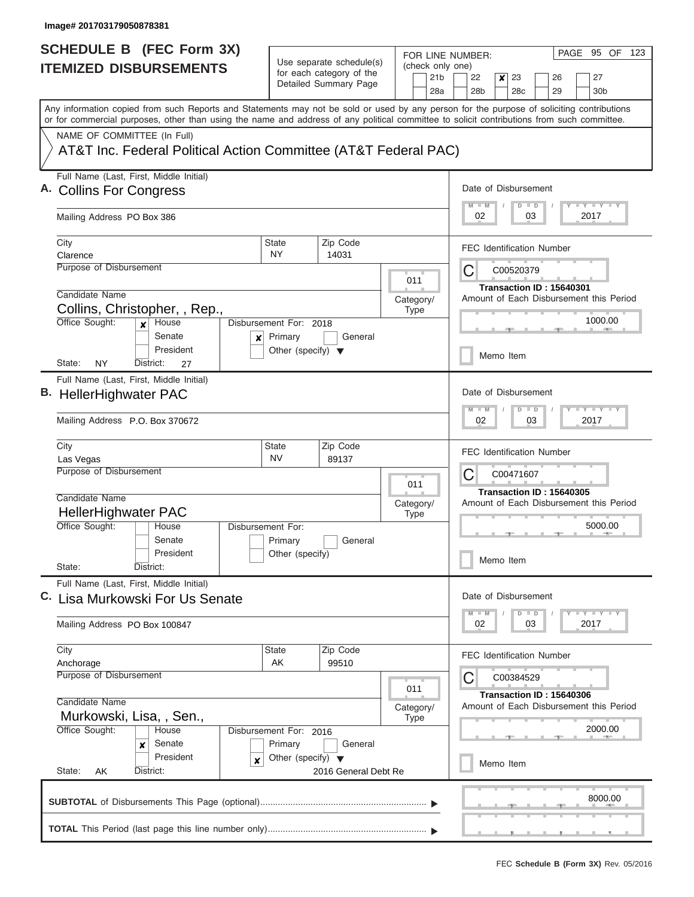| <b>SCHEDULE B (FEC Form 3X)</b>                                                                                                                                                                                                                                                         |                                                                           |                                                                               |                                 | PAGE 95 OF<br>123<br>FOR LINE NUMBER:                                                                                      |
|-----------------------------------------------------------------------------------------------------------------------------------------------------------------------------------------------------------------------------------------------------------------------------------------|---------------------------------------------------------------------------|-------------------------------------------------------------------------------|---------------------------------|----------------------------------------------------------------------------------------------------------------------------|
| <b>ITEMIZED DISBURSEMENTS</b>                                                                                                                                                                                                                                                           |                                                                           | Use separate schedule(s)<br>for each category of the<br>Detailed Summary Page |                                 | (check only one)<br>21 <sub>b</sub><br>22<br>23<br>27<br>x<br>26<br>28a<br>28 <sub>b</sub><br>28c<br>29<br>30 <sub>b</sub> |
| Any information copied from such Reports and Statements may not be sold or used by any person for the purpose of soliciting contributions<br>or for commercial purposes, other than using the name and address of any political committee to solicit contributions from such committee. |                                                                           |                                                                               |                                 |                                                                                                                            |
| NAME OF COMMITTEE (In Full)<br>AT&T Inc. Federal Political Action Committee (AT&T Federal PAC)                                                                                                                                                                                          |                                                                           |                                                                               |                                 |                                                                                                                            |
| Full Name (Last, First, Middle Initial)<br>A. Collins For Congress<br>Mailing Address PO Box 386                                                                                                                                                                                        |                                                                           |                                                                               |                                 | Date of Disbursement<br>$T$ $Y$ $T$ $Y$ $T$ $Y$<br>$D$ $D$<br>03<br>2017<br>02                                             |
| City<br>Clarence                                                                                                                                                                                                                                                                        | <b>State</b><br><b>NY</b>                                                 | Zip Code<br>14031                                                             |                                 | <b>FEC Identification Number</b>                                                                                           |
| Purpose of Disbursement<br>Candidate Name<br>Collins, Christopher, , Rep.,<br>Office Sought:<br>House<br>$\boldsymbol{x}$<br>Senate<br>x<br>President<br>State:<br>NY<br>District:<br>27                                                                                                | Disbursement For: 2018<br>Primary<br>Other (specify) $\blacktriangledown$ | General                                                                       | 011<br>Category/<br><b>Type</b> | C<br>C00520379<br>Transaction ID: 15640301<br>Amount of Each Disbursement this Period<br>1000.00<br>Memo Item              |
| Full Name (Last, First, Middle Initial)<br>B. HellerHighwater PAC<br>Mailing Address P.O. Box 370672                                                                                                                                                                                    |                                                                           |                                                                               |                                 | Date of Disbursement<br>$-1 - Y - 1 - Y - 1 - Y$<br>$M - M$<br>D<br>$\blacksquare$<br>02<br>03<br>2017                     |
| City<br>Las Vegas<br><b>Purpose of Disbursement</b><br>Candidate Name<br><b>HellerHighwater PAC</b>                                                                                                                                                                                     | <b>State</b><br><b>NV</b>                                                 | Zip Code<br>89137                                                             | 011<br>Category/<br><b>Type</b> | <b>FEC Identification Number</b><br>C<br>C00471607<br>Transaction ID: 15640305<br>Amount of Each Disbursement this Period  |
| Office Sought:<br>House<br>Senate<br>President<br>State:<br>District:                                                                                                                                                                                                                   | Disbursement For:<br>Primary<br>Other (specify)                           | General                                                                       |                                 | 5000.00<br>Memo Item                                                                                                       |
| Full Name (Last, First, Middle Initial)<br>C. Lisa Murkowski For Us Senate<br>Mailing Address PO Box 100847                                                                                                                                                                             |                                                                           |                                                                               |                                 | Date of Disbursement<br>$T - Y$ $T - Y$<br>$M$ $M$<br>$D$ $D$<br>2017<br>02<br>03                                          |
| City<br>Anchorage<br><b>Purpose of Disbursement</b><br>Candidate Name                                                                                                                                                                                                                   | State<br>AK                                                               | Zip Code<br>99510                                                             | 011                             | <b>FEC Identification Number</b><br>C00384529<br>C<br>Transaction ID: 15640306                                             |
| Murkowski, Lisa, , Sen.,<br>Office Sought:<br>House<br>Senate<br>×<br>President<br>×<br>State:<br>District:<br>AK                                                                                                                                                                       | Disbursement For: 2016<br>Primary<br>Other (specify) $\blacktriangledown$ | General<br>2016 General Debt Re                                               | Category/<br>Type               | Amount of Each Disbursement this Period<br>2000.00<br>Memo Item                                                            |
|                                                                                                                                                                                                                                                                                         |                                                                           |                                                                               |                                 | 8000.00                                                                                                                    |
|                                                                                                                                                                                                                                                                                         |                                                                           |                                                                               |                                 |                                                                                                                            |

L  $\sim$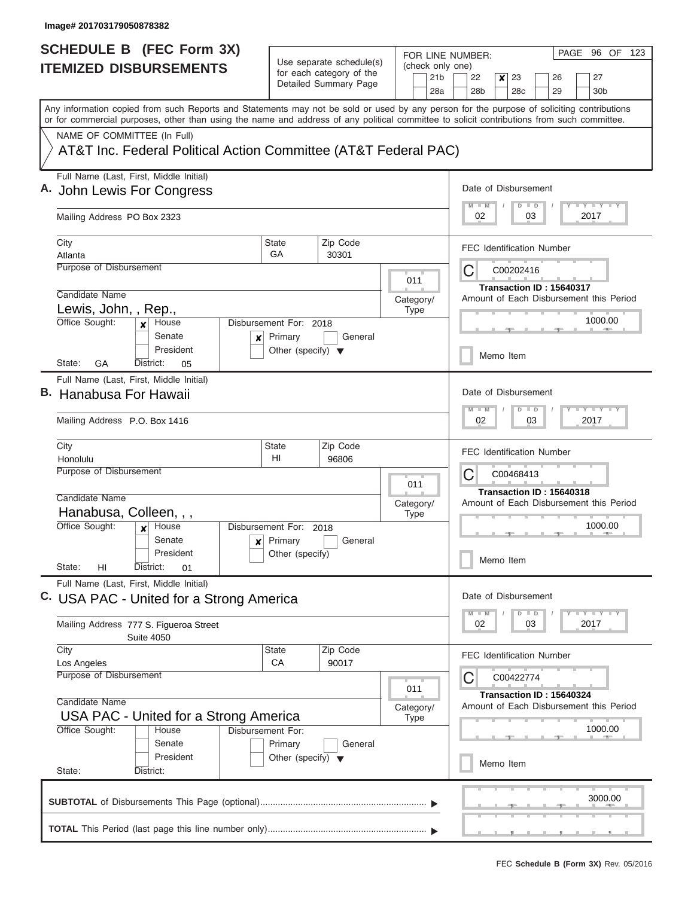| <b>SCHEDULE B (FEC Form 3X)</b>                                                                                                                                                                                                                                                         |                                                 |                                                      |  |                          |                 | PAGE 96 OF 123<br>FOR LINE NUMBER:                                                                      |  |  |  |  |  |  |
|-----------------------------------------------------------------------------------------------------------------------------------------------------------------------------------------------------------------------------------------------------------------------------------------|-------------------------------------------------|------------------------------------------------------|--|--------------------------|-----------------|---------------------------------------------------------------------------------------------------------|--|--|--|--|--|--|
| <b>ITEMIZED DISBURSEMENTS</b>                                                                                                                                                                                                                                                           |                                                 | Use separate schedule(s)<br>for each category of the |  | (check only one)         | 21 <sub>b</sub> | 22<br>23<br>26<br>27<br>×                                                                               |  |  |  |  |  |  |
|                                                                                                                                                                                                                                                                                         |                                                 | Detailed Summary Page                                |  |                          | 28a             | 28 <sub>b</sub><br>28 <sub>c</sub><br>29<br>30 <sub>b</sub>                                             |  |  |  |  |  |  |
| Any information copied from such Reports and Statements may not be sold or used by any person for the purpose of soliciting contributions<br>or for commercial purposes, other than using the name and address of any political committee to solicit contributions from such committee. |                                                 |                                                      |  |                          |                 |                                                                                                         |  |  |  |  |  |  |
| NAME OF COMMITTEE (In Full)                                                                                                                                                                                                                                                             |                                                 |                                                      |  |                          |                 |                                                                                                         |  |  |  |  |  |  |
| AT&T Inc. Federal Political Action Committee (AT&T Federal PAC)                                                                                                                                                                                                                         |                                                 |                                                      |  |                          |                 |                                                                                                         |  |  |  |  |  |  |
| Full Name (Last, First, Middle Initial)<br>A. John Lewis For Congress                                                                                                                                                                                                                   |                                                 |                                                      |  |                          |                 | Date of Disbursement                                                                                    |  |  |  |  |  |  |
| Mailing Address PO Box 2323                                                                                                                                                                                                                                                             |                                                 |                                                      |  |                          |                 | <b>LY LY LY</b><br>$D$ $D$<br>02<br>03<br>2017                                                          |  |  |  |  |  |  |
| City<br>Atlanta                                                                                                                                                                                                                                                                         | State<br>GA                                     | Zip Code<br>30301                                    |  |                          |                 | <b>FEC Identification Number</b>                                                                        |  |  |  |  |  |  |
| Purpose of Disbursement                                                                                                                                                                                                                                                                 |                                                 |                                                      |  | 011                      |                 | C<br>C00202416                                                                                          |  |  |  |  |  |  |
| Candidate Name                                                                                                                                                                                                                                                                          |                                                 |                                                      |  | Category/                |                 | Transaction ID: 15640317<br>Amount of Each Disbursement this Period                                     |  |  |  |  |  |  |
| Lewis, John, , Rep.,<br>Office Sought:<br>House<br>$\boldsymbol{x}$                                                                                                                                                                                                                     | Disbursement For: 2018                          |                                                      |  | <b>Type</b>              |                 | 1000.00                                                                                                 |  |  |  |  |  |  |
| Senate<br>×<br>President                                                                                                                                                                                                                                                                | Primary<br>Other (specify) $\blacktriangledown$ | General                                              |  |                          |                 |                                                                                                         |  |  |  |  |  |  |
| GA<br>State:<br>District:<br>05                                                                                                                                                                                                                                                         |                                                 |                                                      |  |                          |                 | Memo Item                                                                                               |  |  |  |  |  |  |
| Full Name (Last, First, Middle Initial)<br>B. Hanabusa For Hawaii                                                                                                                                                                                                                       |                                                 |                                                      |  |                          |                 | Date of Disbursement                                                                                    |  |  |  |  |  |  |
| Mailing Address P.O. Box 1416                                                                                                                                                                                                                                                           |                                                 |                                                      |  |                          |                 | $-Y - Y - I - Y$<br>$M - M$<br>$D$ $D$<br>02<br>03<br>2017                                              |  |  |  |  |  |  |
| City                                                                                                                                                                                                                                                                                    | <b>State</b>                                    | Zip Code                                             |  |                          |                 | <b>FEC Identification Number</b>                                                                        |  |  |  |  |  |  |
| Honolulu<br><b>Purpose of Disbursement</b>                                                                                                                                                                                                                                              | HI                                              | 96806                                                |  |                          |                 | C<br>C00468413                                                                                          |  |  |  |  |  |  |
| Candidate Name                                                                                                                                                                                                                                                                          |                                                 |                                                      |  | 011                      |                 | Transaction ID: 15640318                                                                                |  |  |  |  |  |  |
| Hanabusa, Colleen, , ,                                                                                                                                                                                                                                                                  |                                                 |                                                      |  | Category/<br><b>Type</b> |                 | Amount of Each Disbursement this Period                                                                 |  |  |  |  |  |  |
| Office Sought:<br>House                                                                                                                                                                                                                                                                 | Disbursement For: 2018                          |                                                      |  |                          |                 | 1000.00                                                                                                 |  |  |  |  |  |  |
| Senate<br>$\boldsymbol{x}$                                                                                                                                                                                                                                                              | Primary                                         | General                                              |  |                          |                 |                                                                                                         |  |  |  |  |  |  |
| President<br>State:<br>HI<br>District:<br>01                                                                                                                                                                                                                                            | Other (specify)                                 |                                                      |  |                          |                 | Memo Item                                                                                               |  |  |  |  |  |  |
| Full Name (Last, First, Middle Initial)<br>C. USA PAC - United for a Strong America                                                                                                                                                                                                     |                                                 |                                                      |  |                          |                 | Date of Disbursement                                                                                    |  |  |  |  |  |  |
| Mailing Address 777 S. Figueroa Street                                                                                                                                                                                                                                                  |                                                 |                                                      |  |                          |                 | $\Box$ $\Upsilon$ $\Box$ $\Upsilon$ $\Upsilon$ $\Upsilon$<br>$M - M$<br>$\Box$<br>D<br>02<br>2017<br>03 |  |  |  |  |  |  |
| <b>Suite 4050</b><br>City                                                                                                                                                                                                                                                               | State                                           | Zip Code                                             |  |                          |                 |                                                                                                         |  |  |  |  |  |  |
| Los Angeles                                                                                                                                                                                                                                                                             | CA                                              | 90017                                                |  |                          |                 | FEC Identification Number                                                                               |  |  |  |  |  |  |
| Purpose of Disbursement                                                                                                                                                                                                                                                                 |                                                 |                                                      |  | 011                      |                 | C<br>C00422774                                                                                          |  |  |  |  |  |  |
| Candidate Name                                                                                                                                                                                                                                                                          |                                                 |                                                      |  | Category/                |                 | Transaction ID: 15640324<br>Amount of Each Disbursement this Period                                     |  |  |  |  |  |  |
| USA PAC - United for a Strong America                                                                                                                                                                                                                                                   |                                                 |                                                      |  | <b>Type</b>              |                 | 1000.00                                                                                                 |  |  |  |  |  |  |
| Office Sought:<br>House<br>Senate                                                                                                                                                                                                                                                       | Disbursement For:<br>Primary                    | General                                              |  |                          |                 |                                                                                                         |  |  |  |  |  |  |
| President<br>State:<br>District:                                                                                                                                                                                                                                                        | Other (specify) $\blacktriangledown$            |                                                      |  |                          |                 | Memo Item                                                                                               |  |  |  |  |  |  |
|                                                                                                                                                                                                                                                                                         |                                                 |                                                      |  |                          |                 |                                                                                                         |  |  |  |  |  |  |
|                                                                                                                                                                                                                                                                                         |                                                 |                                                      |  |                          |                 | 3000.00                                                                                                 |  |  |  |  |  |  |
|                                                                                                                                                                                                                                                                                         |                                                 |                                                      |  |                          |                 |                                                                                                         |  |  |  |  |  |  |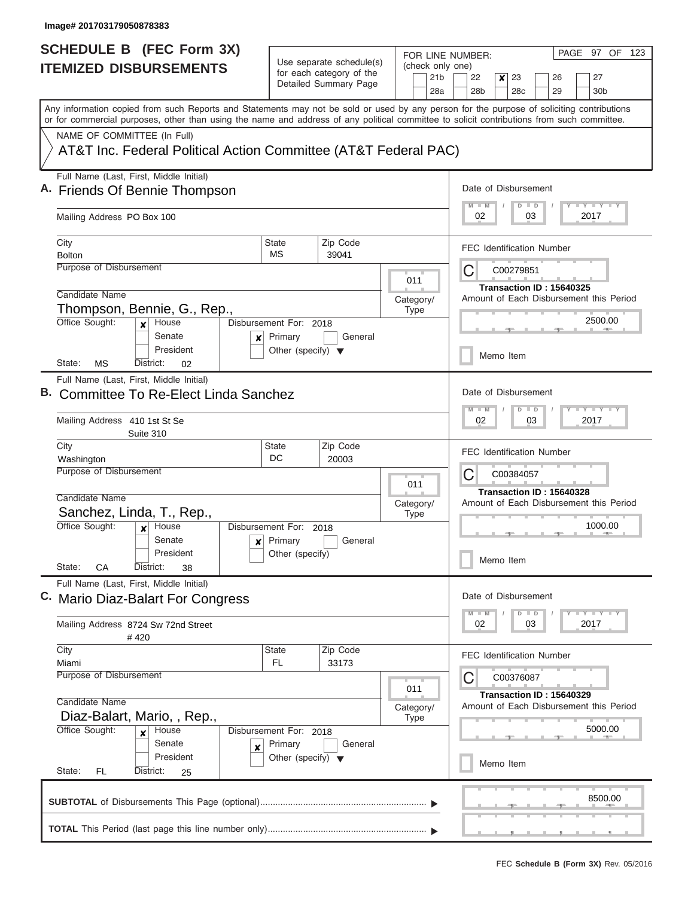| <b>SCHEDULE B</b> (FEC Form 3X)                                                                                                                                                                                                                                                         |                                         |                                                                                                                                     |                          |                |                 | FOR LINE NUMBER:                                                    |        |  | PAGE 97 OF 123                                            |  |  |  |
|-----------------------------------------------------------------------------------------------------------------------------------------------------------------------------------------------------------------------------------------------------------------------------------------|-----------------------------------------|-------------------------------------------------------------------------------------------------------------------------------------|--------------------------|----------------|-----------------|---------------------------------------------------------------------|--------|--|-----------------------------------------------------------|--|--|--|
| <b>ITEMIZED DISBURSEMENTS</b>                                                                                                                                                                                                                                                           |                                         | Use separate schedule(s)<br>for each category of the                                                                                |                          |                | 21 <sub>b</sub> | (check only one)<br>22<br>23<br>26<br>27<br>×                       |        |  |                                                           |  |  |  |
|                                                                                                                                                                                                                                                                                         |                                         | Detailed Summary Page                                                                                                               |                          |                | 28a             | 28 <sub>b</sub><br>28c                                              | 29     |  | 30 <sub>b</sub>                                           |  |  |  |
| Any information copied from such Reports and Statements may not be sold or used by any person for the purpose of soliciting contributions<br>or for commercial purposes, other than using the name and address of any political committee to solicit contributions from such committee. |                                         |                                                                                                                                     |                          |                |                 |                                                                     |        |  |                                                           |  |  |  |
| NAME OF COMMITTEE (In Full)                                                                                                                                                                                                                                                             |                                         |                                                                                                                                     |                          |                |                 |                                                                     |        |  |                                                           |  |  |  |
| AT&T Inc. Federal Political Action Committee (AT&T Federal PAC)                                                                                                                                                                                                                         |                                         |                                                                                                                                     |                          |                |                 |                                                                     |        |  |                                                           |  |  |  |
| Full Name (Last, First, Middle Initial)<br>A. Friends Of Bennie Thompson                                                                                                                                                                                                                |                                         | Date of Disbursement<br><b>LY LY LY</b><br>$D$ $D$                                                                                  |                          |                |                 |                                                                     |        |  |                                                           |  |  |  |
| Mailing Address PO Box 100                                                                                                                                                                                                                                                              |                                         |                                                                                                                                     |                          |                |                 | 02                                                                  | 03     |  | 2017                                                      |  |  |  |
| City                                                                                                                                                                                                                                                                                    | State                                   | Zip Code                                                                                                                            |                          |                |                 | <b>FEC Identification Number</b>                                    |        |  |                                                           |  |  |  |
| <b>Bolton</b><br>Purpose of Disbursement                                                                                                                                                                                                                                                | МS                                      | 39041                                                                                                                               |                          |                |                 |                                                                     |        |  |                                                           |  |  |  |
|                                                                                                                                                                                                                                                                                         |                                         |                                                                                                                                     |                          | 011            |                 | C<br>C00279851                                                      |        |  |                                                           |  |  |  |
| Candidate Name                                                                                                                                                                                                                                                                          |                                         |                                                                                                                                     |                          | Category/      |                 | Transaction ID: 15640325<br>Amount of Each Disbursement this Period |        |  |                                                           |  |  |  |
| Thompson, Bennie, G., Rep.,                                                                                                                                                                                                                                                             |                                         |                                                                                                                                     |                          | <b>Type</b>    |                 |                                                                     |        |  |                                                           |  |  |  |
| Office Sought:<br>House<br>$\boldsymbol{x}$<br>Senate<br>×                                                                                                                                                                                                                              | Disbursement For: 2018<br>Primary       | General                                                                                                                             |                          |                |                 |                                                                     |        |  | 2500.00                                                   |  |  |  |
| President<br>State:<br>МS<br>District:<br>02                                                                                                                                                                                                                                            | Other (specify) $\blacktriangledown$    |                                                                                                                                     |                          |                |                 | Memo Item                                                           |        |  |                                                           |  |  |  |
| Full Name (Last, First, Middle Initial)                                                                                                                                                                                                                                                 |                                         |                                                                                                                                     |                          |                |                 |                                                                     |        |  |                                                           |  |  |  |
| Committee To Re-Elect Linda Sanchez                                                                                                                                                                                                                                                     |                                         | Date of Disbursement                                                                                                                |                          |                |                 |                                                                     |        |  |                                                           |  |  |  |
| Mailing Address 410 1st St Se<br>Suite 310                                                                                                                                                                                                                                              |                                         | $\mathbb{L}^2$ $\mathbb{L}^2$ $\mathbb{L}^2$ $\mathbb{L}^2$ $\mathbb{L}^2$ $\mathbb{L}^2$<br>$M - M$<br>$D$ $D$<br>02<br>03<br>2017 |                          |                |                 |                                                                     |        |  |                                                           |  |  |  |
| City<br>Washington                                                                                                                                                                                                                                                                      | <b>State</b><br>Zip Code<br>DC<br>20003 |                                                                                                                                     |                          |                |                 | <b>FEC Identification Number</b>                                    |        |  |                                                           |  |  |  |
| <b>Purpose of Disbursement</b>                                                                                                                                                                                                                                                          |                                         | 011                                                                                                                                 |                          | C<br>C00384057 |                 |                                                                     |        |  |                                                           |  |  |  |
| Candidate Name                                                                                                                                                                                                                                                                          |                                         |                                                                                                                                     | Category/<br><b>Type</b> |                |                 | Transaction ID: 15640328<br>Amount of Each Disbursement this Period |        |  |                                                           |  |  |  |
| Sanchez, Linda, T., Rep.,                                                                                                                                                                                                                                                               |                                         |                                                                                                                                     |                          |                |                 |                                                                     |        |  |                                                           |  |  |  |
| Office Sought:<br>House<br>$\boldsymbol{x}$                                                                                                                                                                                                                                             | Disbursement For: 2018                  |                                                                                                                                     |                          |                |                 |                                                                     |        |  | 1000.00                                                   |  |  |  |
| Senate<br>$\boldsymbol{\mathsf{x}}$                                                                                                                                                                                                                                                     | Primary                                 | General                                                                                                                             |                          |                |                 |                                                                     |        |  |                                                           |  |  |  |
| President<br>State:<br>CА<br>District:<br>38                                                                                                                                                                                                                                            | Other (specify)                         |                                                                                                                                     |                          |                |                 | Memo Item                                                           |        |  |                                                           |  |  |  |
| Full Name (Last, First, Middle Initial)<br>C. Mario Diaz-Balart For Congress                                                                                                                                                                                                            |                                         |                                                                                                                                     |                          |                |                 | Date of Disbursement                                                |        |  |                                                           |  |  |  |
|                                                                                                                                                                                                                                                                                         |                                         |                                                                                                                                     |                          |                |                 | $M - M$<br>D                                                        | $\Box$ |  | $\Box$ $\Upsilon$ $\Box$ $\Upsilon$ $\Upsilon$ $\Upsilon$ |  |  |  |
| Mailing Address 8724 Sw 72nd Street<br>#420                                                                                                                                                                                                                                             |                                         |                                                                                                                                     |                          |                |                 | 02                                                                  | 03     |  | 2017                                                      |  |  |  |
| City                                                                                                                                                                                                                                                                                    | <b>State</b>                            | Zip Code                                                                                                                            |                          |                |                 | FEC Identification Number                                           |        |  |                                                           |  |  |  |
| Miami<br>Purpose of Disbursement                                                                                                                                                                                                                                                        | FL                                      | 33173                                                                                                                               |                          |                |                 | C<br>C00376087                                                      |        |  |                                                           |  |  |  |
|                                                                                                                                                                                                                                                                                         |                                         |                                                                                                                                     |                          | 011            |                 |                                                                     |        |  |                                                           |  |  |  |
| Candidate Name                                                                                                                                                                                                                                                                          |                                         |                                                                                                                                     |                          | Category/      |                 | Transaction ID: 15640329<br>Amount of Each Disbursement this Period |        |  |                                                           |  |  |  |
| Diaz-Balart, Mario, , Rep.,                                                                                                                                                                                                                                                             |                                         |                                                                                                                                     |                          |                |                 |                                                                     |        |  |                                                           |  |  |  |
| Office Sought:<br>House<br>$\boldsymbol{x}$                                                                                                                                                                                                                                             | Disbursement For: 2018                  |                                                                                                                                     |                          |                |                 |                                                                     |        |  | 5000.00                                                   |  |  |  |
| Senate<br>×                                                                                                                                                                                                                                                                             | Primary                                 | General                                                                                                                             |                          |                |                 |                                                                     |        |  |                                                           |  |  |  |
| President<br>State:<br>FL.<br>District:<br>25                                                                                                                                                                                                                                           | Other (specify) $\blacktriangledown$    |                                                                                                                                     |                          |                |                 | Memo Item                                                           |        |  |                                                           |  |  |  |
|                                                                                                                                                                                                                                                                                         |                                         |                                                                                                                                     |                          |                |                 |                                                                     |        |  |                                                           |  |  |  |
|                                                                                                                                                                                                                                                                                         |                                         |                                                                                                                                     |                          |                |                 |                                                                     |        |  | 8500.00                                                   |  |  |  |
|                                                                                                                                                                                                                                                                                         |                                         |                                                                                                                                     |                          |                |                 |                                                                     |        |  |                                                           |  |  |  |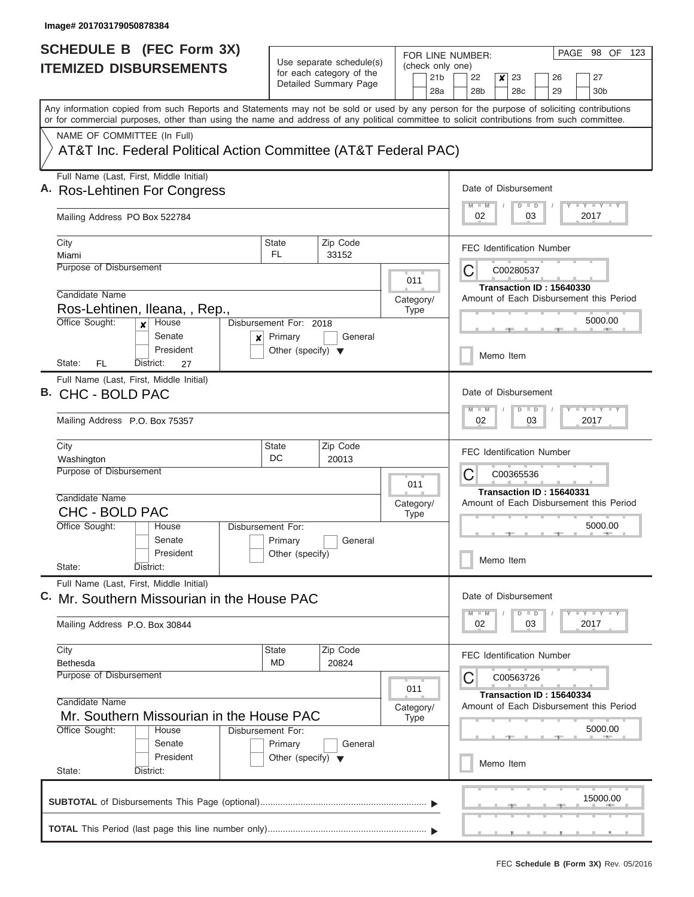| <b>SCHEDULE B (FEC Form 3X)</b>                                                                                                                                                                                                                                                         |                                                                                                                              |                                                                                       | FOR LINE NUMBER:                                   | PAGE 98 OF<br>123                                                              |  |  |  |  |  |
|-----------------------------------------------------------------------------------------------------------------------------------------------------------------------------------------------------------------------------------------------------------------------------------------|------------------------------------------------------------------------------------------------------------------------------|---------------------------------------------------------------------------------------|----------------------------------------------------|--------------------------------------------------------------------------------|--|--|--|--|--|
| <b>ITEMIZED DISBURSEMENTS</b>                                                                                                                                                                                                                                                           |                                                                                                                              | Use separate schedule(s)<br>for each category of the<br>Detailed Summary Page         | (check only one)<br>21 <sub>b</sub><br>28a         | 22<br>27<br>x<br>23<br>26<br>28 <sub>b</sub><br>28c<br>29<br>30 <sub>b</sub>   |  |  |  |  |  |
| Any information copied from such Reports and Statements may not be sold or used by any person for the purpose of soliciting contributions<br>or for commercial purposes, other than using the name and address of any political committee to solicit contributions from such committee. |                                                                                                                              |                                                                                       |                                                    |                                                                                |  |  |  |  |  |
| NAME OF COMMITTEE (In Full)<br>AT&T Inc. Federal Political Action Committee (AT&T Federal PAC)                                                                                                                                                                                          |                                                                                                                              |                                                                                       |                                                    |                                                                                |  |  |  |  |  |
| Full Name (Last, First, Middle Initial)<br>A. Ros-Lehtinen For Congress                                                                                                                                                                                                                 |                                                                                                                              |                                                                                       |                                                    | Date of Disbursement                                                           |  |  |  |  |  |
| Mailing Address PO Box 522784                                                                                                                                                                                                                                                           |                                                                                                                              |                                                                                       |                                                    |                                                                                |  |  |  |  |  |
| City<br>Miami                                                                                                                                                                                                                                                                           | <b>State</b><br><b>FL</b>                                                                                                    | Zip Code<br>33152                                                                     |                                                    | <b>FEC Identification Number</b>                                               |  |  |  |  |  |
| Purpose of Disbursement                                                                                                                                                                                                                                                                 | Candidate Name                                                                                                               |                                                                                       |                                                    |                                                                                |  |  |  |  |  |
| Ros-Lehtinen, Ileana, , Rep.,<br>Office Sought:<br>House<br>Disbursement For: 2018<br>$\mathbf{x}$                                                                                                                                                                                      |                                                                                                                              | Category/<br><b>Type</b>                                                              | Amount of Each Disbursement this Period<br>5000.00 |                                                                                |  |  |  |  |  |
| Senate<br>×<br>President<br>State:<br>FL<br>District:<br>27                                                                                                                                                                                                                             | Primary<br>Other (specify) $\blacktriangledown$                                                                              | General                                                                               |                                                    | Memo Item                                                                      |  |  |  |  |  |
| Full Name (Last, First, Middle Initial)<br>B. CHC - BOLD PAC                                                                                                                                                                                                                            | Date of Disbursement<br>$\overline{y}$ $\overline{y}$ $\overline{y}$ $\overline{y}$ $\overline{y}$<br>$M - M$<br>$\Box$<br>D |                                                                                       |                                                    |                                                                                |  |  |  |  |  |
| Mailing Address P.O. Box 75357                                                                                                                                                                                                                                                          |                                                                                                                              | 03<br>2017<br>02                                                                      |                                                    |                                                                                |  |  |  |  |  |
| City<br><b>State</b><br>Washington<br>Purpose of Disbursement                                                                                                                                                                                                                           | 011                                                                                                                          | <b>FEC Identification Number</b><br>С<br>C00365536                                    |                                                    |                                                                                |  |  |  |  |  |
| Candidate Name<br><b>CHC - BOLD PAC</b><br>Office Sought:<br>House<br>Senate                                                                                                                                                                                                            | Disbursement For:<br>Primary                                                                                                 | General                                                                               | Category/<br><b>Type</b>                           | Transaction ID: 15640331<br>Amount of Each Disbursement this Period<br>5000.00 |  |  |  |  |  |
| President<br>State:<br>District:                                                                                                                                                                                                                                                        | Other (specify)                                                                                                              |                                                                                       |                                                    | Memo Item                                                                      |  |  |  |  |  |
| Full Name (Last, First, Middle Initial)<br>C. Mr. Southern Missourian in the House PAC                                                                                                                                                                                                  |                                                                                                                              |                                                                                       |                                                    | Date of Disbursement<br><b>TEY TEY TEY</b><br>$M$ $M$<br>$D$ $D$               |  |  |  |  |  |
| Mailing Address P.O. Box 30844                                                                                                                                                                                                                                                          |                                                                                                                              |                                                                                       |                                                    |                                                                                |  |  |  |  |  |
| City<br><b>Bethesda</b><br>Purpose of Disbursement                                                                                                                                                                                                                                      | <b>State</b><br>MD                                                                                                           | Zip Code<br>20824                                                                     |                                                    | FEC Identification Number                                                      |  |  |  |  |  |
| Candidate Name<br>Mr. Southern Missourian in the House PAC                                                                                                                                                                                                                              | 011<br>Category/<br><b>Type</b>                                                                                              | С<br>C00563726<br>Transaction ID: 15640334<br>Amount of Each Disbursement this Period |                                                    |                                                                                |  |  |  |  |  |
| Office Sought:<br>House<br>Senate<br>President                                                                                                                                                                                                                                          | <b>Disbursement For:</b><br>Primary<br>Other (specify) $\blacktriangledown$                                                  | General                                                                               |                                                    | 5000.00<br>Memo Item                                                           |  |  |  |  |  |
| State:<br>District:                                                                                                                                                                                                                                                                     |                                                                                                                              |                                                                                       |                                                    |                                                                                |  |  |  |  |  |
|                                                                                                                                                                                                                                                                                         |                                                                                                                              |                                                                                       |                                                    | 15000.00                                                                       |  |  |  |  |  |
|                                                                                                                                                                                                                                                                                         |                                                                                                                              |                                                                                       |                                                    | .                                                                              |  |  |  |  |  |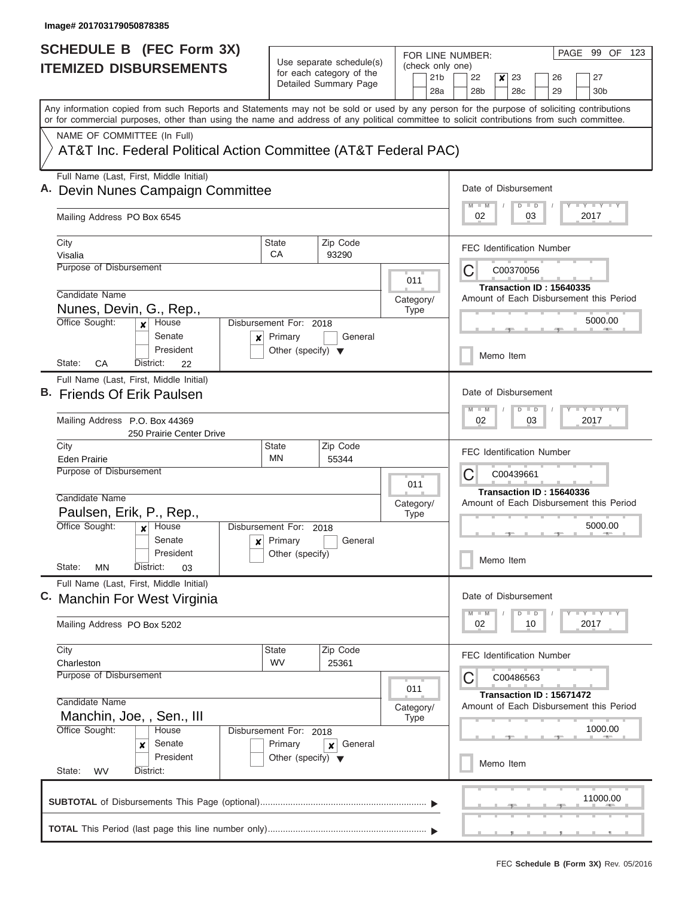|    | <b>SCHEDULE B (FEC Form 3X)</b>                                                                                                                                                                                                                                                         |                                                                     |                                                      |                          |                          |                        | PAGE 99 OF 123<br>FOR LINE NUMBER:                                  |  |  |  |  |  |
|----|-----------------------------------------------------------------------------------------------------------------------------------------------------------------------------------------------------------------------------------------------------------------------------------------|---------------------------------------------------------------------|------------------------------------------------------|--------------------------|--------------------------|------------------------|---------------------------------------------------------------------|--|--|--|--|--|
|    | <b>ITEMIZED DISBURSEMENTS</b>                                                                                                                                                                                                                                                           |                                                                     | Use separate schedule(s)<br>for each category of the |                          |                          |                        | (check only one)                                                    |  |  |  |  |  |
|    |                                                                                                                                                                                                                                                                                         |                                                                     | Detailed Summary Page                                |                          |                          | 21 <sub>b</sub><br>28a | 22<br>23<br>x<br>26<br>27<br>28 <sub>b</sub><br>28c<br>30b<br>29    |  |  |  |  |  |
|    | Any information copied from such Reports and Statements may not be sold or used by any person for the purpose of soliciting contributions<br>or for commercial purposes, other than using the name and address of any political committee to solicit contributions from such committee. |                                                                     |                                                      |                          |                          |                        |                                                                     |  |  |  |  |  |
|    | NAME OF COMMITTEE (In Full)                                                                                                                                                                                                                                                             |                                                                     |                                                      |                          |                          |                        |                                                                     |  |  |  |  |  |
|    | AT&T Inc. Federal Political Action Committee (AT&T Federal PAC)                                                                                                                                                                                                                         |                                                                     |                                                      |                          |                          |                        |                                                                     |  |  |  |  |  |
|    | Full Name (Last, First, Middle Initial)<br>A. Devin Nunes Campaign Committee                                                                                                                                                                                                            |                                                                     |                                                      |                          |                          |                        | Date of Disbursement<br><b>LYLYLY</b>                               |  |  |  |  |  |
|    | Mailing Address PO Box 6545                                                                                                                                                                                                                                                             | $D$ $D$<br>03<br>2017<br>02                                         |                                                      |                          |                          |                        |                                                                     |  |  |  |  |  |
|    | City                                                                                                                                                                                                                                                                                    | <b>State</b>                                                        | Zip Code                                             |                          |                          |                        | <b>FEC Identification Number</b>                                    |  |  |  |  |  |
|    | Visalia<br>Purpose of Disbursement                                                                                                                                                                                                                                                      | СA                                                                  | 93290                                                |                          |                          |                        |                                                                     |  |  |  |  |  |
|    |                                                                                                                                                                                                                                                                                         |                                                                     |                                                      |                          | 011                      |                        | С<br>C00370056                                                      |  |  |  |  |  |
|    | Candidate Name                                                                                                                                                                                                                                                                          |                                                                     |                                                      |                          |                          |                        | Transaction ID: 15640335<br>Amount of Each Disbursement this Period |  |  |  |  |  |
|    | Nunes, Devin, G., Rep.,                                                                                                                                                                                                                                                                 |                                                                     |                                                      |                          | Category/<br><b>Type</b> |                        |                                                                     |  |  |  |  |  |
|    | Office Sought:<br>House<br>$\boldsymbol{x}$                                                                                                                                                                                                                                             | Disbursement For: 2018                                              |                                                      |                          |                          |                        | 5000.00                                                             |  |  |  |  |  |
|    | Senate<br>×<br>President                                                                                                                                                                                                                                                                | Primary<br>Other (specify) $\blacktriangledown$                     | General                                              |                          |                          |                        | Memo Item                                                           |  |  |  |  |  |
|    | State:<br>СA<br>District:<br>22                                                                                                                                                                                                                                                         |                                                                     |                                                      |                          |                          |                        |                                                                     |  |  |  |  |  |
| В. | Full Name (Last, First, Middle Initial)<br><b>Friends Of Erik Paulsen</b>                                                                                                                                                                                                               |                                                                     |                                                      |                          |                          |                        | Date of Disbursement                                                |  |  |  |  |  |
|    | Mailing Address P.O. Box 44369<br>250 Prairie Center Drive                                                                                                                                                                                                                              | $T - Y = Y$<br>M<br>$-M$<br>D<br>$\blacksquare$<br>02<br>03<br>2017 |                                                      |                          |                          |                        |                                                                     |  |  |  |  |  |
|    | City                                                                                                                                                                                                                                                                                    | <b>State</b><br>MN                                                  | Zip Code<br>55344                                    |                          |                          |                        | <b>FEC Identification Number</b>                                    |  |  |  |  |  |
|    | <b>Eden Prairie</b><br>Purpose of Disbursement                                                                                                                                                                                                                                          |                                                                     |                                                      |                          |                          |                        |                                                                     |  |  |  |  |  |
|    |                                                                                                                                                                                                                                                                                         |                                                                     | С<br>C00439661                                       |                          |                          |                        |                                                                     |  |  |  |  |  |
|    | Candidate Name                                                                                                                                                                                                                                                                          |                                                                     |                                                      |                          |                          |                        | Transaction ID: 15640336<br>Amount of Each Disbursement this Period |  |  |  |  |  |
|    | Paulsen, Erik, P., Rep.,                                                                                                                                                                                                                                                                |                                                                     |                                                      | Category/<br><b>Type</b> |                          |                        |                                                                     |  |  |  |  |  |
|    | Office Sought:<br>House<br>$\boldsymbol{x}$                                                                                                                                                                                                                                             | Disbursement For:                                                   | 2018                                                 |                          |                          |                        | 5000.00                                                             |  |  |  |  |  |
|    | Senate<br>$\mathbf{x}$                                                                                                                                                                                                                                                                  | Primary                                                             | General                                              |                          |                          |                        |                                                                     |  |  |  |  |  |
|    | President<br>State:<br>ΜN<br>District:<br>03                                                                                                                                                                                                                                            | Other (specify)                                                     |                                                      |                          |                          |                        | Memo Item                                                           |  |  |  |  |  |
|    | Full Name (Last, First, Middle Initial)                                                                                                                                                                                                                                                 |                                                                     |                                                      |                          |                          |                        | Date of Disbursement                                                |  |  |  |  |  |
|    | C. Manchin For West Virginia                                                                                                                                                                                                                                                            |                                                                     |                                                      |                          |                          |                        | $T$ $Y$ $T$ $Y$ $T$<br>$M - M$                                      |  |  |  |  |  |
|    | Mailing Address PO Box 5202                                                                                                                                                                                                                                                             |                                                                     |                                                      |                          |                          |                        | $D \parallel D$<br>2017<br>02<br>10                                 |  |  |  |  |  |
|    | City                                                                                                                                                                                                                                                                                    | <b>State</b>                                                        | Zip Code                                             |                          |                          |                        | <b>FEC Identification Number</b>                                    |  |  |  |  |  |
|    | Charleston<br>Purpose of Disbursement                                                                                                                                                                                                                                                   | <b>WV</b>                                                           | 25361                                                |                          |                          |                        |                                                                     |  |  |  |  |  |
|    |                                                                                                                                                                                                                                                                                         |                                                                     |                                                      |                          | 011                      |                        | С<br>C00486563                                                      |  |  |  |  |  |
|    | Candidate Name                                                                                                                                                                                                                                                                          | Transaction ID: 15671472<br>Amount of Each Disbursement this Period |                                                      |                          |                          |                        |                                                                     |  |  |  |  |  |
|    | Manchin, Joe, , Sen., III                                                                                                                                                                                                                                                               |                                                                     |                                                      |                          | Category/<br><b>Type</b> |                        |                                                                     |  |  |  |  |  |
|    | Office Sought:<br>House                                                                                                                                                                                                                                                                 | Disbursement For: 2018                                              |                                                      |                          |                          |                        | 1000.00                                                             |  |  |  |  |  |
|    | Senate<br>×                                                                                                                                                                                                                                                                             | Primary                                                             | General<br>×                                         |                          |                          |                        |                                                                     |  |  |  |  |  |
|    | President                                                                                                                                                                                                                                                                               | Other (specify) $\blacktriangledown$                                |                                                      |                          |                          |                        | Memo Item                                                           |  |  |  |  |  |
|    | State:<br>District:<br><b>WV</b>                                                                                                                                                                                                                                                        |                                                                     |                                                      |                          |                          |                        |                                                                     |  |  |  |  |  |
|    |                                                                                                                                                                                                                                                                                         |                                                                     |                                                      |                          |                          |                        | 11000.00                                                            |  |  |  |  |  |
|    |                                                                                                                                                                                                                                                                                         |                                                                     |                                                      |                          |                          |                        |                                                                     |  |  |  |  |  |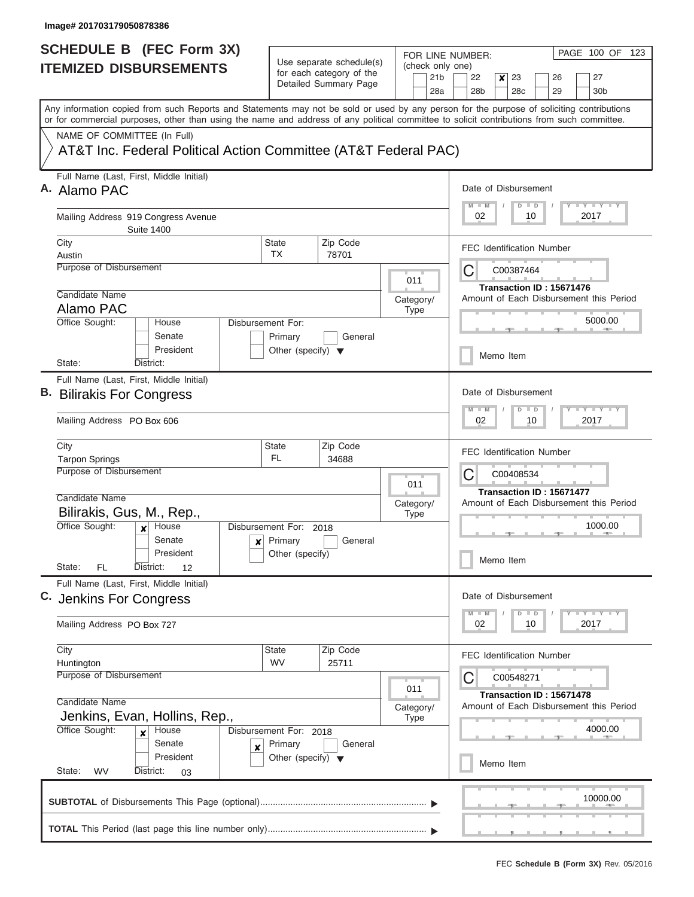ı

| <b>SCHEDULE B (FEC Form 3X)</b>                                                                                                                                                                                                                                                         |                                                 | Use separate schedule(s)                                                   |                  |                 |                                               | FOR LINE NUMBER:                                                    | PAGE 100 OF 123                                           |  |  |  |  |
|-----------------------------------------------------------------------------------------------------------------------------------------------------------------------------------------------------------------------------------------------------------------------------------------|-------------------------------------------------|----------------------------------------------------------------------------|------------------|-----------------|-----------------------------------------------|---------------------------------------------------------------------|-----------------------------------------------------------|--|--|--|--|
| <b>ITEMIZED DISBURSEMENTS</b>                                                                                                                                                                                                                                                           | for each category of the                        |                                                                            |                  | 21 <sub>b</sub> | (check only one)<br>22<br>23<br>26<br>27<br>× |                                                                     |                                                           |  |  |  |  |
|                                                                                                                                                                                                                                                                                         |                                                 | Detailed Summary Page                                                      |                  |                 | 28a                                           | 28 <sub>b</sub><br>28 <sub>c</sub><br>29                            | 30 <sub>b</sub>                                           |  |  |  |  |
| Any information copied from such Reports and Statements may not be sold or used by any person for the purpose of soliciting contributions<br>or for commercial purposes, other than using the name and address of any political committee to solicit contributions from such committee. |                                                 |                                                                            |                  |                 |                                               |                                                                     |                                                           |  |  |  |  |
| NAME OF COMMITTEE (In Full)                                                                                                                                                                                                                                                             |                                                 |                                                                            |                  |                 |                                               |                                                                     |                                                           |  |  |  |  |
| AT&T Inc. Federal Political Action Committee (AT&T Federal PAC)                                                                                                                                                                                                                         |                                                 |                                                                            |                  |                 |                                               |                                                                     |                                                           |  |  |  |  |
| Full Name (Last, First, Middle Initial)<br>A. Alamo PAC                                                                                                                                                                                                                                 |                                                 |                                                                            |                  |                 |                                               | Date of Disbursement                                                |                                                           |  |  |  |  |
| Mailing Address 919 Congress Avenue<br><b>Suite 1400</b>                                                                                                                                                                                                                                |                                                 | <b>LY LY LY</b><br>$M$ $M$<br>$\overline{D}$<br>$\Box$<br>2017<br>02<br>10 |                  |                 |                                               |                                                                     |                                                           |  |  |  |  |
| City                                                                                                                                                                                                                                                                                    | State                                           | Zip Code                                                                   |                  |                 |                                               | <b>FEC Identification Number</b>                                    |                                                           |  |  |  |  |
| Austin<br>Purpose of Disbursement                                                                                                                                                                                                                                                       | <b>TX</b>                                       | 78701                                                                      |                  |                 |                                               |                                                                     |                                                           |  |  |  |  |
|                                                                                                                                                                                                                                                                                         |                                                 |                                                                            |                  | 011             |                                               | C<br>C00387464                                                      |                                                           |  |  |  |  |
| Candidate Name                                                                                                                                                                                                                                                                          |                                                 |                                                                            |                  | Category/       |                                               | Transaction ID: 15671476<br>Amount of Each Disbursement this Period |                                                           |  |  |  |  |
| Alamo PAC                                                                                                                                                                                                                                                                               |                                                 |                                                                            |                  | <b>Type</b>     |                                               |                                                                     |                                                           |  |  |  |  |
| Office Sought:<br>House<br>Senate                                                                                                                                                                                                                                                       | Disbursement For:<br>Primary                    | General                                                                    |                  |                 |                                               |                                                                     | 5000.00                                                   |  |  |  |  |
| President<br>State:<br>District:                                                                                                                                                                                                                                                        | Other (specify) $\blacktriangledown$            |                                                                            |                  |                 |                                               | Memo Item                                                           |                                                           |  |  |  |  |
| Full Name (Last, First, Middle Initial)                                                                                                                                                                                                                                                 |                                                 |                                                                            |                  |                 |                                               |                                                                     |                                                           |  |  |  |  |
| <b>B.</b> Bilirakis For Congress                                                                                                                                                                                                                                                        |                                                 | Date of Disbursement                                                       |                  |                 |                                               |                                                                     |                                                           |  |  |  |  |
| Mailing Address PO Box 606                                                                                                                                                                                                                                                              |                                                 | $M - M$<br>$\Box$<br>$\overline{D}$<br>02<br>10<br>2017                    | $-Y - Y - I - Y$ |                 |                                               |                                                                     |                                                           |  |  |  |  |
| City                                                                                                                                                                                                                                                                                    | State<br><b>FL</b>                              | Zip Code<br>34688                                                          |                  |                 |                                               | <b>FEC Identification Number</b>                                    |                                                           |  |  |  |  |
| <b>Tarpon Springs</b><br>Purpose of Disbursement                                                                                                                                                                                                                                        |                                                 |                                                                            |                  |                 |                                               |                                                                     |                                                           |  |  |  |  |
|                                                                                                                                                                                                                                                                                         |                                                 | 011                                                                        |                  | C<br>C00408534  |                                               |                                                                     |                                                           |  |  |  |  |
| Candidate Name                                                                                                                                                                                                                                                                          |                                                 |                                                                            | Category/        |                 |                                               | Transaction ID: 15671477<br>Amount of Each Disbursement this Period |                                                           |  |  |  |  |
| Bilirakis, Gus, M., Rep.,                                                                                                                                                                                                                                                               |                                                 |                                                                            |                  | <b>Type</b>     |                                               |                                                                     |                                                           |  |  |  |  |
| Office Sought:<br>House<br>$\boldsymbol{x}$                                                                                                                                                                                                                                             | Disbursement For: 2018                          |                                                                            |                  |                 |                                               |                                                                     | 1000.00                                                   |  |  |  |  |
| Senate<br>$\mathbf{x}$                                                                                                                                                                                                                                                                  | Primary                                         | General                                                                    |                  |                 |                                               |                                                                     |                                                           |  |  |  |  |
| President<br>State:<br>FL<br>District:<br>12                                                                                                                                                                                                                                            | Other (specify)                                 |                                                                            |                  |                 |                                               | Memo Item                                                           |                                                           |  |  |  |  |
| Full Name (Last, First, Middle Initial)<br>C. Jenkins For Congress                                                                                                                                                                                                                      |                                                 |                                                                            |                  |                 |                                               | Date of Disbursement                                                |                                                           |  |  |  |  |
|                                                                                                                                                                                                                                                                                         |                                                 |                                                                            |                  |                 |                                               | $M - M$<br>$\Box$<br>D                                              | $\Box$ $\Upsilon$ $\Box$ $\Upsilon$ $\Upsilon$ $\Upsilon$ |  |  |  |  |
| Mailing Address PO Box 727                                                                                                                                                                                                                                                              |                                                 | 02<br>2017<br>10                                                           |                  |                 |                                               |                                                                     |                                                           |  |  |  |  |
| City                                                                                                                                                                                                                                                                                    | State<br><b>WV</b>                              | Zip Code<br>25711                                                          |                  |                 |                                               | <b>FEC Identification Number</b>                                    |                                                           |  |  |  |  |
| Huntington<br>Purpose of Disbursement                                                                                                                                                                                                                                                   |                                                 | C<br>C00548271                                                             |                  |                 |                                               |                                                                     |                                                           |  |  |  |  |
|                                                                                                                                                                                                                                                                                         |                                                 |                                                                            |                  | 011             |                                               |                                                                     |                                                           |  |  |  |  |
| Candidate Name                                                                                                                                                                                                                                                                          | Category/                                       | Transaction ID: 15671478<br>Amount of Each Disbursement this Period        |                  |                 |                                               |                                                                     |                                                           |  |  |  |  |
| Jenkins, Evan, Hollins, Rep.,                                                                                                                                                                                                                                                           |                                                 |                                                                            |                  |                 |                                               |                                                                     |                                                           |  |  |  |  |
| Office Sought:<br>House<br>$\boldsymbol{x}$                                                                                                                                                                                                                                             | Disbursement For: 2018                          |                                                                            |                  |                 |                                               |                                                                     | 4000.00                                                   |  |  |  |  |
| Senate<br>×<br>President                                                                                                                                                                                                                                                                | Primary<br>Other (specify) $\blacktriangledown$ | General                                                                    |                  |                 |                                               |                                                                     |                                                           |  |  |  |  |
| State:<br>WV<br>District:<br>03                                                                                                                                                                                                                                                         |                                                 |                                                                            |                  |                 |                                               | Memo Item                                                           |                                                           |  |  |  |  |
|                                                                                                                                                                                                                                                                                         |                                                 |                                                                            |                  |                 |                                               |                                                                     | 10000.00                                                  |  |  |  |  |
|                                                                                                                                                                                                                                                                                         |                                                 |                                                                            |                  |                 |                                               |                                                                     |                                                           |  |  |  |  |
|                                                                                                                                                                                                                                                                                         |                                                 |                                                                            |                  |                 |                                               |                                                                     |                                                           |  |  |  |  |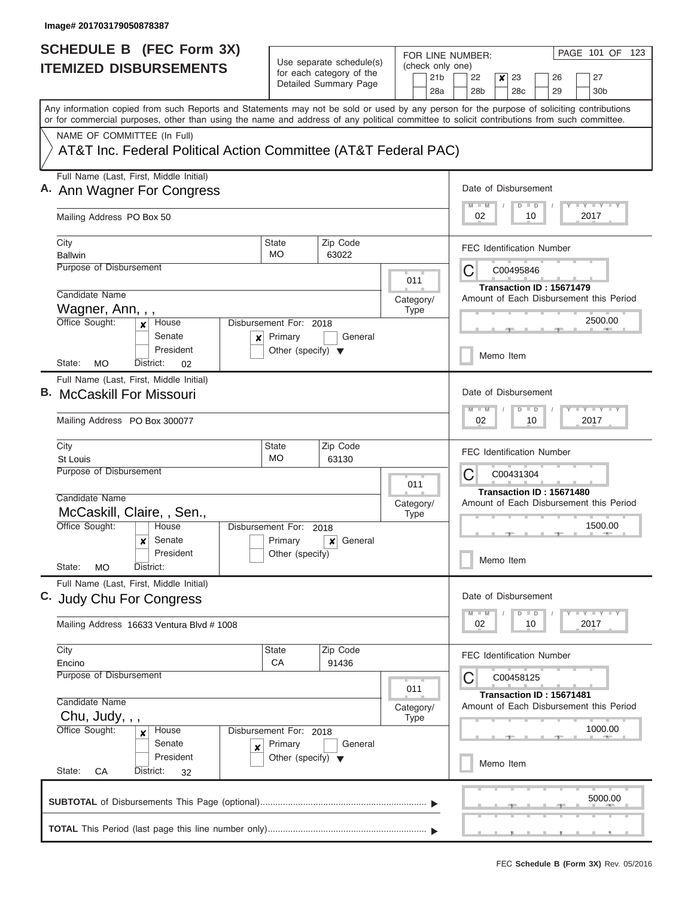$\overline{\phantom{a}}$ 

| SCHEDULE B (FEC Form 3X)                                                                                                                                                                                                                                                                |                                                                           |                                                      |                          | PAGE 101 OF<br>123<br>FOR LINE NUMBER:                                       |  |  |  |  |  |
|-----------------------------------------------------------------------------------------------------------------------------------------------------------------------------------------------------------------------------------------------------------------------------------------|---------------------------------------------------------------------------|------------------------------------------------------|--------------------------|------------------------------------------------------------------------------|--|--|--|--|--|
| <b>ITEMIZED DISBURSEMENTS</b>                                                                                                                                                                                                                                                           |                                                                           | Use separate schedule(s)<br>for each category of the | (check only one)         |                                                                              |  |  |  |  |  |
|                                                                                                                                                                                                                                                                                         |                                                                           | Detailed Summary Page                                | 21 <sub>b</sub><br>28a   | 22<br>27<br>x<br>23<br>26<br>28 <sub>b</sub><br>28c<br>29<br>30 <sub>b</sub> |  |  |  |  |  |
| Any information copied from such Reports and Statements may not be sold or used by any person for the purpose of soliciting contributions<br>or for commercial purposes, other than using the name and address of any political committee to solicit contributions from such committee. |                                                                           |                                                      |                          |                                                                              |  |  |  |  |  |
| NAME OF COMMITTEE (In Full)                                                                                                                                                                                                                                                             |                                                                           |                                                      |                          |                                                                              |  |  |  |  |  |
| AT&T Inc. Federal Political Action Committee (AT&T Federal PAC)                                                                                                                                                                                                                         |                                                                           |                                                      |                          |                                                                              |  |  |  |  |  |
| Full Name (Last, First, Middle Initial)<br>A. Ann Wagner For Congress                                                                                                                                                                                                                   |                                                                           |                                                      |                          |                                                                              |  |  |  |  |  |
| Mailing Address PO Box 50                                                                                                                                                                                                                                                               |                                                                           |                                                      |                          | 02<br>2017<br>10                                                             |  |  |  |  |  |
| City                                                                                                                                                                                                                                                                                    | <b>State</b><br>MO                                                        | Zip Code                                             |                          | <b>FEC Identification Number</b>                                             |  |  |  |  |  |
| <b>Ballwin</b><br><b>Purpose of Disbursement</b>                                                                                                                                                                                                                                        |                                                                           | 63022                                                |                          | С<br>C00495846                                                               |  |  |  |  |  |
|                                                                                                                                                                                                                                                                                         |                                                                           |                                                      | 011                      |                                                                              |  |  |  |  |  |
| Candidate Name                                                                                                                                                                                                                                                                          |                                                                           |                                                      | Category/                | Transaction ID: 15671479<br>Amount of Each Disbursement this Period          |  |  |  |  |  |
| Wagner, Ann, , ,                                                                                                                                                                                                                                                                        |                                                                           |                                                      | <b>Type</b>              |                                                                              |  |  |  |  |  |
| Office Sought:<br>House<br>x<br>Senate<br>×<br>President                                                                                                                                                                                                                                | Disbursement For: 2018<br>Primary<br>Other (specify) $\blacktriangledown$ | General                                              |                          | 2500.00                                                                      |  |  |  |  |  |
| <b>MO</b><br>State:<br>District:<br>02                                                                                                                                                                                                                                                  |                                                                           |                                                      |                          | Memo Item                                                                    |  |  |  |  |  |
| Full Name (Last, First, Middle Initial)<br><b>B.</b> McCaskill For Missouri                                                                                                                                                                                                             |                                                                           |                                                      |                          |                                                                              |  |  |  |  |  |
| Mailing Address PO Box 300077                                                                                                                                                                                                                                                           | $-1$ $-1$ $-1$ $-1$<br>$M - M$<br>$\blacksquare$<br>D<br>02<br>2017<br>10 |                                                      |                          |                                                                              |  |  |  |  |  |
| City<br><b>St Louis</b>                                                                                                                                                                                                                                                                 | <b>State</b><br><b>MO</b>                                                 | Zip Code<br>63130                                    |                          | <b>FEC Identification Number</b>                                             |  |  |  |  |  |
| Purpose of Disbursement<br>Candidate Name                                                                                                                                                                                                                                               |                                                                           |                                                      |                          |                                                                              |  |  |  |  |  |
| McCaskill, Claire, , Sen.,                                                                                                                                                                                                                                                              |                                                                           |                                                      | Category/<br><b>Type</b> | Amount of Each Disbursement this Period                                      |  |  |  |  |  |
| Office Sought:<br>House                                                                                                                                                                                                                                                                 | Disbursement For: 2018                                                    |                                                      |                          | 1500.00                                                                      |  |  |  |  |  |
| Senate<br>$\boldsymbol{\mathsf{x}}$<br>President<br>State:<br><b>MO</b><br>District:                                                                                                                                                                                                    | Primary<br>Other (specify)                                                | General<br>$\vert x \vert$                           |                          | Memo Item                                                                    |  |  |  |  |  |
| Full Name (Last, First, Middle Initial)                                                                                                                                                                                                                                                 |                                                                           |                                                      |                          | Date of Disbursement                                                         |  |  |  |  |  |
| C. Judy Chu For Congress                                                                                                                                                                                                                                                                |                                                                           |                                                      |                          | $T$ $Y$ $T$ $Y$ $T$ $Y$<br>$D$ $D$                                           |  |  |  |  |  |
| Mailing Address 16633 Ventura Blvd # 1008                                                                                                                                                                                                                                               |                                                                           |                                                      |                          | $M$ $M$<br>2017<br>02<br>10                                                  |  |  |  |  |  |
| City                                                                                                                                                                                                                                                                                    | <b>State</b>                                                              | Zip Code                                             |                          | <b>FEC Identification Number</b>                                             |  |  |  |  |  |
| Encino<br>Purpose of Disbursement                                                                                                                                                                                                                                                       | CA                                                                        | 91436                                                |                          | С<br>C00458125                                                               |  |  |  |  |  |
| Candidate Name                                                                                                                                                                                                                                                                          | 011<br>Category/                                                          |                                                      |                          |                                                                              |  |  |  |  |  |
| Chu, Judy, , ,                                                                                                                                                                                                                                                                          |                                                                           |                                                      | <b>Type</b>              |                                                                              |  |  |  |  |  |
| Office Sought:<br>House<br>$\boldsymbol{x}$<br>Senate<br>X<br>President                                                                                                                                                                                                                 | Disbursement For: 2018<br>Primary<br>Other (specify) $\blacktriangledown$ | General                                              |                          | 1000.00                                                                      |  |  |  |  |  |
| State:<br>CA<br>District:<br>32                                                                                                                                                                                                                                                         |                                                                           |                                                      |                          | Memo Item                                                                    |  |  |  |  |  |
|                                                                                                                                                                                                                                                                                         |                                                                           |                                                      |                          | 5000.00                                                                      |  |  |  |  |  |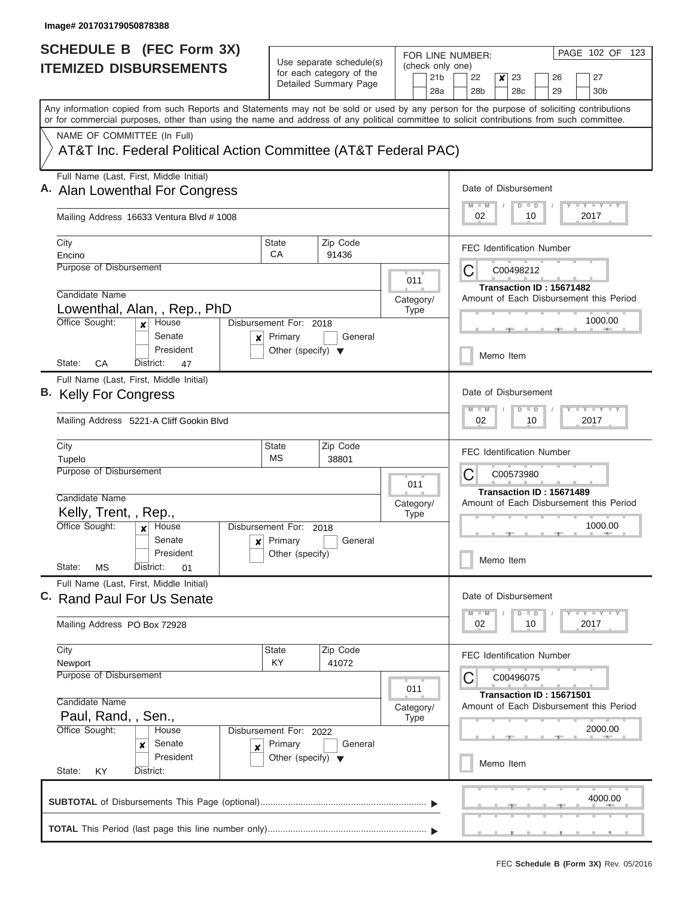|  | <b>SCHEDULE B (FEC Form 3X)</b>                                                                                                                                                                                                                                                         |                                                      |                                                                     |                |                          |                          | PAGE 102 OF 123<br>FOR LINE NUMBER:                                                |  |  |  |  |  |  |
|--|-----------------------------------------------------------------------------------------------------------------------------------------------------------------------------------------------------------------------------------------------------------------------------------------|------------------------------------------------------|---------------------------------------------------------------------|----------------|--------------------------|--------------------------|------------------------------------------------------------------------------------|--|--|--|--|--|--|
|  | <b>ITEMIZED DISBURSEMENTS</b>                                                                                                                                                                                                                                                           | Use separate schedule(s)<br>for each category of the |                                                                     |                |                          |                          | (check only one)<br>22                                                             |  |  |  |  |  |  |
|  |                                                                                                                                                                                                                                                                                         |                                                      | Detailed Summary Page                                               |                |                          | 21 <sub>b</sub><br>28a   | 23<br>26<br>27<br>×<br>28 <sub>b</sub><br>28 <sub>c</sub><br>29<br>30 <sub>b</sub> |  |  |  |  |  |  |
|  | Any information copied from such Reports and Statements may not be sold or used by any person for the purpose of soliciting contributions<br>or for commercial purposes, other than using the name and address of any political committee to solicit contributions from such committee. |                                                      |                                                                     |                |                          |                          |                                                                                    |  |  |  |  |  |  |
|  | NAME OF COMMITTEE (In Full)                                                                                                                                                                                                                                                             |                                                      |                                                                     |                |                          |                          |                                                                                    |  |  |  |  |  |  |
|  | AT&T Inc. Federal Political Action Committee (AT&T Federal PAC)                                                                                                                                                                                                                         |                                                      |                                                                     |                |                          |                          |                                                                                    |  |  |  |  |  |  |
|  | Full Name (Last, First, Middle Initial)<br>A. Alan Lowenthal For Congress                                                                                                                                                                                                               |                                                      |                                                                     |                |                          |                          | Date of Disbursement                                                               |  |  |  |  |  |  |
|  | Mailing Address 16633 Ventura Blvd # 1008                                                                                                                                                                                                                                               |                                                      | <b>LY LY LY</b><br>$D$ $D$<br>02<br>10<br>2017                      |                |                          |                          |                                                                                    |  |  |  |  |  |  |
|  | City                                                                                                                                                                                                                                                                                    | State                                                | Zip Code                                                            |                |                          |                          | <b>FEC Identification Number</b>                                                   |  |  |  |  |  |  |
|  | Encino<br>Purpose of Disbursement                                                                                                                                                                                                                                                       | CA                                                   | 91436                                                               |                |                          |                          |                                                                                    |  |  |  |  |  |  |
|  |                                                                                                                                                                                                                                                                                         |                                                      |                                                                     |                | 011                      |                          | C<br>C00498212                                                                     |  |  |  |  |  |  |
|  | Candidate Name                                                                                                                                                                                                                                                                          |                                                      |                                                                     |                |                          |                          | Transaction ID: 15671482                                                           |  |  |  |  |  |  |
|  | Lowenthal, Alan, , Rep., PhD                                                                                                                                                                                                                                                            |                                                      |                                                                     |                | Category/<br><b>Type</b> |                          | Amount of Each Disbursement this Period                                            |  |  |  |  |  |  |
|  | Office Sought:<br>House<br>$\boldsymbol{x}$<br>Senate<br>×                                                                                                                                                                                                                              | Disbursement For: 2018<br>Primary                    | General                                                             |                |                          |                          | 1000.00                                                                            |  |  |  |  |  |  |
|  | President<br>State:<br>СA<br>District:<br>47                                                                                                                                                                                                                                            | Other (specify) $\blacktriangledown$                 |                                                                     |                |                          |                          | Memo Item                                                                          |  |  |  |  |  |  |
|  | Full Name (Last, First, Middle Initial)<br>B. Kelly For Congress                                                                                                                                                                                                                        |                                                      | Date of Disbursement                                                |                |                          |                          |                                                                                    |  |  |  |  |  |  |
|  |                                                                                                                                                                                                                                                                                         |                                                      | $-Y - Y - I - Y$<br>$M - M$<br>$\Box$<br>D                          |                |                          |                          |                                                                                    |  |  |  |  |  |  |
|  | Mailing Address 5221-A Cliff Gookin Blvd                                                                                                                                                                                                                                                |                                                      | 02<br>10<br>2017                                                    |                |                          |                          |                                                                                    |  |  |  |  |  |  |
|  | City                                                                                                                                                                                                                                                                                    | <b>State</b><br>MS                                   | Zip Code<br>38801                                                   |                |                          |                          | <b>FEC Identification Number</b>                                                   |  |  |  |  |  |  |
|  | Tupelo<br>Purpose of Disbursement                                                                                                                                                                                                                                                       |                                                      |                                                                     | С<br>C00573980 |                          |                          |                                                                                    |  |  |  |  |  |  |
|  |                                                                                                                                                                                                                                                                                         |                                                      |                                                                     | 011            |                          | Transaction ID: 15671489 |                                                                                    |  |  |  |  |  |  |
|  | Candidate Name                                                                                                                                                                                                                                                                          |                                                      |                                                                     |                | Category/                |                          | Amount of Each Disbursement this Period                                            |  |  |  |  |  |  |
|  | Kelly, Trent, , Rep.,                                                                                                                                                                                                                                                                   |                                                      |                                                                     | <b>Type</b>    |                          |                          |                                                                                    |  |  |  |  |  |  |
|  | Office Sought:<br>House                                                                                                                                                                                                                                                                 | Disbursement For: 2018                               |                                                                     |                |                          |                          | 1000.00                                                                            |  |  |  |  |  |  |
|  | Senate<br>$\mathbf{x}$<br>President                                                                                                                                                                                                                                                     | Primary                                              | General                                                             |                |                          |                          |                                                                                    |  |  |  |  |  |  |
|  | State:<br>MS<br>District:<br>01                                                                                                                                                                                                                                                         | Other (specify)                                      |                                                                     |                |                          |                          | Memo Item                                                                          |  |  |  |  |  |  |
|  | Full Name (Last, First, Middle Initial)<br>C. Rand Paul For Us Senate                                                                                                                                                                                                                   |                                                      |                                                                     |                |                          |                          | Date of Disbursement                                                               |  |  |  |  |  |  |
|  |                                                                                                                                                                                                                                                                                         |                                                      |                                                                     |                |                          |                          | $T - Y = T - Y$<br>$M - M$<br>$\Box$<br>D                                          |  |  |  |  |  |  |
|  | Mailing Address PO Box 72928                                                                                                                                                                                                                                                            |                                                      | 02<br>10<br>2017                                                    |                |                          |                          |                                                                                    |  |  |  |  |  |  |
|  | City                                                                                                                                                                                                                                                                                    | State                                                | Zip Code                                                            |                |                          |                          | <b>FEC Identification Number</b>                                                   |  |  |  |  |  |  |
|  | Newport<br>Purpose of Disbursement                                                                                                                                                                                                                                                      | KY                                                   | 41072                                                               |                |                          |                          | C<br>C00496075                                                                     |  |  |  |  |  |  |
|  |                                                                                                                                                                                                                                                                                         |                                                      |                                                                     |                | 011                      |                          |                                                                                    |  |  |  |  |  |  |
|  | Candidate Name                                                                                                                                                                                                                                                                          |                                                      | Transaction ID: 15671501<br>Amount of Each Disbursement this Period |                |                          |                          |                                                                                    |  |  |  |  |  |  |
|  | Paul, Rand, , Sen.,                                                                                                                                                                                                                                                                     |                                                      |                                                                     |                | Category/<br><b>Type</b> |                          |                                                                                    |  |  |  |  |  |  |
|  | Office Sought:<br>Disbursement For: 2022<br>House                                                                                                                                                                                                                                       |                                                      |                                                                     |                | 2000.00                  |                          |                                                                                    |  |  |  |  |  |  |
|  | Senate<br>×<br>×                                                                                                                                                                                                                                                                        | Primary                                              | General                                                             |                |                          |                          |                                                                                    |  |  |  |  |  |  |
|  | President<br>State:<br>District:<br>KY                                                                                                                                                                                                                                                  | Other (specify) $\blacktriangledown$                 |                                                                     |                |                          |                          | Memo Item                                                                          |  |  |  |  |  |  |
|  |                                                                                                                                                                                                                                                                                         |                                                      |                                                                     |                |                          |                          |                                                                                    |  |  |  |  |  |  |
|  |                                                                                                                                                                                                                                                                                         |                                                      |                                                                     |                |                          |                          | 4000.00                                                                            |  |  |  |  |  |  |
|  |                                                                                                                                                                                                                                                                                         |                                                      |                                                                     |                |                          |                          |                                                                                    |  |  |  |  |  |  |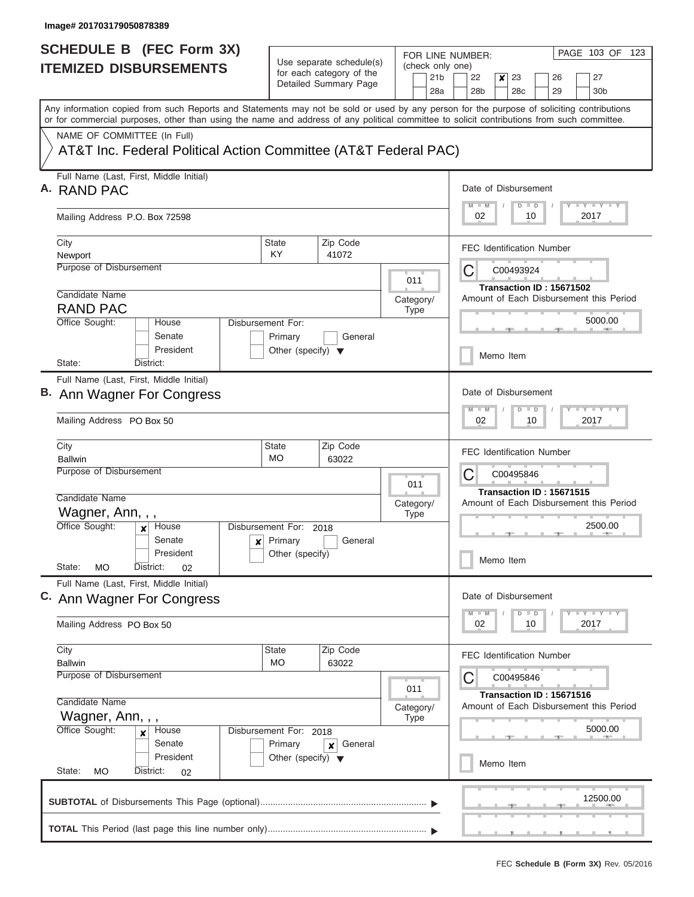| SCHEDULE B (FEC Form 3X)                                                                                                                                                                                                                                                                |                                                                   |                       |           |                  | PAGE 103 OF<br>123<br>FOR LINE NUMBER:                                                     |  |  |  |  |
|-----------------------------------------------------------------------------------------------------------------------------------------------------------------------------------------------------------------------------------------------------------------------------------------|-------------------------------------------------------------------|-----------------------|-----------|------------------|--------------------------------------------------------------------------------------------|--|--|--|--|
| <b>ITEMIZED DISBURSEMENTS</b>                                                                                                                                                                                                                                                           | Use separate schedule(s)<br>for each category of the              |                       |           | (check only one) |                                                                                            |  |  |  |  |
|                                                                                                                                                                                                                                                                                         |                                                                   | Detailed Summary Page |           |                  | 21b<br>22<br>23<br>27<br>x<br>26<br>28a<br>28 <sub>b</sub><br>28c<br>29<br>30 <sub>b</sub> |  |  |  |  |
| Any information copied from such Reports and Statements may not be sold or used by any person for the purpose of soliciting contributions<br>or for commercial purposes, other than using the name and address of any political committee to solicit contributions from such committee. |                                                                   |                       |           |                  |                                                                                            |  |  |  |  |
| NAME OF COMMITTEE (In Full)                                                                                                                                                                                                                                                             |                                                                   |                       |           |                  |                                                                                            |  |  |  |  |
| AT&T Inc. Federal Political Action Committee (AT&T Federal PAC)                                                                                                                                                                                                                         |                                                                   |                       |           |                  |                                                                                            |  |  |  |  |
| Full Name (Last, First, Middle Initial)<br>A. RAND PAC                                                                                                                                                                                                                                  |                                                                   |                       |           |                  | Date of Disbursement                                                                       |  |  |  |  |
| Mailing Address P.O. Box 72598                                                                                                                                                                                                                                                          | $T$ $Y$ $T$ $Y$ $T$ $Y$<br>$M$ $M$<br>$D$ $D$<br>2017<br>02<br>10 |                       |           |                  |                                                                                            |  |  |  |  |
| City                                                                                                                                                                                                                                                                                    | <b>State</b>                                                      | Zip Code              |           |                  | <b>FEC Identification Number</b>                                                           |  |  |  |  |
| Newport<br>Purpose of Disbursement                                                                                                                                                                                                                                                      | KY                                                                | 41072                 |           |                  | C<br>C00493924                                                                             |  |  |  |  |
|                                                                                                                                                                                                                                                                                         |                                                                   |                       |           | 011              | Transaction ID: 15671502                                                                   |  |  |  |  |
| Candidate Name                                                                                                                                                                                                                                                                          |                                                                   |                       |           | Category/        | Amount of Each Disbursement this Period                                                    |  |  |  |  |
| <b>RAND PAC</b><br>Office Sought:<br>House                                                                                                                                                                                                                                              | Disbursement For:                                                 |                       |           | Type             | 5000.00                                                                                    |  |  |  |  |
| Senate<br>President                                                                                                                                                                                                                                                                     | Primary<br>Other (specify) $\blacktriangledown$                   | General               |           |                  | Memo Item                                                                                  |  |  |  |  |
| State:<br>District:                                                                                                                                                                                                                                                                     |                                                                   |                       |           |                  |                                                                                            |  |  |  |  |
| Full Name (Last, First, Middle Initial)<br>B. Ann Wagner For Congress                                                                                                                                                                                                                   |                                                                   |                       |           |                  |                                                                                            |  |  |  |  |
| Mailing Address PO Box 50                                                                                                                                                                                                                                                               | $T = Y - T - Y - T - Y$<br>$M - M$<br>$D$ $D$<br>2017<br>02<br>10 |                       |           |                  |                                                                                            |  |  |  |  |
| City                                                                                                                                                                                                                                                                                    | Zip Code<br><b>State</b><br><b>MO</b><br><b>Ballwin</b><br>63022  |                       |           |                  |                                                                                            |  |  |  |  |
| Purpose of Disbursement                                                                                                                                                                                                                                                                 | 011                                                               |                       |           |                  |                                                                                            |  |  |  |  |
| Candidate Name                                                                                                                                                                                                                                                                          |                                                                   |                       | Category/ |                  | Transaction ID: 15671515<br>Amount of Each Disbursement this Period                        |  |  |  |  |
| Wagner, Ann, , ,<br>Office Sought:<br>House<br>×                                                                                                                                                                                                                                        | Disbursement For: 2018                                            |                       |           | <b>Type</b>      | 2500.00                                                                                    |  |  |  |  |
| Senate                                                                                                                                                                                                                                                                                  | $x$ Primary                                                       | General               |           |                  |                                                                                            |  |  |  |  |
| President<br>State:<br>МO<br>District:<br>02                                                                                                                                                                                                                                            | Other (specify)                                                   |                       |           |                  | Memo Item                                                                                  |  |  |  |  |
| Full Name (Last, First, Middle Initial)<br>C. Ann Wagner For Congress                                                                                                                                                                                                                   |                                                                   |                       |           |                  | Date of Disbursement<br>$T - Y$ $T - Y$<br>$M$ $M$<br>$D$ $D$                              |  |  |  |  |
| Mailing Address PO Box 50                                                                                                                                                                                                                                                               |                                                                   |                       |           |                  |                                                                                            |  |  |  |  |
| City                                                                                                                                                                                                                                                                                    | <b>State</b>                                                      | Zip Code              |           |                  | <b>FEC Identification Number</b>                                                           |  |  |  |  |
| <b>Ballwin</b><br>Purpose of Disbursement                                                                                                                                                                                                                                               | <b>MO</b>                                                         | 63022                 |           |                  | C<br>C00495846                                                                             |  |  |  |  |
|                                                                                                                                                                                                                                                                                         |                                                                   |                       |           | 011              | Transaction ID: 15671516                                                                   |  |  |  |  |
| Candidate Name                                                                                                                                                                                                                                                                          | Amount of Each Disbursement this Period<br>Category/              |                       |           |                  |                                                                                            |  |  |  |  |
| Office Sought:<br>House<br>×                                                                                                                                                                                                                                                            | Wagner, Ann, , ,<br><b>Type</b><br>Disbursement For: 2018         |                       |           |                  |                                                                                            |  |  |  |  |
| Senate                                                                                                                                                                                                                                                                                  | Primary                                                           | General<br>x          |           |                  | 5000.00                                                                                    |  |  |  |  |
| President<br>State:<br>MO<br>District:                                                                                                                                                                                                                                                  | Other (specify) $\blacktriangledown$                              |                       |           |                  | Memo Item                                                                                  |  |  |  |  |
| 02                                                                                                                                                                                                                                                                                      |                                                                   |                       |           |                  |                                                                                            |  |  |  |  |
|                                                                                                                                                                                                                                                                                         |                                                                   |                       |           |                  | 12500.00                                                                                   |  |  |  |  |
|                                                                                                                                                                                                                                                                                         |                                                                   |                       |           |                  |                                                                                            |  |  |  |  |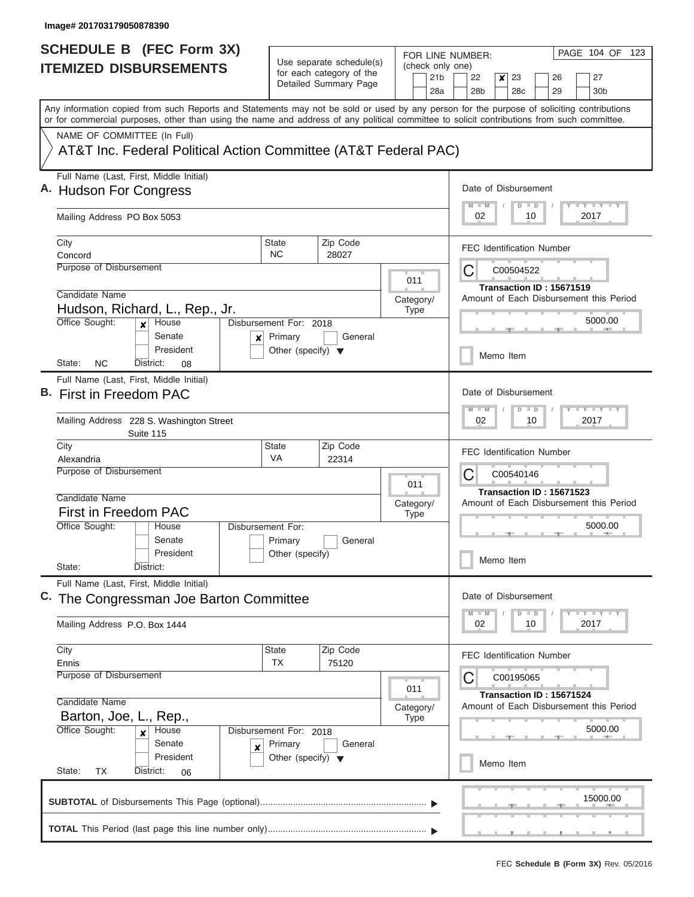$\overline{\phantom{a}}$ 

| <b>SCHEDULE B</b> (FEC Form 3X) |                                                                                                                                            |                                                      |                       |           |           | PAGE 104 OF 123<br>FOR LINE NUMBER: |                                                                     |                       |                  |           |    |                                  |  |                                         |
|---------------------------------|--------------------------------------------------------------------------------------------------------------------------------------------|------------------------------------------------------|-----------------------|-----------|-----------|-------------------------------------|---------------------------------------------------------------------|-----------------------|------------------|-----------|----|----------------------------------|--|-----------------------------------------|
|                                 | <b>ITEMIZED DISBURSEMENTS</b>                                                                                                              | Use separate schedule(s)<br>for each category of the |                       |           |           | (check only one)                    |                                                                     |                       |                  |           |    |                                  |  |                                         |
|                                 |                                                                                                                                            |                                                      | Detailed Summary Page |           |           | 21 <sub>b</sub><br>28a              |                                                                     | 22<br>28 <sub>b</sub> | $\boldsymbol{x}$ | 23<br>28c |    | 26<br>29                         |  | 27<br>30 <sub>b</sub>                   |
|                                 | Any information copied from such Reports and Statements may not be sold or used by any person for the purpose of soliciting contributions  |                                                      |                       |           |           |                                     |                                                                     |                       |                  |           |    |                                  |  |                                         |
|                                 | or for commercial purposes, other than using the name and address of any political committee to solicit contributions from such committee. |                                                      |                       |           |           |                                     |                                                                     |                       |                  |           |    |                                  |  |                                         |
|                                 | NAME OF COMMITTEE (In Full)                                                                                                                |                                                      |                       |           |           |                                     |                                                                     |                       |                  |           |    |                                  |  |                                         |
|                                 | AT&T Inc. Federal Political Action Committee (AT&T Federal PAC)                                                                            |                                                      |                       |           |           |                                     |                                                                     |                       |                  |           |    |                                  |  |                                         |
|                                 | Full Name (Last, First, Middle Initial)                                                                                                    |                                                      |                       |           |           |                                     | Date of Disbursement                                                |                       |                  |           |    |                                  |  |                                         |
|                                 | A. Hudson For Congress                                                                                                                     |                                                      |                       |           |           |                                     | Y I Y I Y I Y<br>$M - M$<br>$D$ $D$                                 |                       |                  |           |    |                                  |  |                                         |
|                                 | Mailing Address PO Box 5053                                                                                                                |                                                      |                       |           |           |                                     | 02<br>10<br>2017                                                    |                       |                  |           |    |                                  |  |                                         |
|                                 | City                                                                                                                                       | <b>State</b>                                         | Zip Code              |           |           |                                     |                                                                     |                       |                  |           |    | <b>FEC Identification Number</b> |  |                                         |
|                                 | Concord                                                                                                                                    | NC.                                                  | 28027                 |           |           |                                     |                                                                     |                       |                  |           |    |                                  |  |                                         |
|                                 | Purpose of Disbursement                                                                                                                    |                                                      |                       |           | 011       |                                     |                                                                     | C                     |                  | C00504522 |    |                                  |  |                                         |
|                                 | Candidate Name                                                                                                                             |                                                      |                       |           |           |                                     |                                                                     |                       |                  |           |    | Transaction ID: 15671519         |  |                                         |
|                                 | Hudson, Richard, L., Rep., Jr.                                                                                                             |                                                      |                       | Category/ | Type      |                                     |                                                                     |                       |                  |           |    |                                  |  | Amount of Each Disbursement this Period |
|                                 | Office Sought:<br>House<br>$\mathbf{x}$                                                                                                    | Disbursement For: 2018                               |                       |           |           |                                     |                                                                     |                       |                  |           |    |                                  |  | 5000.00                                 |
|                                 | Senate<br>x                                                                                                                                | Primary                                              | General               |           |           |                                     |                                                                     |                       |                  |           |    |                                  |  |                                         |
|                                 | President<br>NC.<br>District:<br>State:<br>08                                                                                              | Other (specify) $\blacktriangledown$                 |                       |           |           |                                     |                                                                     |                       |                  | Memo Item |    |                                  |  |                                         |
|                                 | Full Name (Last, First, Middle Initial)                                                                                                    |                                                      |                       |           |           |                                     |                                                                     |                       |                  |           |    |                                  |  |                                         |
|                                 | B. First in Freedom PAC                                                                                                                    |                                                      |                       |           |           |                                     |                                                                     | Date of Disbursement  |                  |           |    |                                  |  |                                         |
|                                 |                                                                                                                                            |                                                      |                       |           |           |                                     |                                                                     | $M - M$               |                  | $D$ $D$   |    |                                  |  | Y FY FY FY                              |
|                                 | Mailing Address 228 S. Washington Street<br>Suite 115                                                                                      |                                                      |                       |           |           |                                     |                                                                     |                       | 2017<br>02<br>10 |           |    |                                  |  |                                         |
|                                 | City                                                                                                                                       | <b>State</b>                                         | Zip Code              |           |           |                                     |                                                                     |                       |                  |           |    | <b>FEC Identification Number</b> |  |                                         |
|                                 | VA<br>22314<br>Alexandria<br>Purpose of Disbursement                                                                                       |                                                      |                       |           |           |                                     |                                                                     |                       |                  |           |    |                                  |  |                                         |
|                                 |                                                                                                                                            |                                                      |                       | 011       |           |                                     | C<br>C00540146                                                      |                       |                  |           |    |                                  |  |                                         |
|                                 | Candidate Name                                                                                                                             | Category/                                            |                       |           |           |                                     | Transaction ID: 15671523<br>Amount of Each Disbursement this Period |                       |                  |           |    |                                  |  |                                         |
|                                 | First in Freedom PAC                                                                                                                       |                                                      | Type                  |           |           |                                     |                                                                     |                       |                  |           |    |                                  |  |                                         |
|                                 | Office Sought:<br>House                                                                                                                    | Disbursement For:                                    |                       |           |           |                                     |                                                                     |                       |                  |           |    |                                  |  | 5000.00                                 |
|                                 | Senate<br>President                                                                                                                        | Primary<br>Other (specify)                           | General               |           |           |                                     |                                                                     |                       |                  |           |    |                                  |  |                                         |
|                                 | State:<br>District:                                                                                                                        |                                                      |                       |           |           |                                     |                                                                     |                       |                  | Memo Item |    |                                  |  |                                         |
|                                 | Full Name (Last, First, Middle Initial)                                                                                                    |                                                      |                       |           |           |                                     |                                                                     |                       |                  |           |    |                                  |  |                                         |
|                                 | C. The Congressman Joe Barton Committee                                                                                                    |                                                      |                       |           |           |                                     |                                                                     | Date of Disbursement  |                  |           |    |                                  |  |                                         |
|                                 |                                                                                                                                            |                                                      |                       |           |           |                                     |                                                                     |                       |                  | $D$ $D$   |    |                                  |  | $Y$ $Y$ $Y$ $Y$ $Y$                     |
|                                 | Mailing Address P.O. Box 1444                                                                                                              |                                                      |                       |           |           |                                     |                                                                     | 02                    |                  |           | 10 |                                  |  | 2017                                    |
|                                 | City                                                                                                                                       | State                                                | Zip Code              |           |           |                                     |                                                                     |                       |                  |           |    | <b>FEC Identification Number</b> |  |                                         |
|                                 | Ennis<br>Purpose of Disbursement                                                                                                           | <b>TX</b>                                            | 75120                 |           |           |                                     |                                                                     |                       |                  |           |    |                                  |  |                                         |
|                                 |                                                                                                                                            |                                                      |                       |           | 011       |                                     |                                                                     | C                     |                  | C00195065 |    |                                  |  |                                         |
|                                 | Candidate Name                                                                                                                             |                                                      |                       |           | Category/ |                                     |                                                                     |                       |                  |           |    | Transaction ID: 15671524         |  | Amount of Each Disbursement this Period |
|                                 | Barton, Joe, L., Rep.,                                                                                                                     |                                                      |                       |           | Type      |                                     |                                                                     |                       |                  |           |    |                                  |  |                                         |
|                                 | Office Sought:<br>House<br>$\boldsymbol{x}$                                                                                                | Disbursement For: 2018                               |                       |           |           |                                     |                                                                     |                       |                  |           |    |                                  |  | 5000.00                                 |
|                                 | Senate<br>$\boldsymbol{x}$                                                                                                                 | Primary                                              | General               |           |           |                                     |                                                                     |                       |                  |           |    |                                  |  |                                         |
|                                 | President<br>State:<br>District:<br>TX<br>06                                                                                               | Other (specify) $\blacktriangledown$                 |                       |           |           |                                     |                                                                     |                       |                  | Memo Item |    |                                  |  |                                         |
|                                 |                                                                                                                                            |                                                      |                       |           |           |                                     |                                                                     |                       |                  |           |    |                                  |  |                                         |
|                                 |                                                                                                                                            |                                                      |                       |           |           |                                     |                                                                     |                       |                  |           |    |                                  |  | 15000.00                                |
|                                 |                                                                                                                                            |                                                      |                       |           |           |                                     |                                                                     |                       |                  |           |    |                                  |  |                                         |
|                                 |                                                                                                                                            |                                                      |                       |           |           |                                     |                                                                     |                       |                  |           |    |                                  |  |                                         |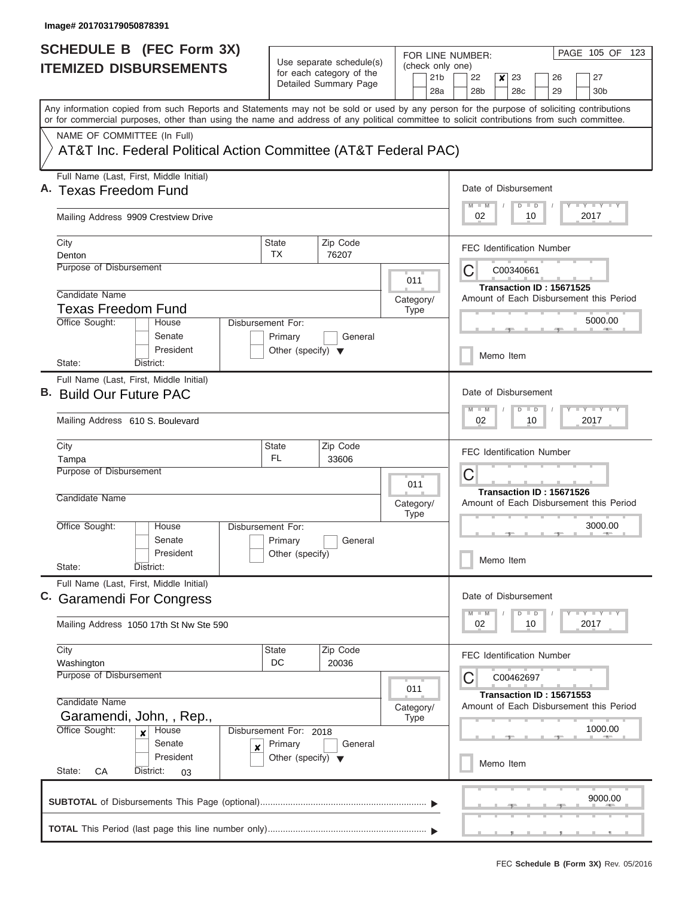| <b>SCHEDULE B</b> (FEC Form 3X)                                                                                                                                                                                                                                                         |                                                                     |                                                      |                          | PAGE 105 OF<br>123<br>FOR LINE NUMBER:                                                                 |  |  |  |  |  |
|-----------------------------------------------------------------------------------------------------------------------------------------------------------------------------------------------------------------------------------------------------------------------------------------|---------------------------------------------------------------------|------------------------------------------------------|--------------------------|--------------------------------------------------------------------------------------------------------|--|--|--|--|--|
| <b>ITEMIZED DISBURSEMENTS</b>                                                                                                                                                                                                                                                           |                                                                     | Use separate schedule(s)<br>for each category of the | (check only one)         |                                                                                                        |  |  |  |  |  |
|                                                                                                                                                                                                                                                                                         |                                                                     | Detailed Summary Page                                |                          | 21 <sub>b</sub><br>22<br>23<br>26<br>27<br>x<br>28a<br>28 <sub>b</sub><br>28c<br>29<br>30 <sub>b</sub> |  |  |  |  |  |
|                                                                                                                                                                                                                                                                                         |                                                                     |                                                      |                          |                                                                                                        |  |  |  |  |  |
| Any information copied from such Reports and Statements may not be sold or used by any person for the purpose of soliciting contributions<br>or for commercial purposes, other than using the name and address of any political committee to solicit contributions from such committee. |                                                                     |                                                      |                          |                                                                                                        |  |  |  |  |  |
| NAME OF COMMITTEE (In Full)                                                                                                                                                                                                                                                             |                                                                     |                                                      |                          |                                                                                                        |  |  |  |  |  |
| AT&T Inc. Federal Political Action Committee (AT&T Federal PAC)                                                                                                                                                                                                                         |                                                                     |                                                      |                          |                                                                                                        |  |  |  |  |  |
| Full Name (Last, First, Middle Initial)                                                                                                                                                                                                                                                 |                                                                     |                                                      |                          |                                                                                                        |  |  |  |  |  |
| A. Texas Freedom Fund                                                                                                                                                                                                                                                                   |                                                                     |                                                      |                          | Date of Disbursement                                                                                   |  |  |  |  |  |
| Mailing Address 9909 Crestview Drive                                                                                                                                                                                                                                                    | $T$ $Y$ $T$ $Y$ $T$ $Y$<br>$M$ $M$<br>$D$ $D$<br>2017<br>02<br>10   |                                                      |                          |                                                                                                        |  |  |  |  |  |
| City                                                                                                                                                                                                                                                                                    | <b>State</b>                                                        | Zip Code                                             |                          | <b>FEC Identification Number</b>                                                                       |  |  |  |  |  |
| Denton                                                                                                                                                                                                                                                                                  | TX                                                                  | 76207                                                |                          |                                                                                                        |  |  |  |  |  |
| Purpose of Disbursement                                                                                                                                                                                                                                                                 |                                                                     |                                                      | 011                      | C<br>C00340661                                                                                         |  |  |  |  |  |
| Candidate Name                                                                                                                                                                                                                                                                          |                                                                     |                                                      |                          | Transaction ID: 15671525                                                                               |  |  |  |  |  |
| <b>Texas Freedom Fund</b>                                                                                                                                                                                                                                                               |                                                                     |                                                      | Category/<br><b>Type</b> | Amount of Each Disbursement this Period                                                                |  |  |  |  |  |
| Office Sought:<br>House                                                                                                                                                                                                                                                                 | Disbursement For:                                                   |                                                      |                          | 5000.00                                                                                                |  |  |  |  |  |
| Senate                                                                                                                                                                                                                                                                                  | Primary                                                             | General                                              |                          |                                                                                                        |  |  |  |  |  |
| President                                                                                                                                                                                                                                                                               | Other (specify) $\blacktriangledown$                                |                                                      |                          | Memo Item                                                                                              |  |  |  |  |  |
| State:<br>District:                                                                                                                                                                                                                                                                     |                                                                     |                                                      |                          |                                                                                                        |  |  |  |  |  |
| Full Name (Last, First, Middle Initial)<br>B. Build Our Future PAC                                                                                                                                                                                                                      |                                                                     |                                                      |                          | Date of Disbursement                                                                                   |  |  |  |  |  |
|                                                                                                                                                                                                                                                                                         |                                                                     |                                                      |                          | $-1 - Y - 1 - Y - 1 - Y$<br>$M - M$<br>$D$ $D$                                                         |  |  |  |  |  |
| Mailing Address 610 S. Boulevard                                                                                                                                                                                                                                                        | 2017<br>02<br>10                                                    |                                                      |                          |                                                                                                        |  |  |  |  |  |
| City                                                                                                                                                                                                                                                                                    | <b>State</b><br><b>FL</b>                                           | Zip Code<br>33606                                    |                          | FEC Identification Number                                                                              |  |  |  |  |  |
| Tampa<br>Purpose of Disbursement                                                                                                                                                                                                                                                        |                                                                     |                                                      |                          |                                                                                                        |  |  |  |  |  |
|                                                                                                                                                                                                                                                                                         | 011                                                                 | С                                                    |                          |                                                                                                        |  |  |  |  |  |
| Candidate Name                                                                                                                                                                                                                                                                          |                                                                     |                                                      | Category/                | Transaction ID: 15671526<br>Amount of Each Disbursement this Period                                    |  |  |  |  |  |
|                                                                                                                                                                                                                                                                                         |                                                                     |                                                      | <b>Type</b>              |                                                                                                        |  |  |  |  |  |
| Office Sought:<br>House                                                                                                                                                                                                                                                                 | Disbursement For:                                                   |                                                      |                          | 3000.00                                                                                                |  |  |  |  |  |
| Senate                                                                                                                                                                                                                                                                                  | Primary                                                             | General                                              |                          |                                                                                                        |  |  |  |  |  |
| President<br>State:<br>District:                                                                                                                                                                                                                                                        | Other (specify)                                                     |                                                      |                          | Memo Item                                                                                              |  |  |  |  |  |
| Full Name (Last, First, Middle Initial)                                                                                                                                                                                                                                                 |                                                                     |                                                      |                          |                                                                                                        |  |  |  |  |  |
| C. Garamendi For Congress                                                                                                                                                                                                                                                               |                                                                     |                                                      |                          | Date of Disbursement                                                                                   |  |  |  |  |  |
| Mailing Address 1050 17th St Nw Ste 590                                                                                                                                                                                                                                                 |                                                                     |                                                      |                          | $T - Y$ $T - Y$ $T - Y$<br>$M$ $M$<br>$D$ $D$<br>02<br>10<br>2017                                      |  |  |  |  |  |
|                                                                                                                                                                                                                                                                                         |                                                                     |                                                      |                          |                                                                                                        |  |  |  |  |  |
| City                                                                                                                                                                                                                                                                                    | State                                                               | Zip Code                                             |                          | <b>FEC Identification Number</b>                                                                       |  |  |  |  |  |
| Washington<br><b>Purpose of Disbursement</b>                                                                                                                                                                                                                                            | DC                                                                  | 20036                                                |                          |                                                                                                        |  |  |  |  |  |
|                                                                                                                                                                                                                                                                                         | 011                                                                 | C<br>C00462697                                       |                          |                                                                                                        |  |  |  |  |  |
| Candidate Name                                                                                                                                                                                                                                                                          | Transaction ID: 15671553<br>Amount of Each Disbursement this Period |                                                      |                          |                                                                                                        |  |  |  |  |  |
| Garamendi, John, , Rep.,                                                                                                                                                                                                                                                                |                                                                     |                                                      |                          |                                                                                                        |  |  |  |  |  |
| Office Sought:<br>House<br>$\boldsymbol{x}$                                                                                                                                                                                                                                             | Disbursement For: 2018                                              |                                                      |                          | 1000.00                                                                                                |  |  |  |  |  |
| Senate<br>x<br>President                                                                                                                                                                                                                                                                | Primary<br>Other (specify) $\blacktriangledown$                     | General                                              |                          |                                                                                                        |  |  |  |  |  |
| State:<br>District:<br>СA<br>03                                                                                                                                                                                                                                                         |                                                                     |                                                      |                          | Memo Item                                                                                              |  |  |  |  |  |
|                                                                                                                                                                                                                                                                                         |                                                                     |                                                      |                          |                                                                                                        |  |  |  |  |  |
|                                                                                                                                                                                                                                                                                         |                                                                     |                                                      |                          | 9000.00                                                                                                |  |  |  |  |  |
|                                                                                                                                                                                                                                                                                         |                                                                     |                                                      |                          |                                                                                                        |  |  |  |  |  |
|                                                                                                                                                                                                                                                                                         |                                                                     |                                                      |                          |                                                                                                        |  |  |  |  |  |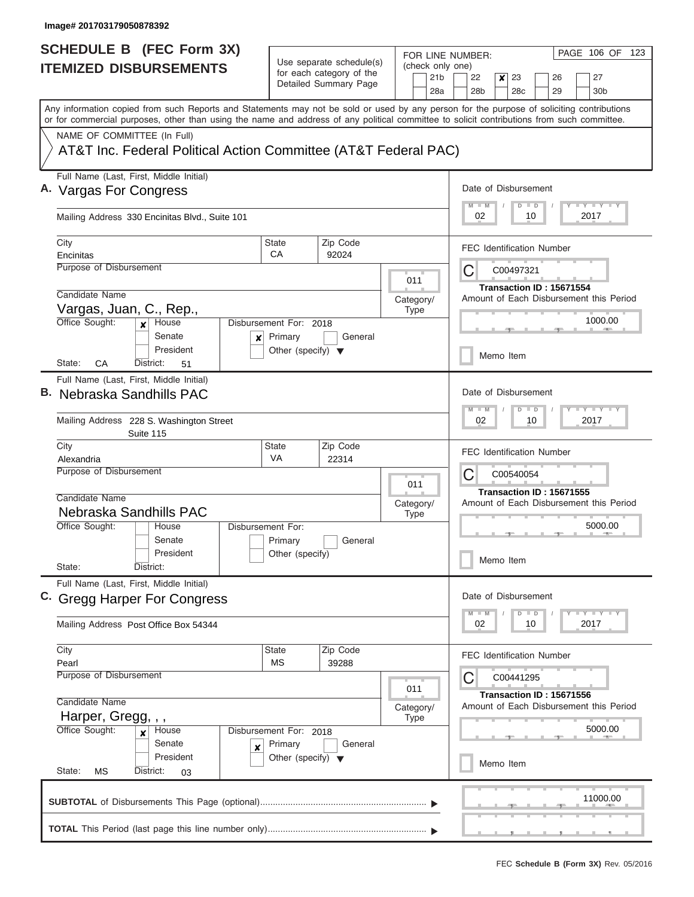$\overline{\phantom{a}}$ 

| <b>SCHEDULE B (FEC Form 3X)</b>                                                                                                                                                                                                                                                         |                                                           |                                                   |                  | PAGE 106 OF 123<br>FOR LINE NUMBER:                                             |  |  |  |  |  |  |
|-----------------------------------------------------------------------------------------------------------------------------------------------------------------------------------------------------------------------------------------------------------------------------------------|-----------------------------------------------------------|---------------------------------------------------|------------------|---------------------------------------------------------------------------------|--|--|--|--|--|--|
| <b>ITEMIZED DISBURSEMENTS</b>                                                                                                                                                                                                                                                           |                                                           | Use separate schedule(s)                          | (check only one) |                                                                                 |  |  |  |  |  |  |
|                                                                                                                                                                                                                                                                                         |                                                           | for each category of the<br>Detailed Summary Page | 21 <sub>b</sub>  | 23<br>22<br>×<br>26<br>27                                                       |  |  |  |  |  |  |
|                                                                                                                                                                                                                                                                                         |                                                           |                                                   | 28a              | 28 <sub>b</sub><br>28 <sub>c</sub><br>29<br>30 <sub>b</sub>                     |  |  |  |  |  |  |
| Any information copied from such Reports and Statements may not be sold or used by any person for the purpose of soliciting contributions<br>or for commercial purposes, other than using the name and address of any political committee to solicit contributions from such committee. |                                                           |                                                   |                  |                                                                                 |  |  |  |  |  |  |
| NAME OF COMMITTEE (In Full)                                                                                                                                                                                                                                                             |                                                           |                                                   |                  |                                                                                 |  |  |  |  |  |  |
| AT&T Inc. Federal Political Action Committee (AT&T Federal PAC)                                                                                                                                                                                                                         |                                                           |                                                   |                  |                                                                                 |  |  |  |  |  |  |
| Full Name (Last, First, Middle Initial)                                                                                                                                                                                                                                                 |                                                           |                                                   |                  |                                                                                 |  |  |  |  |  |  |
| A. Vargas For Congress                                                                                                                                                                                                                                                                  |                                                           |                                                   |                  | Date of Disbursement                                                            |  |  |  |  |  |  |
| Mailing Address 330 Encinitas Blvd., Suite 101                                                                                                                                                                                                                                          | <b>LY LY LY</b><br>$M$ $M$<br>$D$ $D$<br>2017<br>02<br>10 |                                                   |                  |                                                                                 |  |  |  |  |  |  |
| City                                                                                                                                                                                                                                                                                    | <b>State</b>                                              | Zip Code                                          |                  | <b>FEC Identification Number</b>                                                |  |  |  |  |  |  |
| Encinitas                                                                                                                                                                                                                                                                               | CA                                                        | 92024                                             |                  |                                                                                 |  |  |  |  |  |  |
| <b>Purpose of Disbursement</b>                                                                                                                                                                                                                                                          |                                                           |                                                   |                  | С<br>C00497321                                                                  |  |  |  |  |  |  |
|                                                                                                                                                                                                                                                                                         |                                                           |                                                   | 011              | Transaction ID: 15671554                                                        |  |  |  |  |  |  |
| Candidate Name                                                                                                                                                                                                                                                                          |                                                           |                                                   | Category/        | Amount of Each Disbursement this Period                                         |  |  |  |  |  |  |
| Vargas, Juan, C., Rep.,<br>Office Sought:<br>House                                                                                                                                                                                                                                      | Disbursement For: 2018                                    |                                                   | <b>Type</b>      | 1000.00                                                                         |  |  |  |  |  |  |
| Senate<br>$\boldsymbol{x}$                                                                                                                                                                                                                                                              | Primary                                                   | General                                           |                  |                                                                                 |  |  |  |  |  |  |
| President                                                                                                                                                                                                                                                                               | Other (specify) $\blacktriangledown$                      |                                                   |                  |                                                                                 |  |  |  |  |  |  |
| CA<br>State:<br>District:<br>51                                                                                                                                                                                                                                                         |                                                           |                                                   |                  | Memo Item                                                                       |  |  |  |  |  |  |
| Full Name (Last, First, Middle Initial)                                                                                                                                                                                                                                                 |                                                           |                                                   |                  |                                                                                 |  |  |  |  |  |  |
| B. Nebraska Sandhills PAC                                                                                                                                                                                                                                                               |                                                           |                                                   |                  | Date of Disbursement                                                            |  |  |  |  |  |  |
|                                                                                                                                                                                                                                                                                         |                                                           |                                                   |                  | $-1$ $-1$ $-1$ $-1$ $-1$<br>$M - M$<br>$D$ $D$<br>2017<br>02<br>10              |  |  |  |  |  |  |
| Mailing Address 228 S. Washington Street<br>Suite 115                                                                                                                                                                                                                                   |                                                           |                                                   |                  |                                                                                 |  |  |  |  |  |  |
| City                                                                                                                                                                                                                                                                                    | State<br><b>VA</b>                                        | Zip Code<br>22314                                 |                  | <b>FEC Identification Number</b>                                                |  |  |  |  |  |  |
| Alexandria                                                                                                                                                                                                                                                                              | Purpose of Disbursement                                   |                                                   |                  |                                                                                 |  |  |  |  |  |  |
|                                                                                                                                                                                                                                                                                         |                                                           |                                                   | 011              | С<br>C00540054                                                                  |  |  |  |  |  |  |
| Candidate Name                                                                                                                                                                                                                                                                          |                                                           |                                                   | Category/        | Transaction ID: 15671555<br>Amount of Each Disbursement this Period             |  |  |  |  |  |  |
| Nebraska Sandhills PAC                                                                                                                                                                                                                                                                  |                                                           |                                                   | <b>Type</b>      |                                                                                 |  |  |  |  |  |  |
| Office Sought:<br>House                                                                                                                                                                                                                                                                 | Disbursement For:                                         |                                                   |                  | 5000.00                                                                         |  |  |  |  |  |  |
| Senate                                                                                                                                                                                                                                                                                  | Primary                                                   | General                                           |                  |                                                                                 |  |  |  |  |  |  |
| President<br>State:<br>District:                                                                                                                                                                                                                                                        | Other (specify)                                           |                                                   |                  | Memo Item                                                                       |  |  |  |  |  |  |
|                                                                                                                                                                                                                                                                                         |                                                           |                                                   |                  |                                                                                 |  |  |  |  |  |  |
| Full Name (Last, First, Middle Initial)<br>C. Gregg Harper For Congress                                                                                                                                                                                                                 |                                                           |                                                   |                  | Date of Disbursement                                                            |  |  |  |  |  |  |
|                                                                                                                                                                                                                                                                                         |                                                           |                                                   |                  | $\Box$ $\Upsilon$ $\Box$ $\Upsilon$ $\Upsilon$ $\Upsilon$<br>$M - M$<br>$D$ $D$ |  |  |  |  |  |  |
| Mailing Address Post Office Box 54344                                                                                                                                                                                                                                                   |                                                           |                                                   |                  | 02<br>2017<br>10                                                                |  |  |  |  |  |  |
|                                                                                                                                                                                                                                                                                         |                                                           |                                                   |                  |                                                                                 |  |  |  |  |  |  |
| City                                                                                                                                                                                                                                                                                    | State                                                     | Zip Code                                          |                  | FEC Identification Number                                                       |  |  |  |  |  |  |
| Pearl<br>Purpose of Disbursement                                                                                                                                                                                                                                                        | <b>MS</b>                                                 | 39288                                             |                  |                                                                                 |  |  |  |  |  |  |
|                                                                                                                                                                                                                                                                                         |                                                           |                                                   | 011              | C00441295                                                                       |  |  |  |  |  |  |
| Candidate Name                                                                                                                                                                                                                                                                          |                                                           |                                                   | Category/        | Transaction ID: 15671556<br>Amount of Each Disbursement this Period             |  |  |  |  |  |  |
| Harper, Gregg, , ,                                                                                                                                                                                                                                                                      |                                                           |                                                   | <b>Type</b>      |                                                                                 |  |  |  |  |  |  |
| Office Sought:<br>House<br>x                                                                                                                                                                                                                                                            | Disbursement For: 2018                                    |                                                   |                  | 5000.00                                                                         |  |  |  |  |  |  |
| Senate<br>X                                                                                                                                                                                                                                                                             | Primary                                                   | General                                           |                  |                                                                                 |  |  |  |  |  |  |
| President                                                                                                                                                                                                                                                                               | Other (specify) $\blacktriangledown$                      |                                                   |                  | Memo Item                                                                       |  |  |  |  |  |  |
| State:<br>MS<br>District:<br>03                                                                                                                                                                                                                                                         |                                                           |                                                   |                  |                                                                                 |  |  |  |  |  |  |
|                                                                                                                                                                                                                                                                                         |                                                           |                                                   |                  | 11000.00                                                                        |  |  |  |  |  |  |
|                                                                                                                                                                                                                                                                                         |                                                           |                                                   |                  |                                                                                 |  |  |  |  |  |  |
|                                                                                                                                                                                                                                                                                         |                                                           |                                                   |                  |                                                                                 |  |  |  |  |  |  |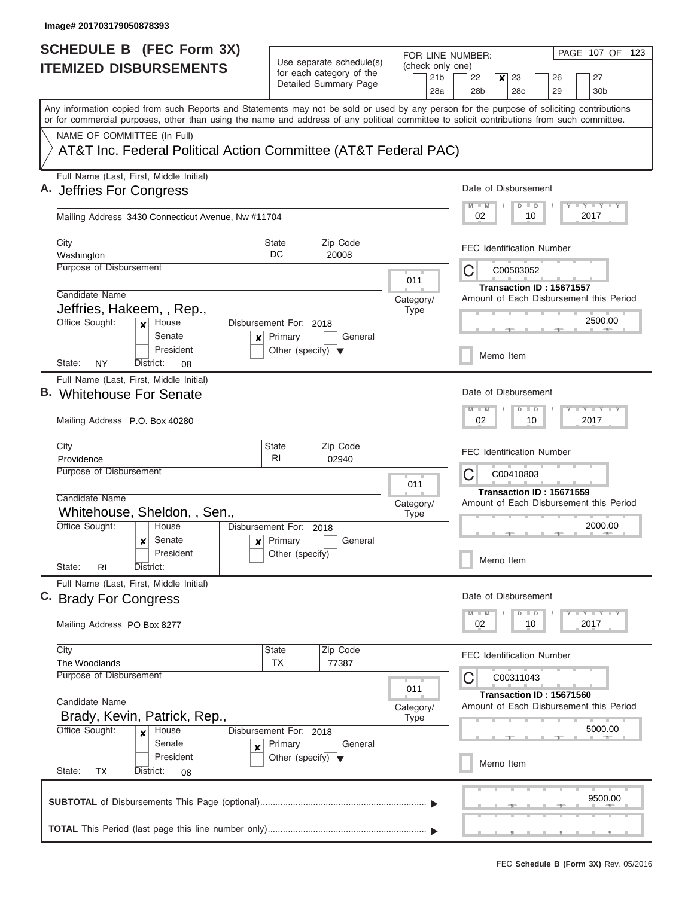| <b>SCHEDULE B</b> (FEC Form 3X)                                                                                                                                                                                                                                                         |                                                 | Use separate schedule(s)                                 | FOR LINE NUMBER:                           | PAGE 107 OF 123                                                                          |  |  |  |  |  |  |
|-----------------------------------------------------------------------------------------------------------------------------------------------------------------------------------------------------------------------------------------------------------------------------------------|-------------------------------------------------|----------------------------------------------------------|--------------------------------------------|------------------------------------------------------------------------------------------|--|--|--|--|--|--|
| <b>ITEMIZED DISBURSEMENTS</b>                                                                                                                                                                                                                                                           |                                                 | for each category of the<br>Detailed Summary Page        | (check only one)<br>21 <sub>b</sub><br>28a | 22<br>23<br>26<br>27<br>x<br>28 <sub>b</sub><br>28 <sub>c</sub><br>29<br>30 <sub>b</sub> |  |  |  |  |  |  |
| Any information copied from such Reports and Statements may not be sold or used by any person for the purpose of soliciting contributions<br>or for commercial purposes, other than using the name and address of any political committee to solicit contributions from such committee. |                                                 |                                                          |                                            |                                                                                          |  |  |  |  |  |  |
| NAME OF COMMITTEE (In Full)                                                                                                                                                                                                                                                             |                                                 |                                                          |                                            |                                                                                          |  |  |  |  |  |  |
| AT&T Inc. Federal Political Action Committee (AT&T Federal PAC)                                                                                                                                                                                                                         |                                                 |                                                          |                                            |                                                                                          |  |  |  |  |  |  |
| Full Name (Last, First, Middle Initial)<br>A. Jeffries For Congress                                                                                                                                                                                                                     |                                                 |                                                          |                                            | Date of Disbursement                                                                     |  |  |  |  |  |  |
| Mailing Address 3430 Connecticut Avenue, Nw #11704                                                                                                                                                                                                                                      |                                                 |                                                          |                                            | Y I Y I Y I Y<br>$M$ $M$<br>$D$ $D$<br>02<br>10<br>2017                                  |  |  |  |  |  |  |
| City<br>Washington                                                                                                                                                                                                                                                                      | State<br>DC.                                    | Zip Code<br>20008                                        |                                            | <b>FEC Identification Number</b>                                                         |  |  |  |  |  |  |
| Purpose of Disbursement                                                                                                                                                                                                                                                                 |                                                 |                                                          | 011                                        | С<br>C00503052                                                                           |  |  |  |  |  |  |
| Candidate Name                                                                                                                                                                                                                                                                          |                                                 |                                                          |                                            | Transaction ID: 15671557<br>Amount of Each Disbursement this Period                      |  |  |  |  |  |  |
| Jeffries, Hakeem, , Rep.,                                                                                                                                                                                                                                                               |                                                 |                                                          | Category/<br><b>Type</b>                   |                                                                                          |  |  |  |  |  |  |
| Office Sought:<br>House<br>$\mathbf{x}$<br>Senate<br>$\boldsymbol{x}$                                                                                                                                                                                                                   | Disbursement For: 2018<br>Primary               | General                                                  |                                            | 2500.00                                                                                  |  |  |  |  |  |  |
| President<br>NY<br>District:<br>State:<br>08                                                                                                                                                                                                                                            | Other (specify) $\blacktriangledown$            |                                                          |                                            | Memo Item                                                                                |  |  |  |  |  |  |
| Full Name (Last, First, Middle Initial)                                                                                                                                                                                                                                                 |                                                 |                                                          |                                            |                                                                                          |  |  |  |  |  |  |
| B. Whitehouse For Senate                                                                                                                                                                                                                                                                |                                                 | Date of Disbursement<br>Y FY FY FY<br>$M - M$<br>$D$ $D$ |                                            |                                                                                          |  |  |  |  |  |  |
| Mailing Address P.O. Box 40280                                                                                                                                                                                                                                                          |                                                 | 02<br>10<br>2017                                         |                                            |                                                                                          |  |  |  |  |  |  |
| City<br>Providence                                                                                                                                                                                                                                                                      | State<br>R <sub>1</sub>                         | Zip Code<br>02940                                        |                                            | <b>FEC Identification Number</b>                                                         |  |  |  |  |  |  |
| Purpose of Disbursement                                                                                                                                                                                                                                                                 |                                                 |                                                          | C<br>C00410803                             |                                                                                          |  |  |  |  |  |  |
| Candidate Name                                                                                                                                                                                                                                                                          |                                                 |                                                          | 011                                        | Transaction ID: 15671559                                                                 |  |  |  |  |  |  |
| Whitehouse, Sheldon, , Sen.,                                                                                                                                                                                                                                                            |                                                 |                                                          | Category/<br><b>Type</b>                   | Amount of Each Disbursement this Period                                                  |  |  |  |  |  |  |
| Office Sought:<br>House                                                                                                                                                                                                                                                                 | Disbursement For: 2018                          |                                                          |                                            | 2000.00                                                                                  |  |  |  |  |  |  |
| Senate<br>x<br>$\boldsymbol{x}$                                                                                                                                                                                                                                                         | Primary                                         | General                                                  |                                            |                                                                                          |  |  |  |  |  |  |
| President<br>State:<br>RI.<br>District:                                                                                                                                                                                                                                                 | Other (specify)                                 |                                                          |                                            | Memo Item                                                                                |  |  |  |  |  |  |
| Full Name (Last, First, Middle Initial)<br>C. Brady For Congress                                                                                                                                                                                                                        |                                                 |                                                          |                                            | Date of Disbursement                                                                     |  |  |  |  |  |  |
|                                                                                                                                                                                                                                                                                         |                                                 |                                                          |                                            | Y FY FY FY<br>$M - M$<br>$D$ $D$                                                         |  |  |  |  |  |  |
| Mailing Address PO Box 8277                                                                                                                                                                                                                                                             |                                                 |                                                          |                                            | 02<br>2017<br>10                                                                         |  |  |  |  |  |  |
| City                                                                                                                                                                                                                                                                                    | State<br>TX                                     | Zip Code<br>77387                                        |                                            | <b>FEC Identification Number</b>                                                         |  |  |  |  |  |  |
| The Woodlands<br>Purpose of Disbursement                                                                                                                                                                                                                                                |                                                 |                                                          |                                            | C00311043                                                                                |  |  |  |  |  |  |
|                                                                                                                                                                                                                                                                                         |                                                 |                                                          | 011                                        | Transaction ID: 15671560                                                                 |  |  |  |  |  |  |
| Candidate Name                                                                                                                                                                                                                                                                          |                                                 |                                                          | Category/                                  | Amount of Each Disbursement this Period                                                  |  |  |  |  |  |  |
| Brady, Kevin, Patrick, Rep.,                                                                                                                                                                                                                                                            |                                                 |                                                          | <b>Type</b>                                |                                                                                          |  |  |  |  |  |  |
| Office Sought:<br>House<br>Disbursement For: 2018<br>Senate                                                                                                                                                                                                                             |                                                 | 5000.00                                                  |                                            |                                                                                          |  |  |  |  |  |  |
| ×<br>President                                                                                                                                                                                                                                                                          | Primary<br>Other (specify) $\blacktriangledown$ | General                                                  |                                            | Memo Item                                                                                |  |  |  |  |  |  |
| State:<br>ТX<br>District:<br>08                                                                                                                                                                                                                                                         |                                                 |                                                          |                                            |                                                                                          |  |  |  |  |  |  |
|                                                                                                                                                                                                                                                                                         |                                                 |                                                          |                                            | 9500.00                                                                                  |  |  |  |  |  |  |
|                                                                                                                                                                                                                                                                                         |                                                 |                                                          |                                            |                                                                                          |  |  |  |  |  |  |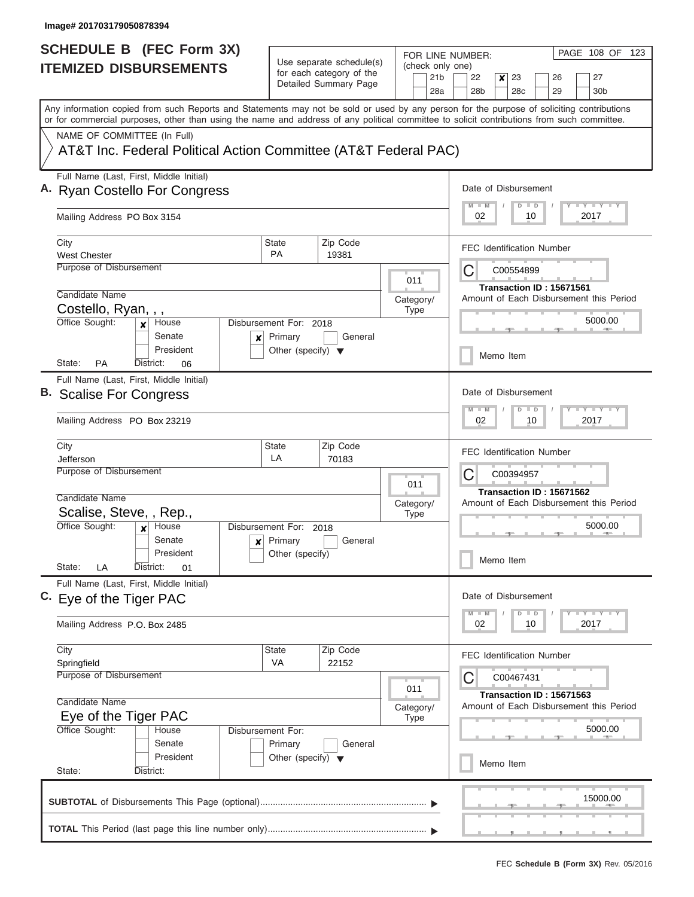| SCHEDULE B (FEC Form 3X)                                                                                                                                                                                                                                                                |                                                                      |                                                      |                  | PAGE 108 OF<br>123<br>FOR LINE NUMBER:                                                           |  |  |  |  |  |
|-----------------------------------------------------------------------------------------------------------------------------------------------------------------------------------------------------------------------------------------------------------------------------------------|----------------------------------------------------------------------|------------------------------------------------------|------------------|--------------------------------------------------------------------------------------------------|--|--|--|--|--|
| <b>ITEMIZED DISBURSEMENTS</b>                                                                                                                                                                                                                                                           |                                                                      | Use separate schedule(s)<br>for each category of the | (check only one) | 22                                                                                               |  |  |  |  |  |
|                                                                                                                                                                                                                                                                                         |                                                                      | Detailed Summary Page                                |                  | 21 <sub>b</sub><br>23<br>27<br>×<br>26<br>28a<br>28 <sub>b</sub><br>28c<br>29<br>30 <sub>b</sub> |  |  |  |  |  |
| Any information copied from such Reports and Statements may not be sold or used by any person for the purpose of soliciting contributions<br>or for commercial purposes, other than using the name and address of any political committee to solicit contributions from such committee. |                                                                      |                                                      |                  |                                                                                                  |  |  |  |  |  |
| NAME OF COMMITTEE (In Full)                                                                                                                                                                                                                                                             |                                                                      |                                                      |                  |                                                                                                  |  |  |  |  |  |
| AT&T Inc. Federal Political Action Committee (AT&T Federal PAC)                                                                                                                                                                                                                         |                                                                      |                                                      |                  |                                                                                                  |  |  |  |  |  |
| Full Name (Last, First, Middle Initial)<br>A. Ryan Costello For Congress                                                                                                                                                                                                                |                                                                      |                                                      |                  |                                                                                                  |  |  |  |  |  |
| Mailing Address PO Box 3154                                                                                                                                                                                                                                                             | <b>LY LY LY</b><br>$M$ $M$<br>$D \parallel D$<br>2017<br>02<br>10    |                                                      |                  |                                                                                                  |  |  |  |  |  |
| City                                                                                                                                                                                                                                                                                    | <b>State</b><br><b>PA</b>                                            | Zip Code                                             |                  | <b>FEC Identification Number</b>                                                                 |  |  |  |  |  |
| <b>West Chester</b><br>Purpose of Disbursement                                                                                                                                                                                                                                          |                                                                      | 19381                                                |                  | C<br>C00554899                                                                                   |  |  |  |  |  |
|                                                                                                                                                                                                                                                                                         |                                                                      |                                                      | 011              |                                                                                                  |  |  |  |  |  |
| Candidate Name                                                                                                                                                                                                                                                                          |                                                                      |                                                      | Category/        | Transaction ID: 15671561<br>Amount of Each Disbursement this Period                              |  |  |  |  |  |
| Costello, Ryan, , ,                                                                                                                                                                                                                                                                     |                                                                      |                                                      | <b>Type</b>      |                                                                                                  |  |  |  |  |  |
| Office Sought:<br>House<br>x<br>Senate                                                                                                                                                                                                                                                  | Disbursement For: 2018<br>Primary<br>×                               | General                                              |                  | 5000.00                                                                                          |  |  |  |  |  |
| President<br>State:<br><b>PA</b><br>District:<br>06                                                                                                                                                                                                                                     | Other (specify) $\blacktriangledown$                                 |                                                      |                  | Memo Item                                                                                        |  |  |  |  |  |
| Full Name (Last, First, Middle Initial)                                                                                                                                                                                                                                                 |                                                                      |                                                      |                  |                                                                                                  |  |  |  |  |  |
| B. Scalise For Congress                                                                                                                                                                                                                                                                 |                                                                      |                                                      |                  | Date of Disbursement                                                                             |  |  |  |  |  |
| Mailing Address PO Box 23219                                                                                                                                                                                                                                                            | <b>LY LY L</b><br>$M - M$<br>D<br>$\blacksquare$<br>2017<br>02<br>10 |                                                      |                  |                                                                                                  |  |  |  |  |  |
| City                                                                                                                                                                                                                                                                                    | <b>State</b><br>LA                                                   | Zip Code<br>70183                                    |                  | <b>FEC Identification Number</b>                                                                 |  |  |  |  |  |
| Jefferson<br>Purpose of Disbursement                                                                                                                                                                                                                                                    | C<br>C00394957                                                       |                                                      |                  |                                                                                                  |  |  |  |  |  |
|                                                                                                                                                                                                                                                                                         | 011                                                                  | Transaction ID: 15671562                             |                  |                                                                                                  |  |  |  |  |  |
| Candidate Name                                                                                                                                                                                                                                                                          |                                                                      |                                                      | Category/        | Amount of Each Disbursement this Period                                                          |  |  |  |  |  |
| Scalise, Steve, , Rep.,                                                                                                                                                                                                                                                                 |                                                                      |                                                      | <b>Type</b>      | 5000.00                                                                                          |  |  |  |  |  |
| Office Sought:<br>House<br>$\boldsymbol{x}$<br>Senate                                                                                                                                                                                                                                   | Disbursement For: 2018<br>$x$ Primary                                | General                                              |                  |                                                                                                  |  |  |  |  |  |
| President                                                                                                                                                                                                                                                                               | Other (specify)                                                      |                                                      |                  |                                                                                                  |  |  |  |  |  |
| State:<br>LA<br>District:<br>01                                                                                                                                                                                                                                                         |                                                                      |                                                      |                  | Memo Item                                                                                        |  |  |  |  |  |
| Full Name (Last, First, Middle Initial)                                                                                                                                                                                                                                                 |                                                                      |                                                      |                  |                                                                                                  |  |  |  |  |  |
| C. Eye of the Tiger PAC                                                                                                                                                                                                                                                                 |                                                                      |                                                      |                  | Date of Disbursement<br>$T$ $Y$ $T$ $Y$ $T$ $Y$<br>$M$ M<br>$D$ $D$                              |  |  |  |  |  |
| Mailing Address P.O. Box 2485                                                                                                                                                                                                                                                           |                                                                      |                                                      |                  |                                                                                                  |  |  |  |  |  |
| City                                                                                                                                                                                                                                                                                    | State                                                                | Zip Code                                             |                  | <b>FEC Identification Number</b>                                                                 |  |  |  |  |  |
| Springfield<br><b>Purpose of Disbursement</b>                                                                                                                                                                                                                                           | VA                                                                   | 22152                                                |                  |                                                                                                  |  |  |  |  |  |
|                                                                                                                                                                                                                                                                                         |                                                                      |                                                      | 011              | C<br>C00467431<br>Transaction ID: 15671563                                                       |  |  |  |  |  |
| Candidate Name                                                                                                                                                                                                                                                                          | Category/                                                            |                                                      |                  |                                                                                                  |  |  |  |  |  |
| Eye of the Tiger PAC                                                                                                                                                                                                                                                                    | Type                                                                 |                                                      |                  |                                                                                                  |  |  |  |  |  |
| Office Sought:<br>House                                                                                                                                                                                                                                                                 | Disbursement For:                                                    |                                                      |                  | 5000.00                                                                                          |  |  |  |  |  |
| Senate<br>President                                                                                                                                                                                                                                                                     | Primary<br>Other (specify) $\blacktriangledown$                      | General                                              |                  |                                                                                                  |  |  |  |  |  |
| State:<br>District:                                                                                                                                                                                                                                                                     |                                                                      |                                                      |                  | Memo Item                                                                                        |  |  |  |  |  |
|                                                                                                                                                                                                                                                                                         |                                                                      |                                                      |                  | 15000.00                                                                                         |  |  |  |  |  |
|                                                                                                                                                                                                                                                                                         |                                                                      |                                                      |                  |                                                                                                  |  |  |  |  |  |
|                                                                                                                                                                                                                                                                                         |                                                                      |                                                      |                  |                                                                                                  |  |  |  |  |  |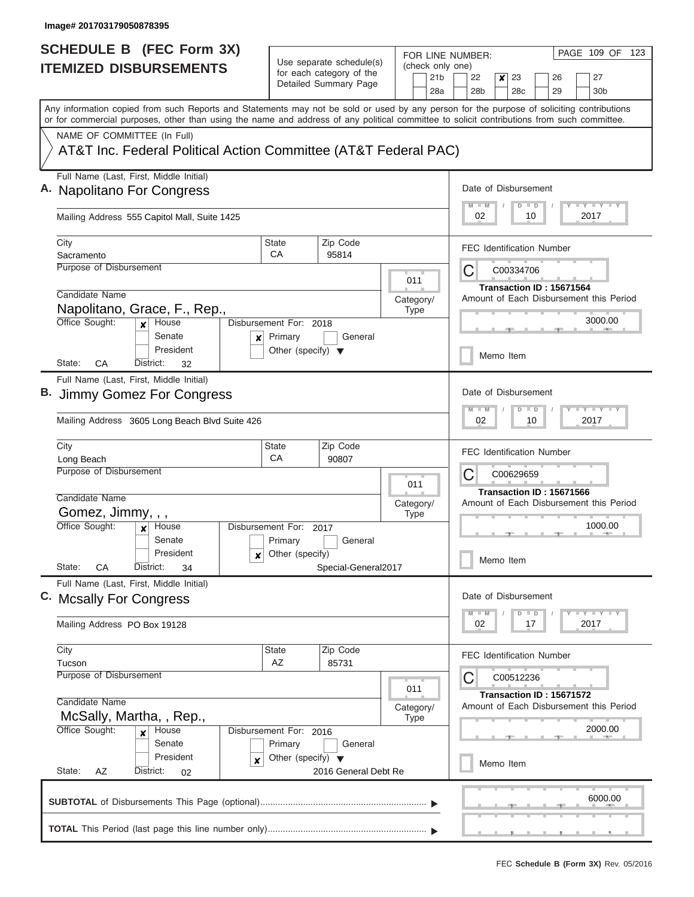| <b>SCHEDULE B</b> (FEC Form 3X)                                                                                                                                                                                                                                                         |                                                                           |                                                                               |                                            | PAGE 109 OF 123<br>FOR LINE NUMBER:                                                                                         |
|-----------------------------------------------------------------------------------------------------------------------------------------------------------------------------------------------------------------------------------------------------------------------------------------|---------------------------------------------------------------------------|-------------------------------------------------------------------------------|--------------------------------------------|-----------------------------------------------------------------------------------------------------------------------------|
| <b>ITEMIZED DISBURSEMENTS</b>                                                                                                                                                                                                                                                           |                                                                           | Use separate schedule(s)<br>for each category of the<br>Detailed Summary Page | (check only one)<br>21 <sub>b</sub><br>28a | 22<br>23<br>27<br>×<br>26<br>28 <sub>b</sub><br>28c<br>29<br>30 <sub>b</sub>                                                |
| Any information copied from such Reports and Statements may not be sold or used by any person for the purpose of soliciting contributions<br>or for commercial purposes, other than using the name and address of any political committee to solicit contributions from such committee. |                                                                           |                                                                               |                                            |                                                                                                                             |
| NAME OF COMMITTEE (In Full)<br>AT&T Inc. Federal Political Action Committee (AT&T Federal PAC)                                                                                                                                                                                          |                                                                           |                                                                               |                                            |                                                                                                                             |
| Full Name (Last, First, Middle Initial)<br>A. Napolitano For Congress                                                                                                                                                                                                                   |                                                                           |                                                                               |                                            | Date of Disbursement<br>Y L Y L Y LY<br>$M$ $M$<br>$D$ $D$                                                                  |
| Mailing Address 555 Capitol Mall, Suite 1425                                                                                                                                                                                                                                            |                                                                           |                                                                               |                                            | 2017<br>02<br>10                                                                                                            |
| City<br>Sacramento                                                                                                                                                                                                                                                                      | <b>State</b><br>CA                                                        | Zip Code<br>95814                                                             |                                            | <b>FEC Identification Number</b>                                                                                            |
| Purpose of Disbursement<br>Candidate Name                                                                                                                                                                                                                                               |                                                                           |                                                                               | 011<br>Category/                           | C<br>C00334706<br>Transaction ID: 15671564<br>Amount of Each Disbursement this Period                                       |
| Napolitano, Grace, F., Rep.,<br>Office Sought:<br>House<br>$\boldsymbol{x}$<br>Senate                                                                                                                                                                                                   | Disbursement For: 2018<br>Primary                                         | General                                                                       | <b>Type</b>                                | 3000.00                                                                                                                     |
| ×<br>President<br>CA<br>District:<br>State:<br>32                                                                                                                                                                                                                                       | Other (specify) $\blacktriangledown$                                      |                                                                               |                                            | Memo Item                                                                                                                   |
| Full Name (Last, First, Middle Initial)<br>Jimmy Gomez For Congress                                                                                                                                                                                                                     |                                                                           |                                                                               |                                            | Date of Disbursement<br><b>LEYTLEY</b><br>$M - M$<br>$\overline{D}$<br>D                                                    |
| Mailing Address 3605 Long Beach Blvd Suite 426                                                                                                                                                                                                                                          |                                                                           |                                                                               |                                            | 02<br>10<br>2017                                                                                                            |
| City<br>Long Beach<br>Purpose of Disbursement                                                                                                                                                                                                                                           | <b>State</b><br>CA                                                        | Zip Code<br>90807                                                             | 011                                        | <b>FEC Identification Number</b><br>С<br>C00629659                                                                          |
| Candidate Name<br>Gomez, Jimmy, , ,<br>Office Sought:<br>House<br>Senate<br>President<br>x                                                                                                                                                                                              | Disbursement For: 2017<br>Primary<br>Other (specify)                      | General                                                                       | Category/<br><b>Type</b>                   | Transaction ID: 15671566<br>Amount of Each Disbursement this Period<br>1000.00<br>Memo Item                                 |
| State:<br>СA<br>District:<br>34<br>Full Name (Last, First, Middle Initial)                                                                                                                                                                                                              |                                                                           | Special-General2017                                                           |                                            | Date of Disbursement                                                                                                        |
| C. Mcsally For Congress<br>Mailing Address PO Box 19128                                                                                                                                                                                                                                 |                                                                           |                                                                               |                                            | $\mathbf{I}$ $\mathbf{Y}$ $\mathbf{I}$ $\mathbf{Y}$ $\mathbf{I}$ $\mathbf{Y}$<br>$M - M$<br>$\Box$<br>D<br>02<br>2017<br>17 |
| City<br>Tucson                                                                                                                                                                                                                                                                          | State<br>AZ                                                               | Zip Code<br>85731                                                             |                                            | <b>FEC Identification Number</b>                                                                                            |
| Purpose of Disbursement<br>Candidate Name<br>McSally, Martha, , Rep.,                                                                                                                                                                                                                   |                                                                           |                                                                               | 011<br>Category/<br><b>Type</b>            | C<br>C00512236<br>Transaction ID: 15671572<br>Amount of Each Disbursement this Period                                       |
| Office Sought:<br>House<br>$\boldsymbol{x}$<br>Senate<br>President<br>$\boldsymbol{x}$                                                                                                                                                                                                  | Disbursement For: 2016<br>Primary<br>Other (specify) $\blacktriangledown$ | General                                                                       |                                            | 2000.00<br>Memo Item                                                                                                        |
| State:<br>AZ<br>District:<br>02                                                                                                                                                                                                                                                         |                                                                           | 2016 General Debt Re                                                          |                                            | 6000.00                                                                                                                     |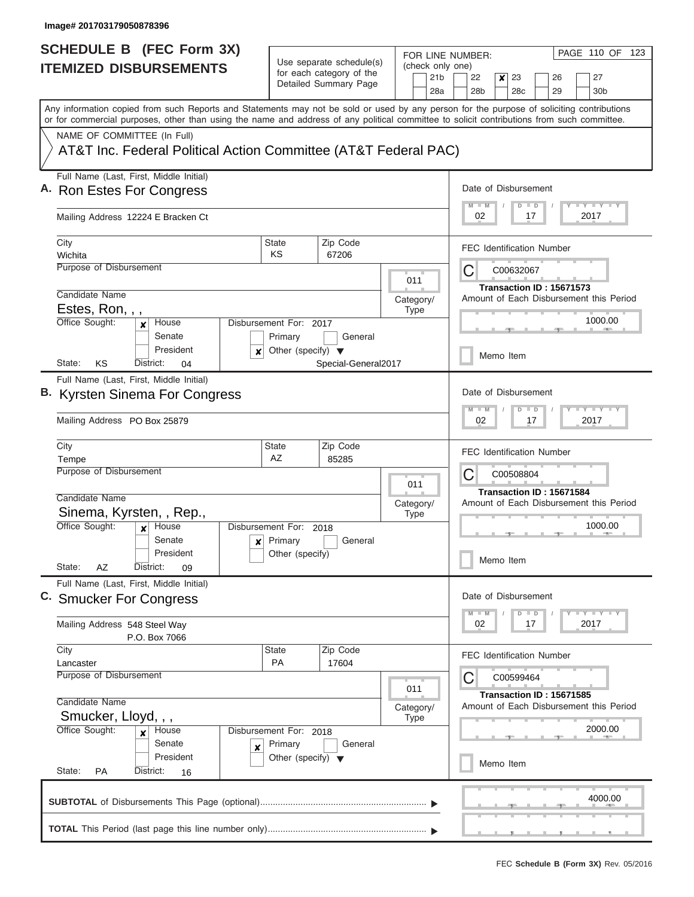| <b>SCHEDULE B (FEC Form 3X)</b>                                                                                                                                                                                                                                                         |                                           |                                                      |           |             |                  | FOR LINE NUMBER:                                                    |           |                     |                          |  | PAGE 110 OF 123                                                                           |  |
|-----------------------------------------------------------------------------------------------------------------------------------------------------------------------------------------------------------------------------------------------------------------------------------------|-------------------------------------------|------------------------------------------------------|-----------|-------------|------------------|---------------------------------------------------------------------|-----------|---------------------|--------------------------|--|-------------------------------------------------------------------------------------------|--|
| <b>ITEMIZED DISBURSEMENTS</b>                                                                                                                                                                                                                                                           |                                           | Use separate schedule(s)<br>for each category of the |           |             | (check only one) |                                                                     |           |                     |                          |  |                                                                                           |  |
|                                                                                                                                                                                                                                                                                         |                                           | Detailed Summary Page                                |           |             | 21 <sub>b</sub>  | 22                                                                  | ×         | 23                  | 26                       |  | 27                                                                                        |  |
|                                                                                                                                                                                                                                                                                         |                                           |                                                      |           |             | 28a              | 28 <sub>b</sub>                                                     |           | 28 <sub>c</sub>     | 29                       |  | 30 <sub>b</sub>                                                                           |  |
| Any information copied from such Reports and Statements may not be sold or used by any person for the purpose of soliciting contributions<br>or for commercial purposes, other than using the name and address of any political committee to solicit contributions from such committee. |                                           |                                                      |           |             |                  |                                                                     |           |                     |                          |  |                                                                                           |  |
| NAME OF COMMITTEE (In Full)                                                                                                                                                                                                                                                             |                                           |                                                      |           |             |                  |                                                                     |           |                     |                          |  |                                                                                           |  |
| AT&T Inc. Federal Political Action Committee (AT&T Federal PAC)                                                                                                                                                                                                                         |                                           |                                                      |           |             |                  |                                                                     |           |                     |                          |  |                                                                                           |  |
| Full Name (Last, First, Middle Initial)                                                                                                                                                                                                                                                 |                                           |                                                      |           |             |                  |                                                                     |           |                     |                          |  |                                                                                           |  |
| A. Ron Estes For Congress                                                                                                                                                                                                                                                               |                                           |                                                      |           |             |                  | Date of Disbursement                                                |           |                     |                          |  |                                                                                           |  |
| Mailing Address 12224 E Bracken Ct                                                                                                                                                                                                                                                      |                                           |                                                      |           |             |                  | 02                                                                  |           | $\Box$<br>D<br>17   |                          |  | <b>LY LY LY</b><br>2017                                                                   |  |
| City                                                                                                                                                                                                                                                                                    | State                                     | Zip Code                                             |           |             |                  |                                                                     |           |                     |                          |  |                                                                                           |  |
| Wichita                                                                                                                                                                                                                                                                                 | KS                                        | 67206                                                |           |             |                  | <b>FEC Identification Number</b>                                    |           |                     |                          |  |                                                                                           |  |
| Purpose of Disbursement                                                                                                                                                                                                                                                                 |                                           |                                                      |           |             |                  | C                                                                   |           | C00632067           |                          |  |                                                                                           |  |
|                                                                                                                                                                                                                                                                                         |                                           |                                                      |           | 011         |                  |                                                                     |           |                     | Transaction ID: 15671573 |  |                                                                                           |  |
| Candidate Name                                                                                                                                                                                                                                                                          |                                           |                                                      | Category/ |             |                  |                                                                     |           |                     |                          |  | Amount of Each Disbursement this Period                                                   |  |
| Estes, Ron, , ,<br>Office Sought:                                                                                                                                                                                                                                                       |                                           |                                                      |           | <b>Type</b> |                  |                                                                     |           |                     |                          |  | 1000.00                                                                                   |  |
| House<br>x<br>Senate                                                                                                                                                                                                                                                                    | Disbursement For: 2017<br>Primary         | General                                              |           |             |                  |                                                                     |           |                     |                          |  |                                                                                           |  |
| President                                                                                                                                                                                                                                                                               | Other (specify) $\blacktriangledown$<br>× |                                                      |           |             |                  |                                                                     |           |                     |                          |  |                                                                                           |  |
| KS<br>State:<br>District:<br>04                                                                                                                                                                                                                                                         |                                           | Special-General2017                                  |           |             |                  |                                                                     | Memo Item |                     |                          |  |                                                                                           |  |
| Full Name (Last, First, Middle Initial)                                                                                                                                                                                                                                                 |                                           |                                                      |           |             |                  |                                                                     |           |                     |                          |  |                                                                                           |  |
| B. Kyrsten Sinema For Congress                                                                                                                                                                                                                                                          |                                           |                                                      |           |             |                  | Date of Disbursement                                                |           |                     |                          |  |                                                                                           |  |
|                                                                                                                                                                                                                                                                                         |                                           |                                                      |           |             |                  | $M - M$                                                             |           | $\blacksquare$<br>D |                          |  | $\mathbb{L}^2$ $\mathbb{L}^2$ $\mathbb{L}^2$ $\mathbb{L}^2$ $\mathbb{L}^2$ $\mathbb{L}^2$ |  |
| Mailing Address PO Box 25879                                                                                                                                                                                                                                                            |                                           |                                                      |           | 02          |                  | 17                                                                  |           |                     | 2017                     |  |                                                                                           |  |
| City                                                                                                                                                                                                                                                                                    | <b>State</b>                              | Zip Code                                             |           |             |                  | <b>FEC Identification Number</b>                                    |           |                     |                          |  |                                                                                           |  |
| Tempe                                                                                                                                                                                                                                                                                   | AZ                                        | 85285                                                |           |             |                  |                                                                     |           |                     |                          |  |                                                                                           |  |
| <b>Purpose of Disbursement</b>                                                                                                                                                                                                                                                          |                                           |                                                      |           | 011         |                  | C                                                                   |           | C00508804           |                          |  |                                                                                           |  |
| Candidate Name                                                                                                                                                                                                                                                                          |                                           |                                                      |           |             |                  | Transaction ID: 15671584<br>Amount of Each Disbursement this Period |           |                     |                          |  |                                                                                           |  |
| Sinema, Kyrsten, , Rep.,                                                                                                                                                                                                                                                                |                                           |                                                      | Category/ | <b>Type</b> |                  |                                                                     |           |                     |                          |  |                                                                                           |  |
| Office Sought:<br>House<br>$\boldsymbol{x}$                                                                                                                                                                                                                                             | Disbursement For: 2018                    |                                                      |           |             |                  |                                                                     |           |                     |                          |  | 1000.00                                                                                   |  |
| Senate                                                                                                                                                                                                                                                                                  | Primary<br>$\mathbf{x}$                   | General                                              |           |             |                  |                                                                     |           |                     |                          |  |                                                                                           |  |
| President                                                                                                                                                                                                                                                                               | Other (specify)                           |                                                      |           |             |                  |                                                                     | Memo Item |                     |                          |  |                                                                                           |  |
| State:<br>AZ<br>District:<br>09                                                                                                                                                                                                                                                         |                                           |                                                      |           |             |                  |                                                                     |           |                     |                          |  |                                                                                           |  |
| Full Name (Last, First, Middle Initial)                                                                                                                                                                                                                                                 |                                           |                                                      |           |             |                  |                                                                     |           |                     |                          |  |                                                                                           |  |
| C. Smucker For Congress                                                                                                                                                                                                                                                                 |                                           |                                                      |           |             |                  | Date of Disbursement                                                |           |                     |                          |  |                                                                                           |  |
|                                                                                                                                                                                                                                                                                         |                                           |                                                      |           |             |                  | $M$ $M$                                                             |           | $\Box$<br>D         |                          |  | $\mathbf{I}$ $\mathbf{Y}$ $\mathbf{I}$ $\mathbf{Y}$ $\mathbf{I}$ $\mathbf{Y}$             |  |
| Mailing Address 548 Steel Way<br>P.O. Box 7066                                                                                                                                                                                                                                          |                                           |                                                      |           |             |                  | 02                                                                  |           | 17                  |                          |  | 2017                                                                                      |  |
| City                                                                                                                                                                                                                                                                                    | State                                     | Zip Code                                             |           |             |                  |                                                                     |           |                     |                          |  |                                                                                           |  |
| Lancaster                                                                                                                                                                                                                                                                               | PA                                        | 17604                                                |           |             |                  | FEC Identification Number                                           |           |                     |                          |  |                                                                                           |  |
| <b>Purpose of Disbursement</b>                                                                                                                                                                                                                                                          |                                           |                                                      |           |             |                  | C                                                                   |           | C00599464           |                          |  |                                                                                           |  |
|                                                                                                                                                                                                                                                                                         |                                           |                                                      |           | 011         |                  |                                                                     |           |                     | Transaction ID: 15671585 |  |                                                                                           |  |
| Candidate Name<br>Smucker, Lloyd, , ,                                                                                                                                                                                                                                                   |                                           |                                                      | Category/ |             |                  |                                                                     |           |                     |                          |  | Amount of Each Disbursement this Period                                                   |  |
| Office Sought:<br>House                                                                                                                                                                                                                                                                 | Disbursement For: 2018                    |                                                      |           | <b>Type</b> |                  |                                                                     |           |                     |                          |  | 2000.00                                                                                   |  |
| ×<br>Senate                                                                                                                                                                                                                                                                             | Primary                                   | General                                              |           |             |                  |                                                                     |           |                     |                          |  |                                                                                           |  |
| ×<br>President                                                                                                                                                                                                                                                                          | Other (specify) $\blacktriangledown$      |                                                      |           |             |                  |                                                                     |           |                     |                          |  |                                                                                           |  |
| State:<br>PA<br>District:<br>16                                                                                                                                                                                                                                                         |                                           |                                                      |           |             |                  |                                                                     | Memo Item |                     |                          |  |                                                                                           |  |
|                                                                                                                                                                                                                                                                                         |                                           |                                                      |           |             |                  |                                                                     |           |                     |                          |  |                                                                                           |  |
|                                                                                                                                                                                                                                                                                         |                                           |                                                      |           |             |                  |                                                                     |           |                     |                          |  | 4000.00                                                                                   |  |
|                                                                                                                                                                                                                                                                                         |                                           |                                                      |           |             |                  |                                                                     |           |                     |                          |  |                                                                                           |  |
|                                                                                                                                                                                                                                                                                         |                                           |                                                      |           |             |                  |                                                                     |           |                     |                          |  |                                                                                           |  |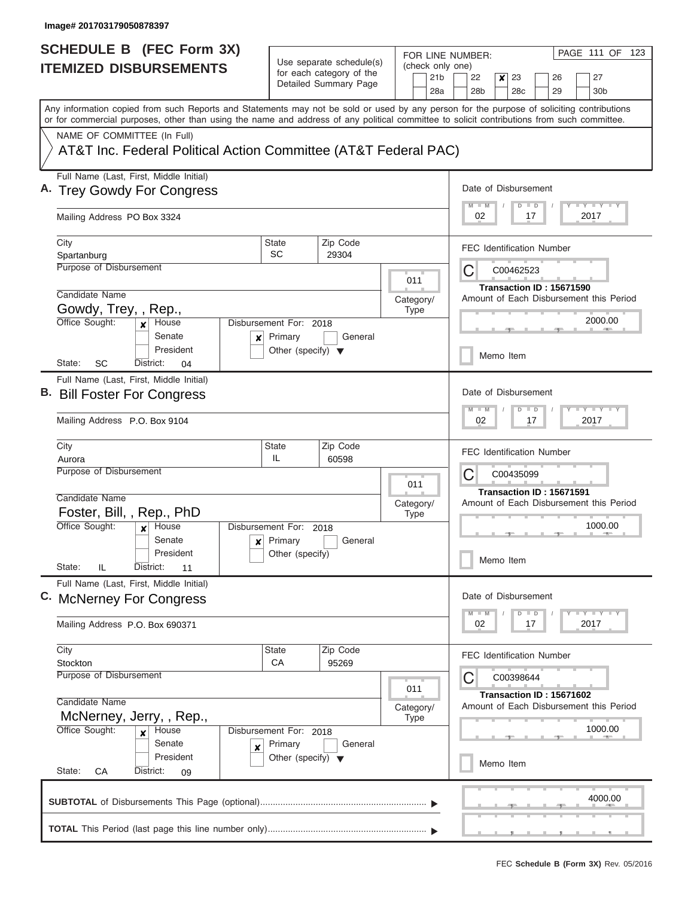| <b>SCHEDULE B (FEC Form 3X)</b>                                                                                                                                                                                                                                                         |                                      |                                                      |                          |                                                                     | FOR LINE NUMBER:                   |                           |                          |  |    |                                                                                                   | PAGE 111 OF 123                             |  |
|-----------------------------------------------------------------------------------------------------------------------------------------------------------------------------------------------------------------------------------------------------------------------------------------|--------------------------------------|------------------------------------------------------|--------------------------|---------------------------------------------------------------------|------------------------------------|---------------------------|--------------------------|--|----|---------------------------------------------------------------------------------------------------|---------------------------------------------|--|
| <b>ITEMIZED DISBURSEMENTS</b>                                                                                                                                                                                                                                                           |                                      | Use separate schedule(s)<br>for each category of the |                          | (check only one)                                                    |                                    |                           |                          |  |    |                                                                                                   |                                             |  |
|                                                                                                                                                                                                                                                                                         |                                      | Detailed Summary Page                                |                          | 21 <sub>b</sub>                                                     | 22                                 | x                         | 23                       |  | 26 |                                                                                                   | 27                                          |  |
|                                                                                                                                                                                                                                                                                         |                                      |                                                      |                          | 28a                                                                 | 28 <sub>b</sub>                    |                           | 28c                      |  | 29 |                                                                                                   | 30 <sub>b</sub>                             |  |
| Any information copied from such Reports and Statements may not be sold or used by any person for the purpose of soliciting contributions<br>or for commercial purposes, other than using the name and address of any political committee to solicit contributions from such committee. |                                      |                                                      |                          |                                                                     |                                    |                           |                          |  |    |                                                                                                   |                                             |  |
| NAME OF COMMITTEE (In Full)                                                                                                                                                                                                                                                             |                                      |                                                      |                          |                                                                     |                                    |                           |                          |  |    |                                                                                                   |                                             |  |
| AT&T Inc. Federal Political Action Committee (AT&T Federal PAC)                                                                                                                                                                                                                         |                                      |                                                      |                          |                                                                     |                                    |                           |                          |  |    |                                                                                                   |                                             |  |
| Full Name (Last, First, Middle Initial)<br>A. Trey Gowdy For Congress                                                                                                                                                                                                                   |                                      |                                                      |                          |                                                                     | Date of Disbursement               |                           |                          |  |    |                                                                                                   |                                             |  |
|                                                                                                                                                                                                                                                                                         |                                      |                                                      |                          |                                                                     |                                    |                           | D                        |  |    |                                                                                                   | <b>LY LY LY</b>                             |  |
| Mailing Address PO Box 3324                                                                                                                                                                                                                                                             |                                      |                                                      |                          |                                                                     | $\blacksquare$<br>2017<br>02<br>17 |                           |                          |  |    |                                                                                                   |                                             |  |
| City                                                                                                                                                                                                                                                                                    | <b>State</b>                         | Zip Code                                             |                          |                                                                     | <b>FEC Identification Number</b>   |                           |                          |  |    |                                                                                                   |                                             |  |
| Spartanburg                                                                                                                                                                                                                                                                             | <b>SC</b>                            | 29304                                                |                          |                                                                     |                                    |                           |                          |  |    |                                                                                                   |                                             |  |
| Purpose of Disbursement                                                                                                                                                                                                                                                                 |                                      |                                                      | 011                      |                                                                     | С                                  |                           | C00462523                |  |    |                                                                                                   |                                             |  |
| Candidate Name                                                                                                                                                                                                                                                                          |                                      |                                                      |                          |                                                                     |                                    |                           | Transaction ID: 15671590 |  |    |                                                                                                   |                                             |  |
| Gowdy, Trey, , Rep.,                                                                                                                                                                                                                                                                    |                                      |                                                      | Category/<br><b>Type</b> |                                                                     |                                    |                           |                          |  |    |                                                                                                   | Amount of Each Disbursement this Period     |  |
| Office Sought:<br>House<br>$\mathbf{x}$                                                                                                                                                                                                                                                 | Disbursement For: 2018               |                                                      |                          |                                                                     |                                    |                           |                          |  |    |                                                                                                   | 2000.00                                     |  |
| Senate<br>×                                                                                                                                                                                                                                                                             | Primary                              | General                                              |                          |                                                                     |                                    |                           |                          |  |    |                                                                                                   |                                             |  |
| President<br>State:<br>SC<br>District:<br>04                                                                                                                                                                                                                                            | Other (specify) $\blacktriangledown$ |                                                      |                          |                                                                     |                                    | Memo Item                 |                          |  |    |                                                                                                   |                                             |  |
| Full Name (Last, First, Middle Initial)                                                                                                                                                                                                                                                 |                                      |                                                      |                          |                                                                     |                                    |                           |                          |  |    |                                                                                                   |                                             |  |
| B. Bill Foster For Congress                                                                                                                                                                                                                                                             |                                      |                                                      |                          |                                                                     | Date of Disbursement               |                           |                          |  |    |                                                                                                   |                                             |  |
| Mailing Address P.O. Box 9104                                                                                                                                                                                                                                                           |                                      |                                                      |                          | $M - M$<br>02                                                       |                                    | $\blacksquare$<br>D<br>17 |                          |  |    | $\overline{Y}$ $\overline{Y}$ $\overline{Y}$ $\overline{Y}$ $\overline{Y}$ $\overline{Y}$<br>2017 |                                             |  |
| City                                                                                                                                                                                                                                                                                    | State                                | Zip Code                                             |                          |                                                                     | <b>FEC Identification Number</b>   |                           |                          |  |    |                                                                                                   |                                             |  |
| Aurora<br>Purpose of Disbursement                                                                                                                                                                                                                                                       | IL                                   | 60598                                                |                          |                                                                     |                                    |                           |                          |  |    |                                                                                                   |                                             |  |
|                                                                                                                                                                                                                                                                                         |                                      |                                                      | 011                      |                                                                     | С<br>C00435099                     |                           |                          |  |    |                                                                                                   |                                             |  |
| Candidate Name                                                                                                                                                                                                                                                                          |                                      |                                                      |                          | Transaction ID: 15671591<br>Amount of Each Disbursement this Period |                                    |                           |                          |  |    |                                                                                                   |                                             |  |
| Foster, Bill, , Rep., PhD                                                                                                                                                                                                                                                               |                                      |                                                      | Category/<br><b>Type</b> |                                                                     |                                    |                           |                          |  |    |                                                                                                   |                                             |  |
| Office Sought:<br>House<br>$\mathbf{x}$                                                                                                                                                                                                                                                 | Disbursement For: 2018               |                                                      |                          |                                                                     |                                    |                           |                          |  |    |                                                                                                   | 1000.00                                     |  |
| Senate                                                                                                                                                                                                                                                                                  | $\mathbf{x}$ Primary                 | General                                              |                          |                                                                     |                                    |                           |                          |  |    |                                                                                                   |                                             |  |
| President                                                                                                                                                                                                                                                                               | Other (specify)                      |                                                      |                          |                                                                     |                                    | Memo Item                 |                          |  |    |                                                                                                   |                                             |  |
| State:<br>IL<br>District:<br>11                                                                                                                                                                                                                                                         |                                      |                                                      |                          |                                                                     |                                    |                           |                          |  |    |                                                                                                   |                                             |  |
| Full Name (Last, First, Middle Initial)                                                                                                                                                                                                                                                 |                                      |                                                      |                          |                                                                     |                                    |                           |                          |  |    |                                                                                                   |                                             |  |
| C. McNerney For Congress                                                                                                                                                                                                                                                                |                                      |                                                      |                          |                                                                     | Date of Disbursement               |                           |                          |  |    |                                                                                                   |                                             |  |
| Mailing Address P.O. Box 690371                                                                                                                                                                                                                                                         |                                      |                                                      |                          |                                                                     | $M - M$<br>02                      |                           | $\Box$<br>D<br>17        |  |    |                                                                                                   | $T$ $T$ $T$ $T$ $T$ $T$ $T$ $T$ $T$<br>2017 |  |
| City                                                                                                                                                                                                                                                                                    | <b>State</b>                         | Zip Code                                             |                          |                                                                     |                                    |                           |                          |  |    |                                                                                                   |                                             |  |
| Stockton                                                                                                                                                                                                                                                                                | CA                                   | 95269                                                |                          |                                                                     | <b>FEC Identification Number</b>   |                           |                          |  |    |                                                                                                   |                                             |  |
| Purpose of Disbursement                                                                                                                                                                                                                                                                 |                                      |                                                      |                          |                                                                     | С                                  |                           | C00398644                |  |    |                                                                                                   |                                             |  |
|                                                                                                                                                                                                                                                                                         |                                      |                                                      | 011                      |                                                                     |                                    |                           | Transaction ID: 15671602 |  |    |                                                                                                   |                                             |  |
| Candidate Name                                                                                                                                                                                                                                                                          |                                      |                                                      | Category/                |                                                                     |                                    |                           |                          |  |    |                                                                                                   | Amount of Each Disbursement this Period     |  |
| McNerney, Jerry, , Rep.,<br>Office Sought:<br>House                                                                                                                                                                                                                                     | Disbursement For: 2018               |                                                      | <b>Type</b>              |                                                                     |                                    |                           |                          |  |    |                                                                                                   | 1000.00                                     |  |
| $\boldsymbol{x}$<br>Senate                                                                                                                                                                                                                                                              | Primary                              | General                                              |                          |                                                                     |                                    |                           |                          |  |    |                                                                                                   |                                             |  |
| ×<br>President                                                                                                                                                                                                                                                                          | Other (specify) $\blacktriangledown$ |                                                      |                          |                                                                     |                                    |                           |                          |  |    |                                                                                                   |                                             |  |
| State:<br>District:<br>СA<br>09                                                                                                                                                                                                                                                         |                                      |                                                      |                          |                                                                     |                                    | Memo Item                 |                          |  |    |                                                                                                   |                                             |  |
|                                                                                                                                                                                                                                                                                         |                                      |                                                      |                          |                                                                     |                                    |                           |                          |  |    |                                                                                                   |                                             |  |
|                                                                                                                                                                                                                                                                                         |                                      |                                                      |                          |                                                                     |                                    |                           |                          |  |    |                                                                                                   | 4000.00                                     |  |
|                                                                                                                                                                                                                                                                                         |                                      |                                                      |                          |                                                                     |                                    |                           |                          |  |    |                                                                                                   |                                             |  |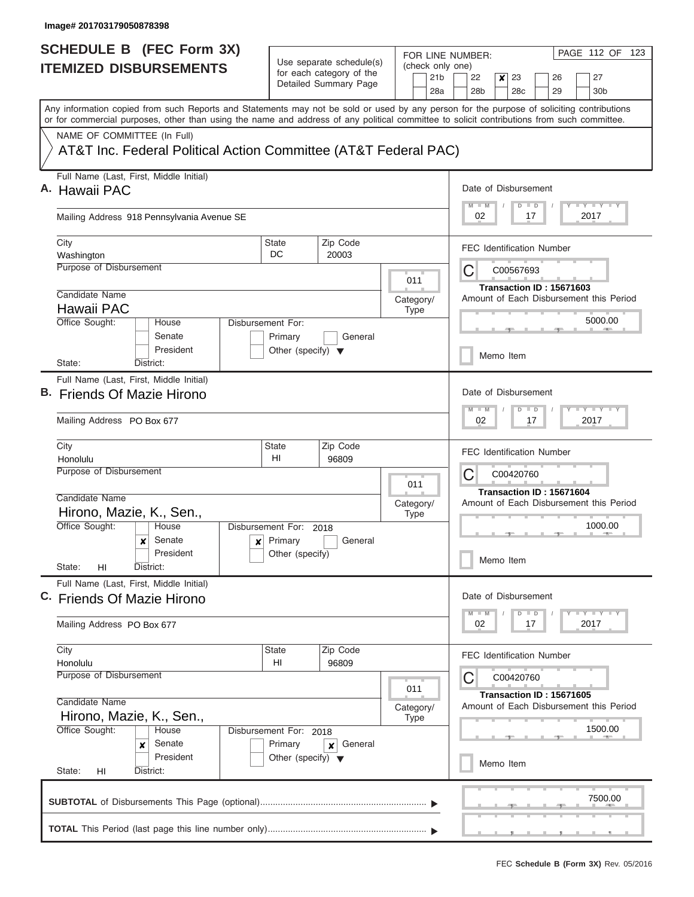| <b>SCHEDULE B</b> (FEC Form 3X)                                                                                                                                                                                                                                                         |                                                                      |                                                      | FOR LINE NUMBER:       | PAGE 112 OF 123                                                                                                             |  |  |  |  |  |  |  |
|-----------------------------------------------------------------------------------------------------------------------------------------------------------------------------------------------------------------------------------------------------------------------------------------|----------------------------------------------------------------------|------------------------------------------------------|------------------------|-----------------------------------------------------------------------------------------------------------------------------|--|--|--|--|--|--|--|
| <b>ITEMIZED DISBURSEMENTS</b>                                                                                                                                                                                                                                                           |                                                                      | Use separate schedule(s)<br>for each category of the | (check only one)       |                                                                                                                             |  |  |  |  |  |  |  |
|                                                                                                                                                                                                                                                                                         |                                                                      | Detailed Summary Page                                | 21 <sub>b</sub><br>28a | 22<br>23<br>26<br>27<br>×<br>28 <sub>b</sub><br>28 <sub>c</sub><br>29<br>30 <sub>b</sub>                                    |  |  |  |  |  |  |  |
| Any information copied from such Reports and Statements may not be sold or used by any person for the purpose of soliciting contributions<br>or for commercial purposes, other than using the name and address of any political committee to solicit contributions from such committee. |                                                                      |                                                      |                        |                                                                                                                             |  |  |  |  |  |  |  |
| NAME OF COMMITTEE (In Full)                                                                                                                                                                                                                                                             |                                                                      |                                                      |                        |                                                                                                                             |  |  |  |  |  |  |  |
| AT&T Inc. Federal Political Action Committee (AT&T Federal PAC)                                                                                                                                                                                                                         |                                                                      |                                                      |                        |                                                                                                                             |  |  |  |  |  |  |  |
| Full Name (Last, First, Middle Initial)<br>A. Hawaii PAC                                                                                                                                                                                                                                |                                                                      |                                                      |                        | Date of Disbursement                                                                                                        |  |  |  |  |  |  |  |
| Mailing Address 918 Pennsylvania Avenue SE                                                                                                                                                                                                                                              |                                                                      |                                                      |                        | <b>LY LY LY</b><br>$M$ $M$<br>$\overline{D}$<br>$\Box$<br>2017<br>02<br>17                                                  |  |  |  |  |  |  |  |
| City<br>Washington                                                                                                                                                                                                                                                                      | State<br>DC                                                          | Zip Code<br>20003                                    |                        | <b>FEC Identification Number</b>                                                                                            |  |  |  |  |  |  |  |
| Purpose of Disbursement                                                                                                                                                                                                                                                                 |                                                                      |                                                      | 011                    | C<br>C00567693                                                                                                              |  |  |  |  |  |  |  |
| Candidate Name                                                                                                                                                                                                                                                                          |                                                                      |                                                      | Category/              | Transaction ID: 15671603<br>Amount of Each Disbursement this Period                                                         |  |  |  |  |  |  |  |
| Hawaii PAC                                                                                                                                                                                                                                                                              |                                                                      |                                                      | <b>Type</b>            |                                                                                                                             |  |  |  |  |  |  |  |
| Office Sought:<br>House<br>Senate<br>President                                                                                                                                                                                                                                          | Disbursement For:<br>Primary<br>Other (specify) $\blacktriangledown$ | General                                              |                        | 5000.00                                                                                                                     |  |  |  |  |  |  |  |
| State:<br>District:                                                                                                                                                                                                                                                                     |                                                                      |                                                      |                        | Memo Item                                                                                                                   |  |  |  |  |  |  |  |
| Full Name (Last, First, Middle Initial)<br>B. Friends Of Mazie Hirono                                                                                                                                                                                                                   |                                                                      |                                                      |                        | Date of Disbursement                                                                                                        |  |  |  |  |  |  |  |
| Mailing Address PO Box 677                                                                                                                                                                                                                                                              |                                                                      |                                                      |                        | $-Y - Y - I - Y$<br>$M - M$<br>$\Box$<br>$\overline{D}$<br>02<br>17<br>2017                                                 |  |  |  |  |  |  |  |
| City<br>Honolulu                                                                                                                                                                                                                                                                        | <b>State</b><br>HI                                                   | Zip Code<br>96809                                    |                        | <b>FEC Identification Number</b>                                                                                            |  |  |  |  |  |  |  |
| <b>Purpose of Disbursement</b>                                                                                                                                                                                                                                                          |                                                                      |                                                      | 011                    | С<br>C00420760<br>Transaction ID: 15671604                                                                                  |  |  |  |  |  |  |  |
| Candidate Name                                                                                                                                                                                                                                                                          |                                                                      |                                                      | Category/              | Amount of Each Disbursement this Period                                                                                     |  |  |  |  |  |  |  |
| Hirono, Mazie, K., Sen.,<br>Office Sought:<br>House                                                                                                                                                                                                                                     | Disbursement For: 2018                                               |                                                      | <b>Type</b>            | 1000.00                                                                                                                     |  |  |  |  |  |  |  |
| Senate<br>$\boldsymbol{x}$                                                                                                                                                                                                                                                              | Primary<br>$\mathbf{x}$                                              | General                                              |                        |                                                                                                                             |  |  |  |  |  |  |  |
| President<br>State:<br>District:<br>HI                                                                                                                                                                                                                                                  | Other (specify)                                                      |                                                      |                        | Memo Item                                                                                                                   |  |  |  |  |  |  |  |
| Full Name (Last, First, Middle Initial)<br>C. Friends Of Mazie Hirono                                                                                                                                                                                                                   |                                                                      |                                                      |                        | Date of Disbursement                                                                                                        |  |  |  |  |  |  |  |
| Mailing Address PO Box 677                                                                                                                                                                                                                                                              |                                                                      |                                                      |                        | $\mathbf{I}$ $\mathbf{Y}$ $\mathbf{I}$ $\mathbf{Y}$ $\mathbf{I}$ $\mathbf{Y}$<br>$M$ $M$<br>$\Box$<br>D<br>02<br>2017<br>17 |  |  |  |  |  |  |  |
| City<br>Honolulu                                                                                                                                                                                                                                                                        | <b>State</b><br>HI                                                   | Zip Code<br>96809                                    |                        | <b>FEC Identification Number</b>                                                                                            |  |  |  |  |  |  |  |
| Purpose of Disbursement                                                                                                                                                                                                                                                                 |                                                                      |                                                      | 011                    | C<br>C00420760<br>Transaction ID: 15671605                                                                                  |  |  |  |  |  |  |  |
| Candidate Name<br>Hirono, Mazie, K., Sen.,                                                                                                                                                                                                                                              |                                                                      |                                                      | Category/<br>Type      | Amount of Each Disbursement this Period                                                                                     |  |  |  |  |  |  |  |
| Office Sought:<br>House<br>Senate<br>×                                                                                                                                                                                                                                                  | Disbursement For: 2018<br>Primary                                    | General<br>$\boldsymbol{x}$                          |                        | 1500.00                                                                                                                     |  |  |  |  |  |  |  |
| President<br>State:<br>District:<br>HI                                                                                                                                                                                                                                                  | Other (specify) $\blacktriangledown$                                 |                                                      |                        | Memo Item                                                                                                                   |  |  |  |  |  |  |  |
|                                                                                                                                                                                                                                                                                         |                                                                      |                                                      |                        | 7500.00                                                                                                                     |  |  |  |  |  |  |  |
|                                                                                                                                                                                                                                                                                         |                                                                      |                                                      |                        |                                                                                                                             |  |  |  |  |  |  |  |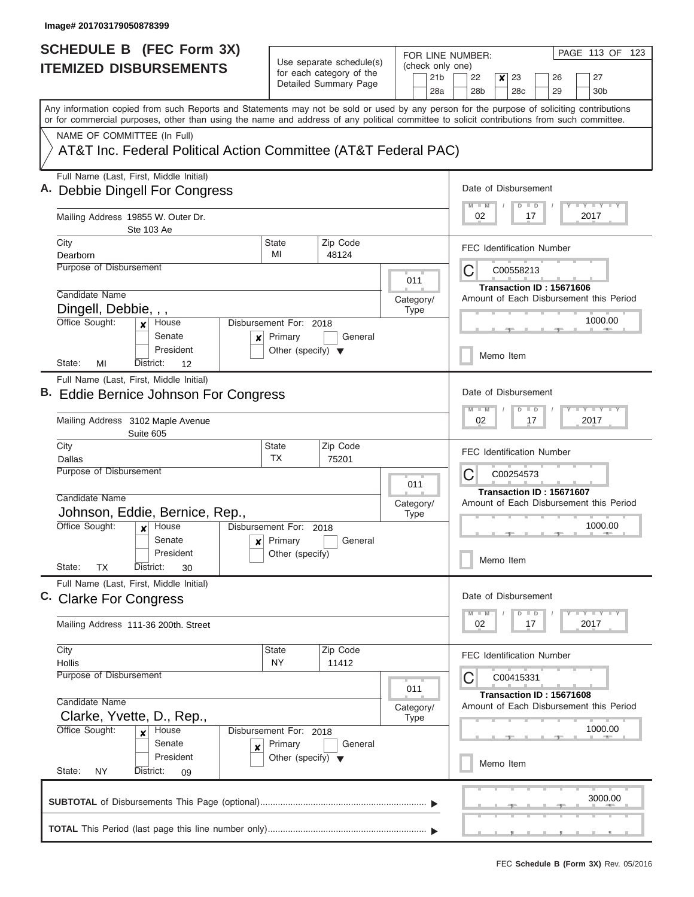| <b>SCHEDULE B</b> (FEC Form 3X)                                                                                                                                                                                                                                                         |                                      |                                                                               | FOR LINE NUMBER:                           | PAGE 113 OF 123                                                                             |
|-----------------------------------------------------------------------------------------------------------------------------------------------------------------------------------------------------------------------------------------------------------------------------------------|--------------------------------------|-------------------------------------------------------------------------------|--------------------------------------------|---------------------------------------------------------------------------------------------|
| <b>ITEMIZED DISBURSEMENTS</b>                                                                                                                                                                                                                                                           |                                      | Use separate schedule(s)<br>for each category of the<br>Detailed Summary Page | (check only one)<br>21 <sub>b</sub><br>28a | 22<br>23<br>27<br>$\boldsymbol{x}$<br>26<br>28 <sub>b</sub><br>28c<br>29<br>30 <sub>b</sub> |
| Any information copied from such Reports and Statements may not be sold or used by any person for the purpose of soliciting contributions<br>or for commercial purposes, other than using the name and address of any political committee to solicit contributions from such committee. |                                      |                                                                               |                                            |                                                                                             |
| NAME OF COMMITTEE (In Full)                                                                                                                                                                                                                                                             |                                      |                                                                               |                                            |                                                                                             |
| AT&T Inc. Federal Political Action Committee (AT&T Federal PAC)                                                                                                                                                                                                                         |                                      |                                                                               |                                            |                                                                                             |
| Full Name (Last, First, Middle Initial)<br><b>Debbie Dingell For Congress</b>                                                                                                                                                                                                           |                                      |                                                                               |                                            | Date of Disbursement<br>Y L Y L Y L Y<br>$M$ $M$<br>$D$ $D$                                 |
| Mailing Address 19855 W. Outer Dr.<br>Ste 103 Ae                                                                                                                                                                                                                                        |                                      |                                                                               |                                            | 02<br>17<br>2017                                                                            |
| City<br>Dearborn                                                                                                                                                                                                                                                                        | State<br>МI                          | Zip Code<br>48124                                                             |                                            | <b>FEC Identification Number</b>                                                            |
| Purpose of Disbursement                                                                                                                                                                                                                                                                 |                                      |                                                                               |                                            | С<br>C00558213                                                                              |
| Candidate Name                                                                                                                                                                                                                                                                          |                                      |                                                                               | 011                                        | Transaction ID: 15671606                                                                    |
| Dingell, Debbie, , ,                                                                                                                                                                                                                                                                    |                                      |                                                                               | Category/<br><b>Type</b>                   | Amount of Each Disbursement this Period                                                     |
| Office Sought:<br>House<br>x<br>Senate<br>$\boldsymbol{x}$                                                                                                                                                                                                                              | Disbursement For: 2018<br>Primary    | General                                                                       |                                            | 1000.00                                                                                     |
| President<br>State:<br>MI<br>District:<br>12                                                                                                                                                                                                                                            | Other (specify) $\blacktriangledown$ |                                                                               |                                            | Memo Item                                                                                   |
| Full Name (Last, First, Middle Initial)                                                                                                                                                                                                                                                 |                                      |                                                                               |                                            |                                                                                             |
| B. Eddie Bernice Johnson For Congress                                                                                                                                                                                                                                                   |                                      |                                                                               |                                            | Date of Disbursement<br>$-1 - Y - 1 - Y - 1 - Y$<br>$M - M$<br>$D$ $D$                      |
| Mailing Address 3102 Maple Avenue<br>Suite 605                                                                                                                                                                                                                                          |                                      |                                                                               |                                            | 02<br>17<br>2017                                                                            |
| City<br>Dallas                                                                                                                                                                                                                                                                          | <b>State</b><br><b>TX</b>            | Zip Code<br>75201                                                             |                                            | <b>FEC Identification Number</b>                                                            |
| Purpose of Disbursement                                                                                                                                                                                                                                                                 |                                      |                                                                               |                                            | С<br>C00254573                                                                              |
| Candidate Name                                                                                                                                                                                                                                                                          |                                      |                                                                               | 011                                        | Transaction ID: 15671607                                                                    |
| Johnson, Eddie, Bernice, Rep.,                                                                                                                                                                                                                                                          |                                      |                                                                               | Category/<br><b>Type</b>                   | Amount of Each Disbursement this Period                                                     |
| Office Sought:<br>House                                                                                                                                                                                                                                                                 | Disbursement For: 2018               |                                                                               |                                            | 1000.00                                                                                     |
| Senate<br>$\boldsymbol{x}$<br>President                                                                                                                                                                                                                                                 | Primary<br>Other (specify)           | General                                                                       |                                            |                                                                                             |
| State:<br>ТX<br>District:<br>30                                                                                                                                                                                                                                                         |                                      |                                                                               |                                            | Memo Item                                                                                   |
| Full Name (Last, First, Middle Initial)<br>C. Clarke For Congress                                                                                                                                                                                                                       |                                      |                                                                               |                                            | Date of Disbursement                                                                        |
| Mailing Address 111-36 200th. Street                                                                                                                                                                                                                                                    |                                      |                                                                               |                                            | $D$ $D$<br>$Y$ $Y$ $Y$ $Y$ $Y$<br>$M - M$<br>02<br>17<br>2017                               |
| City                                                                                                                                                                                                                                                                                    | State<br><b>NY</b>                   | Zip Code                                                                      |                                            | <b>FEC Identification Number</b>                                                            |
| Hollis<br>Purpose of Disbursement                                                                                                                                                                                                                                                       |                                      | 11412                                                                         |                                            | С<br>C00415331                                                                              |
| Candidate Name<br>Clarke, Yvette, D., Rep.,                                                                                                                                                                                                                                             |                                      |                                                                               | 011<br>Category/                           | Transaction ID: 15671608<br>Amount of Each Disbursement this Period                         |
| Office Sought:<br>House                                                                                                                                                                                                                                                                 | Disbursement For: 2018               |                                                                               | <b>Type</b>                                | 1000.00                                                                                     |
| Senate<br>$\boldsymbol{x}$<br>President                                                                                                                                                                                                                                                 | Primary                              | General                                                                       |                                            |                                                                                             |
| State:<br>NY.<br>District:<br>09                                                                                                                                                                                                                                                        | Other (specify) $\blacktriangledown$ |                                                                               |                                            | Memo Item                                                                                   |
|                                                                                                                                                                                                                                                                                         |                                      |                                                                               |                                            | 3000.00                                                                                     |
|                                                                                                                                                                                                                                                                                         |                                      |                                                                               |                                            |                                                                                             |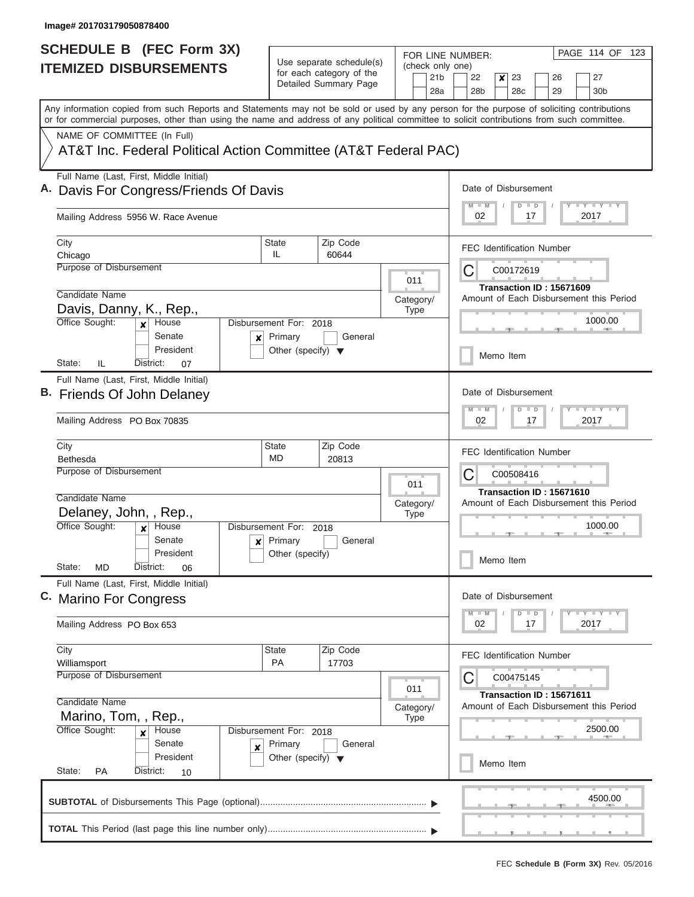| <b>SCHEDULE B</b> (FEC Form 3X)                                                                                                                                                                                                                                                         |                                                 |                                                                               | FOR LINE NUMBER:                           | PAGE 114 OF 123                                                                             |  |  |  |  |  |  |  |
|-----------------------------------------------------------------------------------------------------------------------------------------------------------------------------------------------------------------------------------------------------------------------------------------|-------------------------------------------------|-------------------------------------------------------------------------------|--------------------------------------------|---------------------------------------------------------------------------------------------|--|--|--|--|--|--|--|
| <b>ITEMIZED DISBURSEMENTS</b>                                                                                                                                                                                                                                                           |                                                 | Use separate schedule(s)<br>for each category of the<br>Detailed Summary Page | (check only one)<br>21 <sub>b</sub><br>28a | 22<br>$\boldsymbol{x}$<br>23<br>27<br>26<br>28 <sub>b</sub><br>28c<br>29<br>30 <sub>b</sub> |  |  |  |  |  |  |  |
| Any information copied from such Reports and Statements may not be sold or used by any person for the purpose of soliciting contributions<br>or for commercial purposes, other than using the name and address of any political committee to solicit contributions from such committee. |                                                 |                                                                               |                                            |                                                                                             |  |  |  |  |  |  |  |
| NAME OF COMMITTEE (In Full)                                                                                                                                                                                                                                                             |                                                 |                                                                               |                                            |                                                                                             |  |  |  |  |  |  |  |
| AT&T Inc. Federal Political Action Committee (AT&T Federal PAC)                                                                                                                                                                                                                         |                                                 |                                                                               |                                            |                                                                                             |  |  |  |  |  |  |  |
| Full Name (Last, First, Middle Initial)<br>Davis For Congress/Friends Of Davis                                                                                                                                                                                                          |                                                 |                                                                               |                                            | Date of Disbursement<br>Y I Y I Y I Y<br>$D$ $D$<br>$M$ $M$                                 |  |  |  |  |  |  |  |
| Mailing Address 5956 W. Race Avenue                                                                                                                                                                                                                                                     |                                                 |                                                                               |                                            | 02<br>17<br>2017                                                                            |  |  |  |  |  |  |  |
| City<br>Chicago                                                                                                                                                                                                                                                                         | <b>State</b><br>IL                              | Zip Code<br>60644                                                             |                                            | <b>FEC Identification Number</b>                                                            |  |  |  |  |  |  |  |
| <b>Purpose of Disbursement</b>                                                                                                                                                                                                                                                          |                                                 |                                                                               | 011                                        | С<br>C00172619                                                                              |  |  |  |  |  |  |  |
| Candidate Name                                                                                                                                                                                                                                                                          |                                                 |                                                                               | Category/                                  | Transaction ID: 15671609<br>Amount of Each Disbursement this Period                         |  |  |  |  |  |  |  |
| Davis, Danny, K., Rep.,<br>Office Sought:<br>House<br>$\mathbf{x}$                                                                                                                                                                                                                      | Disbursement For: 2018                          |                                                                               | <b>Type</b>                                | 1000.00                                                                                     |  |  |  |  |  |  |  |
| Senate<br>$\boldsymbol{x}$<br>President                                                                                                                                                                                                                                                 | Primary<br>Other (specify) $\blacktriangledown$ | General                                                                       |                                            | Memo Item                                                                                   |  |  |  |  |  |  |  |
| State:<br>IL<br>District:<br>07<br>Full Name (Last, First, Middle Initial)                                                                                                                                                                                                              |                                                 |                                                                               |                                            |                                                                                             |  |  |  |  |  |  |  |
| B. Friends Of John Delaney                                                                                                                                                                                                                                                              |                                                 |                                                                               |                                            | Date of Disbursement<br>Y FY FY FY<br>$M - M$<br>$D$ $D$                                    |  |  |  |  |  |  |  |
| Mailing Address PO Box 70835                                                                                                                                                                                                                                                            |                                                 |                                                                               |                                            | 02<br>17<br>2017                                                                            |  |  |  |  |  |  |  |
| City<br><b>Bethesda</b>                                                                                                                                                                                                                                                                 | <b>State</b><br>MD                              | Zip Code<br>20813                                                             |                                            | <b>FEC Identification Number</b>                                                            |  |  |  |  |  |  |  |
| Purpose of Disbursement                                                                                                                                                                                                                                                                 |                                                 |                                                                               | 011                                        | С<br>C00508416<br>Transaction ID: 15671610                                                  |  |  |  |  |  |  |  |
| Candidate Name                                                                                                                                                                                                                                                                          |                                                 |                                                                               | Category/                                  | Amount of Each Disbursement this Period                                                     |  |  |  |  |  |  |  |
| Delaney, John, , Rep.,<br>Office Sought:<br>House                                                                                                                                                                                                                                       | Disbursement For: 2018                          |                                                                               | <b>Type</b>                                | 1000.00                                                                                     |  |  |  |  |  |  |  |
| Senate                                                                                                                                                                                                                                                                                  | Primary<br>$\mathbf{x}$                         | General                                                                       |                                            |                                                                                             |  |  |  |  |  |  |  |
| President<br>State:<br>MD<br>District:<br>06                                                                                                                                                                                                                                            | Other (specify)                                 |                                                                               |                                            | Memo Item                                                                                   |  |  |  |  |  |  |  |
| Full Name (Last, First, Middle Initial)<br>C. Marino For Congress                                                                                                                                                                                                                       |                                                 |                                                                               |                                            | Date of Disbursement                                                                        |  |  |  |  |  |  |  |
| Mailing Address PO Box 653                                                                                                                                                                                                                                                              |                                                 |                                                                               |                                            | Y FY FY FY<br>$M$ $M$<br>$D$ $D$<br>02<br>17<br>2017                                        |  |  |  |  |  |  |  |
| City<br>Williamsport                                                                                                                                                                                                                                                                    | State<br><b>PA</b>                              | Zip Code<br>17703                                                             |                                            | <b>FEC Identification Number</b>                                                            |  |  |  |  |  |  |  |
| Purpose of Disbursement                                                                                                                                                                                                                                                                 |                                                 |                                                                               |                                            | C<br>C00475145                                                                              |  |  |  |  |  |  |  |
| Candidate Name                                                                                                                                                                                                                                                                          |                                                 |                                                                               | 011<br>Category/                           | Transaction ID: 15671611<br>Amount of Each Disbursement this Period                         |  |  |  |  |  |  |  |
| Marino, Tom, , Rep.,<br>Office Sought:<br>House<br>$\mathbf x$                                                                                                                                                                                                                          | Disbursement For: 2018                          |                                                                               | <b>Type</b>                                | 2500.00                                                                                     |  |  |  |  |  |  |  |
| Senate<br>$\boldsymbol{x}$<br>President<br>State:<br>PA<br>District:<br>10                                                                                                                                                                                                              | Primary<br>Other (specify) $\blacktriangledown$ | General                                                                       |                                            | Memo Item                                                                                   |  |  |  |  |  |  |  |
|                                                                                                                                                                                                                                                                                         |                                                 |                                                                               |                                            |                                                                                             |  |  |  |  |  |  |  |
|                                                                                                                                                                                                                                                                                         |                                                 |                                                                               |                                            | 4500.00                                                                                     |  |  |  |  |  |  |  |
|                                                                                                                                                                                                                                                                                         |                                                 |                                                                               |                                            |                                                                                             |  |  |  |  |  |  |  |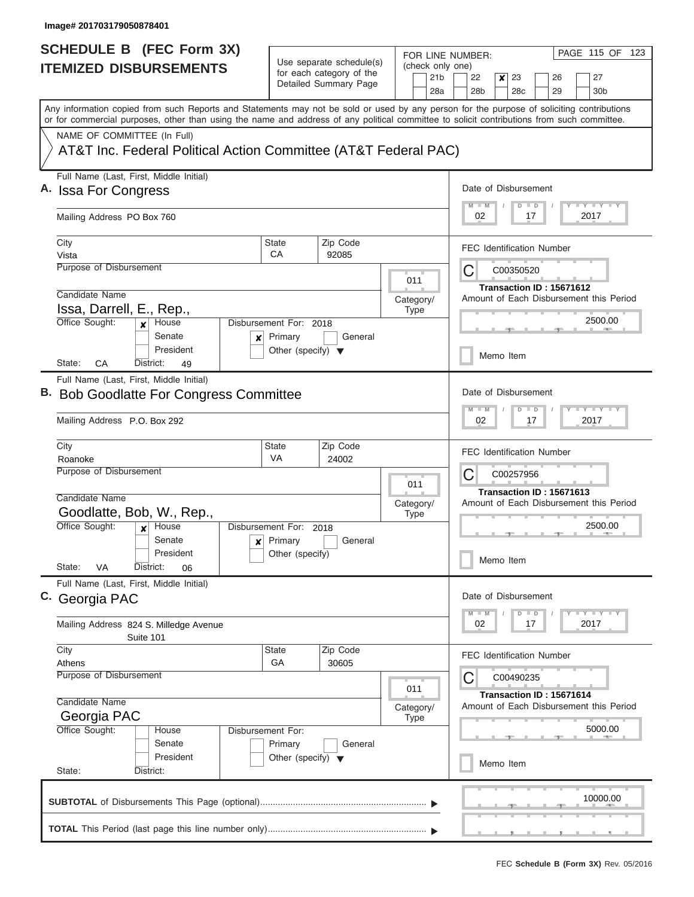| <b>SCHEDULE B (FEC Form 3X)</b>                                                                                                                                                                                                                                                         |                                      |                                                      |                                                                                                                                                 |                          |                        | FOR LINE NUMBER:                           |           |                       |                          |  | PAGE 115 OF 123                                                             |  |  |  |
|-----------------------------------------------------------------------------------------------------------------------------------------------------------------------------------------------------------------------------------------------------------------------------------------|--------------------------------------|------------------------------------------------------|-------------------------------------------------------------------------------------------------------------------------------------------------|--------------------------|------------------------|--------------------------------------------|-----------|-----------------------|--------------------------|--|-----------------------------------------------------------------------------|--|--|--|
| <b>ITEMIZED DISBURSEMENTS</b>                                                                                                                                                                                                                                                           |                                      | Use separate schedule(s)<br>for each category of the |                                                                                                                                                 |                          | (check only one)       |                                            |           |                       |                          |  |                                                                             |  |  |  |
|                                                                                                                                                                                                                                                                                         |                                      | Detailed Summary Page                                |                                                                                                                                                 |                          | 21 <sub>b</sub><br>28a | 22<br>28 <sub>b</sub>                      | ×         | 23<br>28 <sub>c</sub> | 26<br>29                 |  | 27<br>30 <sub>b</sub>                                                       |  |  |  |
| Any information copied from such Reports and Statements may not be sold or used by any person for the purpose of soliciting contributions<br>or for commercial purposes, other than using the name and address of any political committee to solicit contributions from such committee. |                                      |                                                      |                                                                                                                                                 |                          |                        |                                            |           |                       |                          |  |                                                                             |  |  |  |
| NAME OF COMMITTEE (In Full)                                                                                                                                                                                                                                                             |                                      |                                                      |                                                                                                                                                 |                          |                        |                                            |           |                       |                          |  |                                                                             |  |  |  |
| AT&T Inc. Federal Political Action Committee (AT&T Federal PAC)                                                                                                                                                                                                                         |                                      |                                                      |                                                                                                                                                 |                          |                        |                                            |           |                       |                          |  |                                                                             |  |  |  |
| Full Name (Last, First, Middle Initial)<br>A. Issa For Congress                                                                                                                                                                                                                         |                                      |                                                      |                                                                                                                                                 |                          |                        | Date of Disbursement                       |           |                       |                          |  |                                                                             |  |  |  |
| Mailing Address PO Box 760                                                                                                                                                                                                                                                              |                                      |                                                      |                                                                                                                                                 |                          |                        | 02                                         |           | $\Box$<br>D<br>17     |                          |  | <b>LY LY LY</b><br>2017                                                     |  |  |  |
| City<br>Vista                                                                                                                                                                                                                                                                           | State<br>CA                          | Zip Code<br>92085                                    |                                                                                                                                                 |                          |                        | <b>FEC Identification Number</b>           |           |                       |                          |  |                                                                             |  |  |  |
| Purpose of Disbursement                                                                                                                                                                                                                                                                 |                                      |                                                      |                                                                                                                                                 | 011                      |                        | C                                          |           | C00350520             |                          |  |                                                                             |  |  |  |
| Candidate Name                                                                                                                                                                                                                                                                          |                                      |                                                      |                                                                                                                                                 |                          |                        |                                            |           |                       | Transaction ID: 15671612 |  |                                                                             |  |  |  |
| Issa, Darrell, E., Rep.,                                                                                                                                                                                                                                                                |                                      |                                                      |                                                                                                                                                 | Category/<br><b>Type</b> |                        |                                            |           |                       |                          |  | Amount of Each Disbursement this Period                                     |  |  |  |
| Office Sought:<br>House<br>x<br>Senate<br>×                                                                                                                                                                                                                                             | Disbursement For: 2018<br>Primary    | General                                              |                                                                                                                                                 |                          |                        |                                            |           |                       |                          |  | 2500.00                                                                     |  |  |  |
| President<br>CA<br>State:<br>District:<br>49                                                                                                                                                                                                                                            | Other (specify) $\blacktriangledown$ |                                                      |                                                                                                                                                 |                          |                        |                                            | Memo Item |                       |                          |  |                                                                             |  |  |  |
| Full Name (Last, First, Middle Initial)                                                                                                                                                                                                                                                 |                                      |                                                      |                                                                                                                                                 |                          |                        |                                            |           |                       |                          |  |                                                                             |  |  |  |
| <b>Bob Goodlatte For Congress Committee</b>                                                                                                                                                                                                                                             |                                      |                                                      |                                                                                                                                                 |                          |                        | Date of Disbursement                       |           |                       |                          |  |                                                                             |  |  |  |
| Mailing Address P.O. Box 292                                                                                                                                                                                                                                                            |                                      |                                                      | $\mathbb{L}^2$ $\mathbb{L}^2$ $\mathbb{L}^2$ $\mathbb{L}^2$ $\mathbb{L}^2$ $\mathbb{L}^2$<br>$M - M$<br>$\blacksquare$<br>D<br>02<br>17<br>2017 |                          |                        |                                            |           |                       |                          |  |                                                                             |  |  |  |
| City<br>Roanoke                                                                                                                                                                                                                                                                         | <b>State</b><br>VA                   | Zip Code<br>24002                                    |                                                                                                                                                 |                          |                        | <b>FEC Identification Number</b>           |           |                       |                          |  |                                                                             |  |  |  |
| Purpose of Disbursement                                                                                                                                                                                                                                                                 | 011                                  |                                                      |                                                                                                                                                 |                          |                        | С<br>C00257956<br>Transaction ID: 15671613 |           |                       |                          |  |                                                                             |  |  |  |
| Candidate Name                                                                                                                                                                                                                                                                          |                                      |                                                      |                                                                                                                                                 | Category/                |                        |                                            |           |                       |                          |  | Amount of Each Disbursement this Period                                     |  |  |  |
| Goodlatte, Bob, W., Rep.,                                                                                                                                                                                                                                                               |                                      |                                                      |                                                                                                                                                 | <b>Type</b>              |                        |                                            |           |                       |                          |  |                                                                             |  |  |  |
| Office Sought:<br>House<br>$\boldsymbol{x}$                                                                                                                                                                                                                                             | Disbursement For: 2018               |                                                      |                                                                                                                                                 |                          |                        |                                            |           |                       |                          |  | 2500.00                                                                     |  |  |  |
| Senate<br>$\mathsf{x}$                                                                                                                                                                                                                                                                  | Primary                              | General                                              |                                                                                                                                                 |                          |                        |                                            |           |                       |                          |  |                                                                             |  |  |  |
| President<br>State:<br>VA<br>District:<br>06                                                                                                                                                                                                                                            | Other (specify)                      |                                                      |                                                                                                                                                 |                          |                        | Memo Item                                  |           |                       |                          |  |                                                                             |  |  |  |
| Full Name (Last, First, Middle Initial)<br>C. Georgia PAC                                                                                                                                                                                                                               |                                      |                                                      |                                                                                                                                                 |                          |                        | Date of Disbursement                       |           |                       |                          |  |                                                                             |  |  |  |
| Mailing Address 824 S. Milledge Avenue                                                                                                                                                                                                                                                  |                                      |                                                      |                                                                                                                                                 |                          |                        | $M - M$<br>02                              |           | $\Box$<br>D<br>17     |                          |  | $\mathbb{L} \mathbf{Y} \mathbb{L} \mathbf{Y} \mathbb{L} \mathbf{Y}$<br>2017 |  |  |  |
| Suite 101<br>City                                                                                                                                                                                                                                                                       | State                                | Zip Code                                             |                                                                                                                                                 |                          |                        | <b>FEC Identification Number</b>           |           |                       |                          |  |                                                                             |  |  |  |
| Athens                                                                                                                                                                                                                                                                                  | GA                                   | 30605                                                |                                                                                                                                                 |                          |                        |                                            |           |                       |                          |  |                                                                             |  |  |  |
| Purpose of Disbursement                                                                                                                                                                                                                                                                 |                                      |                                                      |                                                                                                                                                 |                          |                        | C                                          |           | C00490235             |                          |  |                                                                             |  |  |  |
| Candidate Name                                                                                                                                                                                                                                                                          |                                      |                                                      |                                                                                                                                                 | 011                      |                        |                                            |           |                       | Transaction ID: 15671614 |  |                                                                             |  |  |  |
| Georgia PAC                                                                                                                                                                                                                                                                             |                                      |                                                      |                                                                                                                                                 | Category/<br><b>Type</b> |                        |                                            |           |                       |                          |  | Amount of Each Disbursement this Period                                     |  |  |  |
| Office Sought:<br>House                                                                                                                                                                                                                                                                 | Disbursement For:                    |                                                      |                                                                                                                                                 |                          |                        |                                            |           |                       |                          |  | 5000.00                                                                     |  |  |  |
| Senate                                                                                                                                                                                                                                                                                  | Primary                              | General                                              |                                                                                                                                                 |                          |                        |                                            |           |                       |                          |  |                                                                             |  |  |  |
| President                                                                                                                                                                                                                                                                               | Other (specify) $\blacktriangledown$ |                                                      |                                                                                                                                                 |                          |                        |                                            | Memo Item |                       |                          |  |                                                                             |  |  |  |
| State:<br>District:                                                                                                                                                                                                                                                                     |                                      |                                                      |                                                                                                                                                 |                          |                        |                                            |           |                       |                          |  |                                                                             |  |  |  |
|                                                                                                                                                                                                                                                                                         |                                      |                                                      |                                                                                                                                                 |                          |                        |                                            |           |                       |                          |  | 10000.00                                                                    |  |  |  |
|                                                                                                                                                                                                                                                                                         |                                      |                                                      |                                                                                                                                                 |                          |                        |                                            |           |                       |                          |  |                                                                             |  |  |  |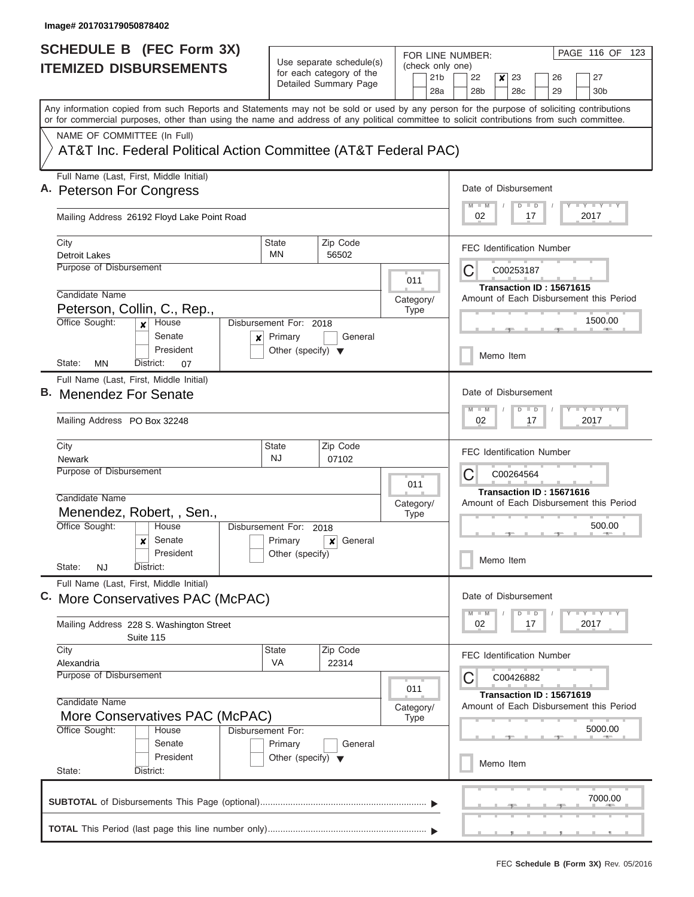| <b>SCHEDULE B</b> (FEC Form 3X)                                                                                                                                                                                                                                                         |                                                 |                                                      | FOR LINE NUMBER:         | PAGE 116 OF 123                                                     |  |  |  |  |  |  |  |
|-----------------------------------------------------------------------------------------------------------------------------------------------------------------------------------------------------------------------------------------------------------------------------------------|-------------------------------------------------|------------------------------------------------------|--------------------------|---------------------------------------------------------------------|--|--|--|--|--|--|--|
| <b>ITEMIZED DISBURSEMENTS</b>                                                                                                                                                                                                                                                           |                                                 | Use separate schedule(s)<br>for each category of the | (check only one)         |                                                                     |  |  |  |  |  |  |  |
|                                                                                                                                                                                                                                                                                         |                                                 | Detailed Summary Page                                | 21 <sub>b</sub><br>28a   | 23<br>27<br>22<br>x<br>26<br>28 <sub>b</sub><br>28c<br>29<br>30b    |  |  |  |  |  |  |  |
| Any information copied from such Reports and Statements may not be sold or used by any person for the purpose of soliciting contributions<br>or for commercial purposes, other than using the name and address of any political committee to solicit contributions from such committee. |                                                 |                                                      |                          |                                                                     |  |  |  |  |  |  |  |
| NAME OF COMMITTEE (In Full)                                                                                                                                                                                                                                                             |                                                 |                                                      |                          |                                                                     |  |  |  |  |  |  |  |
| AT&T Inc. Federal Political Action Committee (AT&T Federal PAC)                                                                                                                                                                                                                         |                                                 |                                                      |                          |                                                                     |  |  |  |  |  |  |  |
| Full Name (Last, First, Middle Initial)<br>A. Peterson For Congress                                                                                                                                                                                                                     |                                                 |                                                      |                          | Date of Disbursement                                                |  |  |  |  |  |  |  |
| Mailing Address 26192 Floyd Lake Point Road                                                                                                                                                                                                                                             |                                                 |                                                      |                          | Y I Y I Y I Y<br>$M$ $M$<br>$D$ $D$<br>02<br>17<br>2017             |  |  |  |  |  |  |  |
| City<br><b>Detroit Lakes</b>                                                                                                                                                                                                                                                            | <b>State</b><br>MN                              | Zip Code<br>56502                                    |                          | <b>FEC Identification Number</b>                                    |  |  |  |  |  |  |  |
| Purpose of Disbursement                                                                                                                                                                                                                                                                 |                                                 |                                                      | 011                      | C<br>C00253187                                                      |  |  |  |  |  |  |  |
| Candidate Name                                                                                                                                                                                                                                                                          |                                                 |                                                      | Category/                | Transaction ID: 15671615<br>Amount of Each Disbursement this Period |  |  |  |  |  |  |  |
| Peterson, Collin, C., Rep.,<br>Office Sought:<br>House<br>$\mathbf{x}$                                                                                                                                                                                                                  | Disbursement For: 2018                          |                                                      | <b>Type</b>              | 1500.00                                                             |  |  |  |  |  |  |  |
| Senate<br>$\boldsymbol{x}$<br>President                                                                                                                                                                                                                                                 | Primary<br>Other (specify) $\blacktriangledown$ | General                                              |                          | Memo Item                                                           |  |  |  |  |  |  |  |
| State:<br>ΜN<br>District:<br>07                                                                                                                                                                                                                                                         |                                                 |                                                      |                          |                                                                     |  |  |  |  |  |  |  |
| Full Name (Last, First, Middle Initial)<br>B. Menendez For Senate                                                                                                                                                                                                                       |                                                 |                                                      |                          | Date of Disbursement                                                |  |  |  |  |  |  |  |
| Mailing Address PO Box 32248                                                                                                                                                                                                                                                            |                                                 |                                                      |                          | $Y = Y = Y + Y + Y$<br>$M - M$<br>$D$ $D$<br>02<br>17<br>2017       |  |  |  |  |  |  |  |
| City<br><b>Newark</b>                                                                                                                                                                                                                                                                   | State<br><b>NJ</b>                              | Zip Code<br>07102                                    |                          | <b>FEC Identification Number</b>                                    |  |  |  |  |  |  |  |
| Purpose of Disbursement                                                                                                                                                                                                                                                                 |                                                 |                                                      | 011                      | С<br>C00264564                                                      |  |  |  |  |  |  |  |
| Candidate Name                                                                                                                                                                                                                                                                          |                                                 |                                                      | Category/                | Transaction ID: 15671616<br>Amount of Each Disbursement this Period |  |  |  |  |  |  |  |
| Menendez, Robert, , Sen.,                                                                                                                                                                                                                                                               |                                                 |                                                      | <b>Type</b>              |                                                                     |  |  |  |  |  |  |  |
| Office Sought:<br>House<br>Senate<br>x                                                                                                                                                                                                                                                  | Disbursement For: 2018<br>Primary               | General<br>x                                         |                          | 500.00                                                              |  |  |  |  |  |  |  |
| President<br>State:<br>NJ<br>District:                                                                                                                                                                                                                                                  | Other (specify)                                 |                                                      |                          | Memo Item                                                           |  |  |  |  |  |  |  |
| Full Name (Last, First, Middle Initial)<br>C. More Conservatives PAC (McPAC)                                                                                                                                                                                                            |                                                 |                                                      |                          | Date of Disbursement                                                |  |  |  |  |  |  |  |
|                                                                                                                                                                                                                                                                                         |                                                 |                                                      |                          | $Y - Y - Y - Y - I - Y$<br>$M - M$<br>$D$ $D$                       |  |  |  |  |  |  |  |
| Mailing Address 228 S. Washington Street<br>Suite 115                                                                                                                                                                                                                                   |                                                 |                                                      |                          | 02<br>2017<br>17                                                    |  |  |  |  |  |  |  |
| City<br>Alexandria                                                                                                                                                                                                                                                                      | State<br>VA                                     | Zip Code<br>22314                                    |                          | <b>FEC Identification Number</b>                                    |  |  |  |  |  |  |  |
| Purpose of Disbursement                                                                                                                                                                                                                                                                 |                                                 |                                                      | 011                      | C00426882                                                           |  |  |  |  |  |  |  |
| Candidate Name<br>More Conservatives PAC (McPAC)                                                                                                                                                                                                                                        |                                                 |                                                      | Category/<br><b>Type</b> | Transaction ID: 15671619<br>Amount of Each Disbursement this Period |  |  |  |  |  |  |  |
| Office Sought:<br>House                                                                                                                                                                                                                                                                 | Disbursement For:                               |                                                      |                          | 5000.00                                                             |  |  |  |  |  |  |  |
| Senate<br>President<br>State:<br>District:                                                                                                                                                                                                                                              | Primary<br>Other (specify) $\blacktriangledown$ | General                                              |                          | Memo Item                                                           |  |  |  |  |  |  |  |
|                                                                                                                                                                                                                                                                                         |                                                 |                                                      |                          |                                                                     |  |  |  |  |  |  |  |
|                                                                                                                                                                                                                                                                                         |                                                 |                                                      |                          | 7000.00                                                             |  |  |  |  |  |  |  |
|                                                                                                                                                                                                                                                                                         |                                                 |                                                      |                          |                                                                     |  |  |  |  |  |  |  |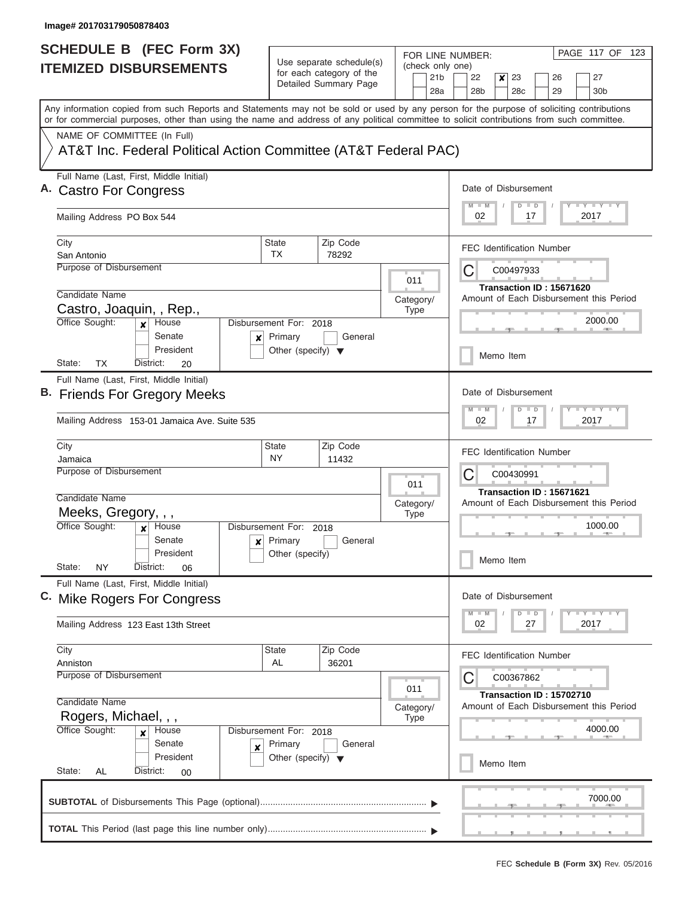| <b>SCHEDULE B</b> (FEC Form 3X)                                                                                                                                                                                                                                                         |                                                                           |                                                                               |                                            | PAGE 117 OF 123<br>FOR LINE NUMBER:                                                   |
|-----------------------------------------------------------------------------------------------------------------------------------------------------------------------------------------------------------------------------------------------------------------------------------------|---------------------------------------------------------------------------|-------------------------------------------------------------------------------|--------------------------------------------|---------------------------------------------------------------------------------------|
| <b>ITEMIZED DISBURSEMENTS</b>                                                                                                                                                                                                                                                           |                                                                           | Use separate schedule(s)<br>for each category of the<br>Detailed Summary Page | (check only one)<br>21 <sub>b</sub><br>28a | 22<br>23<br>26<br>27<br>×<br>28 <sub>b</sub><br>28c<br>29<br>30 <sub>b</sub>          |
| Any information copied from such Reports and Statements may not be sold or used by any person for the purpose of soliciting contributions<br>or for commercial purposes, other than using the name and address of any political committee to solicit contributions from such committee. |                                                                           |                                                                               |                                            |                                                                                       |
| NAME OF COMMITTEE (In Full)<br>AT&T Inc. Federal Political Action Committee (AT&T Federal PAC)                                                                                                                                                                                          |                                                                           |                                                                               |                                            |                                                                                       |
| Full Name (Last, First, Middle Initial)<br><b>Castro For Congress</b>                                                                                                                                                                                                                   |                                                                           |                                                                               |                                            | Date of Disbursement<br><b>LEYTLEY LEY</b><br>$M - M$<br>$D$ $D$                      |
| Mailing Address PO Box 544                                                                                                                                                                                                                                                              |                                                                           |                                                                               |                                            | 02<br>2017<br>17                                                                      |
| City<br>San Antonio                                                                                                                                                                                                                                                                     | <b>State</b><br><b>TX</b>                                                 | Zip Code<br>78292                                                             |                                            | <b>FEC Identification Number</b>                                                      |
| Purpose of Disbursement<br>Candidate Name                                                                                                                                                                                                                                               |                                                                           |                                                                               | 011                                        | C<br>C00497933<br>Transaction ID: 15671620<br>Amount of Each Disbursement this Period |
| Castro, Joaquin, , Rep.,<br>Office Sought:<br>House<br>$\boldsymbol{x}$                                                                                                                                                                                                                 | Disbursement For: 2018                                                    |                                                                               | Category/<br><b>Type</b>                   | 2000.00                                                                               |
| Senate<br>×<br>President<br>State:<br>TX<br>District:<br>20                                                                                                                                                                                                                             | Primary<br>Other (specify) $\blacktriangledown$                           | General                                                                       |                                            | Memo Item                                                                             |
| Full Name (Last, First, Middle Initial)<br>B. Friends For Gregory Meeks                                                                                                                                                                                                                 |                                                                           |                                                                               |                                            | Date of Disbursement<br>$-Y$ $+Y$ $+Y$<br>$M - M$<br>$\Box$<br>D                      |
| Mailing Address 153-01 Jamaica Ave. Suite 535                                                                                                                                                                                                                                           |                                                                           |                                                                               |                                            | 2017<br>02<br>17                                                                      |
| City<br>Jamaica<br>Purpose of Disbursement                                                                                                                                                                                                                                              | <b>State</b><br>NY                                                        | Zip Code<br>11432                                                             | 011                                        | <b>FEC Identification Number</b><br>C<br>C00430991                                    |
| Candidate Name<br>Meeks, Gregory, , ,<br>Office Sought:<br>House                                                                                                                                                                                                                        | Disbursement For: 2018                                                    |                                                                               | Category/<br><b>Type</b>                   | Transaction ID: 15671621<br>Amount of Each Disbursement this Period<br>1000.00        |
| Senate<br>President<br>State:<br>ΝY<br>District:<br>06                                                                                                                                                                                                                                  | $x$ Primary<br>Other (specify)                                            | General                                                                       |                                            | Memo Item                                                                             |
| Full Name (Last, First, Middle Initial)<br>C. Mike Rogers For Congress                                                                                                                                                                                                                  |                                                                           |                                                                               |                                            | Date of Disbursement                                                                  |
| Mailing Address 123 East 13th Street                                                                                                                                                                                                                                                    |                                                                           |                                                                               |                                            | $T$ $Y$ $T$ $Y$ $T$ $Y$<br>$M - M$<br>$\blacksquare$<br>D<br>2017<br>02<br>27         |
| City<br>Anniston<br><b>Purpose of Disbursement</b>                                                                                                                                                                                                                                      | <b>State</b><br>AL                                                        | Zip Code<br>36201                                                             |                                            | <b>FEC Identification Number</b><br>С<br>C00367862                                    |
| Candidate Name<br>Rogers, Michael, , ,                                                                                                                                                                                                                                                  |                                                                           |                                                                               | 011<br>Category/<br><b>Type</b>            | Transaction ID: 15702710<br>Amount of Each Disbursement this Period                   |
| Office Sought:<br>House<br>×<br>Senate<br>×<br>President<br>State:<br>AL<br>District:<br>00                                                                                                                                                                                             | Disbursement For: 2018<br>Primary<br>Other (specify) $\blacktriangledown$ | General                                                                       |                                            | 4000.00<br>Memo Item                                                                  |
|                                                                                                                                                                                                                                                                                         |                                                                           |                                                                               |                                            | <b>The Common</b><br>7000.00                                                          |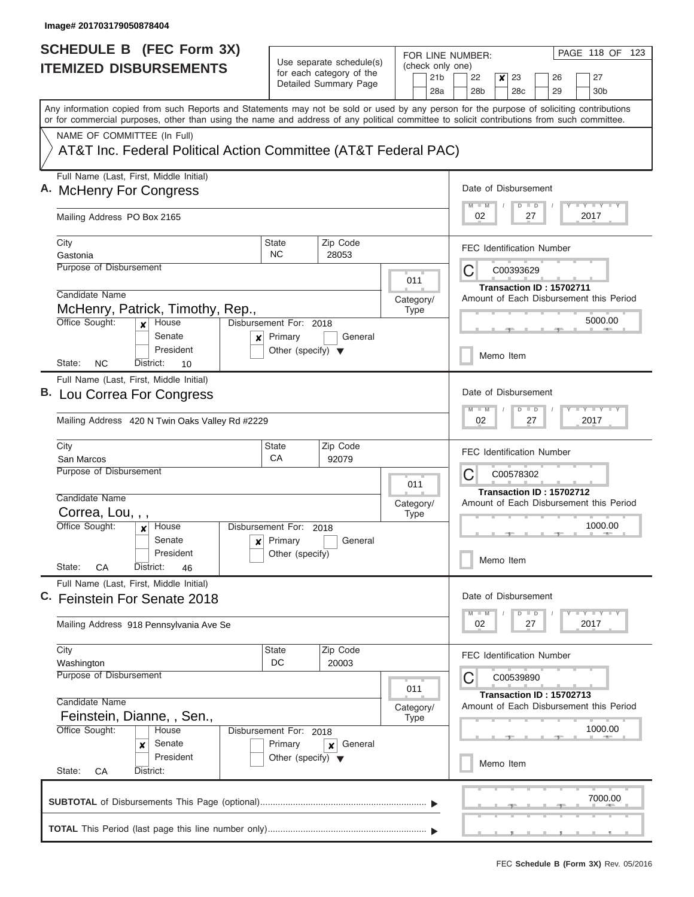| <b>SCHEDULE B</b> (FEC Form 3X)                                                                                                                                                                                                                                                         |                                                 |                                                      |                          |                 | PAGE 118 OF 123<br>FOR LINE NUMBER:                       |
|-----------------------------------------------------------------------------------------------------------------------------------------------------------------------------------------------------------------------------------------------------------------------------------------|-------------------------------------------------|------------------------------------------------------|--------------------------|-----------------|-----------------------------------------------------------|
| <b>ITEMIZED DISBURSEMENTS</b>                                                                                                                                                                                                                                                           |                                                 | Use separate schedule(s)<br>for each category of the |                          | 21 <sub>b</sub> | (check only one)<br>22<br>23<br>27<br>×<br>26             |
|                                                                                                                                                                                                                                                                                         |                                                 | Detailed Summary Page                                |                          | 28a             | 28 <sub>b</sub><br>28c<br>29<br>30 <sub>b</sub>           |
| Any information copied from such Reports and Statements may not be sold or used by any person for the purpose of soliciting contributions<br>or for commercial purposes, other than using the name and address of any political committee to solicit contributions from such committee. |                                                 |                                                      |                          |                 |                                                           |
| NAME OF COMMITTEE (In Full)                                                                                                                                                                                                                                                             |                                                 |                                                      |                          |                 |                                                           |
| AT&T Inc. Federal Political Action Committee (AT&T Federal PAC)                                                                                                                                                                                                                         |                                                 |                                                      |                          |                 |                                                           |
| Full Name (Last, First, Middle Initial)<br>A. McHenry For Congress                                                                                                                                                                                                                      |                                                 |                                                      |                          |                 | Date of Disbursement                                      |
|                                                                                                                                                                                                                                                                                         |                                                 |                                                      |                          |                 | <b>LY LY LY</b><br>$M$ $M$<br>$D$ $D$<br>02<br>27<br>2017 |
| Mailing Address PO Box 2165                                                                                                                                                                                                                                                             |                                                 |                                                      |                          |                 |                                                           |
| City<br>Gastonia                                                                                                                                                                                                                                                                        | <b>State</b><br>NC.                             | Zip Code<br>28053                                    |                          |                 | <b>FEC Identification Number</b>                          |
| Purpose of Disbursement                                                                                                                                                                                                                                                                 |                                                 |                                                      |                          |                 | С<br>C00393629                                            |
| Candidate Name                                                                                                                                                                                                                                                                          |                                                 |                                                      | 011                      |                 | Transaction ID: 15702711                                  |
| McHenry, Patrick, Timothy, Rep.,                                                                                                                                                                                                                                                        |                                                 |                                                      | Category/<br>Type        |                 | Amount of Each Disbursement this Period                   |
| Office Sought:<br>House<br>$\boldsymbol{x}$                                                                                                                                                                                                                                             | Disbursement For: 2018                          |                                                      |                          |                 | 5000.00                                                   |
| Senate<br>x<br>President                                                                                                                                                                                                                                                                | Primary<br>Other (specify) $\blacktriangledown$ | General                                              |                          |                 |                                                           |
| <b>NC</b><br>State:<br>District:<br>10                                                                                                                                                                                                                                                  |                                                 |                                                      |                          |                 | Memo Item                                                 |
| Full Name (Last, First, Middle Initial)<br>B. Lou Correa For Congress                                                                                                                                                                                                                   |                                                 |                                                      |                          |                 | Date of Disbursement                                      |
|                                                                                                                                                                                                                                                                                         |                                                 |                                                      |                          |                 | $T - Y$ $T - Y$ $T - Y$<br>$M - M$<br>$D$ $D$             |
| Mailing Address 420 N Twin Oaks Valley Rd #2229                                                                                                                                                                                                                                         |                                                 |                                                      |                          |                 | 02<br>27<br>2017                                          |
| City<br>San Marcos                                                                                                                                                                                                                                                                      | State<br>CA                                     | Zip Code<br>92079                                    |                          |                 | <b>FEC Identification Number</b>                          |
| Purpose of Disbursement                                                                                                                                                                                                                                                                 |                                                 |                                                      |                          |                 | С<br>C00578302                                            |
| Candidate Name                                                                                                                                                                                                                                                                          |                                                 |                                                      | 011                      |                 | Transaction ID: 15702712                                  |
| Correa, Lou, , ,                                                                                                                                                                                                                                                                        |                                                 |                                                      | Category/<br><b>Type</b> |                 | Amount of Each Disbursement this Period                   |
| Office Sought:<br>House<br>×                                                                                                                                                                                                                                                            | Disbursement For: 2018                          |                                                      |                          |                 | 1000.00<br>$-1$                                           |
| Senate<br>President                                                                                                                                                                                                                                                                     | $x$ Primary<br>Other (specify)                  | General                                              |                          |                 |                                                           |
| State:<br>СA<br>District:<br>46                                                                                                                                                                                                                                                         |                                                 |                                                      |                          |                 | Memo Item                                                 |
| Full Name (Last, First, Middle Initial)<br><b>Feinstein For Senate 2018</b>                                                                                                                                                                                                             |                                                 |                                                      |                          |                 | Date of Disbursement                                      |
|                                                                                                                                                                                                                                                                                         |                                                 |                                                      |                          |                 | $-1 - Y - 1 - Y - 1 - Y$<br>$M - M$<br>$D$ $D$            |
| Mailing Address 918 Pennsylvania Ave Se                                                                                                                                                                                                                                                 |                                                 |                                                      |                          |                 | 02<br>2017<br>27                                          |
| City<br>Washington                                                                                                                                                                                                                                                                      | State<br>DC                                     | Zip Code<br>20003                                    |                          |                 | <b>FEC Identification Number</b>                          |
| Purpose of Disbursement                                                                                                                                                                                                                                                                 |                                                 |                                                      |                          |                 | C<br>C00539890                                            |
|                                                                                                                                                                                                                                                                                         |                                                 |                                                      | 011                      |                 | Transaction ID: 15702713                                  |
| Candidate Name<br>Feinstein, Dianne, , Sen.,                                                                                                                                                                                                                                            |                                                 |                                                      | Category/<br>Type        |                 | Amount of Each Disbursement this Period                   |
| Office Sought:<br>House                                                                                                                                                                                                                                                                 | Disbursement For: 2018                          |                                                      |                          |                 | 1000.00                                                   |
| Senate<br>×<br>President                                                                                                                                                                                                                                                                | Primary<br>Other (specify) $\blacktriangledown$ | General<br>×                                         |                          |                 |                                                           |
| State:<br>СA<br>District:                                                                                                                                                                                                                                                               |                                                 |                                                      |                          |                 | Memo Item                                                 |
|                                                                                                                                                                                                                                                                                         |                                                 |                                                      |                          |                 | 7000.00                                                   |
|                                                                                                                                                                                                                                                                                         |                                                 |                                                      |                          |                 |                                                           |
|                                                                                                                                                                                                                                                                                         |                                                 |                                                      |                          |                 |                                                           |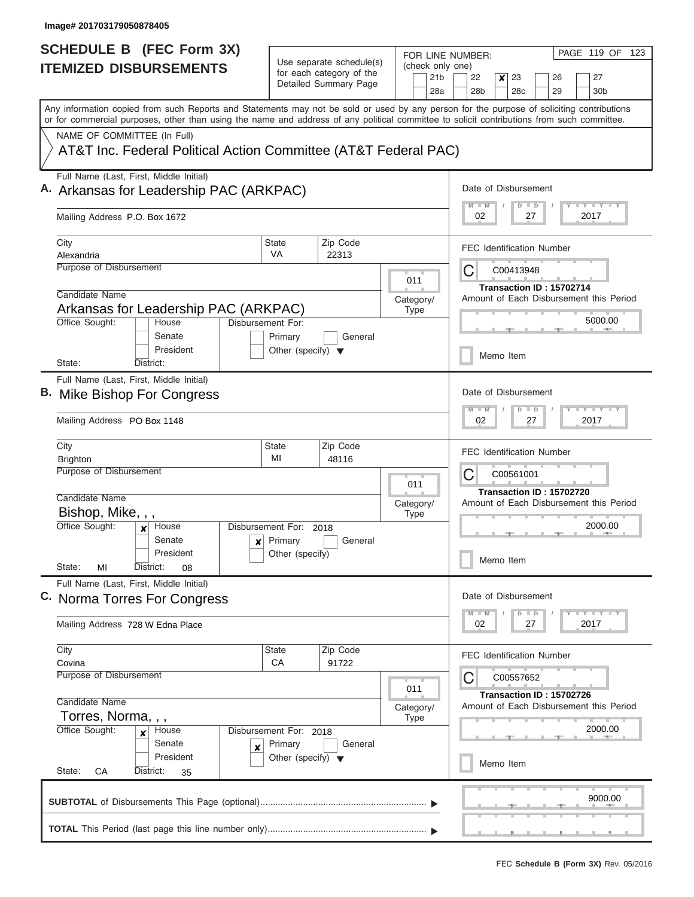| <b>SCHEDULE B</b> (FEC Form 3X)                                                                                                                                                                                                                                                         |                                      |                                                      |                  |                        | PAGE 119 OF 123<br>FOR LINE NUMBER:                                             |
|-----------------------------------------------------------------------------------------------------------------------------------------------------------------------------------------------------------------------------------------------------------------------------------------|--------------------------------------|------------------------------------------------------|------------------|------------------------|---------------------------------------------------------------------------------|
| <b>ITEMIZED DISBURSEMENTS</b>                                                                                                                                                                                                                                                           |                                      | Use separate schedule(s)<br>for each category of the | (check only one) |                        |                                                                                 |
|                                                                                                                                                                                                                                                                                         |                                      | Detailed Summary Page                                |                  | 21 <sub>b</sub><br>28a | 22<br>23<br>27<br>$\boldsymbol{x}$<br>26<br>28b<br>28 <sub>c</sub><br>29<br>30b |
| Any information copied from such Reports and Statements may not be sold or used by any person for the purpose of soliciting contributions<br>or for commercial purposes, other than using the name and address of any political committee to solicit contributions from such committee. |                                      |                                                      |                  |                        |                                                                                 |
| NAME OF COMMITTEE (In Full)                                                                                                                                                                                                                                                             |                                      |                                                      |                  |                        |                                                                                 |
| AT&T Inc. Federal Political Action Committee (AT&T Federal PAC)                                                                                                                                                                                                                         |                                      |                                                      |                  |                        |                                                                                 |
| Full Name (Last, First, Middle Initial)<br>A. Arkansas for Leadership PAC (ARKPAC)                                                                                                                                                                                                      |                                      |                                                      |                  |                        | Date of Disbursement<br>Y I Y I Y I Y<br>$M$ $M$<br>$D$ $D$                     |
| Mailing Address P.O. Box 1672                                                                                                                                                                                                                                                           |                                      |                                                      |                  |                        | 2017<br>02<br>27                                                                |
| City                                                                                                                                                                                                                                                                                    | <b>State</b><br>VA                   | Zip Code                                             |                  |                        | <b>FEC Identification Number</b>                                                |
| Alexandria<br>Purpose of Disbursement                                                                                                                                                                                                                                                   |                                      | 22313                                                |                  |                        |                                                                                 |
|                                                                                                                                                                                                                                                                                         |                                      |                                                      | 011              |                        | C<br>C00413948                                                                  |
| Candidate Name                                                                                                                                                                                                                                                                          |                                      |                                                      | Category/        |                        | Transaction ID: 15702714<br>Amount of Each Disbursement this Period             |
| Arkansas for Leadership PAC (ARKPAC)                                                                                                                                                                                                                                                    |                                      |                                                      | Type             |                        |                                                                                 |
| Office Sought:<br>House                                                                                                                                                                                                                                                                 | Disbursement For:                    |                                                      |                  |                        | 5000.00                                                                         |
| Senate                                                                                                                                                                                                                                                                                  | Primary                              | General                                              |                  |                        |                                                                                 |
| President<br>State:<br>District:                                                                                                                                                                                                                                                        | Other (specify) $\blacktriangledown$ |                                                      |                  |                        | Memo Item                                                                       |
| Full Name (Last, First, Middle Initial)                                                                                                                                                                                                                                                 |                                      |                                                      |                  |                        |                                                                                 |
| B. Mike Bishop For Congress                                                                                                                                                                                                                                                             |                                      |                                                      |                  |                        | Date of Disbursement                                                            |
|                                                                                                                                                                                                                                                                                         |                                      |                                                      |                  |                        | $T$ $Y$ $T$ $Y$ $T$<br>$M - M$<br>$D$ $D$                                       |
| Mailing Address PO Box 1148                                                                                                                                                                                                                                                             |                                      |                                                      |                  |                        | 02<br>27<br>2017                                                                |
| City                                                                                                                                                                                                                                                                                    | <b>State</b><br>MI                   | Zip Code                                             |                  |                        | <b>FEC Identification Number</b>                                                |
| <b>Brighton</b><br>Purpose of Disbursement                                                                                                                                                                                                                                              |                                      | 48116                                                |                  |                        | С<br>C00561001                                                                  |
|                                                                                                                                                                                                                                                                                         |                                      |                                                      | 011              |                        |                                                                                 |
| Candidate Name                                                                                                                                                                                                                                                                          |                                      |                                                      | Category/        |                        | Transaction ID: 15702720<br>Amount of Each Disbursement this Period             |
| Bishop, Mike, , ,                                                                                                                                                                                                                                                                       |                                      |                                                      | <b>Type</b>      |                        |                                                                                 |
| Office Sought:<br>House                                                                                                                                                                                                                                                                 | Disbursement For: 2018               |                                                      |                  |                        | 2000.00                                                                         |
| Senate<br>$\boldsymbol{x}$<br>President                                                                                                                                                                                                                                                 | Primary<br>Other (specify)           | General                                              |                  |                        |                                                                                 |
| State:<br>МI<br>District:<br>08                                                                                                                                                                                                                                                         |                                      |                                                      |                  |                        | Memo Item                                                                       |
| Full Name (Last, First, Middle Initial)                                                                                                                                                                                                                                                 |                                      |                                                      |                  |                        |                                                                                 |
| C. Norma Torres For Congress                                                                                                                                                                                                                                                            |                                      |                                                      |                  |                        | Date of Disbursement                                                            |
| Mailing Address 728 W Edna Place                                                                                                                                                                                                                                                        |                                      |                                                      |                  |                        | $T$ $Y$ $Y$ $Y$ $Y$<br>$M - M$<br>$D$ $D$<br>2017<br>02<br>27                   |
| City                                                                                                                                                                                                                                                                                    | State                                | Zip Code                                             |                  |                        | <b>FEC Identification Number</b>                                                |
| Covina<br>Purpose of Disbursement                                                                                                                                                                                                                                                       | CA                                   | 91722                                                |                  |                        |                                                                                 |
|                                                                                                                                                                                                                                                                                         |                                      |                                                      | 011              |                        | С<br>C00557652                                                                  |
| Candidate Name                                                                                                                                                                                                                                                                          |                                      |                                                      | Category/        |                        | Transaction ID: 15702726<br>Amount of Each Disbursement this Period             |
| Torres, Norma, , ,                                                                                                                                                                                                                                                                      |                                      |                                                      | <b>Type</b>      |                        |                                                                                 |
| Office Sought:<br>House<br>X                                                                                                                                                                                                                                                            | Disbursement For: 2018               |                                                      |                  |                        | 2000.00                                                                         |
| Senate<br>X                                                                                                                                                                                                                                                                             | Primary                              | General                                              |                  |                        |                                                                                 |
| President<br>State:<br>District:<br>СA<br>35                                                                                                                                                                                                                                            | Other (specify) $\blacktriangledown$ |                                                      |                  |                        | Memo Item                                                                       |
|                                                                                                                                                                                                                                                                                         |                                      |                                                      |                  |                        |                                                                                 |
|                                                                                                                                                                                                                                                                                         |                                      |                                                      |                  |                        | 9000.00                                                                         |
|                                                                                                                                                                                                                                                                                         |                                      |                                                      |                  |                        |                                                                                 |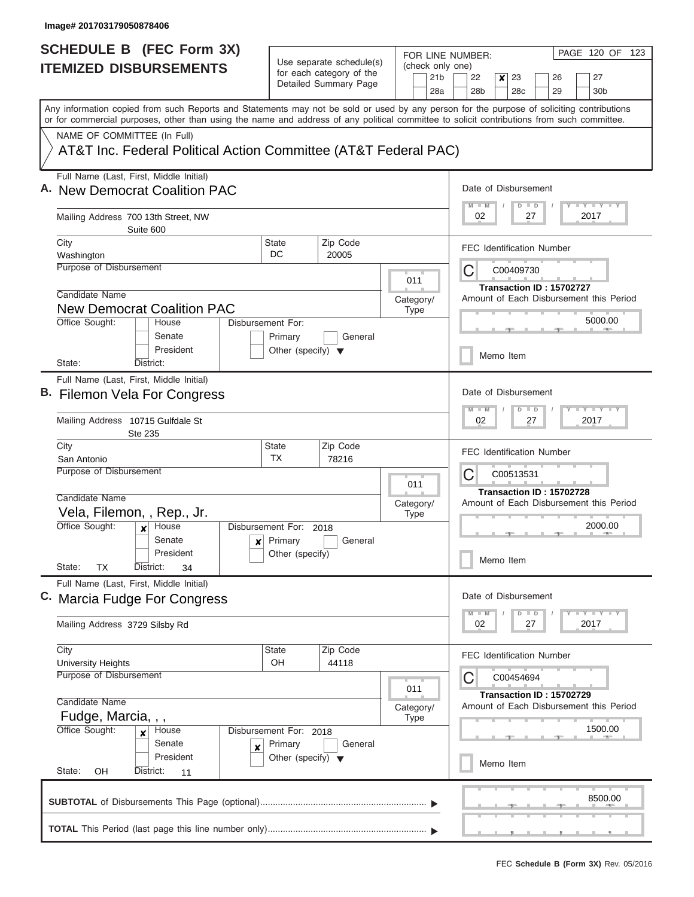| <b>SCHEDULE B (FEC Form 3X)</b>                                                                                                                                                                                                                                                         |                                      |                                                      |  |                            |                        | FOR LINE NUMBER:                 |           |                                |                          |  | PAGE 120 OF 123                                                                       |  |  |  |
|-----------------------------------------------------------------------------------------------------------------------------------------------------------------------------------------------------------------------------------------------------------------------------------------|--------------------------------------|------------------------------------------------------|--|----------------------------|------------------------|----------------------------------|-----------|--------------------------------|--------------------------|--|---------------------------------------------------------------------------------------|--|--|--|
| <b>ITEMIZED DISBURSEMENTS</b>                                                                                                                                                                                                                                                           |                                      | Use separate schedule(s)<br>for each category of the |  |                            | (check only one)       |                                  |           |                                |                          |  |                                                                                       |  |  |  |
|                                                                                                                                                                                                                                                                                         |                                      | Detailed Summary Page                                |  |                            | 21 <sub>b</sub><br>28a | 22<br>28 <sub>b</sub>            | ×         | 23<br>28 <sub>c</sub>          | 26<br>29                 |  | 27<br>30 <sub>b</sub>                                                                 |  |  |  |
| Any information copied from such Reports and Statements may not be sold or used by any person for the purpose of soliciting contributions<br>or for commercial purposes, other than using the name and address of any political committee to solicit contributions from such committee. |                                      |                                                      |  |                            |                        |                                  |           |                                |                          |  |                                                                                       |  |  |  |
| NAME OF COMMITTEE (In Full)                                                                                                                                                                                                                                                             |                                      |                                                      |  |                            |                        |                                  |           |                                |                          |  |                                                                                       |  |  |  |
| AT&T Inc. Federal Political Action Committee (AT&T Federal PAC)                                                                                                                                                                                                                         |                                      |                                                      |  |                            |                        |                                  |           |                                |                          |  |                                                                                       |  |  |  |
| Full Name (Last, First, Middle Initial)<br>A. New Democrat Coalition PAC                                                                                                                                                                                                                |                                      |                                                      |  |                            |                        | Date of Disbursement             |           | $D$ $D$                        |                          |  | <b>LY LY LY</b>                                                                       |  |  |  |
| Mailing Address 700 13th Street, NW<br>Suite 600                                                                                                                                                                                                                                        |                                      |                                                      |  |                            |                        | 02                               |           | 27                             |                          |  | 2017                                                                                  |  |  |  |
| City                                                                                                                                                                                                                                                                                    | <b>State</b>                         | Zip Code                                             |  |                            |                        | <b>FEC Identification Number</b> |           |                                |                          |  |                                                                                       |  |  |  |
| Washington<br>Purpose of Disbursement                                                                                                                                                                                                                                                   | DC                                   | 20005                                                |  |                            |                        |                                  |           |                                |                          |  |                                                                                       |  |  |  |
|                                                                                                                                                                                                                                                                                         |                                      |                                                      |  | 011                        |                        | С                                |           | C00409730                      |                          |  |                                                                                       |  |  |  |
| Candidate Name                                                                                                                                                                                                                                                                          |                                      |                                                      |  | Category/                  |                        |                                  |           |                                | Transaction ID: 15702727 |  | Amount of Each Disbursement this Period                                               |  |  |  |
| <b>New Democrat Coalition PAC</b>                                                                                                                                                                                                                                                       |                                      |                                                      |  | <b>Type</b>                |                        |                                  |           |                                |                          |  |                                                                                       |  |  |  |
| Office Sought:<br>House<br>Senate                                                                                                                                                                                                                                                       | Disbursement For:<br>Primary         | General                                              |  |                            |                        |                                  |           |                                |                          |  | 5000.00                                                                               |  |  |  |
| President<br>State:<br>District:                                                                                                                                                                                                                                                        | Other (specify) $\blacktriangledown$ |                                                      |  |                            |                        |                                  | Memo Item |                                |                          |  |                                                                                       |  |  |  |
| Full Name (Last, First, Middle Initial)                                                                                                                                                                                                                                                 |                                      |                                                      |  |                            |                        | Date of Disbursement             |           |                                |                          |  |                                                                                       |  |  |  |
| B. Filemon Vela For Congress                                                                                                                                                                                                                                                            |                                      |                                                      |  |                            |                        | M<br>$-M$                        |           | $\overline{D}$                 |                          |  | $-1 - Y - 1 - Y - 1 - Y$                                                              |  |  |  |
| Mailing Address 10715 Gulfdale St<br>Ste 235                                                                                                                                                                                                                                            |                                      |                                                      |  | $\Box$<br>02<br>27<br>2017 |                        |                                  |           |                                |                          |  |                                                                                       |  |  |  |
| City                                                                                                                                                                                                                                                                                    | <b>State</b>                         | Zip Code                                             |  |                            |                        | <b>FEC Identification Number</b> |           |                                |                          |  |                                                                                       |  |  |  |
| San Antonio<br>Purpose of Disbursement                                                                                                                                                                                                                                                  | <b>TX</b>                            | 78216                                                |  |                            |                        |                                  |           |                                |                          |  |                                                                                       |  |  |  |
|                                                                                                                                                                                                                                                                                         |                                      |                                                      |  | 011                        |                        | С                                |           | C00513531                      |                          |  |                                                                                       |  |  |  |
| Candidate Name                                                                                                                                                                                                                                                                          |                                      |                                                      |  | Category/                  |                        |                                  |           |                                | Transaction ID: 15702728 |  | Amount of Each Disbursement this Period                                               |  |  |  |
| Vela, Filemon, , Rep., Jr.                                                                                                                                                                                                                                                              |                                      |                                                      |  | <b>Type</b>                |                        |                                  |           |                                |                          |  |                                                                                       |  |  |  |
| Office Sought:<br>House<br>$\boldsymbol{x}$                                                                                                                                                                                                                                             | Disbursement For: 2018               |                                                      |  |                            |                        |                                  |           |                                |                          |  | 2000.00                                                                               |  |  |  |
| Senate<br>$\mathbf{x}$<br>President                                                                                                                                                                                                                                                     | Primary<br>Other (specify)           | General                                              |  |                            |                        |                                  |           |                                |                          |  |                                                                                       |  |  |  |
| State:<br>ТX<br>District:<br>34                                                                                                                                                                                                                                                         |                                      |                                                      |  |                            |                        | Memo Item                        |           |                                |                          |  |                                                                                       |  |  |  |
| Full Name (Last, First, Middle Initial)                                                                                                                                                                                                                                                 |                                      |                                                      |  |                            |                        |                                  |           |                                |                          |  |                                                                                       |  |  |  |
| C. Marcia Fudge For Congress                                                                                                                                                                                                                                                            |                                      |                                                      |  |                            |                        | Date of Disbursement             |           |                                |                          |  |                                                                                       |  |  |  |
| Mailing Address 3729 Silsby Rd                                                                                                                                                                                                                                                          |                                      |                                                      |  |                            |                        | $M - M$<br>02                    |           | $\Box$<br>$\overline{D}$<br>27 |                          |  | $\mathbf{I}$ $\mathbf{Y}$ $\mathbf{I}$ $\mathbf{Y}$ $\mathbf{I}$ $\mathbf{Y}$<br>2017 |  |  |  |
| City                                                                                                                                                                                                                                                                                    | <b>State</b>                         | Zip Code                                             |  |                            |                        | <b>FEC Identification Number</b> |           |                                |                          |  |                                                                                       |  |  |  |
| <b>University Heights</b><br>Purpose of Disbursement                                                                                                                                                                                                                                    | OH                                   | 44118                                                |  |                            |                        |                                  |           |                                |                          |  |                                                                                       |  |  |  |
|                                                                                                                                                                                                                                                                                         |                                      |                                                      |  | 011                        |                        | С                                |           | C00454694                      |                          |  |                                                                                       |  |  |  |
| Candidate Name                                                                                                                                                                                                                                                                          |                                      |                                                      |  |                            |                        |                                  |           |                                | Transaction ID: 15702729 |  | Amount of Each Disbursement this Period                                               |  |  |  |
| Fudge, Marcia, , ,                                                                                                                                                                                                                                                                      |                                      |                                                      |  | Category/<br><b>Type</b>   |                        |                                  |           |                                |                          |  |                                                                                       |  |  |  |
| Office Sought:<br>House<br>×                                                                                                                                                                                                                                                            | Disbursement For: 2018               |                                                      |  |                            |                        |                                  |           |                                |                          |  | 1500.00                                                                               |  |  |  |
| Senate<br>×                                                                                                                                                                                                                                                                             | Primary                              | General                                              |  |                            |                        |                                  |           |                                |                          |  |                                                                                       |  |  |  |
| President                                                                                                                                                                                                                                                                               | Other (specify) $\blacktriangledown$ |                                                      |  |                            |                        |                                  | Memo Item |                                |                          |  |                                                                                       |  |  |  |
| State:<br>OH<br>District:<br>11                                                                                                                                                                                                                                                         |                                      |                                                      |  |                            |                        |                                  |           |                                |                          |  |                                                                                       |  |  |  |
|                                                                                                                                                                                                                                                                                         |                                      |                                                      |  |                            |                        |                                  |           |                                |                          |  | 8500.00                                                                               |  |  |  |
|                                                                                                                                                                                                                                                                                         |                                      |                                                      |  |                            |                        |                                  |           |                                |                          |  |                                                                                       |  |  |  |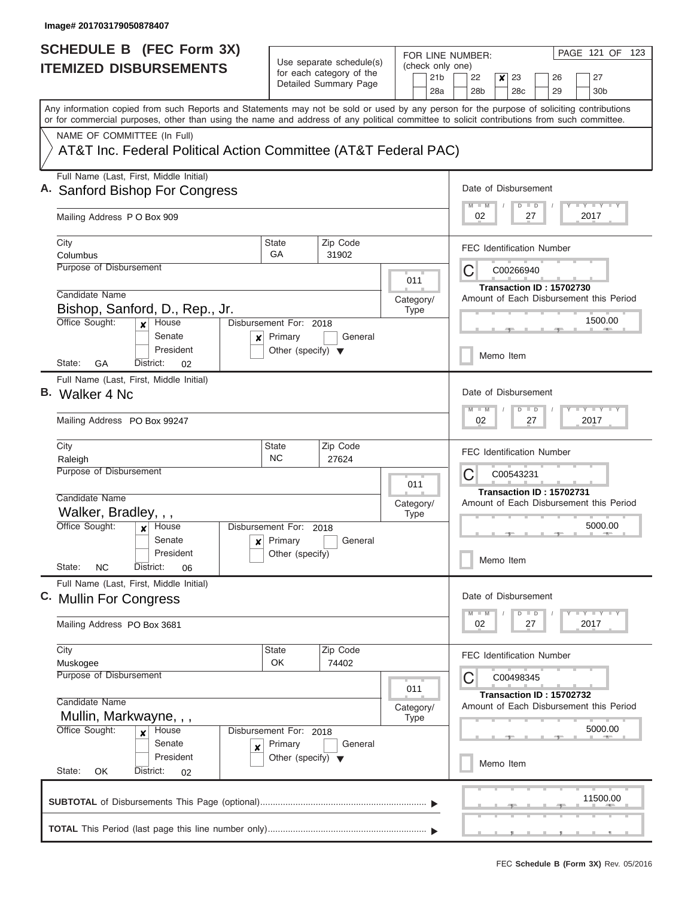| <b>SCHEDULE B (FEC Form 3X)</b>                                                                                                                                                                                                                                                         |                                                                                      |                                                                                |     |                                            | PAGE 121 OF 123<br>FOR LINE NUMBER:                                                   |  |  |  |  |  |  |  |  |
|-----------------------------------------------------------------------------------------------------------------------------------------------------------------------------------------------------------------------------------------------------------------------------------------|--------------------------------------------------------------------------------------|--------------------------------------------------------------------------------|-----|--------------------------------------------|---------------------------------------------------------------------------------------|--|--|--|--|--|--|--|--|
| <b>ITEMIZED DISBURSEMENTS</b>                                                                                                                                                                                                                                                           | Use separate schedule(s)<br>for each category of the<br>Detailed Summary Page        |                                                                                |     | (check only one)<br>21 <sub>b</sub><br>28a | 22<br>27<br>x<br>23<br>26<br>28 <sub>b</sub><br>28c<br>29<br>30 <sub>b</sub>          |  |  |  |  |  |  |  |  |
| Any information copied from such Reports and Statements may not be sold or used by any person for the purpose of soliciting contributions<br>or for commercial purposes, other than using the name and address of any political committee to solicit contributions from such committee. |                                                                                      |                                                                                |     |                                            |                                                                                       |  |  |  |  |  |  |  |  |
| NAME OF COMMITTEE (In Full)<br>AT&T Inc. Federal Political Action Committee (AT&T Federal PAC)                                                                                                                                                                                          |                                                                                      |                                                                                |     |                                            |                                                                                       |  |  |  |  |  |  |  |  |
| Full Name (Last, First, Middle Initial)<br>A. Sanford Bishop For Congress                                                                                                                                                                                                               |                                                                                      | Date of Disbursement<br><b>LY LY LY</b><br>$M$ $M$<br>$\blacksquare$<br>D      |     |                                            |                                                                                       |  |  |  |  |  |  |  |  |
| Mailing Address P O Box 909                                                                                                                                                                                                                                                             |                                                                                      | 02<br>27<br>2017                                                               |     |                                            |                                                                                       |  |  |  |  |  |  |  |  |
| City<br>Columbus                                                                                                                                                                                                                                                                        | <b>State</b><br>GA                                                                   | Zip Code<br>31902                                                              |     |                                            | <b>FEC Identification Number</b>                                                      |  |  |  |  |  |  |  |  |
| Purpose of Disbursement<br>Candidate Name                                                                                                                                                                                                                                               |                                                                                      |                                                                                | 011 |                                            | С<br>C00266940<br>Transaction ID: 15702730<br>Amount of Each Disbursement this Period |  |  |  |  |  |  |  |  |
| Bishop, Sanford, D., Rep., Jr.<br>Office Sought:<br>House<br>$\boldsymbol{x}$                                                                                                                                                                                                           | Category/<br><b>Type</b><br>Disbursement For: 2018                                   |                                                                                |     |                                            |                                                                                       |  |  |  |  |  |  |  |  |
| Senate<br>×<br>President<br>GA<br>State:<br>District:<br>02                                                                                                                                                                                                                             | Primary<br>Other (specify) $\blacktriangledown$                                      | General                                                                        |     |                                            | Memo Item                                                                             |  |  |  |  |  |  |  |  |
| Full Name (Last, First, Middle Initial)<br><b>B.</b> Walker 4 No.                                                                                                                                                                                                                       |                                                                                      | Date of Disbursement<br><b>LY LY L</b><br>$M - M$<br>D<br>$\blacksquare$       |     |                                            |                                                                                       |  |  |  |  |  |  |  |  |
| Mailing Address PO Box 99247                                                                                                                                                                                                                                                            |                                                                                      | 02<br>27<br>2017                                                               |     |                                            |                                                                                       |  |  |  |  |  |  |  |  |
| City<br>Raleigh<br>Purpose of Disbursement                                                                                                                                                                                                                                              | State<br><b>NC</b>                                                                   | Zip Code<br>27624                                                              | 011 |                                            | <b>FEC Identification Number</b><br>С<br>C00543231                                    |  |  |  |  |  |  |  |  |
| Candidate Name<br>Walker, Bradley, , ,                                                                                                                                                                                                                                                  | Category/                                                                            | Transaction ID: 15702731<br>Amount of Each Disbursement this Period<br>5000.00 |     |                                            |                                                                                       |  |  |  |  |  |  |  |  |
| Office Sought:<br>House<br>$\boldsymbol{x}$<br>Senate<br>President<br>State:<br><b>NC</b><br>District:<br>06                                                                                                                                                                            | Disbursement For: 2018<br>$\mathbf{x}$ Primary<br>Other (specify)                    | General                                                                        |     |                                            | Memo Item                                                                             |  |  |  |  |  |  |  |  |
| Full Name (Last, First, Middle Initial)<br>C. Mullin For Congress                                                                                                                                                                                                                       |                                                                                      |                                                                                |     |                                            | Date of Disbursement                                                                  |  |  |  |  |  |  |  |  |
| Mailing Address PO Box 3681                                                                                                                                                                                                                                                             |                                                                                      |                                                                                |     |                                            | $T$ $Y$ $T$ $Y$ $T$ $Y$<br>$M - M$<br>$\overline{D}$<br>$\Box$<br>2017<br>02<br>27    |  |  |  |  |  |  |  |  |
| City<br>Muskogee<br>Purpose of Disbursement                                                                                                                                                                                                                                             | State<br>OK                                                                          | Zip Code<br>74402                                                              | 011 |                                            | <b>FEC Identification Number</b><br>С<br>C00498345                                    |  |  |  |  |  |  |  |  |
| Candidate Name<br>Mullin, Markwayne, , ,                                                                                                                                                                                                                                                | Category/                                                                            | Transaction ID: 15702732<br>Amount of Each Disbursement this Period<br>5000.00 |     |                                            |                                                                                       |  |  |  |  |  |  |  |  |
| Office Sought:<br>House<br>$\boldsymbol{x}$<br>Senate<br>×<br>President<br>State:<br>District:<br>OK<br>02                                                                                                                                                                              | Disbursement For: 2018<br>Primary<br>General<br>Other (specify) $\blacktriangledown$ |                                                                                |     |                                            | Memo Item                                                                             |  |  |  |  |  |  |  |  |
|                                                                                                                                                                                                                                                                                         |                                                                                      |                                                                                |     |                                            | 11500.00                                                                              |  |  |  |  |  |  |  |  |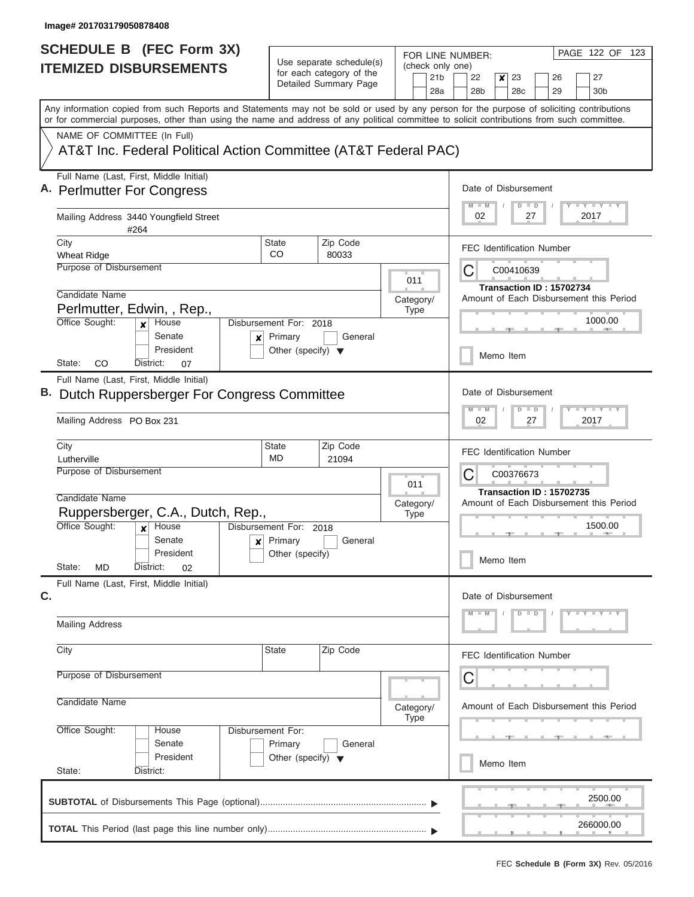| <b>SCHEDULE B (FEC Form 3X)</b>                                                                                                                                                                                                                                                         |                                                                           |                    |                                      |                                     |                           |     | PAGE 122 OF 123<br>FOR LINE NUMBER:                                                   |                      |                 |    |  |                                         |  |  |  |  |
|-----------------------------------------------------------------------------------------------------------------------------------------------------------------------------------------------------------------------------------------------------------------------------------------|---------------------------------------------------------------------------|--------------------|--------------------------------------|-------------------------------------|---------------------------|-----|---------------------------------------------------------------------------------------|----------------------|-----------------|----|--|-----------------------------------------|--|--|--|--|
| <b>ITEMIZED DISBURSEMENTS</b>                                                                                                                                                                                                                                                           | Use separate schedule(s)<br>for each category of the                      |                    |                                      | (check only one)<br>21 <sub>b</sub> | 22<br>23<br>27<br>×<br>26 |     |                                                                                       |                      |                 |    |  |                                         |  |  |  |  |
|                                                                                                                                                                                                                                                                                         |                                                                           |                    | Detailed Summary Page                |                                     |                           | 28a | 28 <sub>b</sub>                                                                       |                      | 28 <sub>c</sub> | 29 |  | 30 <sub>b</sub>                         |  |  |  |  |
| Any information copied from such Reports and Statements may not be sold or used by any person for the purpose of soliciting contributions<br>or for commercial purposes, other than using the name and address of any political committee to solicit contributions from such committee. |                                                                           |                    |                                      |                                     |                           |     |                                                                                       |                      |                 |    |  |                                         |  |  |  |  |
| NAME OF COMMITTEE (In Full)                                                                                                                                                                                                                                                             |                                                                           |                    |                                      |                                     |                           |     |                                                                                       |                      |                 |    |  |                                         |  |  |  |  |
| AT&T Inc. Federal Political Action Committee (AT&T Federal PAC)                                                                                                                                                                                                                         |                                                                           |                    |                                      |                                     |                           |     |                                                                                       |                      |                 |    |  |                                         |  |  |  |  |
| Full Name (Last, First, Middle Initial)<br>A. Perlmutter For Congress                                                                                                                                                                                                                   |                                                                           |                    |                                      |                                     |                           |     |                                                                                       | Date of Disbursement |                 |    |  |                                         |  |  |  |  |
| Mailing Address 3440 Youngfield Street<br>#264                                                                                                                                                                                                                                          |                                                                           |                    |                                      |                                     |                           |     | <b>LY LY LY</b><br>$D$ $D$<br>02<br>27<br>2017                                        |                      |                 |    |  |                                         |  |  |  |  |
| City                                                                                                                                                                                                                                                                                    |                                                                           | <b>State</b><br>CO | Zip Code                             |                                     |                           |     | <b>FEC Identification Number</b>                                                      |                      |                 |    |  |                                         |  |  |  |  |
| <b>Wheat Ridge</b><br>Purpose of Disbursement                                                                                                                                                                                                                                           |                                                                           |                    | 80033                                |                                     |                           |     |                                                                                       |                      |                 |    |  |                                         |  |  |  |  |
|                                                                                                                                                                                                                                                                                         |                                                                           |                    |                                      |                                     | 011                       |     | С<br>C00410639<br>Transaction ID: 15702734                                            |                      |                 |    |  |                                         |  |  |  |  |
| Candidate Name                                                                                                                                                                                                                                                                          | Category/                                                                 |                    |                                      |                                     |                           |     |                                                                                       |                      |                 |    |  | Amount of Each Disbursement this Period |  |  |  |  |
|                                                                                                                                                                                                                                                                                         | Perlmutter, Edwin, , Rep.,<br><b>Type</b><br>Disbursement For: 2018       |                    |                                      |                                     |                           |     |                                                                                       | 1000.00              |                 |    |  |                                         |  |  |  |  |
| Office Sought:<br>House<br>$\boldsymbol{x}$<br>Senate                                                                                                                                                                                                                                   | x                                                                         | Primary            | General                              |                                     |                           |     |                                                                                       |                      |                 |    |  |                                         |  |  |  |  |
| President<br>CO<br>State:<br>District:                                                                                                                                                                                                                                                  | 07                                                                        |                    | Other (specify) $\blacktriangledown$ |                                     |                           |     |                                                                                       |                      | Memo Item       |    |  |                                         |  |  |  |  |
| Full Name (Last, First, Middle Initial)                                                                                                                                                                                                                                                 |                                                                           |                    |                                      |                                     |                           |     |                                                                                       |                      |                 |    |  |                                         |  |  |  |  |
| B. Dutch Ruppersberger For Congress Committee                                                                                                                                                                                                                                           |                                                                           |                    |                                      |                                     |                           |     | Date of Disbursement                                                                  |                      |                 |    |  |                                         |  |  |  |  |
| Mailing Address PO Box 231                                                                                                                                                                                                                                                              |                                                                           |                    |                                      |                                     |                           |     | $-1 - Y - 1 - Y - 1 - Y$<br>M<br>$-M$<br>$\overline{D}$<br>D<br>02<br>27<br>2017      |                      |                 |    |  |                                         |  |  |  |  |
| City                                                                                                                                                                                                                                                                                    |                                                                           | <b>State</b>       | Zip Code                             |                                     |                           |     | <b>FEC Identification Number</b>                                                      |                      |                 |    |  |                                         |  |  |  |  |
| Lutherville<br>Purpose of Disbursement                                                                                                                                                                                                                                                  | MD<br>21094                                                               |                    |                                      |                                     |                           |     |                                                                                       |                      |                 |    |  |                                         |  |  |  |  |
| 011                                                                                                                                                                                                                                                                                     |                                                                           |                    |                                      |                                     |                           |     | С<br>C00376673<br>Transaction ID: 15702735<br>Amount of Each Disbursement this Period |                      |                 |    |  |                                         |  |  |  |  |
| Candidate Name<br>Category/                                                                                                                                                                                                                                                             |                                                                           |                    |                                      |                                     |                           |     |                                                                                       |                      |                 |    |  |                                         |  |  |  |  |
| Ruppersberger, C.A., Dutch, Rep.,<br><b>Type</b><br>Office Sought:<br>Disbursement For: 2018                                                                                                                                                                                            |                                                                           |                    |                                      |                                     |                           |     | 1500.00                                                                               |                      |                 |    |  |                                         |  |  |  |  |
|                                                                                                                                                                                                                                                                                         | House<br>$\boldsymbol{x}$<br>Primary<br>Senate<br>General<br>$\mathbf{x}$ |                    |                                      |                                     |                           |     |                                                                                       |                      |                 |    |  |                                         |  |  |  |  |
| President                                                                                                                                                                                                                                                                               |                                                                           |                    | Other (specify)                      |                                     |                           |     |                                                                                       | Memo Item            |                 |    |  |                                         |  |  |  |  |
| State:<br>MD<br>District:                                                                                                                                                                                                                                                               | 02                                                                        |                    |                                      |                                     |                           |     |                                                                                       |                      |                 |    |  |                                         |  |  |  |  |
| Full Name (Last, First, Middle Initial)<br>C.                                                                                                                                                                                                                                           |                                                                           |                    |                                      |                                     |                           |     | Date of Disbursement                                                                  |                      |                 |    |  |                                         |  |  |  |  |
|                                                                                                                                                                                                                                                                                         |                                                                           |                    |                                      |                                     |                           |     | $Y - Y - Y - Y - Y$<br>$D$ $D$<br>M<br>$-M$                                           |                      |                 |    |  |                                         |  |  |  |  |
| <b>Mailing Address</b>                                                                                                                                                                                                                                                                  |                                                                           |                    |                                      |                                     |                           |     |                                                                                       |                      |                 |    |  |                                         |  |  |  |  |
| City                                                                                                                                                                                                                                                                                    |                                                                           | <b>State</b>       | Zip Code                             |                                     |                           |     | <b>FEC Identification Number</b>                                                      |                      |                 |    |  |                                         |  |  |  |  |
| Purpose of Disbursement                                                                                                                                                                                                                                                                 |                                                                           |                    |                                      |                                     |                           |     | С                                                                                     |                      |                 |    |  |                                         |  |  |  |  |
| Candidate Name<br>Category/<br><b>Type</b>                                                                                                                                                                                                                                              |                                                                           |                    |                                      |                                     |                           |     | Amount of Each Disbursement this Period                                               |                      |                 |    |  |                                         |  |  |  |  |
| Office Sought:<br>Disbursement For:<br>House<br>Senate<br>Primary<br>General<br>President<br>Other (specify) $\blacktriangledown$                                                                                                                                                       |                                                                           |                    |                                      |                                     |                           |     |                                                                                       |                      |                 |    |  |                                         |  |  |  |  |
|                                                                                                                                                                                                                                                                                         |                                                                           |                    |                                      |                                     |                           |     |                                                                                       |                      |                 |    |  |                                         |  |  |  |  |
| State:<br>District:                                                                                                                                                                                                                                                                     |                                                                           |                    |                                      |                                     |                           |     | Memo Item                                                                             |                      |                 |    |  |                                         |  |  |  |  |
|                                                                                                                                                                                                                                                                                         |                                                                           |                    |                                      |                                     |                           |     |                                                                                       |                      |                 |    |  | 2500.00                                 |  |  |  |  |
|                                                                                                                                                                                                                                                                                         |                                                                           |                    |                                      |                                     |                           |     |                                                                                       |                      |                 |    |  |                                         |  |  |  |  |
|                                                                                                                                                                                                                                                                                         |                                                                           |                    |                                      |                                     |                           |     |                                                                                       |                      |                 |    |  | 266000.00                               |  |  |  |  |